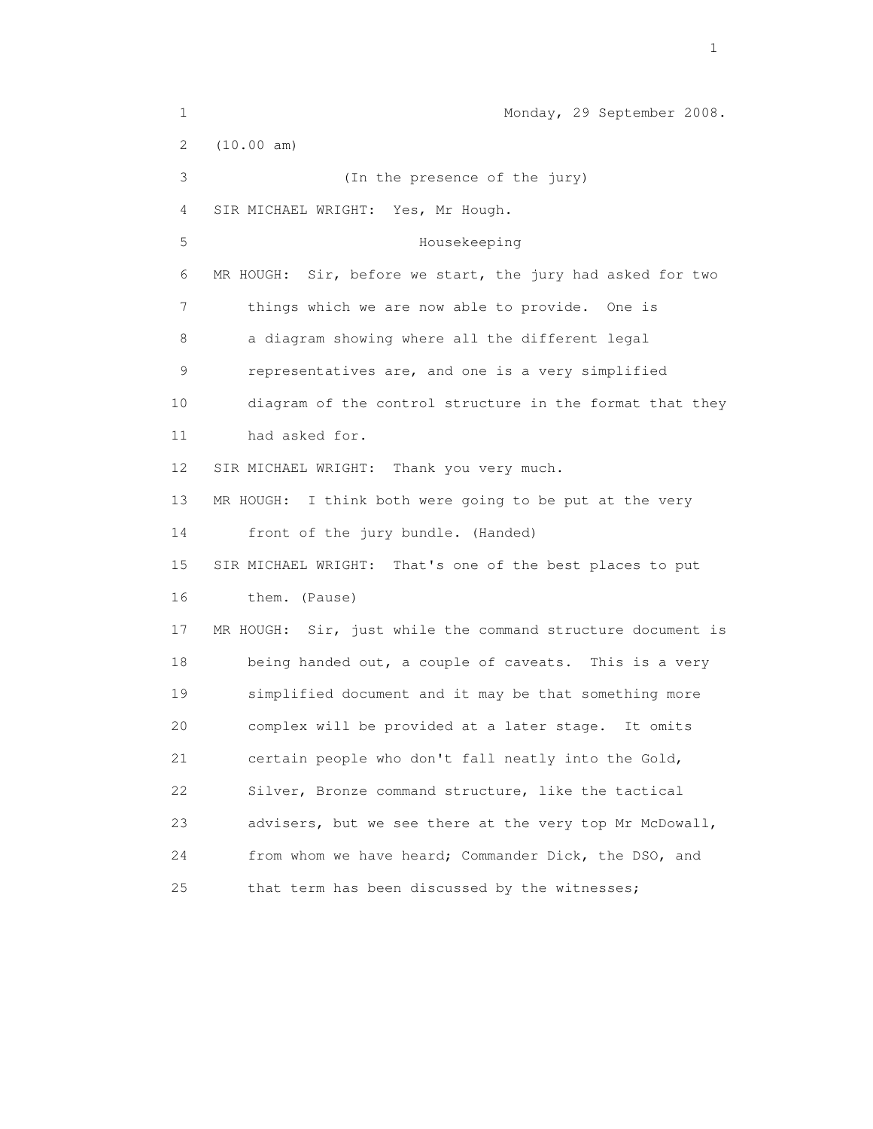| $\mathbf 1$ | Monday, 29 September 2008.                                  |
|-------------|-------------------------------------------------------------|
| 2           | (10.00 am)                                                  |
| 3           | (In the presence of the jury)                               |
| 4           | SIR MICHAEL WRIGHT: Yes, Mr Hough.                          |
| 5           | Housekeeping                                                |
| 6           | MR HOUGH: Sir, before we start, the jury had asked for two  |
| 7           | things which we are now able to provide. One is             |
| 8           | a diagram showing where all the different legal             |
| 9           | representatives are, and one is a very simplified           |
| 10          | diagram of the control structure in the format that they    |
| 11          | had asked for.                                              |
| 12          | SIR MICHAEL WRIGHT: Thank you very much.                    |
| 13          | MR HOUGH: I think both were going to be put at the very     |
| 14          | front of the jury bundle. (Handed)                          |
| 15          | SIR MICHAEL WRIGHT: That's one of the best places to put    |
| 16          | them. (Pause)                                               |
| 17          | MR HOUGH: Sir, just while the command structure document is |
| 18          | being handed out, a couple of caveats. This is a very       |
| 19          | simplified document and it may be that something more       |
| 20          | complex will be provided at a later stage.<br>It omits      |
| 21          | certain people who don't fall neatly into the Gold,         |
| 22          | Silver, Bronze command structure, like the tactical         |
| 23          | advisers, but we see there at the very top Mr McDowall,     |
| 24          | from whom we have heard; Commander Dick, the DSO, and       |
| 25          | that term has been discussed by the witnesses;              |

the contract of the contract of the contract of the contract of the contract of the contract of the contract of the contract of the contract of the contract of the contract of the contract of the contract of the contract o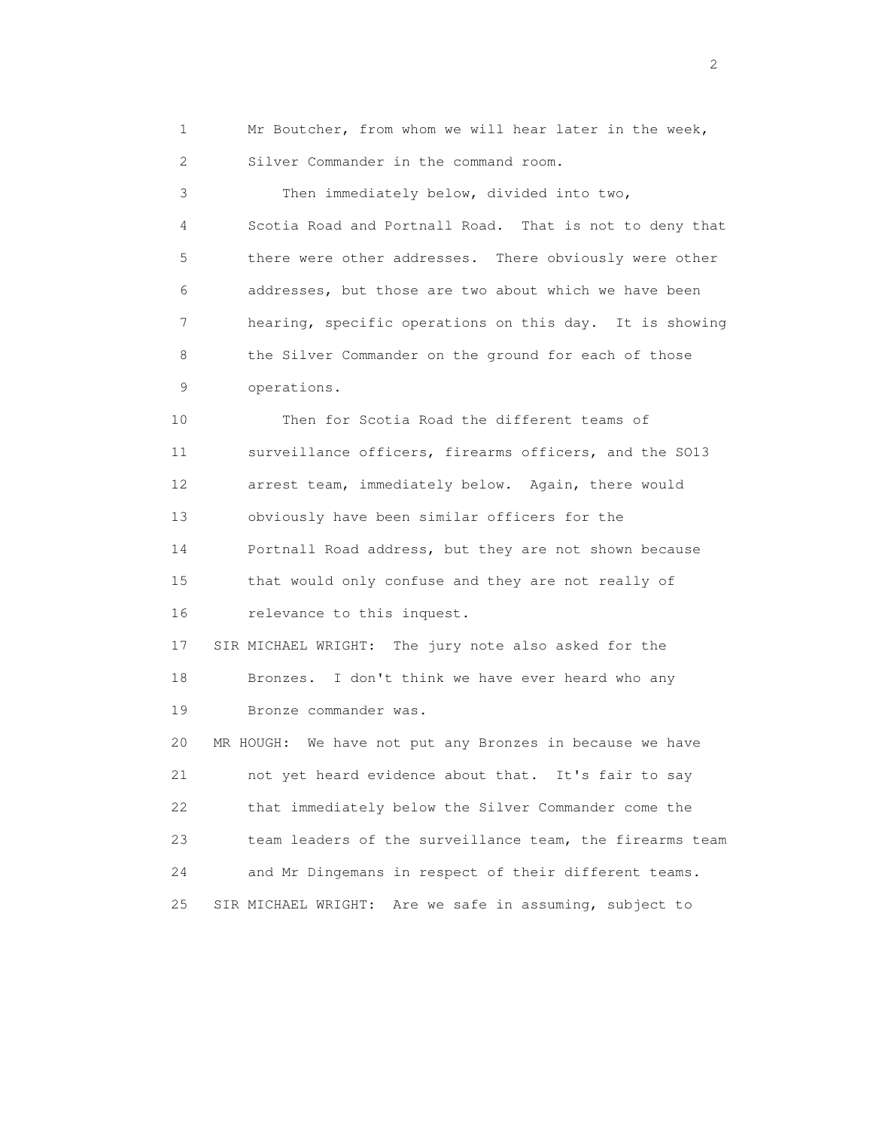1 Mr Boutcher, from whom we will hear later in the week, 2 Silver Commander in the command room. 3 Then immediately below, divided into two, 4 Scotia Road and Portnall Road. That is not to deny that 5 there were other addresses. There obviously were other 6 addresses, but those are two about which we have been

8 the Silver Commander on the ground for each of those 9 operations.

7 hearing, specific operations on this day. It is showing

 10 Then for Scotia Road the different teams of 11 surveillance officers, firearms officers, and the SO13 12 arrest team, immediately below. Again, there would 13 obviously have been similar officers for the 14 Portnall Road address, but they are not shown because 15 that would only confuse and they are not really of 16 relevance to this inquest.

 17 SIR MICHAEL WRIGHT: The jury note also asked for the 18 Bronzes. I don't think we have ever heard who any 19 Bronze commander was.

 20 MR HOUGH: We have not put any Bronzes in because we have 21 not yet heard evidence about that. It's fair to say 22 that immediately below the Silver Commander come the 23 team leaders of the surveillance team, the firearms team 24 and Mr Dingemans in respect of their different teams. 25 SIR MICHAEL WRIGHT: Are we safe in assuming, subject to

 $\overline{2}$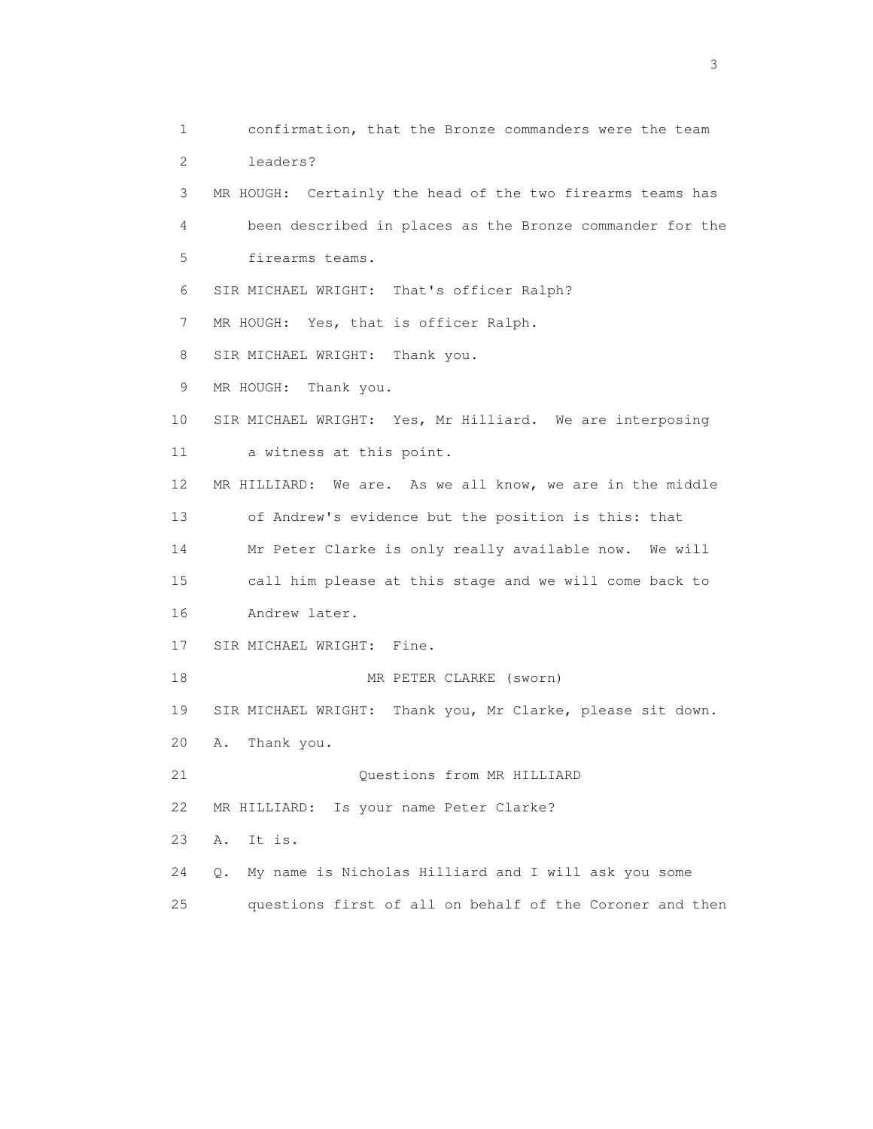1 confirmation, that the Bronze commanders were the team 2 leaders? 3 MR HOUGH: Certainly the head of the two firearms teams has 4 been described in places as the Bronze commander for the 5 firearms teams. 6 SIR MICHAEL WRIGHT: That's officer Ralph? 7 MR HOUGH: Yes, that is officer Ralph. 8 SIR MICHAEL WRIGHT: Thank you. 9 MR HOUGH: Thank you. 10 SIR MICHAEL WRIGHT: Yes, Mr Hilliard. We are interposing 11 a witness at this point. 12 MR HILLIARD: We are. As we all know, we are in the middle 13 of Andrew's evidence but the position is this: that 14 Mr Peter Clarke is only really available now. We will 15 call him please at this stage and we will come back to 16 Andrew later. 17 SIR MICHAEL WRIGHT: Fine. 18 MR PETER CLARKE (sworn) 19 SIR MICHAEL WRIGHT: Thank you, Mr Clarke, please sit down. 20 A. Thank you. 21 Questions from MR HILLIARD 22 MR HILLIARD: Is your name Peter Clarke? 23 A. It is. 24 Q. My name is Nicholas Hilliard and I will ask you some 25 questions first of all on behalf of the Coroner and then

 $\sim$  3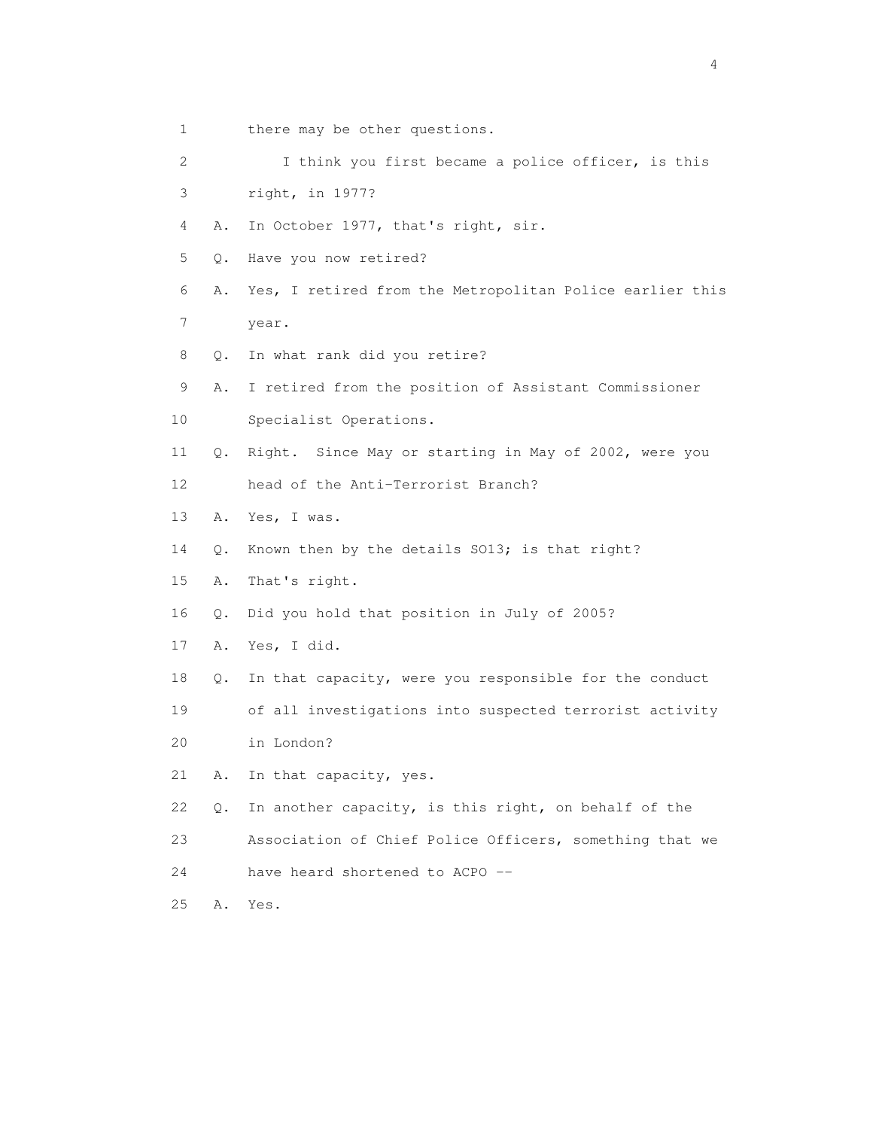1 there may be other questions. 2 I think you first became a police officer, is this 3 right, in 1977? 4 A. In October 1977, that's right, sir. 5 Q. Have you now retired? 6 A. Yes, I retired from the Metropolitan Police earlier this 7 year. 8 Q. In what rank did you retire? 9 A. I retired from the position of Assistant Commissioner 10 Specialist Operations. 11 Q. Right. Since May or starting in May of 2002, were you 12 head of the Anti-Terrorist Branch? 13 A. Yes, I was. 14 Q. Known then by the details SO13; is that right? 15 A. That's right. 16 Q. Did you hold that position in July of 2005? 17 A. Yes, I did. 18 Q. In that capacity, were you responsible for the conduct 19 of all investigations into suspected terrorist activity 20 in London? 21 A. In that capacity, yes. 22 Q. In another capacity, is this right, on behalf of the 23 Association of Chief Police Officers, something that we 24 have heard shortened to ACPO -- 25 A. Yes.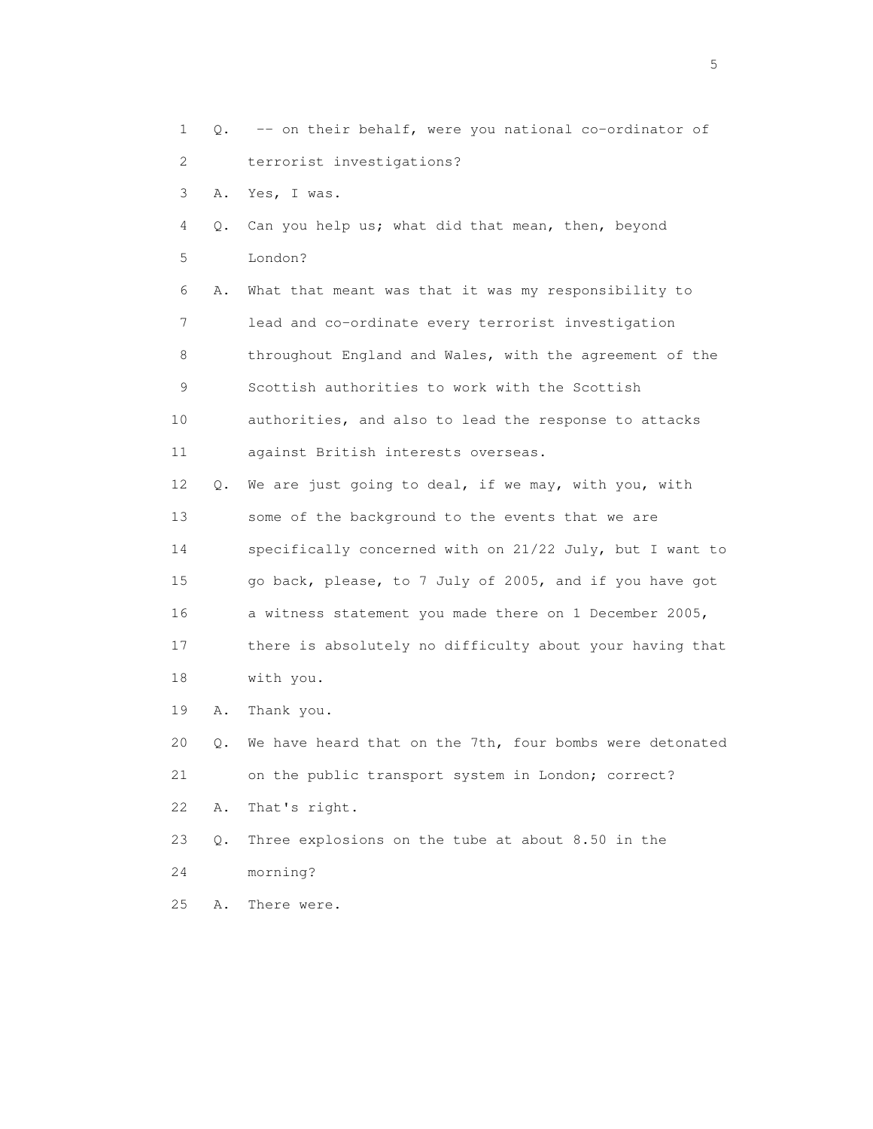1 Q. -- on their behalf, were you national co-ordinator of 2 terrorist investigations? 3 A. Yes, I was. 4 Q. Can you help us; what did that mean, then, beyond 5 London? 6 A. What that meant was that it was my responsibility to 7 lead and co-ordinate every terrorist investigation 8 throughout England and Wales, with the agreement of the 9 Scottish authorities to work with the Scottish 10 authorities, and also to lead the response to attacks 11 against British interests overseas. 12 Q. We are just going to deal, if we may, with you, with 13 some of the background to the events that we are 14 specifically concerned with on 21/22 July, but I want to 15 go back, please, to 7 July of 2005, and if you have got 16 a witness statement you made there on 1 December 2005, 17 there is absolutely no difficulty about your having that 18 with you. 19 A. Thank you. 20 Q. We have heard that on the 7th, four bombs were detonated 21 on the public transport system in London; correct? 22 A. That's right. 23 Q. Three explosions on the tube at about 8.50 in the

24 morning?

25 A. There were.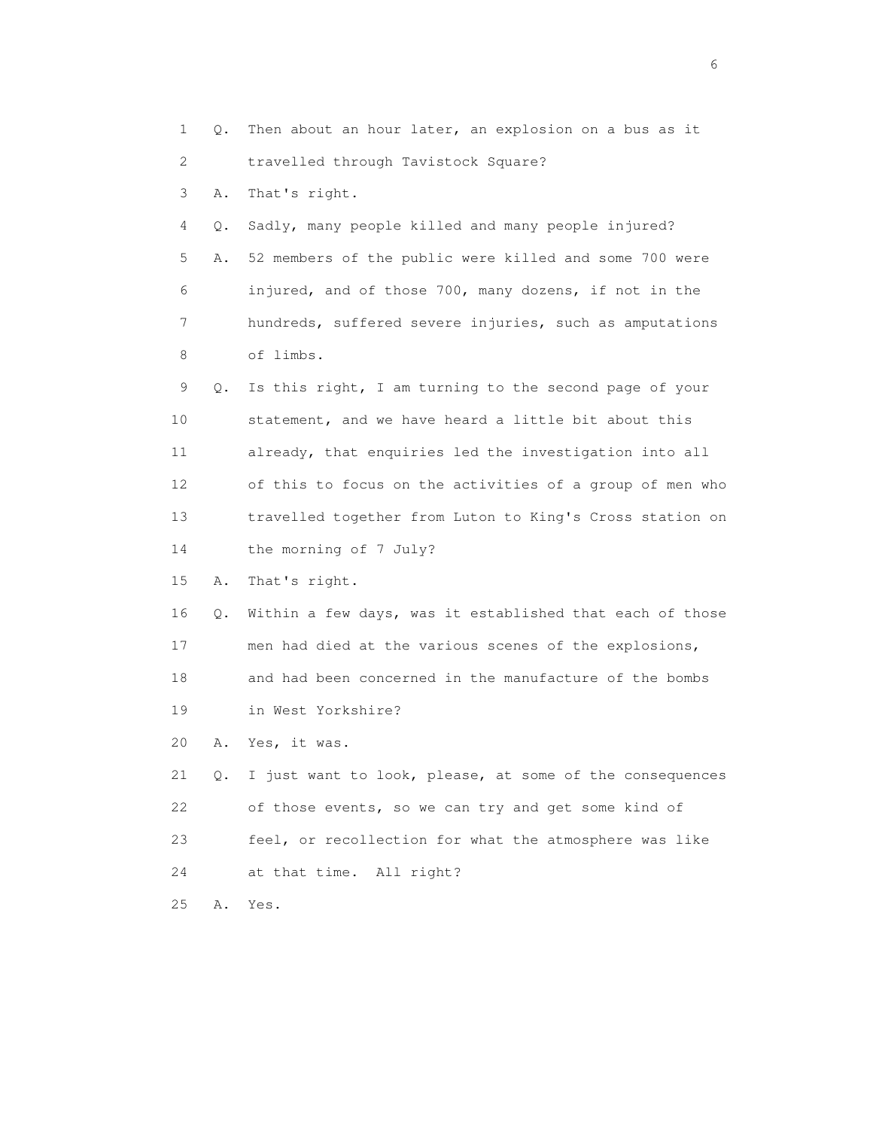1 Q. Then about an hour later, an explosion on a bus as it 2 travelled through Tavistock Square? 3 A. That's right. 4 Q. Sadly, many people killed and many people injured? 5 A. 52 members of the public were killed and some 700 were 6 injured, and of those 700, many dozens, if not in the 7 hundreds, suffered severe injuries, such as amputations 8 of limbs. 9 Q. Is this right, I am turning to the second page of your 10 statement, and we have heard a little bit about this 11 already, that enquiries led the investigation into all 12 of this to focus on the activities of a group of men who 13 travelled together from Luton to King's Cross station on 14 the morning of 7 July? 15 A. That's right. 16 Q. Within a few days, was it established that each of those 17 men had died at the various scenes of the explosions, 18 and had been concerned in the manufacture of the bombs 19 in West Yorkshire? 20 A. Yes, it was. 21 Q. I just want to look, please, at some of the consequences 22 of those events, so we can try and get some kind of 23 feel, or recollection for what the atmosphere was like 24 at that time. All right? 25 A. Yes.

 $\sim$  6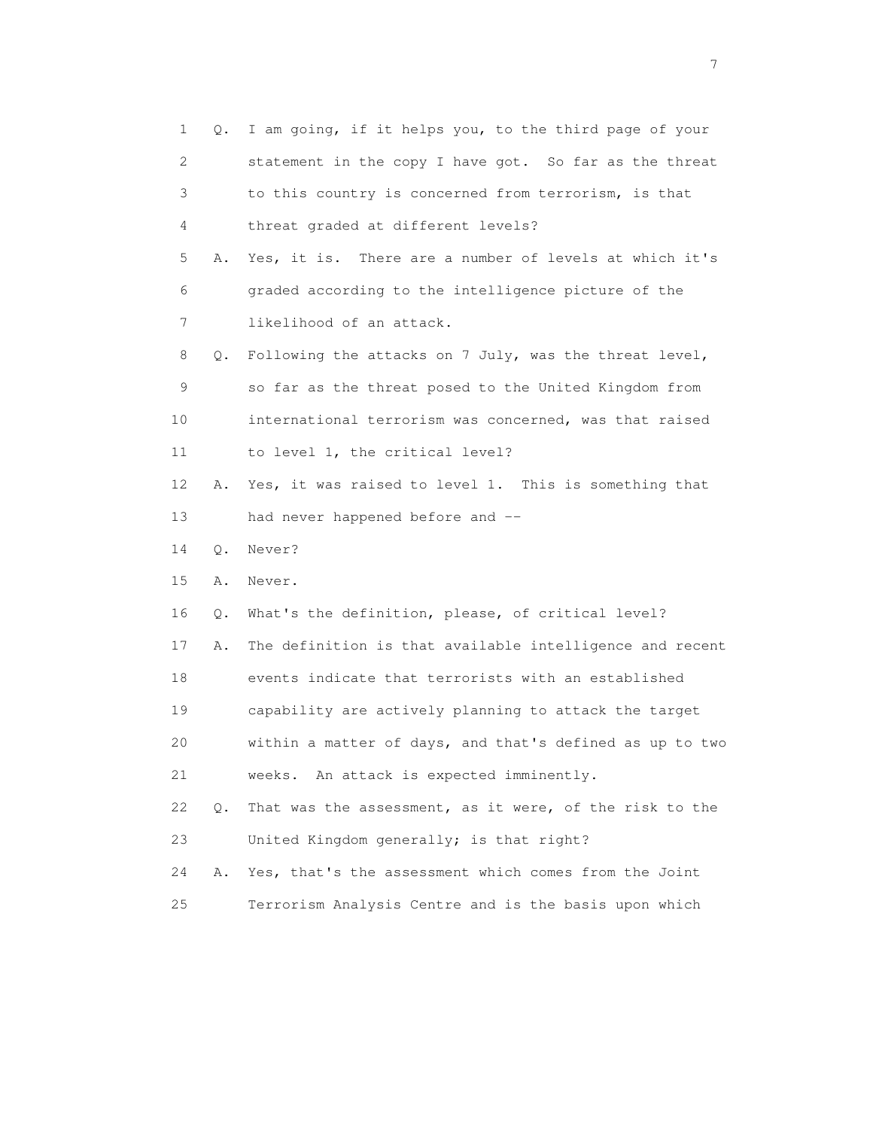| $\mathbf 1$ | Q. | I am going, if it helps you, to the third page of your   |
|-------------|----|----------------------------------------------------------|
| 2           |    | statement in the copy I have got. So far as the threat   |
| 3           |    | to this country is concerned from terrorism, is that     |
| 4           |    | threat graded at different levels?                       |
| 5           | Α. | Yes, it is. There are a number of levels at which it's   |
| 6           |    | graded according to the intelligence picture of the      |
| 7           |    | likelihood of an attack.                                 |
| 8           | Q. | Following the attacks on 7 July, was the threat level,   |
| 9           |    | so far as the threat posed to the United Kingdom from    |
| 10          |    | international terrorism was concerned, was that raised   |
| 11          |    | to level 1, the critical level?                          |
| 12          | Α. | Yes, it was raised to level 1. This is something that    |
| 13          |    | had never happened before and --                         |
| 14          | Q. | Never?                                                   |
| 15          | Α. | Never.                                                   |
| 16          | Q. | What's the definition, please, of critical level?        |
| 17          | Α. | The definition is that available intelligence and recent |
| 18          |    | events indicate that terrorists with an established      |
| 19          |    | capability are actively planning to attack the target    |
| 20          |    | within a matter of days, and that's defined as up to two |
| 21          |    | weeks. An attack is expected imminently.                 |
| 22          | Q. | That was the assessment, as it were, of the risk to the  |
| 23          |    | United Kingdom generally; is that right?                 |
|             |    |                                                          |
| 24          | Α. | Yes, that's the assessment which comes from the Joint    |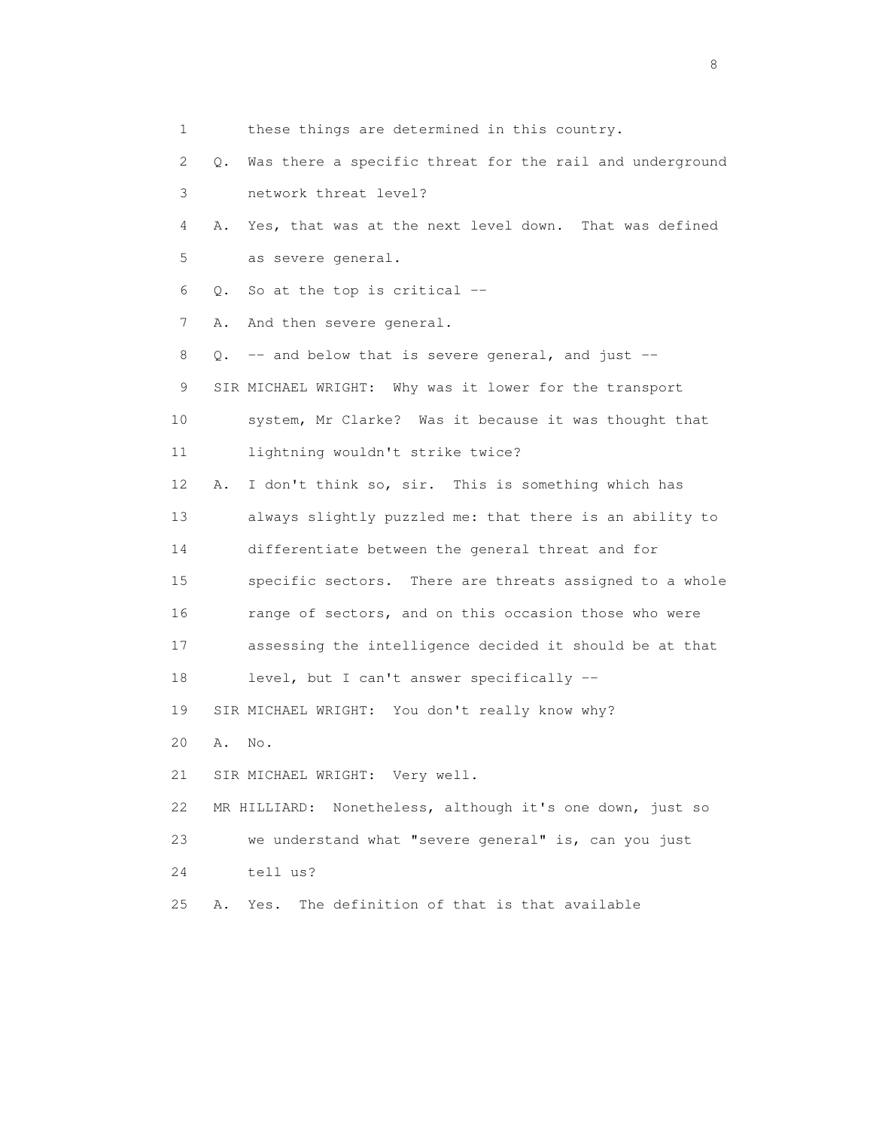1 these things are determined in this country. 2 Q. Was there a specific threat for the rail and underground 3 network threat level? 4 A. Yes, that was at the next level down. That was defined 5 as severe general. 6 Q. So at the top is critical -- 7 A. And then severe general. 8 Q. -- and below that is severe general, and just -- 9 SIR MICHAEL WRIGHT: Why was it lower for the transport 10 system, Mr Clarke? Was it because it was thought that 11 lightning wouldn't strike twice? 12 A. I don't think so, sir. This is something which has 13 always slightly puzzled me: that there is an ability to 14 differentiate between the general threat and for 15 specific sectors. There are threats assigned to a whole 16 range of sectors, and on this occasion those who were 17 assessing the intelligence decided it should be at that 18 level, but I can't answer specifically -- 19 SIR MICHAEL WRIGHT: You don't really know why? 20 A. No. 21 SIR MICHAEL WRIGHT: Very well. 22 MR HILLIARD: Nonetheless, although it's one down, just so 23 we understand what "severe general" is, can you just 24 tell us? 25 A. Yes. The definition of that is that available

en de la construction de la construction de la construction de la construction de la construction de la constr<br>En 1980, en 1980, en 1980, en 1980, en 1980, en 1980, en 1980, en 1980, en 1980, en 1980, en 1980, en 1980, en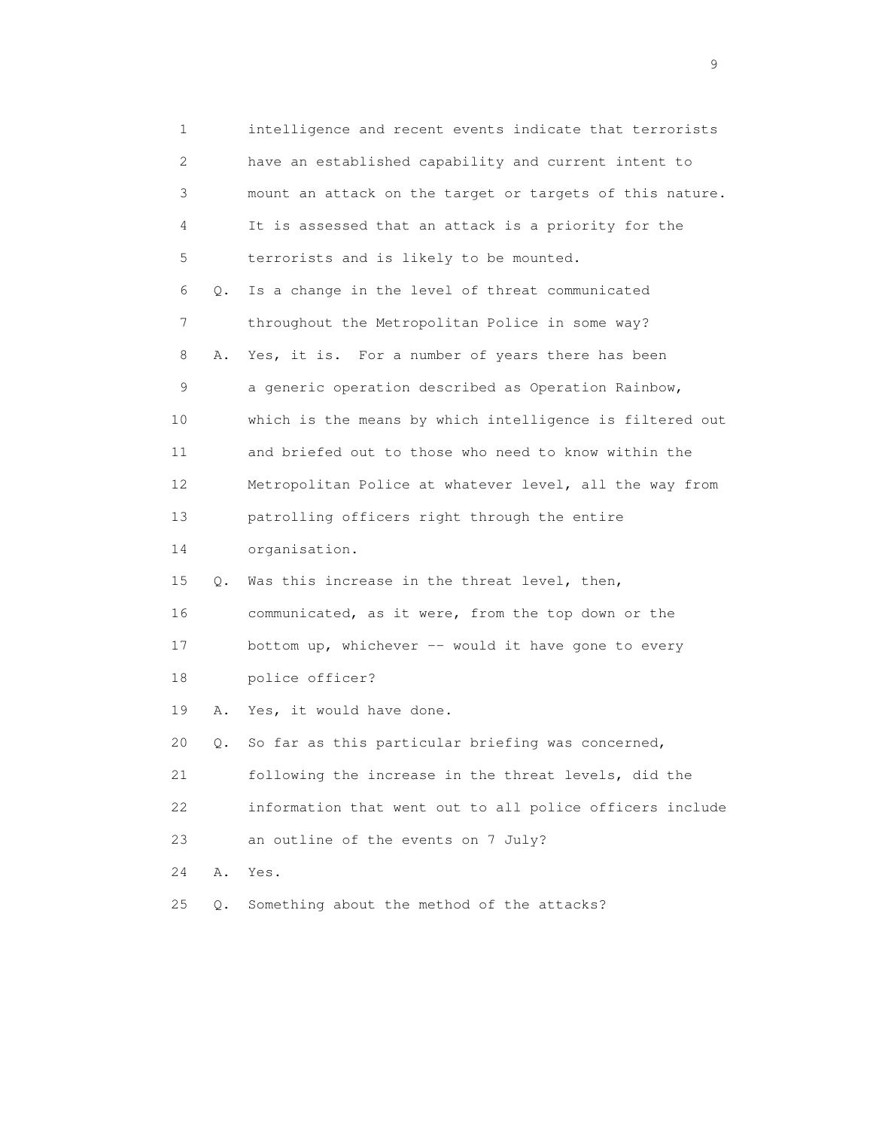| 1  |    | intelligence and recent events indicate that terrorists  |
|----|----|----------------------------------------------------------|
| 2  |    | have an established capability and current intent to     |
| 3  |    | mount an attack on the target or targets of this nature. |
| 4  |    | It is assessed that an attack is a priority for the      |
| 5  |    | terrorists and is likely to be mounted.                  |
| 6  | Q. | Is a change in the level of threat communicated          |
| 7  |    | throughout the Metropolitan Police in some way?          |
| 8  | Α. | Yes, it is. For a number of years there has been         |
| 9  |    | a generic operation described as Operation Rainbow,      |
| 10 |    | which is the means by which intelligence is filtered out |
| 11 |    | and briefed out to those who need to know within the     |
| 12 |    | Metropolitan Police at whatever level, all the way from  |
| 13 |    | patrolling officers right through the entire             |
| 14 |    | organisation.                                            |
| 15 | Q. | Was this increase in the threat level, then,             |
| 16 |    | communicated, as it were, from the top down or the       |
| 17 |    | bottom up, whichever -- would it have gone to every      |
| 18 |    | police officer?                                          |
| 19 | Α. | Yes, it would have done.                                 |
| 20 | Q. | So far as this particular briefing was concerned,        |
| 21 |    | following the increase in the threat levels, did the     |
| 22 |    | information that went out to all police officers include |
| 23 |    | an outline of the events on 7 July?                      |
| 24 | Α. | Yes.                                                     |
| 25 | Q. | Something about the method of the attacks?               |

en de la construction de la construction de la construction de la construction de la construction de la constr<br>1911 : la construction de la construction de la construction de la construction de la construction de la const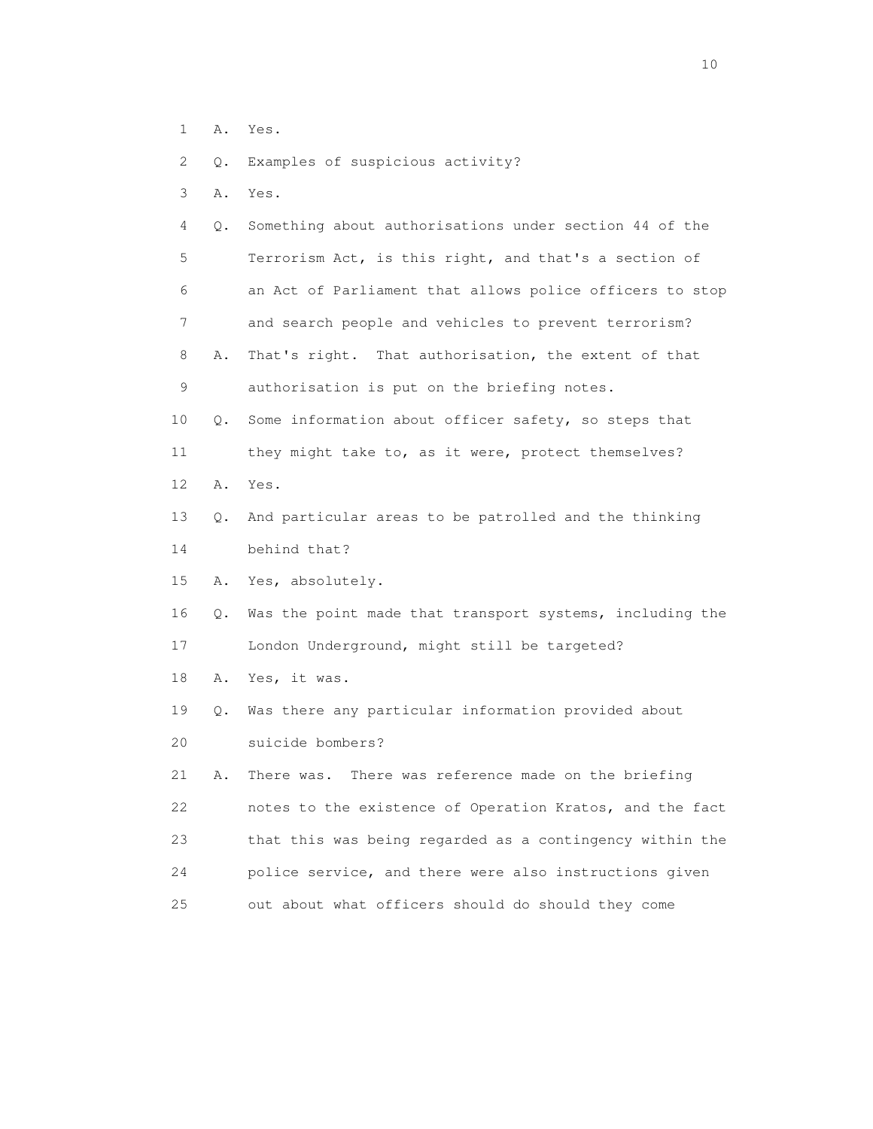- 1 A. Yes.
- 2 Q. Examples of suspicious activity?
- 3 A. Yes.

| 4           | Q. Something about authorisations under section 44 of the |
|-------------|-----------------------------------------------------------|
| 5           | Terrorism Act, is this right, and that's a section of     |
| 6           | an Act of Parliament that allows police officers to stop  |
| $7^{\circ}$ | and search people and vehicles to prevent terrorism?      |
| 8           | A. That's right. That authorisation, the extent of that   |
| 9           | authorisation is put on the briefing notes.               |
| 10          | Q. Some information about officer safety, so steps that   |

- 11 they might take to, as it were, protect themselves? 12 A. Yes.
- 13 Q. And particular areas to be patrolled and the thinking 14 behind that?
- 15 A. Yes, absolutely.
- 16 Q. Was the point made that transport systems, including the 17 London Underground, might still be targeted?
- 18 A. Yes, it was.
- 19 Q. Was there any particular information provided about 20 suicide bombers?

 21 A. There was. There was reference made on the briefing 22 notes to the existence of Operation Kratos, and the fact 23 that this was being regarded as a contingency within the 24 police service, and there were also instructions given 25 out about what officers should do should they come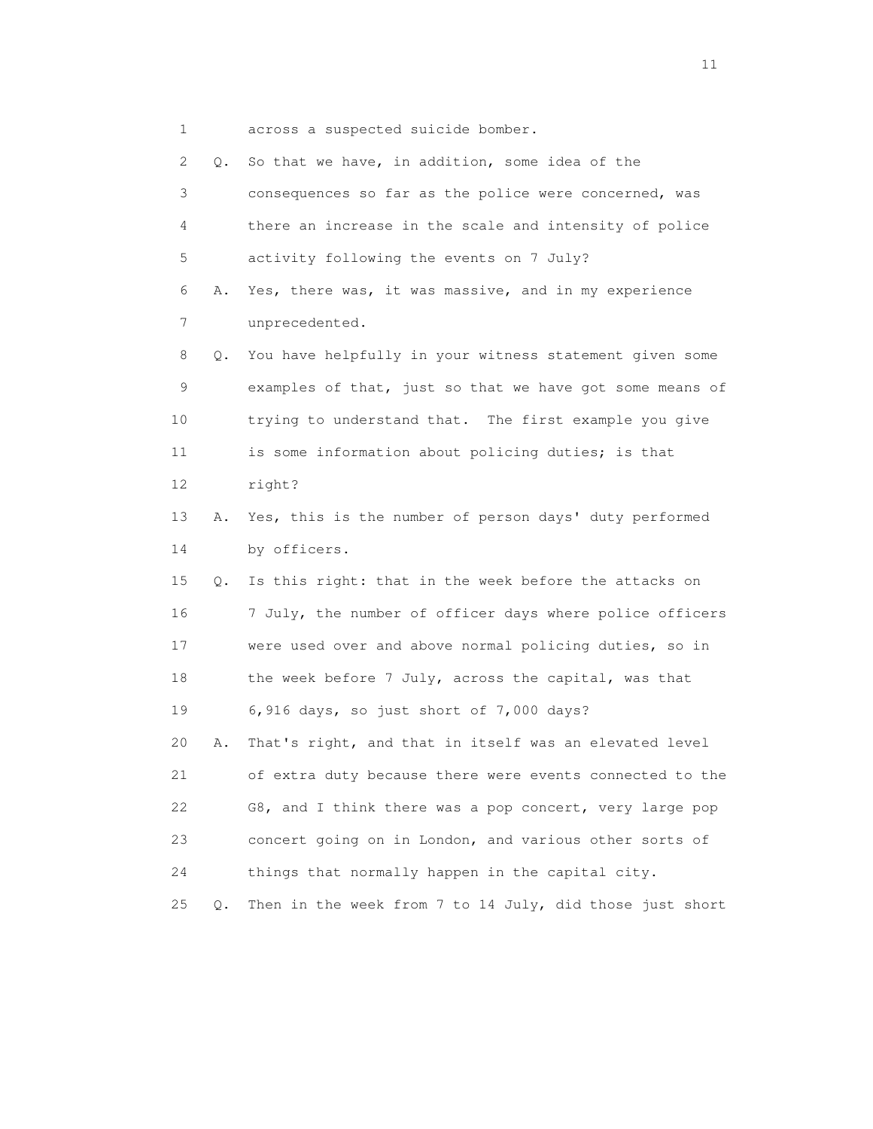1 across a suspected suicide bomber.

| 2  | Q. | So that we have, in addition, some idea of the           |
|----|----|----------------------------------------------------------|
| 3  |    | consequences so far as the police were concerned, was    |
| 4  |    | there an increase in the scale and intensity of police   |
| 5  |    | activity following the events on 7 July?                 |
| 6  | Α. | Yes, there was, it was massive, and in my experience     |
| 7  |    | unprecedented.                                           |
| 8  | Q. | You have helpfully in your witness statement given some  |
| 9  |    | examples of that, just so that we have got some means of |
| 10 |    | trying to understand that. The first example you give    |
| 11 |    | is some information about policing duties; is that       |
| 12 |    | right?                                                   |
| 13 | Α. | Yes, this is the number of person days' duty performed   |
| 14 |    | by officers.                                             |
| 15 | Q. | Is this right: that in the week before the attacks on    |
| 16 |    | 7 July, the number of officer days where police officers |
| 17 |    | were used over and above normal policing duties, so in   |
| 18 |    | the week before 7 July, across the capital, was that     |
| 19 |    | 6,916 days, so just short of 7,000 days?                 |
| 20 | Α. | That's right, and that in itself was an elevated level   |
| 21 |    | of extra duty because there were events connected to the |
| 22 |    | G8, and I think there was a pop concert, very large pop  |
| 23 |    | concert going on in London, and various other sorts of   |
| 24 |    | things that normally happen in the capital city.         |
| 25 | Q. | Then in the week from 7 to 14 July, did those just short |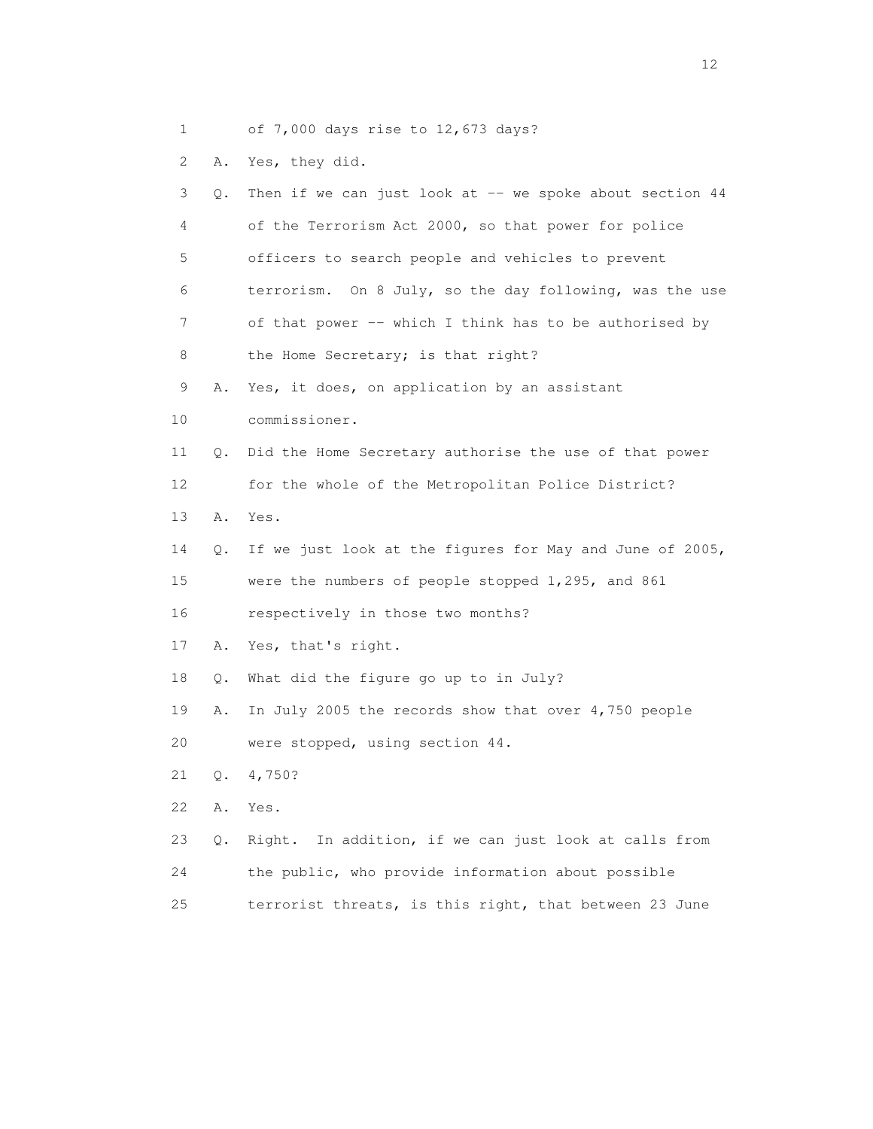1 of 7,000 days rise to 12,673 days?

2 A. Yes, they did.

| 3               | Q. | Then if we can just look at -- we spoke about section 44 |
|-----------------|----|----------------------------------------------------------|
| 4               |    | of the Terrorism Act 2000, so that power for police      |
| 5               |    | officers to search people and vehicles to prevent        |
| 6               |    | terrorism. On 8 July, so the day following, was the use  |
| 7               |    | of that power -- which I think has to be authorised by   |
| 8               |    | the Home Secretary; is that right?                       |
| 9               | Α. | Yes, it does, on application by an assistant             |
| 10              |    | commissioner.                                            |
| 11              | Q. | Did the Home Secretary authorise the use of that power   |
| 12 <sup>2</sup> |    | for the whole of the Metropolitan Police District?       |
| 13              | Α. | Yes.                                                     |
| 14              | Q. | If we just look at the figures for May and June of 2005, |
| 15              |    | were the numbers of people stopped 1,295, and 861        |
| 16              |    | respectively in those two months?                        |
| 17              | Α. | Yes, that's right.                                       |
| 18              | Q. | What did the figure go up to in July?                    |
| 19              | Α. | In July 2005 the records show that over 4,750 people     |
| 20              |    | were stopped, using section 44.                          |
| 21              | Q. | 4,750?                                                   |
| 22              | Α. | Yes.                                                     |
| 23              | Q. | Right. In addition, if we can just look at calls from    |
| 24              |    | the public, who provide information about possible       |
| 25              |    | terrorist threats, is this right, that between 23 June   |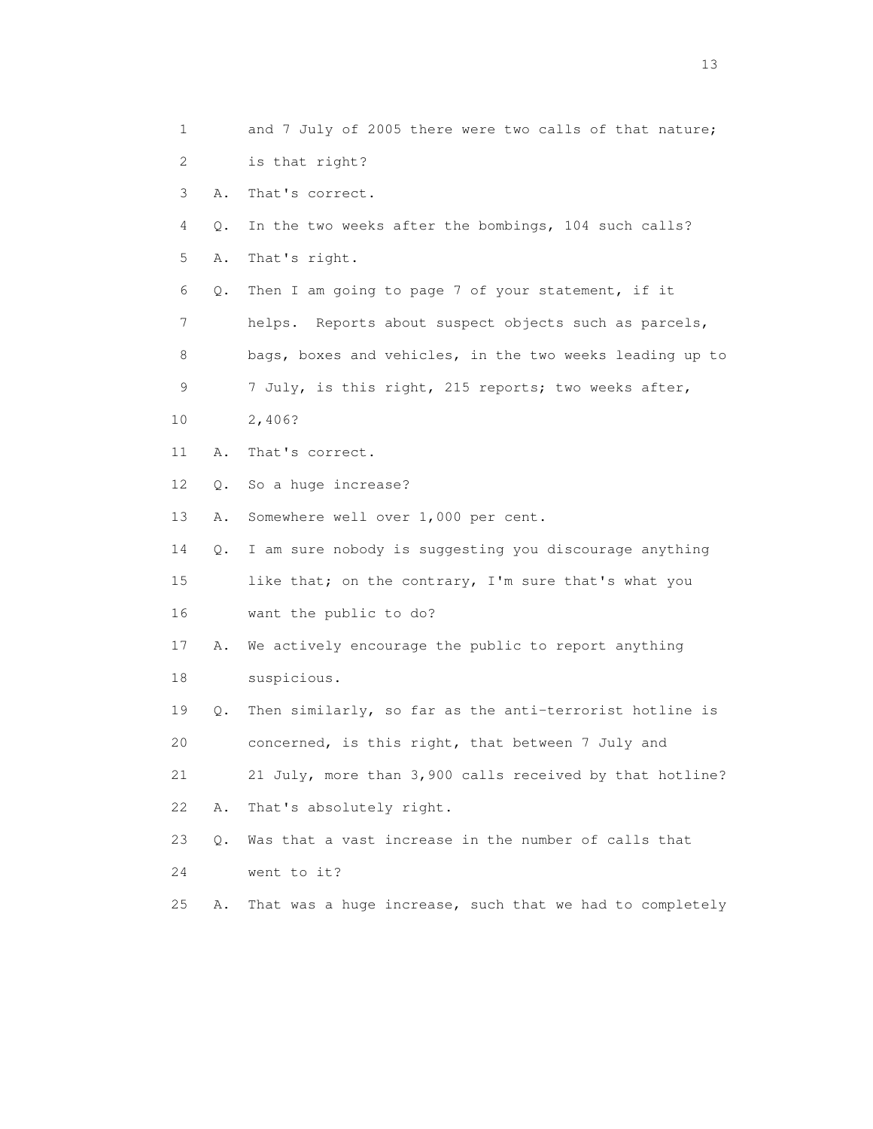1 and 7 July of 2005 there were two calls of that nature; 2 is that right? 3 A. That's correct. 4 Q. In the two weeks after the bombings, 104 such calls? 5 A. That's right. 6 Q. Then I am going to page 7 of your statement, if it 7 helps. Reports about suspect objects such as parcels, 8 bags, boxes and vehicles, in the two weeks leading up to 9 7 July, is this right, 215 reports; two weeks after, 10 2,406? 11 A. That's correct. 12 Q. So a huge increase? 13 A. Somewhere well over 1,000 per cent. 14 Q. I am sure nobody is suggesting you discourage anything 15 like that; on the contrary, I'm sure that's what you 16 want the public to do? 17 A. We actively encourage the public to report anything 18 suspicious. 19 Q. Then similarly, so far as the anti-terrorist hotline is 20 concerned, is this right, that between 7 July and 21 21 July, more than 3,900 calls received by that hotline? 22 A. That's absolutely right. 23 Q. Was that a vast increase in the number of calls that 24 went to it? 25 A. That was a huge increase, such that we had to completely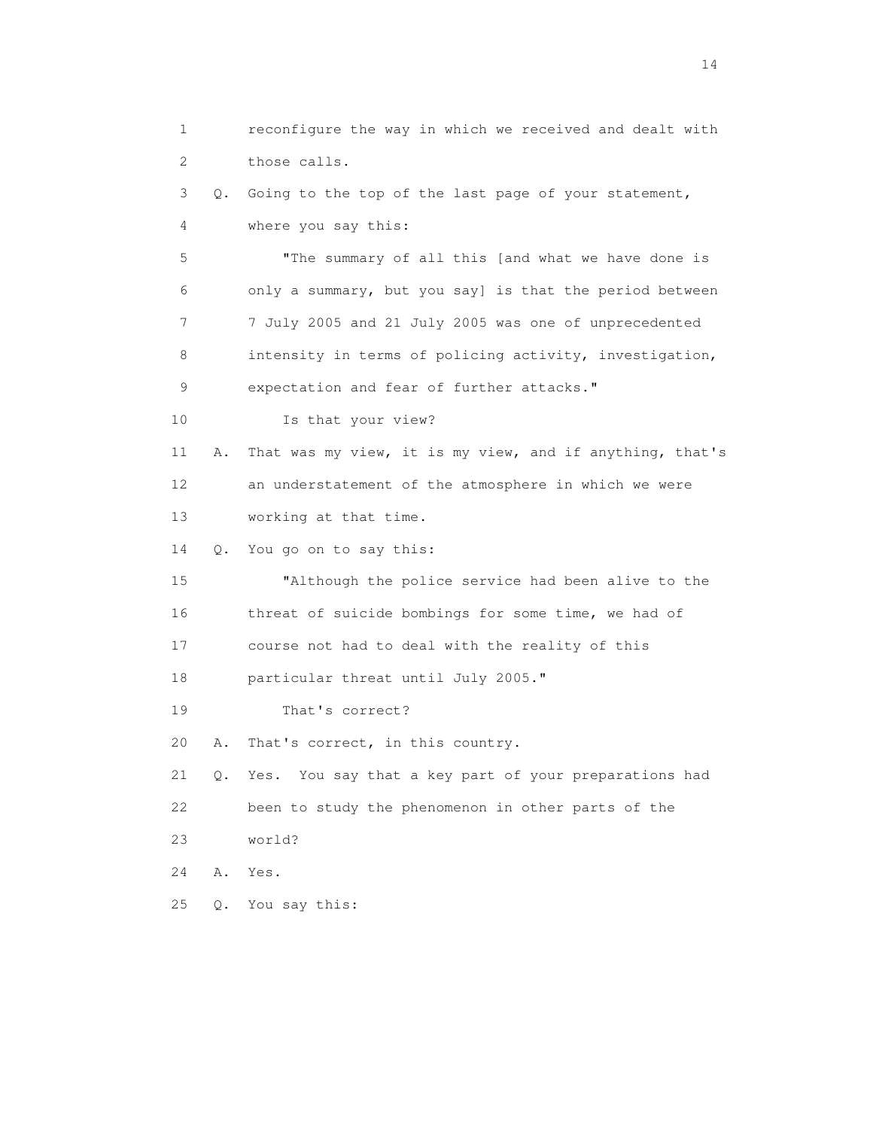1 reconfigure the way in which we received and dealt with 2 those calls. 3 Q. Going to the top of the last page of your statement, 4 where you say this: 5 "The summary of all this [and what we have done is 6 only a summary, but you say] is that the period between 7 7 July 2005 and 21 July 2005 was one of unprecedented 8 intensity in terms of policing activity, investigation, 9 expectation and fear of further attacks." 10 Is that your view? 11 A. That was my view, it is my view, and if anything, that's 12 an understatement of the atmosphere in which we were 13 working at that time. 14 Q. You go on to say this: 15 "Although the police service had been alive to the 16 threat of suicide bombings for some time, we had of 17 course not had to deal with the reality of this 18 particular threat until July 2005." 19 That's correct? 20 A. That's correct, in this country. 21 Q. Yes. You say that a key part of your preparations had 22 been to study the phenomenon in other parts of the 23 world? 24 A. Yes. 25 Q. You say this: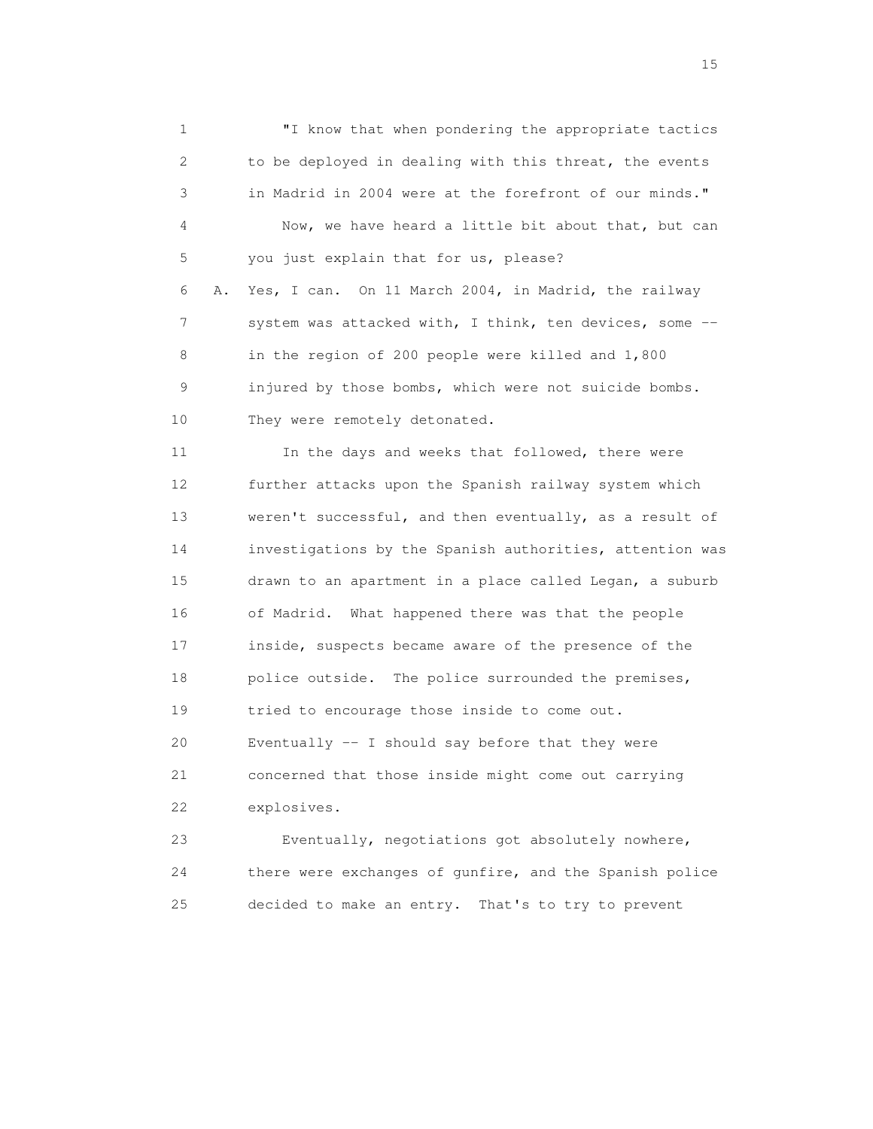1 "I know that when pondering the appropriate tactics 2 to be deployed in dealing with this threat, the events 3 in Madrid in 2004 were at the forefront of our minds." 4 Now, we have heard a little bit about that, but can 5 you just explain that for us, please? 6 A. Yes, I can. On 11 March 2004, in Madrid, the railway 7 system was attacked with, I think, ten devices, some -- 8 in the region of 200 people were killed and 1,800 9 injured by those bombs, which were not suicide bombs. 10 They were remotely detonated. 11 In the days and weeks that followed, there were 12 further attacks upon the Spanish railway system which 13 weren't successful, and then eventually, as a result of 14 investigations by the Spanish authorities, attention was 15 drawn to an apartment in a place called Legan, a suburb 16 of Madrid. What happened there was that the people 17 inside, suspects became aware of the presence of the 18 police outside. The police surrounded the premises, 19 tried to encourage those inside to come out. 20 Eventually -- I should say before that they were 21 concerned that those inside might come out carrying 22 explosives. 23 Eventually, negotiations got absolutely nowhere,

 24 there were exchanges of gunfire, and the Spanish police 25 decided to make an entry. That's to try to prevent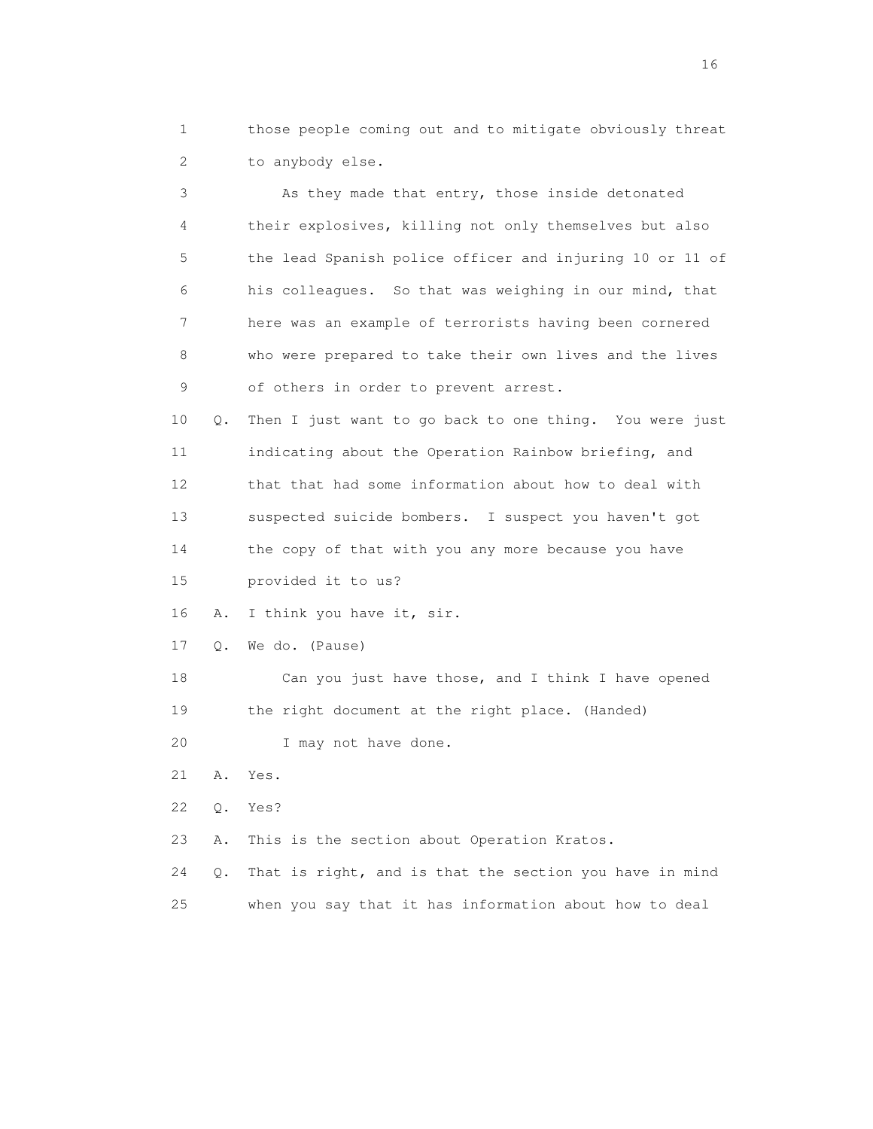1 those people coming out and to mitigate obviously threat 2 to anybody else.

 3 As they made that entry, those inside detonated 4 their explosives, killing not only themselves but also 5 the lead Spanish police officer and injuring 10 or 11 of 6 his colleagues. So that was weighing in our mind, that 7 here was an example of terrorists having been cornered 8 who were prepared to take their own lives and the lives 9 of others in order to prevent arrest.

 10 Q. Then I just want to go back to one thing. You were just 11 indicating about the Operation Rainbow briefing, and 12 that that had some information about how to deal with 13 suspected suicide bombers. I suspect you haven't got 14 the copy of that with you any more because you have 15 provided it to us?

16 A. I think you have it, sir.

17 Q. We do. (Pause)

 18 Can you just have those, and I think I have opened 19 the right document at the right place. (Handed)

20 I may not have done.

21 A. Yes.

22 Q. Yes?

23 A. This is the section about Operation Kratos.

 24 Q. That is right, and is that the section you have in mind 25 when you say that it has information about how to deal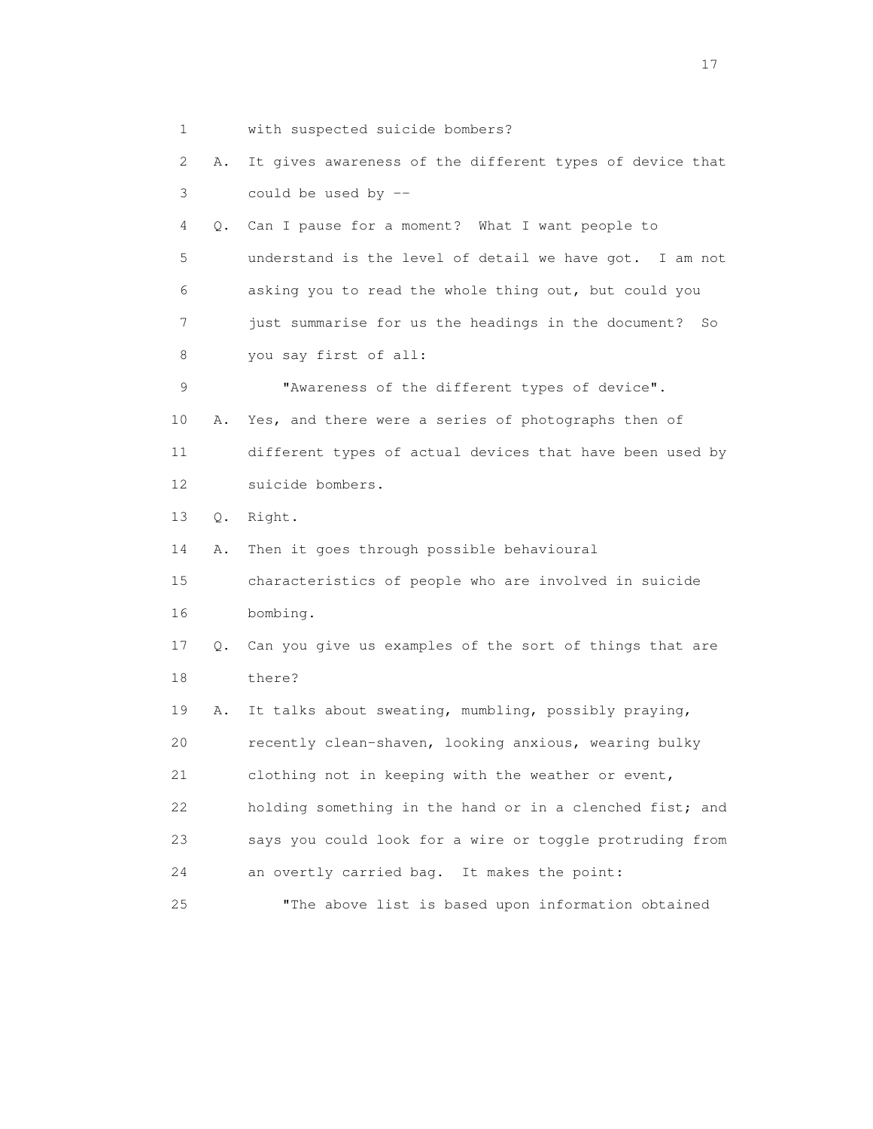1 with suspected suicide bombers? 2 A. It gives awareness of the different types of device that 3 could be used by -- 4 Q. Can I pause for a moment? What I want people to 5 understand is the level of detail we have got. I am not 6 asking you to read the whole thing out, but could you 7 just summarise for us the headings in the document? So 8 you say first of all: 9 "Awareness of the different types of device". 10 A. Yes, and there were a series of photographs then of 11 different types of actual devices that have been used by 12 suicide bombers. 13 Q. Right. 14 A. Then it goes through possible behavioural 15 characteristics of people who are involved in suicide 16 bombing. 17 Q. Can you give us examples of the sort of things that are 18 there? 19 A. It talks about sweating, mumbling, possibly praying, 20 recently clean-shaven, looking anxious, wearing bulky 21 clothing not in keeping with the weather or event, 22 holding something in the hand or in a clenched fist; and 23 says you could look for a wire or toggle protruding from 24 an overtly carried bag. It makes the point: 25 "The above list is based upon information obtained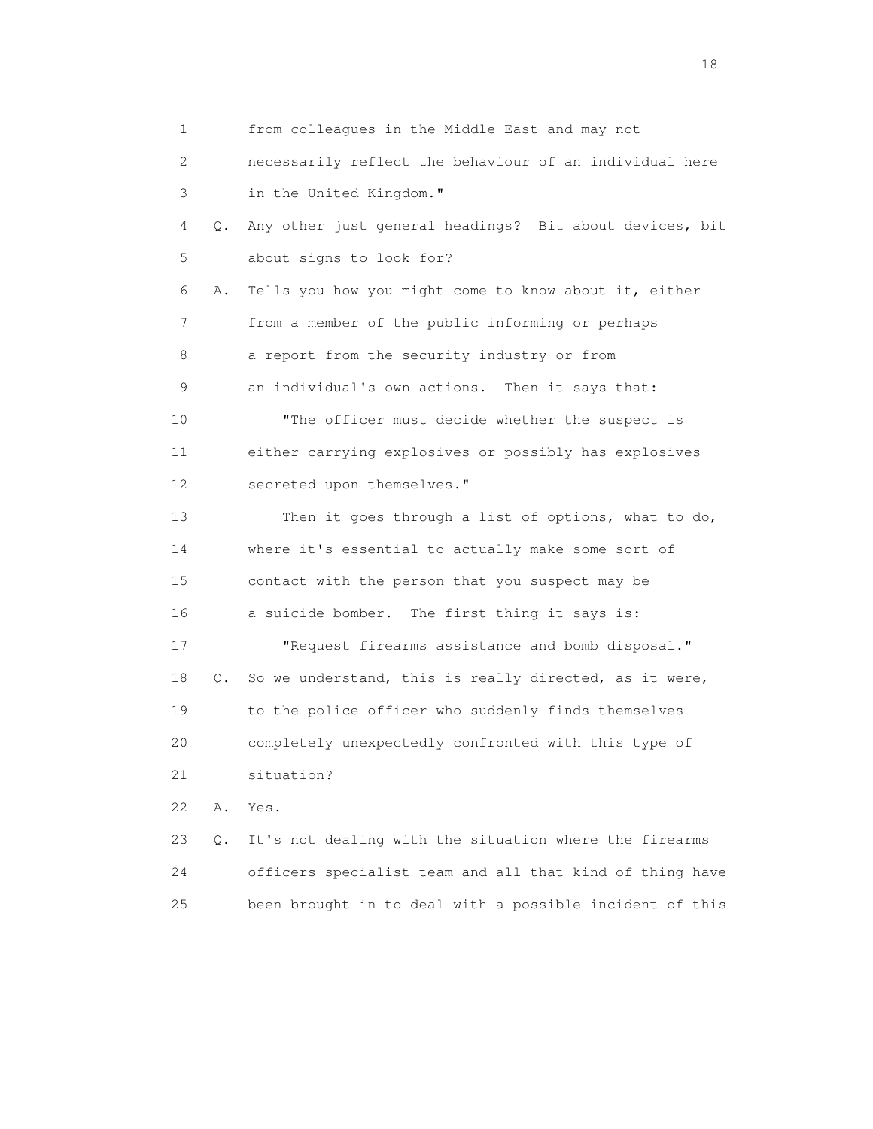1 from colleagues in the Middle East and may not 2 necessarily reflect the behaviour of an individual here 3 in the United Kingdom." 4 Q. Any other just general headings? Bit about devices, bit 5 about signs to look for? 6 A. Tells you how you might come to know about it, either 7 from a member of the public informing or perhaps 8 a report from the security industry or from 9 an individual's own actions. Then it says that: 10 "The officer must decide whether the suspect is 11 either carrying explosives or possibly has explosives 12 secreted upon themselves." 13 Then it goes through a list of options, what to do, 14 where it's essential to actually make some sort of 15 contact with the person that you suspect may be 16 a suicide bomber. The first thing it says is: 17 "Request firearms assistance and bomb disposal." 18 Q. So we understand, this is really directed, as it were, 19 to the police officer who suddenly finds themselves 20 completely unexpectedly confronted with this type of 21 situation? 22 A. Yes. 23 Q. It's not dealing with the situation where the firearms 24 officers specialist team and all that kind of thing have 25 been brought in to deal with a possible incident of this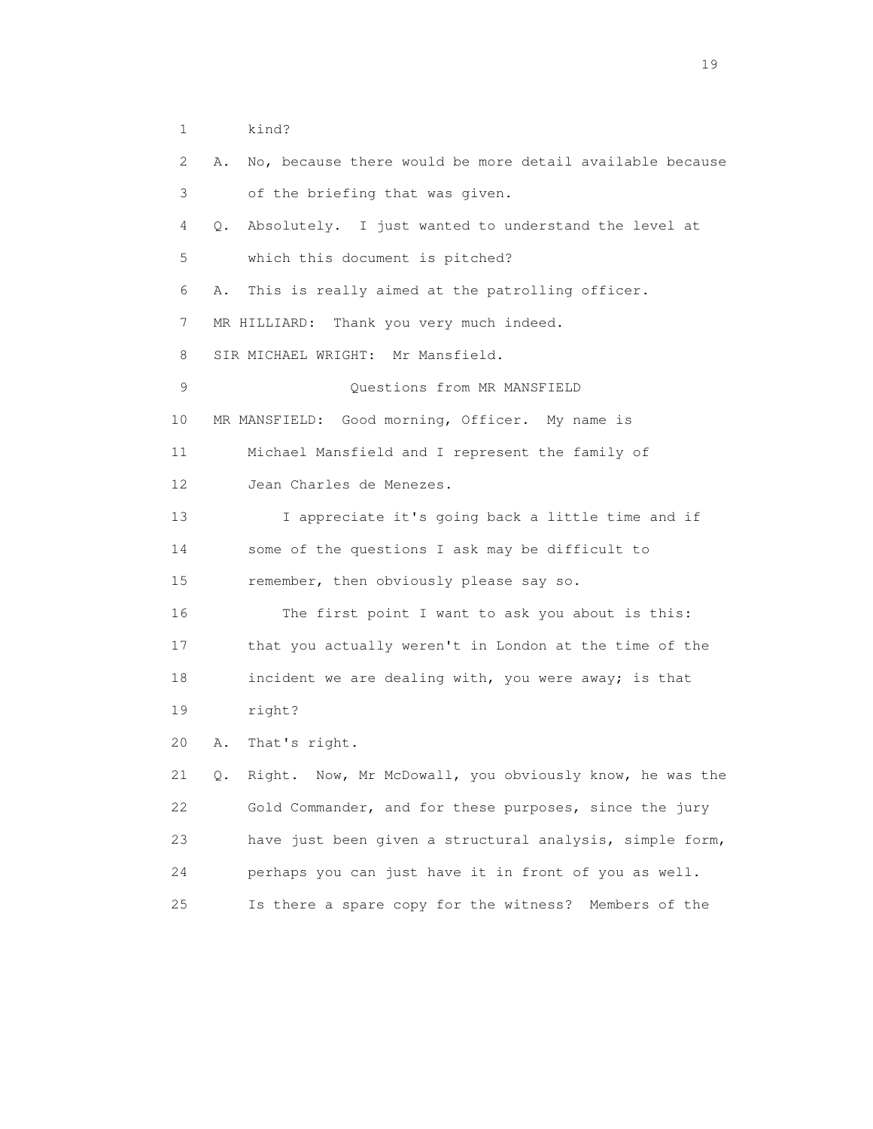1 kind?

| 2  | No, because there would be more detail available because<br>Α. |
|----|----------------------------------------------------------------|
| 3  | of the briefing that was given.                                |
| 4  | Absolutely. I just wanted to understand the level at<br>Q.     |
| 5  | which this document is pitched?                                |
| 6  | This is really aimed at the patrolling officer.<br>Α.          |
| 7  | Thank you very much indeed.<br>MR HILLIARD:                    |
| 8  | SIR MICHAEL WRIGHT: Mr Mansfield.                              |
| 9  | Questions from MR MANSFIELD                                    |
| 10 | MR MANSFIELD: Good morning, Officer. My name is                |
| 11 | Michael Mansfield and I represent the family of                |
| 12 | Jean Charles de Menezes.                                       |
| 13 | I appreciate it's going back a little time and if              |
| 14 | some of the questions I ask may be difficult to                |
| 15 | remember, then obviously please say so.                        |
| 16 | The first point I want to ask you about is this:               |
| 17 | that you actually weren't in London at the time of the         |
| 18 | incident we are dealing with, you were away; is that           |
| 19 | right?                                                         |
| 20 | That's right.<br>Α.                                            |
| 21 | Right. Now, Mr McDowall, you obviously know, he was the<br>Q.  |
| 22 | Gold Commander, and for these purposes, since the jury         |
| 23 | have just been given a structural analysis, simple form,       |
| 24 | perhaps you can just have it in front of you as well.          |
| 25 | Is there a spare copy for the witness?<br>Members of the       |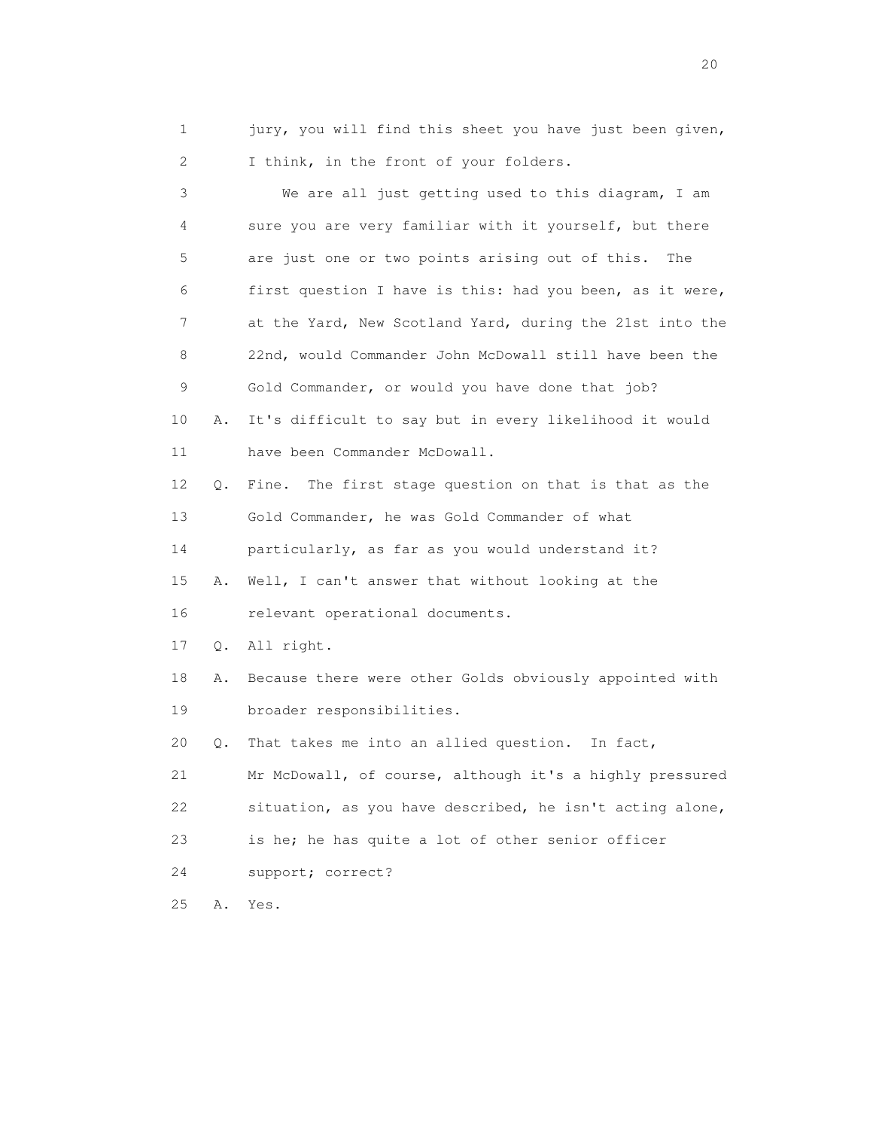1 jury, you will find this sheet you have just been given, 2 I think, in the front of your folders.

 3 We are all just getting used to this diagram, I am 4 sure you are very familiar with it yourself, but there 5 are just one or two points arising out of this. The 6 first question I have is this: had you been, as it were, 7 at the Yard, New Scotland Yard, during the 21st into the 8 22nd, would Commander John McDowall still have been the 9 Gold Commander, or would you have done that job? 10 A. It's difficult to say but in every likelihood it would 11 have been Commander McDowall. 12 Q. Fine. The first stage question on that is that as the 13 Gold Commander, he was Gold Commander of what 14 particularly, as far as you would understand it? 15 A. Well, I can't answer that without looking at the 16 relevant operational documents. 17 Q. All right. 18 A. Because there were other Golds obviously appointed with 19 broader responsibilities. 20 Q. That takes me into an allied question. In fact, 21 Mr McDowall, of course, although it's a highly pressured 22 situation, as you have described, he isn't acting alone, 23 is he; he has quite a lot of other senior officer 24 support; correct? 25 A. Yes.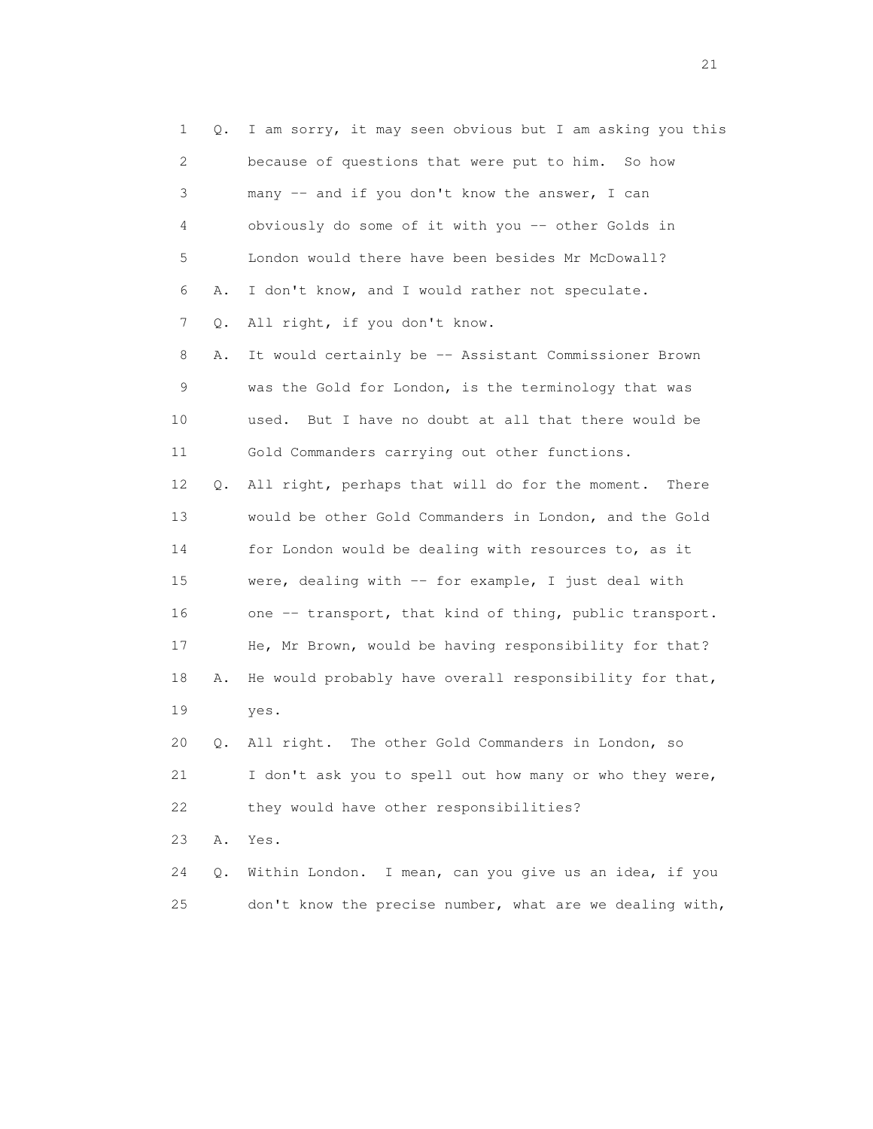|    | 1<br>Q. | I am sorry, it may seen obvious but I am asking you this |
|----|---------|----------------------------------------------------------|
|    | 2       | because of questions that were put to him. So how        |
|    | 3       | many -- and if you don't know the answer, I can          |
|    | 4       | obviously do some of it with you -- other Golds in       |
|    | 5       | London would there have been besides Mr McDowall?        |
|    | 6<br>Α. | I don't know, and I would rather not speculate.          |
|    | 7<br>Q. | All right, if you don't know.                            |
|    | 8<br>Α. | It would certainly be -- Assistant Commissioner Brown    |
|    | 9       | was the Gold for London, is the terminology that was     |
| 10 |         | But I have no doubt at all that there would be<br>used.  |
| 11 |         | Gold Commanders carrying out other functions.            |
| 12 | Q.      | All right, perhaps that will do for the moment. There    |
| 13 |         | would be other Gold Commanders in London, and the Gold   |
| 14 |         | for London would be dealing with resources to, as it     |
| 15 |         | were, dealing with $-$ for example, I just deal with     |
| 16 |         | one -- transport, that kind of thing, public transport.  |
| 17 |         | He, Mr Brown, would be having responsibility for that?   |
| 18 | Α.      | He would probably have overall responsibility for that,  |
| 19 |         | yes.                                                     |
| 20 | Q.      | All right. The other Gold Commanders in London, so       |
| 21 |         | I don't ask you to spell out how many or who they were,  |
| 22 |         | they would have other responsibilities?                  |
| 23 | Α.      | Yes.                                                     |
| 24 | Q.      | Within London. I mean, can you give us an idea, if you   |
| 25 |         | don't know the precise number, what are we dealing with, |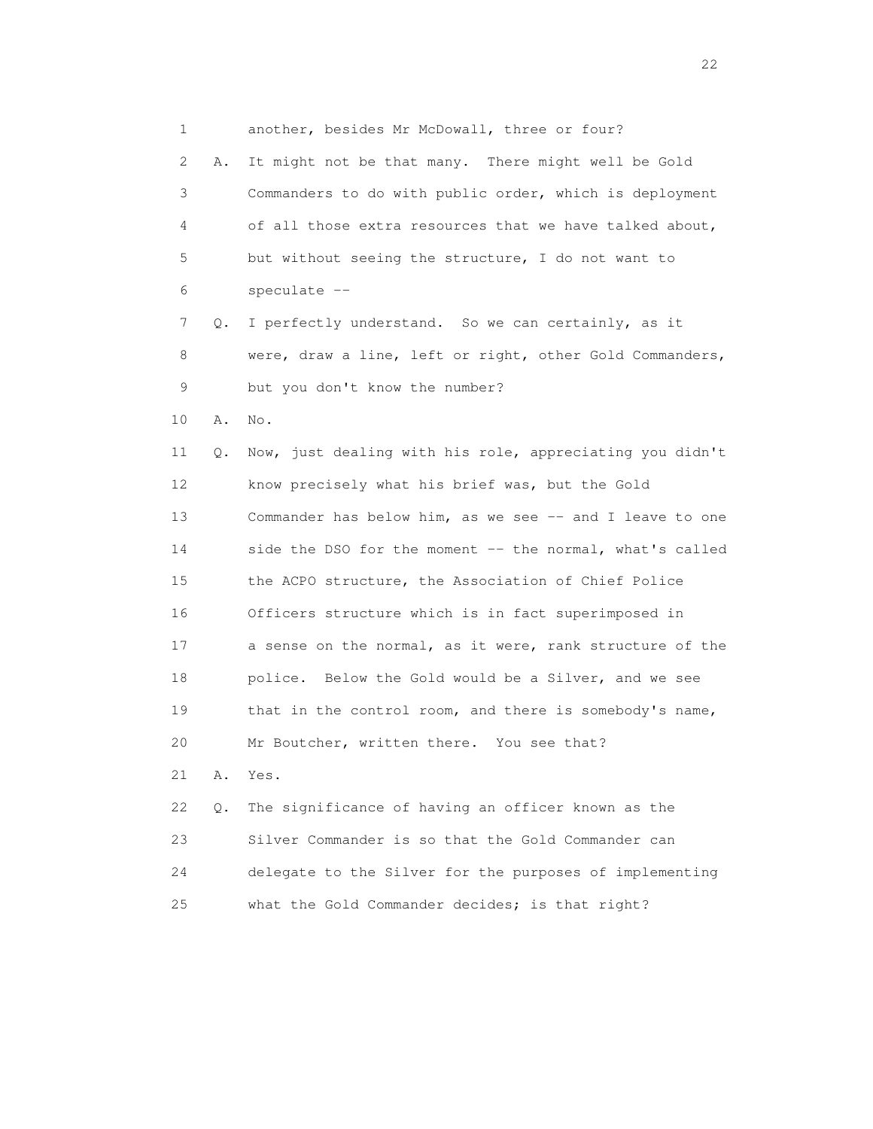1 another, besides Mr McDowall, three or four? 2 A. It might not be that many. There might well be Gold 3 Commanders to do with public order, which is deployment 4 of all those extra resources that we have talked about, 5 but without seeing the structure, I do not want to 6 speculate -- 7 Q. I perfectly understand. So we can certainly, as it 8 were, draw a line, left or right, other Gold Commanders, 9 but you don't know the number? 10 A. No. 11 Q. Now, just dealing with his role, appreciating you didn't 12 know precisely what his brief was, but the Gold 13 Commander has below him, as we see -- and I leave to one 14 side the DSO for the moment -- the normal, what's called 15 the ACPO structure, the Association of Chief Police 16 Officers structure which is in fact superimposed in 17 a sense on the normal, as it were, rank structure of the 18 police. Below the Gold would be a Silver, and we see 19 that in the control room, and there is somebody's name, 20 Mr Boutcher, written there. You see that? 21 A. Yes. 22 Q. The significance of having an officer known as the 23 Silver Commander is so that the Gold Commander can 24 delegate to the Silver for the purposes of implementing 25 what the Gold Commander decides; is that right?

22 and 23 and 23 and 23 and 23 and 23 and 23 and 23 and 23 and 23 and 23 and 23 and 23 and 23 and 23 and 23 and 24 and 25 and 26 and 26 and 26 and 26 and 26 and 26 and 26 and 26 and 26 and 26 and 26 and 26 and 26 and 26 an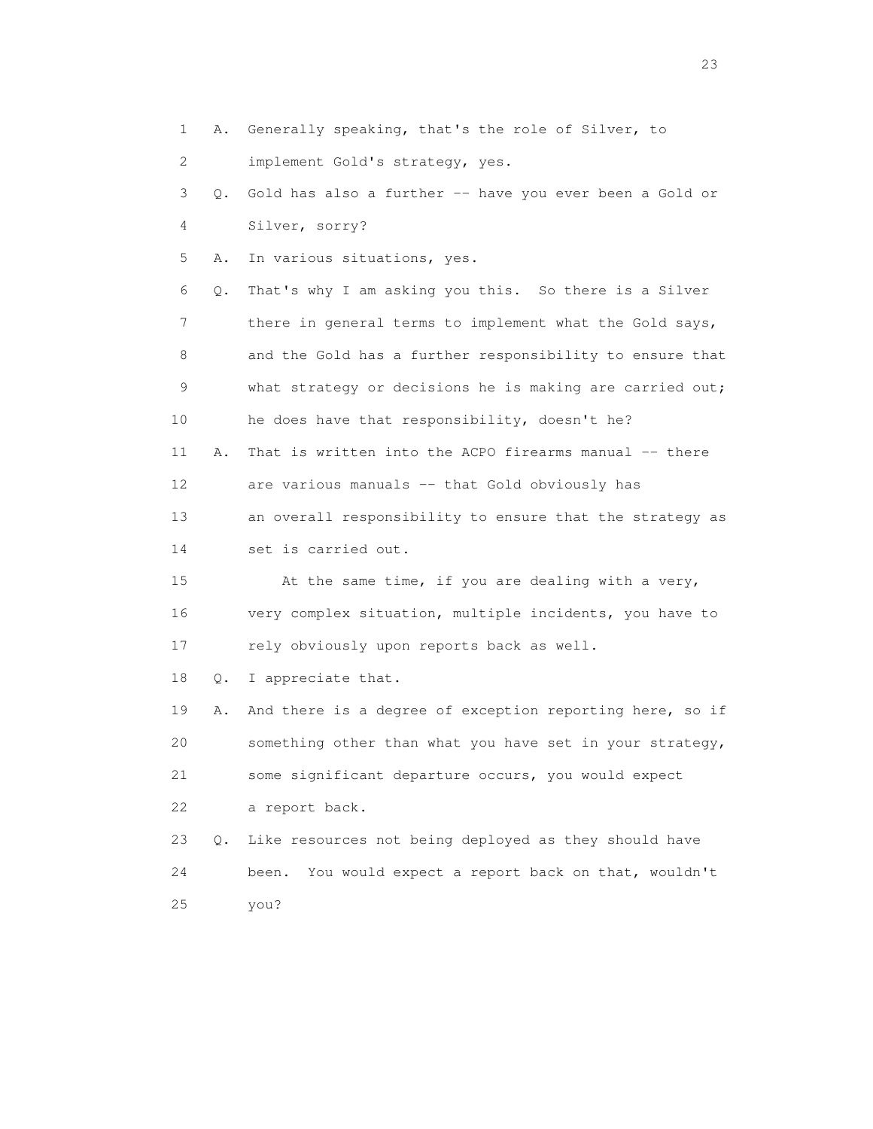1 A. Generally speaking, that's the role of Silver, to

2 implement Gold's strategy, yes.

 3 Q. Gold has also a further -- have you ever been a Gold or 4 Silver, sorry?

5 A. In various situations, yes.

 6 Q. That's why I am asking you this. So there is a Silver 7 there in general terms to implement what the Gold says, 8 and the Gold has a further responsibility to ensure that 9 what strategy or decisions he is making are carried out; 10 he does have that responsibility, doesn't he? 11 A. That is written into the ACPO firearms manual -- there 12 are various manuals -- that Gold obviously has

 13 an overall responsibility to ensure that the strategy as 14 set is carried out.

 15 At the same time, if you are dealing with a very, 16 very complex situation, multiple incidents, you have to 17 rely obviously upon reports back as well.

18 Q. I appreciate that.

 19 A. And there is a degree of exception reporting here, so if 20 something other than what you have set in your strategy, 21 some significant departure occurs, you would expect 22 a report back.

 23 Q. Like resources not being deployed as they should have 24 been. You would expect a report back on that, wouldn't 25 you?

23 and 23 and 23 and 23 and 23 and 23 and 23 and 23 and 23 and 23 and 23 and 23 and 23 and 23 and 23 and 23 and 23 and 24 and 25 and 25 and 26 and 26 and 26 and 26 and 26 and 26 and 26 and 26 and 26 and 26 and 26 and 26 an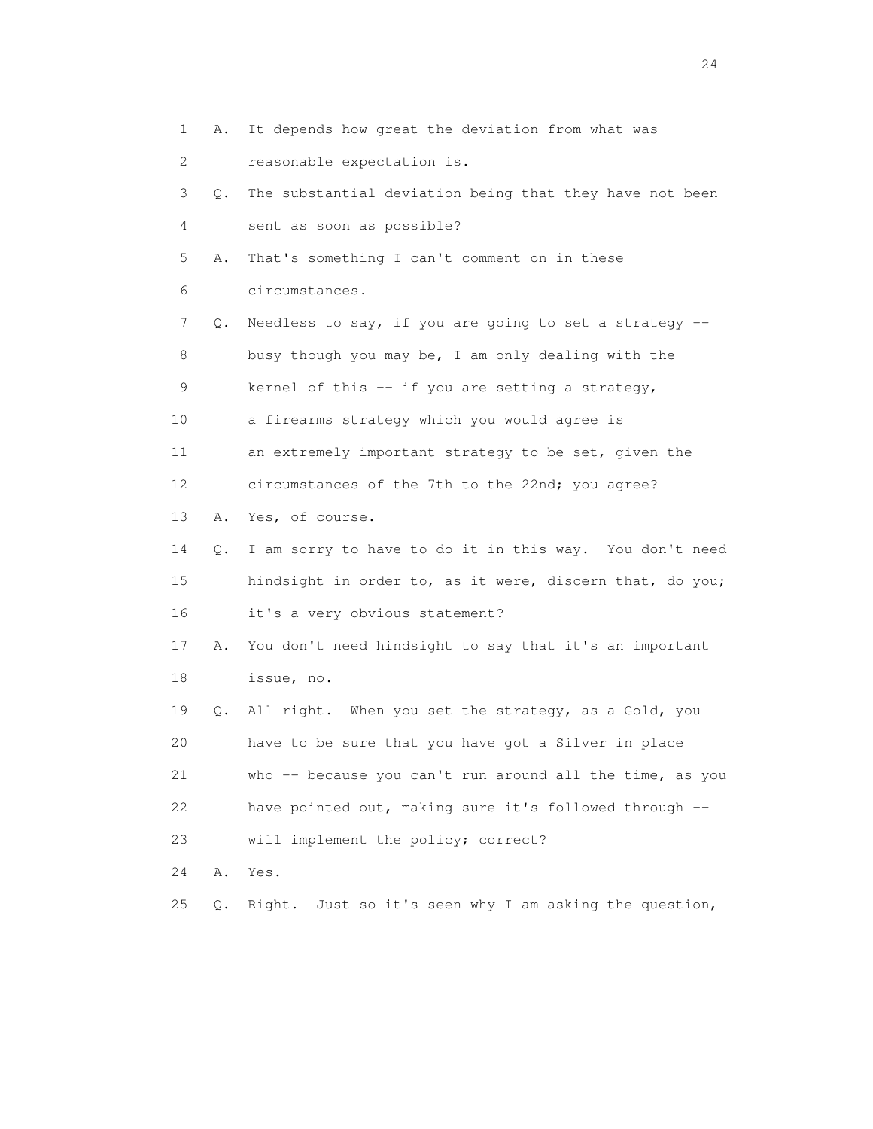1 A. It depends how great the deviation from what was 2 reasonable expectation is. 3 Q. The substantial deviation being that they have not been 4 sent as soon as possible? 5 A. That's something I can't comment on in these 6 circumstances. 7 Q. Needless to say, if you are going to set a strategy -- 8 busy though you may be, I am only dealing with the 9 kernel of this -- if you are setting a strategy, 10 a firearms strategy which you would agree is 11 an extremely important strategy to be set, given the 12 circumstances of the 7th to the 22nd; you agree? 13 A. Yes, of course. 14 Q. I am sorry to have to do it in this way. You don't need 15 hindsight in order to, as it were, discern that, do you; 16 it's a very obvious statement? 17 A. You don't need hindsight to say that it's an important 18 issue, no. 19 Q. All right. When you set the strategy, as a Gold, you 20 have to be sure that you have got a Silver in place 21 who -- because you can't run around all the time, as you 22 have pointed out, making sure it's followed through -- 23 will implement the policy; correct? 24 A. Yes. 25 Q. Right. Just so it's seen why I am asking the question,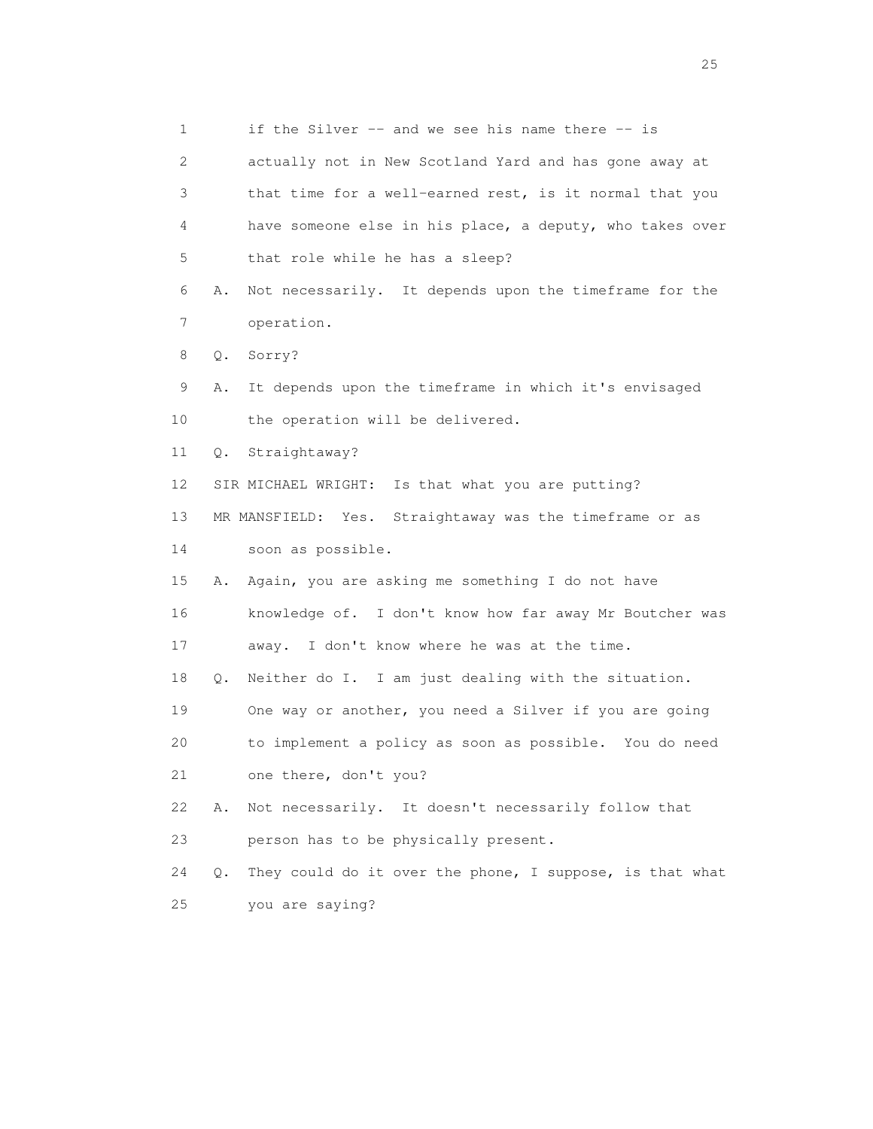1 if the Silver -- and we see his name there -- is 2 actually not in New Scotland Yard and has gone away at 3 that time for a well-earned rest, is it normal that you 4 have someone else in his place, a deputy, who takes over 5 that role while he has a sleep? 6 A. Not necessarily. It depends upon the timeframe for the 7 operation. 8 Q. Sorry? 9 A. It depends upon the timeframe in which it's envisaged 10 the operation will be delivered. 11 Q. Straightaway? 12 SIR MICHAEL WRIGHT: Is that what you are putting? 13 MR MANSFIELD: Yes. Straightaway was the timeframe or as 14 soon as possible. 15 A. Again, you are asking me something I do not have 16 knowledge of. I don't know how far away Mr Boutcher was 17 away. I don't know where he was at the time. 18 Q. Neither do I. I am just dealing with the situation. 19 One way or another, you need a Silver if you are going 20 to implement a policy as soon as possible. You do need 21 one there, don't you? 22 A. Not necessarily. It doesn't necessarily follow that 23 person has to be physically present. 24 Q. They could do it over the phone, I suppose, is that what 25 you are saying?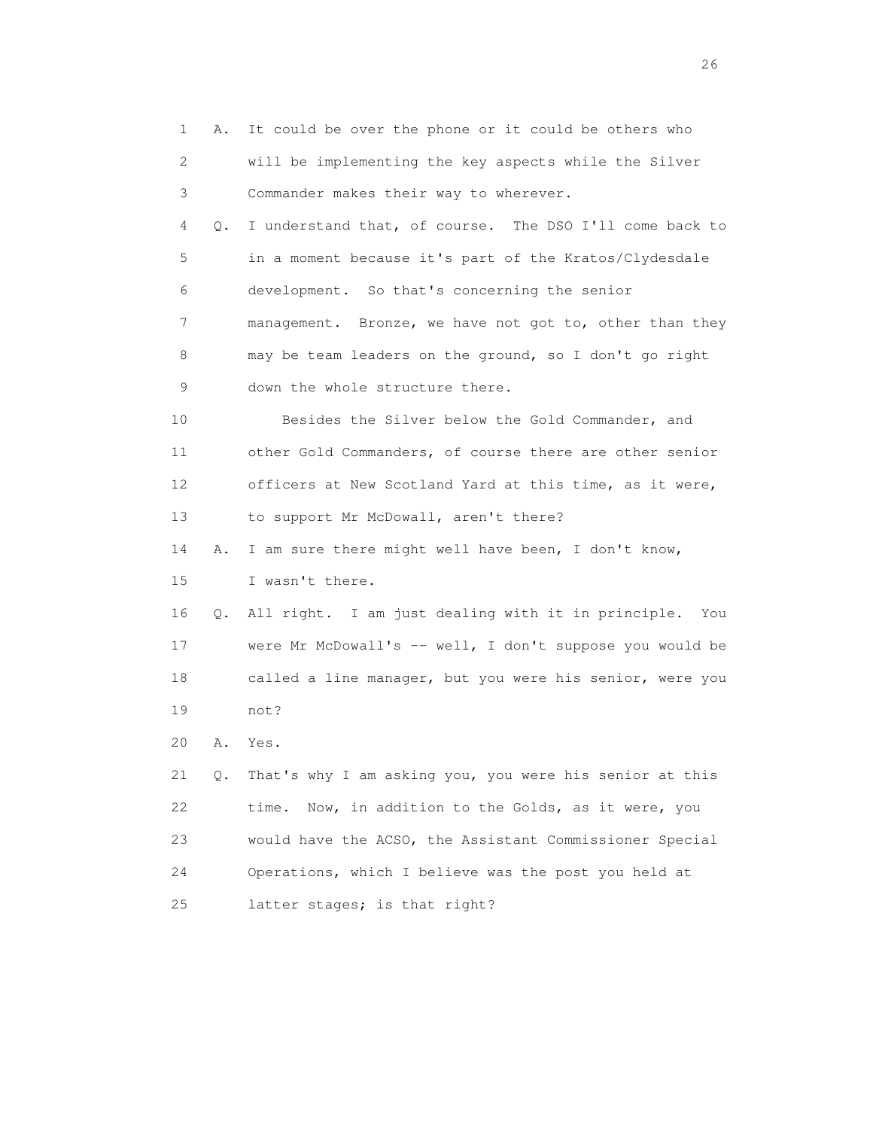1 A. It could be over the phone or it could be others who 2 will be implementing the key aspects while the Silver 3 Commander makes their way to wherever. 4 Q. I understand that, of course. The DSO I'll come back to 5 in a moment because it's part of the Kratos/Clydesdale 6 development. So that's concerning the senior 7 management. Bronze, we have not got to, other than they 8 may be team leaders on the ground, so I don't go right 9 down the whole structure there. 10 Besides the Silver below the Gold Commander, and 11 other Gold Commanders, of course there are other senior 12 officers at New Scotland Yard at this time, as it were, 13 to support Mr McDowall, aren't there? 14 A. I am sure there might well have been, I don't know, 15 I wasn't there. 16 Q. All right. I am just dealing with it in principle. You 17 were Mr McDowall's -- well, I don't suppose you would be 18 called a line manager, but you were his senior, were you 19 not? 20 A. Yes. 21 Q. That's why I am asking you, you were his senior at this 22 time. Now, in addition to the Golds, as it were, you 23 would have the ACSO, the Assistant Commissioner Special 24 Operations, which I believe was the post you held at 25 latter stages; is that right?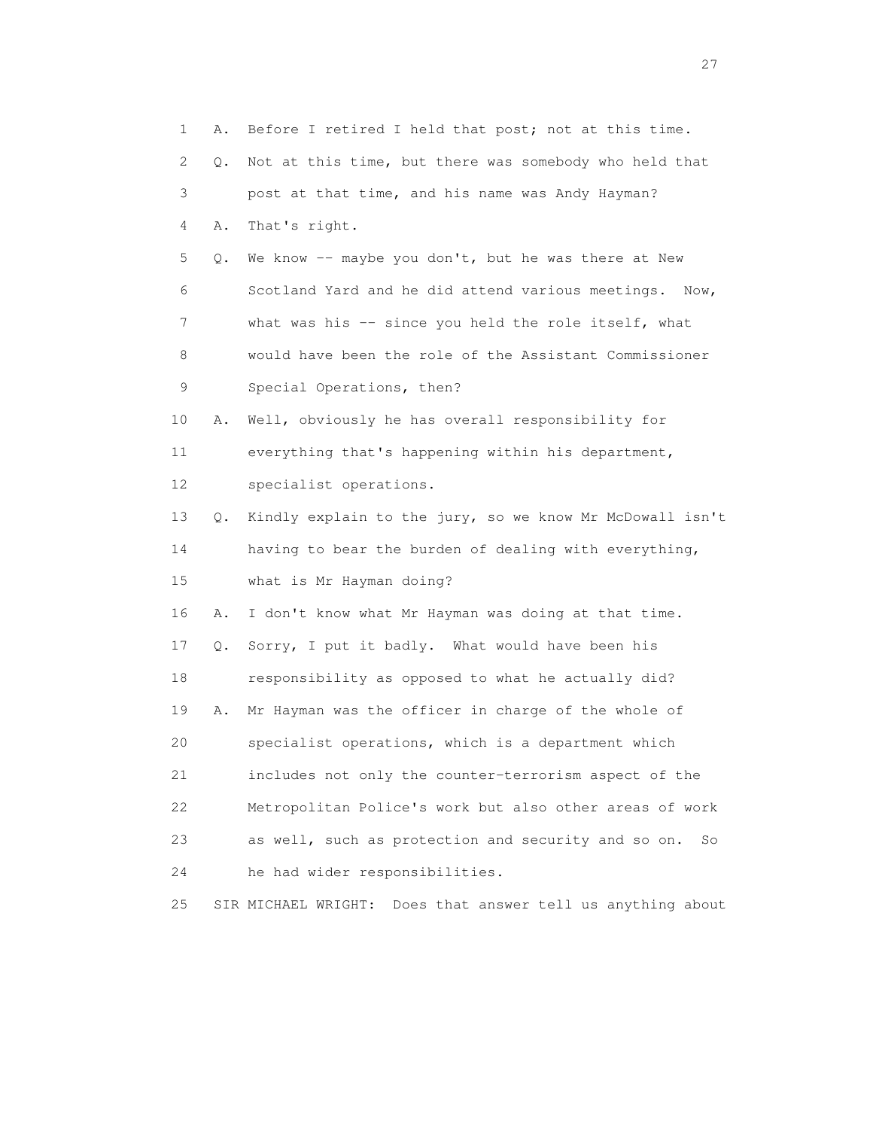1 A. Before I retired I held that post; not at this time. 2 Q. Not at this time, but there was somebody who held that 3 post at that time, and his name was Andy Hayman? 4 A. That's right. 5 Q. We know -- maybe you don't, but he was there at New 6 Scotland Yard and he did attend various meetings. Now, 7 what was his -- since you held the role itself, what 8 would have been the role of the Assistant Commissioner 9 Special Operations, then? 10 A. Well, obviously he has overall responsibility for 11 everything that's happening within his department, 12 specialist operations. 13 Q. Kindly explain to the jury, so we know Mr McDowall isn't 14 having to bear the burden of dealing with everything, 15 what is Mr Hayman doing? 16 A. I don't know what Mr Hayman was doing at that time. 17 Q. Sorry, I put it badly. What would have been his 18 responsibility as opposed to what he actually did? 19 A. Mr Hayman was the officer in charge of the whole of 20 specialist operations, which is a department which 21 includes not only the counter-terrorism aspect of the 22 Metropolitan Police's work but also other areas of work 23 as well, such as protection and security and so on. So 24 he had wider responsibilities. 25 SIR MICHAEL WRIGHT: Does that answer tell us anything about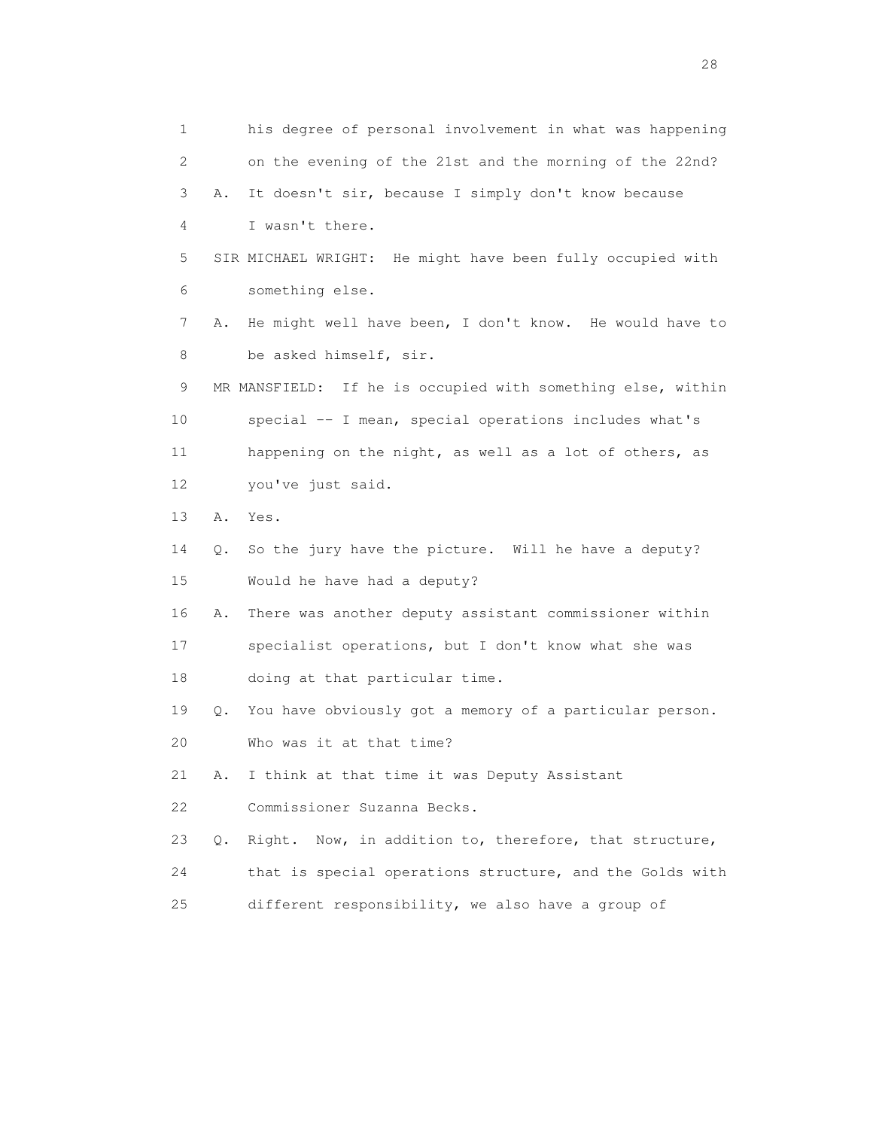1 his degree of personal involvement in what was happening 2 on the evening of the 21st and the morning of the 22nd? 3 A. It doesn't sir, because I simply don't know because 4 I wasn't there. 5 SIR MICHAEL WRIGHT: He might have been fully occupied with 6 something else. 7 A. He might well have been, I don't know. He would have to 8 be asked himself, sir. 9 MR MANSFIELD: If he is occupied with something else, within 10 special -- I mean, special operations includes what's 11 happening on the night, as well as a lot of others, as 12 you've just said. 13 A. Yes. 14 Q. So the jury have the picture. Will he have a deputy? 15 Would he have had a deputy? 16 A. There was another deputy assistant commissioner within 17 specialist operations, but I don't know what she was 18 doing at that particular time. 19 Q. You have obviously got a memory of a particular person. 20 Who was it at that time? 21 A. I think at that time it was Deputy Assistant 22 Commissioner Suzanna Becks. 23 Q. Right. Now, in addition to, therefore, that structure, 24 that is special operations structure, and the Golds with 25 different responsibility, we also have a group of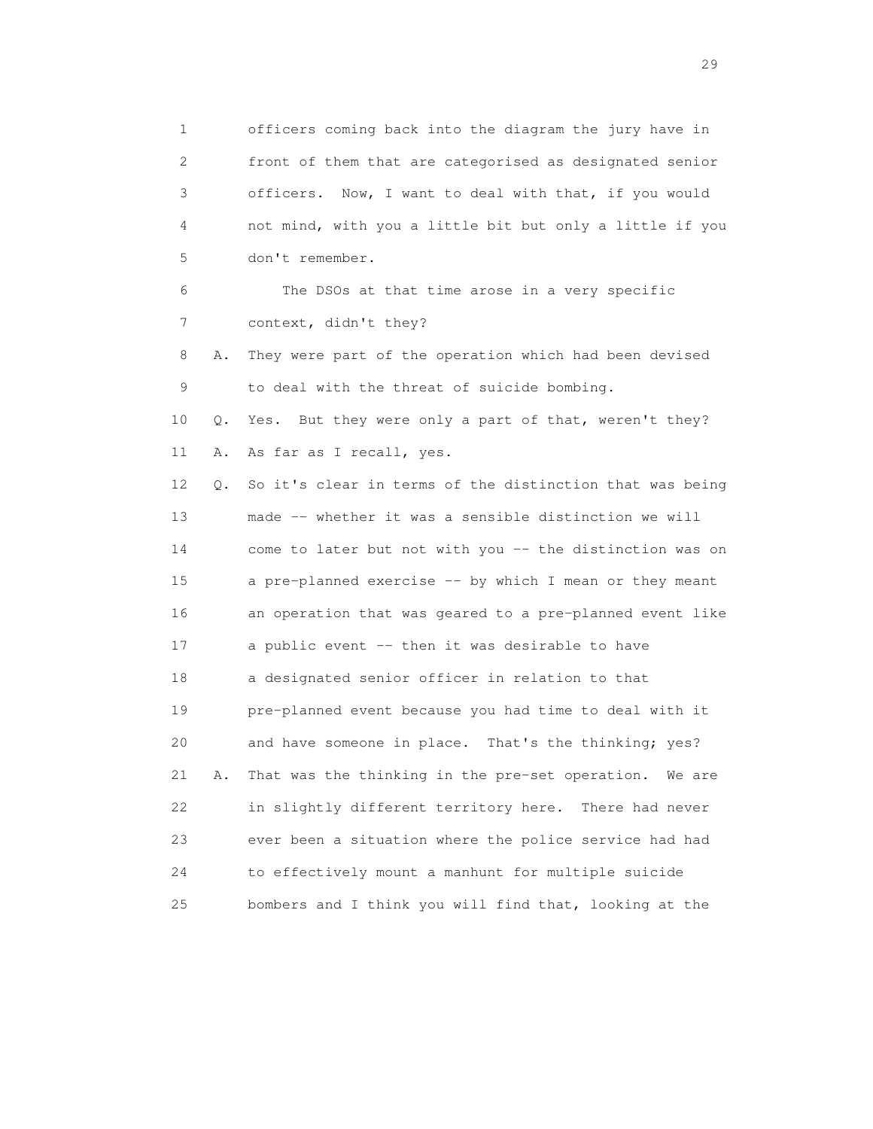1 officers coming back into the diagram the jury have in 2 front of them that are categorised as designated senior 3 officers. Now, I want to deal with that, if you would 4 not mind, with you a little bit but only a little if you 5 don't remember. 6 The DSOs at that time arose in a very specific 7 context, didn't they? 8 A. They were part of the operation which had been devised 9 to deal with the threat of suicide bombing. 10 Q. Yes. But they were only a part of that, weren't they? 11 A. As far as I recall, yes. 12 Q. So it's clear in terms of the distinction that was being 13 made -- whether it was a sensible distinction we will 14 come to later but not with you -- the distinction was on 15 a pre-planned exercise -- by which I mean or they meant 16 an operation that was geared to a pre-planned event like 17 a public event -- then it was desirable to have 18 a designated senior officer in relation to that 19 pre-planned event because you had time to deal with it 20 and have someone in place. That's the thinking; yes? 21 A. That was the thinking in the pre-set operation. We are 22 in slightly different territory here. There had never 23 ever been a situation where the police service had had 24 to effectively mount a manhunt for multiple suicide 25 bombers and I think you will find that, looking at the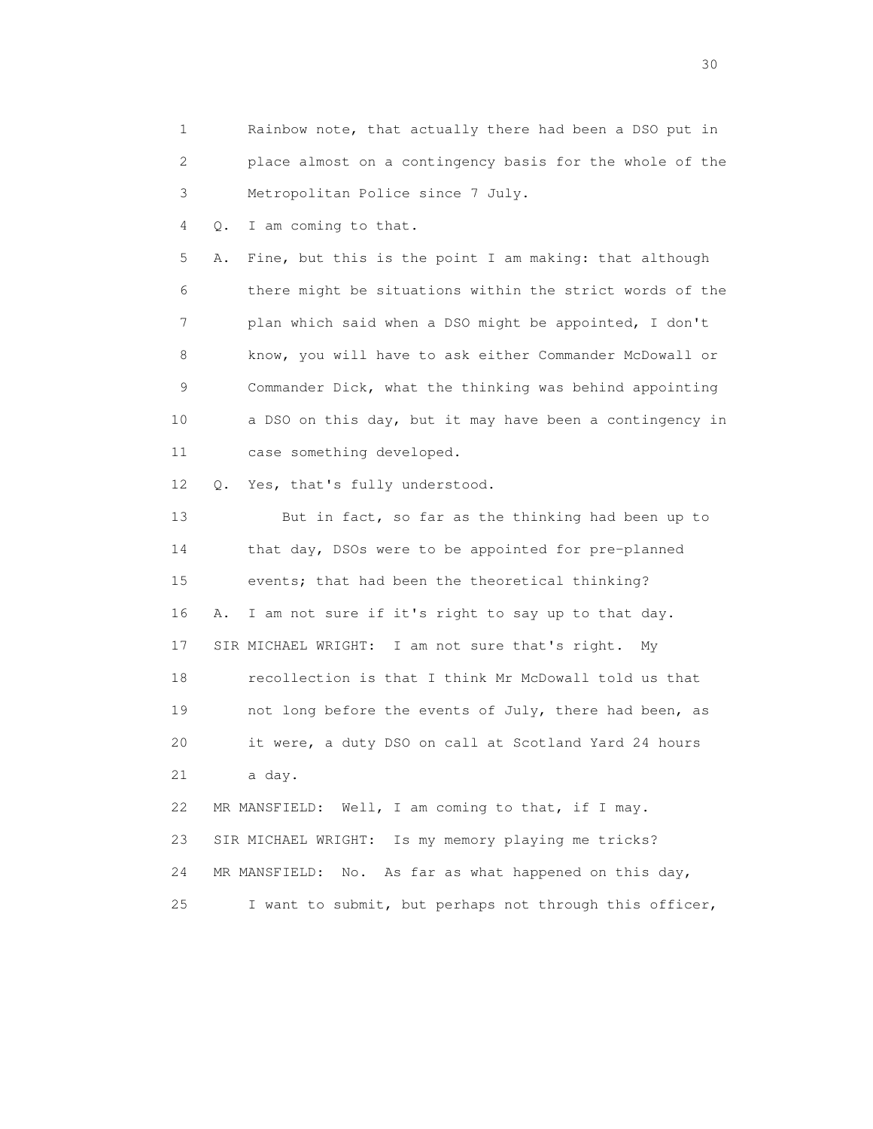1 Rainbow note, that actually there had been a DSO put in 2 place almost on a contingency basis for the whole of the 3 Metropolitan Police since 7 July.

4 Q. I am coming to that.

 5 A. Fine, but this is the point I am making: that although 6 there might be situations within the strict words of the 7 plan which said when a DSO might be appointed, I don't 8 know, you will have to ask either Commander McDowall or 9 Commander Dick, what the thinking was behind appointing 10 a DSO on this day, but it may have been a contingency in 11 case something developed.

12 Q. Yes, that's fully understood.

 13 But in fact, so far as the thinking had been up to 14 that day, DSOs were to be appointed for pre-planned 15 events; that had been the theoretical thinking? 16 A. I am not sure if it's right to say up to that day. 17 SIR MICHAEL WRIGHT: I am not sure that's right. My 18 recollection is that I think Mr McDowall told us that 19 not long before the events of July, there had been, as 20 it were, a duty DSO on call at Scotland Yard 24 hours 21 a day. 22 MR MANSFIELD: Well, I am coming to that, if I may. 23 SIR MICHAEL WRIGHT: Is my memory playing me tricks?

24 MR MANSFIELD: No. As far as what happened on this day,

25 I want to submit, but perhaps not through this officer,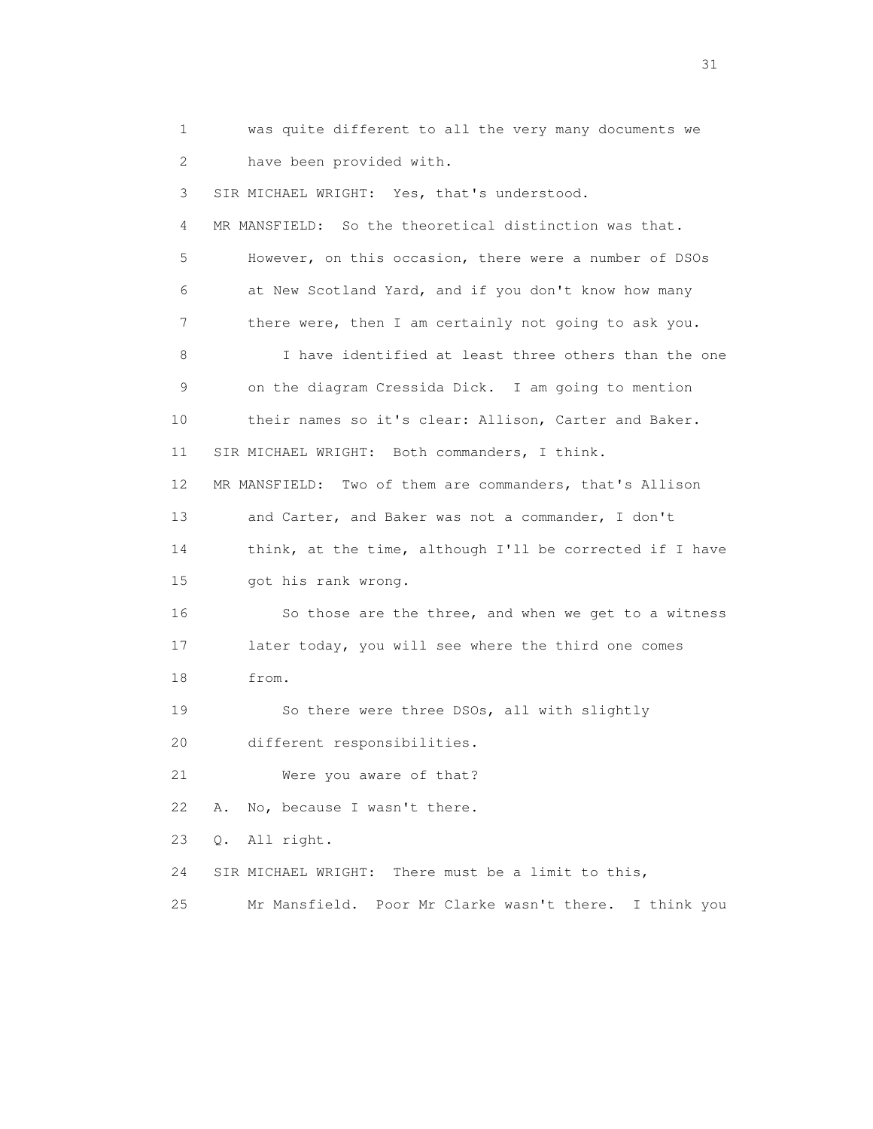1 was quite different to all the very many documents we 2 have been provided with. 3 SIR MICHAEL WRIGHT: Yes, that's understood. 4 MR MANSFIELD: So the theoretical distinction was that. 5 However, on this occasion, there were a number of DSOs 6 at New Scotland Yard, and if you don't know how many 7 there were, then I am certainly not going to ask you. 8 I have identified at least three others than the one 9 on the diagram Cressida Dick. I am going to mention 10 their names so it's clear: Allison, Carter and Baker. 11 SIR MICHAEL WRIGHT: Both commanders, I think. 12 MR MANSFIELD: Two of them are commanders, that's Allison 13 and Carter, and Baker was not a commander, I don't 14 think, at the time, although I'll be corrected if I have 15 got his rank wrong. 16 So those are the three, and when we get to a witness 17 later today, you will see where the third one comes 18 from. 19 So there were three DSOs, all with slightly 20 different responsibilities. 21 Were you aware of that? 22 A. No, because I wasn't there. 23 Q. All right. 24 SIR MICHAEL WRIGHT: There must be a limit to this, 25 Mr Mansfield. Poor Mr Clarke wasn't there. I think you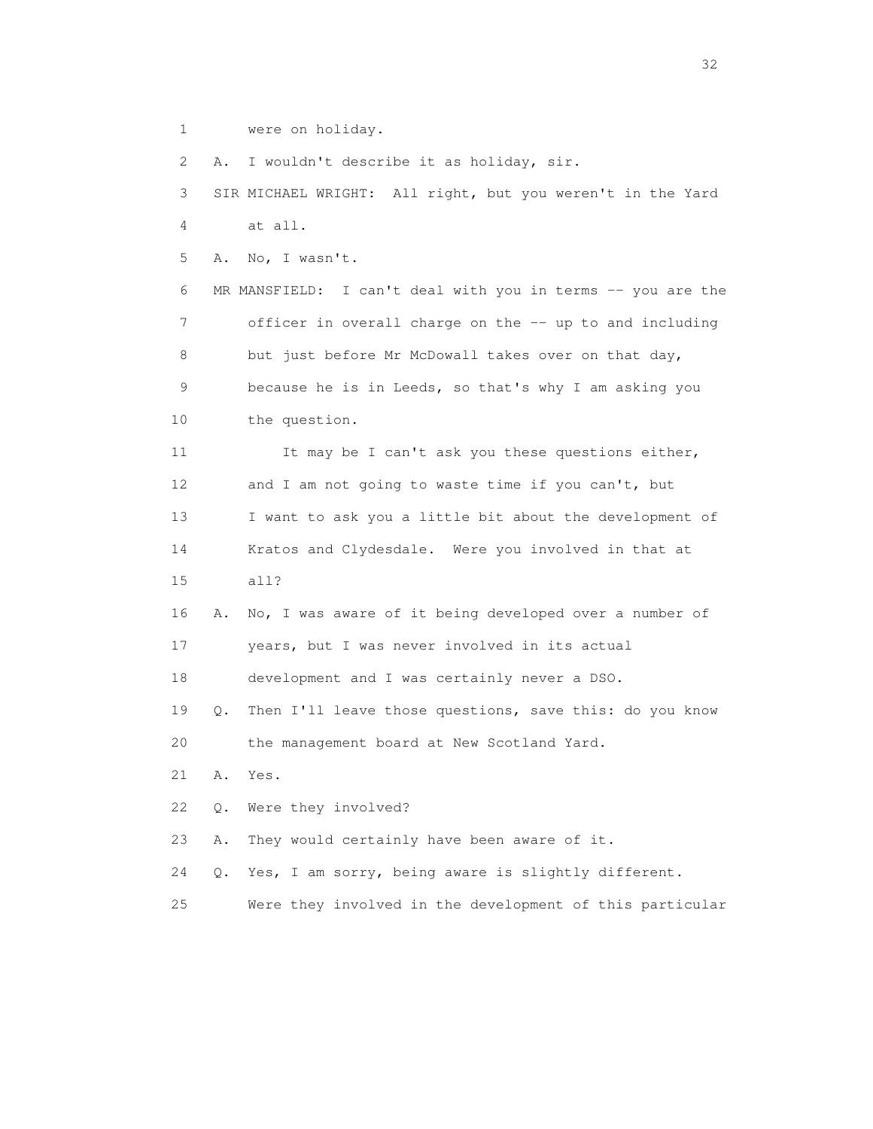1 were on holiday.

2 A. I wouldn't describe it as holiday, sir.

 3 SIR MICHAEL WRIGHT: All right, but you weren't in the Yard 4 at all.

5 A. No, I wasn't.

 6 MR MANSFIELD: I can't deal with you in terms -- you are the 7 officer in overall charge on the -- up to and including 8 but just before Mr McDowall takes over on that day, 9 because he is in Leeds, so that's why I am asking you 10 the question.

11 It may be I can't ask you these questions either, 12 and I am not going to waste time if you can't, but 13 I want to ask you a little bit about the development of 14 Kratos and Clydesdale. Were you involved in that at 15 all?

 16 A. No, I was aware of it being developed over a number of 17 years, but I was never involved in its actual

18 development and I was certainly never a DSO.

 19 Q. Then I'll leave those questions, save this: do you know 20 the management board at New Scotland Yard.

21 A. Yes.

22 Q. Were they involved?

23 A. They would certainly have been aware of it.

24 Q. Yes, I am sorry, being aware is slightly different.

25 Were they involved in the development of this particular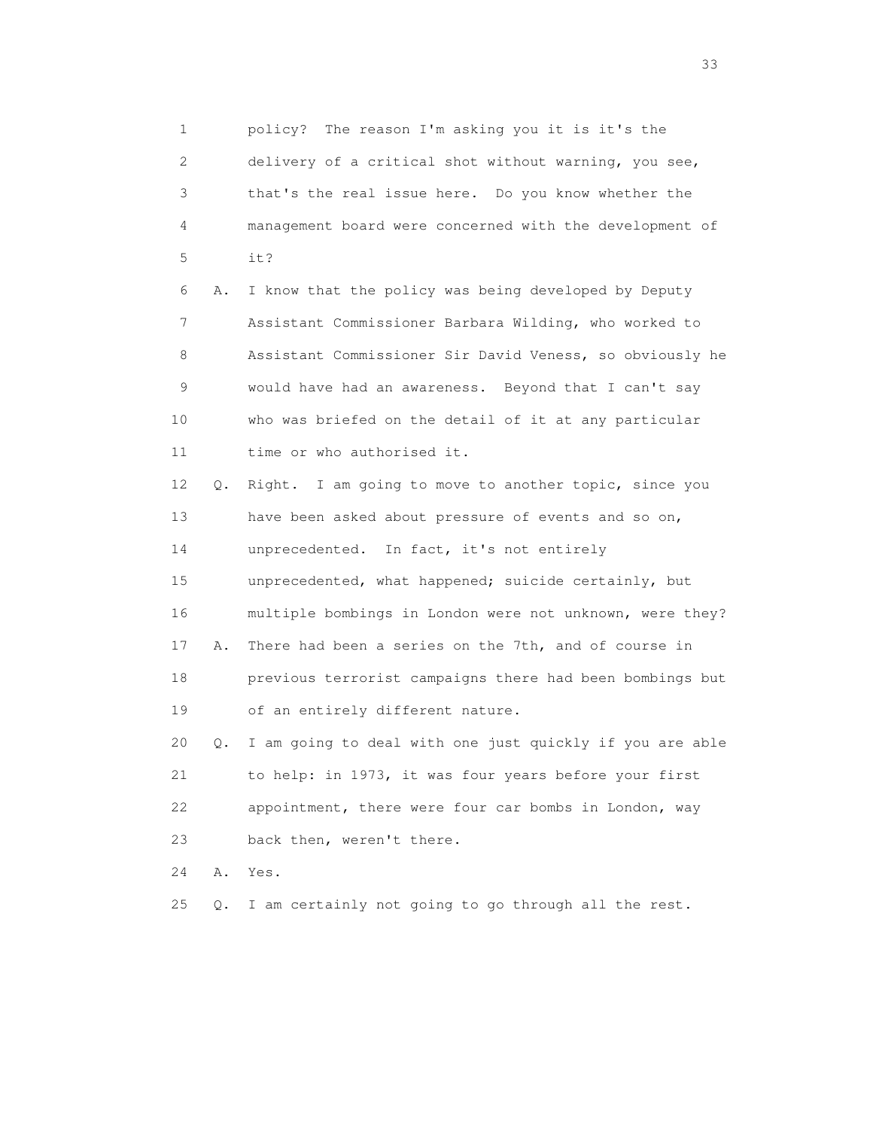1 policy? The reason I'm asking you it is it's the 2 delivery of a critical shot without warning, you see, 3 that's the real issue here. Do you know whether the 4 management board were concerned with the development of 5 it? 6 A. I know that the policy was being developed by Deputy 7 Assistant Commissioner Barbara Wilding, who worked to 8 Assistant Commissioner Sir David Veness, so obviously he 9 would have had an awareness. Beyond that I can't say 10 who was briefed on the detail of it at any particular 11 time or who authorised it. 12 Q. Right. I am going to move to another topic, since you 13 have been asked about pressure of events and so on, 14 unprecedented. In fact, it's not entirely 15 unprecedented, what happened; suicide certainly, but 16 multiple bombings in London were not unknown, were they? 17 A. There had been a series on the 7th, and of course in 18 previous terrorist campaigns there had been bombings but 19 of an entirely different nature. 20 Q. I am going to deal with one just quickly if you are able 21 to help: in 1973, it was four years before your first 22 appointment, there were four car bombs in London, way 23 back then, weren't there. 24 A. Yes.

25 Q. I am certainly not going to go through all the rest.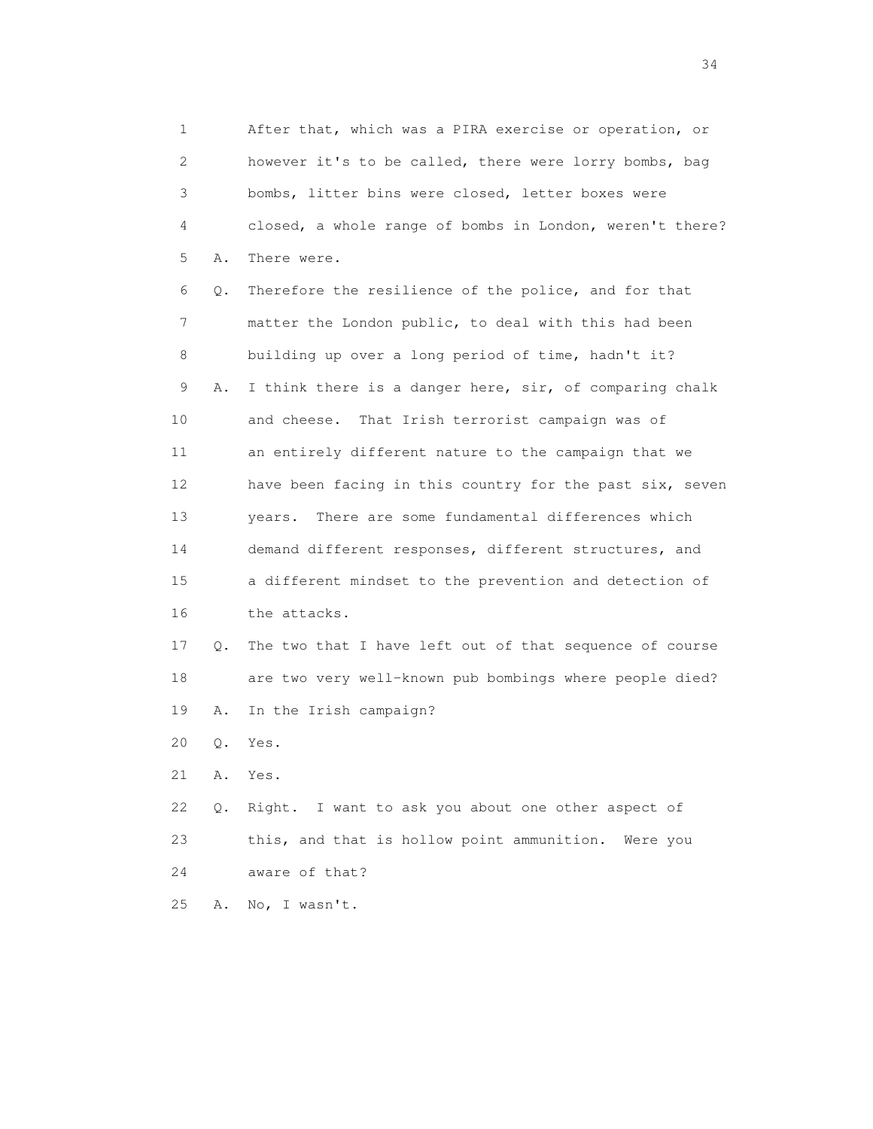1 After that, which was a PIRA exercise or operation, or 2 however it's to be called, there were lorry bombs, bag 3 bombs, litter bins were closed, letter boxes were 4 closed, a whole range of bombs in London, weren't there? 5 A. There were. 6 Q. Therefore the resilience of the police, and for that 7 matter the London public, to deal with this had been 8 building up over a long period of time, hadn't it? 9 A. I think there is a danger here, sir, of comparing chalk 10 and cheese. That Irish terrorist campaign was of 11 an entirely different nature to the campaign that we 12 have been facing in this country for the past six, seven 13 years. There are some fundamental differences which 14 demand different responses, different structures, and 15 a different mindset to the prevention and detection of 16 the attacks. 17 Q. The two that I have left out of that sequence of course 18 are two very well-known pub bombings where people died? 19 A. In the Irish campaign? 20 Q. Yes. 21 A. Yes. 22 Q. Right. I want to ask you about one other aspect of 23 this, and that is hollow point ammunition. Were you 24 aware of that? 25 A. No, I wasn't.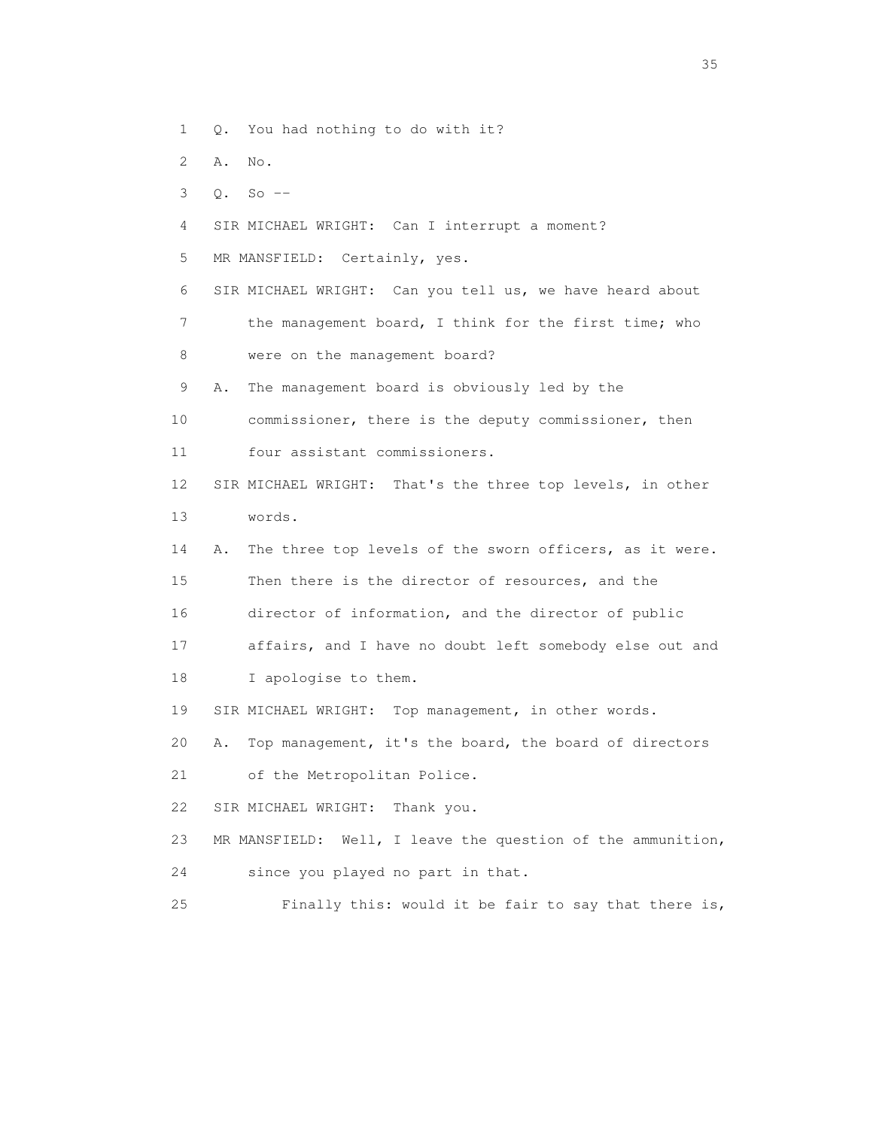1 Q. You had nothing to do with it?

- 2 A. No.
- 3 Q. So --
- 4 SIR MICHAEL WRIGHT: Can I interrupt a moment?
- 5 MR MANSFIELD: Certainly, yes.
- 6 SIR MICHAEL WRIGHT: Can you tell us, we have heard about 7 the management board, I think for the first time; who 8 were on the management board?
- 9 A. The management board is obviously led by the
- 10 commissioner, there is the deputy commissioner, then 11 four assistant commissioners.
- 12 SIR MICHAEL WRIGHT: That's the three top levels, in other 13 words.
- 14 A. The three top levels of the sworn officers, as it were. 15 Then there is the director of resources, and the 16 director of information, and the director of public
- 17 affairs, and I have no doubt left somebody else out and
- 18 I apologise to them.
- 19 SIR MICHAEL WRIGHT: Top management, in other words.
- 20 A. Top management, it's the board, the board of directors
- 21 of the Metropolitan Police.
- 22 SIR MICHAEL WRIGHT: Thank you.
- 23 MR MANSFIELD: Well, I leave the question of the ammunition,
- 24 since you played no part in that.
- 25 Finally this: would it be fair to say that there is,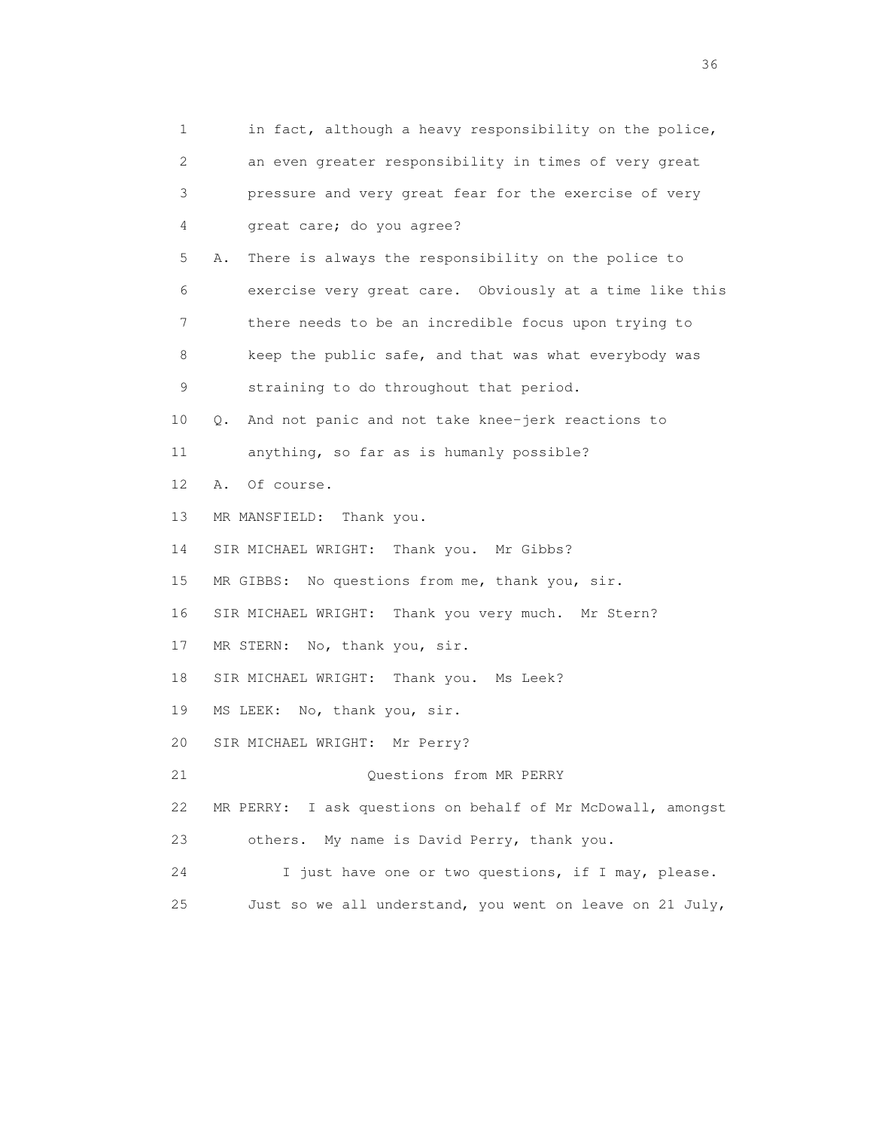1 in fact, although a heavy responsibility on the police, 2 an even greater responsibility in times of very great 3 pressure and very great fear for the exercise of very 4 great care; do you agree? 5 A. There is always the responsibility on the police to 6 exercise very great care. Obviously at a time like this 7 there needs to be an incredible focus upon trying to 8 keep the public safe, and that was what everybody was 9 straining to do throughout that period. 10 Q. And not panic and not take knee-jerk reactions to 11 anything, so far as is humanly possible? 12 A. Of course. 13 MR MANSFIELD: Thank you. 14 SIR MICHAEL WRIGHT: Thank you. Mr Gibbs? 15 MR GIBBS: No questions from me, thank you, sir. 16 SIR MICHAEL WRIGHT: Thank you very much. Mr Stern? 17 MR STERN: No, thank you, sir. 18 SIR MICHAEL WRIGHT: Thank you. Ms Leek? 19 MS LEEK: No, thank you, sir. 20 SIR MICHAEL WRIGHT: Mr Perry? 21 Questions from MR PERRY 22 MR PERRY: I ask questions on behalf of Mr McDowall, amongst 23 others. My name is David Perry, thank you. 24 I just have one or two questions, if I may, please. 25 Just so we all understand, you went on leave on 21 July,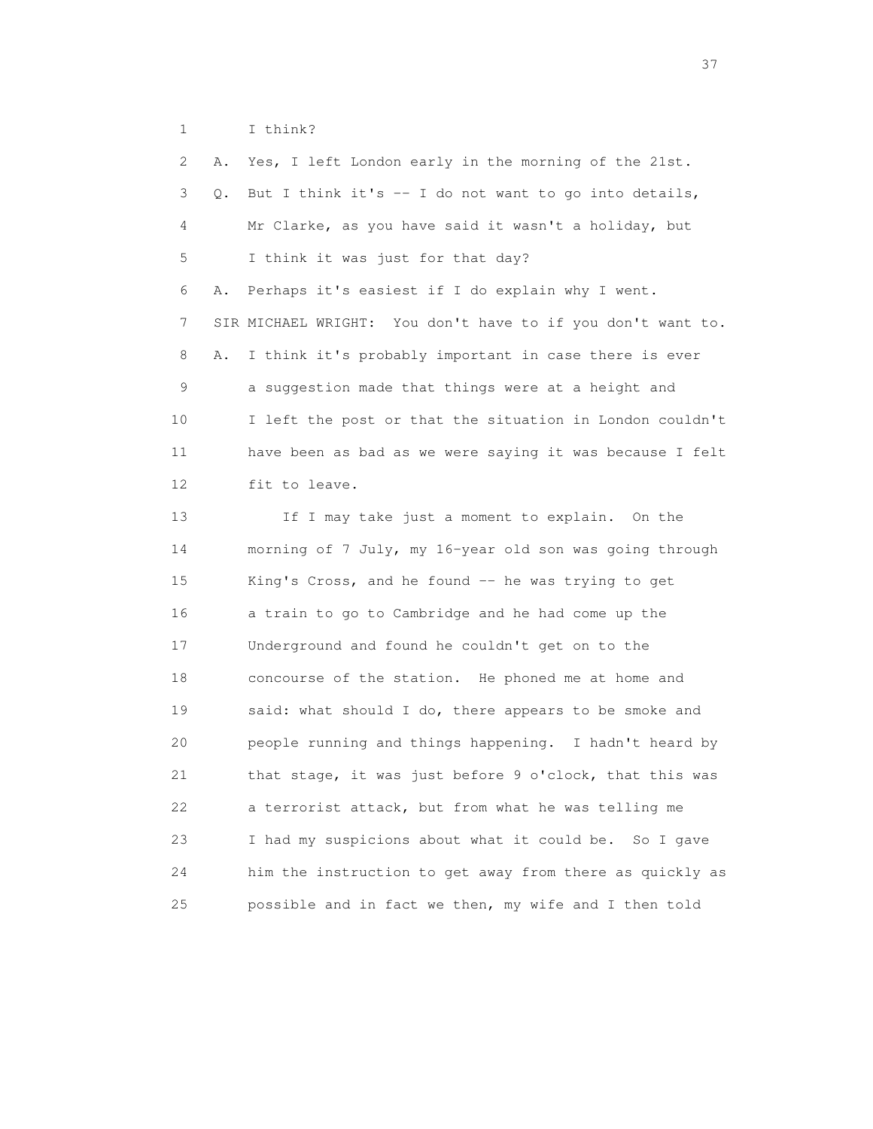1 I think?

 2 A. Yes, I left London early in the morning of the 21st. 3 Q. But I think it's -- I do not want to go into details, 4 Mr Clarke, as you have said it wasn't a holiday, but 5 I think it was just for that day? 6 A. Perhaps it's easiest if I do explain why I went. 7 SIR MICHAEL WRIGHT: You don't have to if you don't want to. 8 A. I think it's probably important in case there is ever 9 a suggestion made that things were at a height and 10 I left the post or that the situation in London couldn't 11 have been as bad as we were saying it was because I felt 12 fit to leave. 13 If I may take just a moment to explain. On the 14 morning of 7 July, my 16-year old son was going through 15 King's Cross, and he found -- he was trying to get 16 a train to go to Cambridge and he had come up the 17 Underground and found he couldn't get on to the 18 concourse of the station. He phoned me at home and 19 said: what should I do, there appears to be smoke and 20 people running and things happening. I hadn't heard by 21 that stage, it was just before 9 o'clock, that this was 22 a terrorist attack, but from what he was telling me 23 I had my suspicions about what it could be. So I gave 24 him the instruction to get away from there as quickly as 25 possible and in fact we then, my wife and I then told

<u>37</u>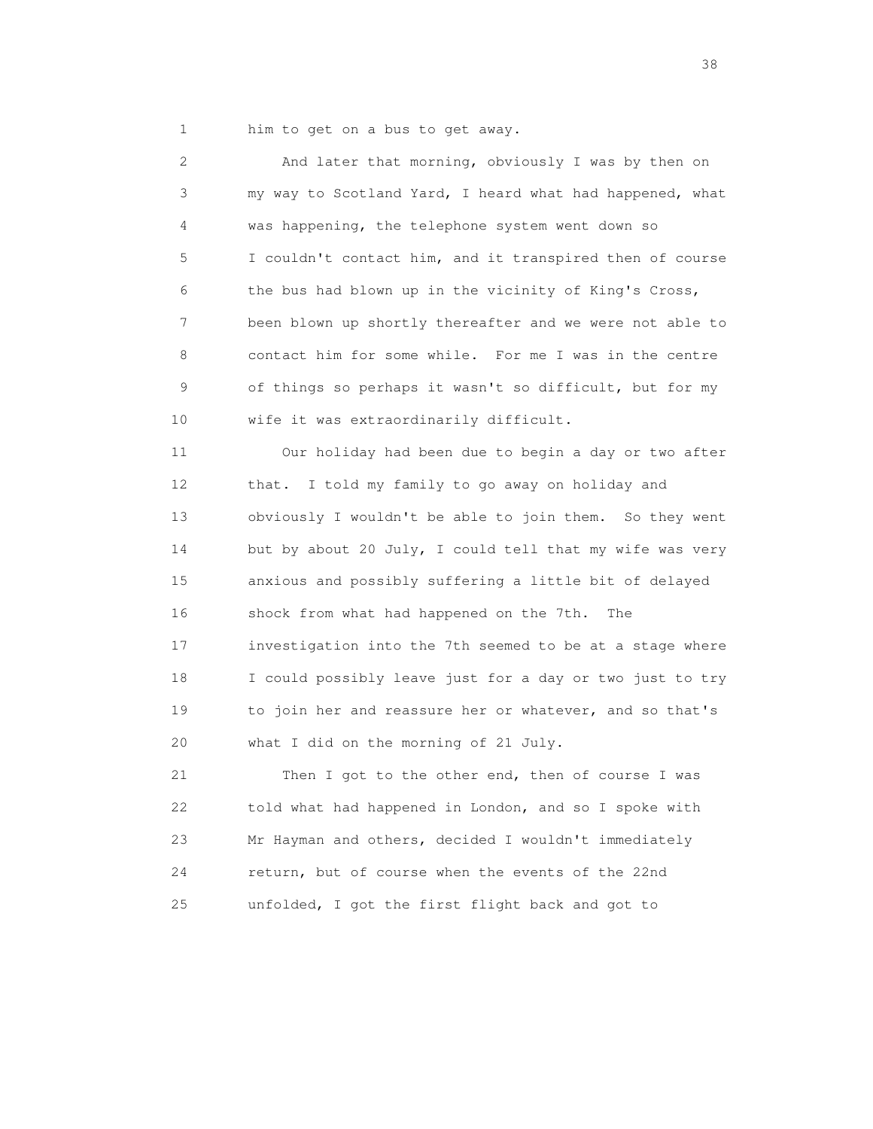1 him to get on a bus to get away.

 2 And later that morning, obviously I was by then on 3 my way to Scotland Yard, I heard what had happened, what 4 was happening, the telephone system went down so 5 I couldn't contact him, and it transpired then of course 6 the bus had blown up in the vicinity of King's Cross, 7 been blown up shortly thereafter and we were not able to 8 contact him for some while. For me I was in the centre 9 of things so perhaps it wasn't so difficult, but for my 10 wife it was extraordinarily difficult.

 11 Our holiday had been due to begin a day or two after 12 that. I told my family to go away on holiday and 13 obviously I wouldn't be able to join them. So they went 14 but by about 20 July, I could tell that my wife was very 15 anxious and possibly suffering a little bit of delayed 16 shock from what had happened on the 7th. The 17 investigation into the 7th seemed to be at a stage where 18 I could possibly leave just for a day or two just to try 19 to join her and reassure her or whatever, and so that's 20 what I did on the morning of 21 July.

 21 Then I got to the other end, then of course I was 22 told what had happened in London, and so I spoke with 23 Mr Hayman and others, decided I wouldn't immediately 24 return, but of course when the events of the 22nd 25 unfolded, I got the first flight back and got to

and the state of the state of the state of the state of the state of the state of the state of the state of the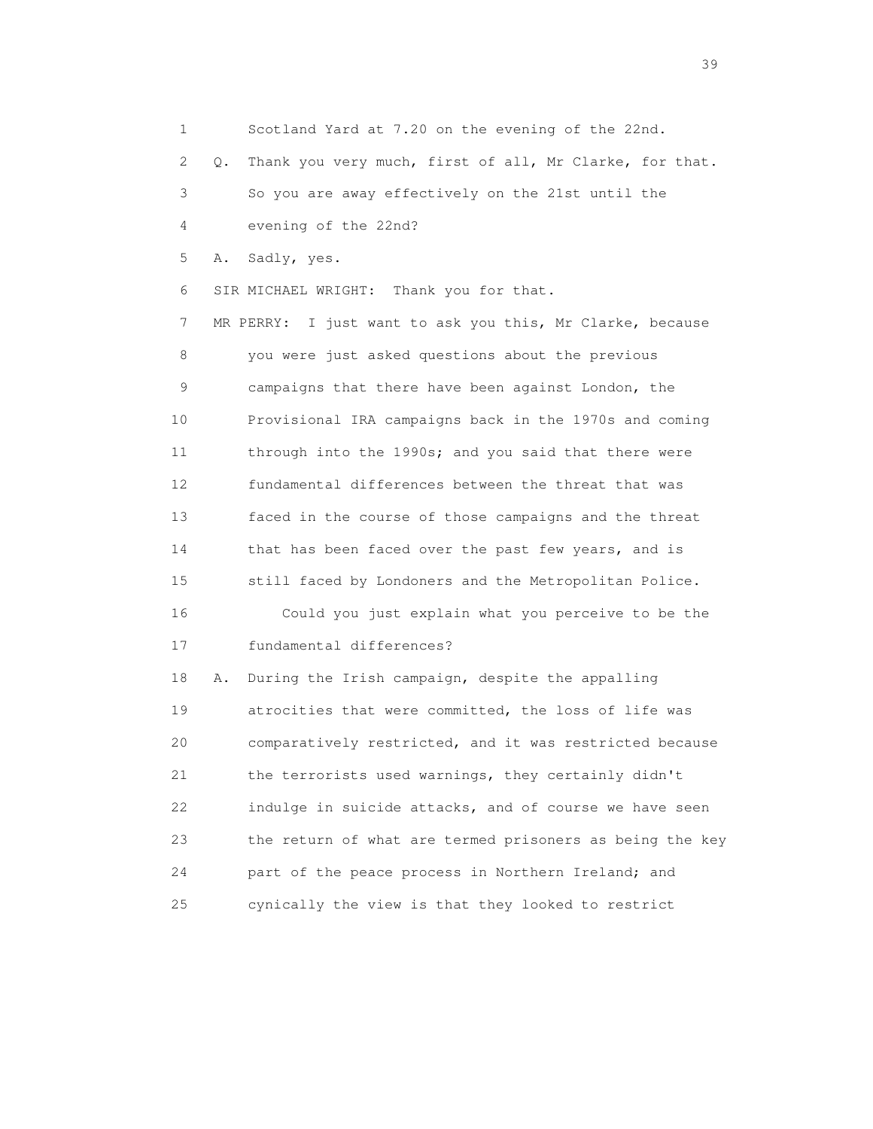1 Scotland Yard at 7.20 on the evening of the 22nd. 2 Q. Thank you very much, first of all, Mr Clarke, for that. 3 So you are away effectively on the 21st until the 4 evening of the 22nd? 5 A. Sadly, yes. 6 SIR MICHAEL WRIGHT: Thank you for that. 7 MR PERRY: I just want to ask you this, Mr Clarke, because 8 you were just asked questions about the previous 9 campaigns that there have been against London, the 10 Provisional IRA campaigns back in the 1970s and coming 11 through into the 1990s; and you said that there were 12 fundamental differences between the threat that was 13 faced in the course of those campaigns and the threat 14 that has been faced over the past few years, and is 15 still faced by Londoners and the Metropolitan Police. 16 Could you just explain what you perceive to be the 17 fundamental differences? 18 A. During the Irish campaign, despite the appalling 19 atrocities that were committed, the loss of life was 20 comparatively restricted, and it was restricted because 21 the terrorists used warnings, they certainly didn't 22 indulge in suicide attacks, and of course we have seen 23 the return of what are termed prisoners as being the key 24 part of the peace process in Northern Ireland; and

25 cynically the view is that they looked to restrict

 $39<sup>2</sup>$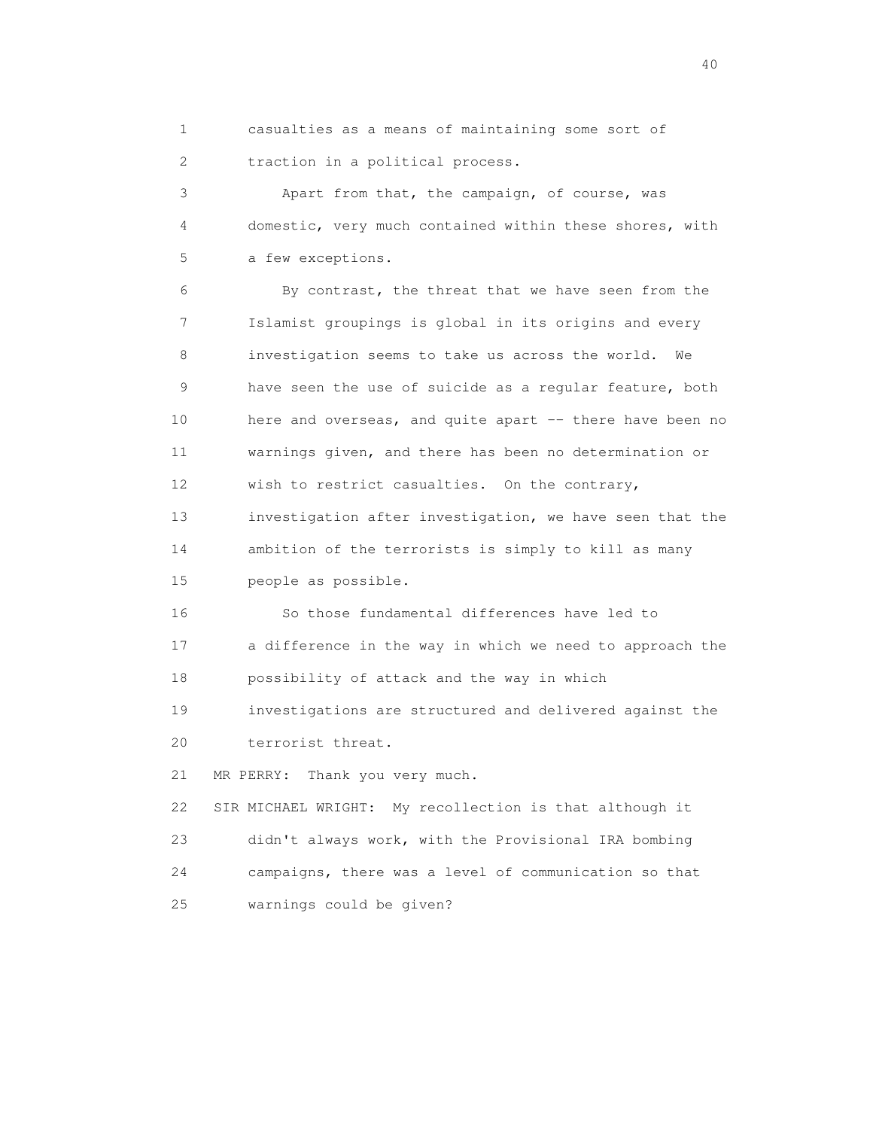1 casualties as a means of maintaining some sort of 2 traction in a political process.

 3 Apart from that, the campaign, of course, was 4 domestic, very much contained within these shores, with 5 a few exceptions.

 6 By contrast, the threat that we have seen from the 7 Islamist groupings is global in its origins and every 8 investigation seems to take us across the world. We 9 have seen the use of suicide as a regular feature, both 10 here and overseas, and quite apart -- there have been no 11 warnings given, and there has been no determination or 12 wish to restrict casualties. On the contrary, 13 investigation after investigation, we have seen that the 14 ambition of the terrorists is simply to kill as many 15 people as possible.

 16 So those fundamental differences have led to 17 a difference in the way in which we need to approach the 18 possibility of attack and the way in which

 19 investigations are structured and delivered against the 20 terrorist threat.

21 MR PERRY: Thank you very much.

 22 SIR MICHAEL WRIGHT: My recollection is that although it 23 didn't always work, with the Provisional IRA bombing 24 campaigns, there was a level of communication so that 25 warnings could be given?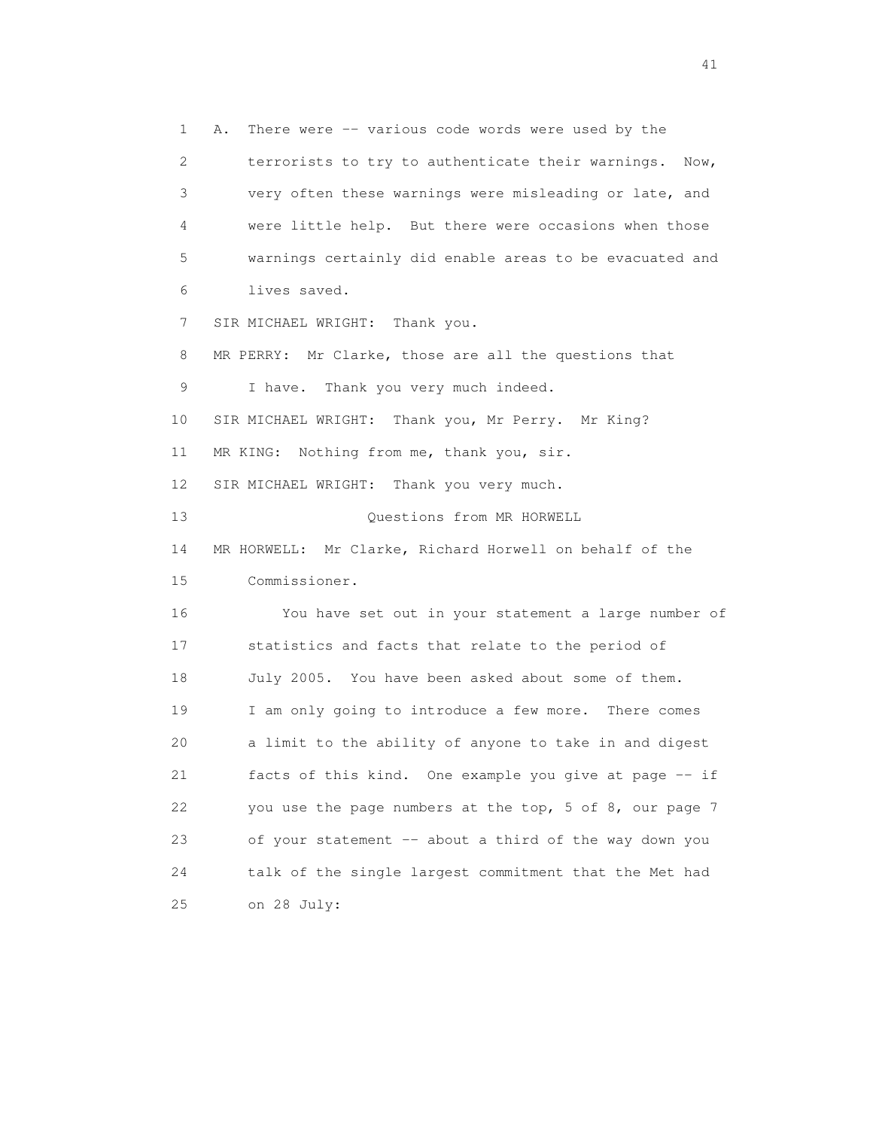1 A. There were -- various code words were used by the 2 terrorists to try to authenticate their warnings. Now, 3 very often these warnings were misleading or late, and 4 were little help. But there were occasions when those 5 warnings certainly did enable areas to be evacuated and 6 lives saved. 7 SIR MICHAEL WRIGHT: Thank you. 8 MR PERRY: Mr Clarke, those are all the questions that 9 I have. Thank you very much indeed. 10 SIR MICHAEL WRIGHT: Thank you, Mr Perry. Mr King? 11 MR KING: Nothing from me, thank you, sir. 12 SIR MICHAEL WRIGHT: Thank you very much. 13 Questions from MR HORWELL 14 MR HORWELL: Mr Clarke, Richard Horwell on behalf of the 15 Commissioner. 16 You have set out in your statement a large number of 17 statistics and facts that relate to the period of 18 July 2005. You have been asked about some of them. 19 I am only going to introduce a few more. There comes 20 a limit to the ability of anyone to take in and digest 21 facts of this kind. One example you give at page -- if 22 you use the page numbers at the top, 5 of 8, our page 7 23 of your statement -- about a third of the way down you 24 talk of the single largest commitment that the Met had 25 on 28 July: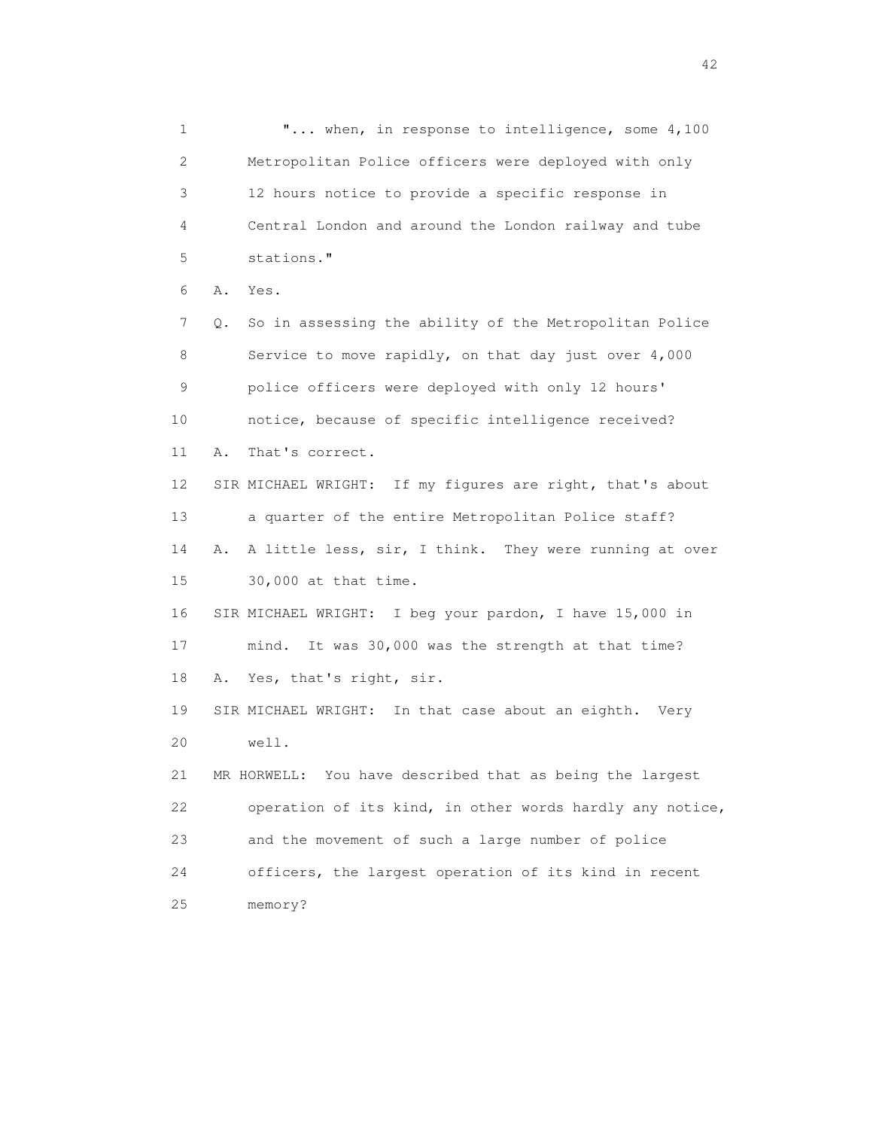1 "... when, in response to intelligence, some 4,100 2 Metropolitan Police officers were deployed with only 3 12 hours notice to provide a specific response in 4 Central London and around the London railway and tube 5 stations." 6 A. Yes. 7 Q. So in assessing the ability of the Metropolitan Police 8 Service to move rapidly, on that day just over 4,000 9 police officers were deployed with only 12 hours' 10 notice, because of specific intelligence received? 11 A. That's correct. 12 SIR MICHAEL WRIGHT: If my figures are right, that's about 13 a quarter of the entire Metropolitan Police staff? 14 A. A little less, sir, I think. They were running at over 15 30,000 at that time. 16 SIR MICHAEL WRIGHT: I beg your pardon, I have 15,000 in 17 mind. It was 30,000 was the strength at that time? 18 A. Yes, that's right, sir. 19 SIR MICHAEL WRIGHT: In that case about an eighth. Very 20 well. 21 MR HORWELL: You have described that as being the largest 22 operation of its kind, in other words hardly any notice, 23 and the movement of such a large number of police 24 officers, the largest operation of its kind in recent 25 memory?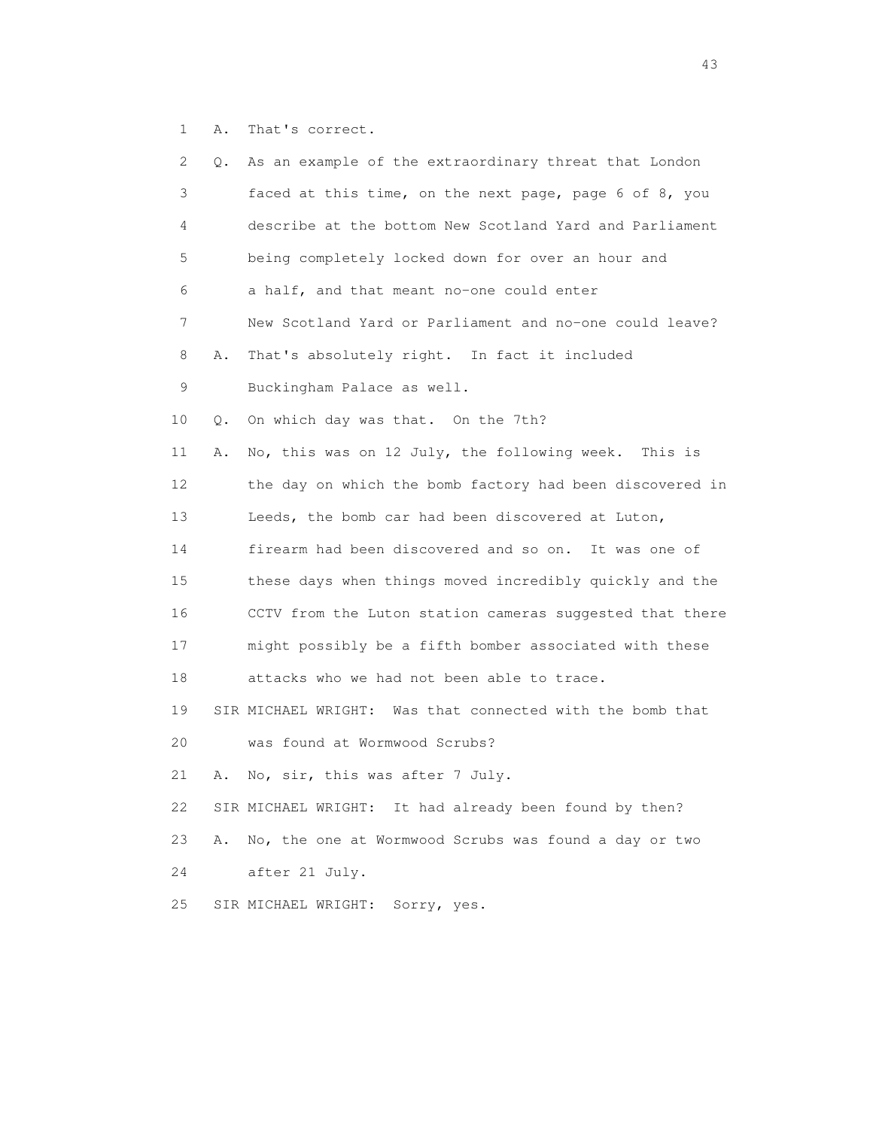1 A. That's correct.

| 2  | Q. | As an example of the extraordinary threat that London     |
|----|----|-----------------------------------------------------------|
| 3  |    | faced at this time, on the next page, page 6 of 8, you    |
| 4  |    | describe at the bottom New Scotland Yard and Parliament   |
| 5  |    | being completely locked down for over an hour and         |
| 6  |    | a half, and that meant no-one could enter                 |
| 7  |    | New Scotland Yard or Parliament and no-one could leave?   |
| 8  | Α. | That's absolutely right. In fact it included              |
| 9  |    | Buckingham Palace as well.                                |
| 10 | О. | On which day was that. On the 7th?                        |
| 11 | Α. | No, this was on 12 July, the following week. This is      |
| 12 |    | the day on which the bomb factory had been discovered in  |
| 13 |    | Leeds, the bomb car had been discovered at Luton,         |
| 14 |    | firearm had been discovered and so on. It was one of      |
| 15 |    | these days when things moved incredibly quickly and the   |
| 16 |    | CCTV from the Luton station cameras suggested that there  |
| 17 |    | might possibly be a fifth bomber associated with these    |
| 18 |    | attacks who we had not been able to trace.                |
| 19 |    | SIR MICHAEL WRIGHT: Was that connected with the bomb that |
| 20 |    | was found at Wormwood Scrubs?                             |
| 21 | Α. | No, sir, this was after 7 July.                           |
| 22 |    | SIR MICHAEL WRIGHT: It had already been found by then?    |
| 23 | Α. | No, the one at Wormwood Scrubs was found a day or two     |
| 24 |    | after 21 July.                                            |
| 25 |    | Sorry, yes.<br>SIR MICHAEL WRIGHT:                        |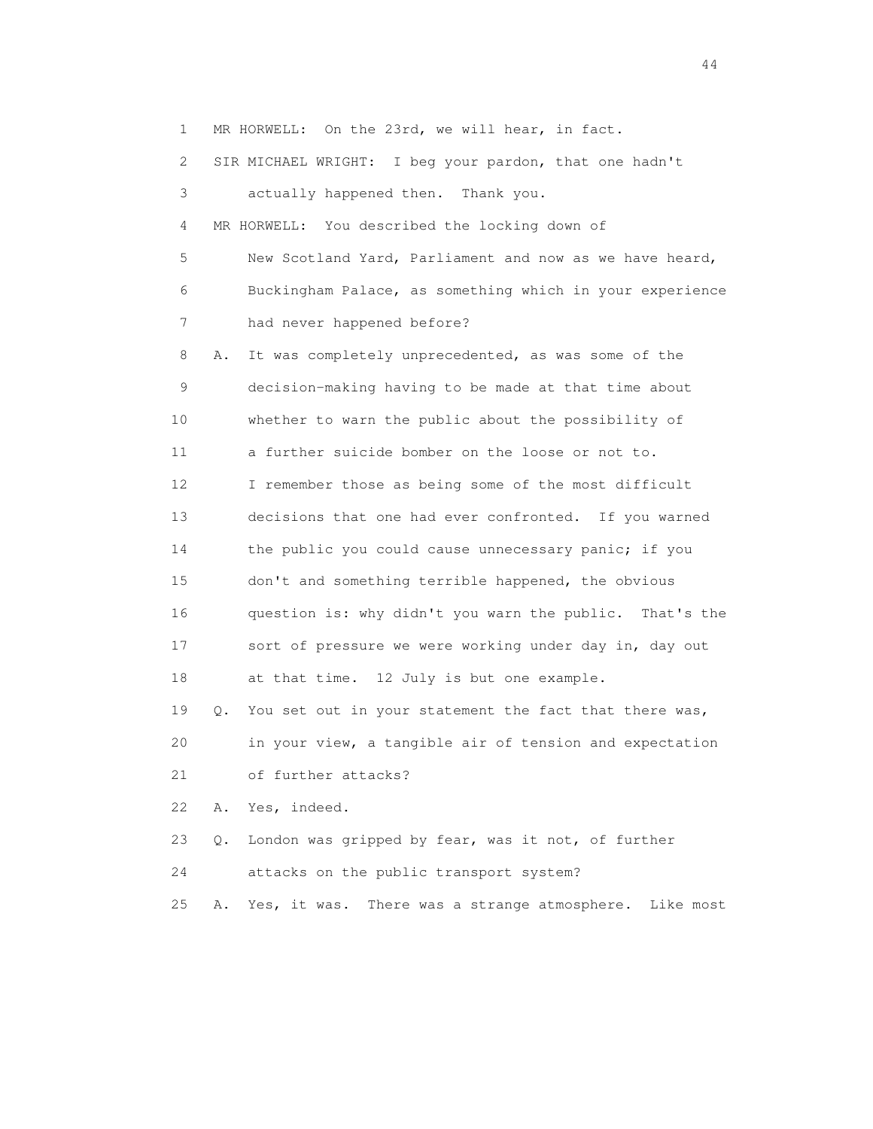1 MR HORWELL: On the 23rd, we will hear, in fact.

2 SIR MICHAEL WRIGHT: I beg your pardon, that one hadn't

 3 actually happened then. Thank you. 4 MR HORWELL: You described the locking down of 5 New Scotland Yard, Parliament and now as we have heard, 6 Buckingham Palace, as something which in your experience 7 had never happened before? 8 A. It was completely unprecedented, as was some of the 9 decision-making having to be made at that time about 10 whether to warn the public about the possibility of 11 a further suicide bomber on the loose or not to. 12 I remember those as being some of the most difficult 13 decisions that one had ever confronted. If you warned 14 the public you could cause unnecessary panic; if you 15 don't and something terrible happened, the obvious 16 question is: why didn't you warn the public. That's the 17 sort of pressure we were working under day in, day out 18 at that time. 12 July is but one example. 19 Q. You set out in your statement the fact that there was, 20 in your view, a tangible air of tension and expectation 21 of further attacks? 22 A. Yes, indeed. 23 Q. London was gripped by fear, was it not, of further 24 attacks on the public transport system? 25 A. Yes, it was. There was a strange atmosphere. Like most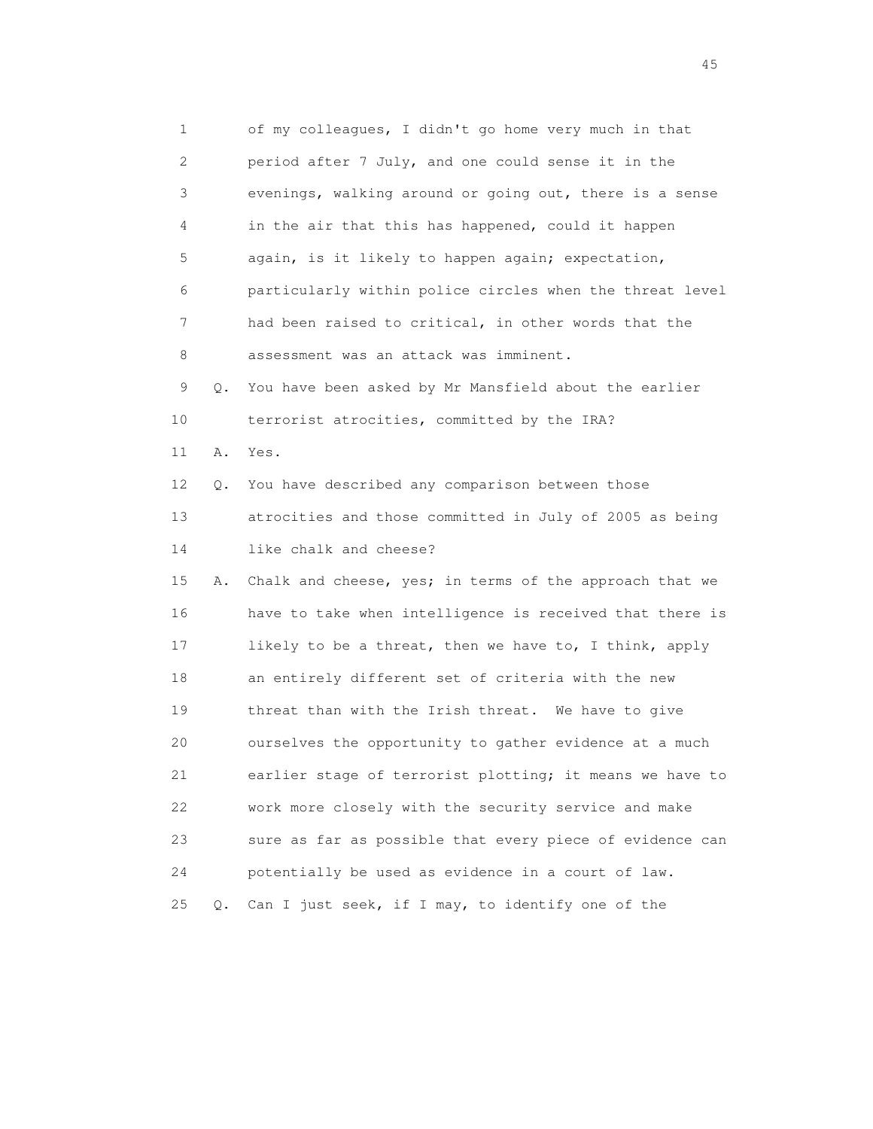1 of my colleagues, I didn't go home very much in that 2 period after 7 July, and one could sense it in the 3 evenings, walking around or going out, there is a sense 4 in the air that this has happened, could it happen 5 again, is it likely to happen again; expectation, 6 particularly within police circles when the threat level 7 had been raised to critical, in other words that the 8 assessment was an attack was imminent. 9 Q. You have been asked by Mr Mansfield about the earlier 10 terrorist atrocities, committed by the IRA? 11 A. Yes. 12 Q. You have described any comparison between those 13 atrocities and those committed in July of 2005 as being 14 like chalk and cheese? 15 A. Chalk and cheese, yes; in terms of the approach that we 16 have to take when intelligence is received that there is 17 likely to be a threat, then we have to, I think, apply 18 an entirely different set of criteria with the new 19 threat than with the Irish threat. We have to give 20 ourselves the opportunity to gather evidence at a much 21 earlier stage of terrorist plotting; it means we have to 22 work more closely with the security service and make 23 sure as far as possible that every piece of evidence can 24 potentially be used as evidence in a court of law. 25 Q. Can I just seek, if I may, to identify one of the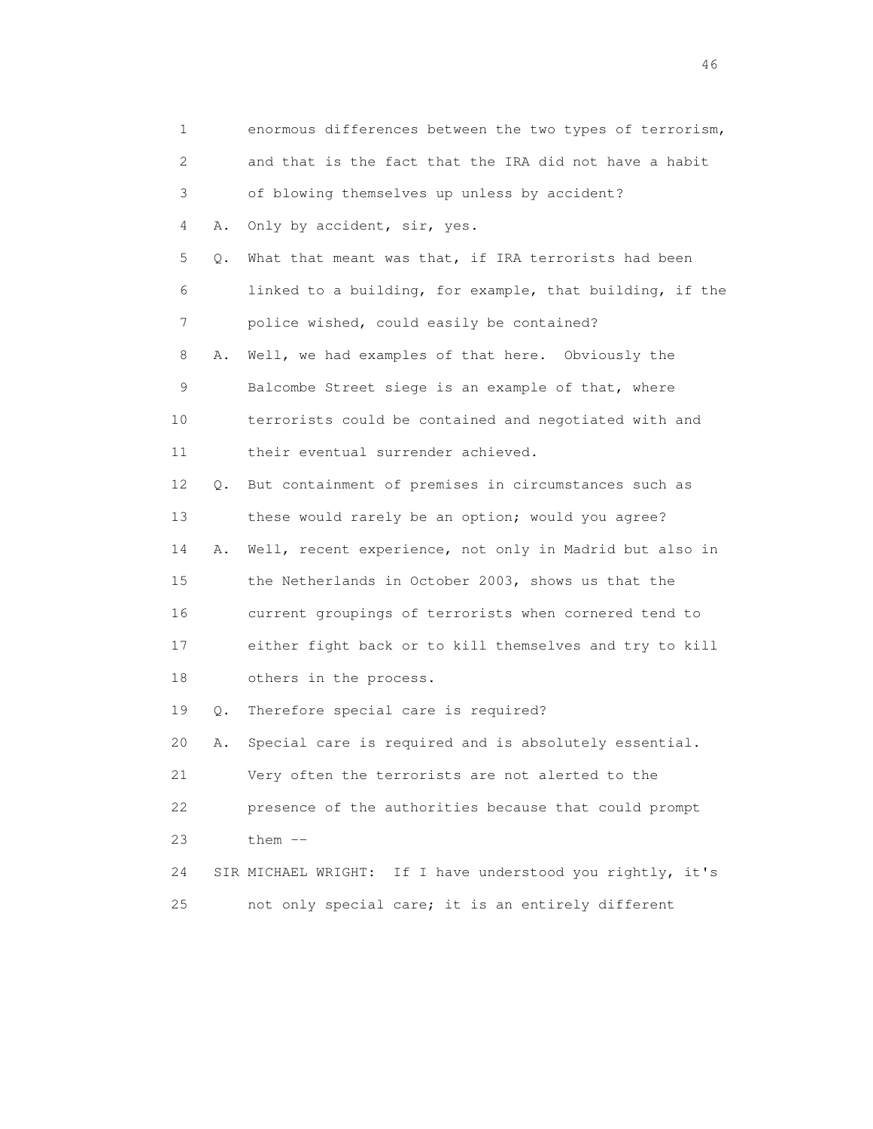| $\mathbf 1$ |    | enormous differences between the two types of terrorism,   |
|-------------|----|------------------------------------------------------------|
| 2           |    | and that is the fact that the IRA did not have a habit     |
| 3           |    | of blowing themselves up unless by accident?               |
| 4           | Α. | Only by accident, sir, yes.                                |
| 5           | Q. | What that meant was that, if IRA terrorists had been       |
| 6           |    | linked to a building, for example, that building, if the   |
| 7           |    | police wished, could easily be contained?                  |
| 8           | Α. | Well, we had examples of that here. Obviously the          |
| 9           |    | Balcombe Street siege is an example of that, where         |
| 10          |    | terrorists could be contained and negotiated with and      |
| 11          |    | their eventual surrender achieved.                         |
| 12          | Q. | But containment of premises in circumstances such as       |
| 13          |    | these would rarely be an option; would you agree?          |
| 14          | Α. | Well, recent experience, not only in Madrid but also in    |
| 15          |    | the Netherlands in October 2003, shows us that the         |
| 16          |    | current groupings of terrorists when cornered tend to      |
| 17          |    | either fight back or to kill themselves and try to kill    |
| 18          |    | others in the process.                                     |
| 19          | Q. | Therefore special care is required?                        |
| 20          | Α. | Special care is required and is absolutely essential.      |
| 21          |    | Very often the terrorists are not alerted to the           |
| 22          |    | presence of the authorities because that could prompt      |
| 23          |    | them $--$                                                  |
| 24          |    | SIR MICHAEL WRIGHT: If I have understood you rightly, it's |
| 25          |    | not only special care; it is an entirely different         |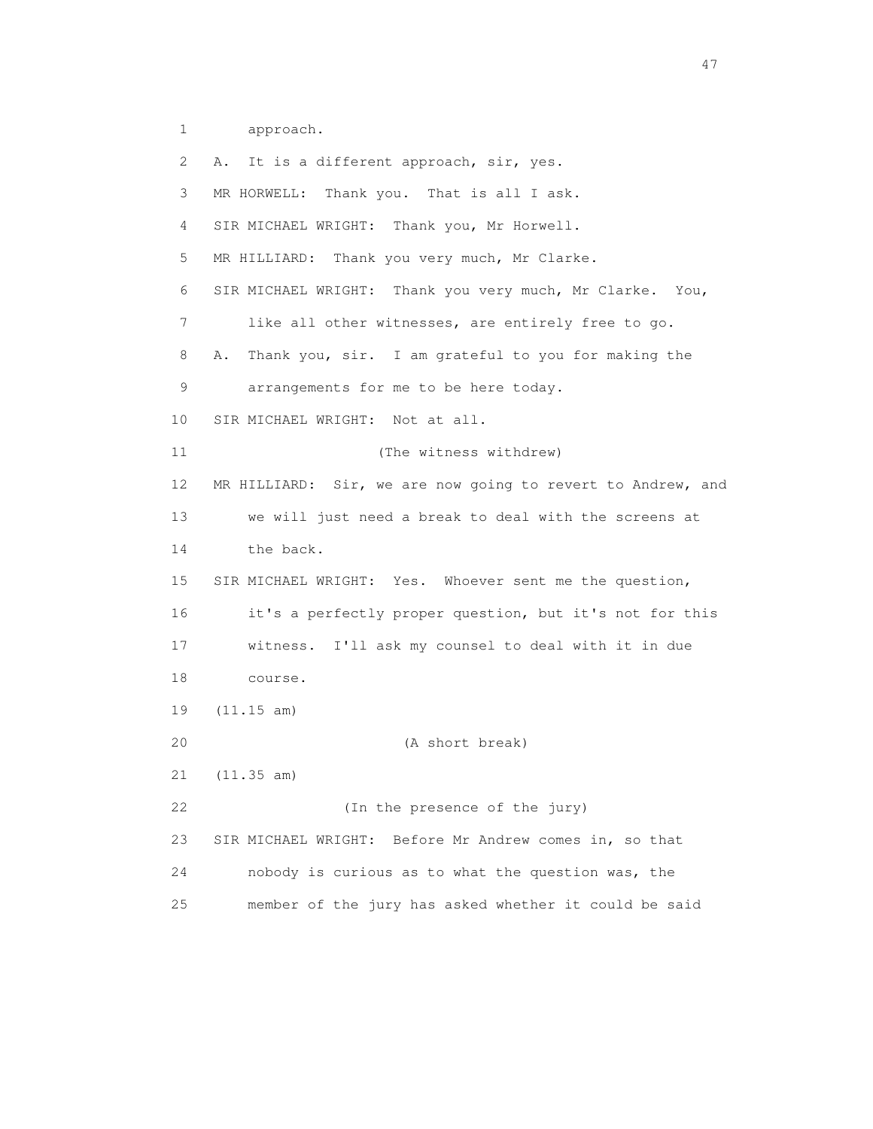1 approach.

 2 A. It is a different approach, sir, yes. 3 MR HORWELL: Thank you. That is all I ask. 4 SIR MICHAEL WRIGHT: Thank you, Mr Horwell. 5 MR HILLIARD: Thank you very much, Mr Clarke. 6 SIR MICHAEL WRIGHT: Thank you very much, Mr Clarke. You, 7 like all other witnesses, are entirely free to go. 8 A. Thank you, sir. I am grateful to you for making the 9 arrangements for me to be here today. 10 SIR MICHAEL WRIGHT: Not at all. 11 (The witness withdrew) 12 MR HILLIARD: Sir, we are now going to revert to Andrew, and 13 we will just need a break to deal with the screens at 14 the back. 15 SIR MICHAEL WRIGHT: Yes. Whoever sent me the question, 16 it's a perfectly proper question, but it's not for this 17 witness. I'll ask my counsel to deal with it in due 18 course. 19 (11.15 am) 20 (A short break) 21 (11.35 am) 22 (In the presence of the jury) 23 SIR MICHAEL WRIGHT: Before Mr Andrew comes in, so that 24 nobody is curious as to what the question was, the 25 member of the jury has asked whether it could be said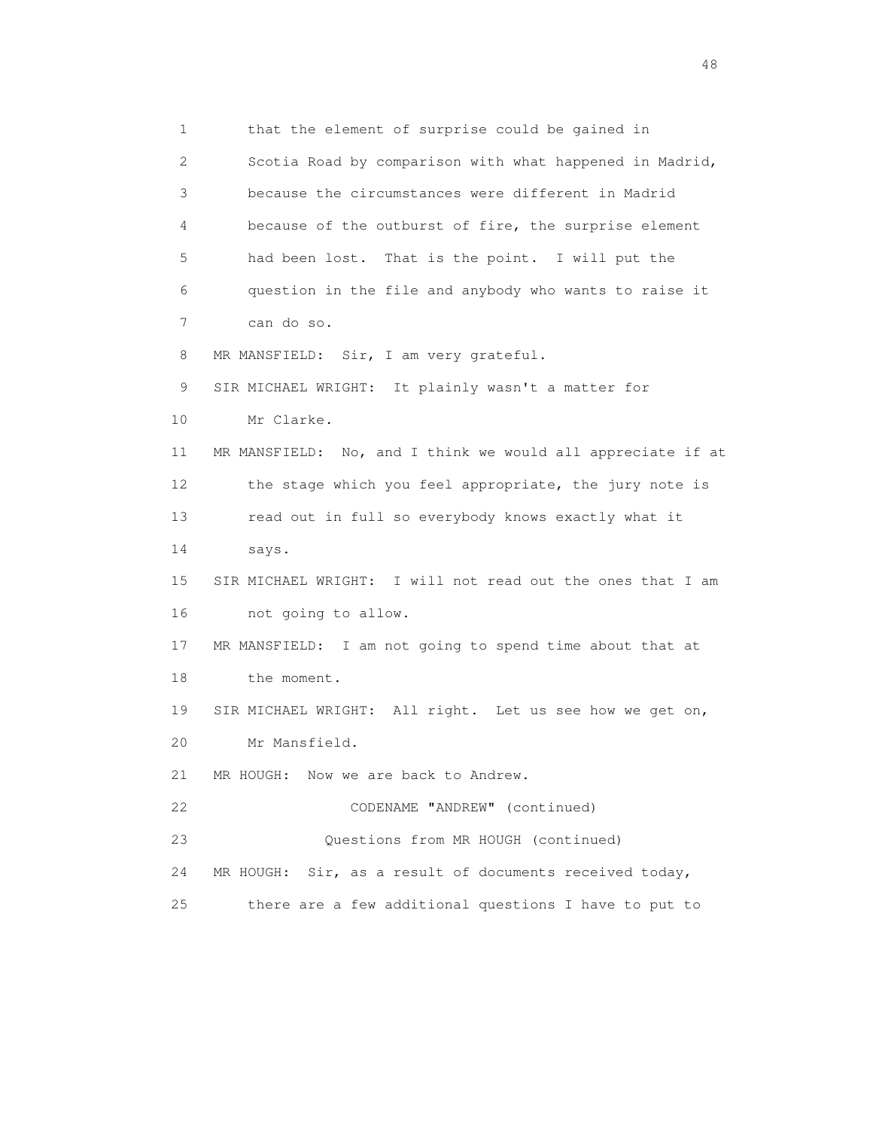1 that the element of surprise could be gained in 2 Scotia Road by comparison with what happened in Madrid, 3 because the circumstances were different in Madrid 4 because of the outburst of fire, the surprise element 5 had been lost. That is the point. I will put the 6 question in the file and anybody who wants to raise it 7 can do so. 8 MR MANSFIELD: Sir, I am very grateful. 9 SIR MICHAEL WRIGHT: It plainly wasn't a matter for 10 Mr Clarke. 11 MR MANSFIELD: No, and I think we would all appreciate if at 12 the stage which you feel appropriate, the jury note is 13 read out in full so everybody knows exactly what it 14 says. 15 SIR MICHAEL WRIGHT: I will not read out the ones that I am 16 not going to allow. 17 MR MANSFIELD: I am not going to spend time about that at 18 the moment. 19 SIR MICHAEL WRIGHT: All right. Let us see how we get on, 20 Mr Mansfield. 21 MR HOUGH: Now we are back to Andrew. 22 CODENAME "ANDREW" (continued) 23 Questions from MR HOUGH (continued) 24 MR HOUGH: Sir, as a result of documents received today, 25 there are a few additional questions I have to put to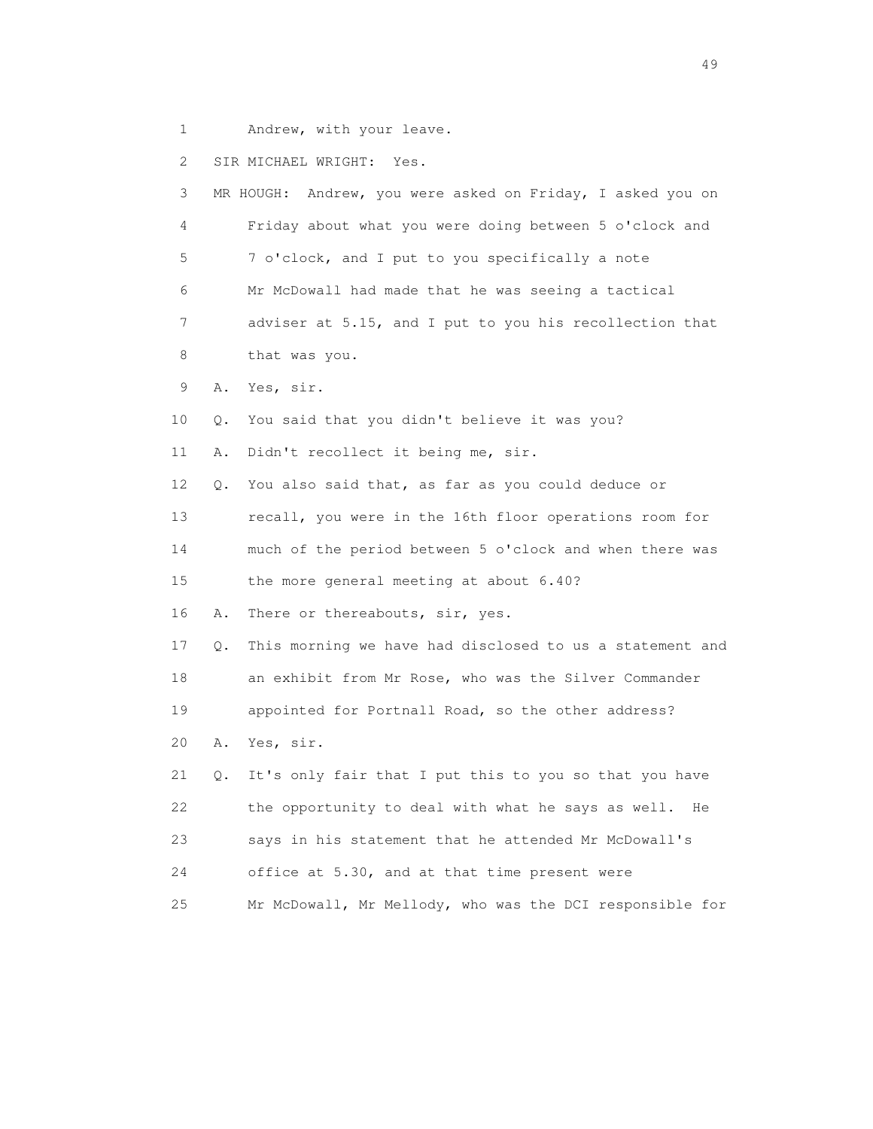1 Andrew, with your leave.

2 SIR MICHAEL WRIGHT: Yes.

| 3  |    | Andrew, you were asked on Friday, I asked you on<br>MR HOUGH: |
|----|----|---------------------------------------------------------------|
| 4  |    | Friday about what you were doing between 5 o'clock and        |
| 5  |    | 7 o'clock, and I put to you specifically a note               |
| 6  |    | Mr McDowall had made that he was seeing a tactical            |
| 7  |    | adviser at 5.15, and I put to you his recollection that       |
| 8  |    | that was you.                                                 |
| 9  | Α. | Yes, sir.                                                     |
| 10 | Q. | You said that you didn't believe it was you?                  |
| 11 | Α. | Didn't recollect it being me, sir.                            |
| 12 | Q. | You also said that, as far as you could deduce or             |
| 13 |    | recall, you were in the 16th floor operations room for        |
| 14 |    | much of the period between 5 o'clock and when there was       |
| 15 |    | the more general meeting at about 6.40?                       |
| 16 | Α. | There or thereabouts, sir, yes.                               |
| 17 | Q. | This morning we have had disclosed to us a statement and      |
| 18 |    | an exhibit from Mr Rose, who was the Silver Commander         |
| 19 |    | appointed for Portnall Road, so the other address?            |
| 20 | Α. | Yes, sir.                                                     |
| 21 | Q. | It's only fair that I put this to you so that you have        |
| 22 |    | the opportunity to deal with what he says as well. He         |
| 23 |    | says in his statement that he attended Mr McDowall's          |
| 24 |    | office at 5.30, and at that time present were                 |
| 25 |    | Mr McDowall, Mr Mellody, who was the DCI responsible for      |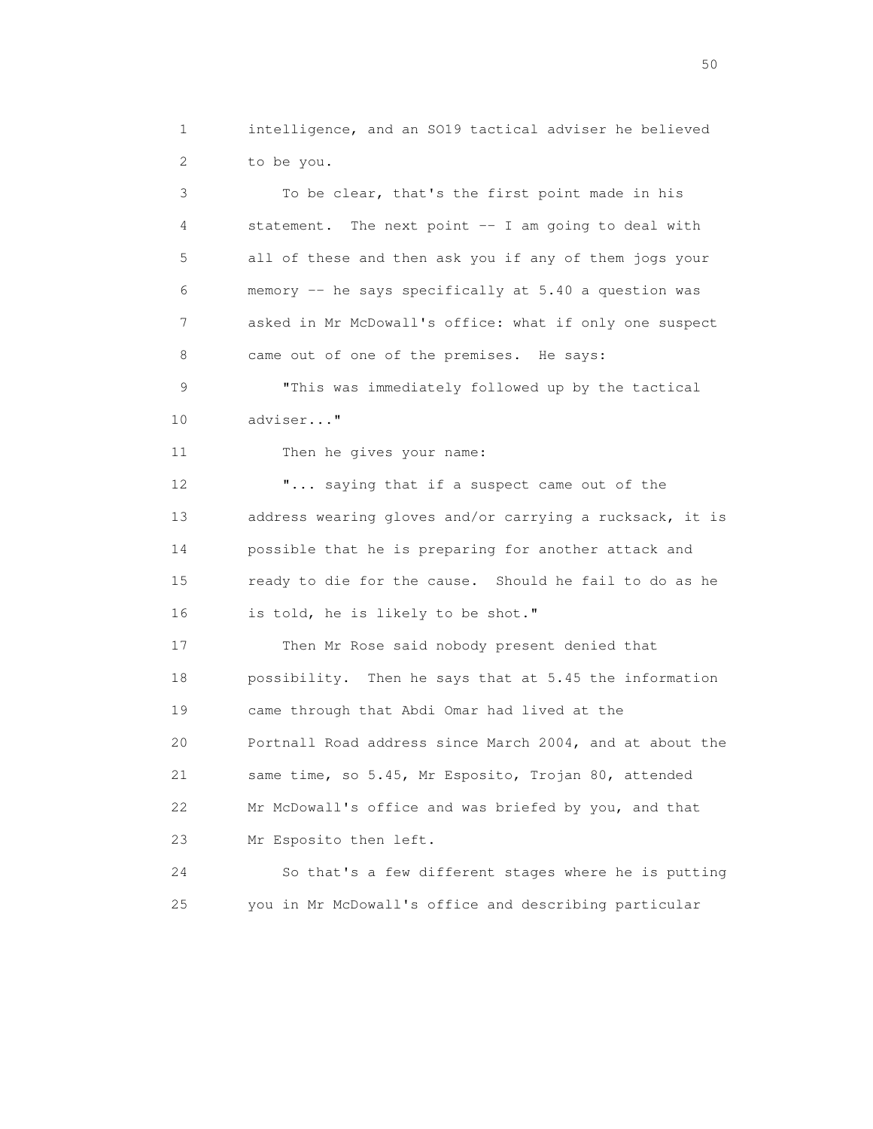1 intelligence, and an SO19 tactical adviser he believed 2 to be you.

 3 To be clear, that's the first point made in his 4 statement. The next point -- I am going to deal with 5 all of these and then ask you if any of them jogs your 6 memory -- he says specifically at 5.40 a question was 7 asked in Mr McDowall's office: what if only one suspect 8 came out of one of the premises. He says: 9 "This was immediately followed up by the tactical 10 adviser..." 11 Then he gives your name: 12 **"...** saying that if a suspect came out of the 13 address wearing gloves and/or carrying a rucksack, it is 14 possible that he is preparing for another attack and 15 ready to die for the cause. Should he fail to do as he 16 is told, he is likely to be shot." 17 Then Mr Rose said nobody present denied that 18 possibility. Then he says that at 5.45 the information 19 came through that Abdi Omar had lived at the 20 Portnall Road address since March 2004, and at about the 21 same time, so 5.45, Mr Esposito, Trojan 80, attended 22 Mr McDowall's office and was briefed by you, and that 23 Mr Esposito then left. 24 So that's a few different stages where he is putting

25 you in Mr McDowall's office and describing particular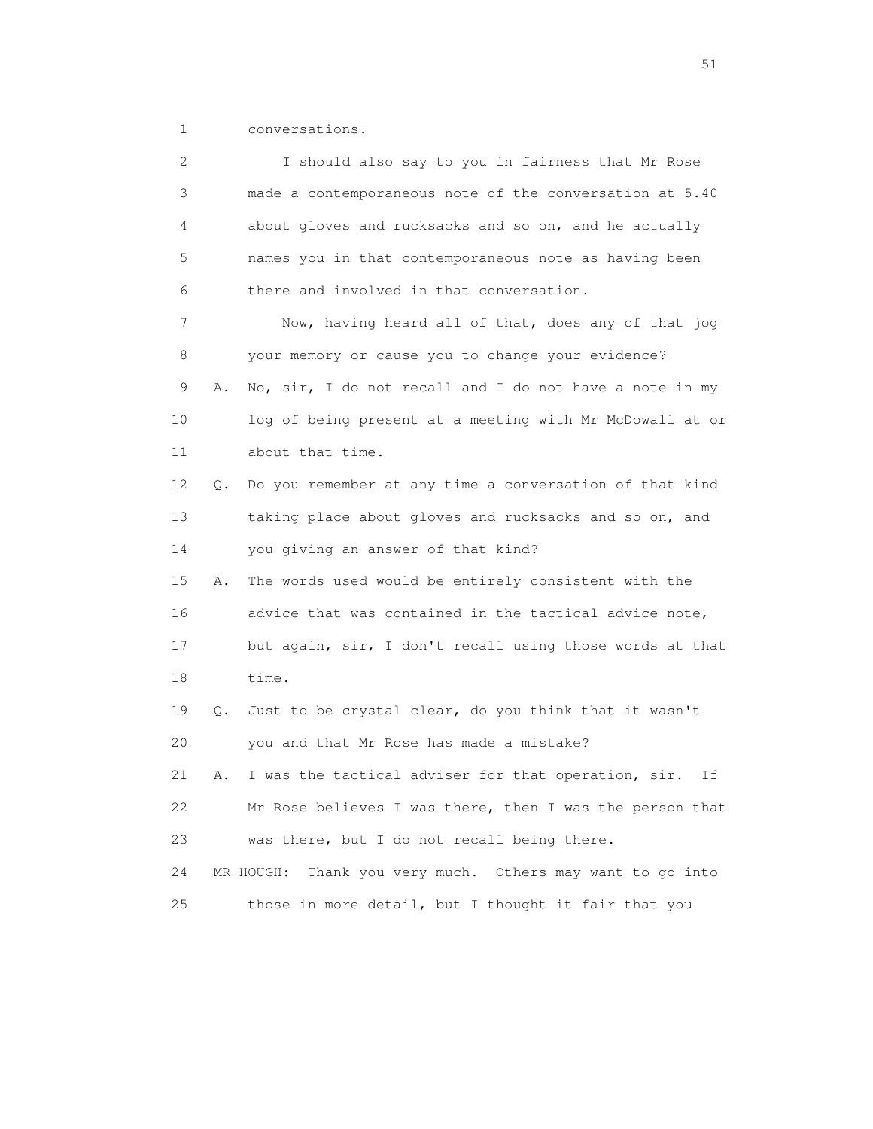1 conversations.

| 2  |    | I should also say to you in fairness that Mr Rose            |
|----|----|--------------------------------------------------------------|
| 3  |    | made a contemporaneous note of the conversation at 5.40      |
| 4  |    | about gloves and rucksacks and so on, and he actually        |
| 5  |    | names you in that contemporaneous note as having been        |
| 6  |    | there and involved in that conversation.                     |
| 7  |    | Now, having heard all of that, does any of that jog          |
| 8  |    | your memory or cause you to change your evidence?            |
| 9  | Α. | No, sir, I do not recall and I do not have a note in my      |
| 10 |    | log of being present at a meeting with Mr McDowall at or     |
| 11 |    | about that time.                                             |
| 12 | Q. | Do you remember at any time a conversation of that kind      |
| 13 |    | taking place about gloves and rucksacks and so on, and       |
| 14 |    | you giving an answer of that kind?                           |
| 15 | Α. | The words used would be entirely consistent with the         |
| 16 |    | advice that was contained in the tactical advice note,       |
| 17 |    | but again, sir, I don't recall using those words at that     |
| 18 |    | time.                                                        |
| 19 | Q. | Just to be crystal clear, do you think that it wasn't        |
| 20 |    | you and that Mr Rose has made a mistake?                     |
| 21 | Α. | I was the tactical adviser for that operation, sir.<br>Ιf    |
| 22 |    | Mr Rose believes I was there, then I was the person that     |
| 23 |    | was there, but I do not recall being there.                  |
| 24 |    | Thank you very much. Others may want to go into<br>MR HOUGH: |
| 25 |    | those in more detail, but I thought it fair that you         |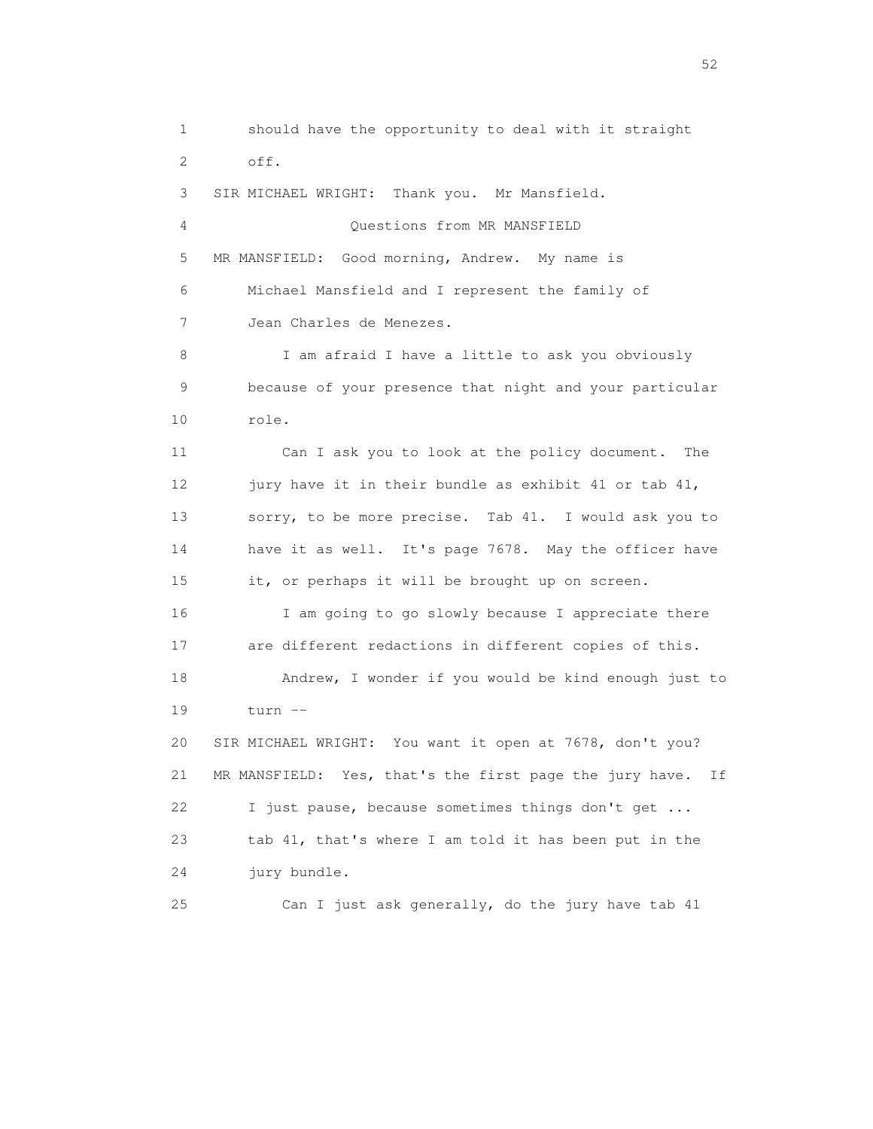1 should have the opportunity to deal with it straight 2 off. 3 SIR MICHAEL WRIGHT: Thank you. Mr Mansfield. 4 Questions from MR MANSFIELD 5 MR MANSFIELD: Good morning, Andrew. My name is 6 Michael Mansfield and I represent the family of 7 Jean Charles de Menezes. 8 I am afraid I have a little to ask you obviously 9 because of your presence that night and your particular 10 role. 11 Can I ask you to look at the policy document. The 12 jury have it in their bundle as exhibit 41 or tab 41, 13 sorry, to be more precise. Tab 41. I would ask you to 14 have it as well. It's page 7678. May the officer have 15 it, or perhaps it will be brought up on screen. 16 I am going to go slowly because I appreciate there 17 are different redactions in different copies of this. 18 Andrew, I wonder if you would be kind enough just to 19 turn -- 20 SIR MICHAEL WRIGHT: You want it open at 7678, don't you? 21 MR MANSFIELD: Yes, that's the first page the jury have. If 22 I just pause, because sometimes things don't get ... 23 tab 41, that's where I am told it has been put in the 24 jury bundle. 25 Can I just ask generally, do the jury have tab 41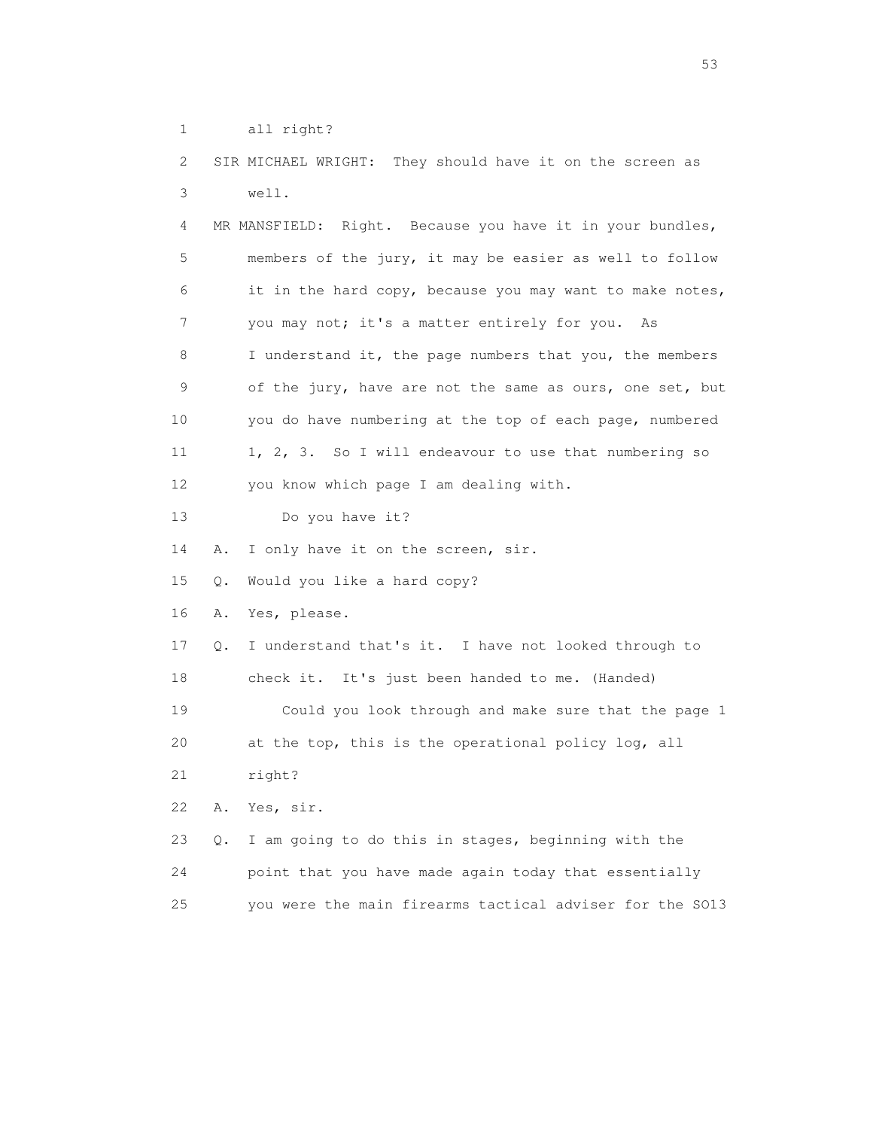```
 1 all right?
```
 2 SIR MICHAEL WRIGHT: They should have it on the screen as 3 well.

 4 MR MANSFIELD: Right. Because you have it in your bundles, 5 members of the jury, it may be easier as well to follow 6 it in the hard copy, because you may want to make notes, 7 you may not; it's a matter entirely for you. As 8 I understand it, the page numbers that you, the members 9 of the jury, have are not the same as ours, one set, but 10 you do have numbering at the top of each page, numbered 11 1, 2, 3. So I will endeavour to use that numbering so 12 you know which page I am dealing with.

13 Do you have it?

14 A. I only have it on the screen, sir.

15 Q. Would you like a hard copy?

16 A. Yes, please.

 17 Q. I understand that's it. I have not looked through to 18 check it. It's just been handed to me. (Handed) 19 Could you look through and make sure that the page 1 20 at the top, this is the operational policy log, all 21 right?

22 A. Yes, sir.

 23 Q. I am going to do this in stages, beginning with the 24 point that you have made again today that essentially 25 you were the main firearms tactical adviser for the SO13

 $\sim$  53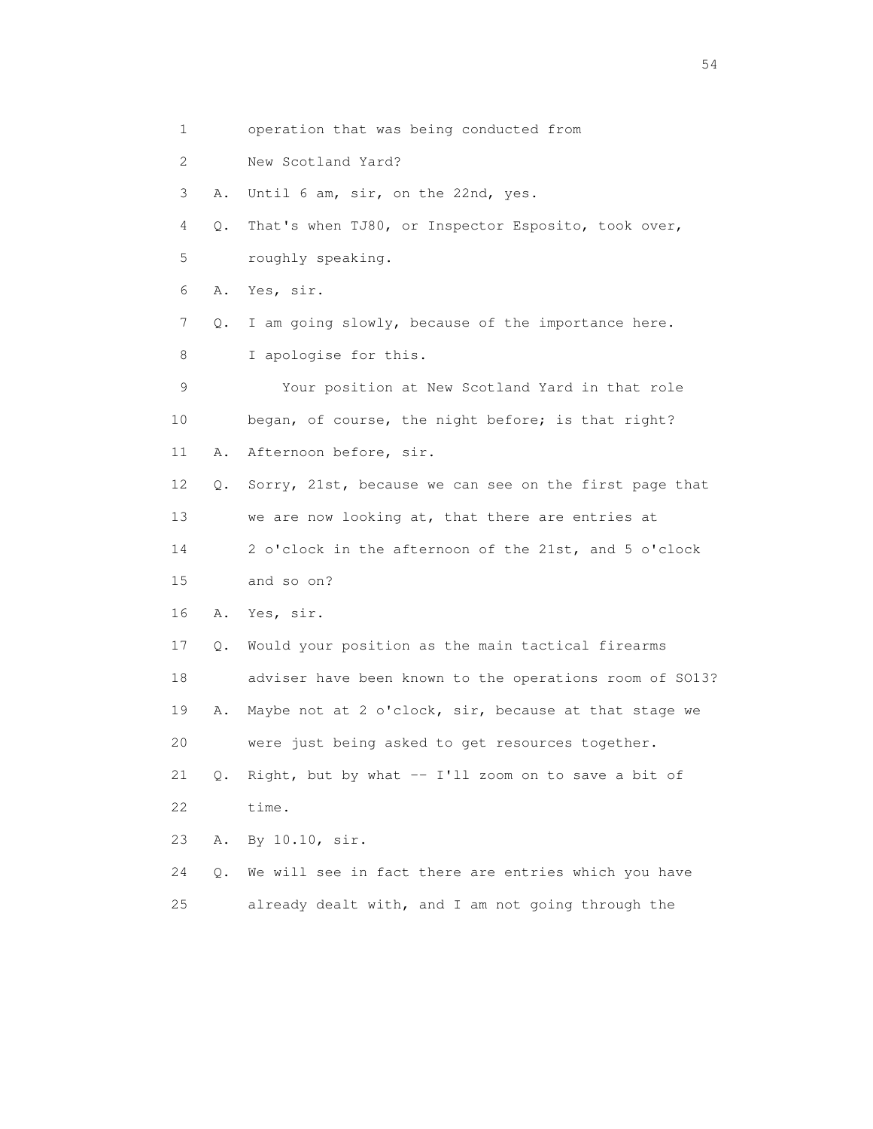1 operation that was being conducted from 2 New Scotland Yard? 3 A. Until 6 am, sir, on the 22nd, yes. 4 Q. That's when TJ80, or Inspector Esposito, took over, 5 roughly speaking. 6 A. Yes, sir. 7 Q. I am going slowly, because of the importance here. 8 I apologise for this. 9 Your position at New Scotland Yard in that role 10 began, of course, the night before; is that right? 11 A. Afternoon before, sir. 12 Q. Sorry, 21st, because we can see on the first page that 13 we are now looking at, that there are entries at 14 2 o'clock in the afternoon of the 21st, and 5 o'clock 15 and so on? 16 A. Yes, sir. 17 Q. Would your position as the main tactical firearms 18 adviser have been known to the operations room of SO13? 19 A. Maybe not at 2 o'clock, sir, because at that stage we 20 were just being asked to get resources together. 21 Q. Right, but by what -- I'll zoom on to save a bit of 22 time. 23 A. By 10.10, sir. 24 Q. We will see in fact there are entries which you have 25 already dealt with, and I am not going through the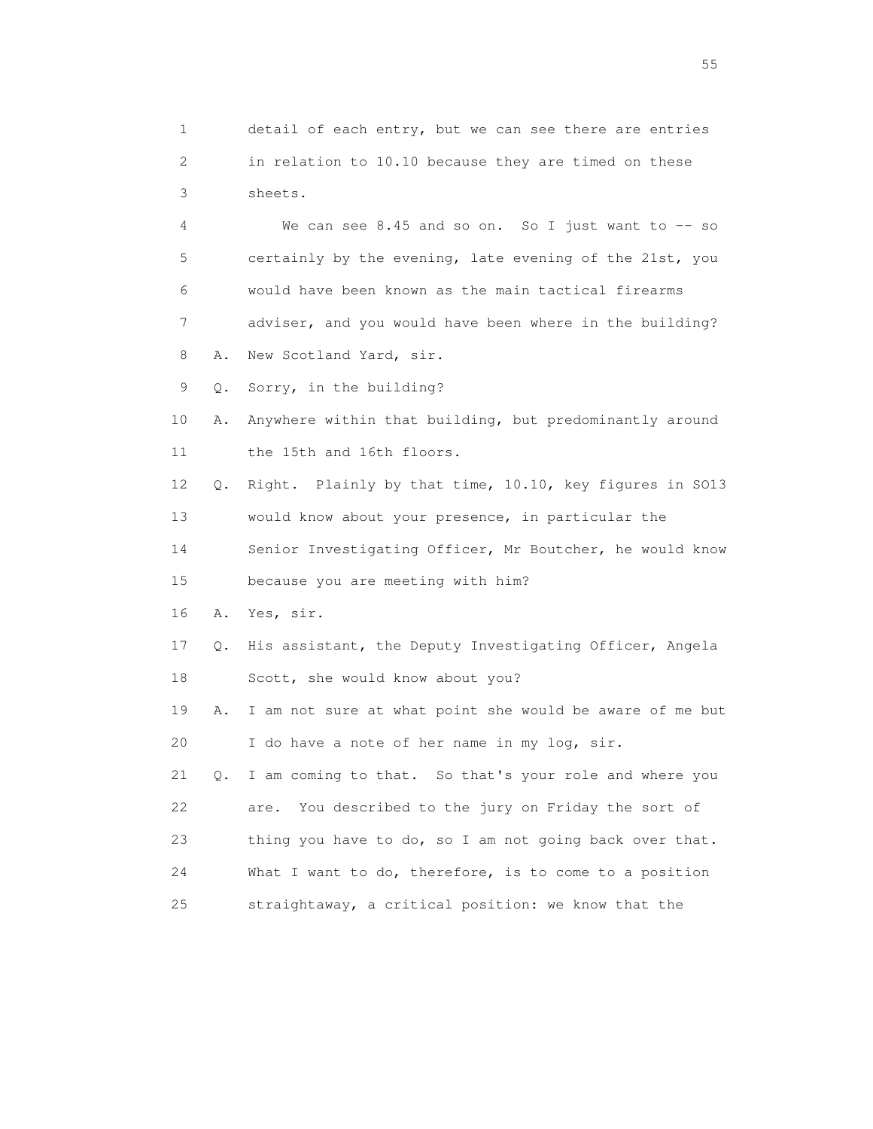2 in relation to 10.10 because they are timed on these 3 sheets. 4 We can see 8.45 and so on. So I just want to -- so 5 certainly by the evening, late evening of the 21st, you 6 would have been known as the main tactical firearms 7 adviser, and you would have been where in the building? 8 A. New Scotland Yard, sir. 9 Q. Sorry, in the building? 10 A. Anywhere within that building, but predominantly around 11 the 15th and 16th floors. 12 Q. Right. Plainly by that time, 10.10, key figures in SO13 13 would know about your presence, in particular the 14 Senior Investigating Officer, Mr Boutcher, he would know 15 because you are meeting with him? 16 A. Yes, sir. 17 Q. His assistant, the Deputy Investigating Officer, Angela 18 Scott, she would know about you? 19 A. I am not sure at what point she would be aware of me but 20 I do have a note of her name in my log, sir. 21 Q. I am coming to that. So that's your role and where you 22 are. You described to the jury on Friday the sort of 23 thing you have to do, so I am not going back over that. 24 What I want to do, therefore, is to come to a position 25 straightaway, a critical position: we know that the

1 detail of each entry, but we can see there are entries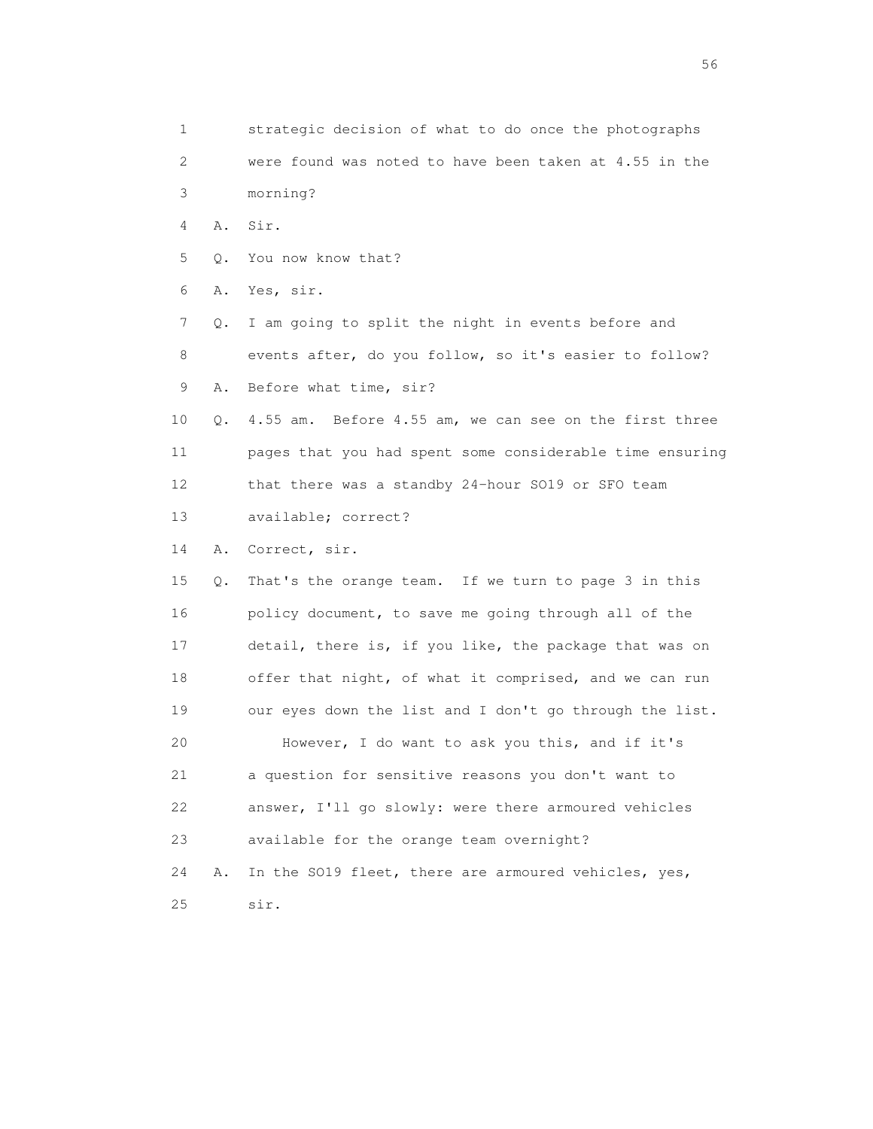1 strategic decision of what to do once the photographs 2 were found was noted to have been taken at 4.55 in the 3 morning? 4 A. Sir. 5 Q. You now know that? 6 A. Yes, sir. 7 Q. I am going to split the night in events before and 8 events after, do you follow, so it's easier to follow? 9 A. Before what time, sir? 10 Q. 4.55 am. Before 4.55 am, we can see on the first three 11 pages that you had spent some considerable time ensuring 12 that there was a standby 24-hour SO19 or SFO team 13 available; correct? 14 A. Correct, sir. 15 Q. That's the orange team. If we turn to page 3 in this 16 policy document, to save me going through all of the 17 detail, there is, if you like, the package that was on 18 offer that night, of what it comprised, and we can run 19 our eyes down the list and I don't go through the list. 20 However, I do want to ask you this, and if it's 21 a question for sensitive reasons you don't want to 22 answer, I'll go slowly: were there armoured vehicles 23 available for the orange team overnight? 24 A. In the SO19 fleet, there are armoured vehicles, yes, 25 sir.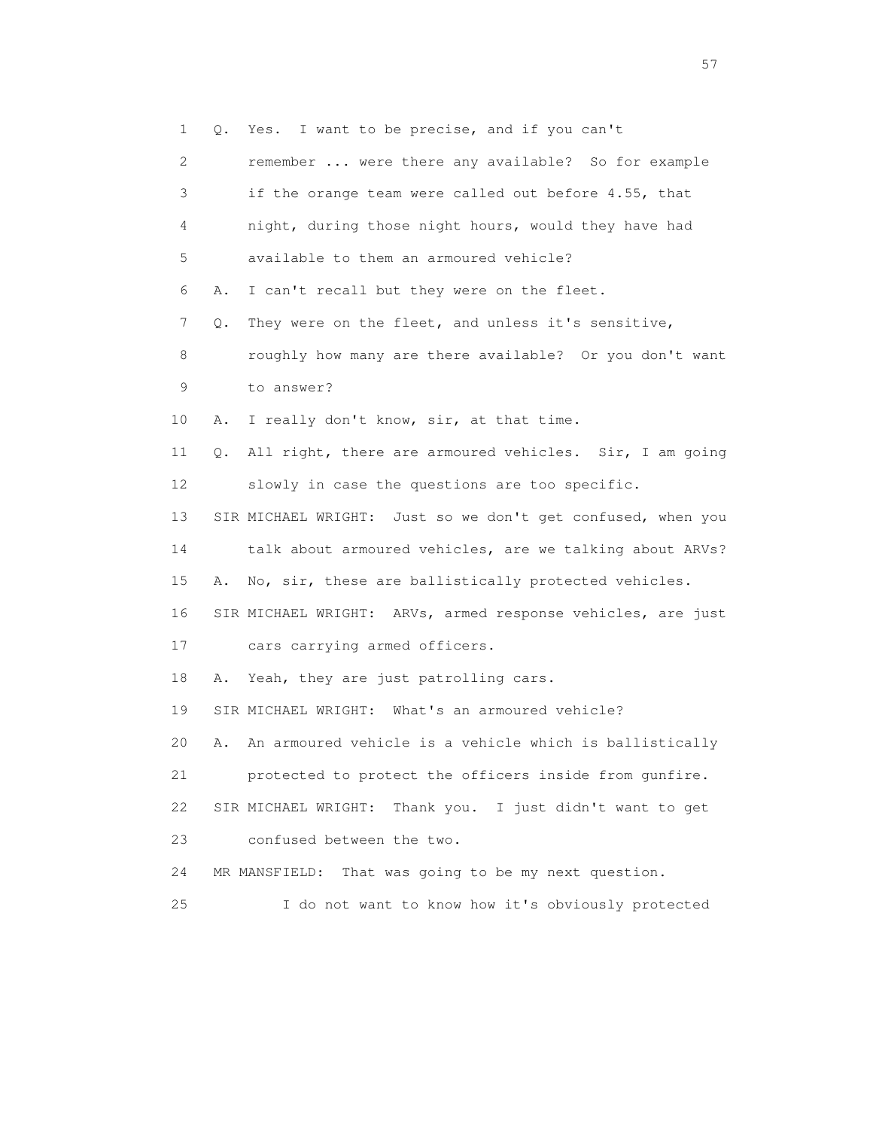1 Q. Yes. I want to be precise, and if you can't 2 remember ... were there any available? So for example 3 if the orange team were called out before 4.55, that 4 night, during those night hours, would they have had 5 available to them an armoured vehicle? 6 A. I can't recall but they were on the fleet. 7 Q. They were on the fleet, and unless it's sensitive, 8 roughly how many are there available? Or you don't want 9 to answer? 10 A. I really don't know, sir, at that time. 11 Q. All right, there are armoured vehicles. Sir, I am going 12 slowly in case the questions are too specific. 13 SIR MICHAEL WRIGHT: Just so we don't get confused, when you 14 talk about armoured vehicles, are we talking about ARVs? 15 A. No, sir, these are ballistically protected vehicles. 16 SIR MICHAEL WRIGHT: ARVs, armed response vehicles, are just 17 cars carrying armed officers. 18 A. Yeah, they are just patrolling cars. 19 SIR MICHAEL WRIGHT: What's an armoured vehicle? 20 A. An armoured vehicle is a vehicle which is ballistically 21 protected to protect the officers inside from gunfire. 22 SIR MICHAEL WRIGHT: Thank you. I just didn't want to get 23 confused between the two. 24 MR MANSFIELD: That was going to be my next question. 25 I do not want to know how it's obviously protected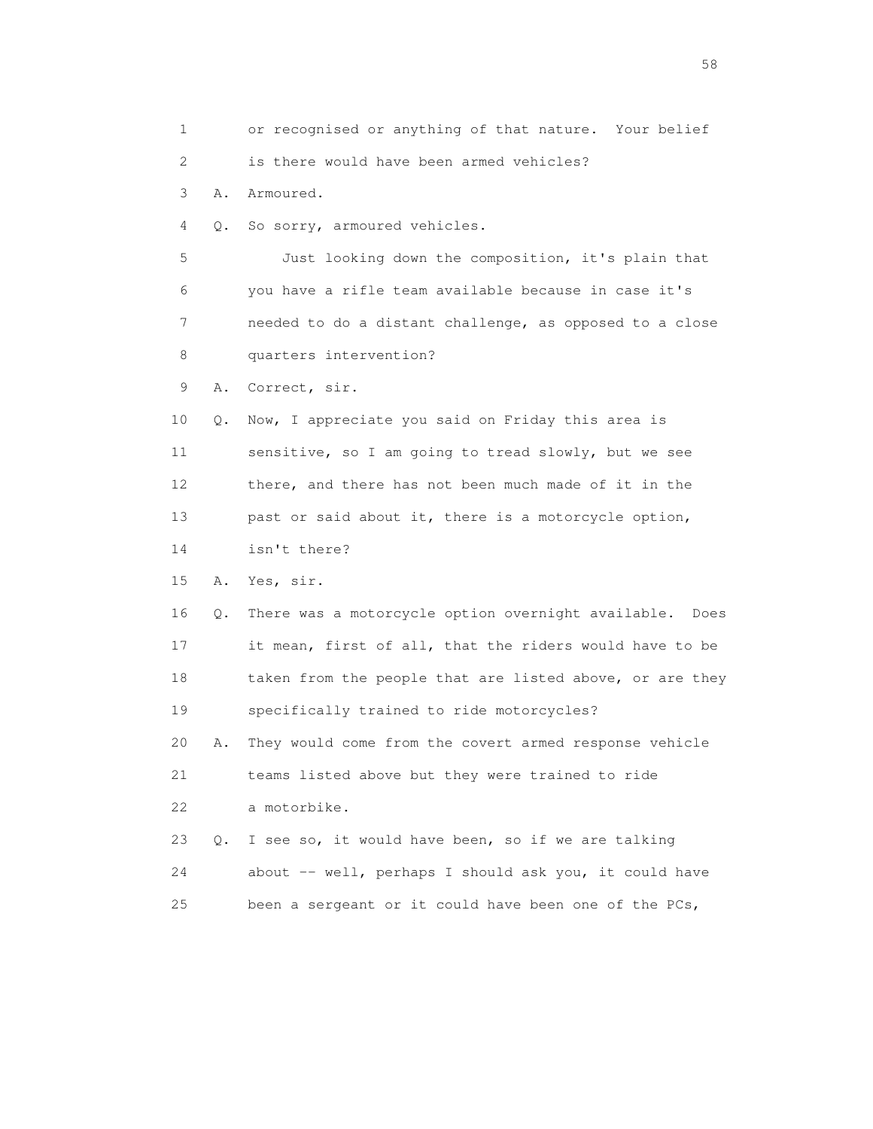1 or recognised or anything of that nature. Your belief 2 is there would have been armed vehicles? 3 A. Armoured. 4 Q. So sorry, armoured vehicles. 5 Just looking down the composition, it's plain that 6 you have a rifle team available because in case it's 7 needed to do a distant challenge, as opposed to a close 8 quarters intervention? 9 A. Correct, sir. 10 Q. Now, I appreciate you said on Friday this area is 11 sensitive, so I am going to tread slowly, but we see 12 there, and there has not been much made of it in the 13 past or said about it, there is a motorcycle option, 14 isn't there? 15 A. Yes, sir. 16 Q. There was a motorcycle option overnight available. Does 17 it mean, first of all, that the riders would have to be 18 taken from the people that are listed above, or are they 19 specifically trained to ride motorcycles? 20 A. They would come from the covert armed response vehicle 21 teams listed above but they were trained to ride 22 a motorbike. 23 Q. I see so, it would have been, so if we are talking 24 about -- well, perhaps I should ask you, it could have 25 been a sergeant or it could have been one of the PCs,

the state of the state of the state of the state of the state of the state of the state of the state of the state of the state of the state of the state of the state of the state of the state of the state of the state of t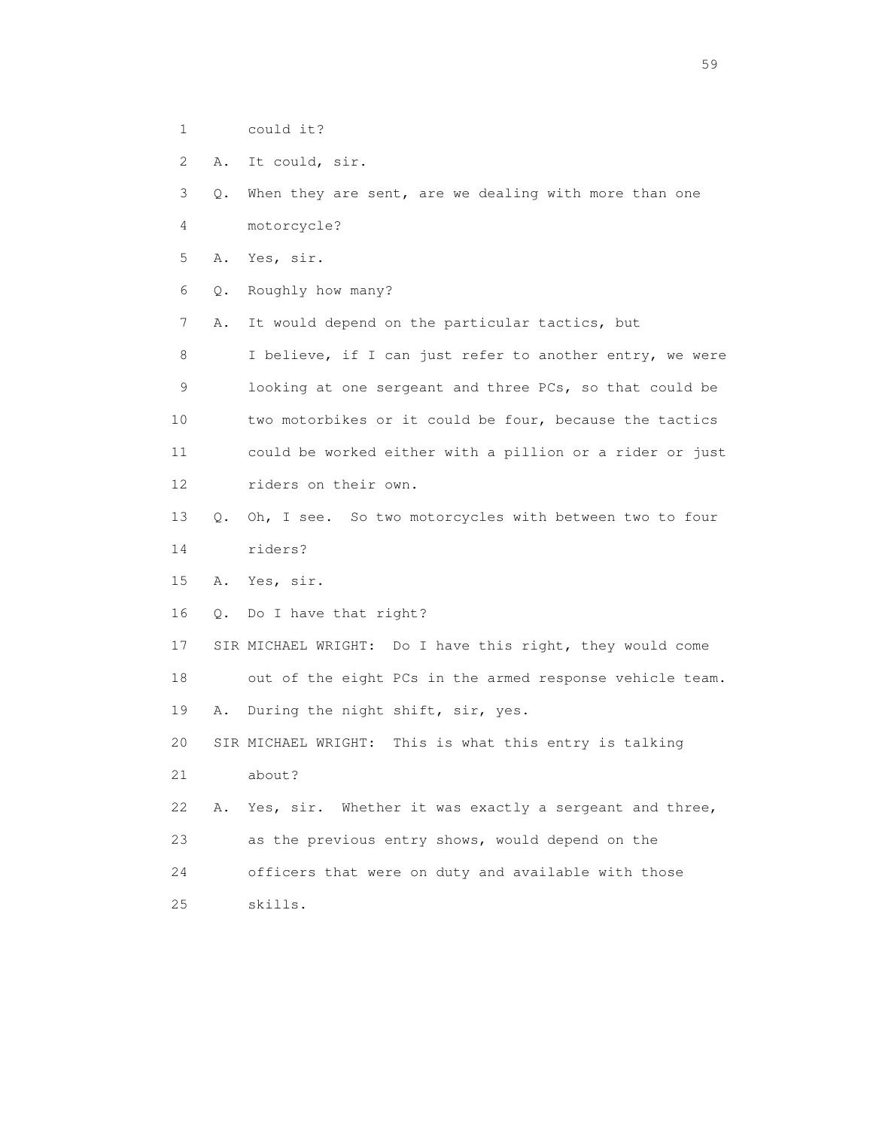- 1 could it?
- 2 A. It could, sir.

3 Q. When they are sent, are we dealing with more than one

4 motorcycle?

5 A. Yes, sir.

6 Q. Roughly how many?

7 A. It would depend on the particular tactics, but

 8 I believe, if I can just refer to another entry, we were 9 looking at one sergeant and three PCs, so that could be 10 two motorbikes or it could be four, because the tactics 11 could be worked either with a pillion or a rider or just 12 riders on their own.

- 13 Q. Oh, I see. So two motorcycles with between two to four 14 riders?
- 15 A. Yes, sir.
- 16 Q. Do I have that right?

 17 SIR MICHAEL WRIGHT: Do I have this right, they would come 18 out of the eight PCs in the armed response vehicle team. 19 A. During the night shift, sir, yes.

20 SIR MICHAEL WRIGHT: This is what this entry is talking

21 about?

22 A. Yes, sir. Whether it was exactly a sergeant and three, 23 as the previous entry shows, would depend on the 24 officers that were on duty and available with those 25 skills.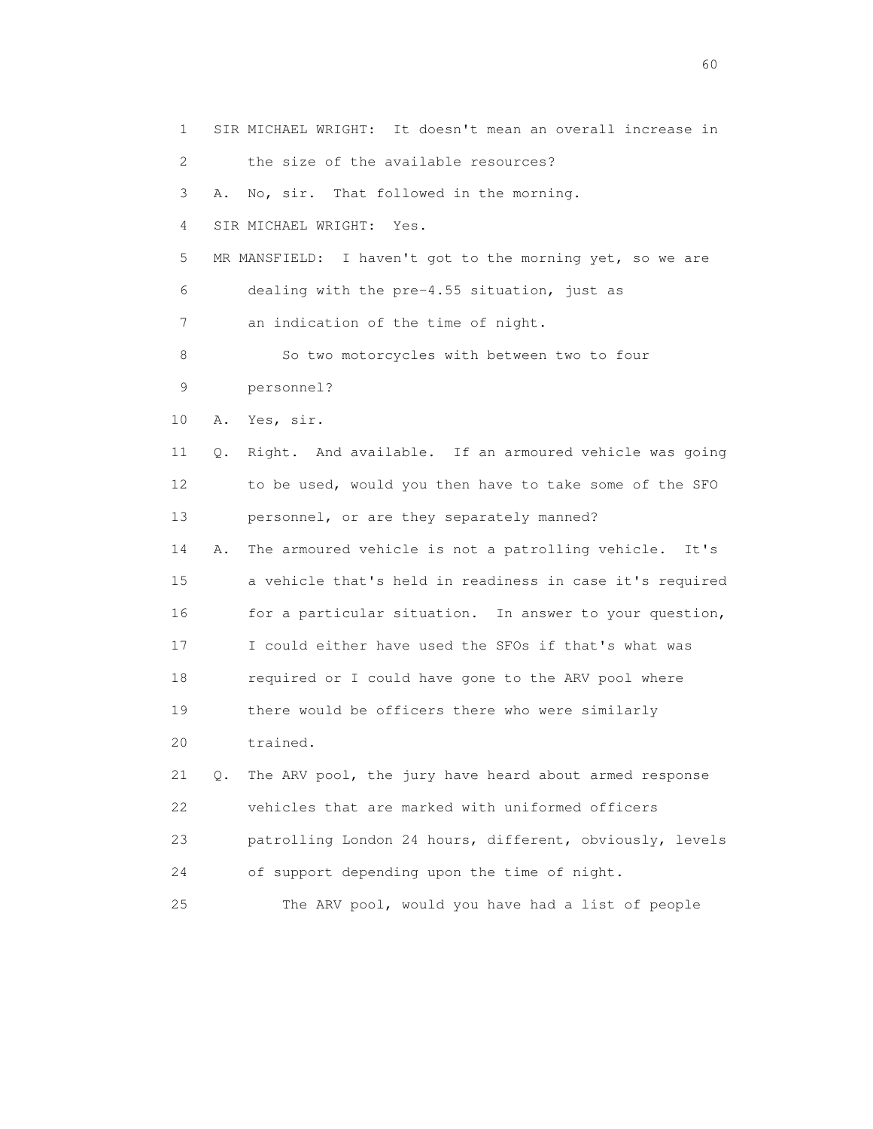1 SIR MICHAEL WRIGHT: It doesn't mean an overall increase in 2 the size of the available resources? 3 A. No, sir. That followed in the morning. 4 SIR MICHAEL WRIGHT: Yes. 5 MR MANSFIELD: I haven't got to the morning yet, so we are 6 dealing with the pre-4.55 situation, just as 7 an indication of the time of night. 8 So two motorcycles with between two to four 9 personnel? 10 A. Yes, sir. 11 Q. Right. And available. If an armoured vehicle was going 12 to be used, would you then have to take some of the SFO 13 personnel, or are they separately manned? 14 A. The armoured vehicle is not a patrolling vehicle. It's 15 a vehicle that's held in readiness in case it's required 16 for a particular situation. In answer to your question, 17 I could either have used the SFOs if that's what was 18 required or I could have gone to the ARV pool where 19 there would be officers there who were similarly 20 trained. 21 Q. The ARV pool, the jury have heard about armed response 22 vehicles that are marked with uniformed officers 23 patrolling London 24 hours, different, obviously, levels 24 of support depending upon the time of night. 25 The ARV pool, would you have had a list of people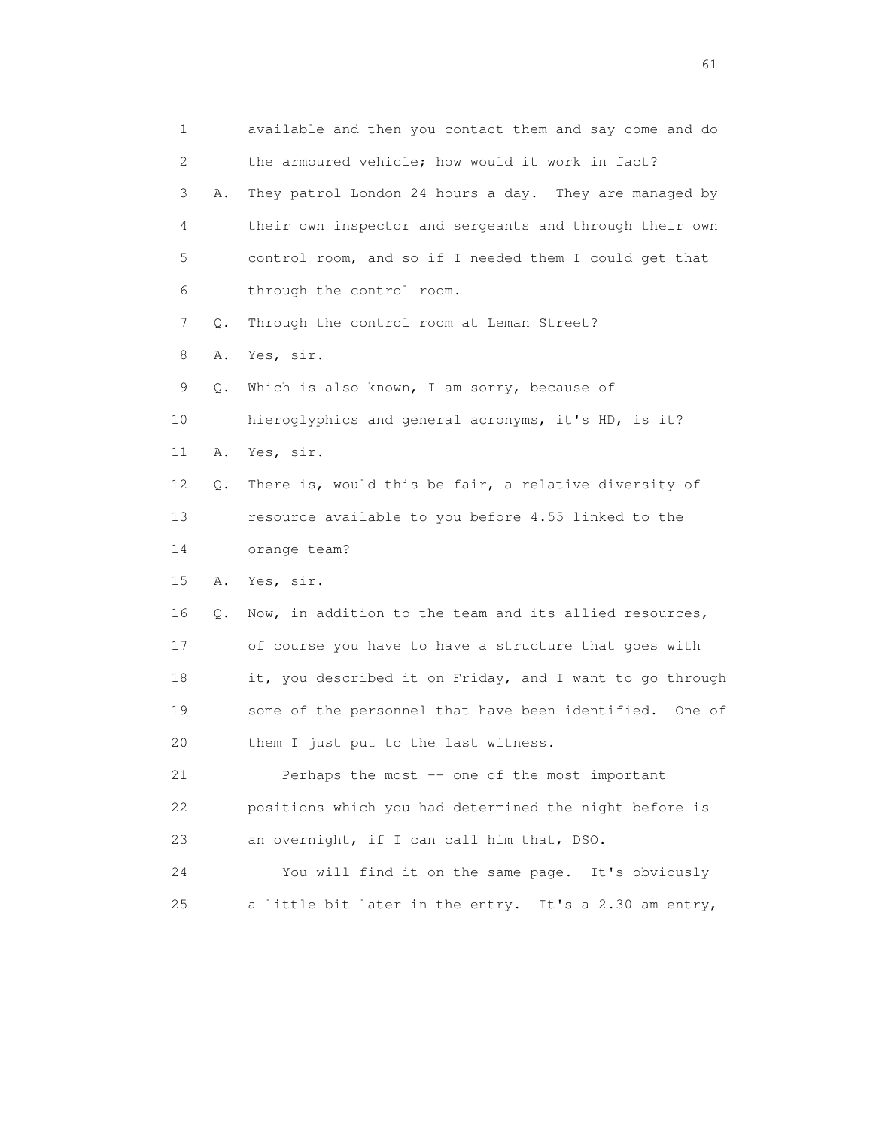1 available and then you contact them and say come and do 2 the armoured vehicle; how would it work in fact? 3 A. They patrol London 24 hours a day. They are managed by 4 their own inspector and sergeants and through their own 5 control room, and so if I needed them I could get that 6 through the control room. 7 Q. Through the control room at Leman Street? 8 A. Yes, sir. 9 Q. Which is also known, I am sorry, because of 10 hieroglyphics and general acronyms, it's HD, is it? 11 A. Yes, sir. 12 Q. There is, would this be fair, a relative diversity of 13 resource available to you before 4.55 linked to the 14 orange team? 15 A. Yes, sir. 16 Q. Now, in addition to the team and its allied resources, 17 of course you have to have a structure that goes with 18 it, you described it on Friday, and I want to go through 19 some of the personnel that have been identified. One of 20 them I just put to the last witness. 21 Perhaps the most -- one of the most important 22 positions which you had determined the night before is 23 an overnight, if I can call him that, DSO. 24 You will find it on the same page. It's obviously 25 a little bit later in the entry. It's a 2.30 am entry,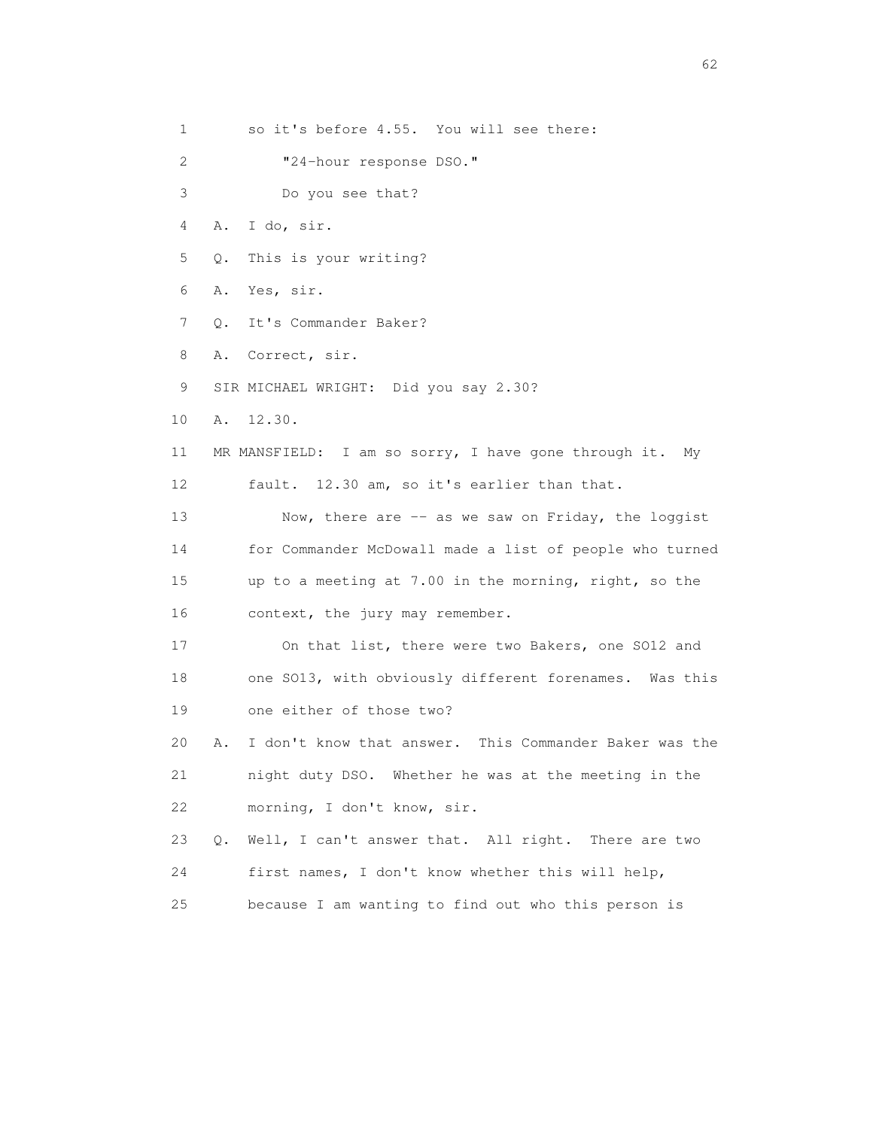1 so it's before 4.55. You will see there: 2 "24-hour response DSO." 3 Do you see that? 4 A. I do, sir. 5 Q. This is your writing? 6 A. Yes, sir. 7 Q. It's Commander Baker? 8 A. Correct, sir. 9 SIR MICHAEL WRIGHT: Did you say 2.30? 10 A. 12.30. 11 MR MANSFIELD: I am so sorry, I have gone through it. My 12 fault. 12.30 am, so it's earlier than that. 13 Now, there are -- as we saw on Friday, the loggist 14 for Commander McDowall made a list of people who turned 15 up to a meeting at 7.00 in the morning, right, so the 16 context, the jury may remember. 17 On that list, there were two Bakers, one SO12 and 18 one SO13, with obviously different forenames. Was this 19 one either of those two? 20 A. I don't know that answer. This Commander Baker was the 21 night duty DSO. Whether he was at the meeting in the 22 morning, I don't know, sir. 23 Q. Well, I can't answer that. All right. There are two 24 first names, I don't know whether this will help, 25 because I am wanting to find out who this person is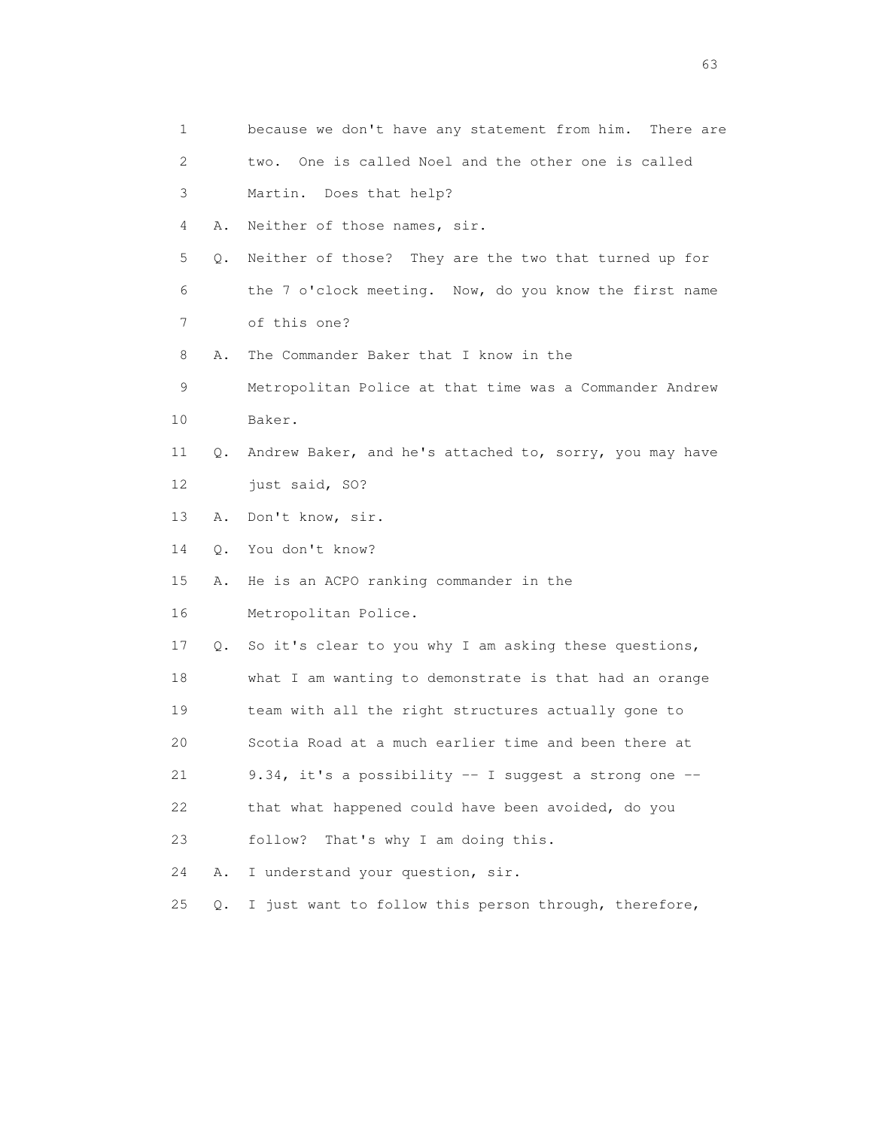| 1  |           | because we don't have any statement from him. There are |
|----|-----------|---------------------------------------------------------|
| 2  |           | One is called Noel and the other one is called<br>two.  |
| 3  |           | Martin. Does that help?                                 |
| 4  | Α.        | Neither of those names, sir.                            |
| 5  | Q.        | Neither of those? They are the two that turned up for   |
| 6  |           | the 7 o'clock meeting. Now, do you know the first name  |
| 7  |           | of this one?                                            |
| 8  | Α.        | The Commander Baker that I know in the                  |
| 9  |           | Metropolitan Police at that time was a Commander Andrew |
| 10 |           | Baker.                                                  |
| 11 | Q.        | Andrew Baker, and he's attached to, sorry, you may have |
| 12 |           | just said, SO?                                          |
| 13 | Α.        | Don't know, sir.                                        |
| 14 | $\circ$ . | You don't know?                                         |
| 15 | Α.        | He is an ACPO ranking commander in the                  |
| 16 |           | Metropolitan Police.                                    |
| 17 | Q.        | So it's clear to you why I am asking these questions,   |
| 18 |           | what I am wanting to demonstrate is that had an orange  |
| 19 |           | team with all the right structures actually gone to     |
| 20 |           | Scotia Road at a much earlier time and been there at    |
| 21 |           | 9.34, it's a possibility -- I suggest a strong one --   |
| 22 |           | that what happened could have been avoided, do you      |
| 23 |           | That's why I am doing this.<br>follow?                  |
| 24 | Α.        | I understand your question, sir.                        |
| 25 | $Q$ .     | I just want to follow this person through, therefore,   |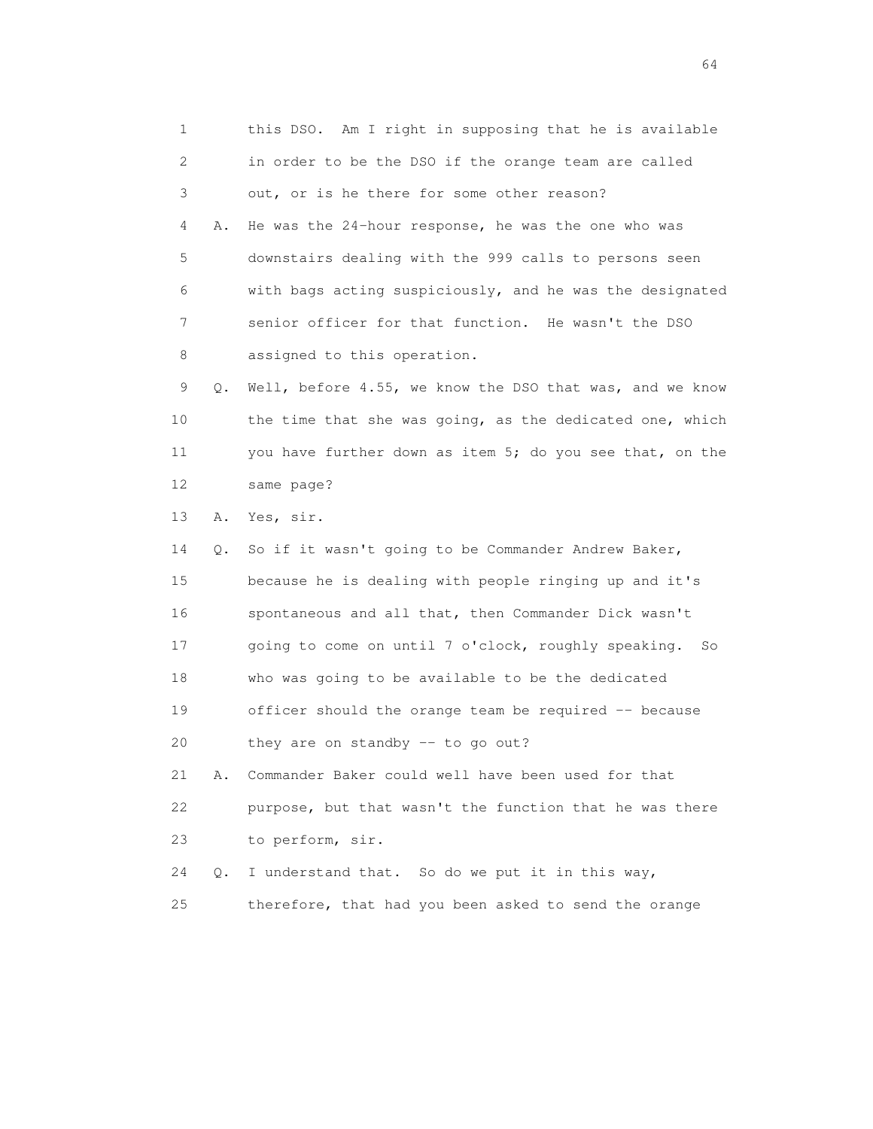1 this DSO. Am I right in supposing that he is available 2 in order to be the DSO if the orange team are called 3 out, or is he there for some other reason? 4 A. He was the 24-hour response, he was the one who was 5 downstairs dealing with the 999 calls to persons seen 6 with bags acting suspiciously, and he was the designated 7 senior officer for that function. He wasn't the DSO 8 assigned to this operation. 9 Q. Well, before 4.55, we know the DSO that was, and we know 10 the time that she was going, as the dedicated one, which 11 you have further down as item 5; do you see that, on the 12 same page? 13 A. Yes, sir. 14 Q. So if it wasn't going to be Commander Andrew Baker, 15 because he is dealing with people ringing up and it's 16 spontaneous and all that, then Commander Dick wasn't 17 going to come on until 7 o'clock, roughly speaking. So 18 who was going to be available to be the dedicated 19 officer should the orange team be required -- because 20 they are on standby -- to go out? 21 A. Commander Baker could well have been used for that 22 purpose, but that wasn't the function that he was there 23 to perform, sir. 24 Q. I understand that. So do we put it in this way, 25 therefore, that had you been asked to send the orange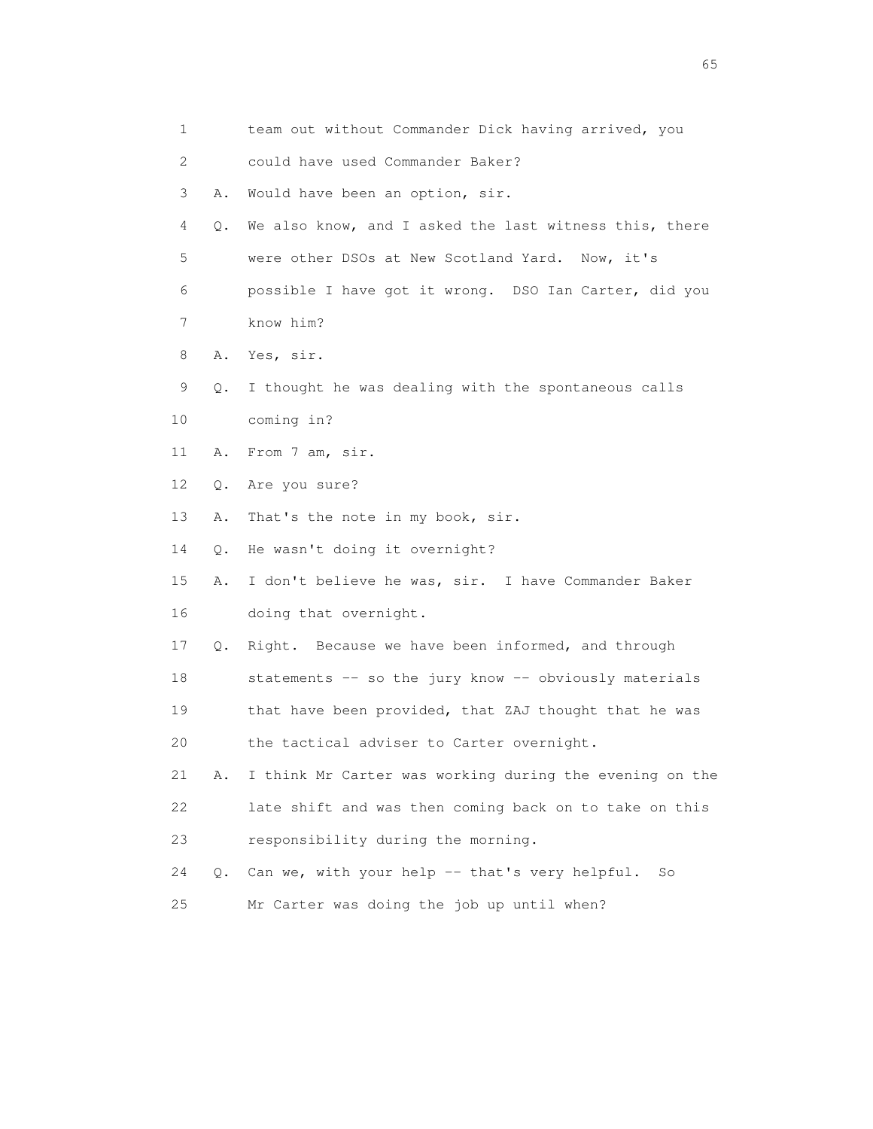|    | $\mathbf{1}$ | team out without Commander Dick having arrived, you     |
|----|--------------|---------------------------------------------------------|
|    | 2            | could have used Commander Baker?                        |
|    | 3<br>Α.      | Would have been an option, sir.                         |
|    | 4<br>О.      | We also know, and I asked the last witness this, there  |
|    | 5            | were other DSOs at New Scotland Yard. Now, it's         |
|    | 6            | possible I have got it wrong. DSO Ian Carter, did you   |
|    | 7            | know him?                                               |
|    | 8            | A. Yes, sir.                                            |
|    | 9<br>Q.      | I thought he was dealing with the spontaneous calls     |
| 10 |              | coming in?                                              |
| 11 | Α.           | From 7 am, sir.                                         |
| 12 | Q.           | Are you sure?                                           |
| 13 | Α.           | That's the note in my book, sir.                        |
| 14 | $\circ$ .    | He wasn't doing it overnight?                           |
| 15 | Α.           | I don't believe he was, sir. I have Commander Baker     |
| 16 |              | doing that overnight.                                   |
| 17 | Q.           | Right. Because we have been informed, and through       |
| 18 |              | statements -- so the jury know -- obviously materials   |
| 19 |              | that have been provided, that ZAJ thought that he was   |
| 20 |              | the tactical adviser to Carter overnight.               |
| 21 | Α.           | I think Mr Carter was working during the evening on the |
| 22 |              | late shift and was then coming back on to take on this  |
| 23 |              | responsibility during the morning.                      |
| 24 | $\circ$ .    | Can we, with your help -- that's very helpful.<br>So    |
| 25 |              | Mr Carter was doing the job up until when?              |

 $\sim$  65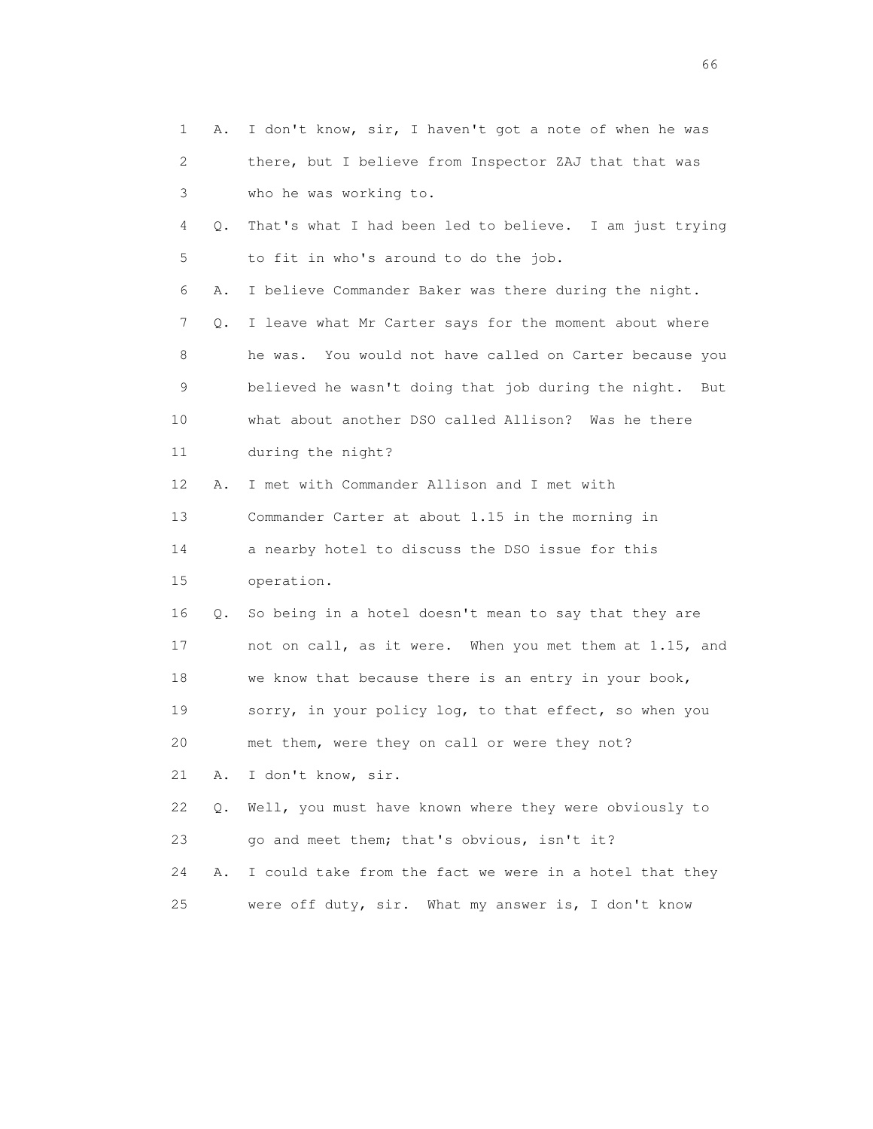| 1  | Α. | I don't know, sir, I haven't got a note of when he was  |
|----|----|---------------------------------------------------------|
| 2  |    | there, but I believe from Inspector ZAJ that that was   |
| 3  |    | who he was working to.                                  |
| 4  | Q. | That's what I had been led to believe. I am just trying |
| 5  |    | to fit in who's around to do the job.                   |
| 6  | Α. | I believe Commander Baker was there during the night.   |
| 7  | Q. | I leave what Mr Carter says for the moment about where  |
| 8  |    | he was. You would not have called on Carter because you |
| 9  |    | believed he wasn't doing that job during the night. But |
| 10 |    | what about another DSO called Allison? Was he there     |
| 11 |    | during the night?                                       |
| 12 | Α. | I met with Commander Allison and I met with             |
| 13 |    | Commander Carter at about 1.15 in the morning in        |
| 14 |    | a nearby hotel to discuss the DSO issue for this        |
| 15 |    | operation.                                              |
| 16 | Q. | So being in a hotel doesn't mean to say that they are   |
| 17 |    | not on call, as it were. When you met them at 1.15, and |
| 18 |    | we know that because there is an entry in your book,    |
| 19 |    | sorry, in your policy log, to that effect, so when you  |
| 20 |    | met them, were they on call or were they not?           |
| 21 | Α. | I don't know, sir.                                      |
| 22 | Q. | Well, you must have known where they were obviously to  |
| 23 |    | go and meet them; that's obvious, isn't it?             |
| 24 | Α. | I could take from the fact we were in a hotel that they |
| 25 |    | were off duty, sir. What my answer is, I don't know     |

 $\sim$  66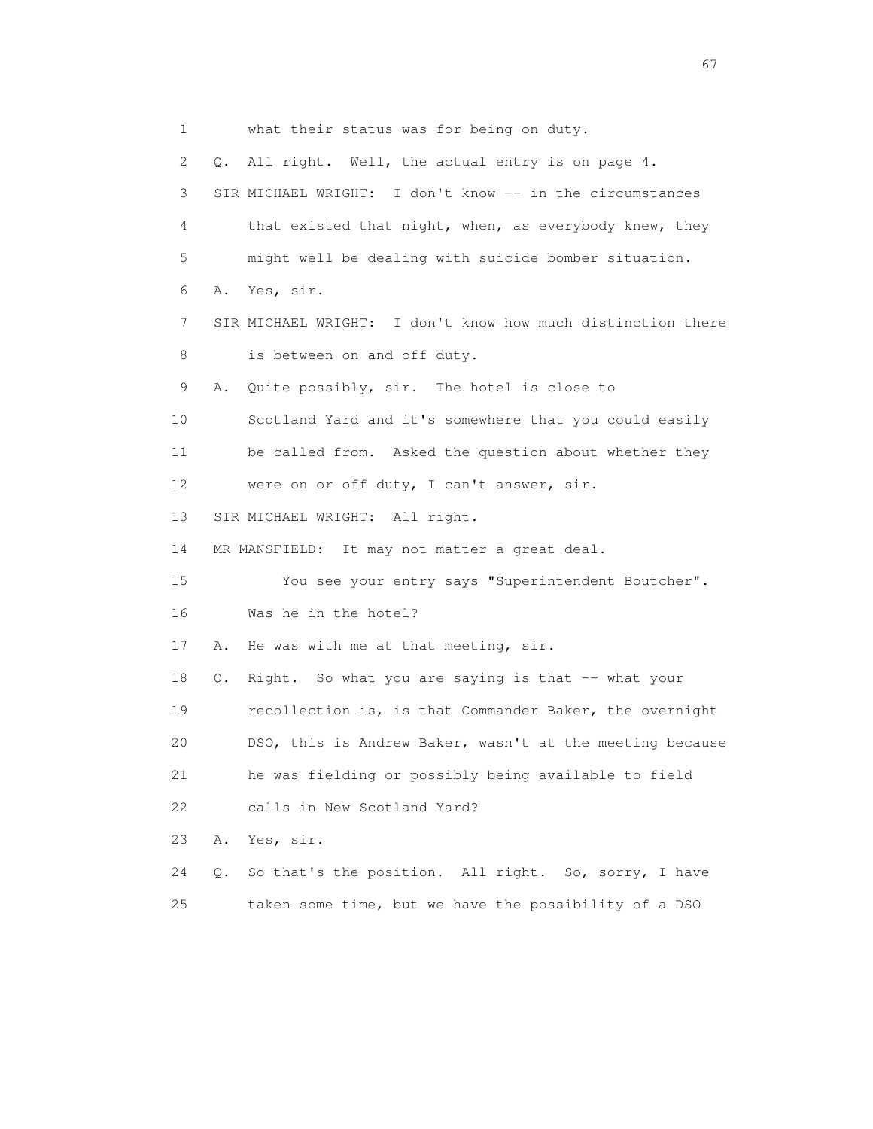1 what their status was for being on duty. 2 Q. All right. Well, the actual entry is on page 4. 3 SIR MICHAEL WRIGHT: I don't know -- in the circumstances 4 that existed that night, when, as everybody knew, they 5 might well be dealing with suicide bomber situation. 6 A. Yes, sir. 7 SIR MICHAEL WRIGHT: I don't know how much distinction there 8 is between on and off duty. 9 A. Quite possibly, sir. The hotel is close to 10 Scotland Yard and it's somewhere that you could easily 11 be called from. Asked the question about whether they 12 were on or off duty, I can't answer, sir. 13 SIR MICHAEL WRIGHT: All right. 14 MR MANSFIELD: It may not matter a great deal. 15 You see your entry says "Superintendent Boutcher". 16 Was he in the hotel? 17 A. He was with me at that meeting, sir. 18 Q. Right. So what you are saying is that -- what your 19 recollection is, is that Commander Baker, the overnight 20 DSO, this is Andrew Baker, wasn't at the meeting because 21 he was fielding or possibly being available to field 22 calls in New Scotland Yard? 23 A. Yes, sir. 24 Q. So that's the position. All right. So, sorry, I have 25 taken some time, but we have the possibility of a DSO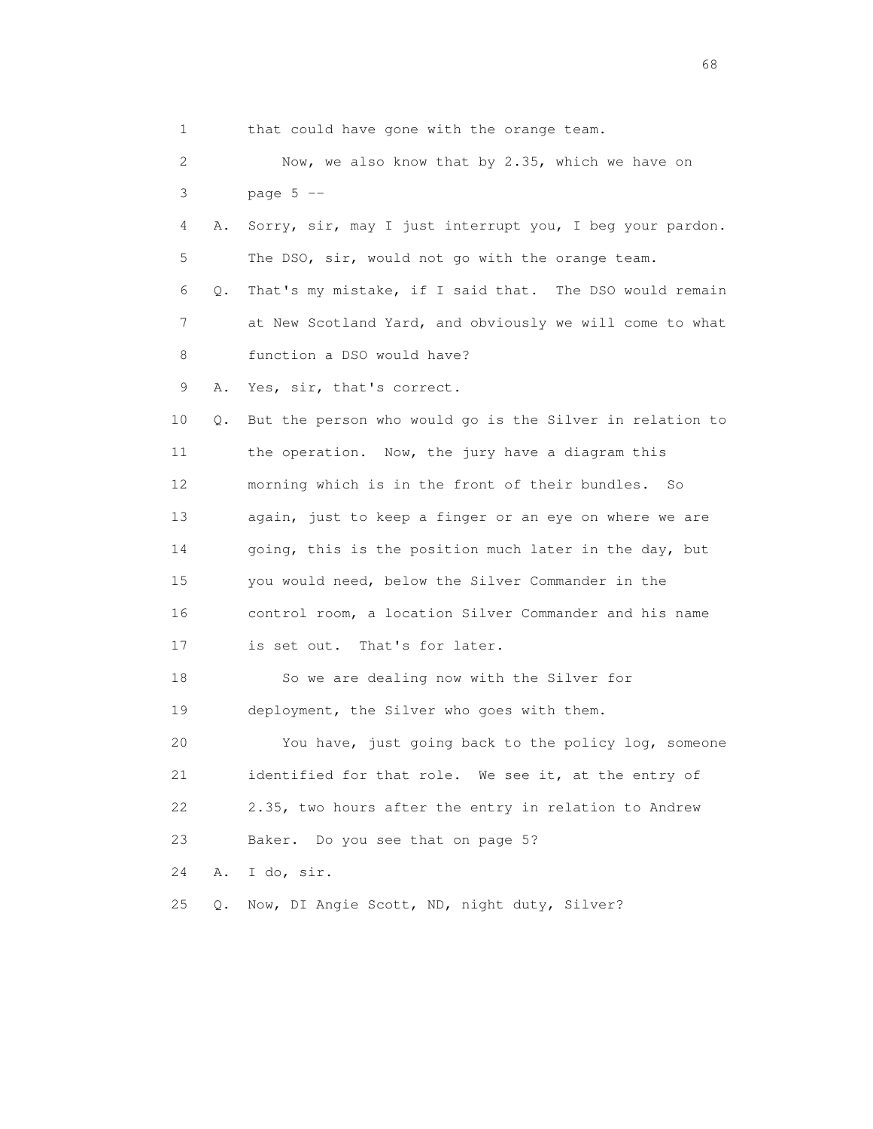1 that could have gone with the orange team. 2 Now, we also know that by 2.35, which we have on 3 page 5 -- 4 A. Sorry, sir, may I just interrupt you, I beg your pardon. 5 The DSO, sir, would not go with the orange team. 6 Q. That's my mistake, if I said that. The DSO would remain 7 at New Scotland Yard, and obviously we will come to what 8 function a DSO would have? 9 A. Yes, sir, that's correct. 10 Q. But the person who would go is the Silver in relation to 11 the operation. Now, the jury have a diagram this 12 morning which is in the front of their bundles. So 13 again, just to keep a finger or an eye on where we are 14 going, this is the position much later in the day, but 15 you would need, below the Silver Commander in the 16 control room, a location Silver Commander and his name 17 is set out. That's for later. 18 So we are dealing now with the Silver for 19 deployment, the Silver who goes with them. 20 You have, just going back to the policy log, someone 21 identified for that role. We see it, at the entry of 22 2.35, two hours after the entry in relation to Andrew 23 Baker. Do you see that on page 5? 24 A. I do, sir. 25 Q. Now, DI Angie Scott, ND, night duty, Silver?

entration of the contract of the contract of the contract of the contract of the contract of the contract of the contract of the contract of the contract of the contract of the contract of the contract of the contract of t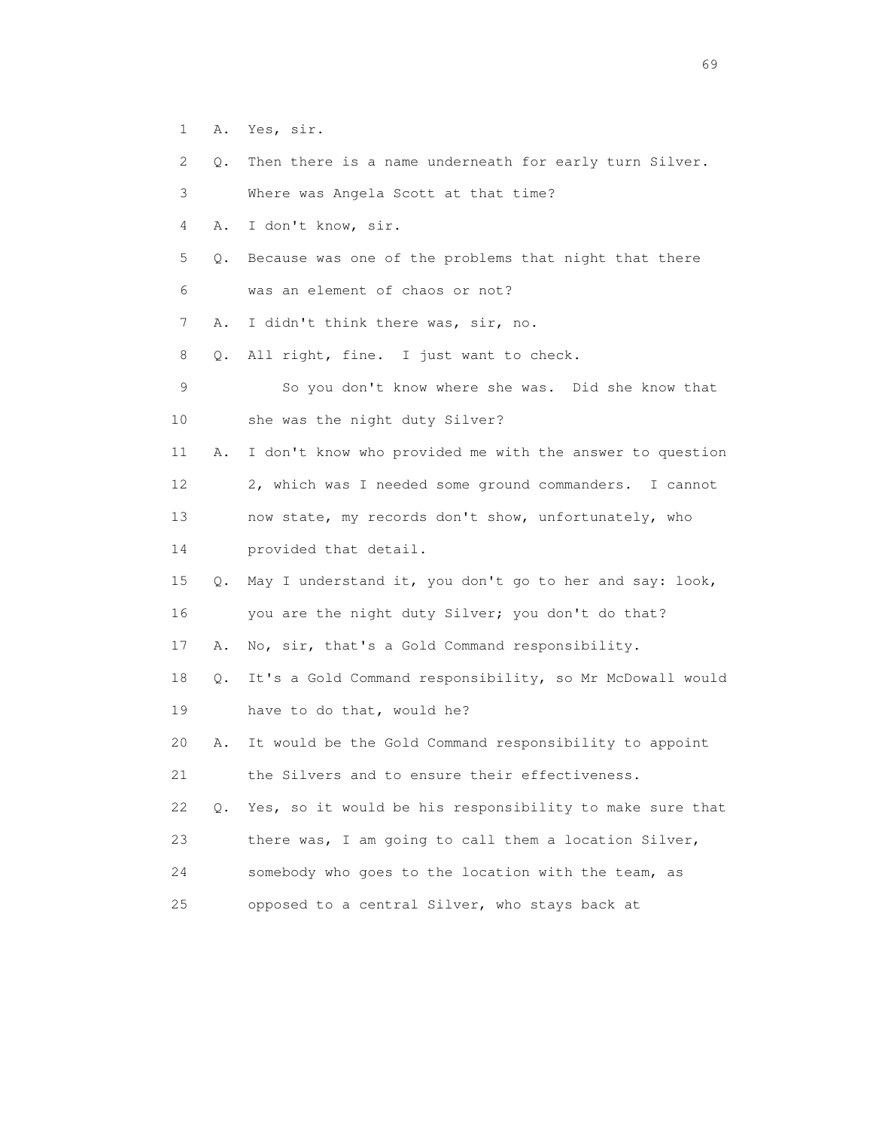- 1 A. Yes, sir.
- 2 Q. Then there is a name underneath for early turn Silver.
- 3 Where was Angela Scott at that time?
- 4 A. I don't know, sir.
- 5 Q. Because was one of the problems that night that there
- 6 was an element of chaos or not?
- 7 A. I didn't think there was, sir, no.
- 8 Q. All right, fine. I just want to check.
- 9 So you don't know where she was. Did she know that 10 she was the night duty Silver?
- 11 A. I don't know who provided me with the answer to question 12 2, which was I needed some ground commanders. I cannot 13 now state, my records don't show, unfortunately, who 14 provided that detail.
- 15 Q. May I understand it, you don't go to her and say: look,
- 16 you are the night duty Silver; you don't do that?
- 17 A. No, sir, that's a Gold Command responsibility.
- 18 Q. It's a Gold Command responsibility, so Mr McDowall would 19 have to do that, would he?
- 20 A. It would be the Gold Command responsibility to appoint 21 the Silvers and to ensure their effectiveness.
- 22 Q. Yes, so it would be his responsibility to make sure that 23 there was, I am going to call them a location Silver,
- 24 somebody who goes to the location with the team, as
- 25 opposed to a central Silver, who stays back at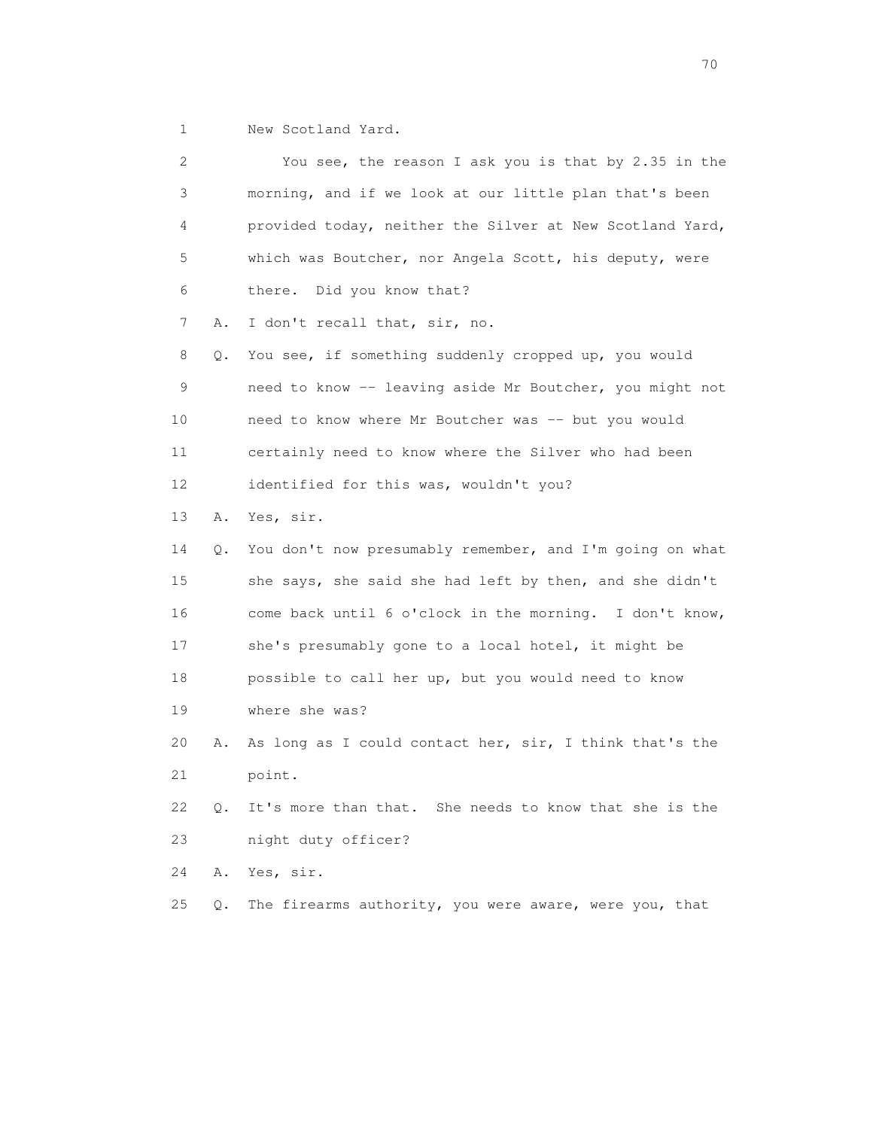1 New Scotland Yard.

| 2  |           | You see, the reason I ask you is that by 2.35 in the     |
|----|-----------|----------------------------------------------------------|
| 3  |           | morning, and if we look at our little plan that's been   |
| 4  |           | provided today, neither the Silver at New Scotland Yard, |
| 5  |           | which was Boutcher, nor Angela Scott, his deputy, were   |
| 6  |           | there.<br>Did you know that?                             |
| 7  | Α.        | I don't recall that, sir, no.                            |
| 8  | Q.        | You see, if something suddenly cropped up, you would     |
| 9  |           | need to know -- leaving aside Mr Boutcher, you might not |
| 10 |           | need to know where Mr Boutcher was -- but you would      |
| 11 |           | certainly need to know where the Silver who had been     |
| 12 |           | identified for this was, wouldn't you?                   |
| 13 | Α.        | Yes, sir.                                                |
| 14 | Q.        | You don't now presumably remember, and I'm going on what |
| 15 |           | she says, she said she had left by then, and she didn't  |
| 16 |           | come back until 6 o'clock in the morning. I don't know,  |
| 17 |           | she's presumably gone to a local hotel, it might be      |
| 18 |           | possible to call her up, but you would need to know      |
| 19 |           | where she was?                                           |
| 20 | Α.        | As long as I could contact her, sir, I think that's the  |
| 21 |           | point.                                                   |
| 22 | $\circ$ . | It's more than that. She needs to know that she is the   |
|    |           |                                                          |
| 23 |           | night duty officer?                                      |
| 24 | Α.        | Yes, sir.                                                |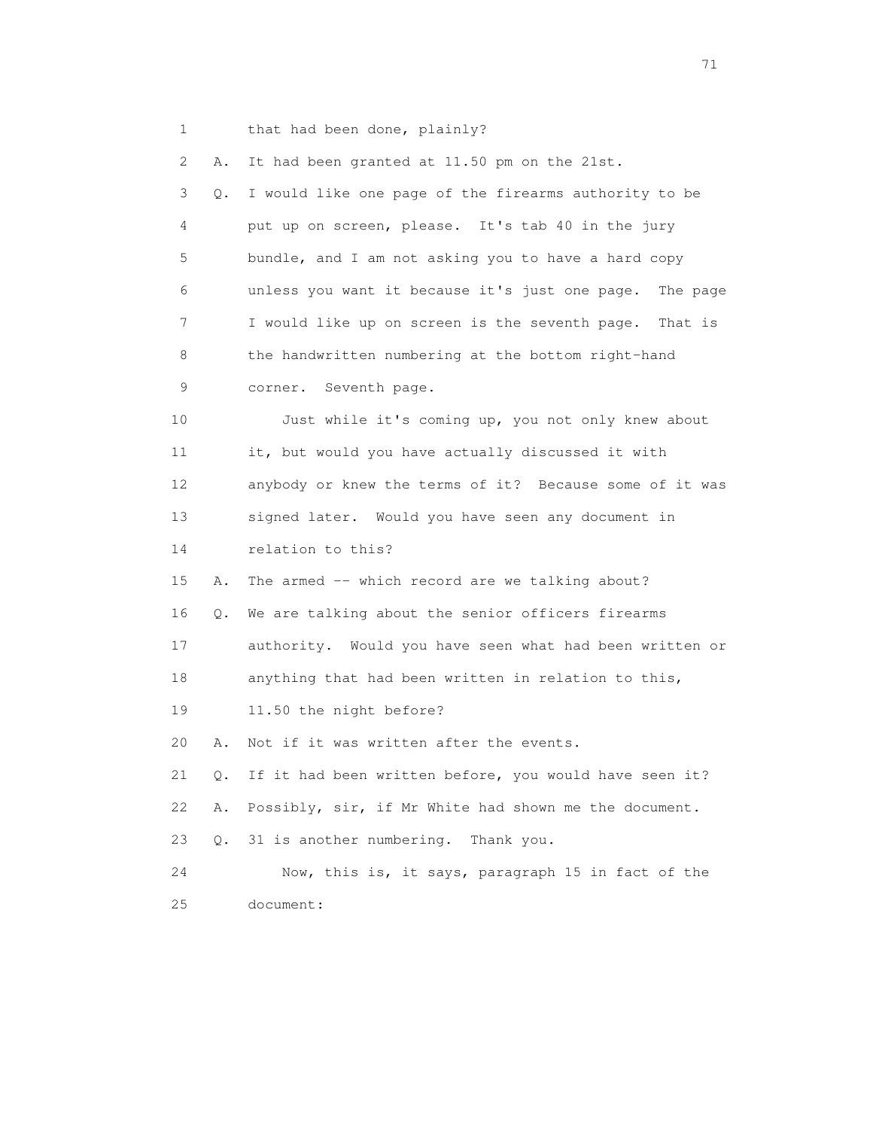1 that had been done, plainly?

 2 A. It had been granted at 11.50 pm on the 21st. 3 Q. I would like one page of the firearms authority to be 4 put up on screen, please. It's tab 40 in the jury 5 bundle, and I am not asking you to have a hard copy 6 unless you want it because it's just one page. The page 7 I would like up on screen is the seventh page. That is 8 the handwritten numbering at the bottom right-hand 9 corner. Seventh page. 10 Just while it's coming up, you not only knew about 11 it, but would you have actually discussed it with 12 anybody or knew the terms of it? Because some of it was 13 signed later. Would you have seen any document in 14 relation to this? 15 A. The armed -- which record are we talking about? 16 Q. We are talking about the senior officers firearms 17 authority. Would you have seen what had been written or 18 anything that had been written in relation to this, 19 11.50 the night before? 20 A. Not if it was written after the events. 21 Q. If it had been written before, you would have seen it? 22 A. Possibly, sir, if Mr White had shown me the document. 23 Q. 31 is another numbering. Thank you. 24 Now, this is, it says, paragraph 15 in fact of the 25 document: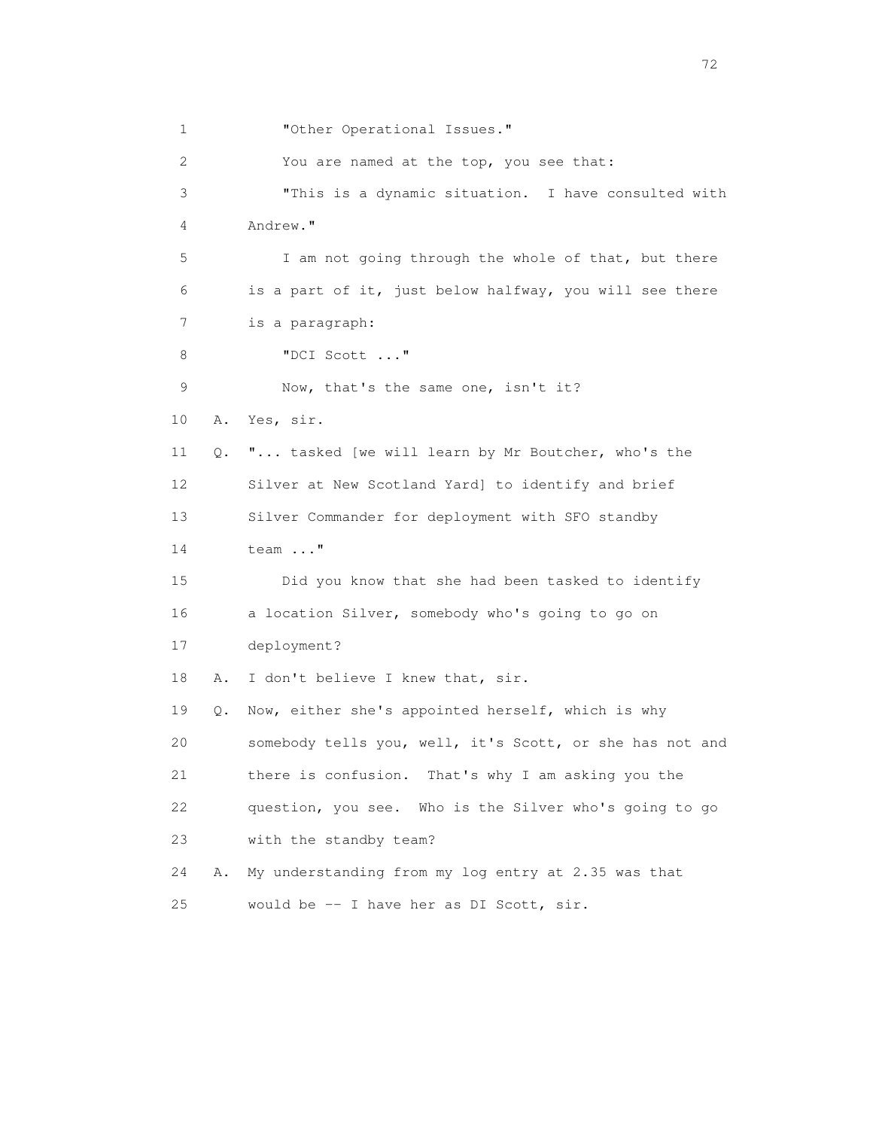1 **"Other Operational Issues."**  2 You are named at the top, you see that: 3 "This is a dynamic situation. I have consulted with 4 Andrew." 5 I am not going through the whole of that, but there 6 is a part of it, just below halfway, you will see there 7 is a paragraph: 8 "DCI Scott ..." 9 Now, that's the same one, isn't it? 10 A. Yes, sir. 11 Q. "... tasked [we will learn by Mr Boutcher, who's the 12 Silver at New Scotland Yard] to identify and brief 13 Silver Commander for deployment with SFO standby 14 team ..." 15 Did you know that she had been tasked to identify 16 a location Silver, somebody who's going to go on 17 deployment? 18 A. I don't believe I knew that, sir. 19 Q. Now, either she's appointed herself, which is why 20 somebody tells you, well, it's Scott, or she has not and 21 there is confusion. That's why I am asking you the 22 question, you see. Who is the Silver who's going to go 23 with the standby team? 24 A. My understanding from my log entry at 2.35 was that 25 would be -- I have her as DI Scott, sir.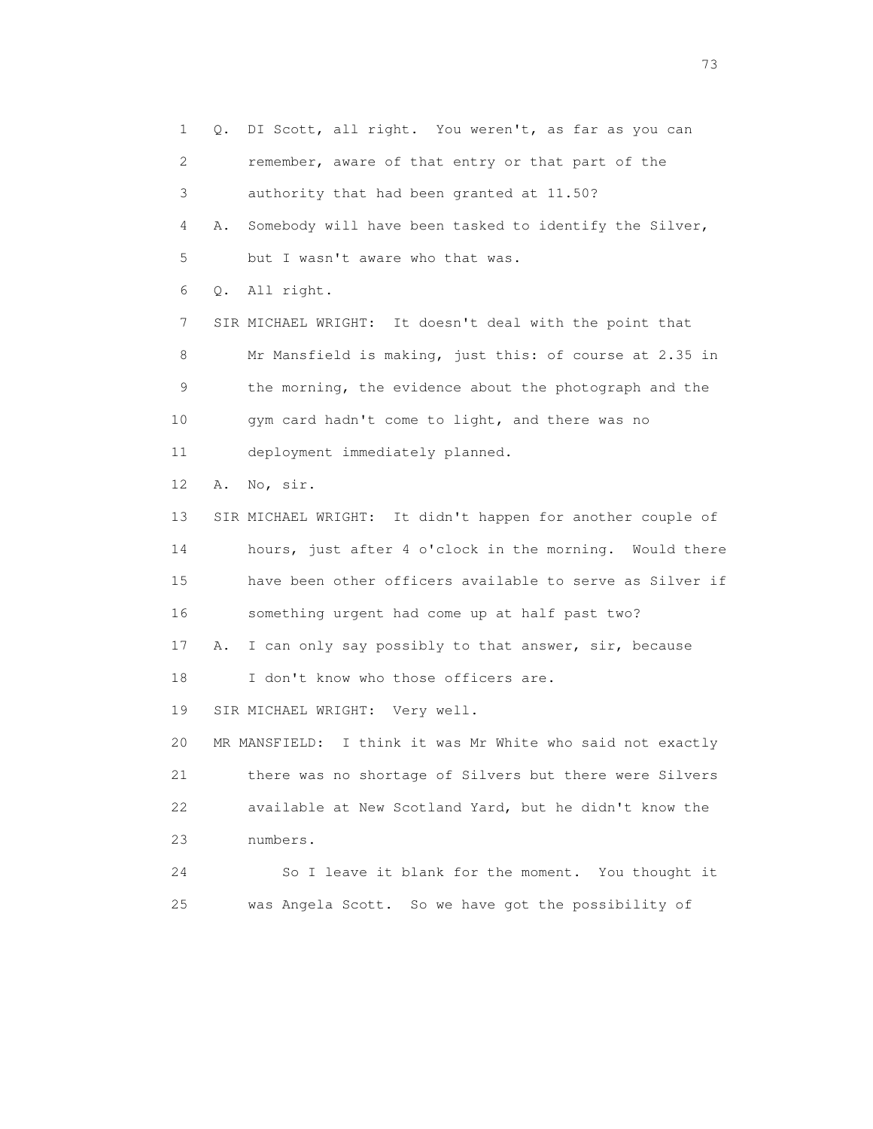1 Q. DI Scott, all right. You weren't, as far as you can 2 remember, aware of that entry or that part of the 3 authority that had been granted at 11.50? 4 A. Somebody will have been tasked to identify the Silver, 5 but I wasn't aware who that was. 6 Q. All right. 7 SIR MICHAEL WRIGHT: It doesn't deal with the point that 8 Mr Mansfield is making, just this: of course at 2.35 in 9 the morning, the evidence about the photograph and the 10 gym card hadn't come to light, and there was no 11 deployment immediately planned. 12 A. No, sir. 13 SIR MICHAEL WRIGHT: It didn't happen for another couple of 14 hours, just after 4 o'clock in the morning. Would there 15 have been other officers available to serve as Silver if 16 something urgent had come up at half past two? 17 A. I can only say possibly to that answer, sir, because 18 I don't know who those officers are. 19 SIR MICHAEL WRIGHT: Very well. 20 MR MANSFIELD: I think it was Mr White who said not exactly 21 there was no shortage of Silvers but there were Silvers 22 available at New Scotland Yard, but he didn't know the 23 numbers. 24 So I leave it blank for the moment. You thought it 25 was Angela Scott. So we have got the possibility of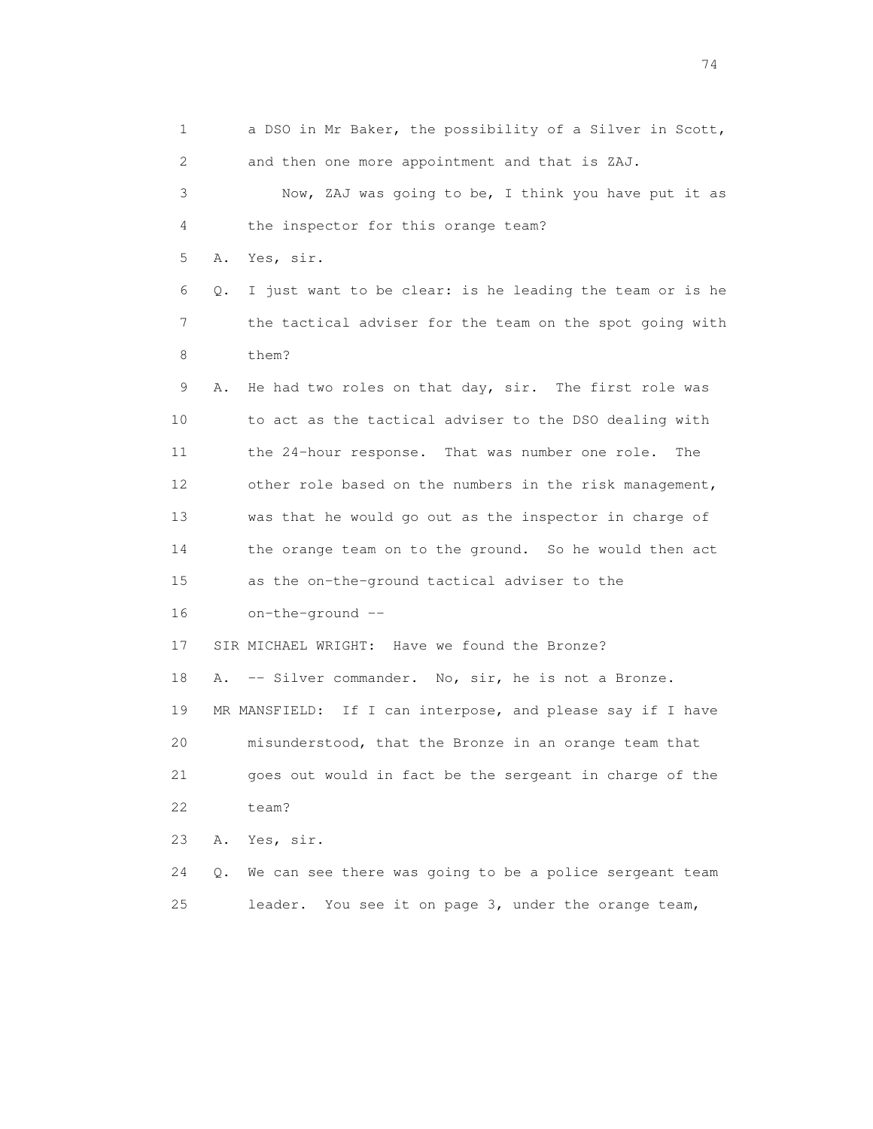1 a DSO in Mr Baker, the possibility of a Silver in Scott, 2 and then one more appointment and that is ZAJ. 3 Now, ZAJ was going to be, I think you have put it as 4 the inspector for this orange team? 5 A. Yes, sir. 6 Q. I just want to be clear: is he leading the team or is he 7 the tactical adviser for the team on the spot going with 8 them? 9 A. He had two roles on that day, sir. The first role was 10 to act as the tactical adviser to the DSO dealing with 11 the 24-hour response. That was number one role. The 12 other role based on the numbers in the risk management, 13 was that he would go out as the inspector in charge of 14 the orange team on to the ground. So he would then act 15 as the on-the-ground tactical adviser to the 16 on-the-ground -- 17 SIR MICHAEL WRIGHT: Have we found the Bronze? 18 A. -- Silver commander. No, sir, he is not a Bronze. 19 MR MANSFIELD: If I can interpose, and please say if I have 20 misunderstood, that the Bronze in an orange team that 21 goes out would in fact be the sergeant in charge of the 22 team? 23 A. Yes, sir. 24 Q. We can see there was going to be a police sergeant team 25 leader. You see it on page 3, under the orange team,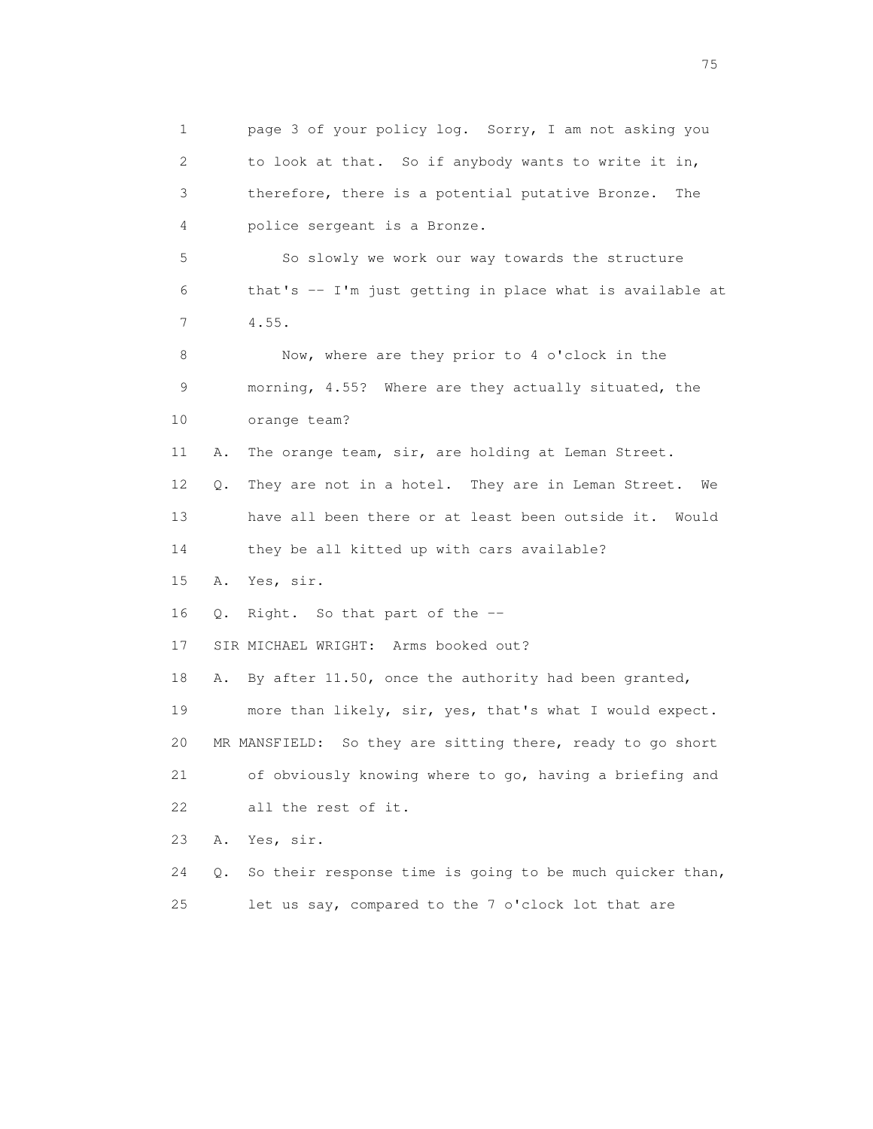1 page 3 of your policy log. Sorry, I am not asking you 2 to look at that. So if anybody wants to write it in, 3 therefore, there is a potential putative Bronze. The 4 police sergeant is a Bronze. 5 So slowly we work our way towards the structure 6 that's -- I'm just getting in place what is available at 7 4.55. 8 Now, where are they prior to 4 o'clock in the 9 morning, 4.55? Where are they actually situated, the 10 orange team? 11 A. The orange team, sir, are holding at Leman Street. 12 Q. They are not in a hotel. They are in Leman Street. We 13 have all been there or at least been outside it. Would 14 they be all kitted up with cars available? 15 A. Yes, sir. 16 Q. Right. So that part of the -- 17 SIR MICHAEL WRIGHT: Arms booked out? 18 A. By after 11.50, once the authority had been granted, 19 more than likely, sir, yes, that's what I would expect. 20 MR MANSFIELD: So they are sitting there, ready to go short 21 of obviously knowing where to go, having a briefing and 22 all the rest of it. 23 A. Yes, sir. 24 Q. So their response time is going to be much quicker than, 25 let us say, compared to the 7 o'clock lot that are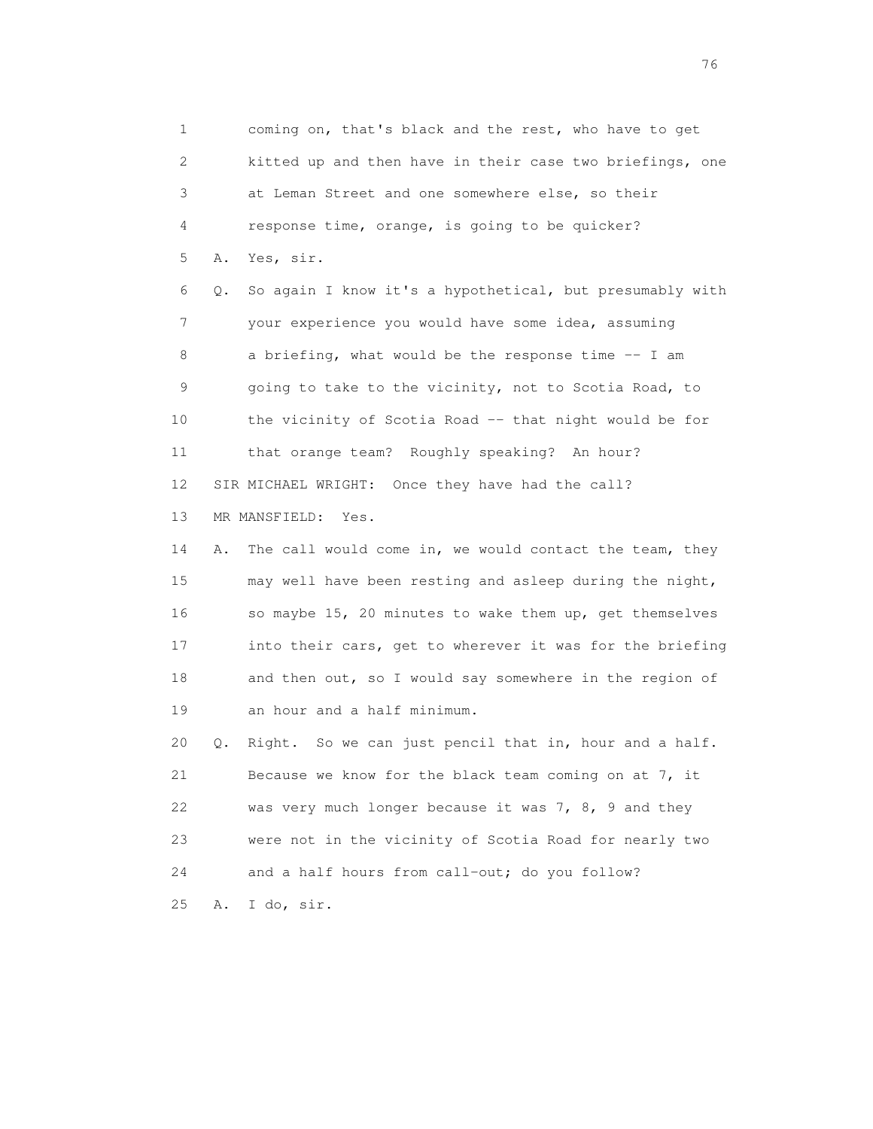1 coming on, that's black and the rest, who have to get 2 kitted up and then have in their case two briefings, one 3 at Leman Street and one somewhere else, so their 4 response time, orange, is going to be quicker? 5 A. Yes, sir. 6 Q. So again I know it's a hypothetical, but presumably with 7 your experience you would have some idea, assuming 8 a briefing, what would be the response time -- I am 9 going to take to the vicinity, not to Scotia Road, to 10 the vicinity of Scotia Road -- that night would be for 11 that orange team? Roughly speaking? An hour? 12 SIR MICHAEL WRIGHT: Once they have had the call? 13 MR MANSFIELD: Yes. 14 A. The call would come in, we would contact the team, they 15 may well have been resting and asleep during the night, 16 so maybe 15, 20 minutes to wake them up, get themselves 17 into their cars, get to wherever it was for the briefing 18 and then out, so I would say somewhere in the region of 19 an hour and a half minimum. 20 Q. Right. So we can just pencil that in, hour and a half. 21 Because we know for the black team coming on at 7, it 22 was very much longer because it was 7, 8, 9 and they 23 were not in the vicinity of Scotia Road for nearly two 24 and a half hours from call-out; do you follow? 25 A. I do, sir.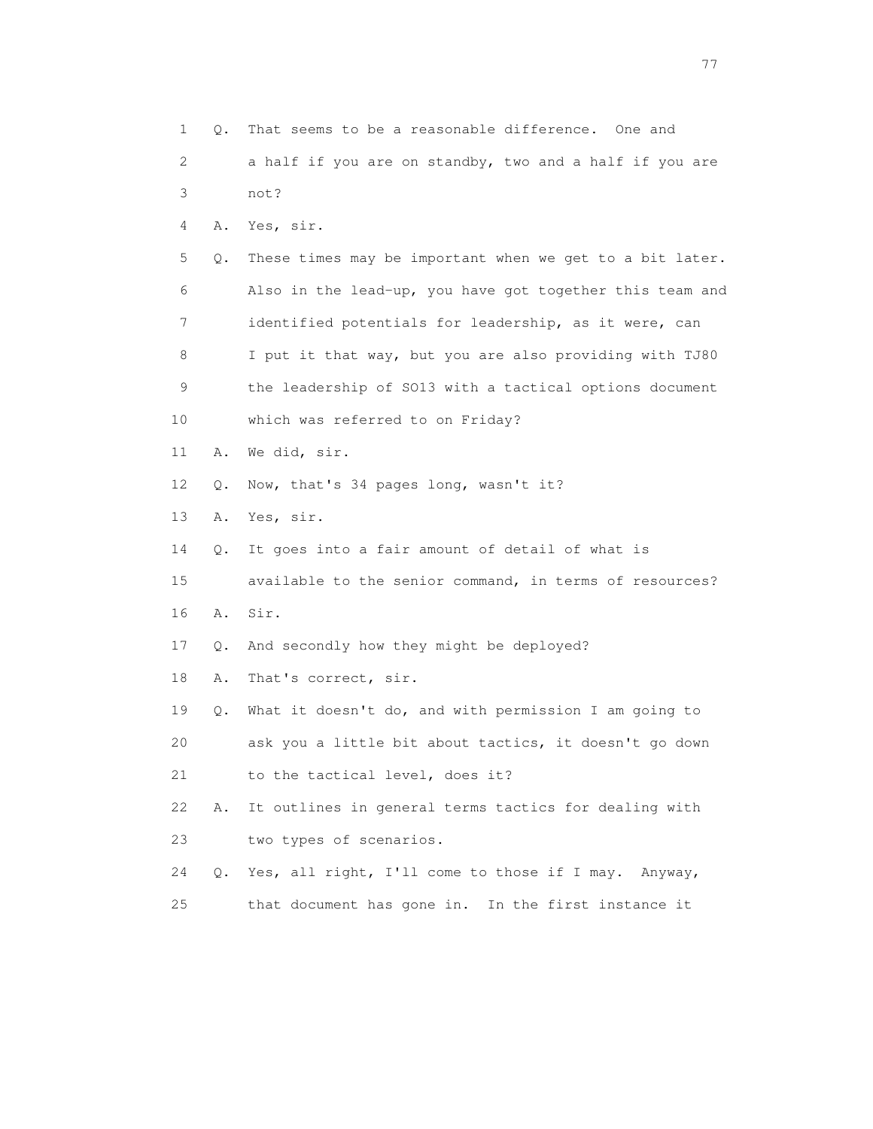1 Q. That seems to be a reasonable difference. One and 2 a half if you are on standby, two and a half if you are 3 not? 4 A. Yes, sir. 5 Q. These times may be important when we get to a bit later. 6 Also in the lead-up, you have got together this team and 7 identified potentials for leadership, as it were, can 8 I put it that way, but you are also providing with TJ80 9 the leadership of SO13 with a tactical options document 10 which was referred to on Friday? 11 A. We did, sir. 12 Q. Now, that's 34 pages long, wasn't it? 13 A. Yes, sir. 14 Q. It goes into a fair amount of detail of what is 15 available to the senior command, in terms of resources? 16 A. Sir. 17 Q. And secondly how they might be deployed? 18 A. That's correct, sir. 19 Q. What it doesn't do, and with permission I am going to 20 ask you a little bit about tactics, it doesn't go down 21 to the tactical level, does it? 22 A. It outlines in general terms tactics for dealing with 23 two types of scenarios. 24 Q. Yes, all right, I'll come to those if I may. Anyway, 25 that document has gone in. In the first instance it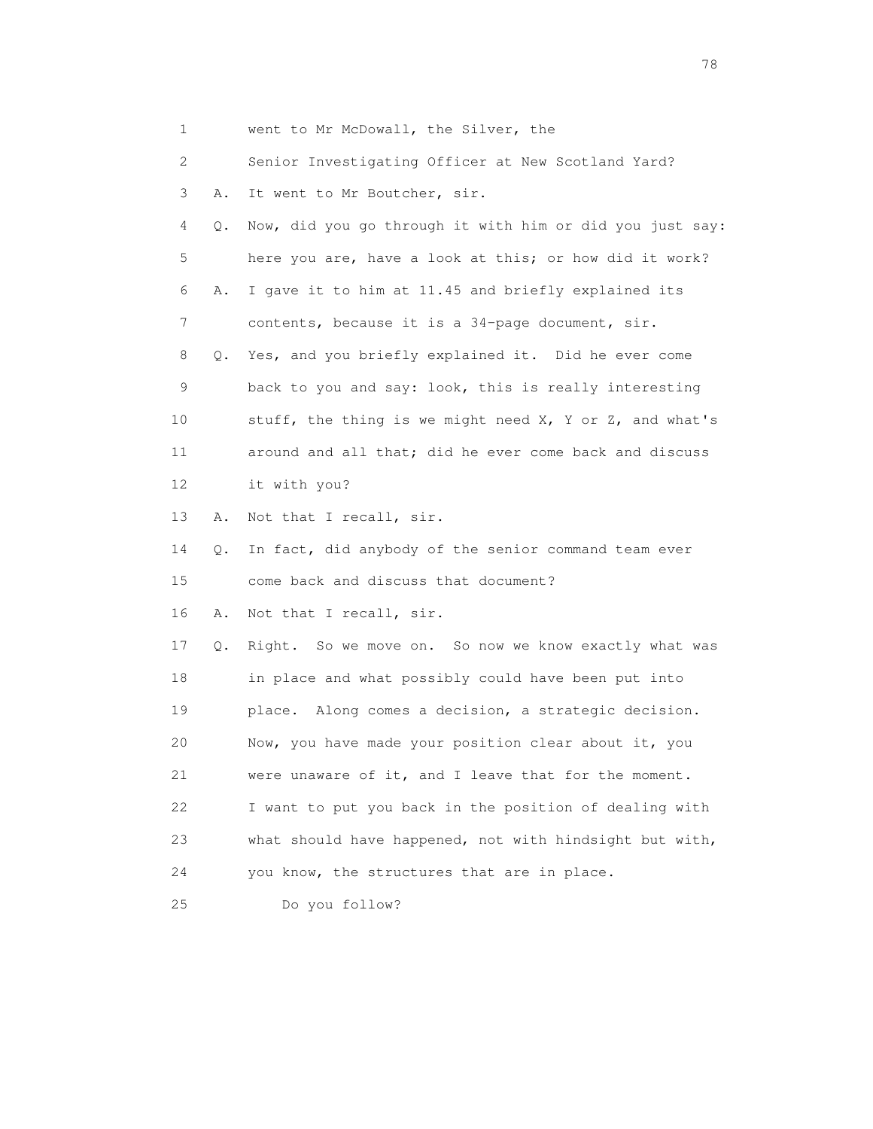| 1  |    | went to Mr McDowall, the Silver, the                     |
|----|----|----------------------------------------------------------|
| 2  |    | Senior Investigating Officer at New Scotland Yard?       |
| 3  | Α. | It went to Mr Boutcher, sir.                             |
| 4  | Q. | Now, did you go through it with him or did you just say: |
| 5  |    | here you are, have a look at this; or how did it work?   |
| 6  | Α. | I gave it to him at 11.45 and briefly explained its      |
| 7  |    | contents, because it is a 34-page document, sir.         |
| 8  | Q. | Yes, and you briefly explained it. Did he ever come      |
| 9  |    | back to you and say: look, this is really interesting    |
| 10 |    | stuff, the thing is we might need X, Y or Z, and what's  |
| 11 |    | around and all that; did he ever come back and discuss   |
| 12 |    | it with you?                                             |
| 13 | Α. | Not that I recall, sir.                                  |
| 14 | Q. | In fact, did anybody of the senior command team ever     |
| 15 |    | come back and discuss that document?                     |
| 16 | Α. | Not that I recall, sir.                                  |
| 17 | Q. | Right. So we move on. So now we know exactly what was    |
| 18 |    | in place and what possibly could have been put into      |
| 19 |    | place. Along comes a decision, a strategic decision.     |
| 20 |    | Now, you have made your position clear about it, you     |
| 21 |    | were unaware of it, and I leave that for the moment.     |
| 22 |    | I want to put you back in the position of dealing with   |
| 23 |    | what should have happened, not with hindsight but with,  |
| 24 |    | you know, the structures that are in place.              |
| 25 |    | Do you follow?                                           |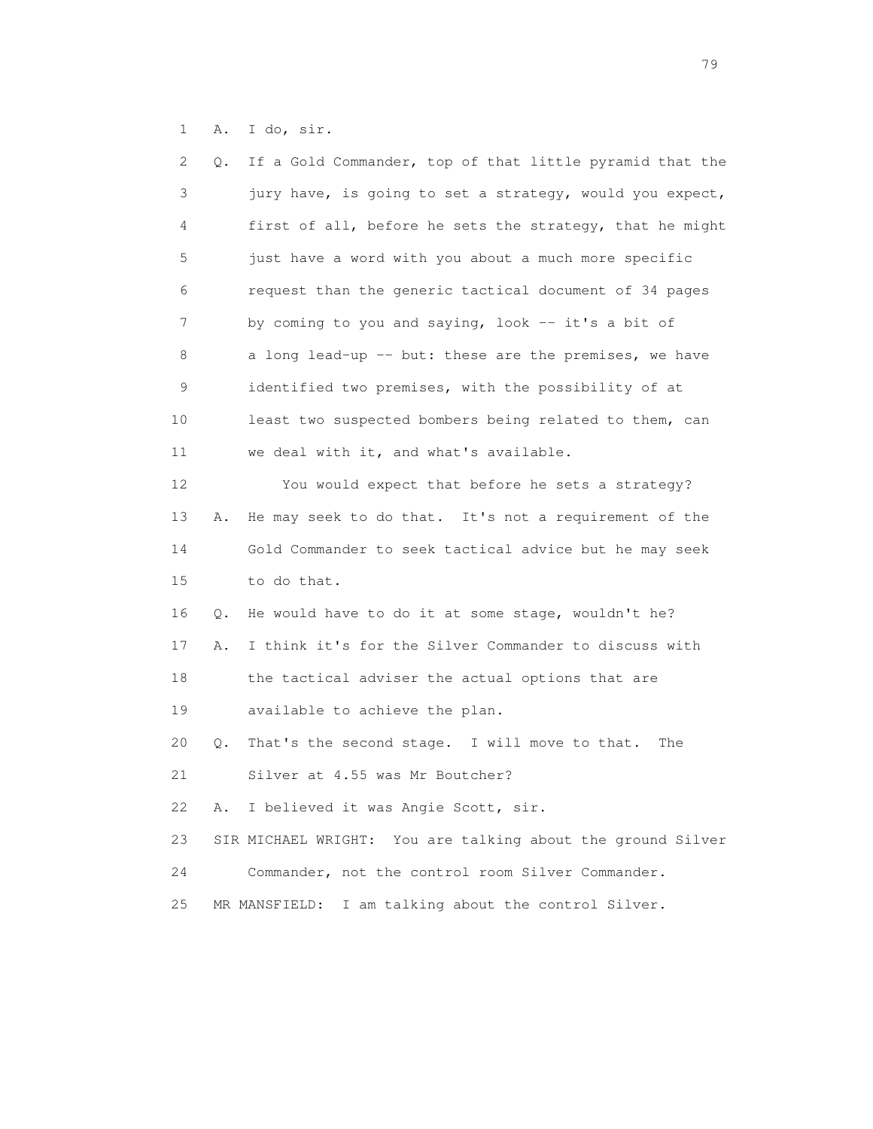1 A. I do, sir.

| 2  | Q. | If a Gold Commander, top of that little pyramid that the    |
|----|----|-------------------------------------------------------------|
| 3  |    | jury have, is going to set a strategy, would you expect,    |
| 4  |    | first of all, before he sets the strategy, that he might    |
| 5  |    | just have a word with you about a much more specific        |
| 6  |    | request than the generic tactical document of 34 pages      |
| 7  |    | by coming to you and saying, look -- it's a bit of          |
| 8  |    | a long lead-up -- but: these are the premises, we have      |
| 9  |    | identified two premises, with the possibility of at         |
| 10 |    | least two suspected bombers being related to them, can      |
| 11 |    | we deal with it, and what's available.                      |
| 12 |    | You would expect that before he sets a strategy?            |
| 13 | Α. | He may seek to do that. It's not a requirement of the       |
| 14 |    | Gold Commander to seek tactical advice but he may seek      |
| 15 |    | to do that.                                                 |
| 16 | Q. | He would have to do it at some stage, wouldn't he?          |
| 17 | Α. | I think it's for the Silver Commander to discuss with       |
| 18 |    | the tactical adviser the actual options that are            |
| 19 |    | available to achieve the plan.                              |
| 20 | Q. | That's the second stage. I will move to that.<br>The        |
| 21 |    | Silver at 4.55 was Mr Boutcher?                             |
| 22 | Α. | I believed it was Angie Scott, sir.                         |
| 23 |    | SIR MICHAEL WRIGHT: You are talking about the ground Silver |
| 24 |    | Commander, not the control room Silver Commander.           |
| 25 |    | I am talking about the control Silver.<br>MR MANSFIELD:     |
|    |    |                                                             |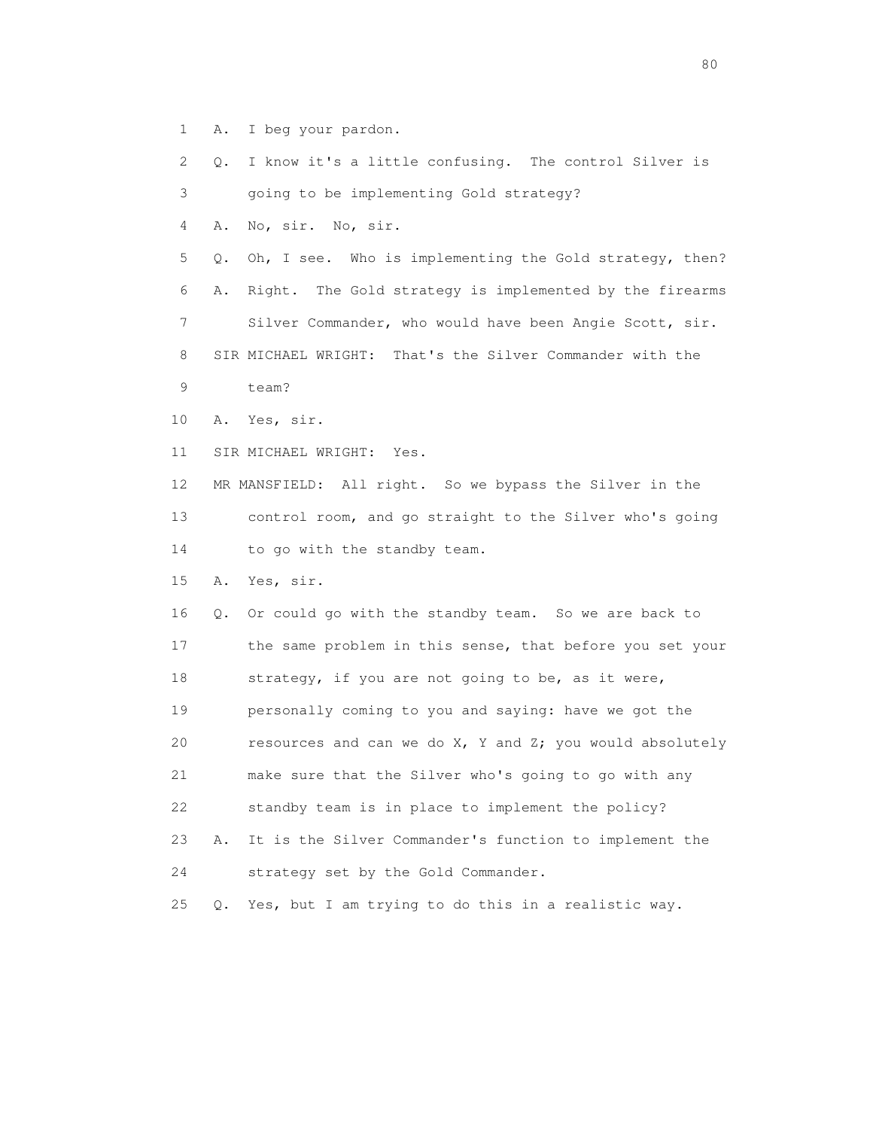- 1 A. I beg your pardon.
- 2 Q. I know it's a little confusing. The control Silver is
- 3 going to be implementing Gold strategy?
- 4 A. No, sir. No, sir.

 5 Q. Oh, I see. Who is implementing the Gold strategy, then? 6 A. Right. The Gold strategy is implemented by the firearms 7 Silver Commander, who would have been Angie Scott, sir. 8 SIR MICHAEL WRIGHT: That's the Silver Commander with the 9 team?

- 10 A. Yes, sir.
- 11 SIR MICHAEL WRIGHT: Yes.

 12 MR MANSFIELD: All right. So we bypass the Silver in the 13 control room, and go straight to the Silver who's going 14 to go with the standby team.

15 A. Yes, sir.

 16 Q. Or could go with the standby team. So we are back to 17 the same problem in this sense, that before you set your 18 strategy, if you are not going to be, as it were, 19 personally coming to you and saying: have we got the 20 resources and can we do X, Y and Z; you would absolutely 21 make sure that the Silver who's going to go with any 22 standby team is in place to implement the policy? 23 A. It is the Silver Commander's function to implement the 24 strategy set by the Gold Commander.

25 Q. Yes, but I am trying to do this in a realistic way.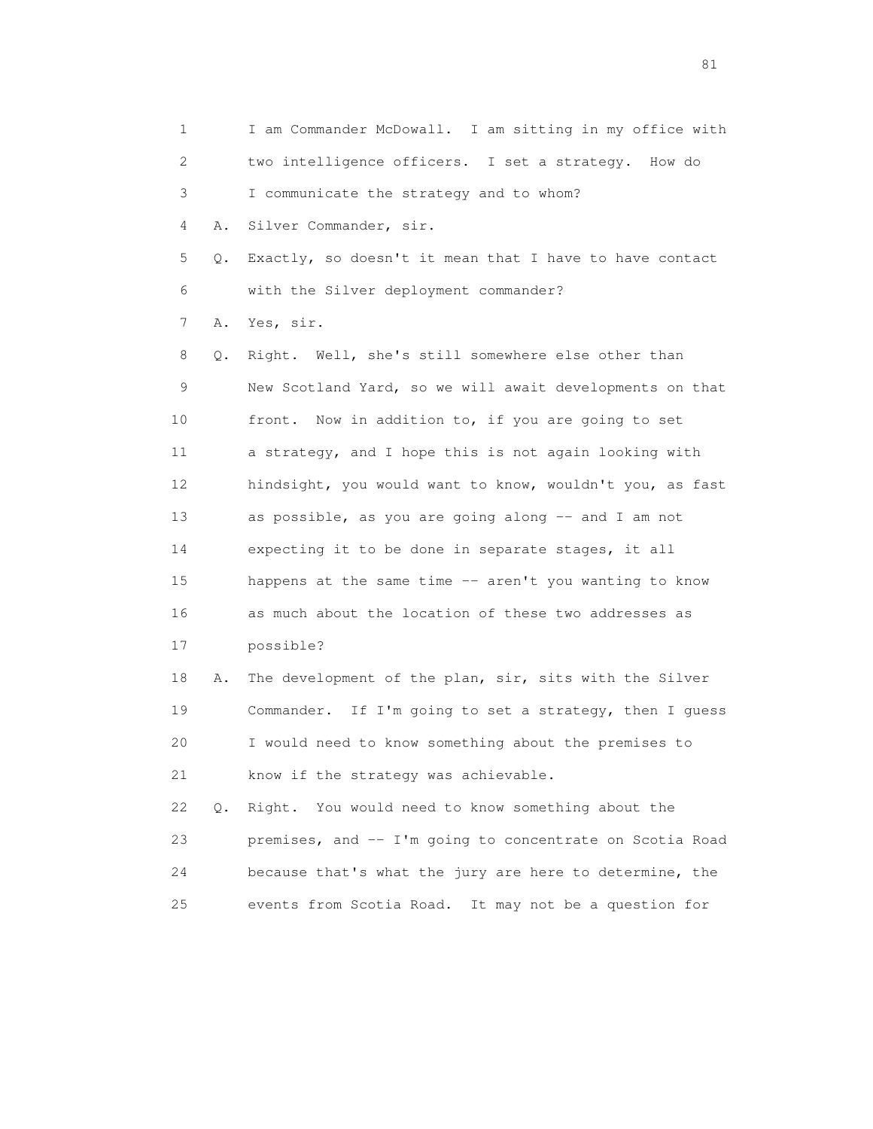1 I am Commander McDowall. I am sitting in my office with 2 two intelligence officers. I set a strategy. How do 3 I communicate the strategy and to whom? 4 A. Silver Commander, sir. 5 Q. Exactly, so doesn't it mean that I have to have contact 6 with the Silver deployment commander? 7 A. Yes, sir. 8 Q. Right. Well, she's still somewhere else other than 9 New Scotland Yard, so we will await developments on that 10 front. Now in addition to, if you are going to set 11 a strategy, and I hope this is not again looking with 12 hindsight, you would want to know, wouldn't you, as fast 13 as possible, as you are going along -- and I am not 14 expecting it to be done in separate stages, it all 15 happens at the same time -- aren't you wanting to know 16 as much about the location of these two addresses as 17 possible? 18 A. The development of the plan, sir, sits with the Silver 19 Commander. If I'm going to set a strategy, then I guess 20 I would need to know something about the premises to 21 know if the strategy was achievable. 22 Q. Right. You would need to know something about the 23 premises, and -- I'm going to concentrate on Scotia Road 24 because that's what the jury are here to determine, the

25 events from Scotia Road. It may not be a question for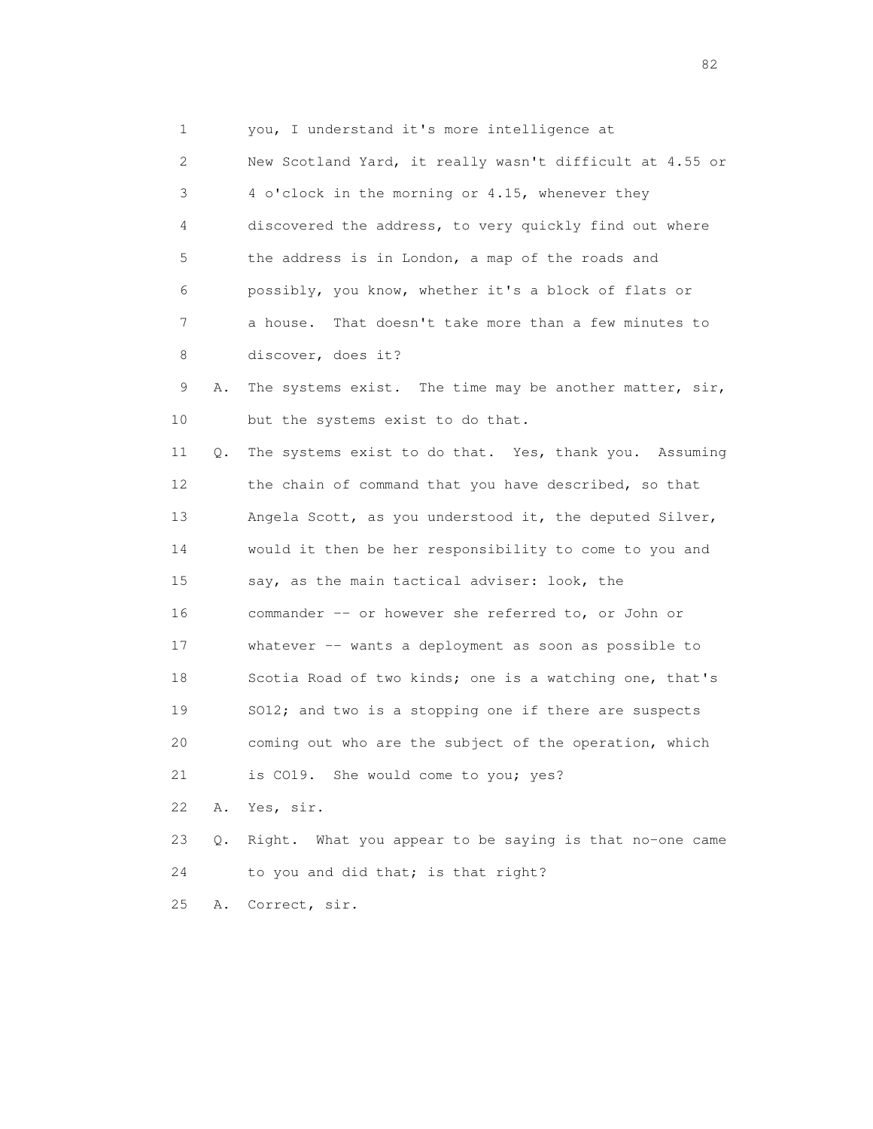1 you, I understand it's more intelligence at 2 New Scotland Yard, it really wasn't difficult at 4.55 or 3 4 o'clock in the morning or 4.15, whenever they 4 discovered the address, to very quickly find out where 5 the address is in London, a map of the roads and 6 possibly, you know, whether it's a block of flats or 7 a house. That doesn't take more than a few minutes to 8 discover, does it? 9 A. The systems exist. The time may be another matter, sir, 10 but the systems exist to do that. 11 Q. The systems exist to do that. Yes, thank you. Assuming 12 the chain of command that you have described, so that 13 Angela Scott, as you understood it, the deputed Silver, 14 would it then be her responsibility to come to you and 15 say, as the main tactical adviser: look, the 16 commander -- or however she referred to, or John or 17 whatever -- wants a deployment as soon as possible to 18 Scotia Road of two kinds; one is a watching one, that's 19 SO12; and two is a stopping one if there are suspects 20 coming out who are the subject of the operation, which 21 is CO19. She would come to you; yes? 22 A. Yes, sir. 23 Q. Right. What you appear to be saying is that no-one came 24 to you and did that; is that right? 25 A. Correct, sir.

experience of the state of the state of the state of the state of the state of the state of the state of the s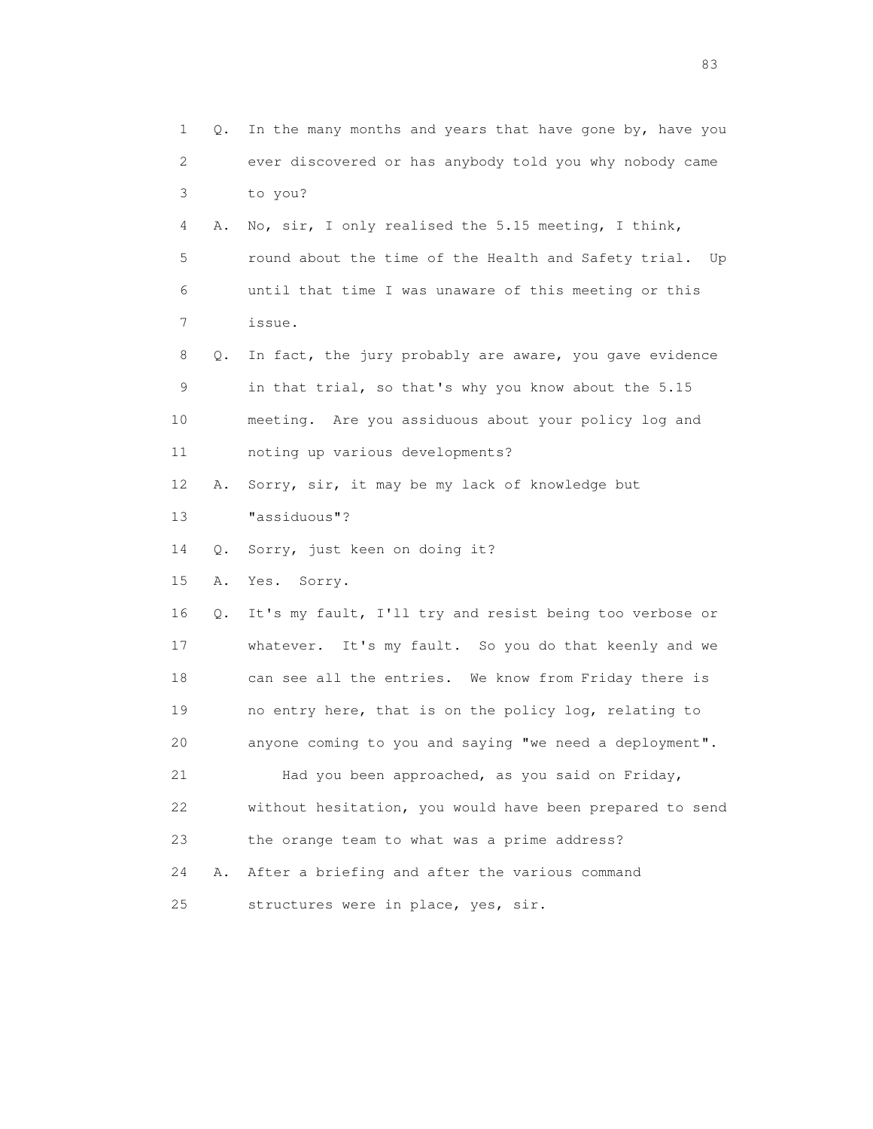1 Q. In the many months and years that have gone by, have you 2 ever discovered or has anybody told you why nobody came 3 to you? 4 A. No, sir, I only realised the 5.15 meeting, I think, 5 round about the time of the Health and Safety trial. Up 6 until that time I was unaware of this meeting or this 7 issue. 8 Q. In fact, the jury probably are aware, you gave evidence 9 in that trial, so that's why you know about the 5.15 10 meeting. Are you assiduous about your policy log and 11 noting up various developments? 12 A. Sorry, sir, it may be my lack of knowledge but 13 "assiduous"? 14 Q. Sorry, just keen on doing it? 15 A. Yes. Sorry. 16 Q. It's my fault, I'll try and resist being too verbose or 17 whatever. It's my fault. So you do that keenly and we 18 can see all the entries. We know from Friday there is 19 no entry here, that is on the policy log, relating to 20 anyone coming to you and saying "we need a deployment". 21 Had you been approached, as you said on Friday, 22 without hesitation, you would have been prepared to send 23 the orange team to what was a prime address? 24 A. After a briefing and after the various command 25 structures were in place, yes, sir.

experience of the contract of the contract of the contract of the contract of the contract of the contract of the contract of the contract of the contract of the contract of the contract of the contract of the contract of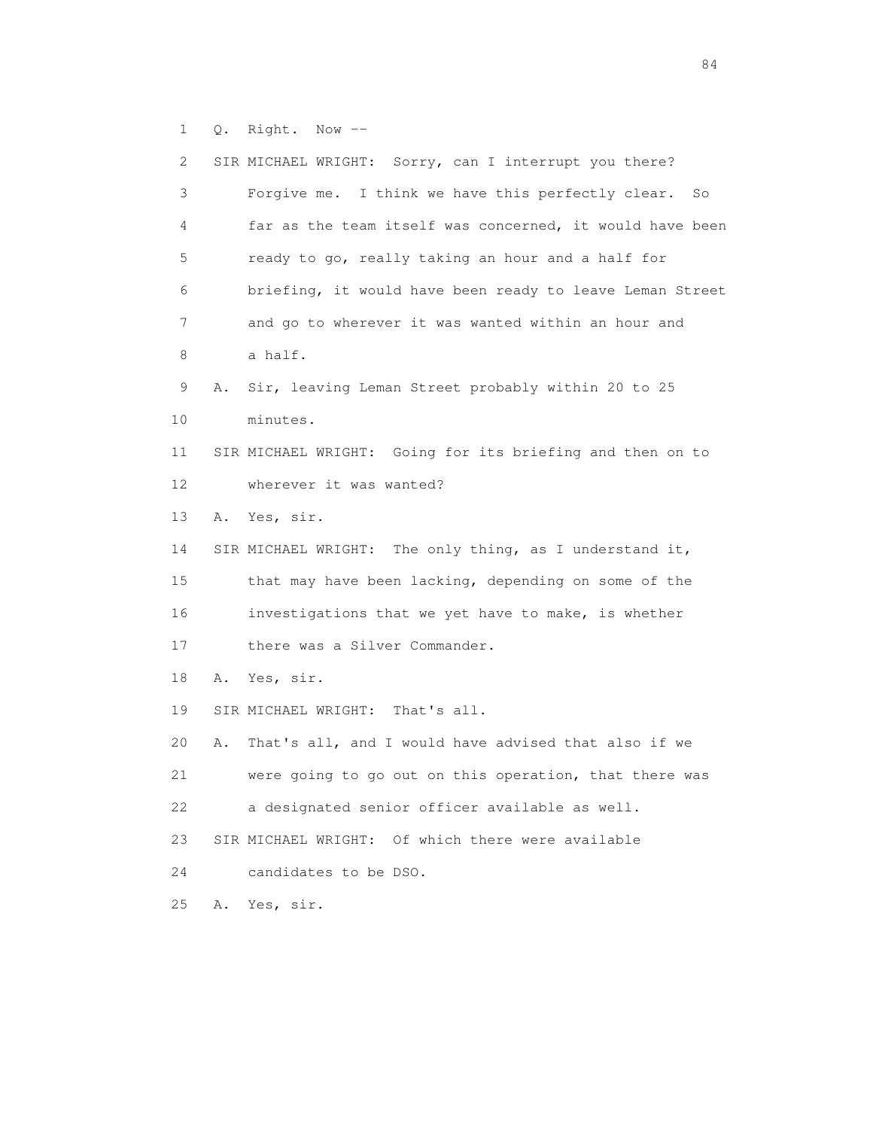1 Q. Right. Now --

 2 SIR MICHAEL WRIGHT: Sorry, can I interrupt you there? 3 Forgive me. I think we have this perfectly clear. So 4 far as the team itself was concerned, it would have been 5 ready to go, really taking an hour and a half for 6 briefing, it would have been ready to leave Leman Street 7 and go to wherever it was wanted within an hour and 8 a half. 9 A. Sir, leaving Leman Street probably within 20 to 25 10 minutes. 11 SIR MICHAEL WRIGHT: Going for its briefing and then on to 12 wherever it was wanted? 13 A. Yes, sir. 14 SIR MICHAEL WRIGHT: The only thing, as I understand it, 15 that may have been lacking, depending on some of the 16 investigations that we yet have to make, is whether 17 there was a Silver Commander. 18 A. Yes, sir. 19 SIR MICHAEL WRIGHT: That's all. 20 A. That's all, and I would have advised that also if we 21 were going to go out on this operation, that there was 22 a designated senior officer available as well. 23 SIR MICHAEL WRIGHT: Of which there were available 24 candidates to be DSO. 25 A. Yes, sir.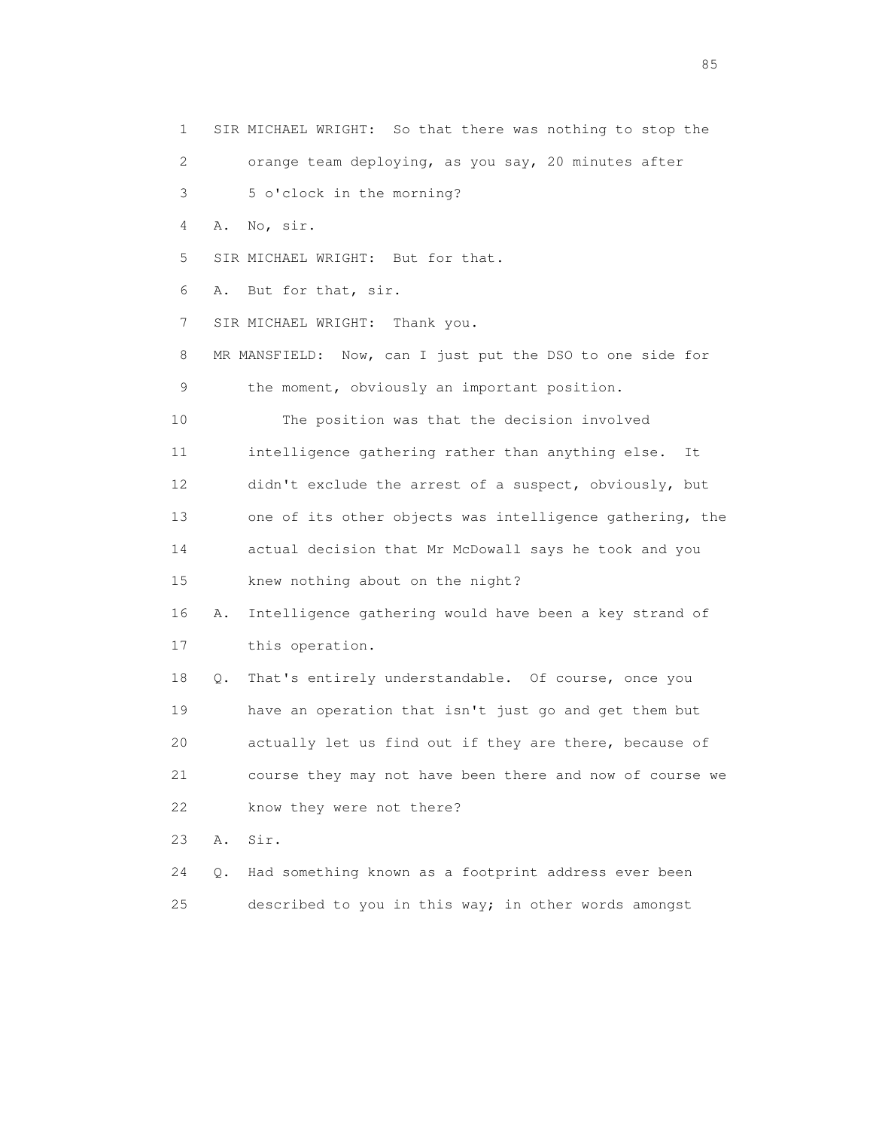1 SIR MICHAEL WRIGHT: So that there was nothing to stop the 2 orange team deploying, as you say, 20 minutes after 3 5 o'clock in the morning? 4 A. No, sir. 5 SIR MICHAEL WRIGHT: But for that. 6 A. But for that, sir. 7 SIR MICHAEL WRIGHT: Thank you. 8 MR MANSFIELD: Now, can I just put the DSO to one side for 9 the moment, obviously an important position. 10 The position was that the decision involved 11 intelligence gathering rather than anything else. It 12 didn't exclude the arrest of a suspect, obviously, but 13 one of its other objects was intelligence gathering, the 14 actual decision that Mr McDowall says he took and you 15 knew nothing about on the night? 16 A. Intelligence gathering would have been a key strand of 17 this operation. 18 Q. That's entirely understandable. Of course, once you 19 have an operation that isn't just go and get them but 20 actually let us find out if they are there, because of 21 course they may not have been there and now of course we 22 know they were not there? 23 A. Sir. 24 Q. Had something known as a footprint address ever been 25 described to you in this way; in other words amongst

experience of the contract of the contract of the contract of the contract of the contract of the contract of the contract of the contract of the contract of the contract of the contract of the contract of the contract of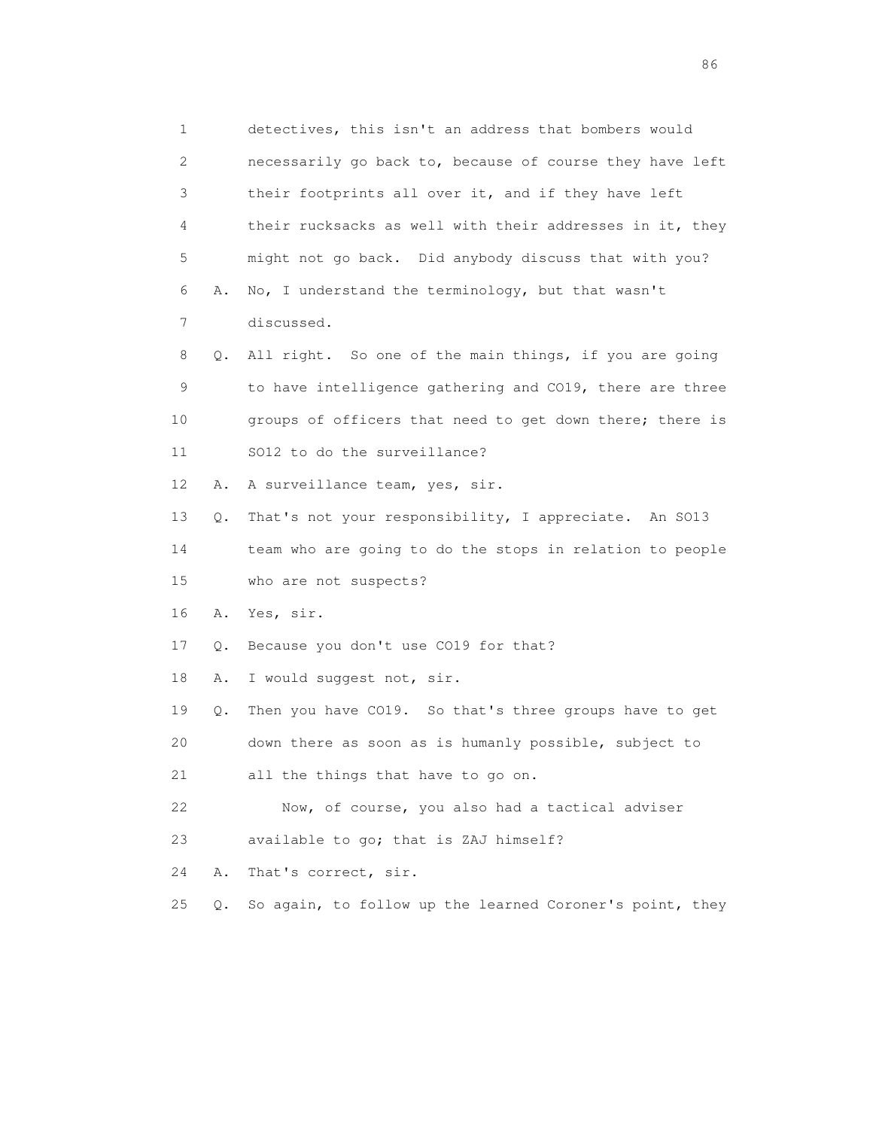1 detectives, this isn't an address that bombers would 2 necessarily go back to, because of course they have left 3 their footprints all over it, and if they have left 4 their rucksacks as well with their addresses in it, they 5 might not go back. Did anybody discuss that with you? 6 A. No, I understand the terminology, but that wasn't 7 discussed. 8 Q. All right. So one of the main things, if you are going 9 to have intelligence gathering and CO19, there are three 10 groups of officers that need to get down there; there is 11 SO12 to do the surveillance? 12 A. A surveillance team, yes, sir. 13 Q. That's not your responsibility, I appreciate. An SO13 14 team who are going to do the stops in relation to people 15 who are not suspects? 16 A. Yes, sir. 17 Q. Because you don't use CO19 for that? 18 A. I would suggest not, sir. 19 Q. Then you have CO19. So that's three groups have to get 20 down there as soon as is humanly possible, subject to 21 all the things that have to go on. 22 Now, of course, you also had a tactical adviser 23 available to go; that is ZAJ himself? 24 A. That's correct, sir. 25 Q. So again, to follow up the learned Coroner's point, they

en de la construction de la construction de la construction de la construction de la construction de la construction de la construction de la construction de la construction de la construction de la construction de la cons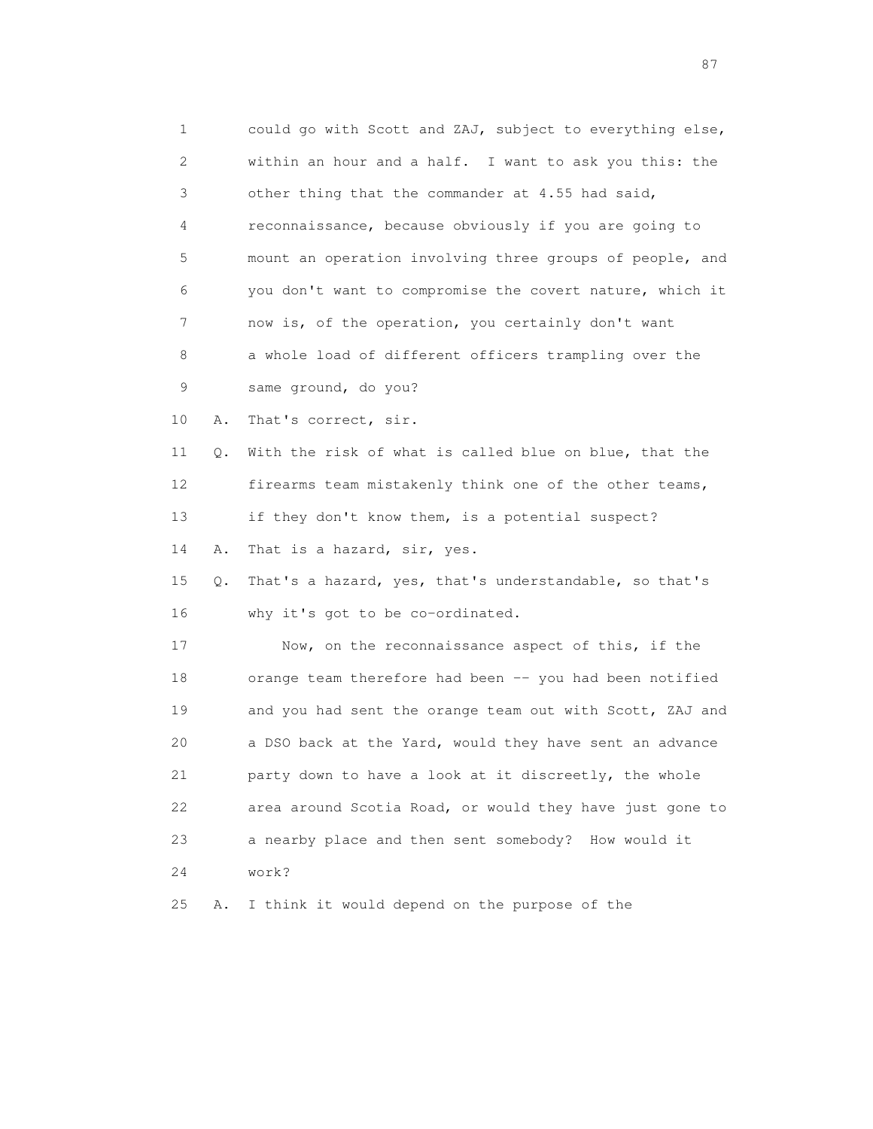| 1            |    | could go with Scott and ZAJ, subject to everything else, |
|--------------|----|----------------------------------------------------------|
| $\mathbf{2}$ |    | within an hour and a half. I want to ask you this: the   |
| 3            |    | other thing that the commander at 4.55 had said,         |
| 4            |    | reconnaissance, because obviously if you are going to    |
| 5            |    | mount an operation involving three groups of people, and |
| 6            |    | you don't want to compromise the covert nature, which it |
| 7            |    | now is, of the operation, you certainly don't want       |
| 8            |    | a whole load of different officers trampling over the    |
| 9            |    | same ground, do you?                                     |
| 10           | Α. | That's correct, sir.                                     |
| 11           | Q. | With the risk of what is called blue on blue, that the   |
| 12           |    | firearms team mistakenly think one of the other teams,   |
| 13           |    | if they don't know them, is a potential suspect?         |
| 14           | Α. | That is a hazard, sir, yes.                              |
| 15           | Q. | That's a hazard, yes, that's understandable, so that's   |
| 16           |    | why it's got to be co-ordinated.                         |
| 17           |    | Now, on the reconnaissance aspect of this, if the        |
| 18           |    | orange team therefore had been -- you had been notified  |
| 19           |    | and you had sent the orange team out with Scott, ZAJ and |
| 20           |    | a DSO back at the Yard, would they have sent an advance  |
| 21           |    | party down to have a look at it discreetly, the whole    |
| 22           |    | area around Scotia Road, or would they have just gone to |
| 23           |    | a nearby place and then sent somebody?<br>How would it   |
| 24           |    | work?                                                    |
| 25           | Α. | I think it would depend on the purpose of the            |

experience of the contract of the contract of the contract of the contract of the contract of the contract of the contract of the contract of the contract of the contract of the contract of the contract of the contract of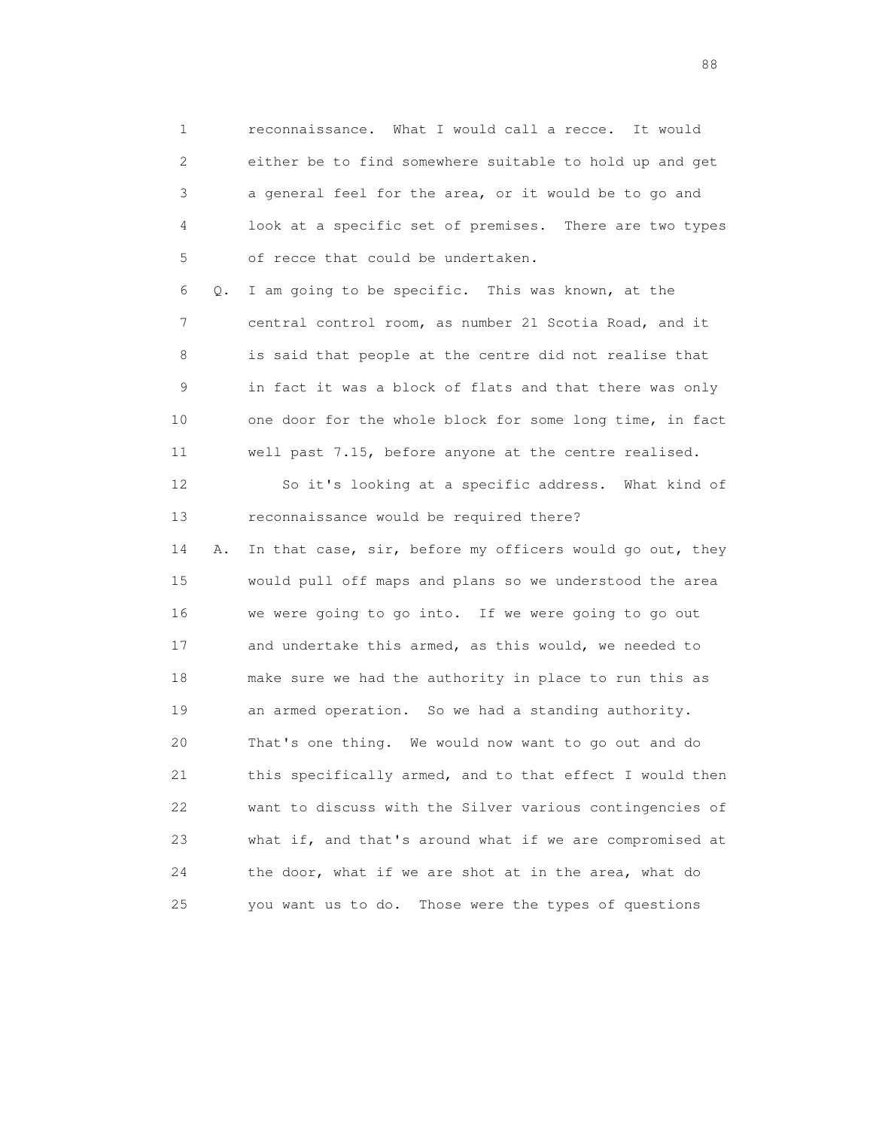1 reconnaissance. What I would call a recce. It would 2 either be to find somewhere suitable to hold up and get 3 a general feel for the area, or it would be to go and 4 look at a specific set of premises. There are two types 5 of recce that could be undertaken.

 6 Q. I am going to be specific. This was known, at the 7 central control room, as number 21 Scotia Road, and it 8 is said that people at the centre did not realise that 9 in fact it was a block of flats and that there was only 10 one door for the whole block for some long time, in fact 11 well past 7.15, before anyone at the centre realised.

 12 So it's looking at a specific address. What kind of 13 reconnaissance would be required there?

14 A. In that case, sir, before my officers would go out, they 15 would pull off maps and plans so we understood the area 16 we were going to go into. If we were going to go out 17 and undertake this armed, as this would, we needed to 18 make sure we had the authority in place to run this as 19 an armed operation. So we had a standing authority. 20 That's one thing. We would now want to go out and do 21 this specifically armed, and to that effect I would then 22 want to discuss with the Silver various contingencies of 23 what if, and that's around what if we are compromised at 24 the door, what if we are shot at in the area, what do 25 you want us to do. Those were the types of questions

en de la construction de la construction de la construction de la construction de la construction de la constr<br>1880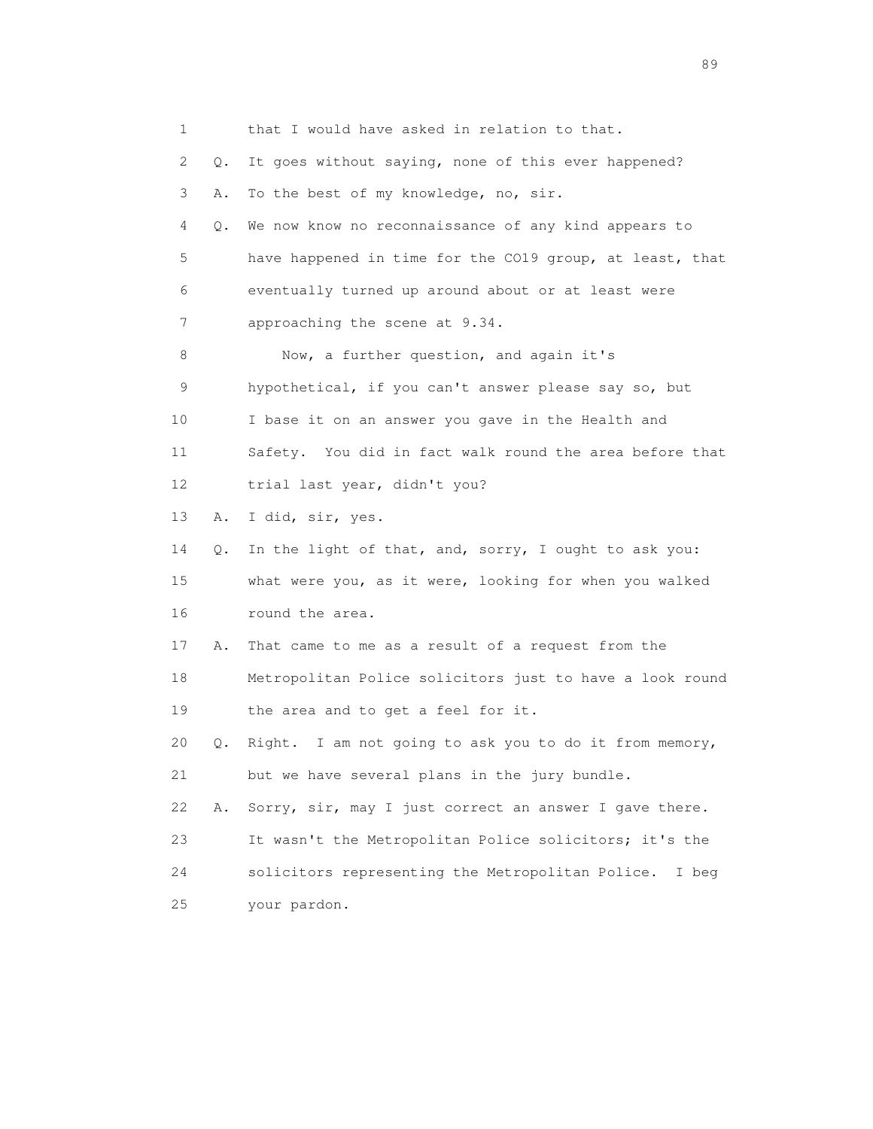1 that I would have asked in relation to that. 2 Q. It goes without saying, none of this ever happened? 3 A. To the best of my knowledge, no, sir. 4 Q. We now know no reconnaissance of any kind appears to 5 have happened in time for the CO19 group, at least, that 6 eventually turned up around about or at least were 7 approaching the scene at 9.34. 8 Now, a further question, and again it's 9 hypothetical, if you can't answer please say so, but 10 I base it on an answer you gave in the Health and 11 Safety. You did in fact walk round the area before that 12 trial last year, didn't you? 13 A. I did, sir, yes. 14 Q. In the light of that, and, sorry, I ought to ask you: 15 what were you, as it were, looking for when you walked 16 round the area. 17 A. That came to me as a result of a request from the 18 Metropolitan Police solicitors just to have a look round 19 the area and to get a feel for it. 20 Q. Right. I am not going to ask you to do it from memory, 21 but we have several plans in the jury bundle. 22 A. Sorry, sir, may I just correct an answer I gave there. 23 It wasn't the Metropolitan Police solicitors; it's the 24 solicitors representing the Metropolitan Police. I beg 25 your pardon.

en de la construction de la construction de la construction de la construction de la construction de la constr<br>1890 : le construction de la construction de la construction de la construction de la construction de la const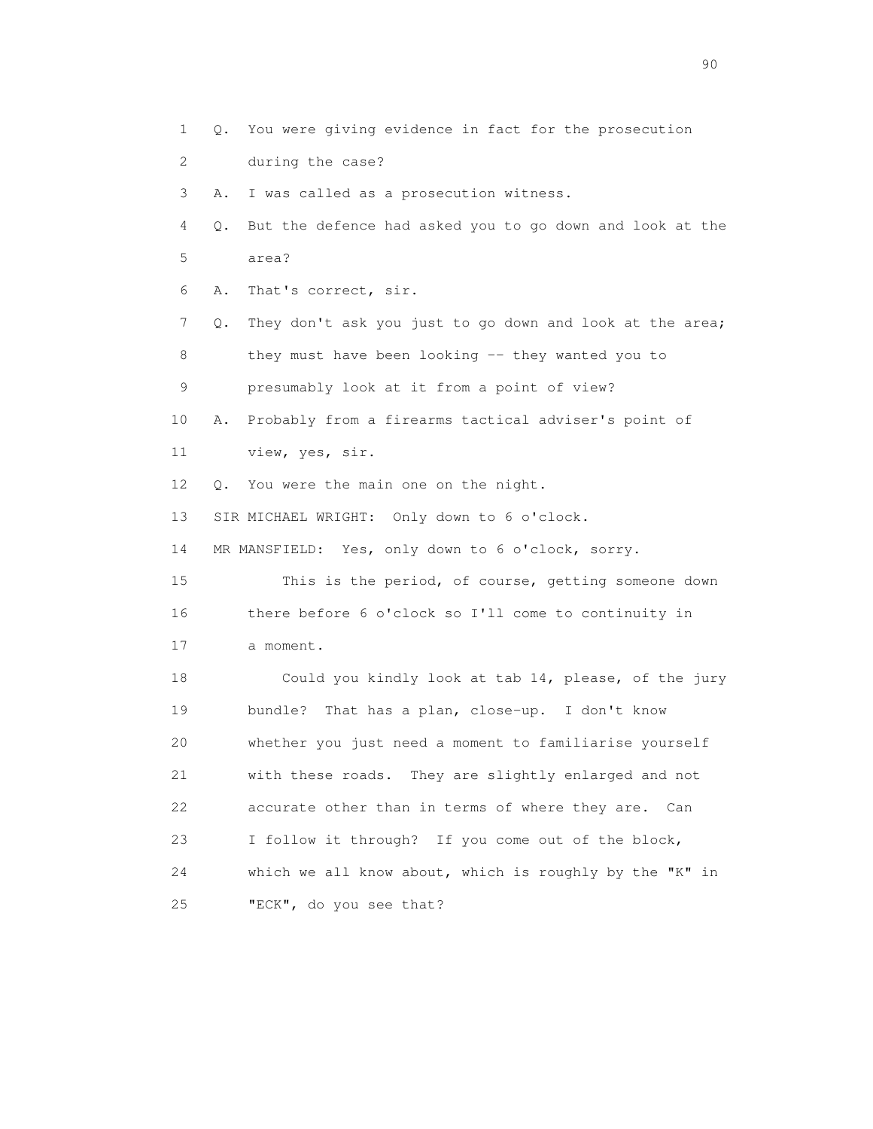1 Q. You were giving evidence in fact for the prosecution 2 during the case? 3 A. I was called as a prosecution witness. 4 Q. But the defence had asked you to go down and look at the 5 area? 6 A. That's correct, sir. 7 Q. They don't ask you just to go down and look at the area; 8 they must have been looking -- they wanted you to 9 presumably look at it from a point of view? 10 A. Probably from a firearms tactical adviser's point of 11 view, yes, sir. 12 Q. You were the main one on the night. 13 SIR MICHAEL WRIGHT: Only down to 6 o'clock. 14 MR MANSFIELD: Yes, only down to 6 o'clock, sorry. 15 This is the period, of course, getting someone down 16 there before 6 o'clock so I'll come to continuity in 17 a moment. 18 Could you kindly look at tab 14, please, of the jury 19 bundle? That has a plan, close-up. I don't know 20 whether you just need a moment to familiarise yourself 21 with these roads. They are slightly enlarged and not 22 accurate other than in terms of where they are. Can 23 I follow it through? If you come out of the block, 24 which we all know about, which is roughly by the "K" in

25 "ECK", do you see that?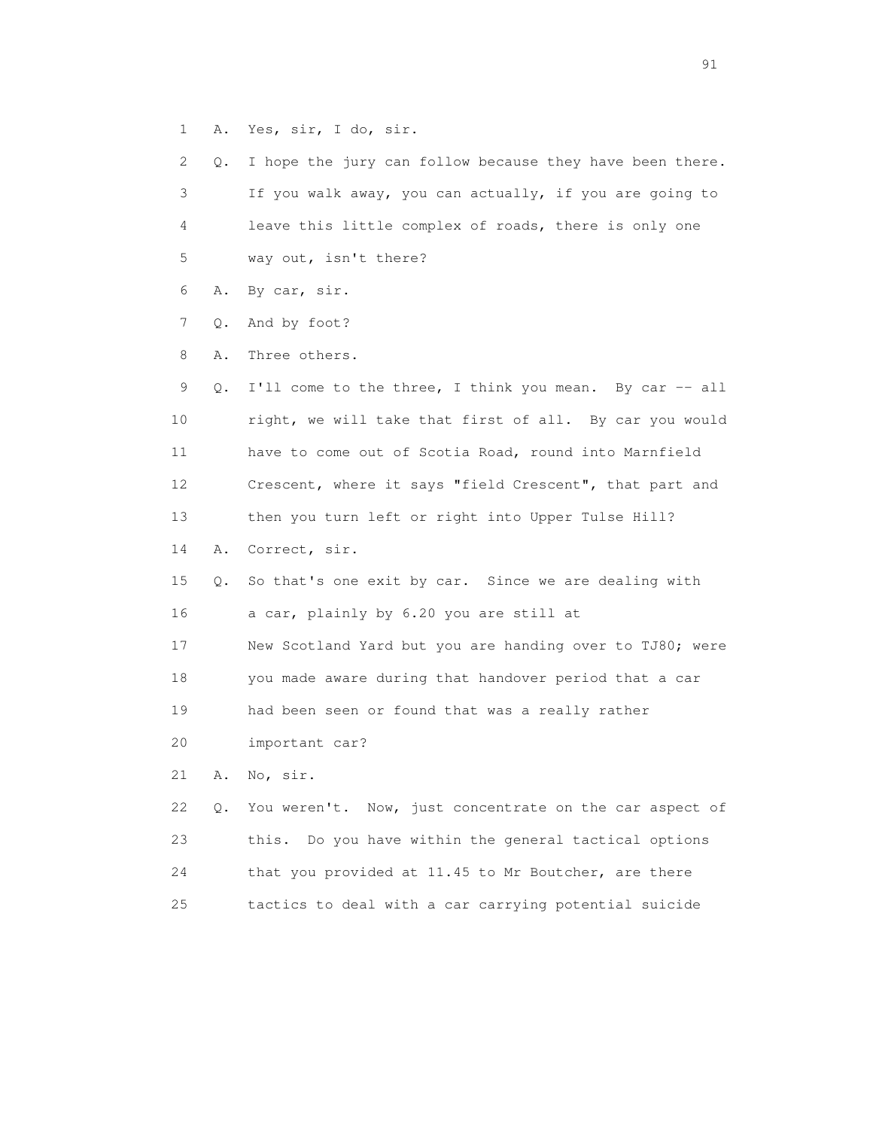1 A. Yes, sir, I do, sir.

| $\overline{2}$ | Q. | I hope the jury can follow because they have been there. |
|----------------|----|----------------------------------------------------------|
| 3              |    | If you walk away, you can actually, if you are going to  |
| 4              |    | leave this little complex of roads, there is only one    |
| 5              |    | way out, isn't there?                                    |
| 6              | Α. | By car, sir.                                             |
| 7              | Q. | And by foot?                                             |
| 8              | Α. | Three others.                                            |
| 9              | Q. | I'll come to the three, I think you mean. By car -- all  |
| 10             |    | right, we will take that first of all. By car you would  |
| 11             |    | have to come out of Scotia Road, round into Marnfield    |
| 12             |    | Crescent, where it says "field Crescent", that part and  |
| 13             |    | then you turn left or right into Upper Tulse Hill?       |
| 14             | Α. | Correct, sir.                                            |
|                |    |                                                          |
| 15             | Q. | So that's one exit by car. Since we are dealing with     |
| 16             |    | a car, plainly by 6.20 you are still at                  |
| 17             |    | New Scotland Yard but you are handing over to TJ80; were |
| 18             |    | you made aware during that handover period that a car    |
| 19             |    | had been seen or found that was a really rather          |
| 20             |    | important car?                                           |
| 21             | Α. | No, sir.                                                 |
| 22             | Q. | You weren't. Now, just concentrate on the car aspect of  |
| 23             |    | Do you have within the general tactical options<br>this. |
| 24             |    | that you provided at 11.45 to Mr Boutcher, are there     |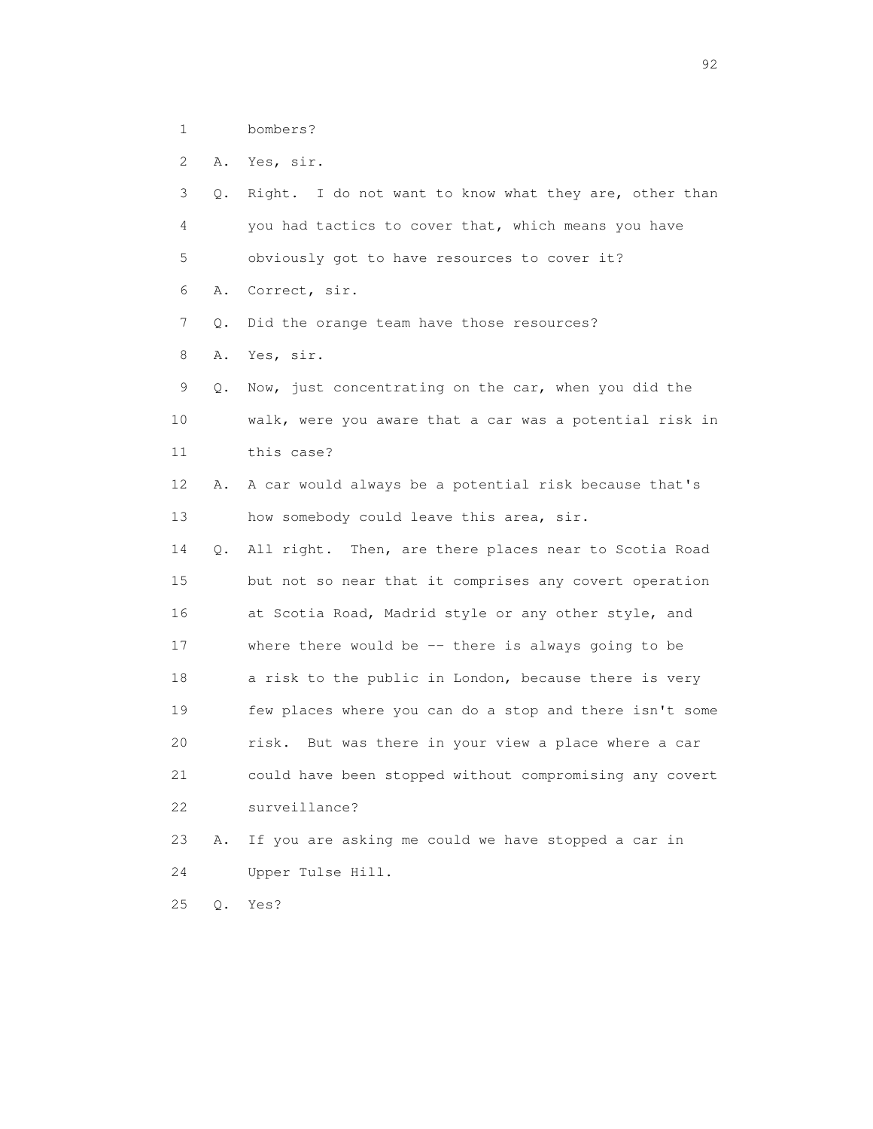1 bombers?

2 A. Yes, sir.

| 3  | Q. | Right. I do not want to know what they are, other than  |
|----|----|---------------------------------------------------------|
| 4  |    | you had tactics to cover that, which means you have     |
| 5  |    | obviously got to have resources to cover it?            |
| 6  | Α. | Correct, sir.                                           |
| 7  | Q. | Did the orange team have those resources?               |
| 8  | Α. | Yes, sir.                                               |
| 9  | Q. | Now, just concentrating on the car, when you did the    |
| 10 |    | walk, were you aware that a car was a potential risk in |
| 11 |    | this case?                                              |
| 12 | Α. | A car would always be a potential risk because that's   |
| 13 |    | how somebody could leave this area, sir.                |
| 14 | Q. | All right. Then, are there places near to Scotia Road   |
| 15 |    | but not so near that it comprises any covert operation  |
| 16 |    | at Scotia Road, Madrid style or any other style, and    |
| 17 |    | where there would be -- there is always going to be     |
| 18 |    | a risk to the public in London, because there is very   |
| 19 |    | few places where you can do a stop and there isn't some |
| 20 |    | risk.<br>But was there in your view a place where a car |
| 21 |    | could have been stopped without compromising any covert |
| 22 |    | surveillance?                                           |
| 23 | Α. | If you are asking me could we have stopped a car in     |
| 24 |    | Upper Tulse Hill.                                       |
| 25 | Q. | Yes?                                                    |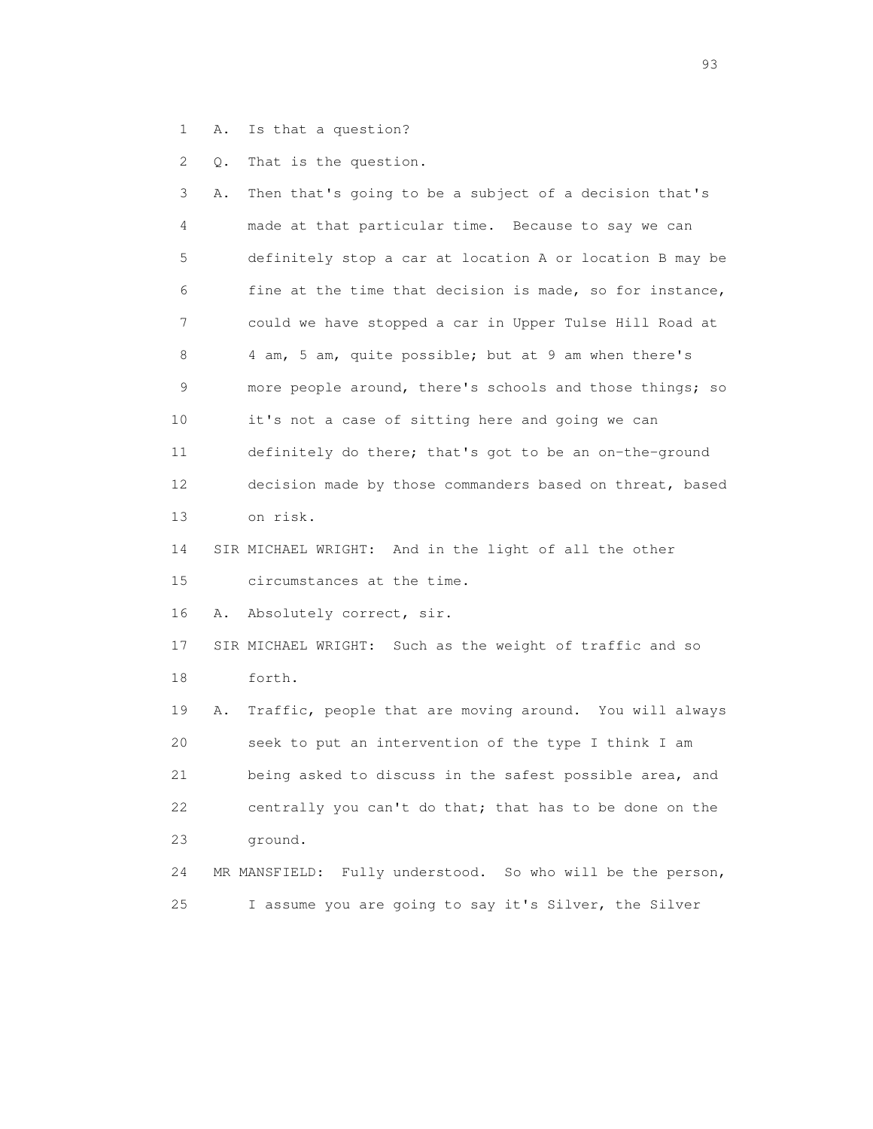1 A. Is that a question?

2 Q. That is the question.

 3 A. Then that's going to be a subject of a decision that's 4 made at that particular time. Because to say we can 5 definitely stop a car at location A or location B may be 6 fine at the time that decision is made, so for instance, 7 could we have stopped a car in Upper Tulse Hill Road at 8 4 am, 5 am, quite possible; but at 9 am when there's 9 more people around, there's schools and those things; so 10 it's not a case of sitting here and going we can 11 definitely do there; that's got to be an on-the-ground 12 decision made by those commanders based on threat, based 13 on risk. 14 SIR MICHAEL WRIGHT: And in the light of all the other 15 circumstances at the time. 16 A. Absolutely correct, sir. 17 SIR MICHAEL WRIGHT: Such as the weight of traffic and so 18 forth. 19 A. Traffic, people that are moving around. You will always 20 seek to put an intervention of the type I think I am 21 being asked to discuss in the safest possible area, and 22 centrally you can't do that; that has to be done on the 23 ground. 24 MR MANSFIELD: Fully understood. So who will be the person, 25 I assume you are going to say it's Silver, the Silver

experience of the contract of the contract of the contract of the contract of the contract of the contract of the contract of the contract of the contract of the contract of the contract of the contract of the contract of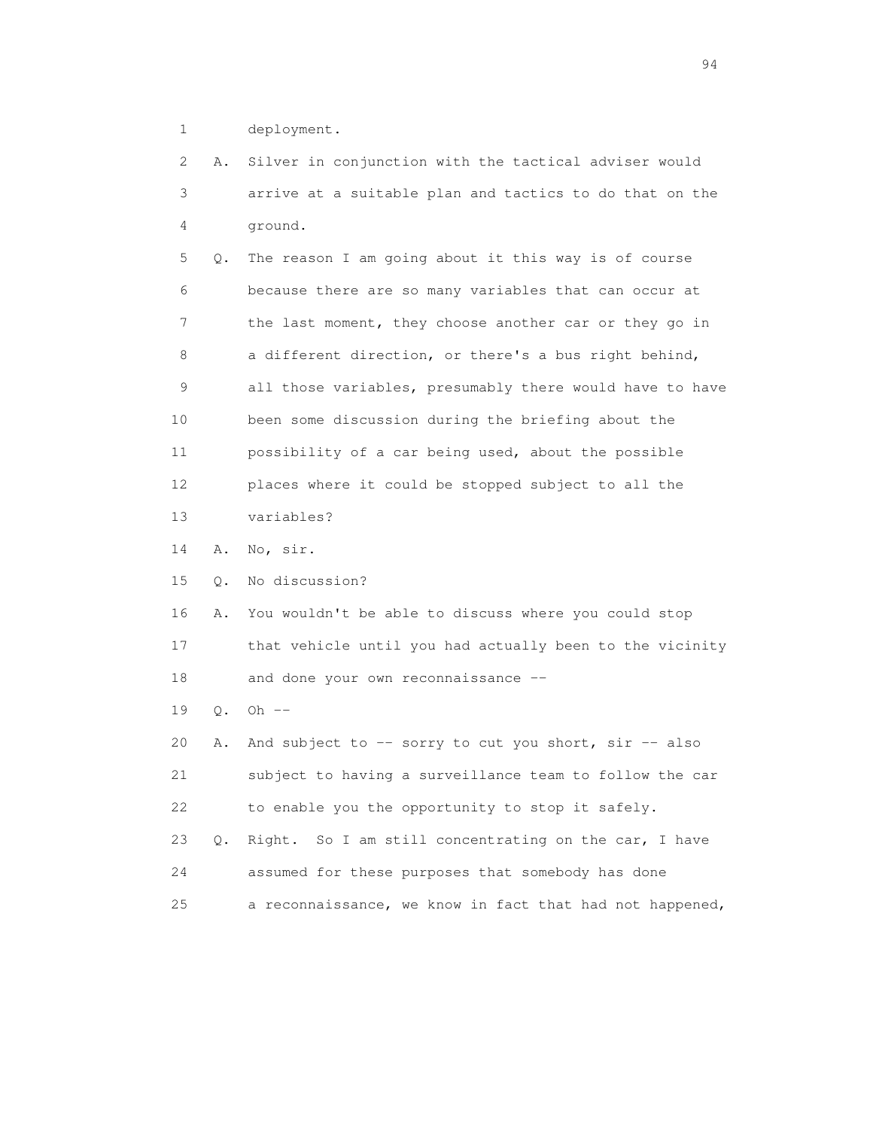1 deployment.

 2 A. Silver in conjunction with the tactical adviser would 3 arrive at a suitable plan and tactics to do that on the 4 ground. 5 Q. The reason I am going about it this way is of course 6 because there are so many variables that can occur at 7 the last moment, they choose another car or they go in 8 a different direction, or there's a bus right behind, 9 all those variables, presumably there would have to have 10 been some discussion during the briefing about the 11 possibility of a car being used, about the possible 12 places where it could be stopped subject to all the 13 variables? 14 A. No, sir. 15 Q. No discussion? 16 A. You wouldn't be able to discuss where you could stop 17 that vehicle until you had actually been to the vicinity 18 and done your own reconnaissance -- 19 Q. Oh -- 20 A. And subject to -- sorry to cut you short, sir -- also 21 subject to having a surveillance team to follow the car 22 to enable you the opportunity to stop it safely. 23 Q. Right. So I am still concentrating on the car, I have 24 assumed for these purposes that somebody has done 25 a reconnaissance, we know in fact that had not happened,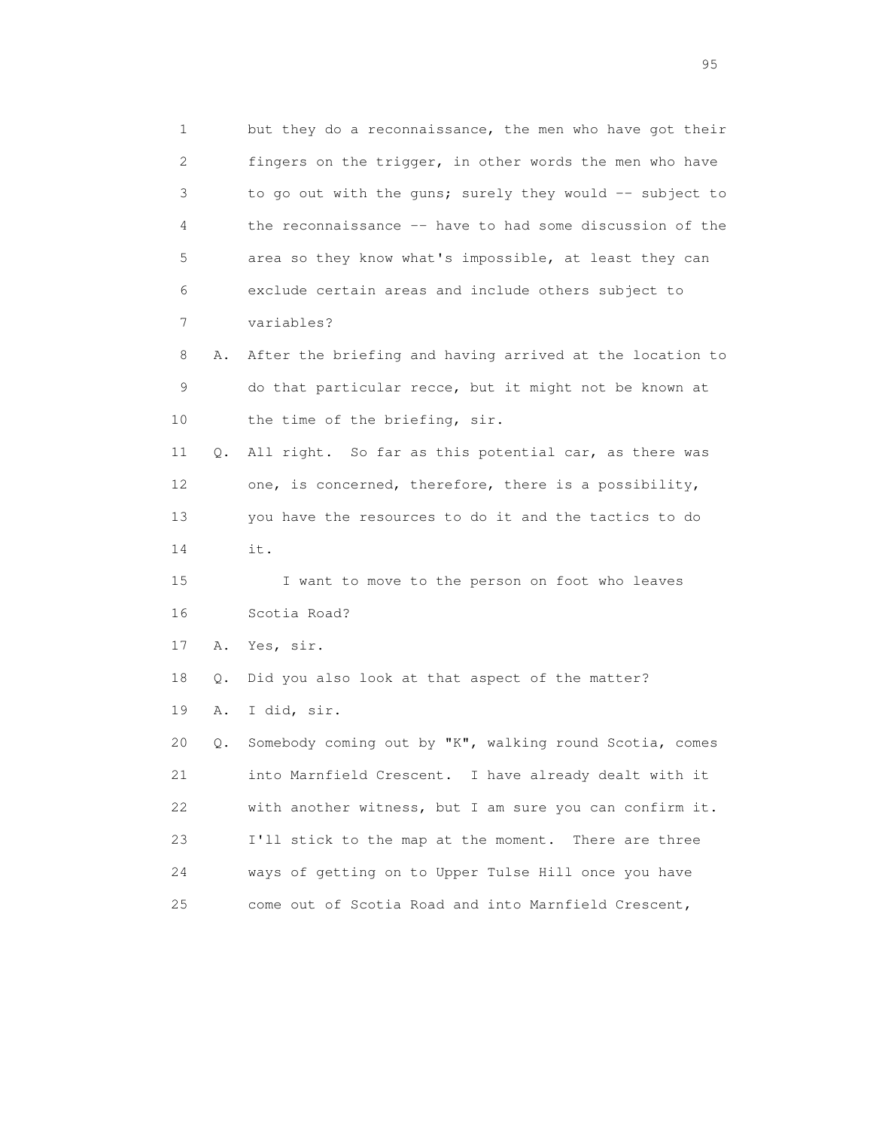1 but they do a reconnaissance, the men who have got their 2 fingers on the trigger, in other words the men who have 3 to go out with the guns; surely they would -- subject to 4 the reconnaissance -- have to had some discussion of the 5 area so they know what's impossible, at least they can 6 exclude certain areas and include others subject to 7 variables? 8 A. After the briefing and having arrived at the location to 9 do that particular recce, but it might not be known at 10 the time of the briefing, sir. 11 Q. All right. So far as this potential car, as there was 12 one, is concerned, therefore, there is a possibility, 13 you have the resources to do it and the tactics to do 14 it.

 15 I want to move to the person on foot who leaves 16 Scotia Road?

17 A. Yes, sir.

18 Q. Did you also look at that aspect of the matter?

19 A. I did, sir.

 20 Q. Somebody coming out by "K", walking round Scotia, comes 21 into Marnfield Crescent. I have already dealt with it 22 with another witness, but I am sure you can confirm it. 23 I'll stick to the map at the moment. There are three 24 ways of getting on to Upper Tulse Hill once you have 25 come out of Scotia Road and into Marnfield Crescent,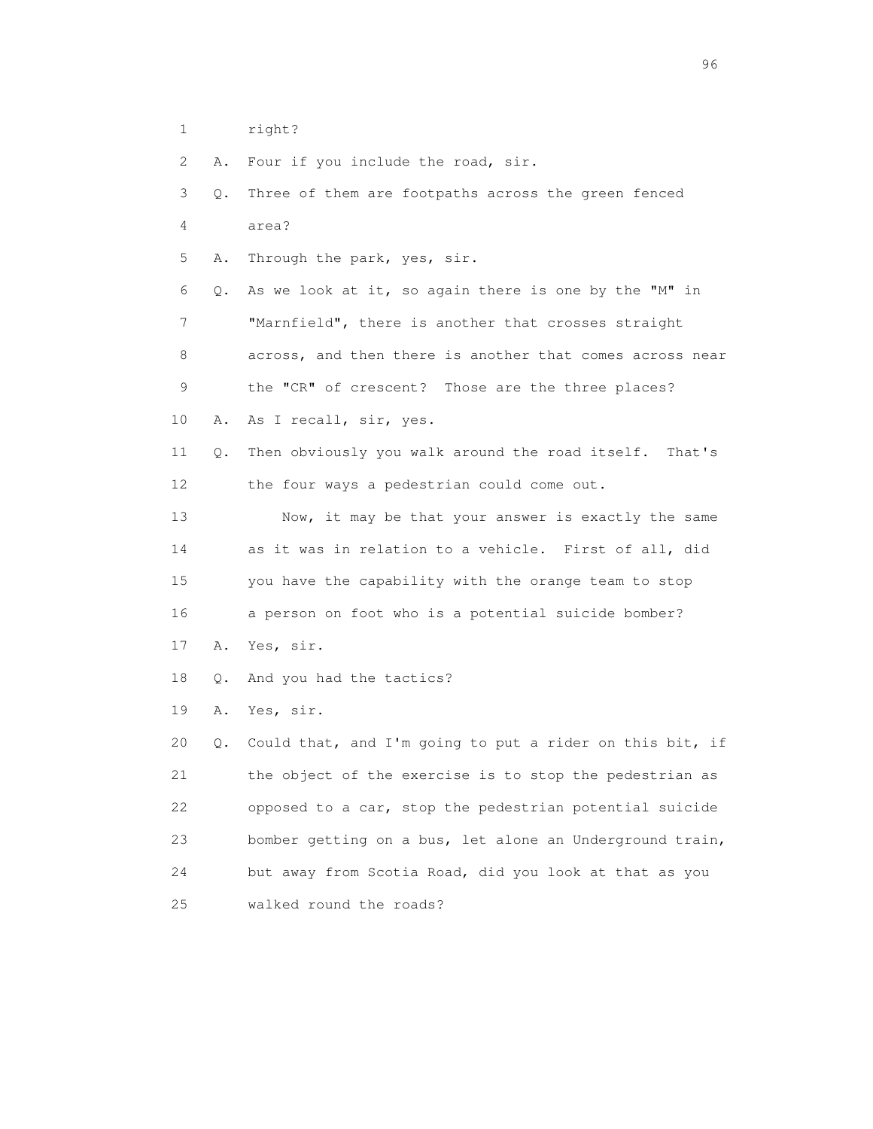1 right?

2 A. Four if you include the road, sir.

 3 Q. Three of them are footpaths across the green fenced 4 area? 5 A. Through the park, yes, sir. 6 Q. As we look at it, so again there is one by the "M" in 7 "Marnfield", there is another that crosses straight 8 across, and then there is another that comes across near 9 the "CR" of crescent? Those are the three places? 10 A. As I recall, sir, yes. 11 Q. Then obviously you walk around the road itself. That's 12 the four ways a pedestrian could come out. 13 Now, it may be that your answer is exactly the same 14 as it was in relation to a vehicle. First of all, did 15 you have the capability with the orange team to stop 16 a person on foot who is a potential suicide bomber? 17 A. Yes, sir. 18 Q. And you had the tactics? 19 A. Yes, sir. 20 Q. Could that, and I'm going to put a rider on this bit, if 21 the object of the exercise is to stop the pedestrian as 22 opposed to a car, stop the pedestrian potential suicide 23 bomber getting on a bus, let alone an Underground train, 24 but away from Scotia Road, did you look at that as you 25 walked round the roads?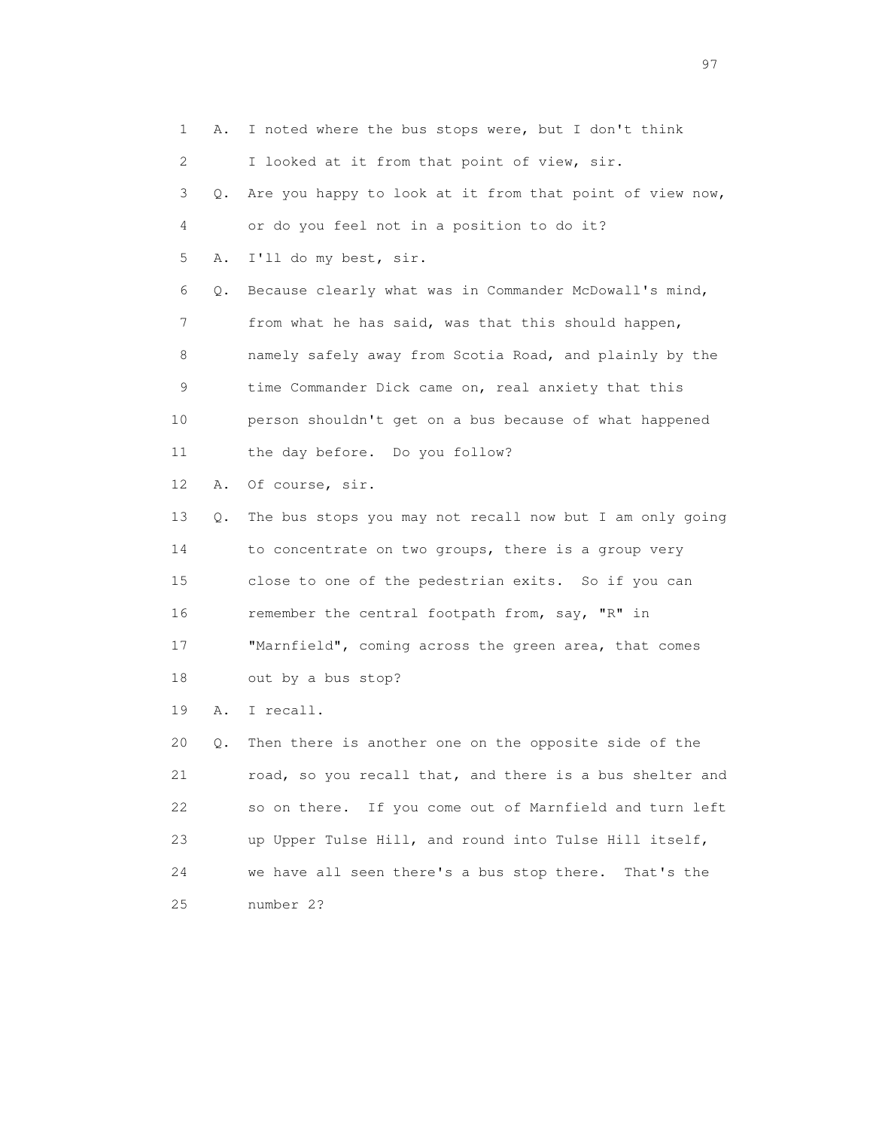1 A. I noted where the bus stops were, but I don't think 2 I looked at it from that point of view, sir. 3 Q. Are you happy to look at it from that point of view now, 4 or do you feel not in a position to do it? 5 A. I'll do my best, sir. 6 Q. Because clearly what was in Commander McDowall's mind, 7 from what he has said, was that this should happen, 8 namely safely away from Scotia Road, and plainly by the 9 time Commander Dick came on, real anxiety that this 10 person shouldn't get on a bus because of what happened 11 the day before. Do you follow? 12 A. Of course, sir. 13 Q. The bus stops you may not recall now but I am only going 14 to concentrate on two groups, there is a group very 15 close to one of the pedestrian exits. So if you can 16 remember the central footpath from, say, "R" in 17 "Marnfield", coming across the green area, that comes 18 out by a bus stop? 19 A. I recall. 20 Q. Then there is another one on the opposite side of the 21 road, so you recall that, and there is a bus shelter and 22 so on there. If you come out of Marnfield and turn left 23 up Upper Tulse Hill, and round into Tulse Hill itself, 24 we have all seen there's a bus stop there. That's the 25 number 2?

experience of the contract of the contract of the contract of the contract of the contract of the contract of the contract of the contract of the contract of the contract of the contract of the contract of the contract of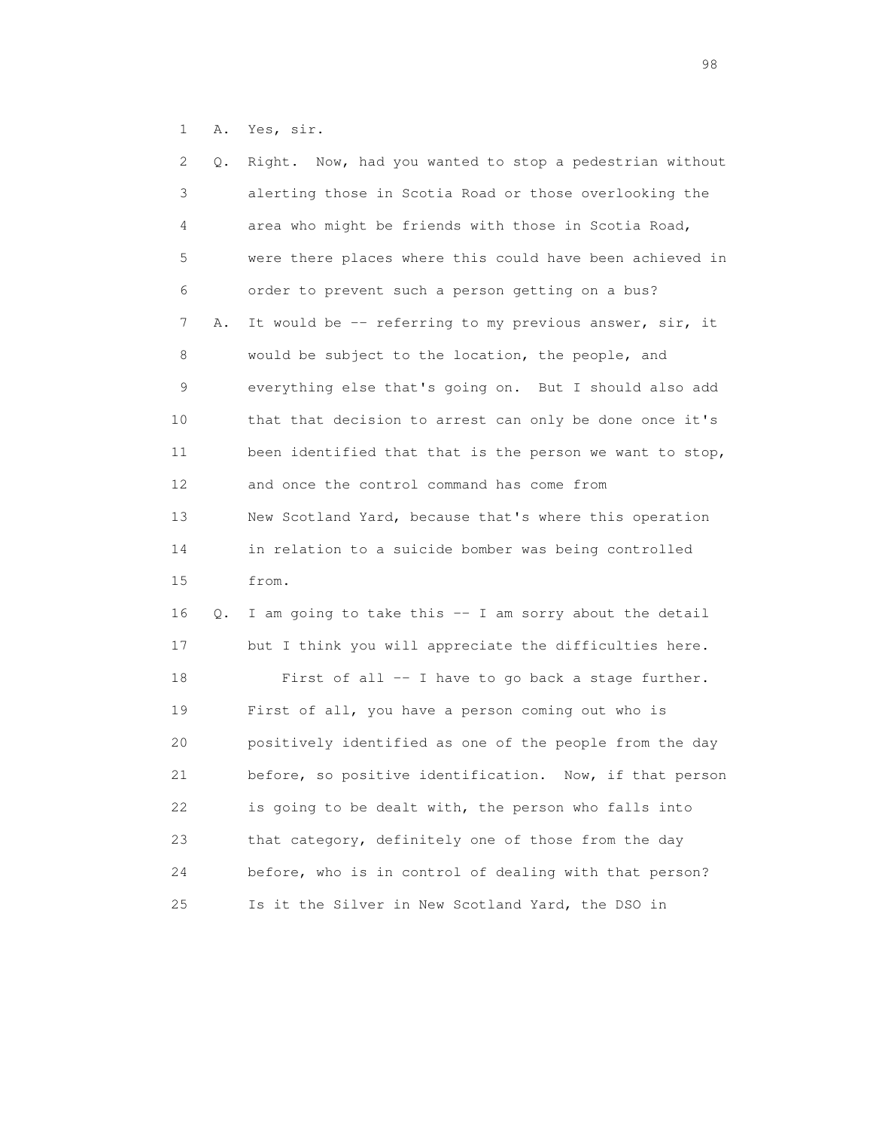1 A. Yes, sir.

| 2  | Q. | Right. Now, had you wanted to stop a pedestrian without  |
|----|----|----------------------------------------------------------|
| 3  |    | alerting those in Scotia Road or those overlooking the   |
| 4  |    | area who might be friends with those in Scotia Road,     |
| 5  |    | were there places where this could have been achieved in |
| 6  |    | order to prevent such a person getting on a bus?         |
| 7  | Α. | It would be -- referring to my previous answer, sir, it  |
| 8  |    | would be subject to the location, the people, and        |
| 9  |    | everything else that's going on. But I should also add   |
| 10 |    | that that decision to arrest can only be done once it's  |
| 11 |    | been identified that that is the person we want to stop, |
| 12 |    | and once the control command has come from               |
| 13 |    | New Scotland Yard, because that's where this operation   |
| 14 |    | in relation to a suicide bomber was being controlled     |
| 15 |    | from.                                                    |
| 16 | Q. | I am going to take this -- I am sorry about the detail   |
| 17 |    | but I think you will appreciate the difficulties here.   |
| 18 |    | First of all -- I have to go back a stage further.       |
| 19 |    | First of all, you have a person coming out who is        |
| 20 |    | positively identified as one of the people from the day  |
| 21 |    | before, so positive identification. Now, if that person  |
| 22 |    | is going to be dealt with, the person who falls into     |
| 23 |    | that category, definitely one of those from the day      |
| 24 |    | before, who is in control of dealing with that person?   |
| 25 |    | Is it the Silver in New Scotland Yard, the DSO in        |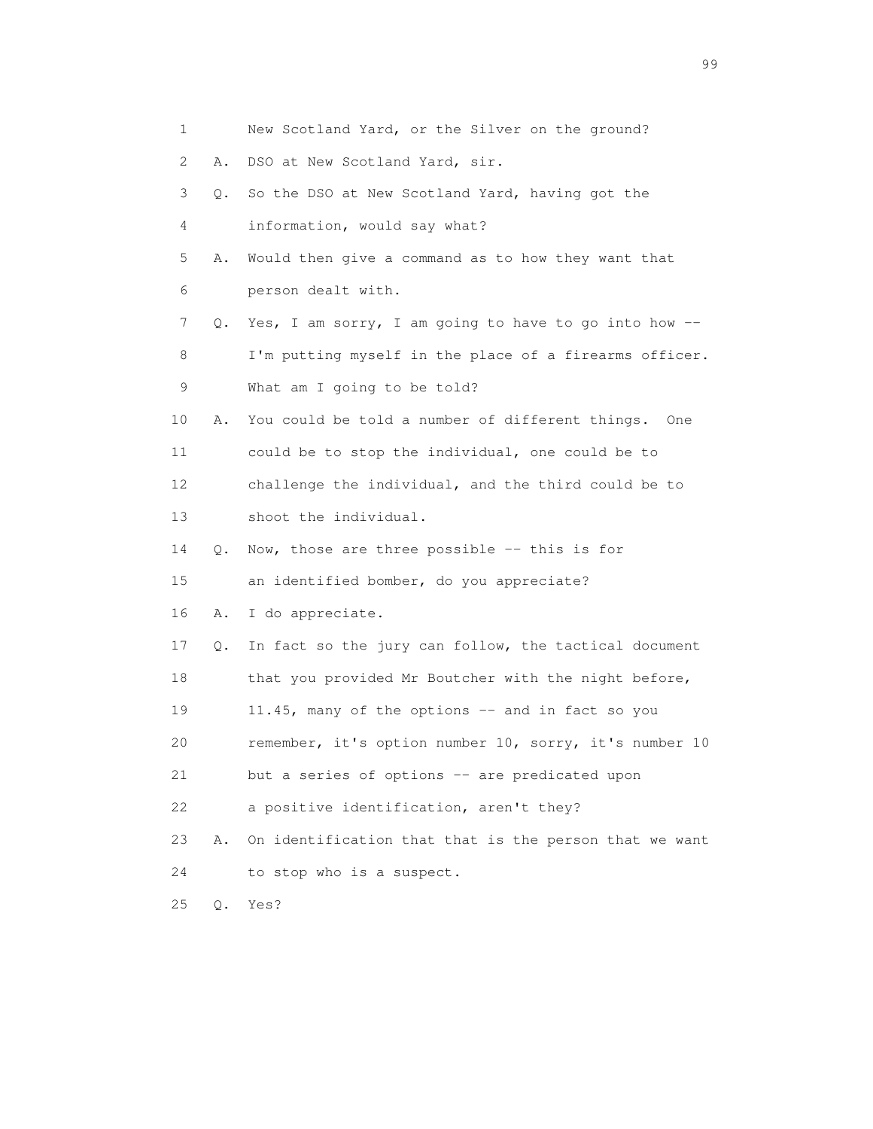| $\mathbf{1}$ |           | New Scotland Yard, or the Silver on the ground?        |
|--------------|-----------|--------------------------------------------------------|
| 2            | Α.        | DSO at New Scotland Yard, sir.                         |
| 3            | $\circ$ . | So the DSO at New Scotland Yard, having got the        |
| 4            |           | information, would say what?                           |
| 5            | Α.        | Would then give a command as to how they want that     |
| 6            |           | person dealt with.                                     |
| 7            | Q.        | Yes, I am sorry, I am going to have to go into how --  |
| 8            |           | I'm putting myself in the place of a firearms officer. |
| 9            |           | What am I going to be told?                            |
| 10           | Α.        | You could be told a number of different things. One    |
| 11           |           | could be to stop the individual, one could be to       |
| 12           |           | challenge the individual, and the third could be to    |
| 13           |           | shoot the individual.                                  |
| 14           | О.        | Now, those are three possible -- this is for           |
| 15           |           | an identified bomber, do you appreciate?               |
| 16           | Α.        | I do appreciate.                                       |
| 17           | Q.        | In fact so the jury can follow, the tactical document  |
| 18           |           | that you provided Mr Boutcher with the night before,   |
| 19           |           | 11.45, many of the options -- and in fact so you       |
| 20           |           | remember, it's option number 10, sorry, it's number 10 |
| 21           |           | but a series of options -- are predicated upon         |
| 22           |           | a positive identification, aren't they?                |
| 23           | Α.        | On identification that that is the person that we want |
| 24           |           | to stop who is a suspect.                              |
| 25           | $Q$ .     | Yes?                                                   |

en 1999 - Santa Carolina de Santa Carolina de Santa Carolina (n. 1919).<br>1990 - Carolina de Santa Carolina de Santa Carolina (n. 1919).<br>1990 - Carolina de Santa Carolina (n. 1919).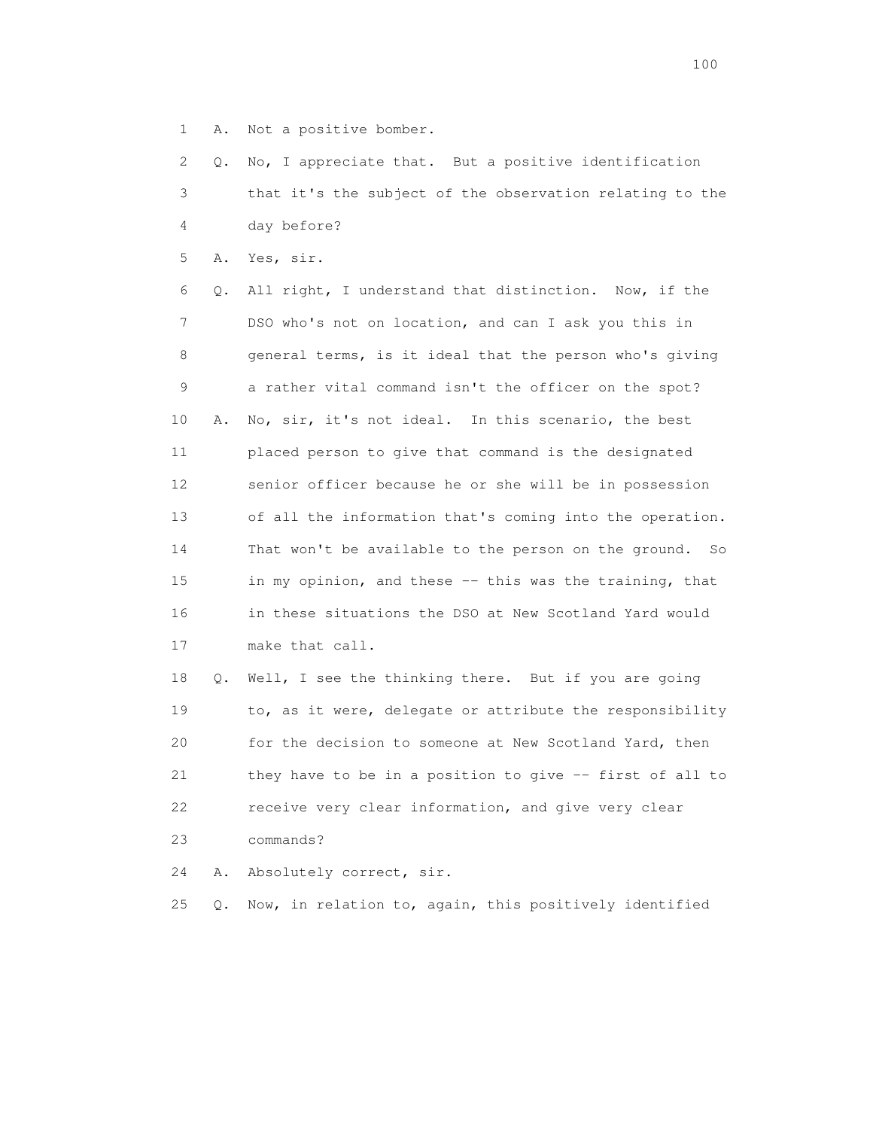1 A. Not a positive bomber.

 2 Q. No, I appreciate that. But a positive identification 3 that it's the subject of the observation relating to the 4 day before?

5 A. Yes, sir.

 6 Q. All right, I understand that distinction. Now, if the 7 DSO who's not on location, and can I ask you this in 8 general terms, is it ideal that the person who's giving 9 a rather vital command isn't the officer on the spot? 10 A. No, sir, it's not ideal. In this scenario, the best 11 placed person to give that command is the designated 12 senior officer because he or she will be in possession 13 of all the information that's coming into the operation. 14 That won't be available to the person on the ground. So 15 in my opinion, and these -- this was the training, that 16 in these situations the DSO at New Scotland Yard would 17 make that call.

 18 Q. Well, I see the thinking there. But if you are going 19 to, as it were, delegate or attribute the responsibility 20 for the decision to someone at New Scotland Yard, then 21 they have to be in a position to give -- first of all to 22 receive very clear information, and give very clear 23 commands?

24 A. Absolutely correct, sir.

25 Q. Now, in relation to, again, this positively identified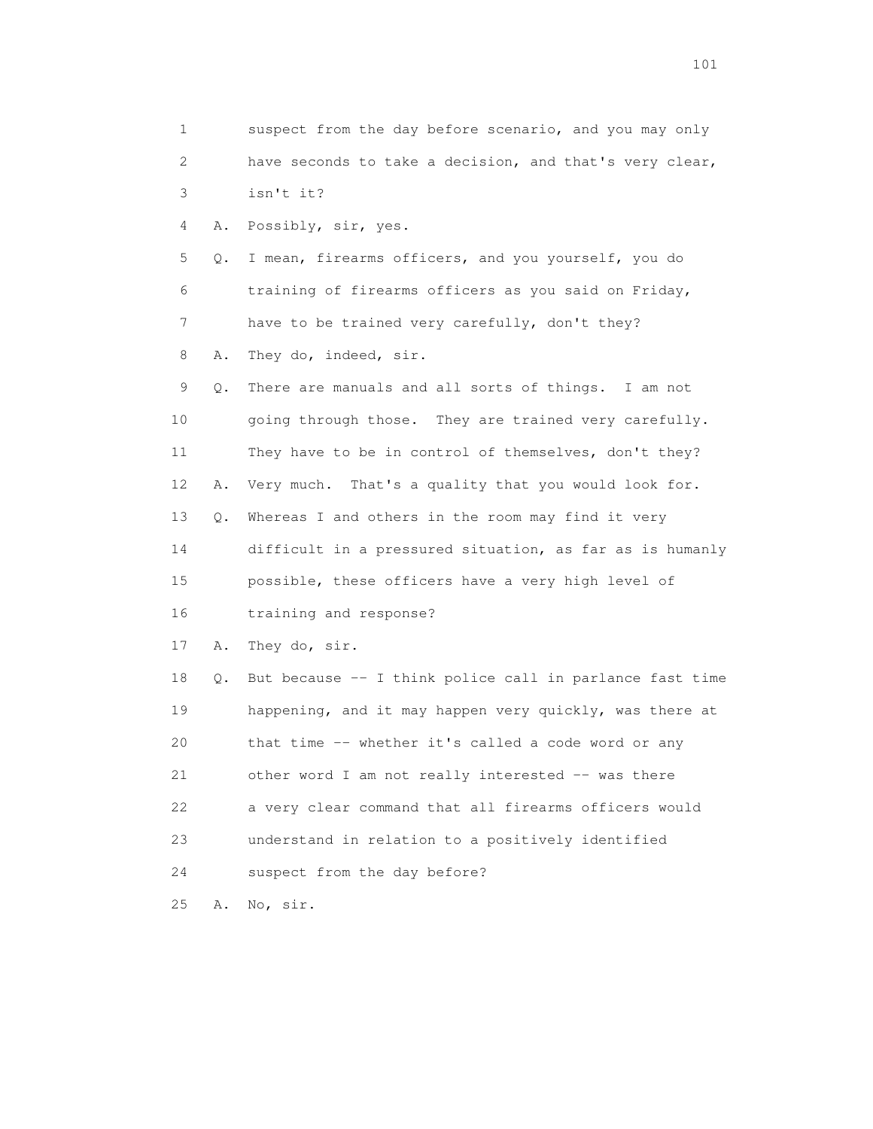1 suspect from the day before scenario, and you may only 2 have seconds to take a decision, and that's very clear, 3 isn't it? 4 A. Possibly, sir, yes. 5 Q. I mean, firearms officers, and you yourself, you do 6 training of firearms officers as you said on Friday, 7 have to be trained very carefully, don't they? 8 A. They do, indeed, sir. 9 Q. There are manuals and all sorts of things. I am not 10 going through those. They are trained very carefully. 11 They have to be in control of themselves, don't they? 12 A. Very much. That's a quality that you would look for. 13 Q. Whereas I and others in the room may find it very 14 difficult in a pressured situation, as far as is humanly 15 possible, these officers have a very high level of 16 training and response? 17 A. They do, sir. 18 Q. But because -- I think police call in parlance fast time 19 happening, and it may happen very quickly, was there at 20 that time -- whether it's called a code word or any 21 other word I am not really interested -- was there 22 a very clear command that all firearms officers would 23 understand in relation to a positively identified 24 suspect from the day before? 25 A. No, sir.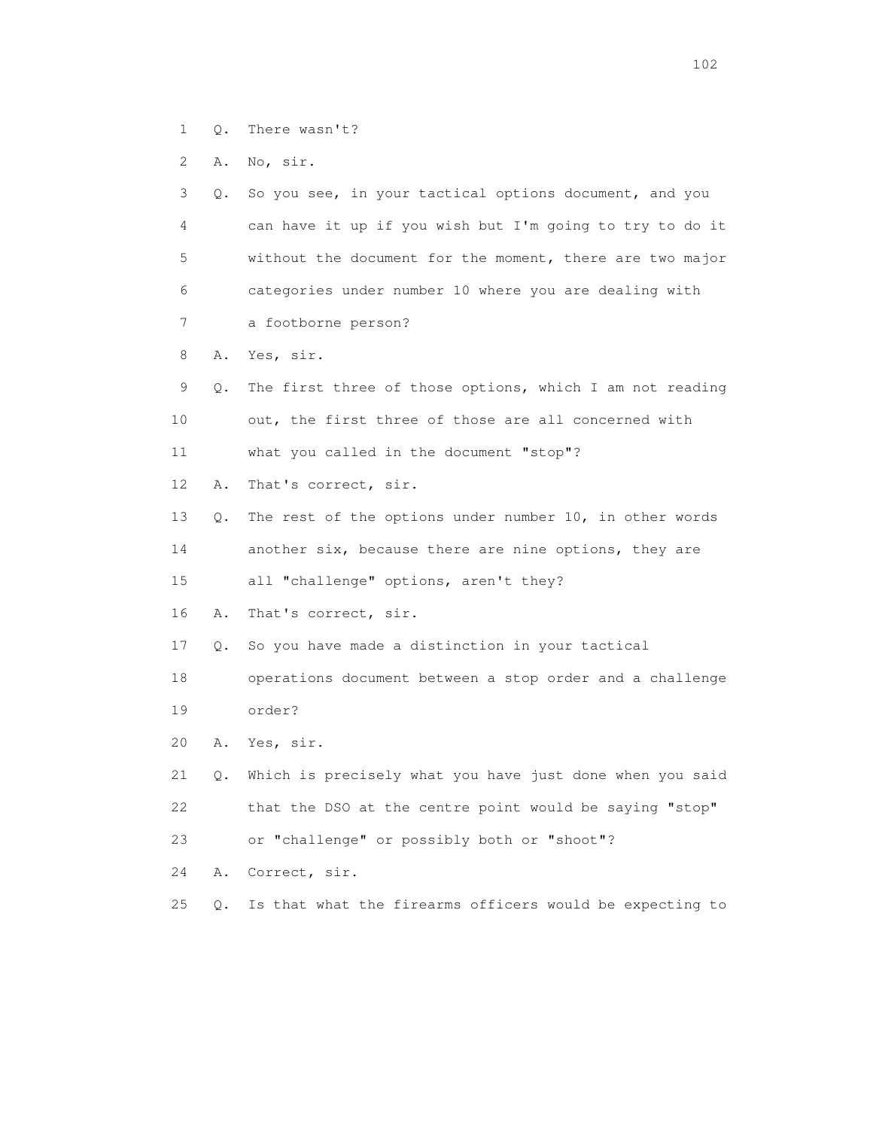1 Q. There wasn't?

2 A. No, sir.

 3 Q. So you see, in your tactical options document, and you 4 can have it up if you wish but I'm going to try to do it 5 without the document for the moment, there are two major 6 categories under number 10 where you are dealing with 7 a footborne person? 8 A. Yes, sir. 9 Q. The first three of those options, which I am not reading 10 out, the first three of those are all concerned with 11 what you called in the document "stop"? 12 A. That's correct, sir. 13 Q. The rest of the options under number 10, in other words 14 another six, because there are nine options, they are 15 all "challenge" options, aren't they? 16 A. That's correct, sir. 17 Q. So you have made a distinction in your tactical 18 operations document between a stop order and a challenge 19 order? 20 A. Yes, sir. 21 Q. Which is precisely what you have just done when you said 22 that the DSO at the centre point would be saying "stop" 23 or "challenge" or possibly both or "shoot"? 24 A. Correct, sir. 25 Q. Is that what the firearms officers would be expecting to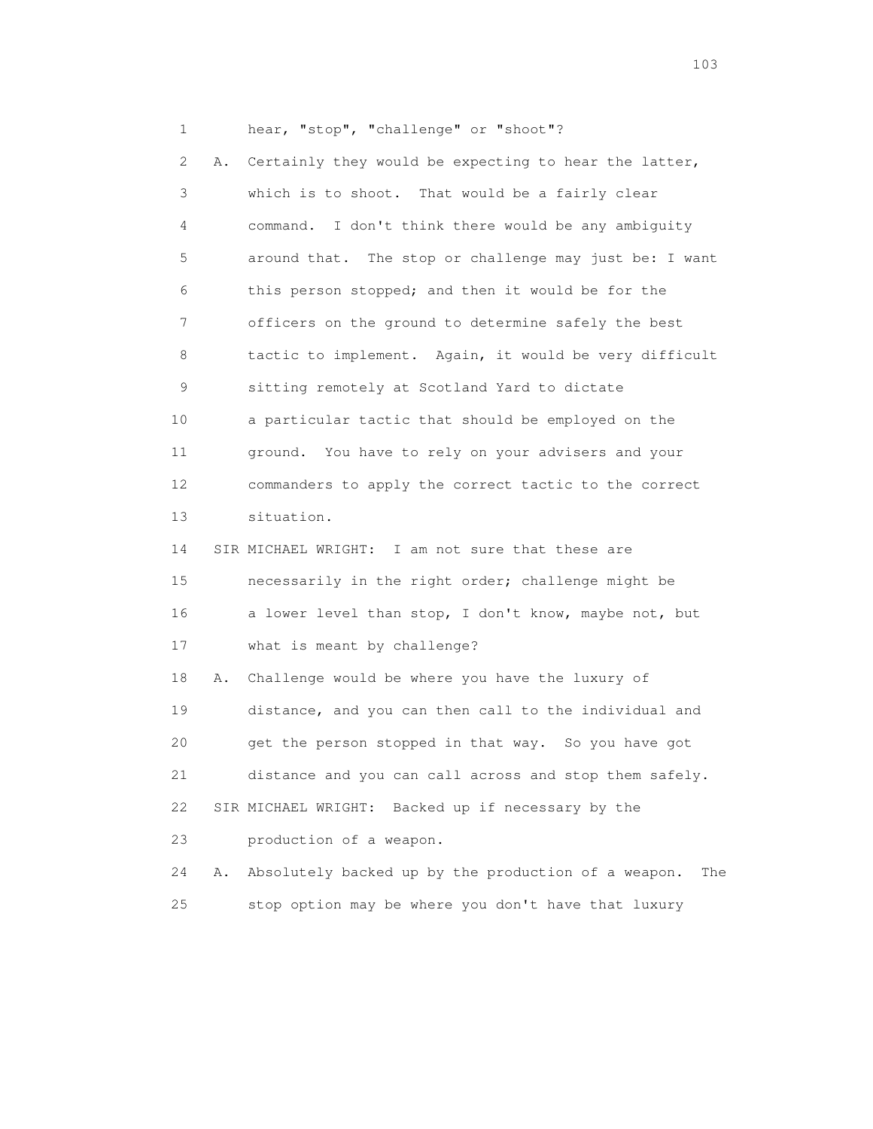1 hear, "stop", "challenge" or "shoot"?

 2 A. Certainly they would be expecting to hear the latter, 3 which is to shoot. That would be a fairly clear 4 command. I don't think there would be any ambiguity 5 around that. The stop or challenge may just be: I want 6 this person stopped; and then it would be for the 7 officers on the ground to determine safely the best 8 tactic to implement. Again, it would be very difficult 9 sitting remotely at Scotland Yard to dictate 10 a particular tactic that should be employed on the 11 ground. You have to rely on your advisers and your 12 commanders to apply the correct tactic to the correct 13 situation. 14 SIR MICHAEL WRIGHT: I am not sure that these are 15 necessarily in the right order; challenge might be 16 a lower level than stop, I don't know, maybe not, but 17 what is meant by challenge? 18 A. Challenge would be where you have the luxury of 19 distance, and you can then call to the individual and 20 get the person stopped in that way. So you have got 21 distance and you can call across and stop them safely. 22 SIR MICHAEL WRIGHT: Backed up if necessary by the 23 production of a weapon.

 24 A. Absolutely backed up by the production of a weapon. The 25 stop option may be where you don't have that luxury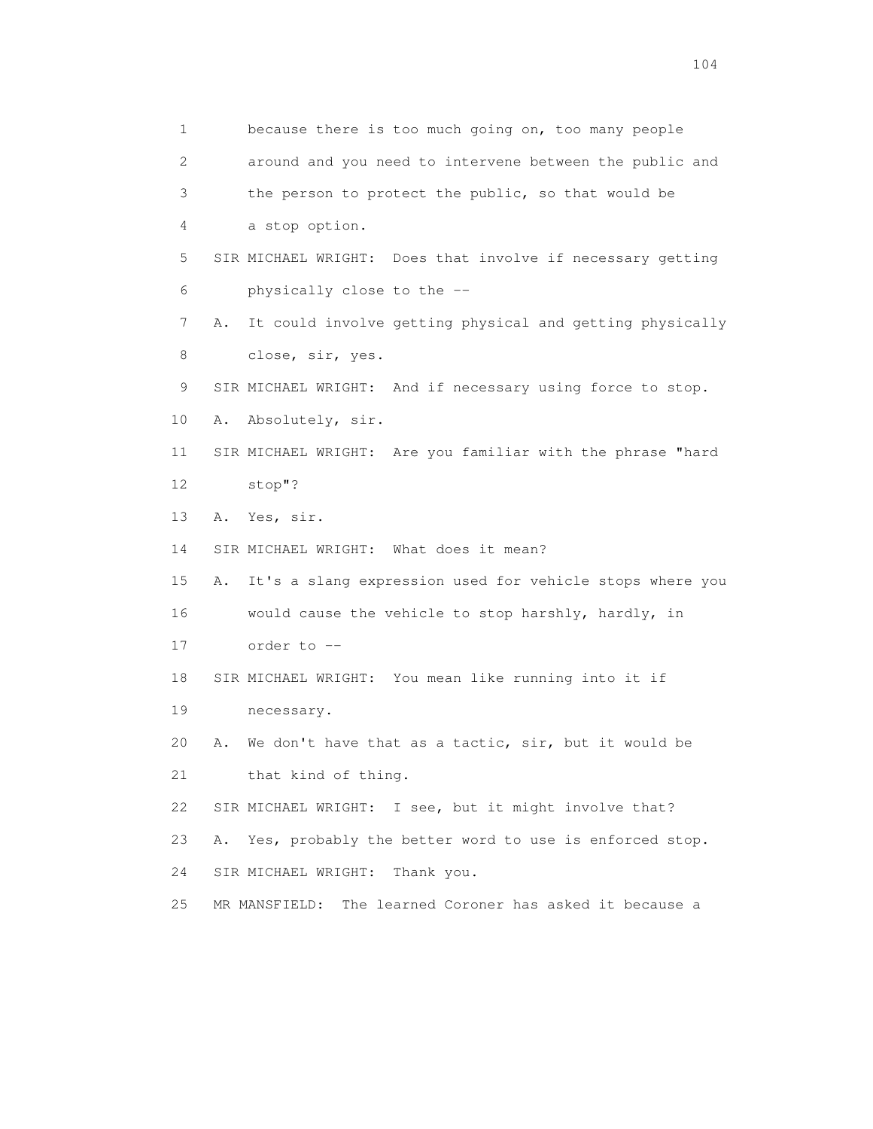1 because there is too much going on, too many people 2 around and you need to intervene between the public and 3 the person to protect the public, so that would be 4 a stop option. 5 SIR MICHAEL WRIGHT: Does that involve if necessary getting 6 physically close to the -- 7 A. It could involve getting physical and getting physically 8 close, sir, yes. 9 SIR MICHAEL WRIGHT: And if necessary using force to stop. 10 A. Absolutely, sir. 11 SIR MICHAEL WRIGHT: Are you familiar with the phrase "hard 12 stop"? 13 A. Yes, sir. 14 SIR MICHAEL WRIGHT: What does it mean? 15 A. It's a slang expression used for vehicle stops where you 16 would cause the vehicle to stop harshly, hardly, in 17 order to -- 18 SIR MICHAEL WRIGHT: You mean like running into it if 19 necessary. 20 A. We don't have that as a tactic, sir, but it would be 21 that kind of thing. 22 SIR MICHAEL WRIGHT: I see, but it might involve that? 23 A. Yes, probably the better word to use is enforced stop. 24 SIR MICHAEL WRIGHT: Thank you. 25 MR MANSFIELD: The learned Coroner has asked it because a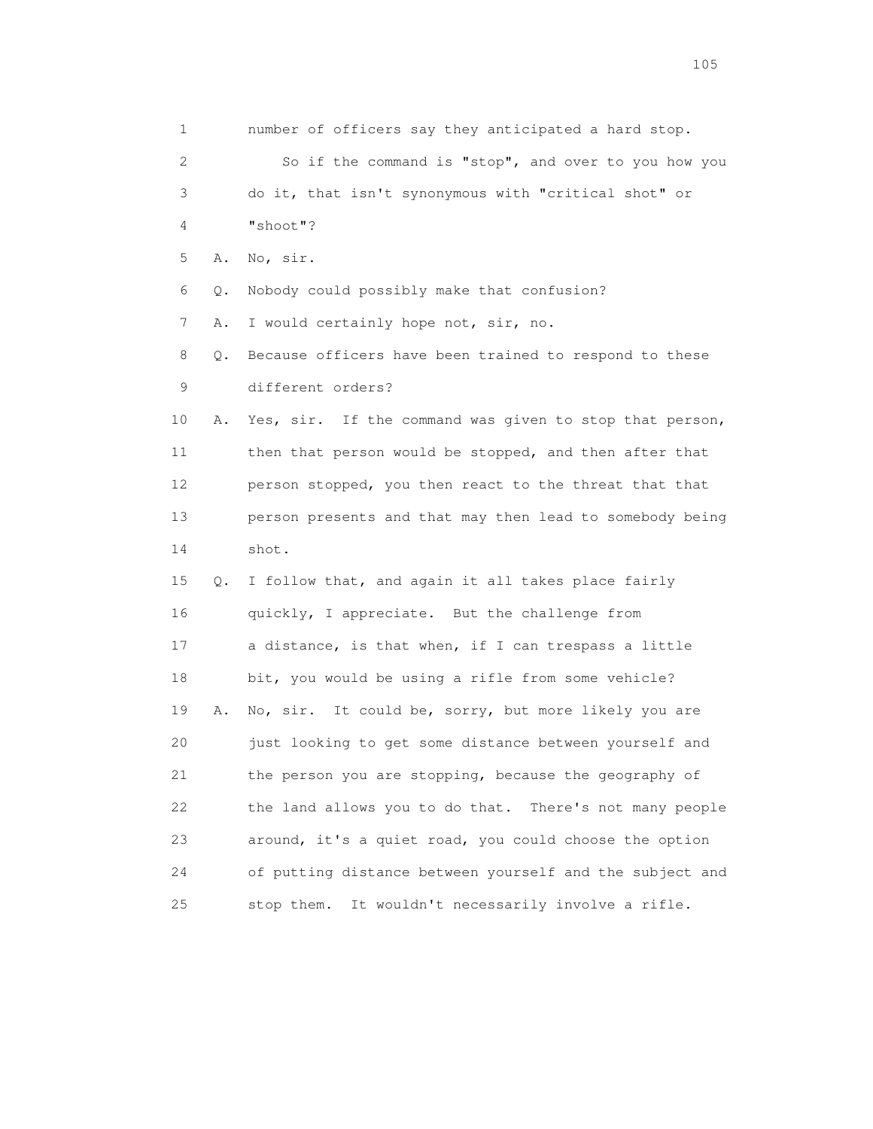1 number of officers say they anticipated a hard stop. 2 So if the command is "stop", and over to you how you 3 do it, that isn't synonymous with "critical shot" or 4 "shoot"? 5 A. No, sir. 6 Q. Nobody could possibly make that confusion? 7 A. I would certainly hope not, sir, no. 8 Q. Because officers have been trained to respond to these 9 different orders? 10 A. Yes, sir. If the command was given to stop that person, 11 then that person would be stopped, and then after that 12 person stopped, you then react to the threat that that 13 person presents and that may then lead to somebody being 14 shot. 15 Q. I follow that, and again it all takes place fairly 16 quickly, I appreciate. But the challenge from 17 a distance, is that when, if I can trespass a little 18 bit, you would be using a rifle from some vehicle? 19 A. No, sir. It could be, sorry, but more likely you are 20 just looking to get some distance between yourself and 21 the person you are stopping, because the geography of 22 the land allows you to do that. There's not many people 23 around, it's a quiet road, you could choose the option 24 of putting distance between yourself and the subject and 25 stop them. It wouldn't necessarily involve a rifle.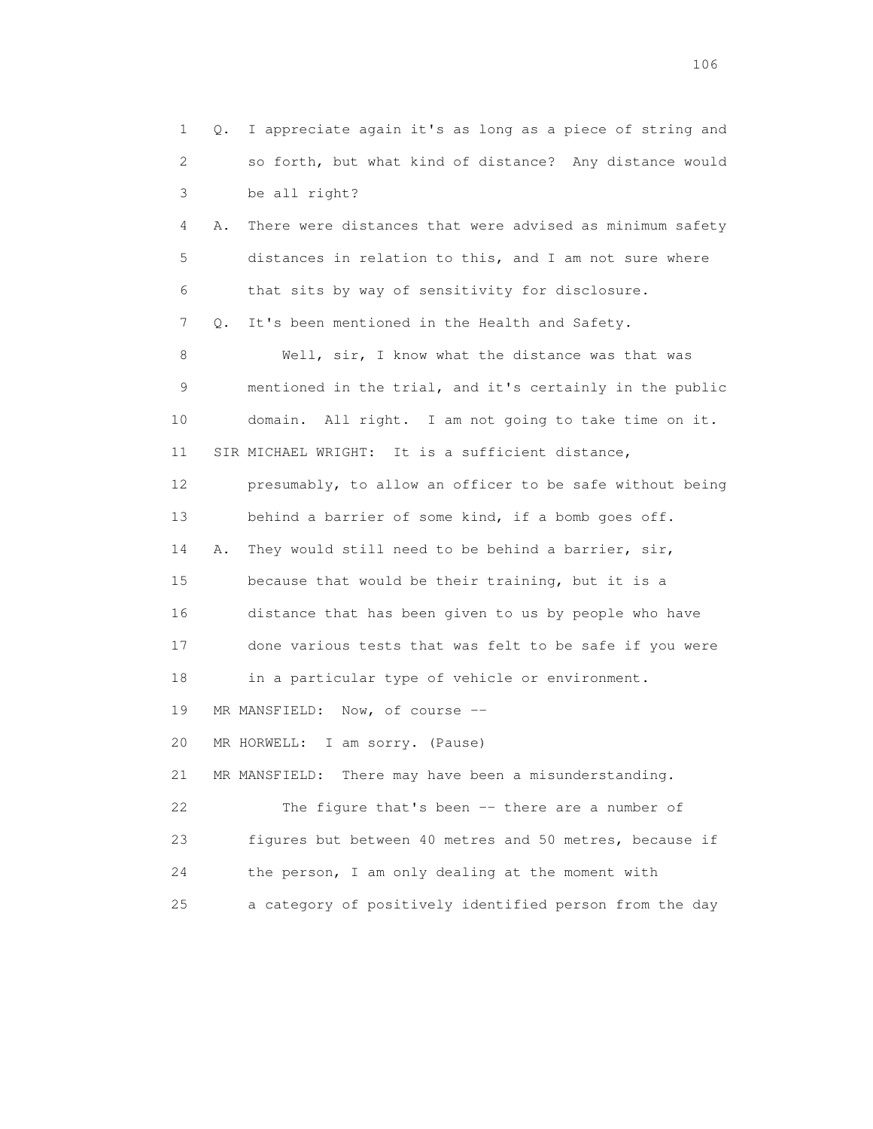1 Q. I appreciate again it's as long as a piece of string and 2 so forth, but what kind of distance? Any distance would 3 be all right? 4 A. There were distances that were advised as minimum safety 5 distances in relation to this, and I am not sure where 6 that sits by way of sensitivity for disclosure. 7 Q. It's been mentioned in the Health and Safety. 8 Well, sir, I know what the distance was that was 9 mentioned in the trial, and it's certainly in the public 10 domain. All right. I am not going to take time on it. 11 SIR MICHAEL WRIGHT: It is a sufficient distance, 12 presumably, to allow an officer to be safe without being 13 behind a barrier of some kind, if a bomb goes off. 14 A. They would still need to be behind a barrier, sir, 15 because that would be their training, but it is a 16 distance that has been given to us by people who have 17 done various tests that was felt to be safe if you were 18 in a particular type of vehicle or environment. 19 MR MANSFIELD: Now, of course -- 20 MR HORWELL: I am sorry. (Pause) 21 MR MANSFIELD: There may have been a misunderstanding. 22 The figure that's been -- there are a number of 23 figures but between 40 metres and 50 metres, because if 24 the person, I am only dealing at the moment with 25 a category of positively identified person from the day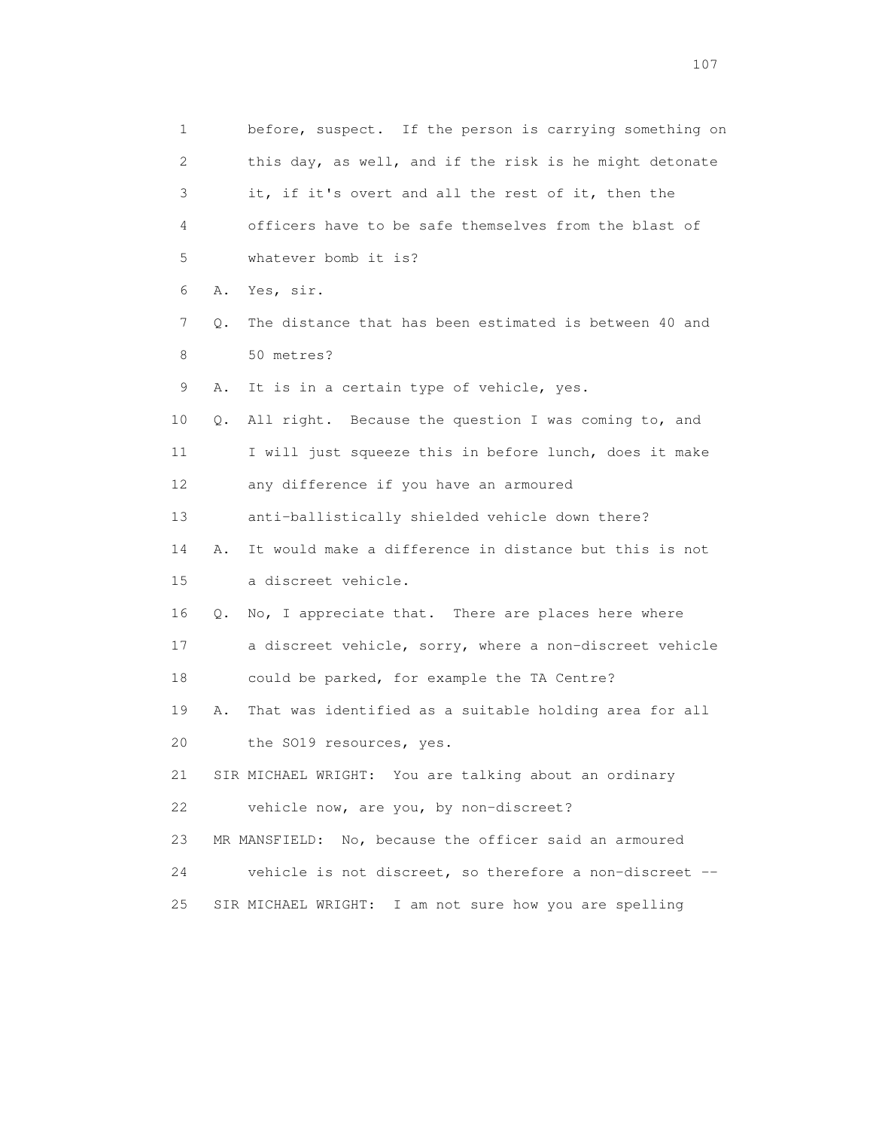1 before, suspect. If the person is carrying something on 2 this day, as well, and if the risk is he might detonate 3 it, if it's overt and all the rest of it, then the 4 officers have to be safe themselves from the blast of 5 whatever bomb it is? 6 A. Yes, sir. 7 Q. The distance that has been estimated is between 40 and 8 50 metres? 9 A. It is in a certain type of vehicle, yes. 10 Q. All right. Because the question I was coming to, and 11 I will just squeeze this in before lunch, does it make 12 any difference if you have an armoured 13 anti-ballistically shielded vehicle down there? 14 A. It would make a difference in distance but this is not 15 a discreet vehicle. 16 Q. No, I appreciate that. There are places here where 17 a discreet vehicle, sorry, where a non-discreet vehicle 18 could be parked, for example the TA Centre? 19 A. That was identified as a suitable holding area for all 20 the SO19 resources, yes. 21 SIR MICHAEL WRIGHT: You are talking about an ordinary 22 vehicle now, are you, by non-discreet? 23 MR MANSFIELD: No, because the officer said an armoured 24 vehicle is not discreet, so therefore a non-discreet -- 25 SIR MICHAEL WRIGHT: I am not sure how you are spelling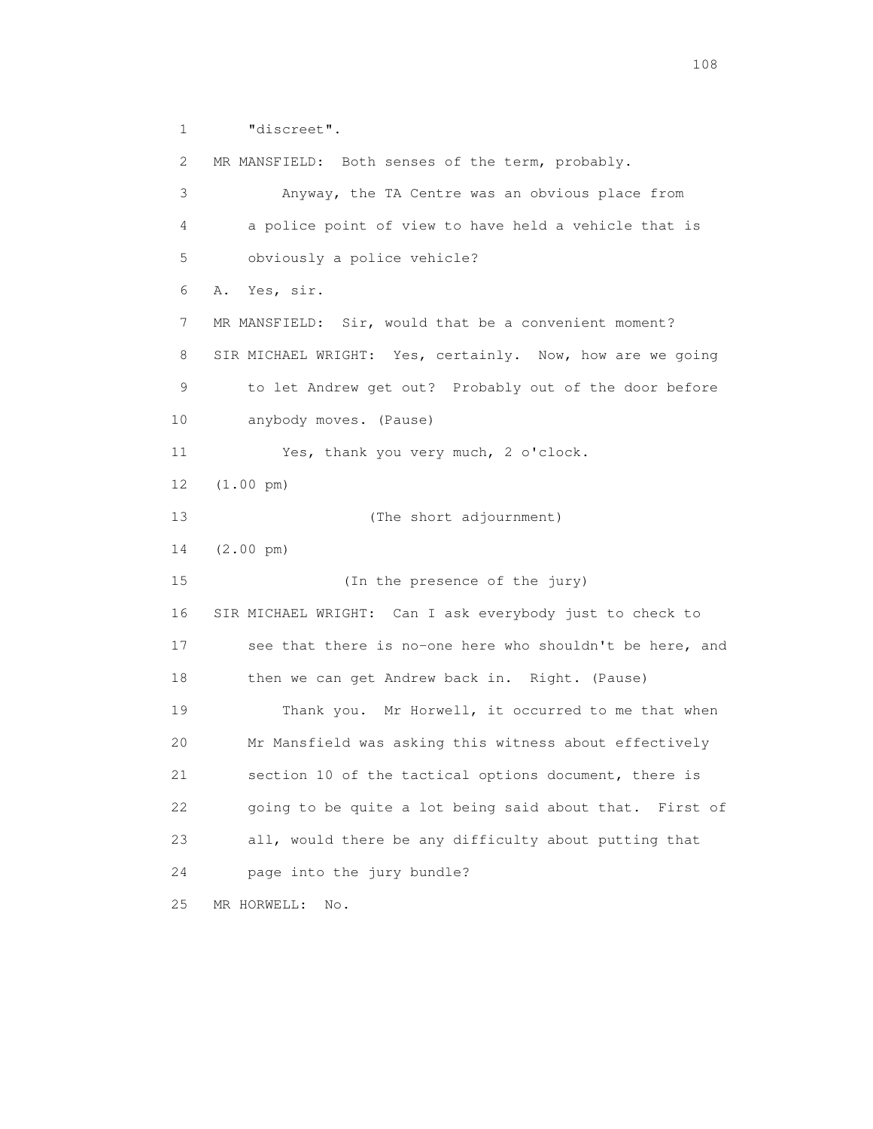1 "discreet".

 2 MR MANSFIELD: Both senses of the term, probably. 3 Anyway, the TA Centre was an obvious place from 4 a police point of view to have held a vehicle that is 5 obviously a police vehicle? 6 A. Yes, sir. 7 MR MANSFIELD: Sir, would that be a convenient moment? 8 SIR MICHAEL WRIGHT: Yes, certainly. Now, how are we going 9 to let Andrew get out? Probably out of the door before 10 anybody moves. (Pause) 11 Yes, thank you very much, 2 o'clock. 12 (1.00 pm) 13 (The short adjournment) 14 (2.00 pm) 15 (In the presence of the jury) 16 SIR MICHAEL WRIGHT: Can I ask everybody just to check to 17 see that there is no-one here who shouldn't be here, and 18 then we can get Andrew back in. Right. (Pause) 19 Thank you. Mr Horwell, it occurred to me that when 20 Mr Mansfield was asking this witness about effectively 21 section 10 of the tactical options document, there is 22 going to be quite a lot being said about that. First of 23 all, would there be any difficulty about putting that 24 page into the jury bundle? 25 MR HORWELL: No.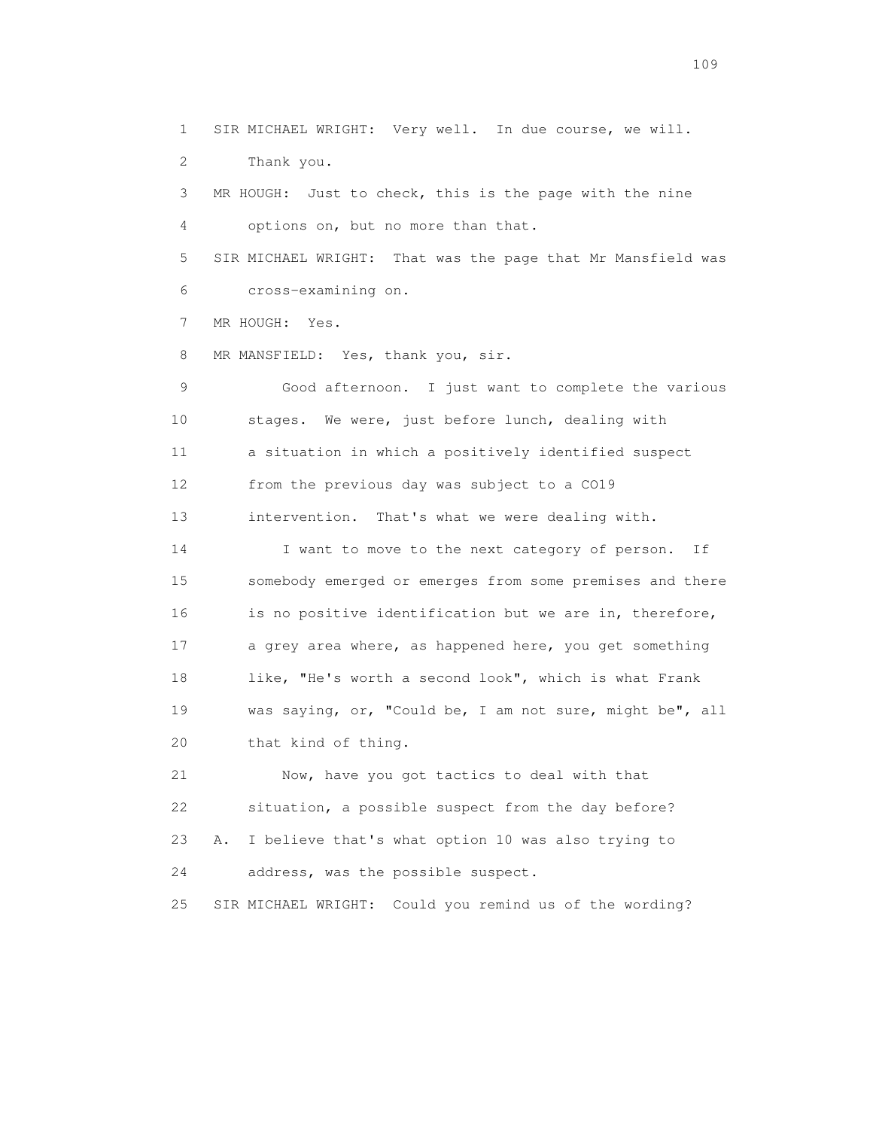1 SIR MICHAEL WRIGHT: Very well. In due course, we will. 2 Thank you. 3 MR HOUGH: Just to check, this is the page with the nine 4 options on, but no more than that. 5 SIR MICHAEL WRIGHT: That was the page that Mr Mansfield was 6 cross-examining on. 7 MR HOUGH: Yes. 8 MR MANSFIELD: Yes, thank you, sir. 9 Good afternoon. I just want to complete the various 10 stages. We were, just before lunch, dealing with 11 a situation in which a positively identified suspect 12 from the previous day was subject to a CO19 13 intervention. That's what we were dealing with. 14 I want to move to the next category of person. If 15 somebody emerged or emerges from some premises and there 16 is no positive identification but we are in, therefore, 17 a grey area where, as happened here, you get something 18 like, "He's worth a second look", which is what Frank 19 was saying, or, "Could be, I am not sure, might be", all 20 that kind of thing. 21 Now, have you got tactics to deal with that 22 situation, a possible suspect from the day before? 23 A. I believe that's what option 10 was also trying to

24 address, was the possible suspect.

25 SIR MICHAEL WRIGHT: Could you remind us of the wording?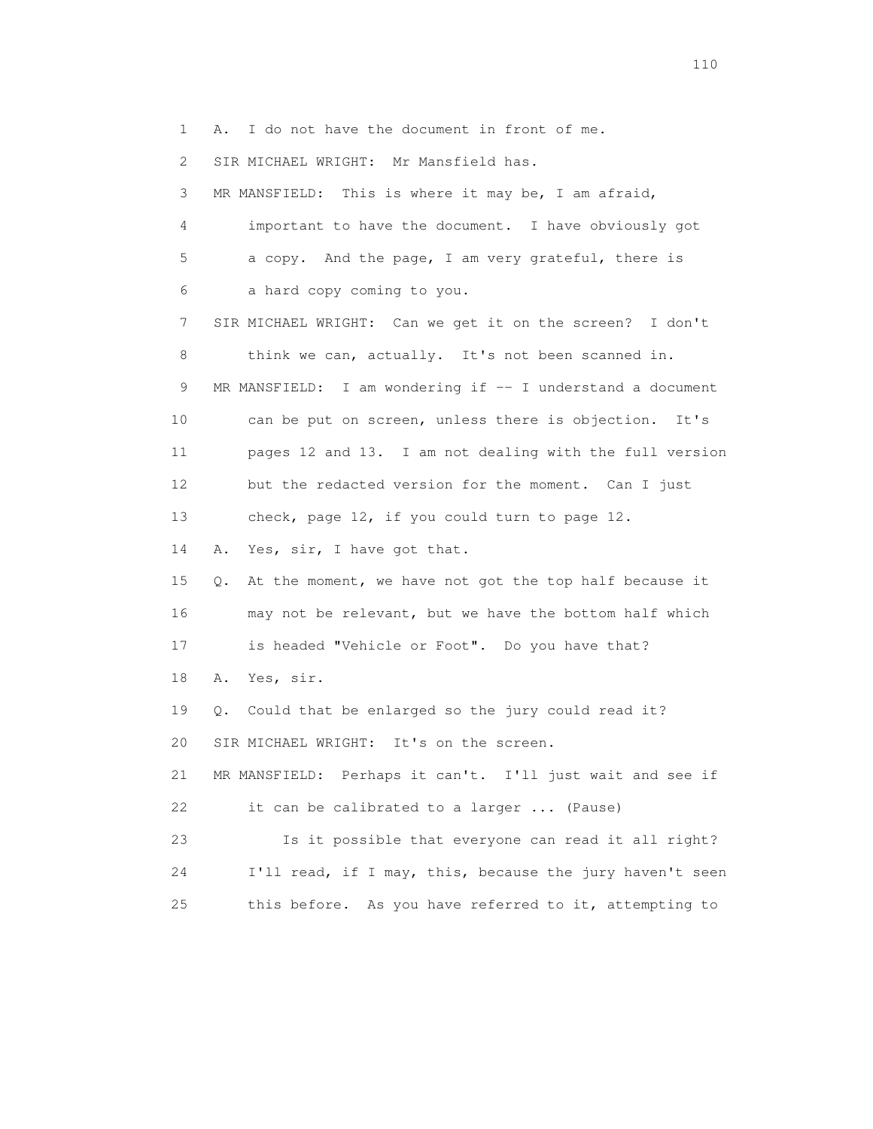1 A. I do not have the document in front of me.

2 SIR MICHAEL WRIGHT: Mr Mansfield has.

 3 MR MANSFIELD: This is where it may be, I am afraid, 4 important to have the document. I have obviously got 5 a copy. And the page, I am very grateful, there is 6 a hard copy coming to you. 7 SIR MICHAEL WRIGHT: Can we get it on the screen? I don't 8 think we can, actually. It's not been scanned in. 9 MR MANSFIELD: I am wondering if -- I understand a document 10 can be put on screen, unless there is objection. It's 11 pages 12 and 13. I am not dealing with the full version 12 but the redacted version for the moment. Can I just 13 check, page 12, if you could turn to page 12. 14 A. Yes, sir, I have got that. 15 Q. At the moment, we have not got the top half because it 16 may not be relevant, but we have the bottom half which 17 is headed "Vehicle or Foot". Do you have that? 18 A. Yes, sir. 19 Q. Could that be enlarged so the jury could read it? 20 SIR MICHAEL WRIGHT: It's on the screen. 21 MR MANSFIELD: Perhaps it can't. I'll just wait and see if 22 it can be calibrated to a larger ... (Pause) 23 Is it possible that everyone can read it all right? 24 I'll read, if I may, this, because the jury haven't seen 25 this before. As you have referred to it, attempting to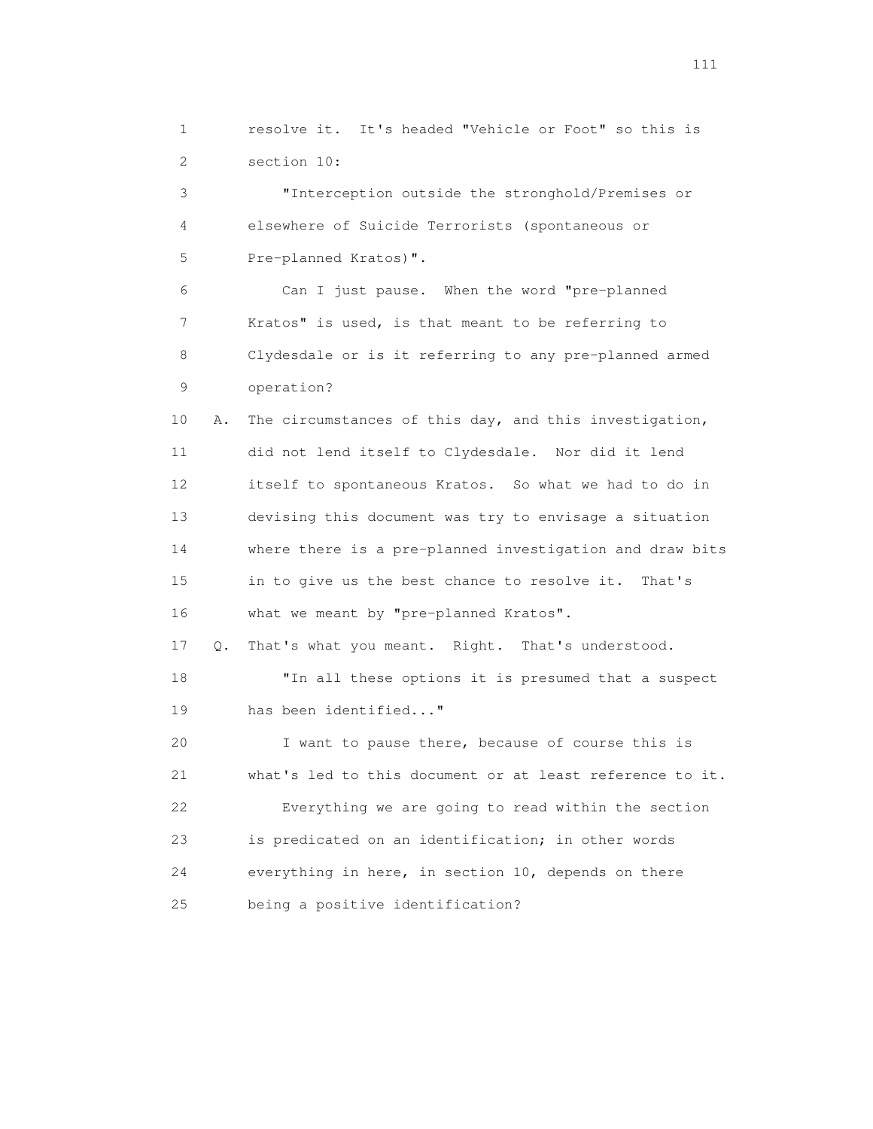1 resolve it. It's headed "Vehicle or Foot" so this is 2 section 10:

 3 "Interception outside the stronghold/Premises or 4 elsewhere of Suicide Terrorists (spontaneous or 5 Pre-planned Kratos)".

 6 Can I just pause. When the word "pre-planned 7 Kratos" is used, is that meant to be referring to 8 Clydesdale or is it referring to any pre-planned armed 9 operation?

 10 A. The circumstances of this day, and this investigation, 11 did not lend itself to Clydesdale. Nor did it lend 12 itself to spontaneous Kratos. So what we had to do in 13 devising this document was try to envisage a situation 14 where there is a pre-planned investigation and draw bits 15 in to give us the best chance to resolve it. That's 16 what we meant by "pre-planned Kratos".

 17 Q. That's what you meant. Right. That's understood. 18 "In all these options it is presumed that a suspect 19 has been identified..."

 20 I want to pause there, because of course this is 21 what's led to this document or at least reference to it. 22 Everything we are going to read within the section 23 is predicated on an identification; in other words 24 everything in here, in section 10, depends on there 25 being a positive identification?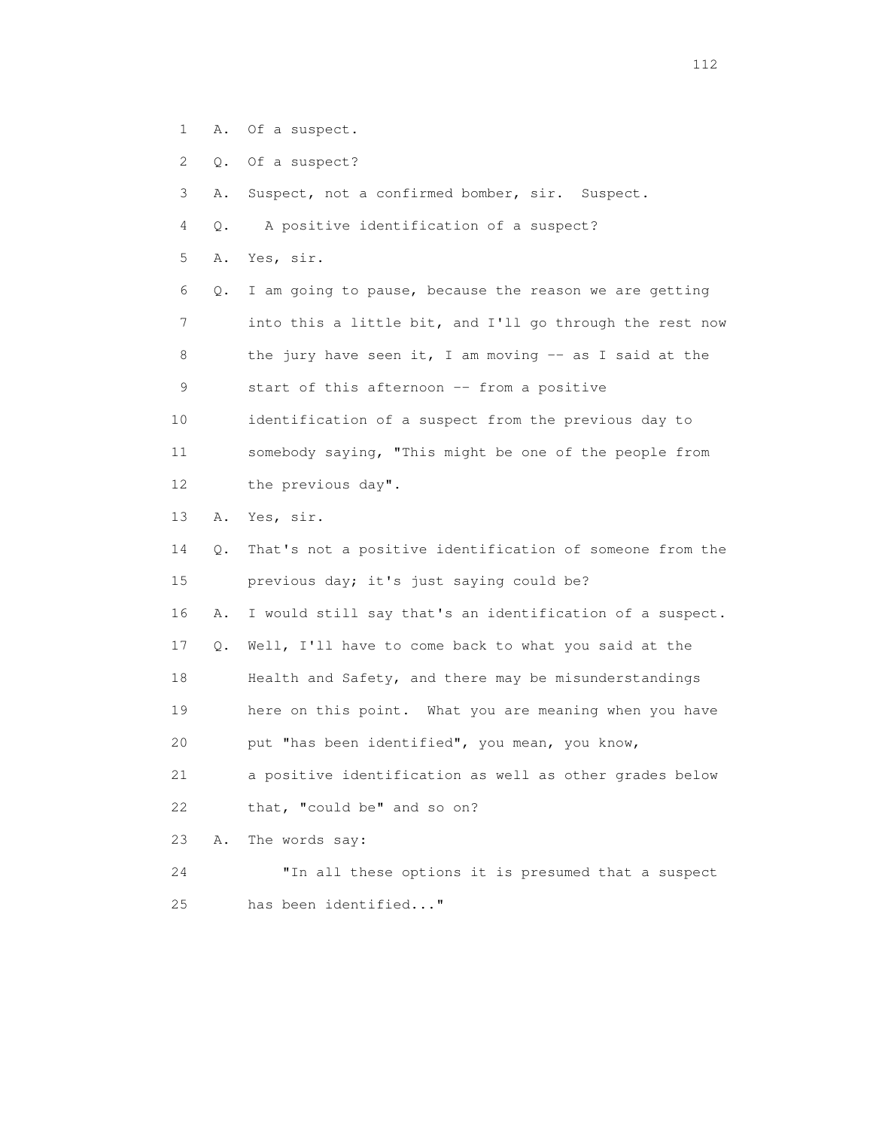- 1 A. Of a suspect.
- 2 Q. Of a suspect?

3 A. Suspect, not a confirmed bomber, sir. Suspect.

- 4 Q. A positive identification of a suspect?
- 5 A. Yes, sir.

 6 Q. I am going to pause, because the reason we are getting 7 into this a little bit, and I'll go through the rest now 8 the jury have seen it, I am moving -- as I said at the 9 start of this afternoon -- from a positive

 10 identification of a suspect from the previous day to 11 somebody saying, "This might be one of the people from 12 the previous day".

13 A. Yes, sir.

 14 Q. That's not a positive identification of someone from the 15 previous day; it's just saying could be?

16 A. I would still say that's an identification of a suspect.

17 Q. Well, I'll have to come back to what you said at the

18 Health and Safety, and there may be misunderstandings

19 here on this point. What you are meaning when you have

20 put "has been identified", you mean, you know,

 21 a positive identification as well as other grades below 22 that, "could be" and so on?

23 A. The words say:

 24 "In all these options it is presumed that a suspect 25 has been identified..."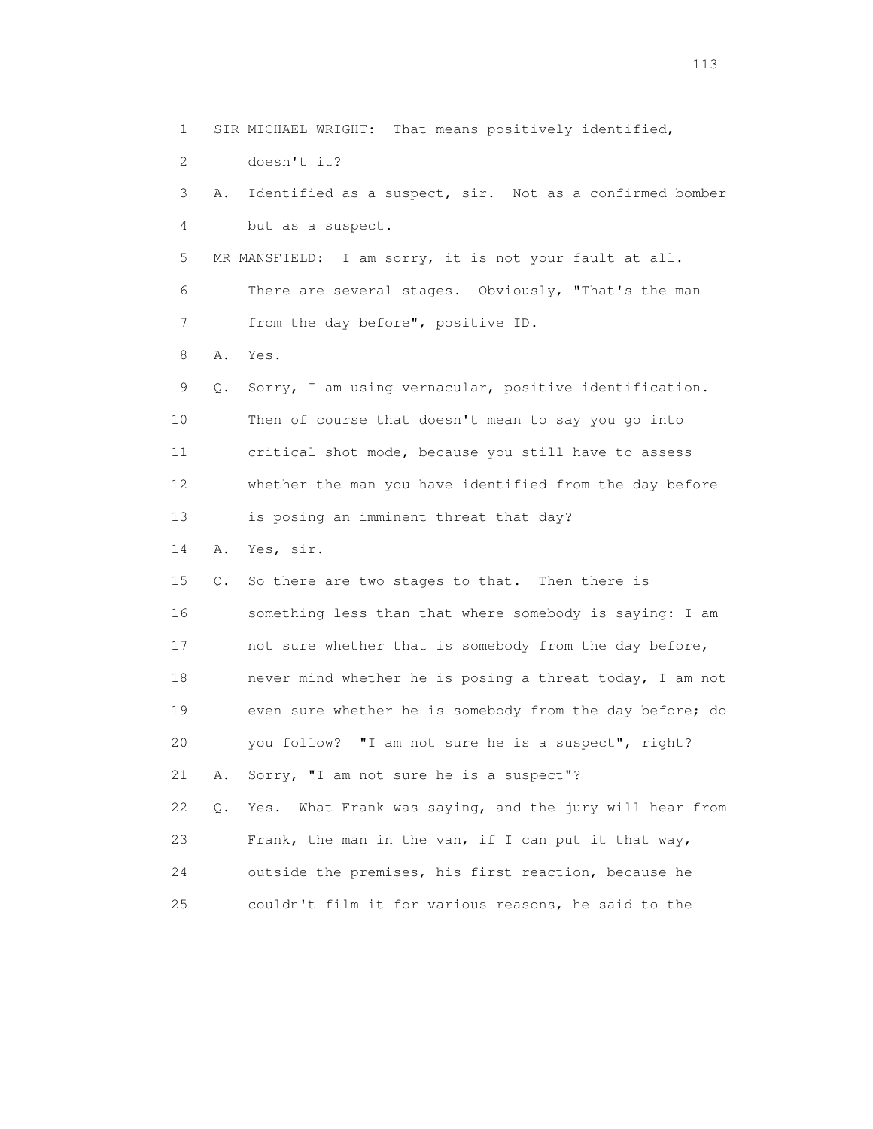1 SIR MICHAEL WRIGHT: That means positively identified,

2 doesn't it?

 3 A. Identified as a suspect, sir. Not as a confirmed bomber 4 but as a suspect. 5 MR MANSFIELD: I am sorry, it is not your fault at all. 6 There are several stages. Obviously, "That's the man 7 from the day before", positive ID. 8 A. Yes. 9 Q. Sorry, I am using vernacular, positive identification. 10 Then of course that doesn't mean to say you go into 11 critical shot mode, because you still have to assess 12 whether the man you have identified from the day before 13 is posing an imminent threat that day? 14 A. Yes, sir. 15 Q. So there are two stages to that. Then there is 16 something less than that where somebody is saying: I am 17 not sure whether that is somebody from the day before, 18 never mind whether he is posing a threat today, I am not 19 even sure whether he is somebody from the day before; do 20 you follow? "I am not sure he is a suspect", right? 21 A. Sorry, "I am not sure he is a suspect"? 22 Q. Yes. What Frank was saying, and the jury will hear from 23 Frank, the man in the van, if I can put it that way,

24 outside the premises, his first reaction, because he

25 couldn't film it for various reasons, he said to the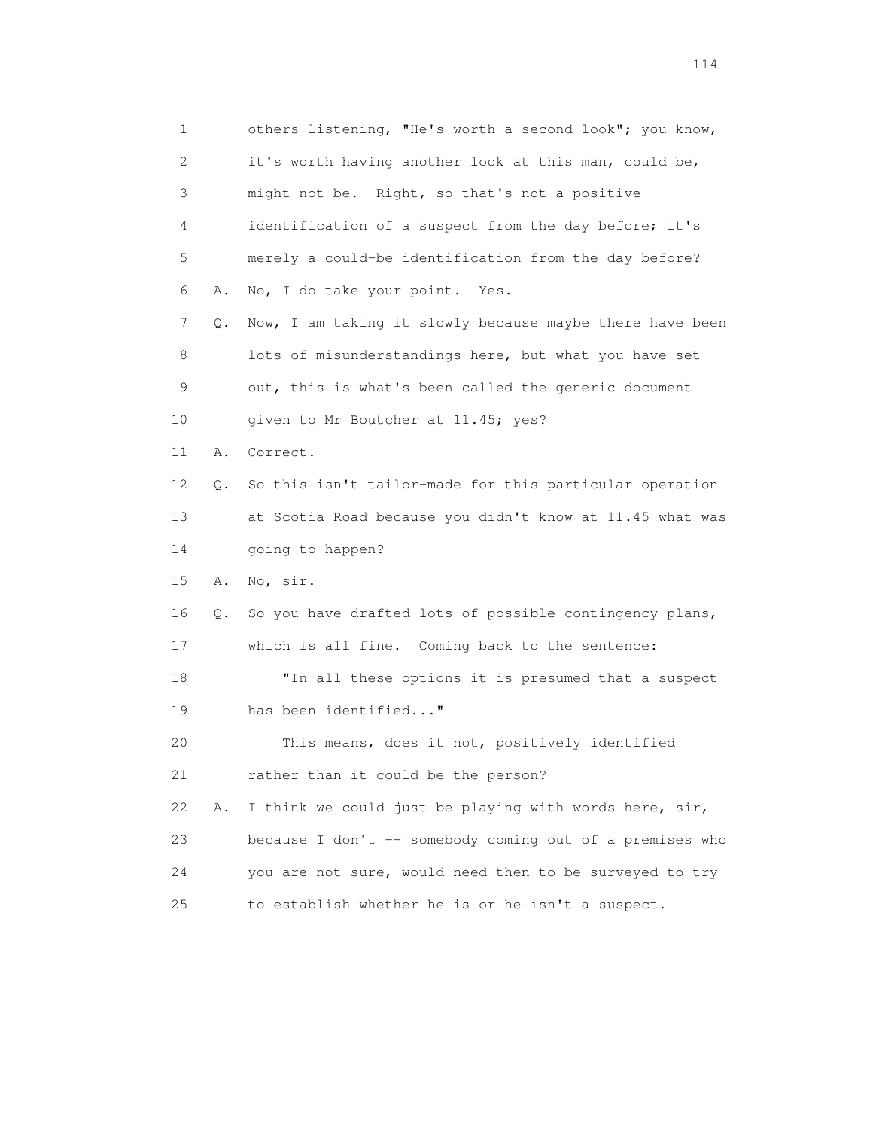1 others listening, "He's worth a second look"; you know, 2 it's worth having another look at this man, could be, 3 might not be. Right, so that's not a positive 4 identification of a suspect from the day before; it's 5 merely a could-be identification from the day before? 6 A. No, I do take your point. Yes. 7 Q. Now, I am taking it slowly because maybe there have been 8 lots of misunderstandings here, but what you have set 9 out, this is what's been called the generic document 10 given to Mr Boutcher at 11.45; yes? 11 A. Correct. 12 Q. So this isn't tailor-made for this particular operation 13 at Scotia Road because you didn't know at 11.45 what was 14 going to happen? 15 A. No, sir. 16 Q. So you have drafted lots of possible contingency plans, 17 which is all fine. Coming back to the sentence: 18 "In all these options it is presumed that a suspect 19 has been identified..." 20 This means, does it not, positively identified 21 rather than it could be the person? 22 A. I think we could just be playing with words here, sir, 23 because I don't -- somebody coming out of a premises who 24 you are not sure, would need then to be surveyed to try 25 to establish whether he is or he isn't a suspect.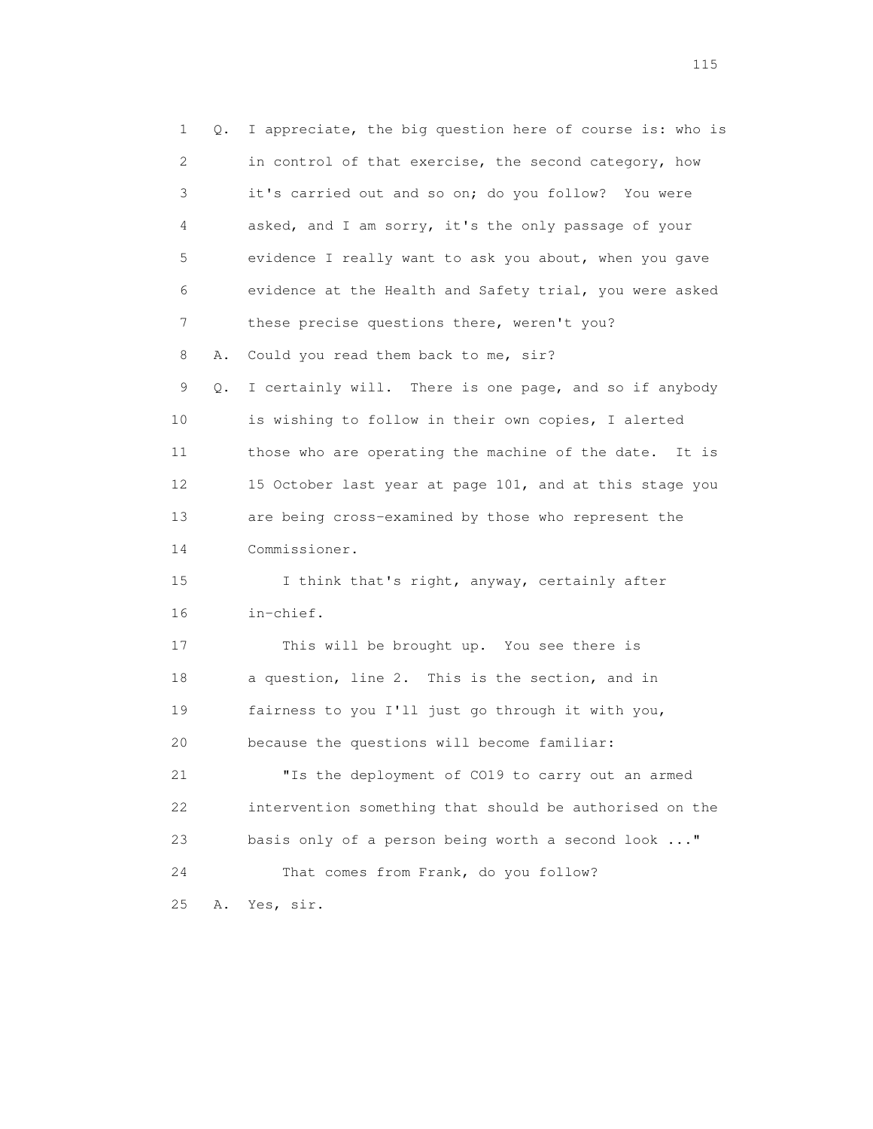1 Q. I appreciate, the big question here of course is: who is 2 in control of that exercise, the second category, how 3 it's carried out and so on; do you follow? You were 4 asked, and I am sorry, it's the only passage of your 5 evidence I really want to ask you about, when you gave 6 evidence at the Health and Safety trial, you were asked 7 these precise questions there, weren't you? 8 A. Could you read them back to me, sir? 9 Q. I certainly will. There is one page, and so if anybody 10 is wishing to follow in their own copies, I alerted 11 those who are operating the machine of the date. It is 12 15 October last year at page 101, and at this stage you 13 are being cross-examined by those who represent the 14 Commissioner. 15 I think that's right, anyway, certainly after 16 in-chief. 17 This will be brought up. You see there is 18 a question, line 2. This is the section, and in 19 fairness to you I'll just go through it with you, 20 because the questions will become familiar: 21 "Is the deployment of CO19 to carry out an armed 22 intervention something that should be authorised on the 23 basis only of a person being worth a second look ..." 24 That comes from Frank, do you follow? 25 A. Yes, sir.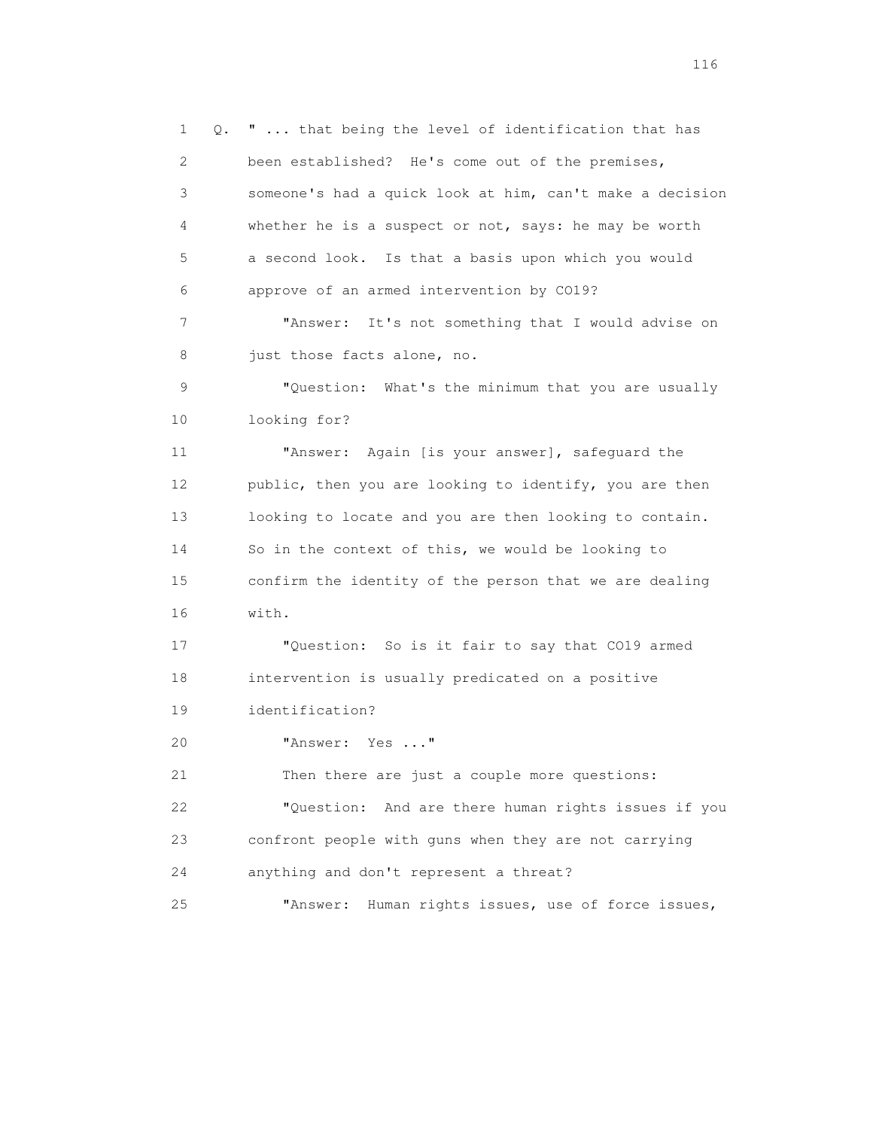1 Q. " ... that being the level of identification that has 2 been established? He's come out of the premises, 3 someone's had a quick look at him, can't make a decision 4 whether he is a suspect or not, says: he may be worth 5 a second look. Is that a basis upon which you would 6 approve of an armed intervention by CO19? 7 "Answer: It's not something that I would advise on 8 just those facts alone, no. 9 "Question: What's the minimum that you are usually 10 looking for? 11 "Answer: Again [is your answer], safeguard the 12 public, then you are looking to identify, you are then 13 looking to locate and you are then looking to contain. 14 So in the context of this, we would be looking to 15 confirm the identity of the person that we are dealing 16 with. 17 "Question: So is it fair to say that CO19 armed 18 intervention is usually predicated on a positive 19 identification? 20 "Answer: Yes ..." 21 Then there are just a couple more questions: 22 "Question: And are there human rights issues if you 23 confront people with guns when they are not carrying 24 anything and don't represent a threat? 25 "Answer: Human rights issues, use of force issues,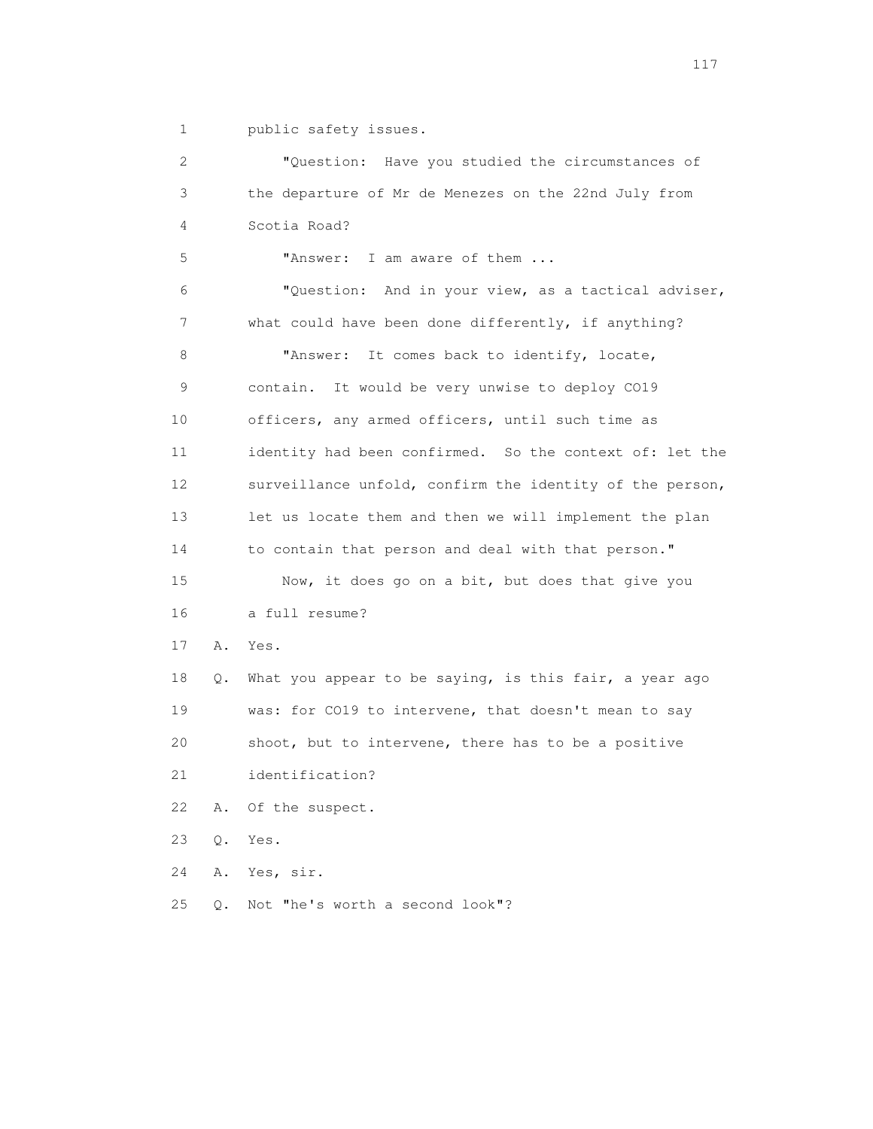1 public safety issues.

 2 "Question: Have you studied the circumstances of 3 the departure of Mr de Menezes on the 22nd July from 4 Scotia Road? 5 "Answer: I am aware of them ... 6 "Question: And in your view, as a tactical adviser, 7 what could have been done differently, if anything? 8 "Answer: It comes back to identify, locate, 9 contain. It would be very unwise to deploy CO19 10 officers, any armed officers, until such time as 11 identity had been confirmed. So the context of: let the 12 surveillance unfold, confirm the identity of the person, 13 let us locate them and then we will implement the plan 14 to contain that person and deal with that person." 15 Now, it does go on a bit, but does that give you 16 a full resume? 17 A. Yes. 18 Q. What you appear to be saying, is this fair, a year ago 19 was: for CO19 to intervene, that doesn't mean to say 20 shoot, but to intervene, there has to be a positive 21 identification? 22 A. Of the suspect. 23 Q. Yes. 24 A. Yes, sir. 25 Q. Not "he's worth a second look"?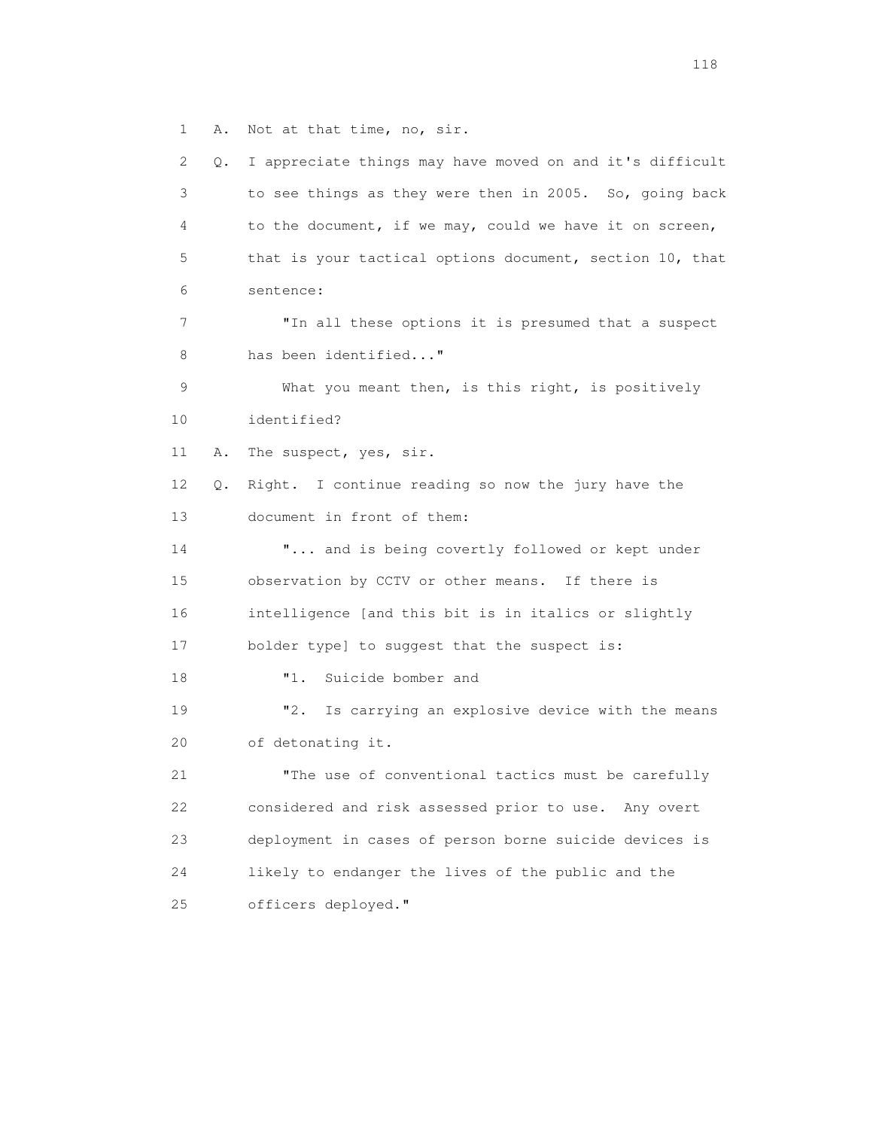1 A. Not at that time, no, sir.

 2 Q. I appreciate things may have moved on and it's difficult 3 to see things as they were then in 2005. So, going back 4 to the document, if we may, could we have it on screen, 5 that is your tactical options document, section 10, that 6 sentence: 7 "In all these options it is presumed that a suspect 8 has been identified..." 9 What you meant then, is this right, is positively 10 identified? 11 A. The suspect, yes, sir. 12 Q. Right. I continue reading so now the jury have the 13 document in front of them: 14 "... and is being covertly followed or kept under 15 observation by CCTV or other means. If there is 16 intelligence [and this bit is in italics or slightly 17 bolder type] to suggest that the suspect is: 18 "1. Suicide bomber and 19 "2. Is carrying an explosive device with the means 20 of detonating it. 21 "The use of conventional tactics must be carefully 22 considered and risk assessed prior to use. Any overt 23 deployment in cases of person borne suicide devices is 24 likely to endanger the lives of the public and the 25 officers deployed."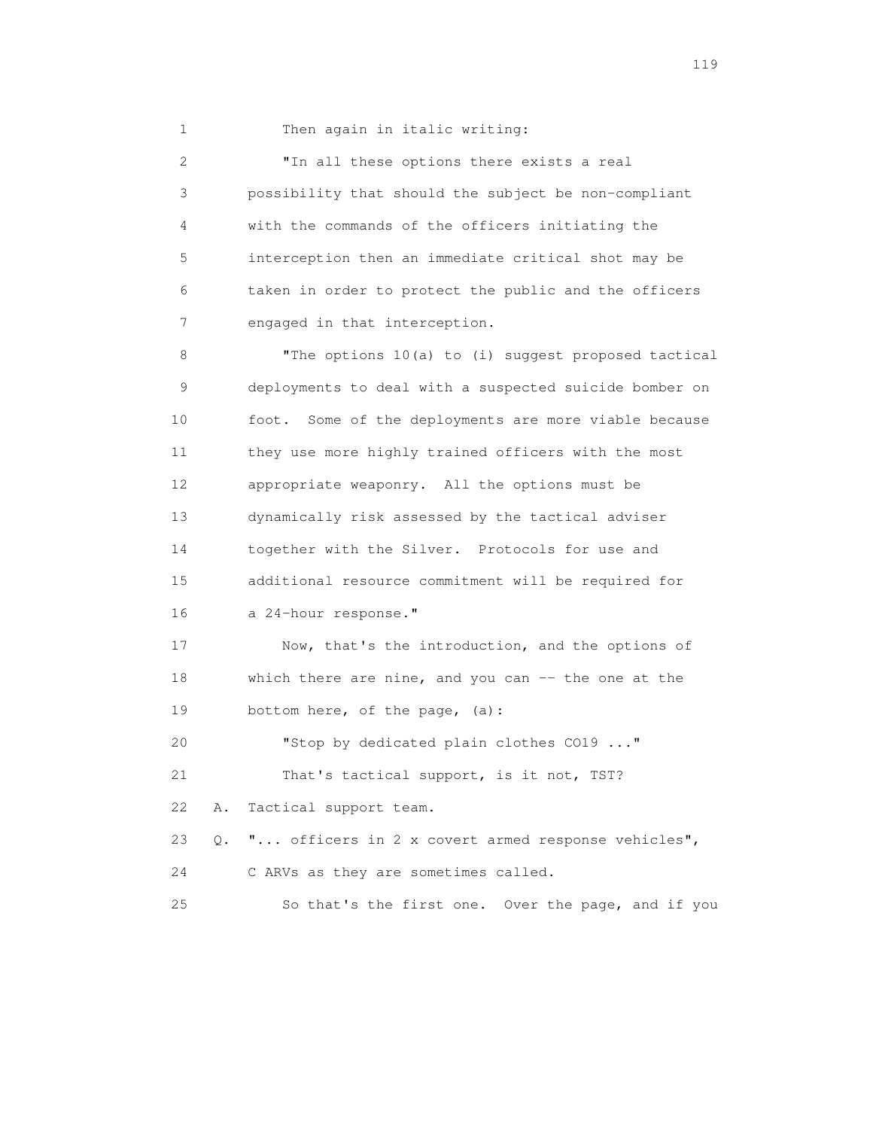1 Then again in italic writing:

 2 "In all these options there exists a real 3 possibility that should the subject be non-compliant 4 with the commands of the officers initiating the 5 interception then an immediate critical shot may be 6 taken in order to protect the public and the officers 7 engaged in that interception. 8 "The options 10(a) to (i) suggest proposed tactical

 9 deployments to deal with a suspected suicide bomber on 10 foot. Some of the deployments are more viable because 11 they use more highly trained officers with the most 12 appropriate weaponry. All the options must be 13 dynamically risk assessed by the tactical adviser 14 together with the Silver. Protocols for use and 15 additional resource commitment will be required for 16 a 24-hour response."

 17 Now, that's the introduction, and the options of 18 which there are nine, and you can -- the one at the 19 bottom here, of the page, (a):

 20 "Stop by dedicated plain clothes CO19 ..." 21 That's tactical support, is it not, TST? 22 A. Tactical support team.

23 Q. "... officers in 2 x covert armed response vehicles",

24 C ARVs as they are sometimes called.

25 So that's the first one. Over the page, and if you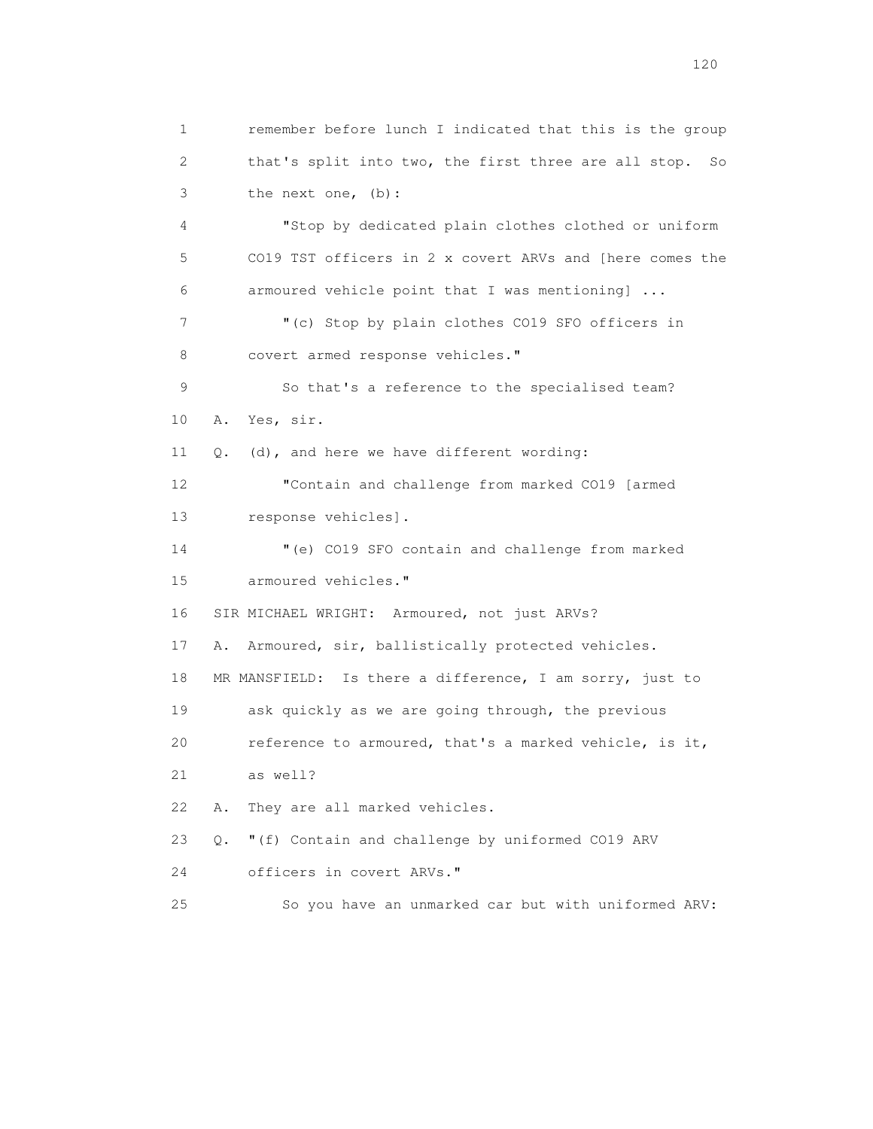1 remember before lunch I indicated that this is the group 2 that's split into two, the first three are all stop. So 3 the next one, (b): 4 "Stop by dedicated plain clothes clothed or uniform 5 CO19 TST officers in 2 x covert ARVs and [here comes the 6 armoured vehicle point that I was mentioning] ... 7 "(c) Stop by plain clothes CO19 SFO officers in 8 covert armed response vehicles." 9 So that's a reference to the specialised team? 10 A. Yes, sir. 11 Q. (d), and here we have different wording: 12 "Contain and challenge from marked CO19 [armed 13 response vehicles]. 14 "(e) CO19 SFO contain and challenge from marked 15 armoured vehicles." 16 SIR MICHAEL WRIGHT: Armoured, not just ARVs? 17 A. Armoured, sir, ballistically protected vehicles. 18 MR MANSFIELD: Is there a difference, I am sorry, just to 19 ask quickly as we are going through, the previous 20 reference to armoured, that's a marked vehicle, is it, 21 as well? 22 A. They are all marked vehicles. 23 Q. "(f) Contain and challenge by uniformed CO19 ARV 24 officers in covert ARVs." 25 So you have an unmarked car but with uniformed ARV: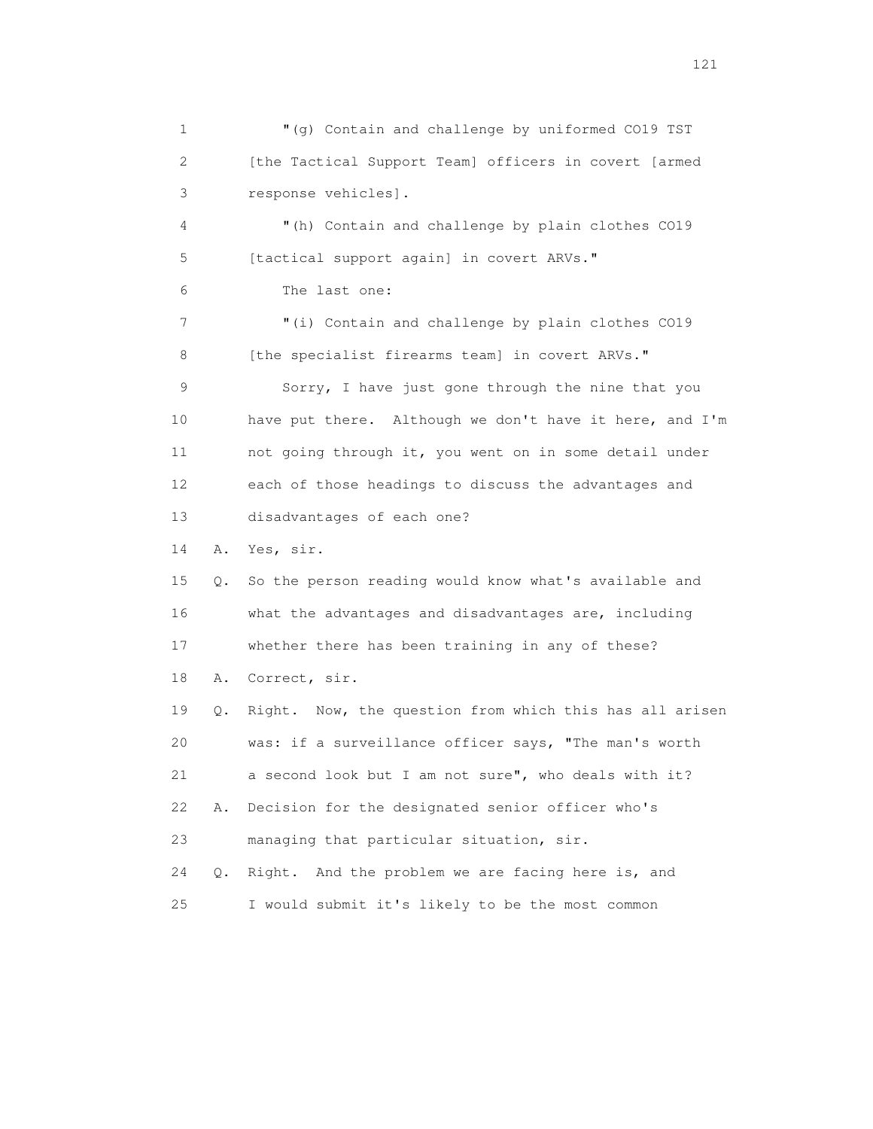1 "(g) Contain and challenge by uniformed CO19 TST 2 [the Tactical Support Team] officers in covert [armed 3 response vehicles]. 4 "(h) Contain and challenge by plain clothes CO19 5 [tactical support again] in covert ARVs." 6 The last one: 7 "(i) Contain and challenge by plain clothes CO19 8 [the specialist firearms team] in covert ARVs." 9 Sorry, I have just gone through the nine that you 10 have put there. Although we don't have it here, and I'm 11 not going through it, you went on in some detail under 12 each of those headings to discuss the advantages and 13 disadvantages of each one? 14 A. Yes, sir. 15 Q. So the person reading would know what's available and 16 what the advantages and disadvantages are, including 17 whether there has been training in any of these? 18 A. Correct, sir. 19 Q. Right. Now, the question from which this has all arisen 20 was: if a surveillance officer says, "The man's worth 21 a second look but I am not sure", who deals with it? 22 A. Decision for the designated senior officer who's 23 managing that particular situation, sir. 24 Q. Right. And the problem we are facing here is, and 25 I would submit it's likely to be the most common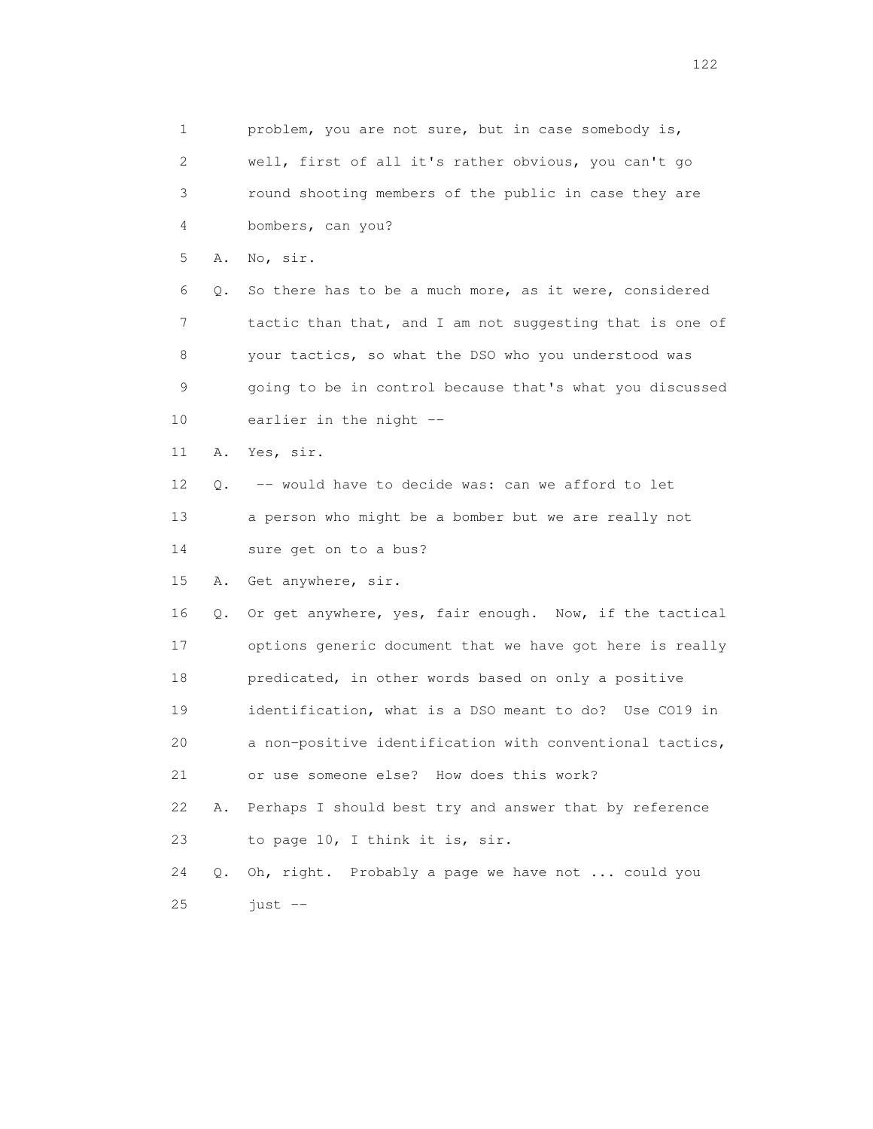1 problem, you are not sure, but in case somebody is, 2 well, first of all it's rather obvious, you can't go 3 round shooting members of the public in case they are 4 bombers, can you? 5 A. No, sir. 6 Q. So there has to be a much more, as it were, considered 7 tactic than that, and I am not suggesting that is one of 8 your tactics, so what the DSO who you understood was 9 going to be in control because that's what you discussed 10 earlier in the night -- 11 A. Yes, sir. 12 Q. -- would have to decide was: can we afford to let 13 a person who might be a bomber but we are really not 14 sure get on to a bus? 15 A. Get anywhere, sir. 16 Q. Or get anywhere, yes, fair enough. Now, if the tactical 17 options generic document that we have got here is really 18 predicated, in other words based on only a positive 19 identification, what is a DSO meant to do? Use CO19 in 20 a non-positive identification with conventional tactics, 21 or use someone else? How does this work? 22 A. Perhaps I should best try and answer that by reference 23 to page 10, I think it is, sir. 24 Q. Oh, right. Probably a page we have not ... could you  $25$  just  $-$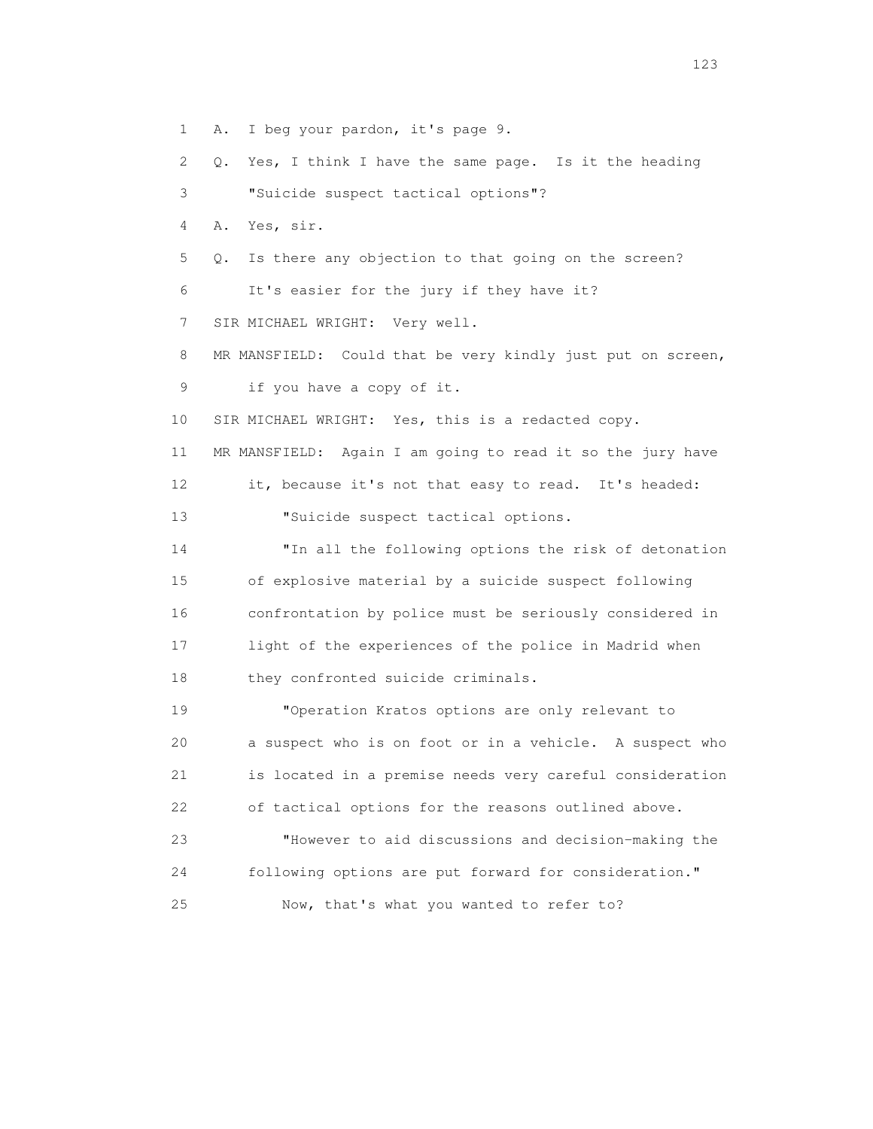1 A. I beg your pardon, it's page 9.

2 Q. Yes, I think I have the same page. Is it the heading

3 "Suicide suspect tactical options"?

4 A. Yes, sir.

5 Q. Is there any objection to that going on the screen?

6 It's easier for the jury if they have it?

7 SIR MICHAEL WRIGHT: Very well.

 8 MR MANSFIELD: Could that be very kindly just put on screen, 9 if you have a copy of it.

10 SIR MICHAEL WRIGHT: Yes, this is a redacted copy.

 11 MR MANSFIELD: Again I am going to read it so the jury have 12 it, because it's not that easy to read. It's headed:

13 "Suicide suspect tactical options.

 14 "In all the following options the risk of detonation 15 of explosive material by a suicide suspect following 16 confrontation by police must be seriously considered in 17 light of the experiences of the police in Madrid when 18 they confronted suicide criminals.

 19 "Operation Kratos options are only relevant to 20 a suspect who is on foot or in a vehicle. A suspect who 21 is located in a premise needs very careful consideration 22 of tactical options for the reasons outlined above.

 23 "However to aid discussions and decision-making the 24 following options are put forward for consideration." 25 Now, that's what you wanted to refer to?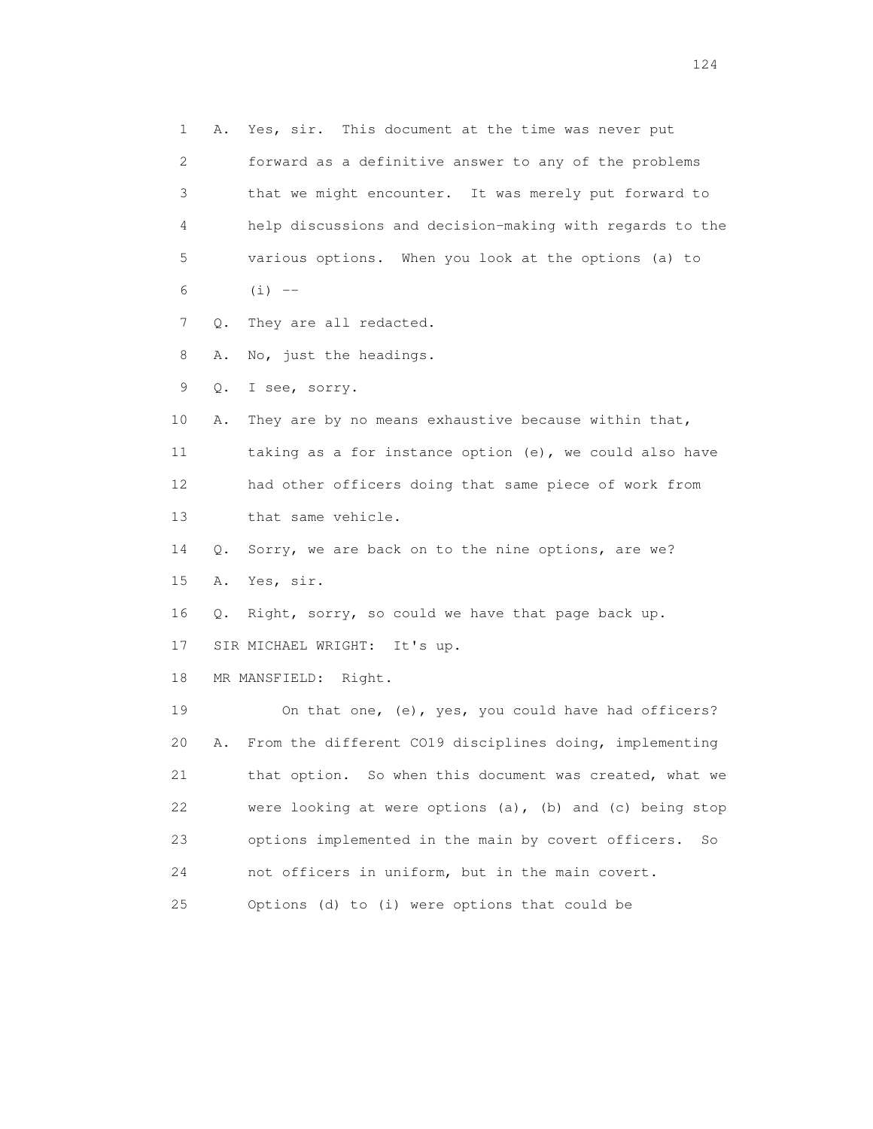1 A. Yes, sir. This document at the time was never put 2 forward as a definitive answer to any of the problems 3 that we might encounter. It was merely put forward to 4 help discussions and decision-making with regards to the 5 various options. When you look at the options (a) to 6  $(i)$   $-$  7 Q. They are all redacted. 8 A. No, just the headings. 9 Q. I see, sorry. 10 A. They are by no means exhaustive because within that, 11 taking as a for instance option (e), we could also have 12 had other officers doing that same piece of work from 13 that same vehicle. 14 Q. Sorry, we are back on to the nine options, are we? 15 A. Yes, sir. 16 Q. Right, sorry, so could we have that page back up. 17 SIR MICHAEL WRIGHT: It's up. 18 MR MANSFIELD: Right. 19 On that one, (e), yes, you could have had officers? 20 A. From the different CO19 disciplines doing, implementing 21 that option. So when this document was created, what we 22 were looking at were options (a), (b) and (c) being stop 23 options implemented in the main by covert officers. So 24 not officers in uniform, but in the main covert. 25 Options (d) to (i) were options that could be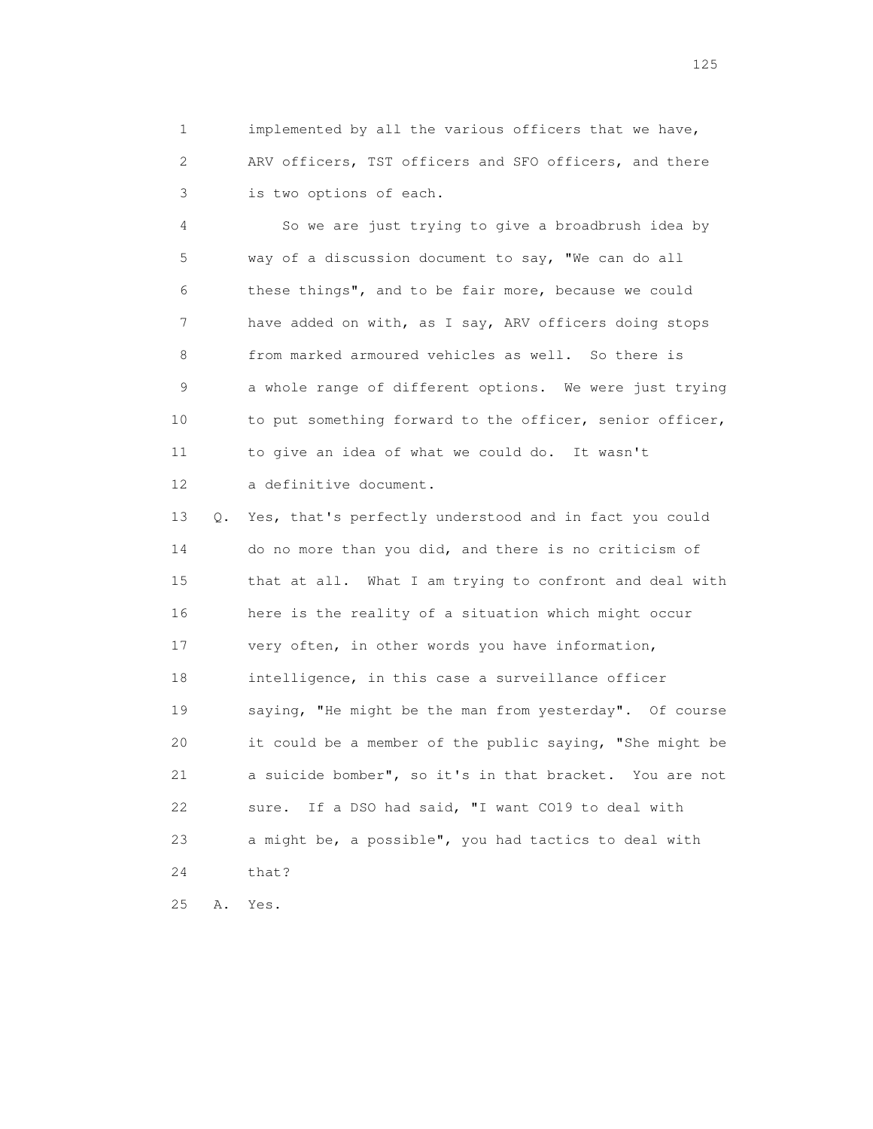1 implemented by all the various officers that we have, 2 ARV officers, TST officers and SFO officers, and there 3 is two options of each.

 4 So we are just trying to give a broadbrush idea by 5 way of a discussion document to say, "We can do all 6 these things", and to be fair more, because we could 7 have added on with, as I say, ARV officers doing stops 8 from marked armoured vehicles as well. So there is 9 a whole range of different options. We were just trying 10 to put something forward to the officer, senior officer, 11 to give an idea of what we could do. It wasn't 12 a definitive document.

 13 Q. Yes, that's perfectly understood and in fact you could 14 do no more than you did, and there is no criticism of 15 that at all. What I am trying to confront and deal with 16 here is the reality of a situation which might occur 17 very often, in other words you have information, 18 intelligence, in this case a surveillance officer 19 saying, "He might be the man from yesterday". Of course 20 it could be a member of the public saying, "She might be 21 a suicide bomber", so it's in that bracket. You are not 22 sure. If a DSO had said, "I want CO19 to deal with 23 a might be, a possible", you had tactics to deal with 24 that?

25 A. Yes.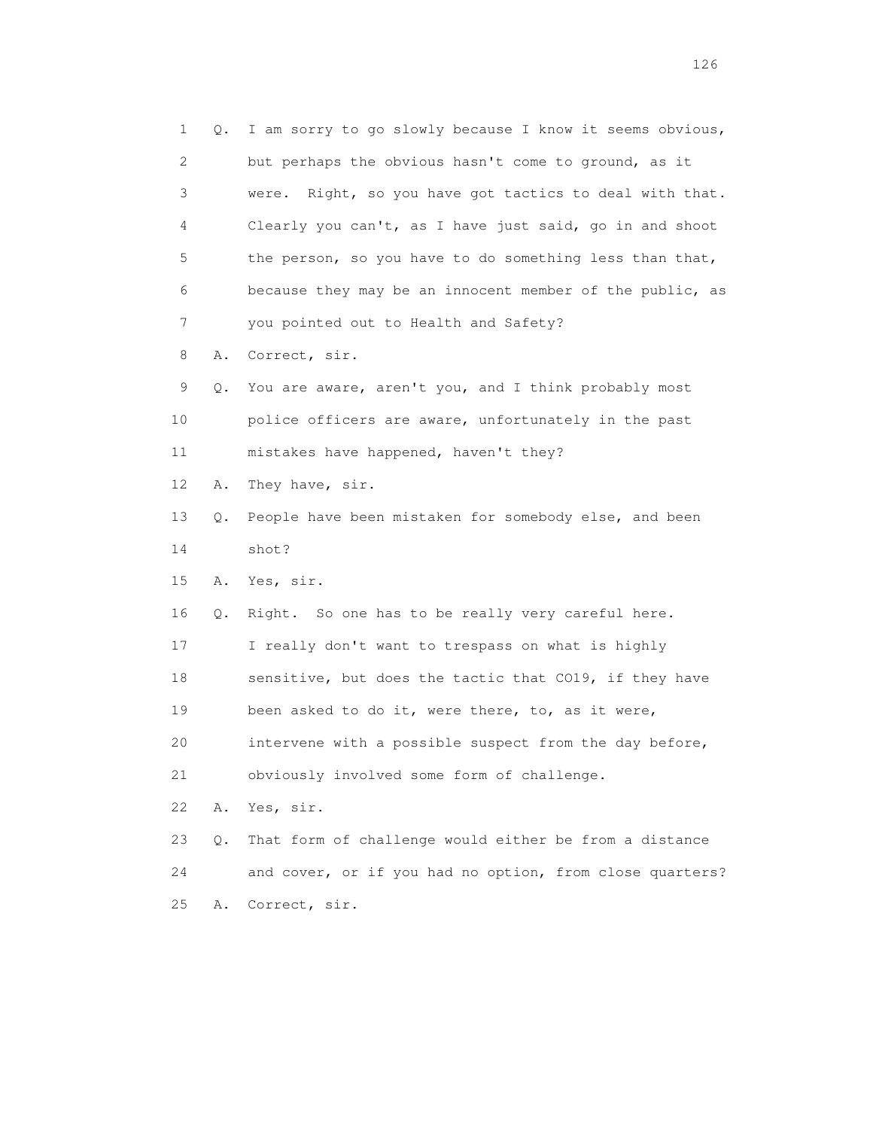| 1  | Q. | I am sorry to go slowly because I know it seems obvious,   |
|----|----|------------------------------------------------------------|
| 2  |    | but perhaps the obvious hasn't come to ground, as it       |
| 3  |    | Right, so you have got tactics to deal with that.<br>were. |
| 4  |    | Clearly you can't, as I have just said, go in and shoot    |
| 5  |    | the person, so you have to do something less than that,    |
| 6  |    | because they may be an innocent member of the public, as   |
| 7  |    | you pointed out to Health and Safety?                      |
| 8  | Α. | Correct, sir.                                              |
| 9  | Q. | You are aware, aren't you, and I think probably most       |
| 10 |    | police officers are aware, unfortunately in the past       |
| 11 |    | mistakes have happened, haven't they?                      |
| 12 | Α. | They have, sir.                                            |
| 13 | Q. | People have been mistaken for somebody else, and been      |
| 14 |    | shot?                                                      |
| 15 | Α. | Yes, sir.                                                  |
| 16 | Q. | Right. So one has to be really very careful here.          |
| 17 |    | I really don't want to trespass on what is highly          |
| 18 |    | sensitive, but does the tactic that CO19, if they have     |
| 19 |    | been asked to do it, were there, to, as it were,           |
| 20 |    | intervene with a possible suspect from the day before,     |
| 21 |    | obviously involved some form of challenge.                 |
| 22 | Α. | Yes, sir.                                                  |
| 23 | Q. | That form of challenge would either be from a distance     |
| 24 |    | and cover, or if you had no option, from close quarters?   |
| 25 | Α. | Correct, sir.                                              |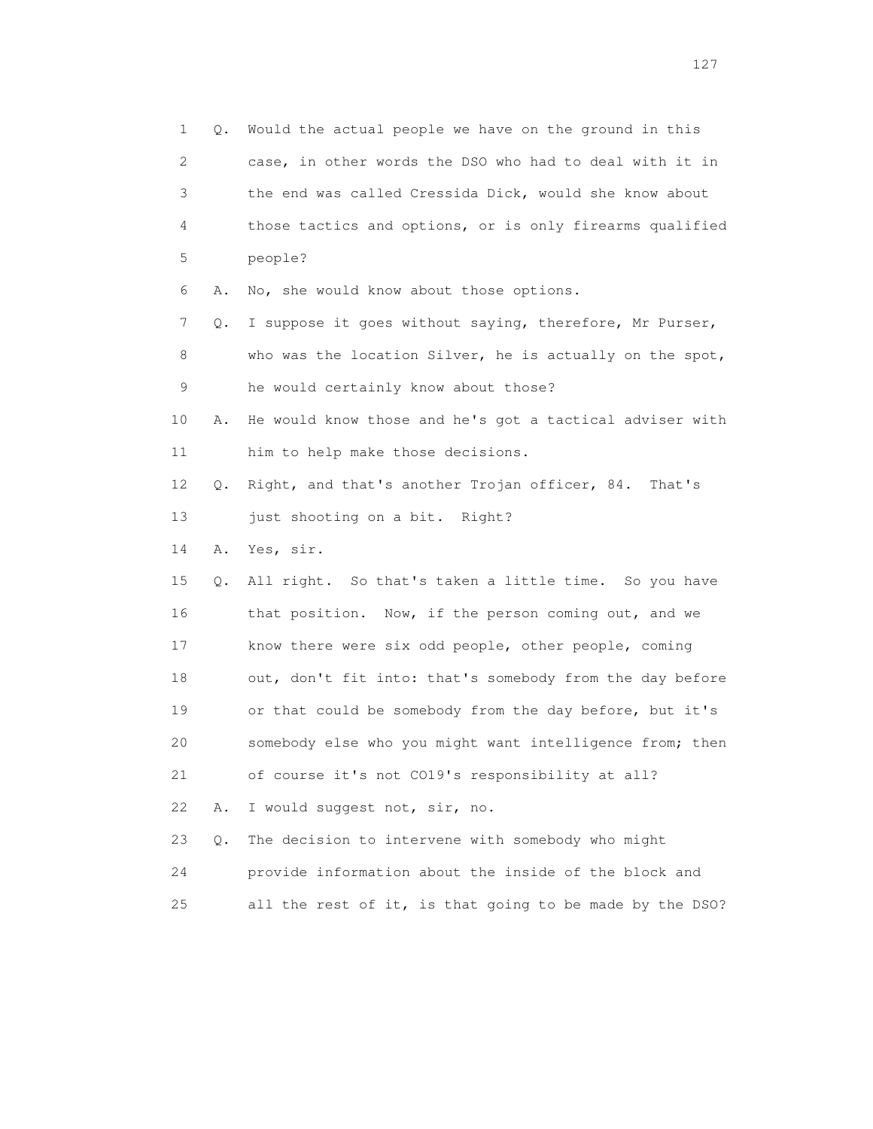1 Q. Would the actual people we have on the ground in this 2 case, in other words the DSO who had to deal with it in 3 the end was called Cressida Dick, would she know about 4 those tactics and options, or is only firearms qualified 5 people? 6 A. No, she would know about those options. 7 Q. I suppose it goes without saying, therefore, Mr Purser, 8 who was the location Silver, he is actually on the spot, 9 he would certainly know about those? 10 A. He would know those and he's got a tactical adviser with 11 him to help make those decisions. 12 Q. Right, and that's another Trojan officer, 84. That's 13 just shooting on a bit. Right? 14 A. Yes, sir. 15 Q. All right. So that's taken a little time. So you have 16 that position. Now, if the person coming out, and we 17 know there were six odd people, other people, coming 18 out, don't fit into: that's somebody from the day before 19 or that could be somebody from the day before, but it's 20 somebody else who you might want intelligence from; then 21 of course it's not CO19's responsibility at all? 22 A. I would suggest not, sir, no. 23 Q. The decision to intervene with somebody who might 24 provide information about the inside of the block and 25 all the rest of it, is that going to be made by the DSO?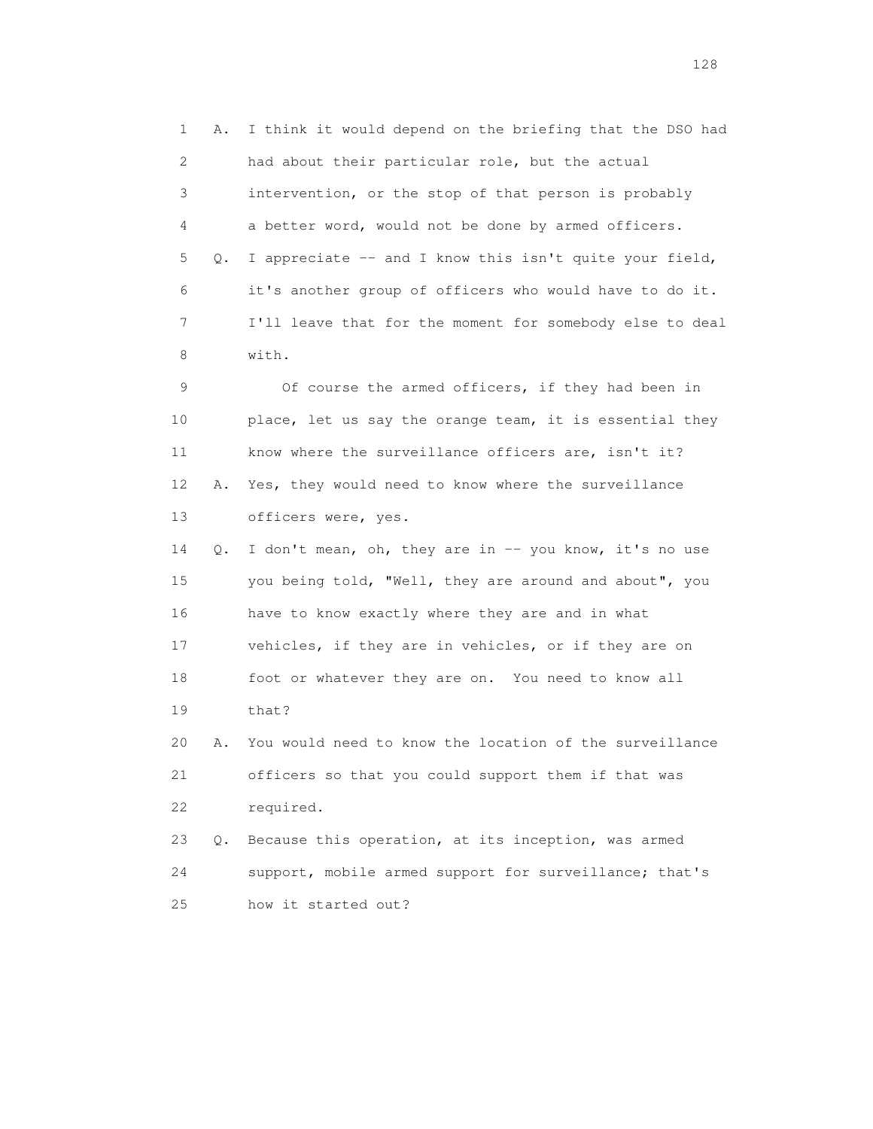1 A. I think it would depend on the briefing that the DSO had 2 had about their particular role, but the actual 3 intervention, or the stop of that person is probably 4 a better word, would not be done by armed officers. 5 Q. I appreciate -- and I know this isn't quite your field, 6 it's another group of officers who would have to do it. 7 I'll leave that for the moment for somebody else to deal 8 with.

 9 Of course the armed officers, if they had been in 10 place, let us say the orange team, it is essential they 11 know where the surveillance officers are, isn't it? 12 A. Yes, they would need to know where the surveillance 13 officers were, yes.

14 Q. I don't mean, oh, they are in -- you know, it's no use 15 you being told, "Well, they are around and about", you 16 have to know exactly where they are and in what 17 vehicles, if they are in vehicles, or if they are on 18 foot or whatever they are on. You need to know all 19 that?

 20 A. You would need to know the location of the surveillance 21 officers so that you could support them if that was 22 required.

 23 Q. Because this operation, at its inception, was armed 24 support, mobile armed support for surveillance; that's 25 how it started out?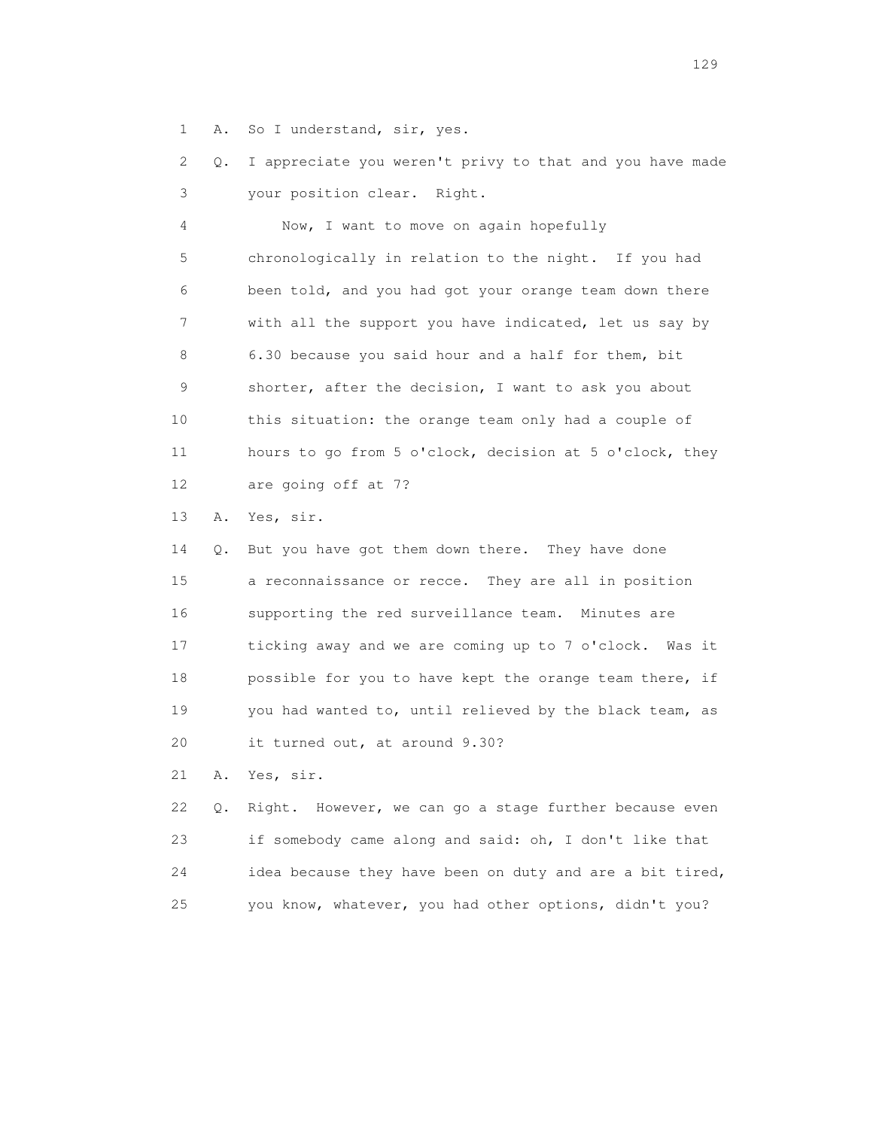1 A. So I understand, sir, yes.

 2 Q. I appreciate you weren't privy to that and you have made 3 your position clear. Right.

 4 Now, I want to move on again hopefully 5 chronologically in relation to the night. If you had 6 been told, and you had got your orange team down there 7 with all the support you have indicated, let us say by 8 6.30 because you said hour and a half for them, bit 9 shorter, after the decision, I want to ask you about 10 this situation: the orange team only had a couple of 11 hours to go from 5 o'clock, decision at 5 o'clock, they 12 are going off at 7?

13 A. Yes, sir.

 14 Q. But you have got them down there. They have done 15 a reconnaissance or recce. They are all in position 16 supporting the red surveillance team. Minutes are 17 ticking away and we are coming up to 7 o'clock. Was it 18 possible for you to have kept the orange team there, if 19 you had wanted to, until relieved by the black team, as 20 it turned out, at around 9.30?

21 A. Yes, sir.

22 Q. Right. However, we can go a stage further because even 23 if somebody came along and said: oh, I don't like that 24 idea because they have been on duty and are a bit tired, 25 you know, whatever, you had other options, didn't you?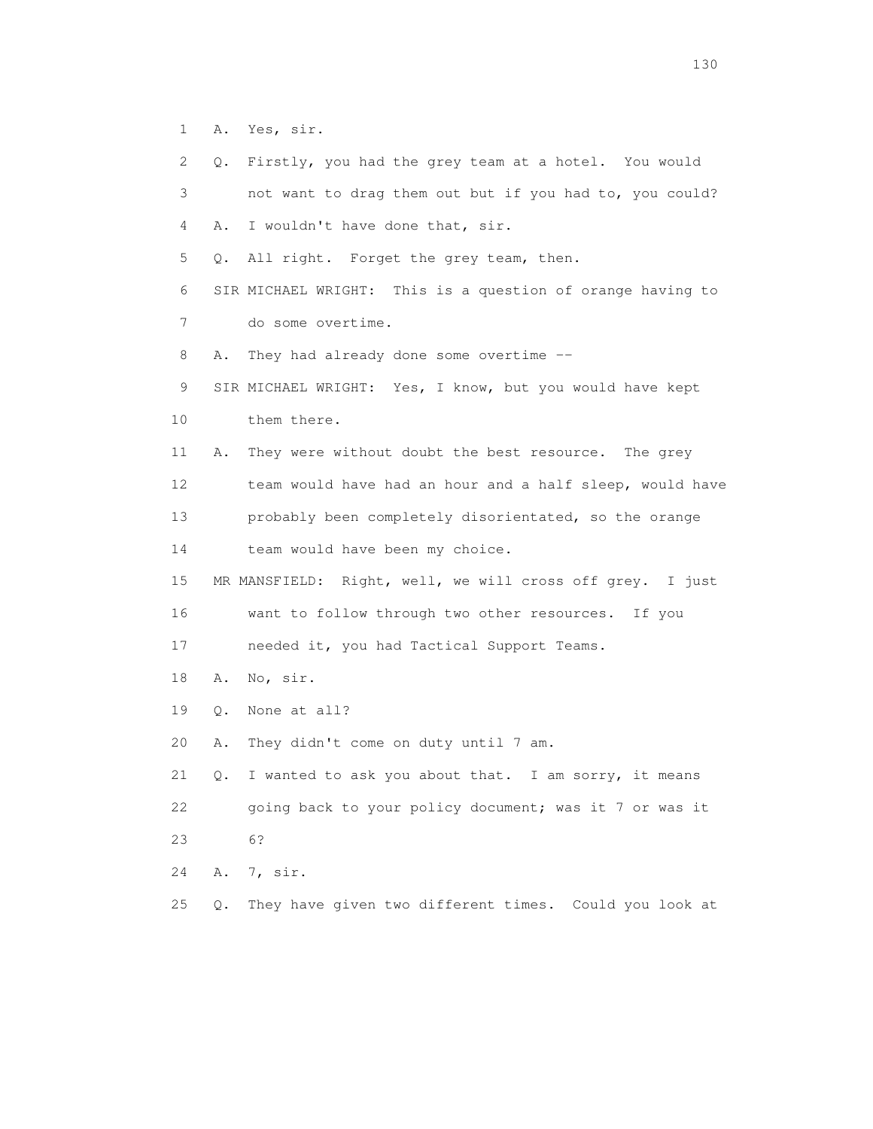- 1 A. Yes, sir.
- 2 Q. Firstly, you had the grey team at a hotel. You would 3 not want to drag them out but if you had to, you could? 4 A. I wouldn't have done that, sir. 5 Q. All right. Forget the grey team, then. 6 SIR MICHAEL WRIGHT: This is a question of orange having to 7 do some overtime. 8 A. They had already done some overtime -- 9 SIR MICHAEL WRIGHT: Yes, I know, but you would have kept 10 them there. 11 A. They were without doubt the best resource. The grey 12 team would have had an hour and a half sleep, would have 13 probably been completely disorientated, so the orange 14 team would have been my choice. 15 MR MANSFIELD: Right, well, we will cross off grey. I just 16 want to follow through two other resources. If you 17 needed it, you had Tactical Support Teams. 18 A. No, sir. 19 Q. None at all? 20 A. They didn't come on duty until 7 am. 21 Q. I wanted to ask you about that. I am sorry, it means 22 going back to your policy document; was it 7 or was it 23 6? 24 A. 7, sir.
- 25 Q. They have given two different times. Could you look at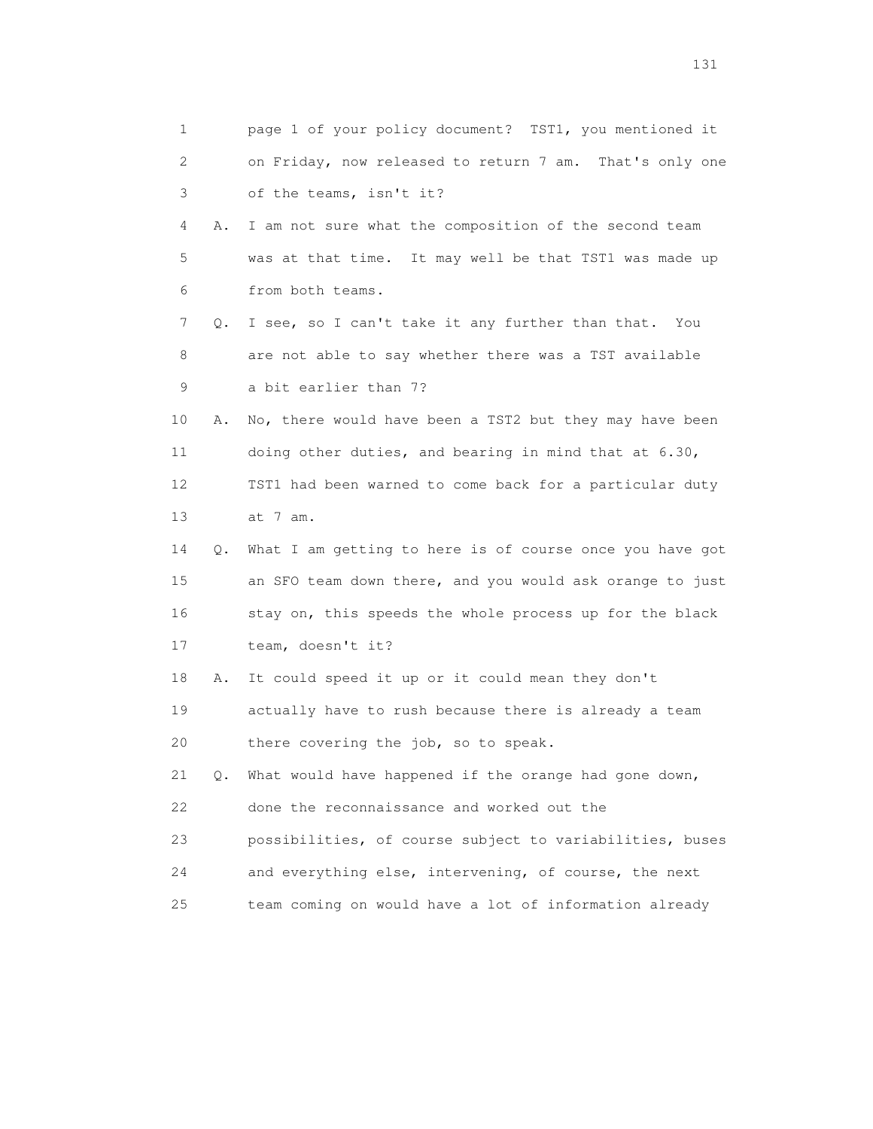|    | 1       | page 1 of your policy document? TST1, you mentioned it   |
|----|---------|----------------------------------------------------------|
|    | 2       | on Friday, now released to return 7 am. That's only one  |
|    | 3       | of the teams, isn't it?                                  |
|    | 4<br>Α. | I am not sure what the composition of the second team    |
|    | 5       | was at that time. It may well be that TST1 was made up   |
|    | 6       | from both teams.                                         |
|    | 7<br>Q. | I see, so I can't take it any further than that. You     |
|    | 8       | are not able to say whether there was a TST available    |
|    | 9       | a bit earlier than 7?                                    |
| 10 | Α.      | No, there would have been a TST2 but they may have been  |
| 11 |         | doing other duties, and bearing in mind that at 6.30,    |
| 12 |         | TST1 had been warned to come back for a particular duty  |
| 13 |         | at 7 am.                                                 |
| 14 | Q.      | What I am getting to here is of course once you have got |
| 15 |         | an SFO team down there, and you would ask orange to just |
| 16 |         | stay on, this speeds the whole process up for the black  |
| 17 |         | team, doesn't it?                                        |
| 18 | Α.      | It could speed it up or it could mean they don't         |
| 19 |         | actually have to rush because there is already a team    |
| 20 |         | there covering the job, so to speak.                     |
| 21 | Q.      | What would have happened if the orange had gone down,    |
| 22 |         | done the reconnaissance and worked out the               |
| 23 |         | possibilities, of course subject to variabilities, buses |
| 24 |         | and everything else, intervening, of course, the next    |
| 25 |         | team coming on would have a lot of information already   |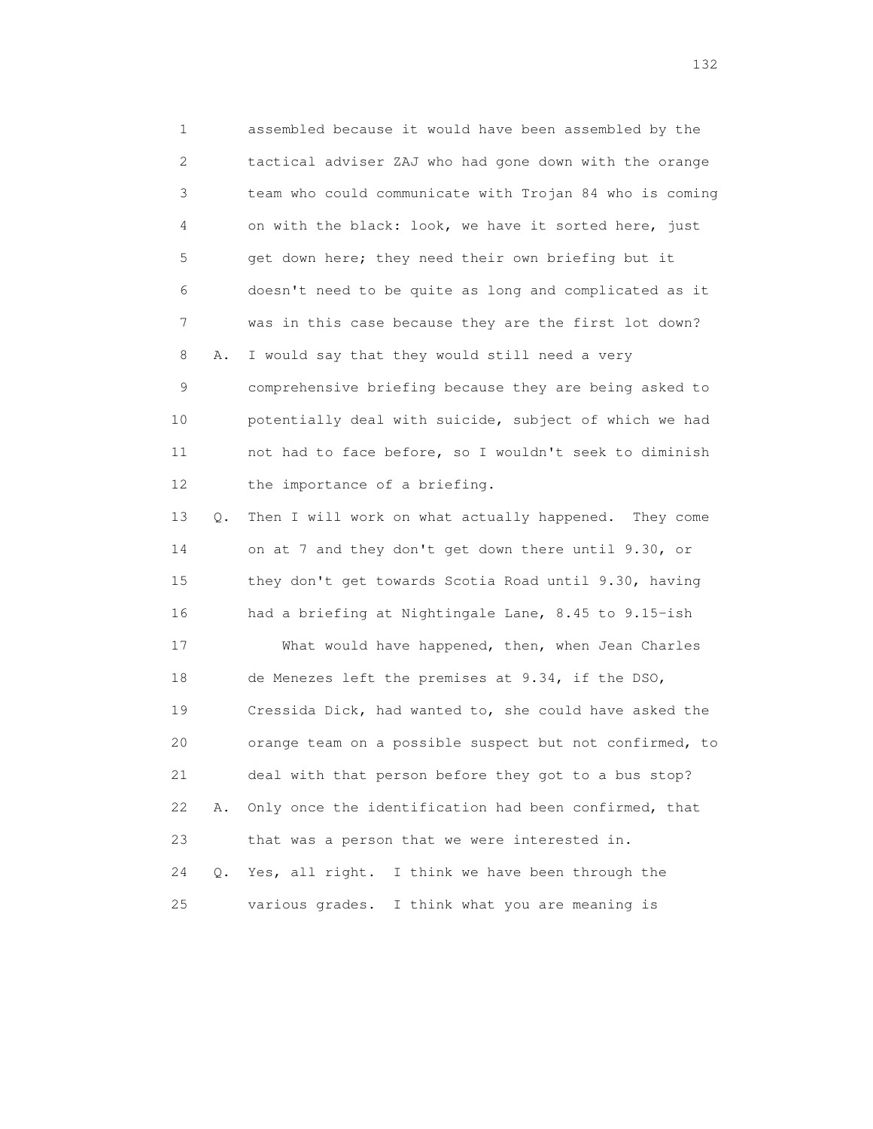1 assembled because it would have been assembled by the 2 tactical adviser ZAJ who had gone down with the orange 3 team who could communicate with Trojan 84 who is coming 4 on with the black: look, we have it sorted here, just 5 get down here; they need their own briefing but it 6 doesn't need to be quite as long and complicated as it 7 was in this case because they are the first lot down? 8 A. I would say that they would still need a very 9 comprehensive briefing because they are being asked to 10 potentially deal with suicide, subject of which we had 11 not had to face before, so I wouldn't seek to diminish 12 the importance of a briefing. 13 Q. Then I will work on what actually happened. They come 14 on at 7 and they don't get down there until 9.30, or 15 they don't get towards Scotia Road until 9.30, having 16 had a briefing at Nightingale Lane, 8.45 to 9.15-ish 17 What would have happened, then, when Jean Charles 18 de Menezes left the premises at 9.34, if the DSO, 19 Cressida Dick, had wanted to, she could have asked the 20 orange team on a possible suspect but not confirmed, to 21 deal with that person before they got to a bus stop? 22 A. Only once the identification had been confirmed, that 23 that was a person that we were interested in. 24 Q. Yes, all right. I think we have been through the 25 various grades. I think what you are meaning is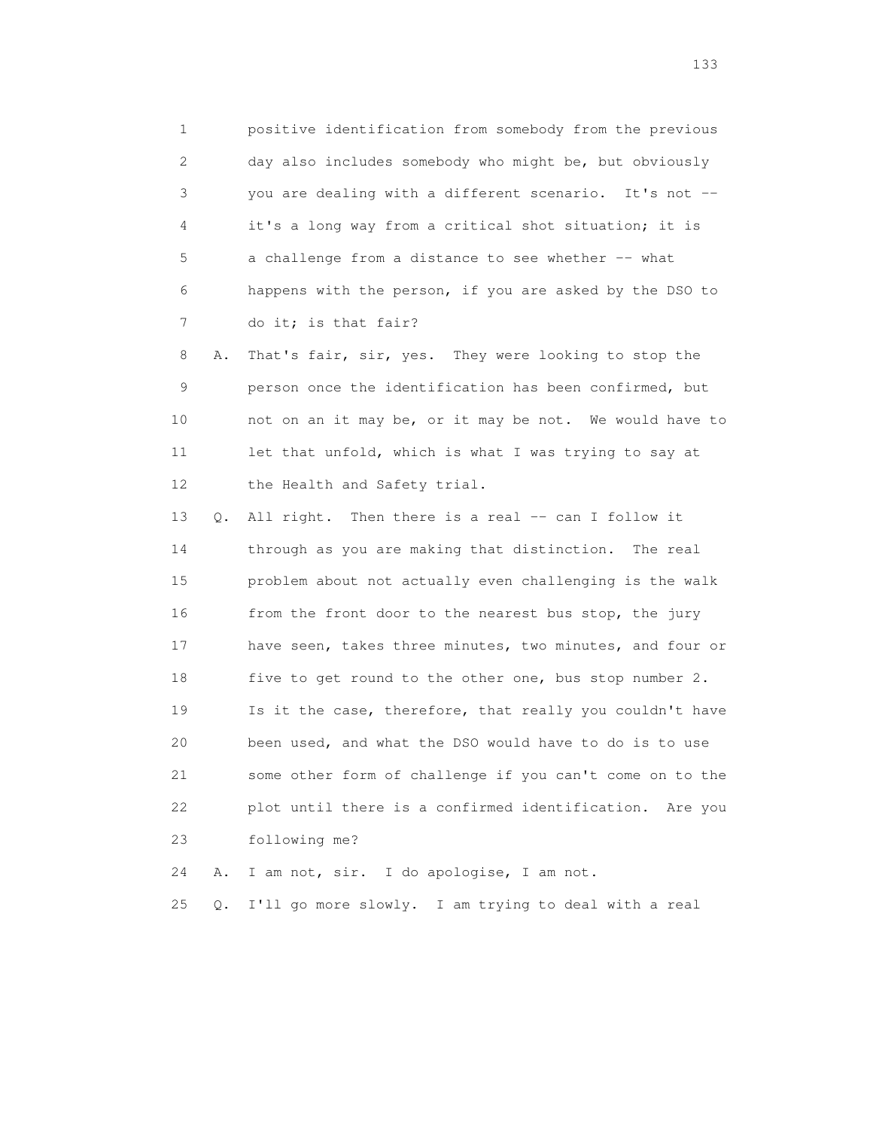1 positive identification from somebody from the previous 2 day also includes somebody who might be, but obviously 3 you are dealing with a different scenario. It's not -- 4 it's a long way from a critical shot situation; it is 5 a challenge from a distance to see whether -- what 6 happens with the person, if you are asked by the DSO to 7 do it; is that fair?

 8 A. That's fair, sir, yes. They were looking to stop the 9 person once the identification has been confirmed, but 10 not on an it may be, or it may be not. We would have to 11 let that unfold, which is what I was trying to say at 12 the Health and Safety trial.

 13 Q. All right. Then there is a real -- can I follow it 14 through as you are making that distinction. The real 15 problem about not actually even challenging is the walk 16 from the front door to the nearest bus stop, the jury 17 have seen, takes three minutes, two minutes, and four or 18 five to get round to the other one, bus stop number 2. 19 Is it the case, therefore, that really you couldn't have 20 been used, and what the DSO would have to do is to use 21 some other form of challenge if you can't come on to the 22 plot until there is a confirmed identification. Are you 23 following me?

24 A. I am not, sir. I do apologise, I am not.

25 Q. I'll go more slowly. I am trying to deal with a real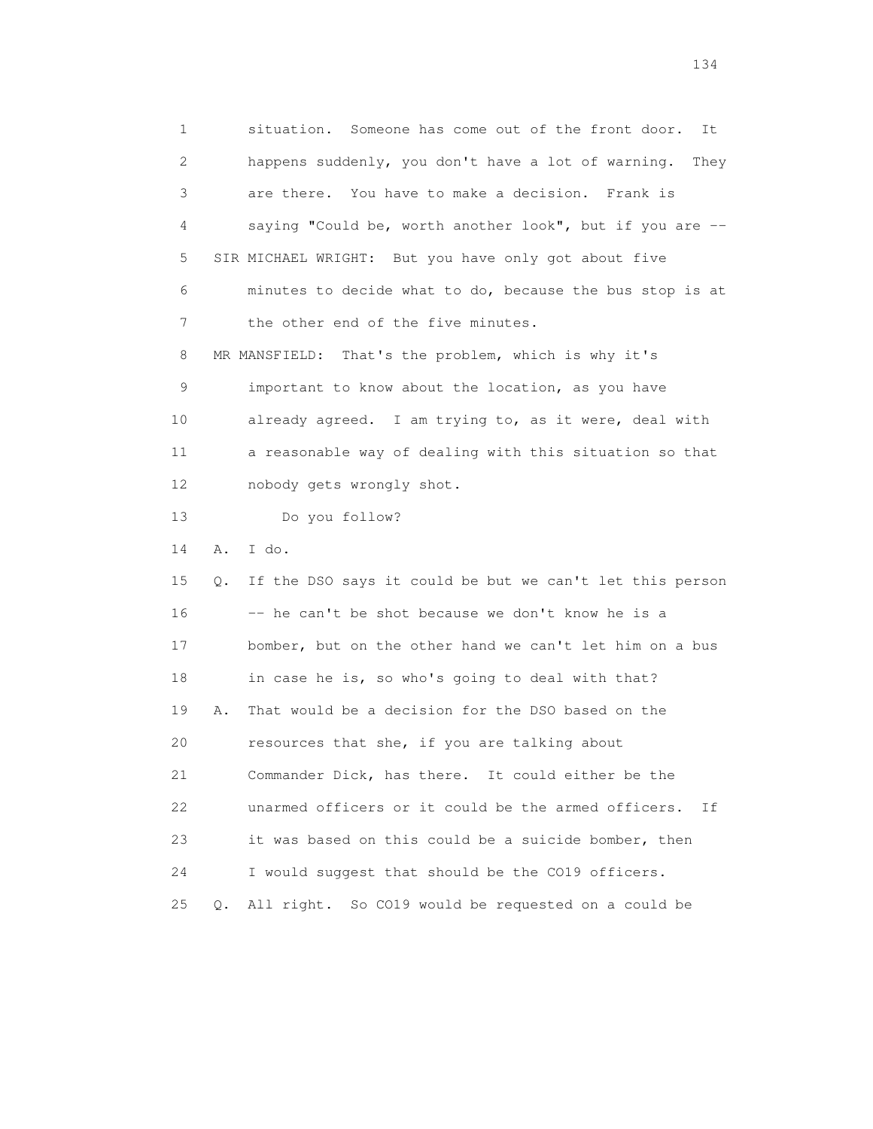1 situation. Someone has come out of the front door. It 2 happens suddenly, you don't have a lot of warning. They 3 are there. You have to make a decision. Frank is 4 saying "Could be, worth another look", but if you are -- 5 SIR MICHAEL WRIGHT: But you have only got about five 6 minutes to decide what to do, because the bus stop is at 7 the other end of the five minutes. 8 MR MANSFIELD: That's the problem, which is why it's 9 important to know about the location, as you have 10 already agreed. I am trying to, as it were, deal with 11 a reasonable way of dealing with this situation so that 12 nobody gets wrongly shot. 13 Do you follow? 14 A. I do. 15 Q. If the DSO says it could be but we can't let this person 16 -- he can't be shot because we don't know he is a 17 bomber, but on the other hand we can't let him on a bus 18 in case he is, so who's going to deal with that? 19 A. That would be a decision for the DSO based on the 20 resources that she, if you are talking about 21 Commander Dick, has there. It could either be the 22 unarmed officers or it could be the armed officers. If 23 it was based on this could be a suicide bomber, then 24 I would suggest that should be the CO19 officers. 25 Q. All right. So CO19 would be requested on a could be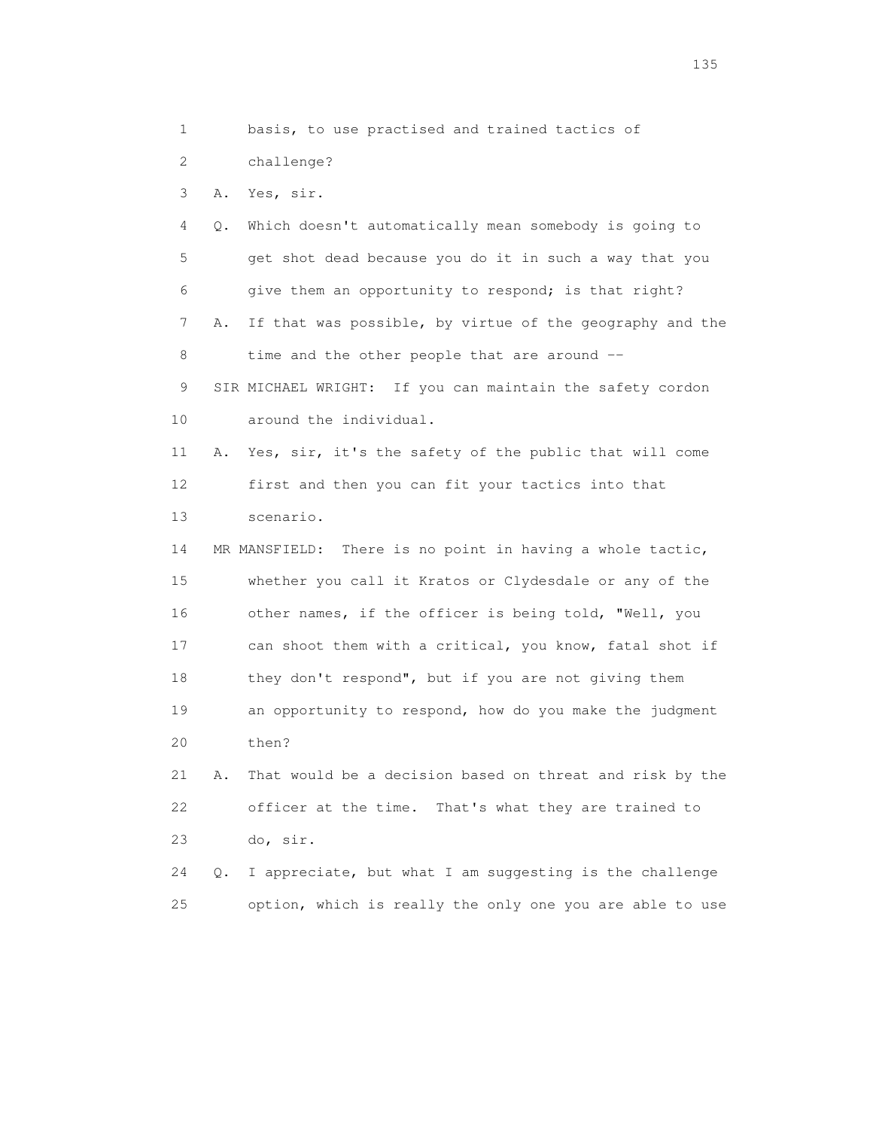1 basis, to use practised and trained tactics of

2 challenge?

3 A. Yes, sir.

 4 Q. Which doesn't automatically mean somebody is going to 5 get shot dead because you do it in such a way that you 6 give them an opportunity to respond; is that right? 7 A. If that was possible, by virtue of the geography and the 8 time and the other people that are around -- 9 SIR MICHAEL WRIGHT: If you can maintain the safety cordon 10 around the individual. 11 A. Yes, sir, it's the safety of the public that will come 12 first and then you can fit your tactics into that 13 scenario. 14 MR MANSFIELD: There is no point in having a whole tactic, 15 whether you call it Kratos or Clydesdale or any of the 16 other names, if the officer is being told, "Well, you 17 can shoot them with a critical, you know, fatal shot if 18 they don't respond", but if you are not giving them 19 an opportunity to respond, how do you make the judgment 20 then? 21 A. That would be a decision based on threat and risk by the 22 officer at the time. That's what they are trained to 23 do, sir.

 24 Q. I appreciate, but what I am suggesting is the challenge 25 option, which is really the only one you are able to use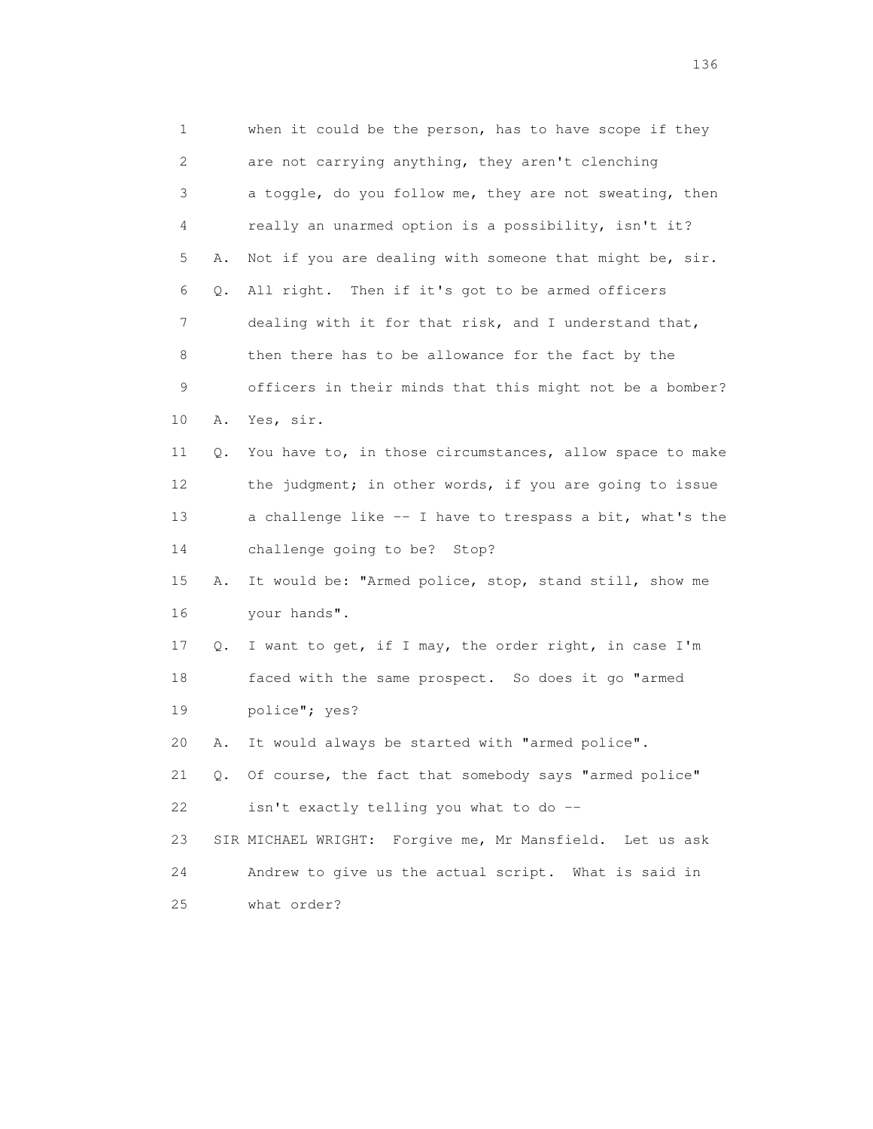| $\mathbf 1$  |    | when it could be the person, has to have scope if they   |
|--------------|----|----------------------------------------------------------|
| $\mathbf{2}$ |    | are not carrying anything, they aren't clenching         |
| 3            |    | a toggle, do you follow me, they are not sweating, then  |
| 4            |    | really an unarmed option is a possibility, isn't it?     |
| 5            | Α. | Not if you are dealing with someone that might be, sir.  |
| 6            | Q. | All right. Then if it's got to be armed officers         |
| 7            |    | dealing with it for that risk, and I understand that,    |
| 8            |    | then there has to be allowance for the fact by the       |
| 9            |    | officers in their minds that this might not be a bomber? |
| 10           | Α. | Yes, sir.                                                |
| 11           | Q. | You have to, in those circumstances, allow space to make |
| 12           |    | the judgment; in other words, if you are going to issue  |
| 13           |    | a challenge like -- I have to trespass a bit, what's the |
| 14           |    | challenge going to be? Stop?                             |
| 15           | Α. | It would be: "Armed police, stop, stand still, show me   |
| 16           |    | your hands".                                             |
| 17           | Q. | I want to get, if I may, the order right, in case I'm    |
| 18           |    | faced with the same prospect. So does it go "armed       |
| 19           |    | police"; yes?                                            |
| 20           | Α. | It would always be started with "armed police".          |
| 21           | Q. | Of course, the fact that somebody says "armed police"    |
| 22           |    | isn't exactly telling you what to do --                  |
| 23           |    | SIR MICHAEL WRIGHT: Forgive me, Mr Mansfield. Let us ask |
| 24           |    | Andrew to give us the actual script. What is said in     |
| 25           |    | what order?                                              |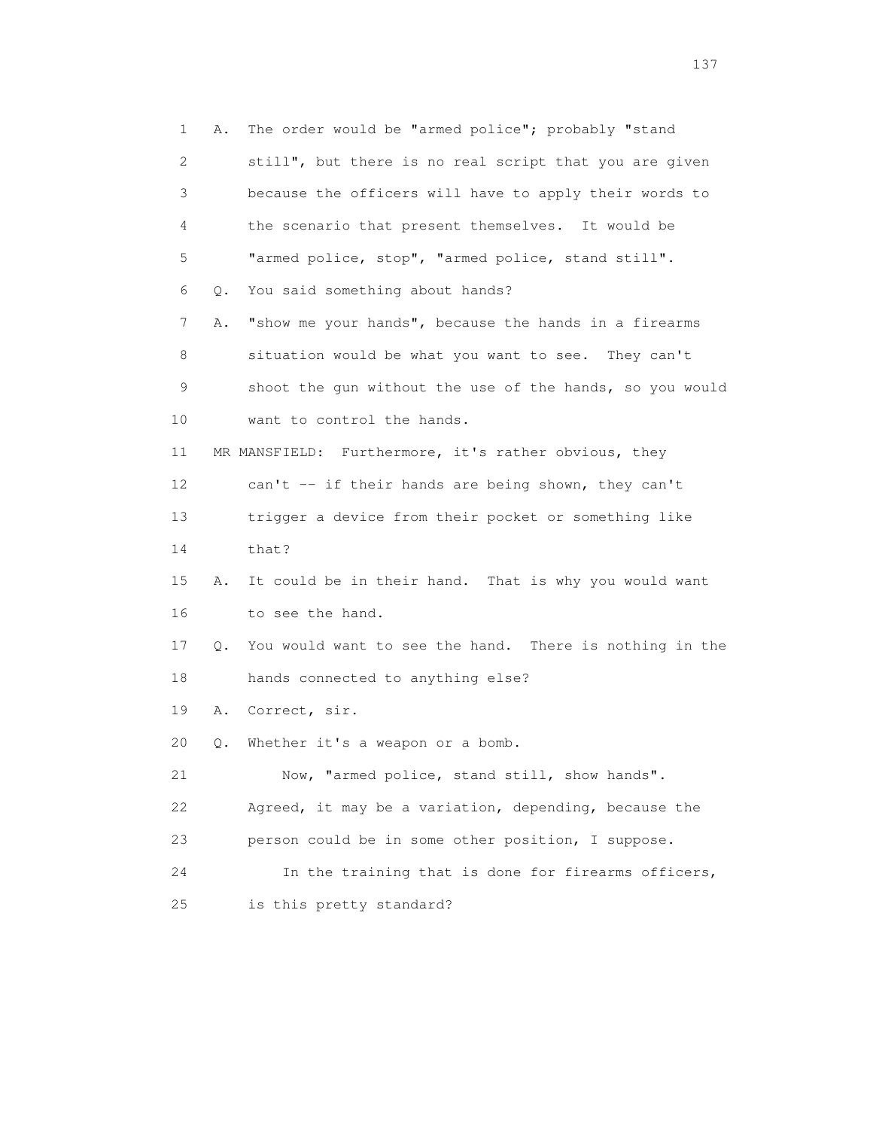1 A. The order would be "armed police"; probably "stand 2 still", but there is no real script that you are given 3 because the officers will have to apply their words to 4 the scenario that present themselves. It would be 5 "armed police, stop", "armed police, stand still". 6 Q. You said something about hands? 7 A. "show me your hands", because the hands in a firearms 8 situation would be what you want to see. They can't 9 shoot the gun without the use of the hands, so you would 10 want to control the hands. 11 MR MANSFIELD: Furthermore, it's rather obvious, they 12 can't -- if their hands are being shown, they can't 13 trigger a device from their pocket or something like 14 that? 15 A. It could be in their hand. That is why you would want 16 to see the hand. 17 Q. You would want to see the hand. There is nothing in the 18 hands connected to anything else? 19 A. Correct, sir. 20 Q. Whether it's a weapon or a bomb. 21 Now, "armed police, stand still, show hands". 22 Agreed, it may be a variation, depending, because the 23 person could be in some other position, I suppose. 24 In the training that is done for firearms officers, 25 is this pretty standard?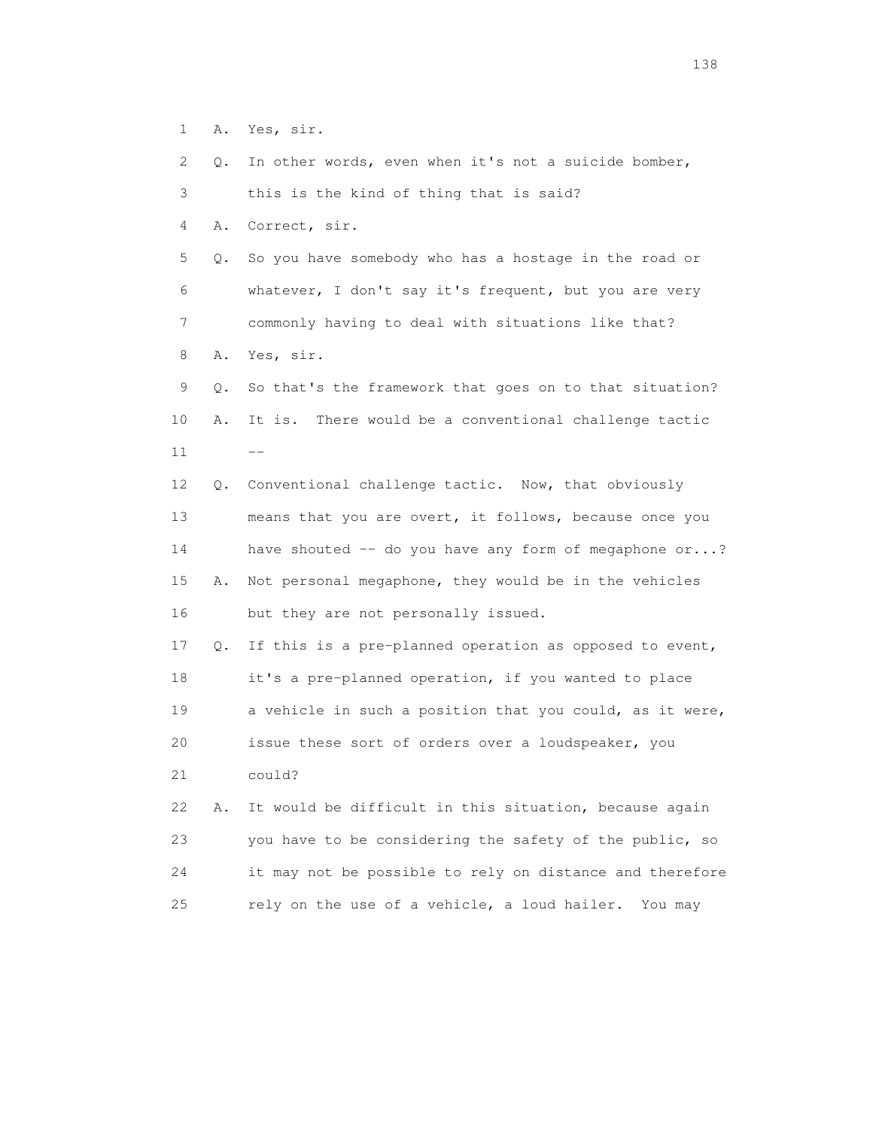1 A. Yes, sir.

2 Q. In other words, even when it's not a suicide bomber,

3 this is the kind of thing that is said?

4 A. Correct, sir.

 5 Q. So you have somebody who has a hostage in the road or 6 whatever, I don't say it's frequent, but you are very 7 commonly having to deal with situations like that?

8 A. Yes, sir.

 9 Q. So that's the framework that goes on to that situation? 10 A. It is. There would be a conventional challenge tactic  $11$   $---$ 

> 12 Q. Conventional challenge tactic. Now, that obviously 13 means that you are overt, it follows, because once you 14 have shouted -- do you have any form of megaphone or...? 15 A. Not personal megaphone, they would be in the vehicles 16 but they are not personally issued.

> 17 Q. If this is a pre-planned operation as opposed to event, 18 it's a pre-planned operation, if you wanted to place 19 a vehicle in such a position that you could, as it were, 20 issue these sort of orders over a loudspeaker, you 21 could?

> 22 A. It would be difficult in this situation, because again 23 you have to be considering the safety of the public, so 24 it may not be possible to rely on distance and therefore 25 rely on the use of a vehicle, a loud hailer. You may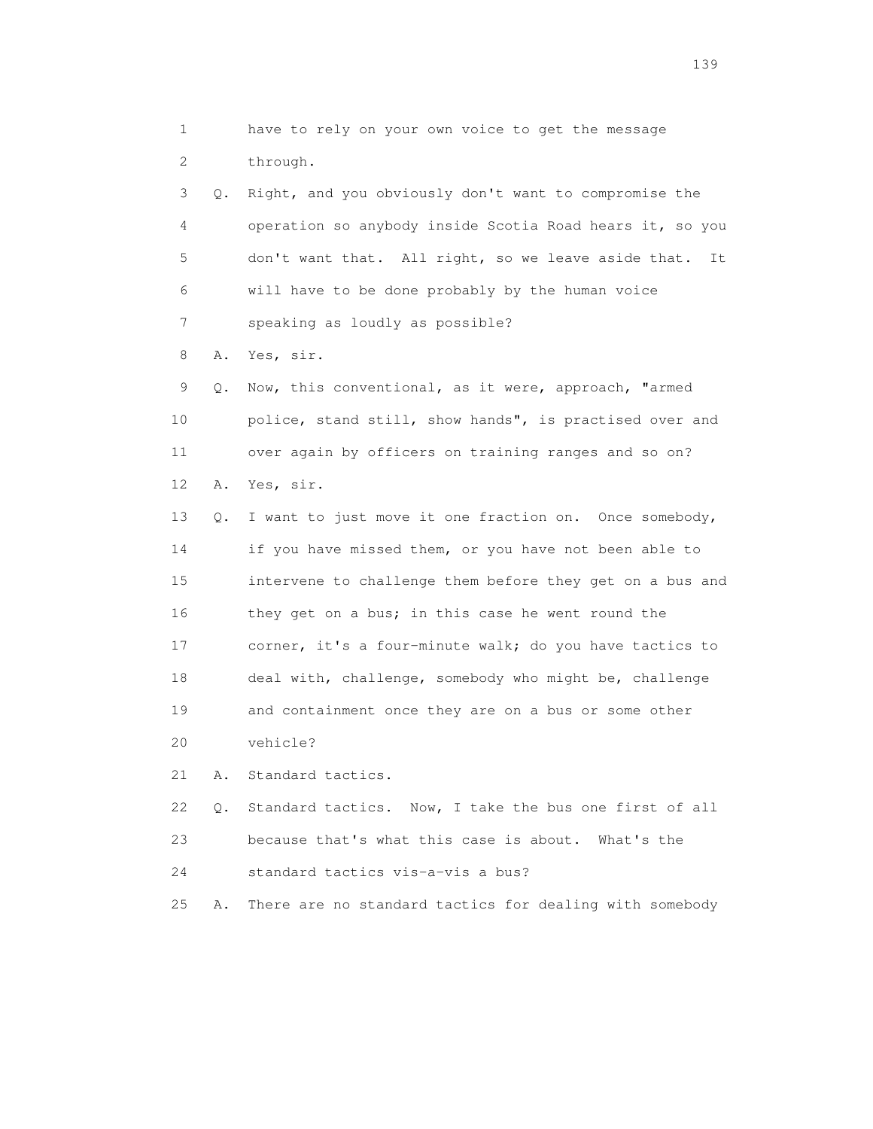1 have to rely on your own voice to get the message 2 through. 3 Q. Right, and you obviously don't want to compromise the 4 operation so anybody inside Scotia Road hears it, so you 5 don't want that. All right, so we leave aside that. It 6 will have to be done probably by the human voice 7 speaking as loudly as possible? 8 A. Yes, sir. 9 Q. Now, this conventional, as it were, approach, "armed 10 police, stand still, show hands", is practised over and 11 over again by officers on training ranges and so on? 12 A. Yes, sir. 13 Q. I want to just move it one fraction on. Once somebody, 14 if you have missed them, or you have not been able to 15 intervene to challenge them before they get on a bus and 16 they get on a bus; in this case he went round the 17 corner, it's a four-minute walk; do you have tactics to 18 deal with, challenge, somebody who might be, challenge 19 and containment once they are on a bus or some other 20 vehicle? 21 A. Standard tactics. 22 Q. Standard tactics. Now, I take the bus one first of all 23 because that's what this case is about. What's the 24 standard tactics vis-a-vis a bus? 25 A. There are no standard tactics for dealing with somebody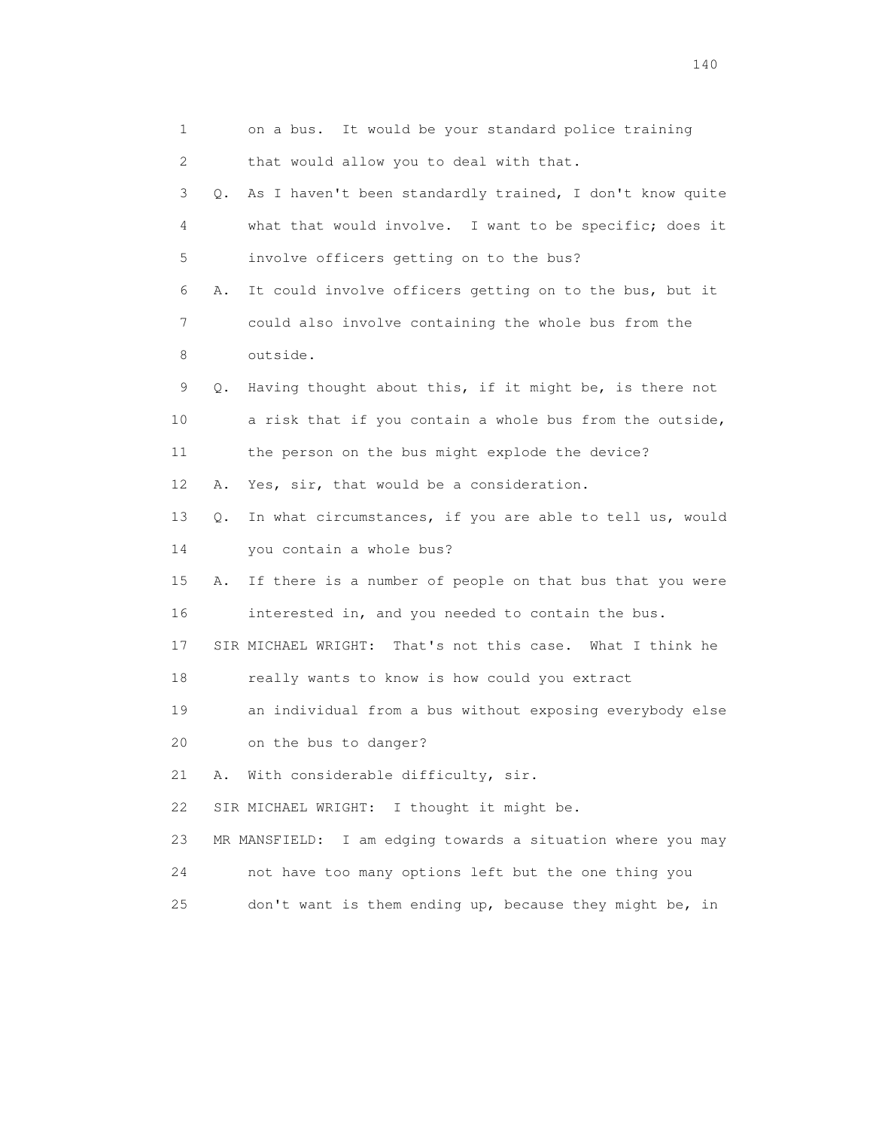| 1  |    | on a bus. It would be your standard police training            |
|----|----|----------------------------------------------------------------|
| 2  |    | that would allow you to deal with that.                        |
| 3  | Q. | As I haven't been standardly trained, I don't know quite       |
| 4  |    | what that would involve. I want to be specific; does it        |
| 5  |    | involve officers getting on to the bus?                        |
| 6  | Α. | It could involve officers getting on to the bus, but it        |
| 7  |    | could also involve containing the whole bus from the           |
| 8  |    | outside.                                                       |
| 9  | Q. | Having thought about this, if it might be, is there not        |
| 10 |    | a risk that if you contain a whole bus from the outside,       |
| 11 |    | the person on the bus might explode the device?                |
| 12 | Α. | Yes, sir, that would be a consideration.                       |
| 13 | Q. | In what circumstances, if you are able to tell us, would       |
| 14 |    | you contain a whole bus?                                       |
| 15 | Α. | If there is a number of people on that bus that you were       |
| 16 |    | interested in, and you needed to contain the bus.              |
| 17 |    | SIR MICHAEL WRIGHT: That's not this case. What I think he      |
| 18 |    | really wants to know is how could you extract                  |
| 19 |    | an individual from a bus without exposing everybody else       |
| 20 |    | on the bus to danger?                                          |
| 21 | Α. | With considerable difficulty, sir.                             |
| 22 |    | SIR MICHAEL WRIGHT:<br>I thought it might be.                  |
| 23 |    | I am edging towards a situation where you may<br>MR MANSFIELD: |
| 24 |    | not have too many options left but the one thing you           |
| 25 |    | don't want is them ending up, because they might be, in        |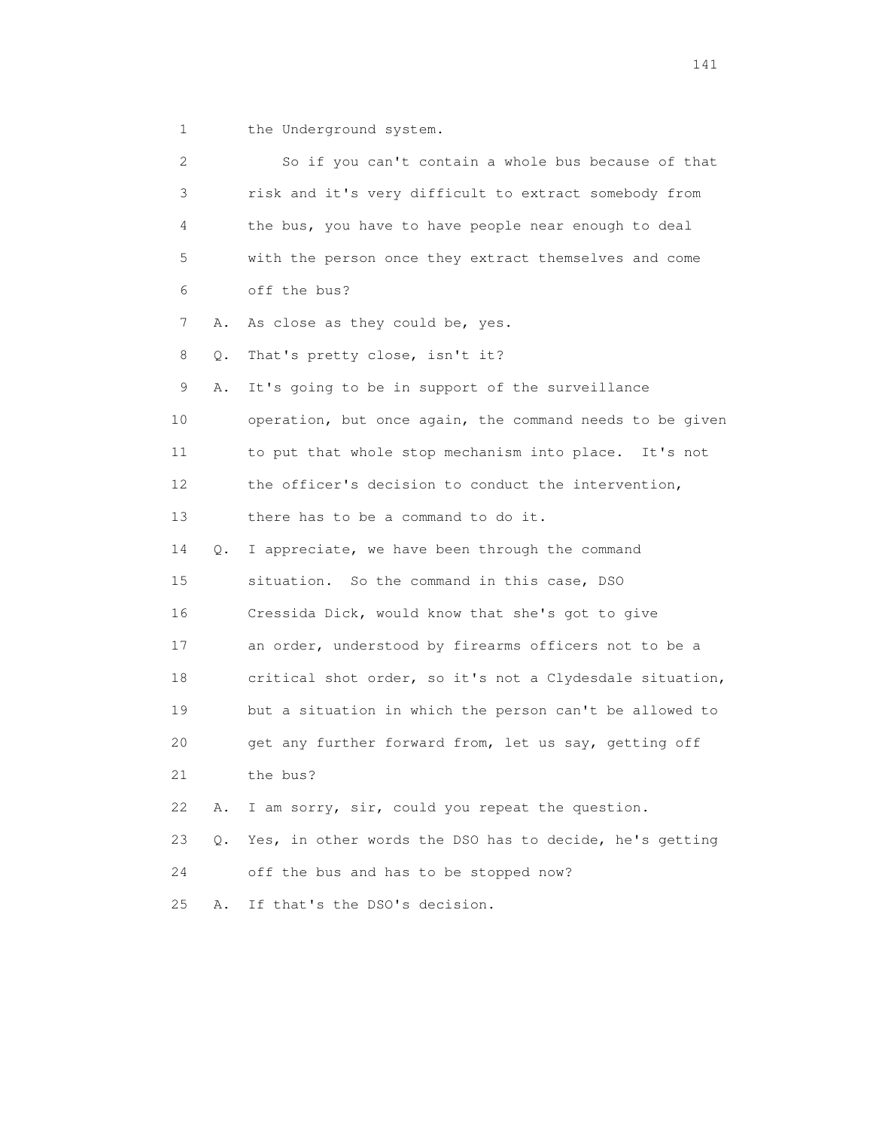1 the Underground system.

 2 So if you can't contain a whole bus because of that 3 risk and it's very difficult to extract somebody from 4 the bus, you have to have people near enough to deal 5 with the person once they extract themselves and come 6 off the bus? 7 A. As close as they could be, yes. 8 Q. That's pretty close, isn't it? 9 A. It's going to be in support of the surveillance 10 operation, but once again, the command needs to be given 11 to put that whole stop mechanism into place. It's not 12 the officer's decision to conduct the intervention, 13 there has to be a command to do it. 14 Q. I appreciate, we have been through the command 15 situation. So the command in this case, DSO 16 Cressida Dick, would know that she's got to give 17 an order, understood by firearms officers not to be a 18 critical shot order, so it's not a Clydesdale situation, 19 but a situation in which the person can't be allowed to 20 get any further forward from, let us say, getting off 21 the bus? 22 A. I am sorry, sir, could you repeat the question. 23 Q. Yes, in other words the DSO has to decide, he's getting 24 off the bus and has to be stopped now? 25 A. If that's the DSO's decision.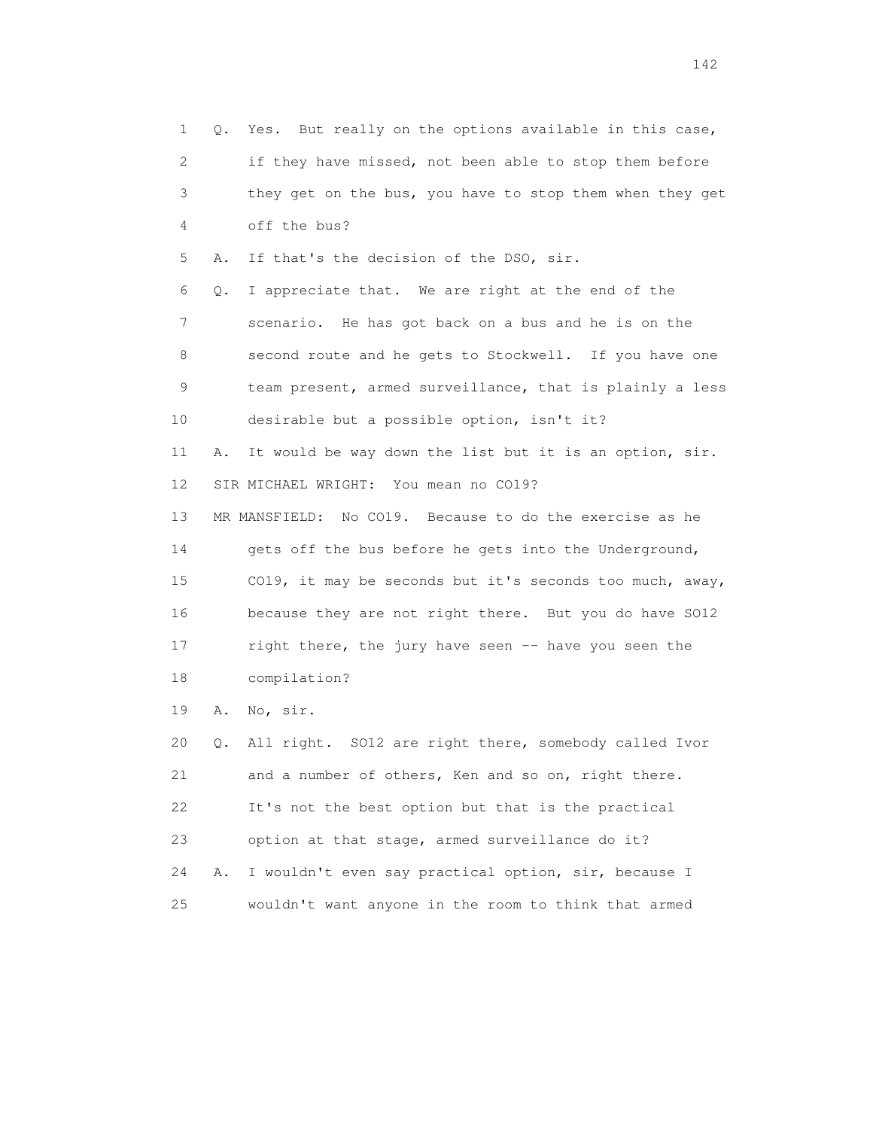1 Q. Yes. But really on the options available in this case, 2 if they have missed, not been able to stop them before 3 they get on the bus, you have to stop them when they get 4 off the bus? 5 A. If that's the decision of the DSO, sir. 6 Q. I appreciate that. We are right at the end of the 7 scenario. He has got back on a bus and he is on the 8 second route and he gets to Stockwell. If you have one 9 team present, armed surveillance, that is plainly a less 10 desirable but a possible option, isn't it? 11 A. It would be way down the list but it is an option, sir. 12 SIR MICHAEL WRIGHT: You mean no CO19? 13 MR MANSFIELD: No CO19. Because to do the exercise as he 14 gets off the bus before he gets into the Underground, 15 CO19, it may be seconds but it's seconds too much, away, 16 because they are not right there. But you do have SO12 17 right there, the jury have seen -- have you seen the 18 compilation? 19 A. No, sir. 20 Q. All right. SO12 are right there, somebody called Ivor 21 and a number of others, Ken and so on, right there. 22 It's not the best option but that is the practical 23 option at that stage, armed surveillance do it? 24 A. I wouldn't even say practical option, sir, because I

25 wouldn't want anyone in the room to think that armed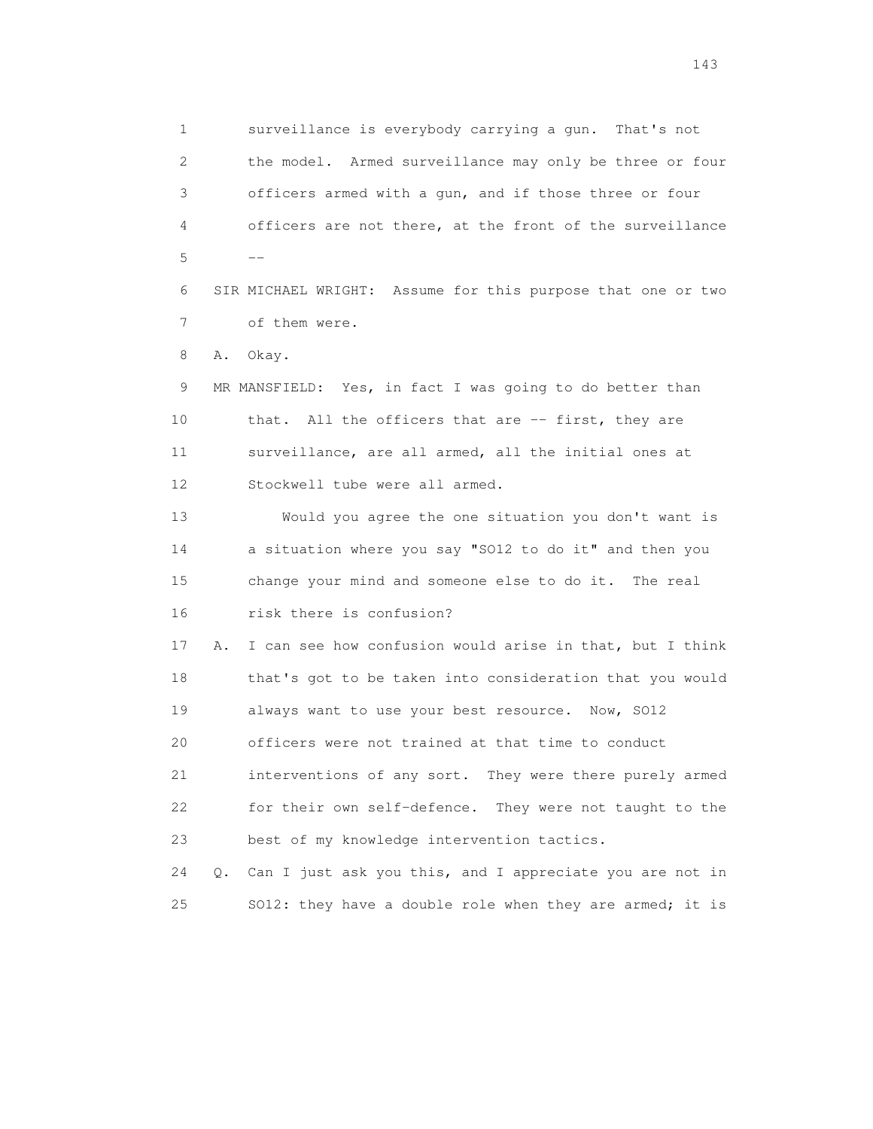1 surveillance is everybody carrying a gun. That's not 2 the model. Armed surveillance may only be three or four 3 officers armed with a gun, and if those three or four 4 officers are not there, at the front of the surveillance  $5$  --

> 6 SIR MICHAEL WRIGHT: Assume for this purpose that one or two 7 of them were.

8 A. Okay.

 9 MR MANSFIELD: Yes, in fact I was going to do better than 10 that. All the officers that are -- first, they are 11 surveillance, are all armed, all the initial ones at 12 Stockwell tube were all armed.

 13 Would you agree the one situation you don't want is 14 a situation where you say "SO12 to do it" and then you 15 change your mind and someone else to do it. The real 16 risk there is confusion?

 17 A. I can see how confusion would arise in that, but I think 18 that's got to be taken into consideration that you would 19 always want to use your best resource. Now, SO12

20 officers were not trained at that time to conduct

 21 interventions of any sort. They were there purely armed 22 for their own self-defence. They were not taught to the 23 best of my knowledge intervention tactics.

 24 Q. Can I just ask you this, and I appreciate you are not in 25 SO12: they have a double role when they are armed; it is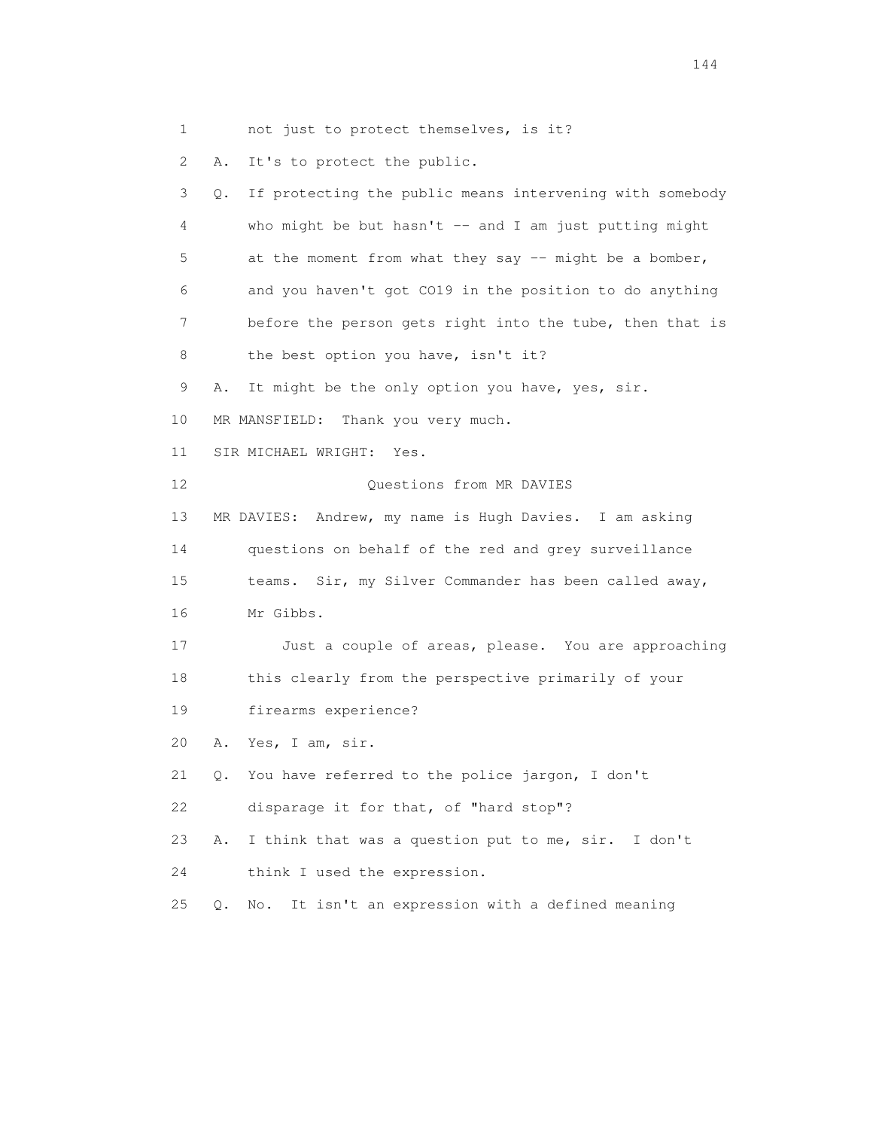1 not just to protect themselves, is it?

2 A. It's to protect the public.

 3 Q. If protecting the public means intervening with somebody 4 who might be but hasn't -- and I am just putting might 5 at the moment from what they say -- might be a bomber, 6 and you haven't got CO19 in the position to do anything 7 before the person gets right into the tube, then that is 8 the best option you have, isn't it? 9 A. It might be the only option you have, yes, sir. 10 MR MANSFIELD: Thank you very much. 11 SIR MICHAEL WRIGHT: Yes. 12 Questions from MR DAVIES 13 MR DAVIES: Andrew, my name is Hugh Davies. I am asking 14 questions on behalf of the red and grey surveillance 15 teams. Sir, my Silver Commander has been called away, 16 Mr Gibbs. 17 Just a couple of areas, please. You are approaching 18 this clearly from the perspective primarily of your 19 firearms experience? 20 A. Yes, I am, sir. 21 Q. You have referred to the police jargon, I don't 22 disparage it for that, of "hard stop"? 23 A. I think that was a question put to me, sir. I don't 24 think I used the expression. 25 Q. No. It isn't an expression with a defined meaning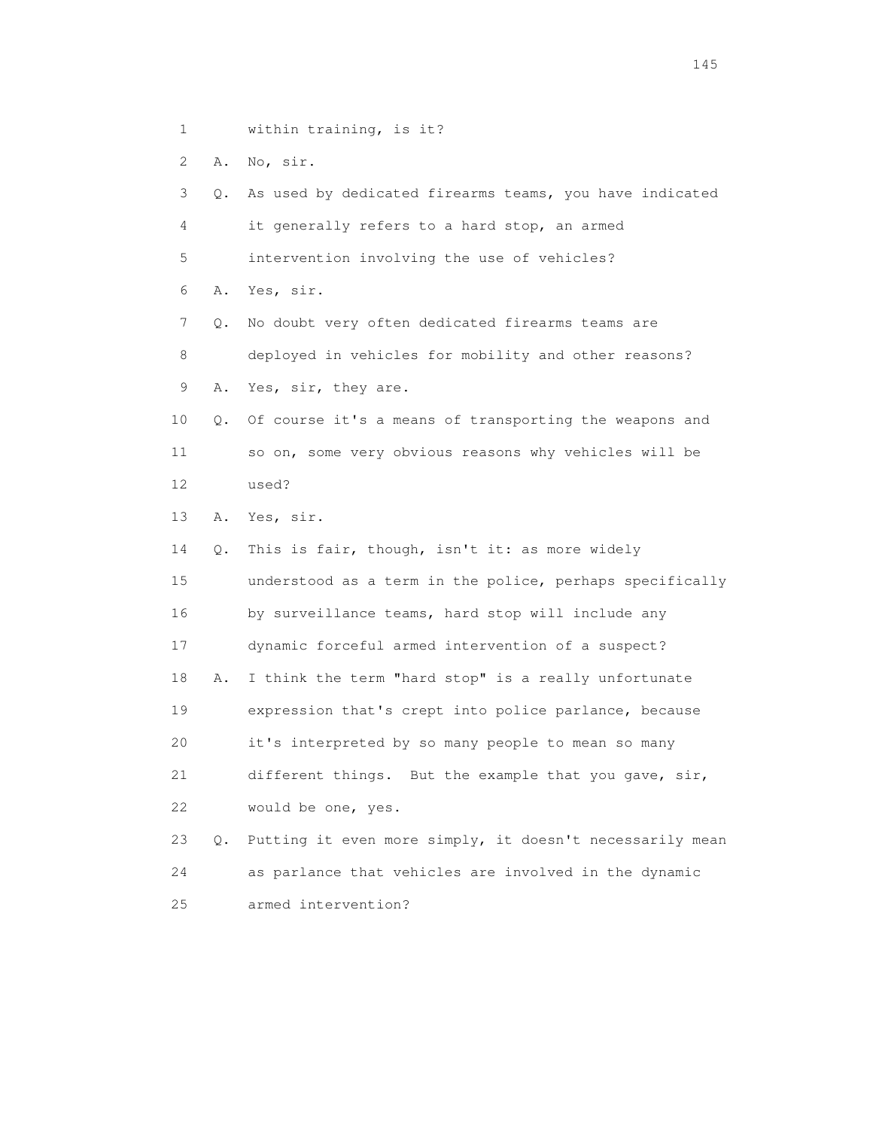1 within training, is it?

2 A. No, sir.

 3 Q. As used by dedicated firearms teams, you have indicated 4 it generally refers to a hard stop, an armed 5 intervention involving the use of vehicles? 6 A. Yes, sir. 7 Q. No doubt very often dedicated firearms teams are 8 deployed in vehicles for mobility and other reasons? 9 A. Yes, sir, they are. 10 Q. Of course it's a means of transporting the weapons and 11 so on, some very obvious reasons why vehicles will be 12 used? 13 A. Yes, sir. 14 Q. This is fair, though, isn't it: as more widely 15 understood as a term in the police, perhaps specifically 16 by surveillance teams, hard stop will include any 17 dynamic forceful armed intervention of a suspect? 18 A. I think the term "hard stop" is a really unfortunate 19 expression that's crept into police parlance, because 20 it's interpreted by so many people to mean so many 21 different things. But the example that you gave, sir, 22 would be one, yes. 23 Q. Putting it even more simply, it doesn't necessarily mean 24 as parlance that vehicles are involved in the dynamic 25 armed intervention?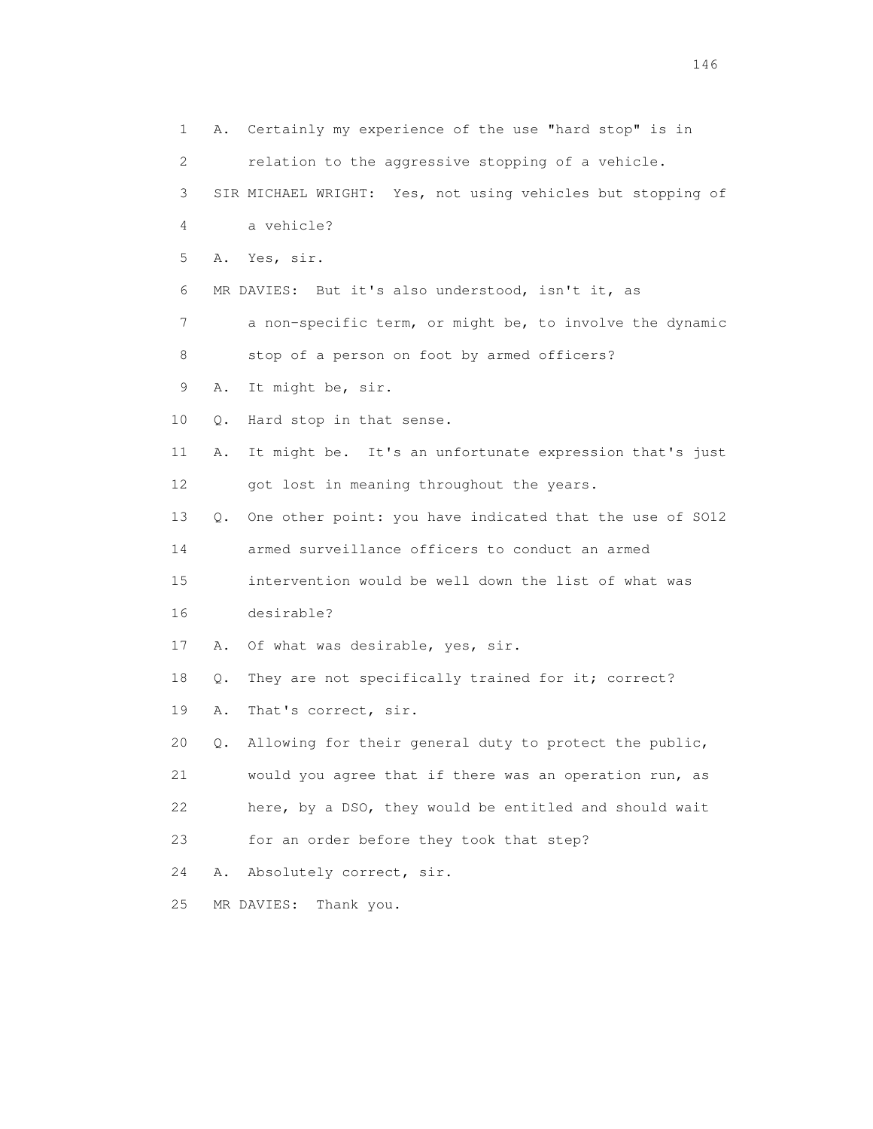1 A. Certainly my experience of the use "hard stop" is in 2 relation to the aggressive stopping of a vehicle. 3 SIR MICHAEL WRIGHT: Yes, not using vehicles but stopping of 4 a vehicle? 5 A. Yes, sir. 6 MR DAVIES: But it's also understood, isn't it, as 7 a non-specific term, or might be, to involve the dynamic 8 stop of a person on foot by armed officers? 9 A. It might be, sir. 10 Q. Hard stop in that sense. 11 A. It might be. It's an unfortunate expression that's just 12 got lost in meaning throughout the years. 13 Q. One other point: you have indicated that the use of SO12 14 armed surveillance officers to conduct an armed 15 intervention would be well down the list of what was 16 desirable? 17 A. Of what was desirable, yes, sir. 18 Q. They are not specifically trained for it; correct? 19 A. That's correct, sir. 20 Q. Allowing for their general duty to protect the public, 21 would you agree that if there was an operation run, as 22 here, by a DSO, they would be entitled and should wait 23 for an order before they took that step? 24 A. Absolutely correct, sir. 25 MR DAVIES: Thank you.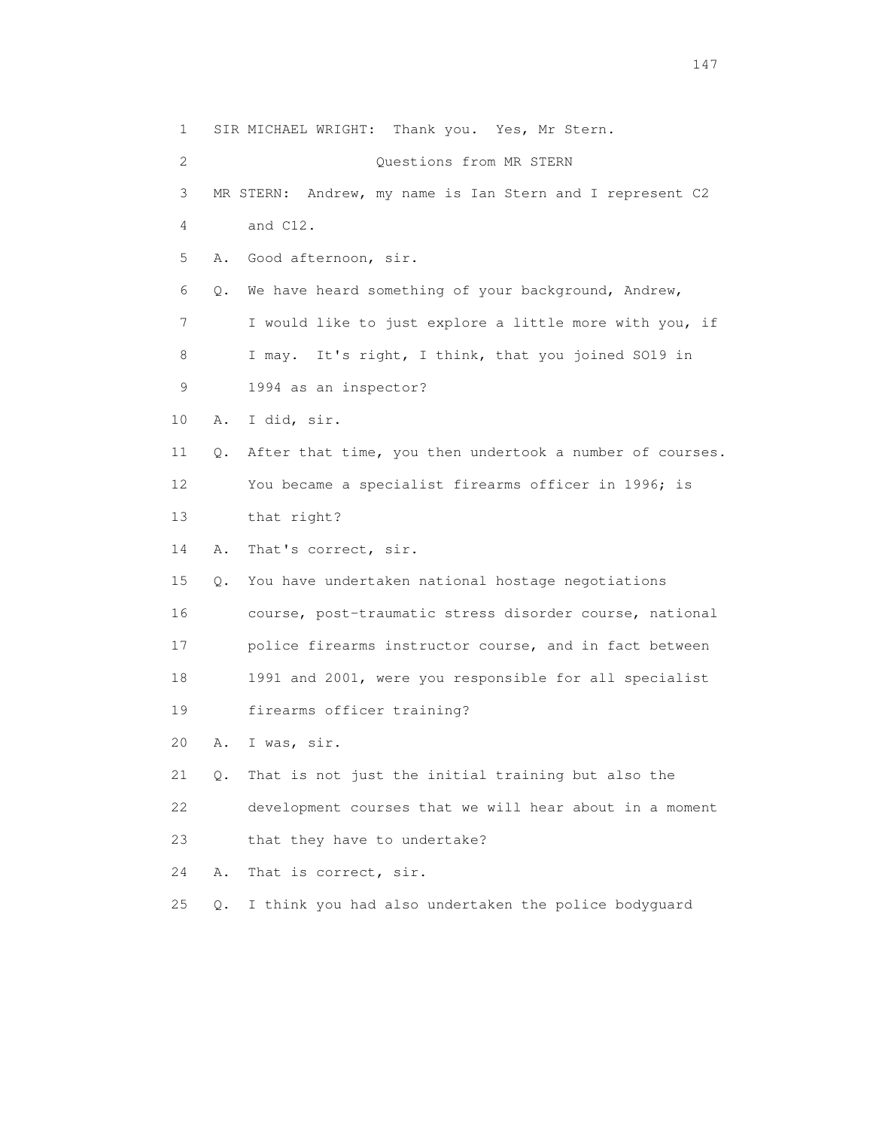1 SIR MICHAEL WRIGHT: Thank you. Yes, Mr Stern. 2 Questions from MR STERN 3 MR STERN: Andrew, my name is Ian Stern and I represent C2 4 and C12. 5 A. Good afternoon, sir. 6 Q. We have heard something of your background, Andrew, 7 I would like to just explore a little more with you, if 8 I may. It's right, I think, that you joined SO19 in 9 1994 as an inspector? 10 A. I did, sir. 11 Q. After that time, you then undertook a number of courses. 12 You became a specialist firearms officer in 1996; is 13 that right? 14 A. That's correct, sir. 15 Q. You have undertaken national hostage negotiations 16 course, post-traumatic stress disorder course, national 17 police firearms instructor course, and in fact between 18 1991 and 2001, were you responsible for all specialist 19 firearms officer training? 20 A. I was, sir. 21 Q. That is not just the initial training but also the 22 development courses that we will hear about in a moment 23 that they have to undertake? 24 A. That is correct, sir. 25 Q. I think you had also undertaken the police bodyguard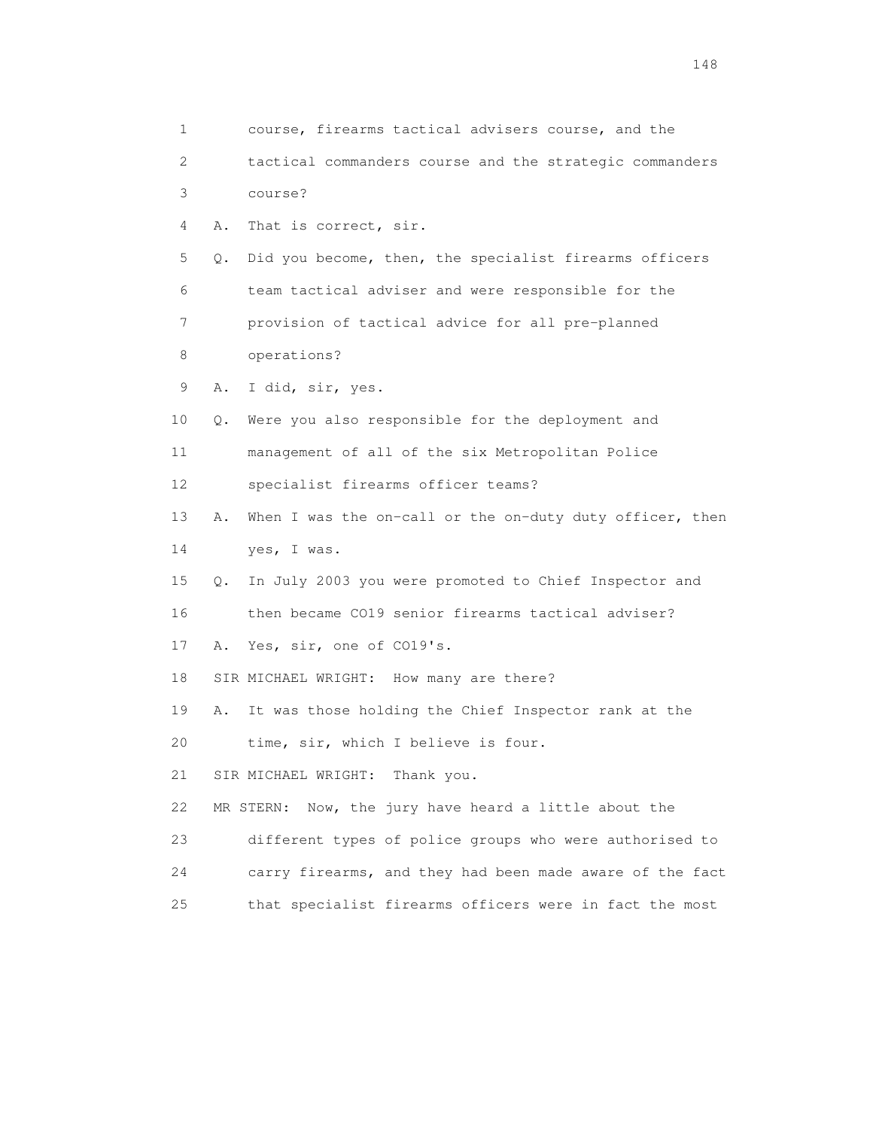| 1  |    | course, firearms tactical advisers course, and the       |
|----|----|----------------------------------------------------------|
| 2  |    | tactical commanders course and the strategic commanders  |
| 3  |    | course?                                                  |
| 4  | Α. | That is correct, sir.                                    |
| 5  | Q. | Did you become, then, the specialist firearms officers   |
| 6  |    | team tactical adviser and were responsible for the       |
| 7  |    | provision of tactical advice for all pre-planned         |
| 8  |    | operations?                                              |
| 9  | Α. | I did, sir, yes.                                         |
| 10 | Q. | Were you also responsible for the deployment and         |
| 11 |    | management of all of the six Metropolitan Police         |
| 12 |    | specialist firearms officer teams?                       |
| 13 | Α. | When I was the on-call or the on-duty duty officer, then |
| 14 |    | yes, I was.                                              |
| 15 | Q. | In July 2003 you were promoted to Chief Inspector and    |
| 16 |    | then became CO19 senior firearms tactical adviser?       |
| 17 | Α. | Yes, sir, one of CO19's.                                 |
| 18 |    | SIR MICHAEL WRIGHT: How many are there?                  |
| 19 | Α. | It was those holding the Chief Inspector rank at the     |
| 20 |    | time, sir, which I believe is four.                      |
| 21 |    | SIR MICHAEL WRIGHT: Thank you.                           |
| 22 |    | Now, the jury have heard a little about the<br>MR STERN: |
| 23 |    | different types of police groups who were authorised to  |
| 24 |    | carry firearms, and they had been made aware of the fact |
| 25 |    | that specialist firearms officers were in fact the most  |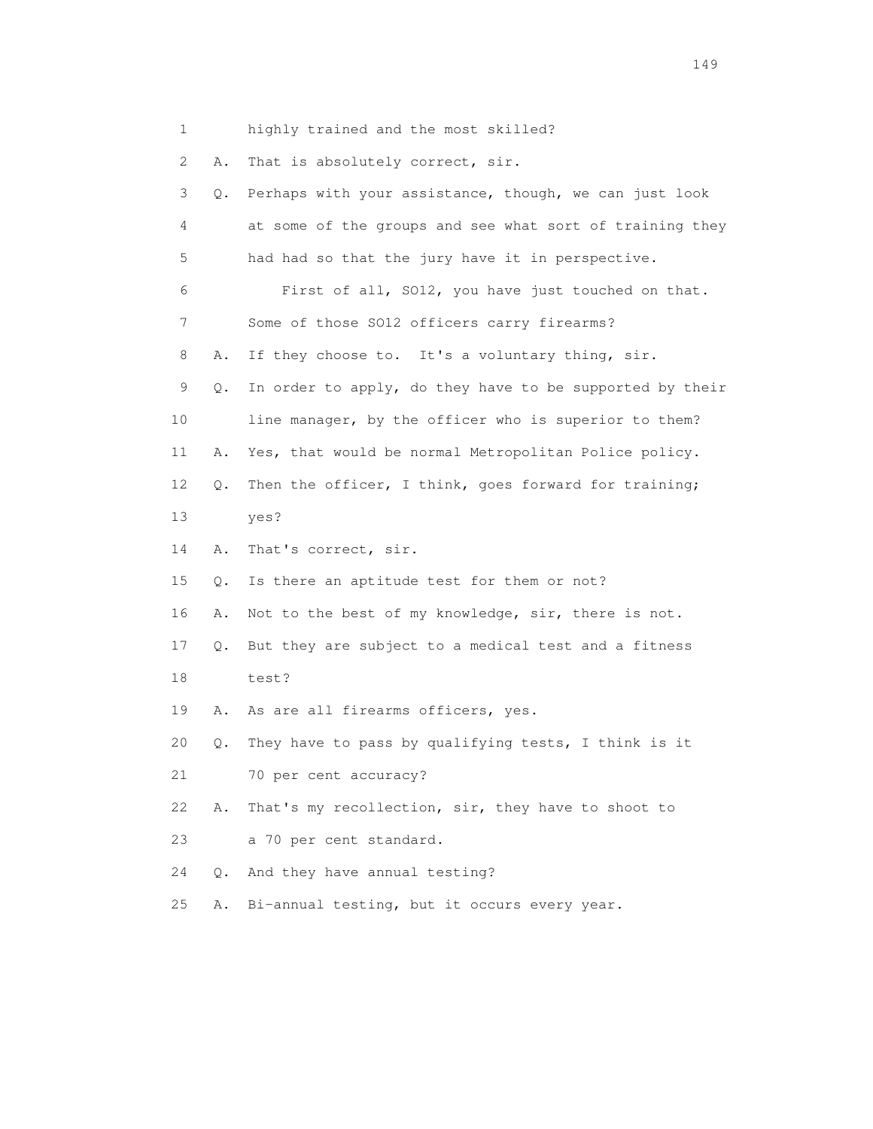1 highly trained and the most skilled?

2 A. That is absolutely correct, sir.

| 3  | $\circ$ . | Perhaps with your assistance, though, we can just look   |
|----|-----------|----------------------------------------------------------|
| 4  |           | at some of the groups and see what sort of training they |
| 5  |           | had had so that the jury have it in perspective.         |
| 6  |           | First of all, SO12, you have just touched on that.       |
| 7  |           | Some of those SO12 officers carry firearms?              |
| 8  | Α.        | If they choose to. It's a voluntary thing, sir.          |
| 9  | Q.        | In order to apply, do they have to be supported by their |
| 10 |           | line manager, by the officer who is superior to them?    |
| 11 | Α.        | Yes, that would be normal Metropolitan Police policy.    |
| 12 | Q.        | Then the officer, I think, goes forward for training;    |
| 13 |           | yes?                                                     |
| 14 | Α.        | That's correct, sir.                                     |
| 15 | О.        | Is there an aptitude test for them or not?               |
| 16 | Α.        | Not to the best of my knowledge, sir, there is not.      |
| 17 | $\circ$ . | But they are subject to a medical test and a fitness     |
| 18 |           | test?                                                    |
| 19 | Α.        | As are all firearms officers, yes.                       |
| 20 | Q.        | They have to pass by qualifying tests, I think is it     |
| 21 |           | 70 per cent accuracy?                                    |
| 22 | Α.        | That's my recollection, sir, they have to shoot to       |
| 23 |           | a 70 per cent standard.                                  |
| 24 | Q.        | And they have annual testing?                            |
| 25 | Α.        | Bi-annual testing, but it occurs every year.             |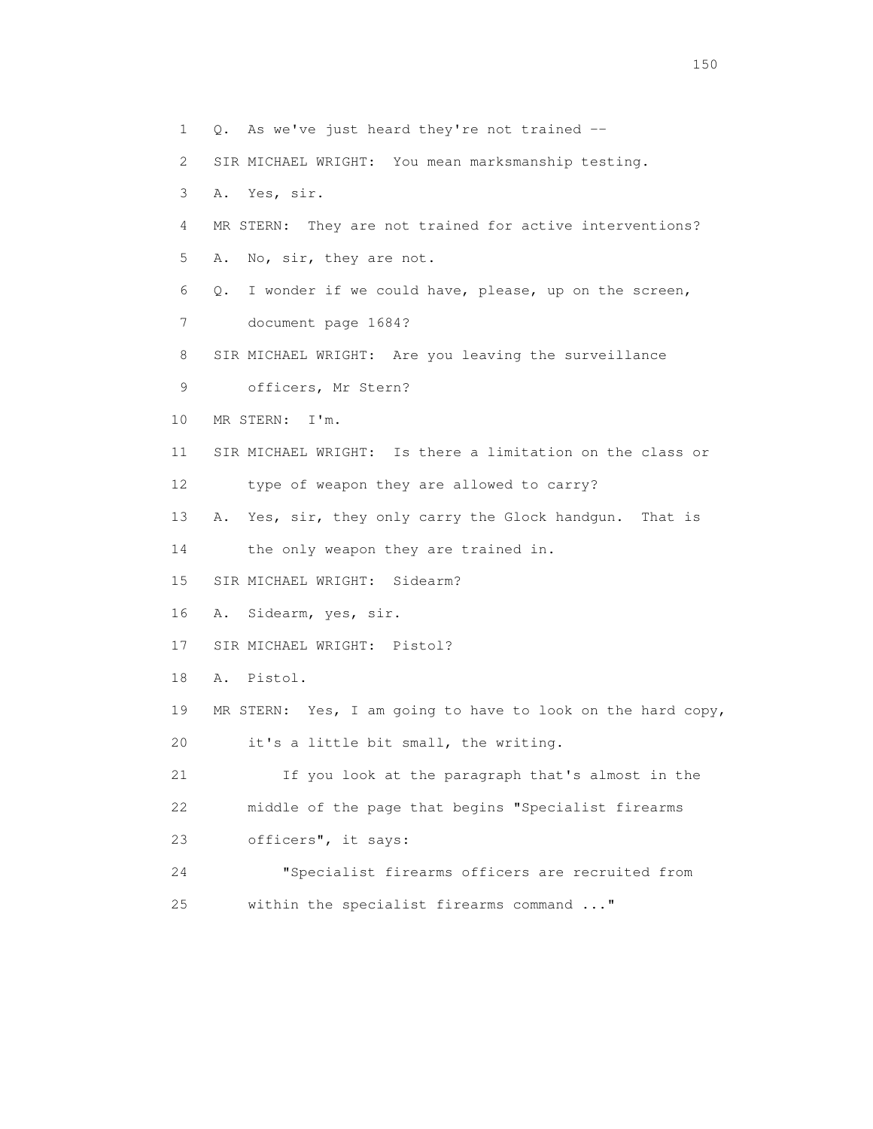1 Q. As we've just heard they're not trained -- 2 SIR MICHAEL WRIGHT: You mean marksmanship testing. 3 A. Yes, sir. 4 MR STERN: They are not trained for active interventions? 5 A. No, sir, they are not. 6 Q. I wonder if we could have, please, up on the screen, 7 document page 1684? 8 SIR MICHAEL WRIGHT: Are you leaving the surveillance 9 officers, Mr Stern? 10 MR STERN: I'm. 11 SIR MICHAEL WRIGHT: Is there a limitation on the class or 12 type of weapon they are allowed to carry? 13 A. Yes, sir, they only carry the Glock handgun. That is 14 the only weapon they are trained in. 15 SIR MICHAEL WRIGHT: Sidearm? 16 A. Sidearm, yes, sir. 17 SIR MICHAEL WRIGHT: Pistol? 18 A. Pistol. 19 MR STERN: Yes, I am going to have to look on the hard copy, 20 it's a little bit small, the writing. 21 If you look at the paragraph that's almost in the 22 middle of the page that begins "Specialist firearms 23 officers", it says: 24 "Specialist firearms officers are recruited from 25 within the specialist firearms command ..."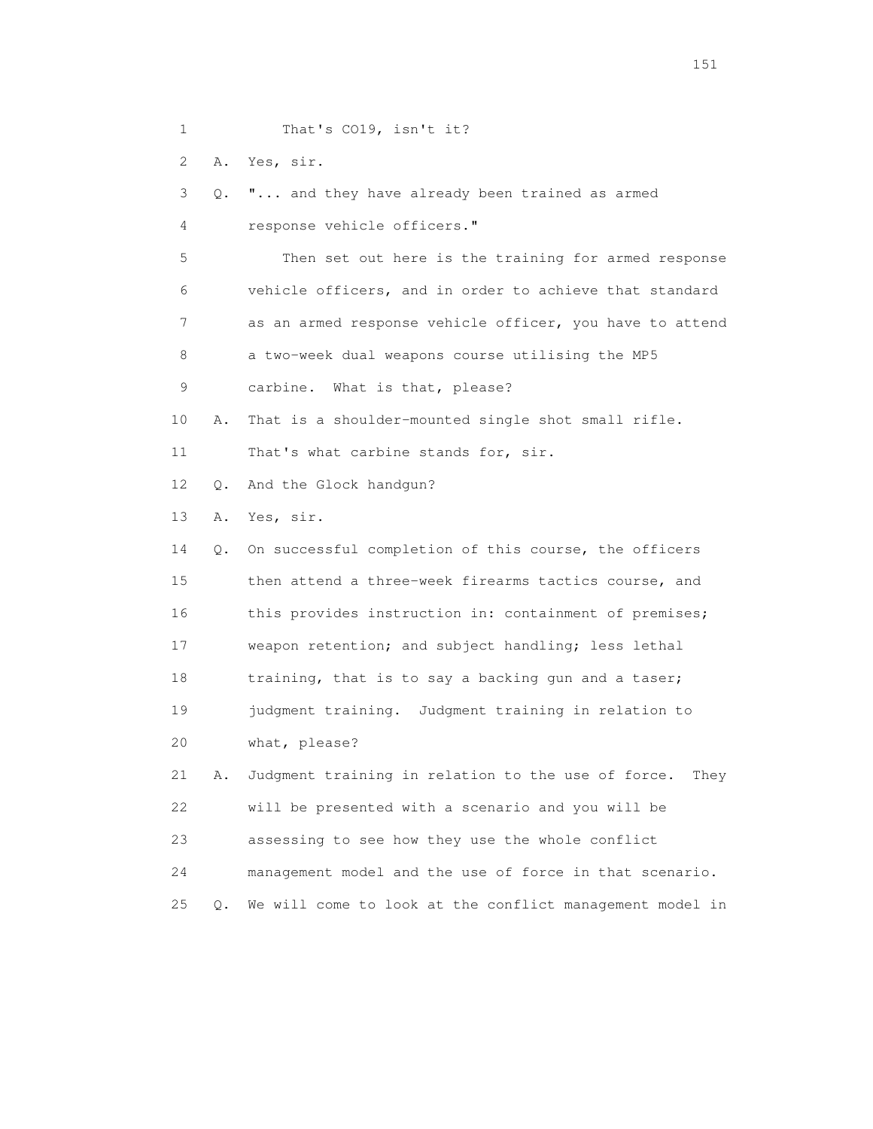1 That's CO19, isn't it?

2 A. Yes, sir.

 3 Q. "... and they have already been trained as armed 4 response vehicle officers." 5 Then set out here is the training for armed response 6 vehicle officers, and in order to achieve that standard 7 as an armed response vehicle officer, you have to attend 8 a two-week dual weapons course utilising the MP5 9 carbine. What is that, please? 10 A. That is a shoulder-mounted single shot small rifle. 11 That's what carbine stands for, sir. 12 Q. And the Glock handgun? 13 A. Yes, sir. 14 Q. On successful completion of this course, the officers 15 then attend a three-week firearms tactics course, and 16 this provides instruction in: containment of premises; 17 weapon retention; and subject handling; less lethal 18 training, that is to say a backing gun and a taser; 19 judgment training. Judgment training in relation to 20 what, please? 21 A. Judgment training in relation to the use of force. They 22 will be presented with a scenario and you will be

23 assessing to see how they use the whole conflict

24 management model and the use of force in that scenario.

25 Q. We will come to look at the conflict management model in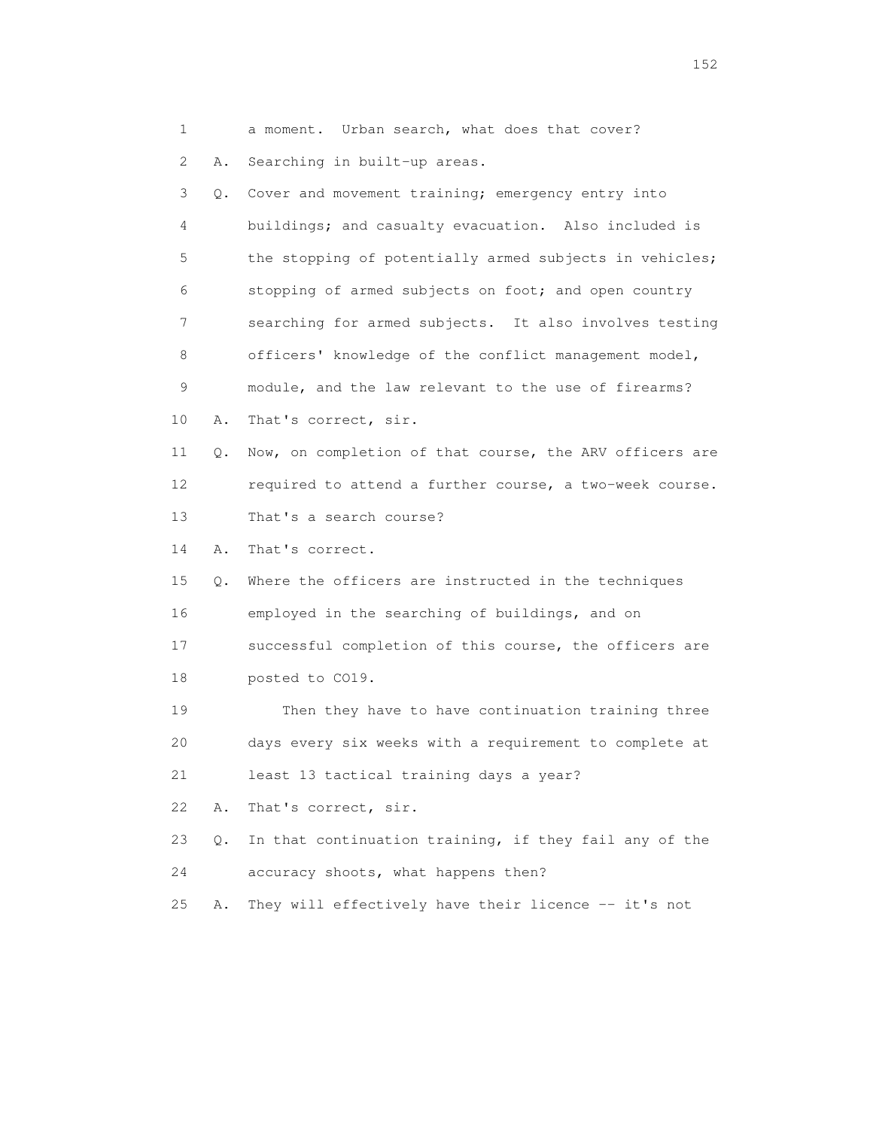1 a moment. Urban search, what does that cover? 2 A. Searching in built-up areas. 3 Q. Cover and movement training; emergency entry into 4 buildings; and casualty evacuation. Also included is 5 the stopping of potentially armed subjects in vehicles; 6 stopping of armed subjects on foot; and open country 7 searching for armed subjects. It also involves testing 8 officers' knowledge of the conflict management model, 9 module, and the law relevant to the use of firearms? 10 A. That's correct, sir. 11 Q. Now, on completion of that course, the ARV officers are 12 required to attend a further course, a two-week course. 13 That's a search course? 14 A. That's correct. 15 Q. Where the officers are instructed in the techniques 16 employed in the searching of buildings, and on 17 successful completion of this course, the officers are 18 posted to CO19. 19 Then they have to have continuation training three 20 days every six weeks with a requirement to complete at 21 least 13 tactical training days a year? 22 A. That's correct, sir. 23 Q. In that continuation training, if they fail any of the 24 accuracy shoots, what happens then? 25 A. They will effectively have their licence -- it's not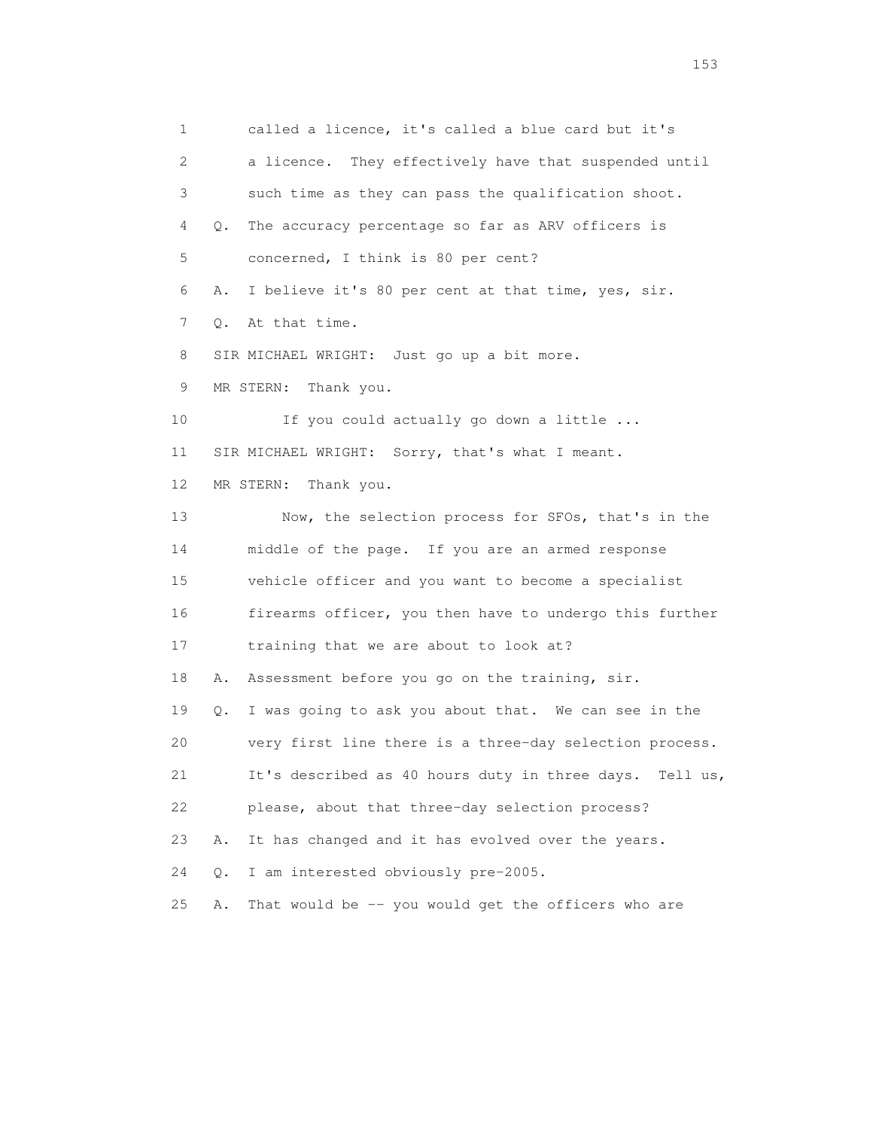1 called a licence, it's called a blue card but it's 2 a licence. They effectively have that suspended until 3 such time as they can pass the qualification shoot. 4 Q. The accuracy percentage so far as ARV officers is 5 concerned, I think is 80 per cent? 6 A. I believe it's 80 per cent at that time, yes, sir. 7 Q. At that time. 8 SIR MICHAEL WRIGHT: Just go up a bit more. 9 MR STERN: Thank you. 10 If you could actually go down a little ... 11 SIR MICHAEL WRIGHT: Sorry, that's what I meant. 12 MR STERN: Thank you. 13 Now, the selection process for SFOs, that's in the 14 middle of the page. If you are an armed response 15 vehicle officer and you want to become a specialist 16 firearms officer, you then have to undergo this further 17 training that we are about to look at? 18 A. Assessment before you go on the training, sir. 19 Q. I was going to ask you about that. We can see in the 20 very first line there is a three-day selection process. 21 It's described as 40 hours duty in three days. Tell us, 22 please, about that three-day selection process? 23 A. It has changed and it has evolved over the years. 24 Q. I am interested obviously pre-2005. 25 A. That would be -- you would get the officers who are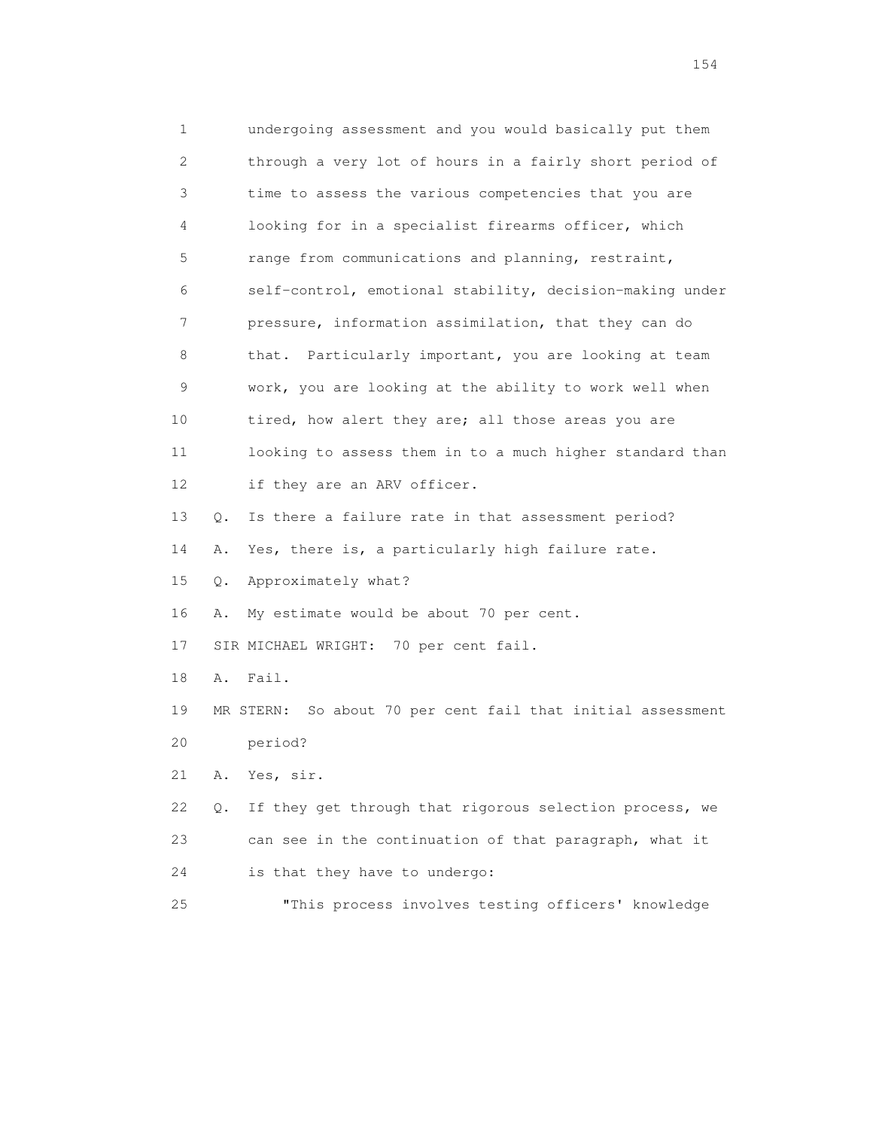1 undergoing assessment and you would basically put them 2 through a very lot of hours in a fairly short period of 3 time to assess the various competencies that you are 4 looking for in a specialist firearms officer, which 5 range from communications and planning, restraint, 6 self-control, emotional stability, decision-making under 7 pressure, information assimilation, that they can do 8 that. Particularly important, you are looking at team 9 work, you are looking at the ability to work well when 10 tired, how alert they are; all those areas you are 11 looking to assess them in to a much higher standard than 12 if they are an ARV officer. 13 Q. Is there a failure rate in that assessment period? 14 A. Yes, there is, a particularly high failure rate. 15 Q. Approximately what? 16 A. My estimate would be about 70 per cent. 17 SIR MICHAEL WRIGHT: 70 per cent fail. 18 A. Fail. 19 MR STERN: So about 70 per cent fail that initial assessment 20 period? 21 A. Yes, sir. 22 Q. If they get through that rigorous selection process, we 23 can see in the continuation of that paragraph, what it 24 is that they have to undergo: 25 "This process involves testing officers' knowledge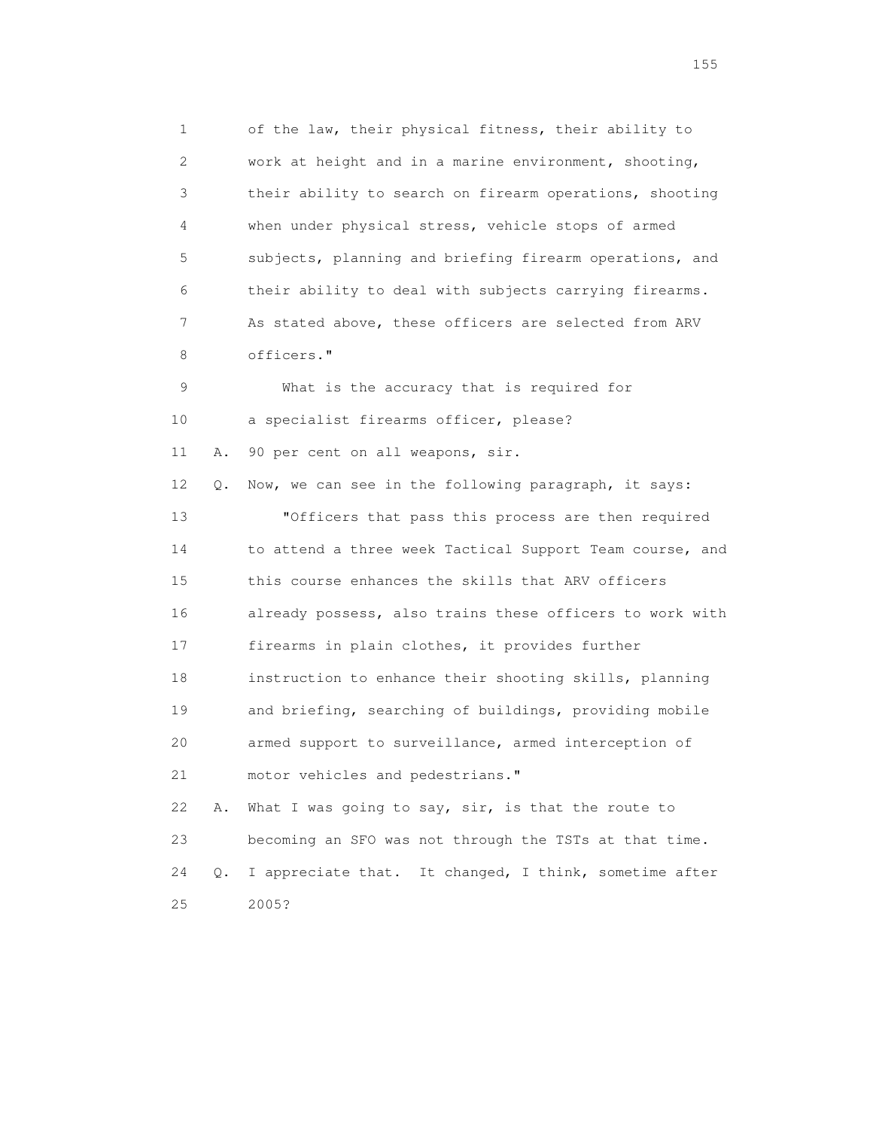1 of the law, their physical fitness, their ability to 2 work at height and in a marine environment, shooting, 3 their ability to search on firearm operations, shooting 4 when under physical stress, vehicle stops of armed 5 subjects, planning and briefing firearm operations, and 6 their ability to deal with subjects carrying firearms. 7 As stated above, these officers are selected from ARV 8 officers." 9 What is the accuracy that is required for 10 a specialist firearms officer, please? 11 A. 90 per cent on all weapons, sir. 12 Q. Now, we can see in the following paragraph, it says: 13 "Officers that pass this process are then required 14 to attend a three week Tactical Support Team course, and 15 this course enhances the skills that ARV officers 16 already possess, also trains these officers to work with 17 firearms in plain clothes, it provides further 18 instruction to enhance their shooting skills, planning 19 and briefing, searching of buildings, providing mobile 20 armed support to surveillance, armed interception of 21 motor vehicles and pedestrians." 22 A. What I was going to say, sir, is that the route to 23 becoming an SFO was not through the TSTs at that time. 24 Q. I appreciate that. It changed, I think, sometime after 25 2005?

## n 155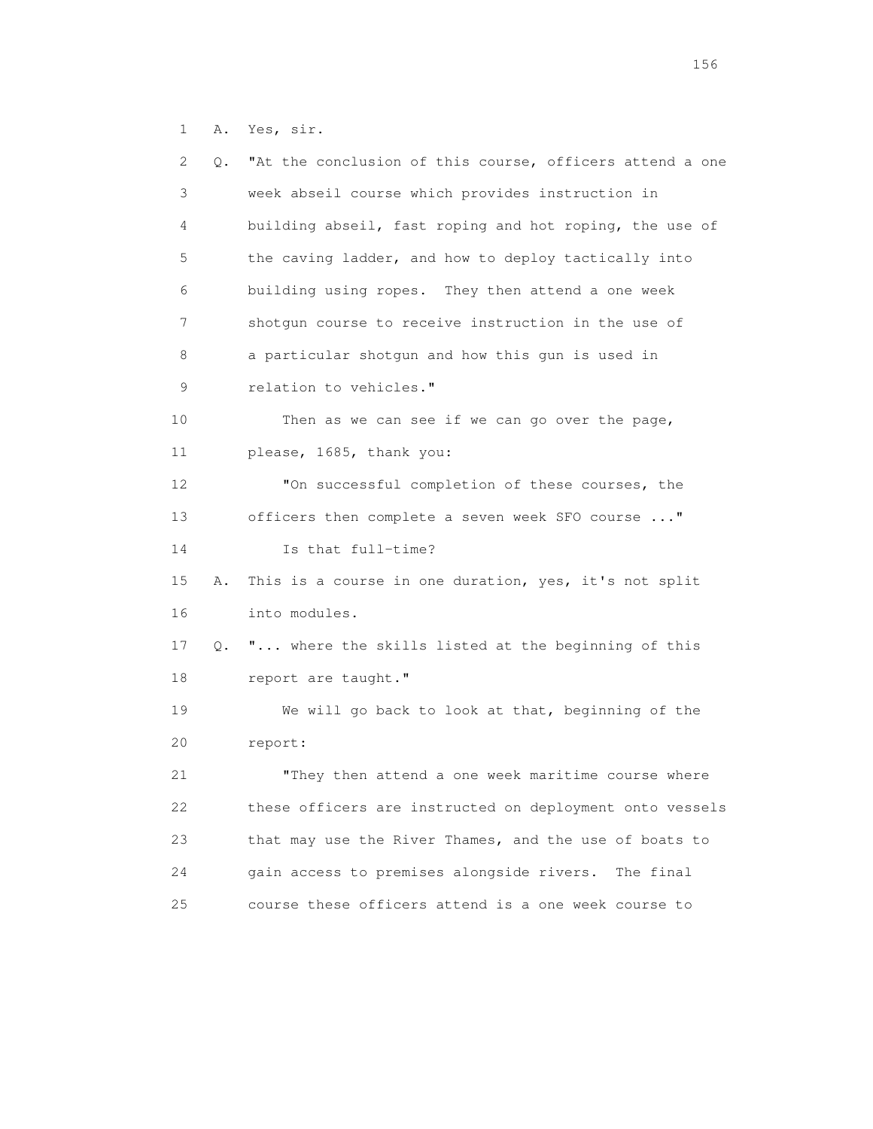1 A. Yes, sir.

| 2  | Q. | "At the conclusion of this course, officers attend a one |
|----|----|----------------------------------------------------------|
| 3  |    | week abseil course which provides instruction in         |
| 4  |    | building abseil, fast roping and hot roping, the use of  |
| 5  |    | the caving ladder, and how to deploy tactically into     |
| 6  |    | building using ropes. They then attend a one week        |
| 7  |    | shotgun course to receive instruction in the use of      |
| 8  |    | a particular shotgun and how this gun is used in         |
| 9  |    | relation to vehicles."                                   |
| 10 |    | Then as we can see if we can go over the page,           |
| 11 |    | please, 1685, thank you:                                 |
| 12 |    | "On successful completion of these courses, the          |
| 13 |    | officers then complete a seven week SFO course "         |
| 14 |    | Is that full-time?                                       |
| 15 | Α. | This is a course in one duration, yes, it's not split    |
| 16 |    | into modules.                                            |
| 17 | Q. | " where the skills listed at the beginning of this       |
| 18 |    | report are taught."                                      |
| 19 |    | We will go back to look at that, beginning of the        |
| 20 |    | report:                                                  |
| 21 |    | "They then attend a one week maritime course where       |
| 22 |    | these officers are instructed on deployment onto vessels |
| 23 |    | that may use the River Thames, and the use of boats to   |
| 24 |    | gain access to premises alongside rivers.<br>The final   |
| 25 |    | course these officers attend is a one week course to     |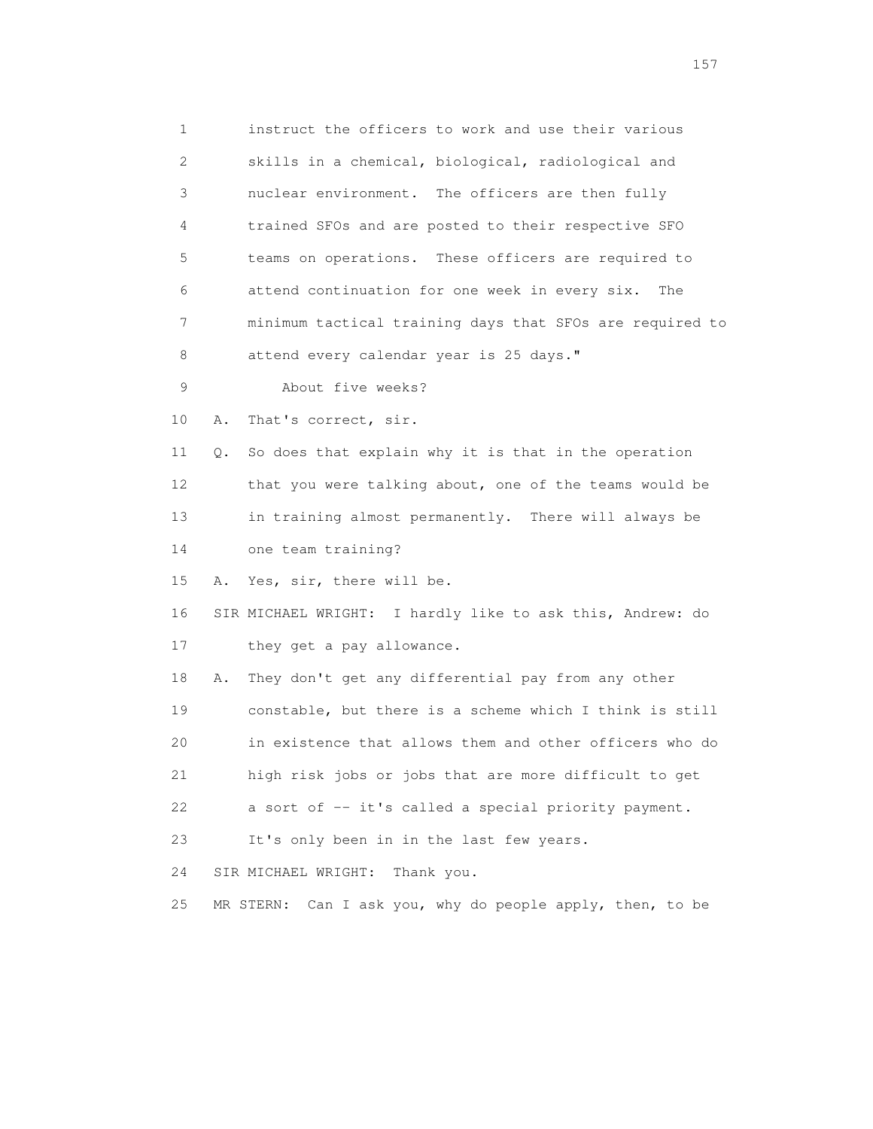1 instruct the officers to work and use their various 2 skills in a chemical, biological, radiological and 3 nuclear environment. The officers are then fully 4 trained SFOs and are posted to their respective SFO 5 teams on operations. These officers are required to 6 attend continuation for one week in every six. The 7 minimum tactical training days that SFOs are required to 8 attend every calendar year is 25 days." 9 About five weeks? 10 A. That's correct, sir. 11 Q. So does that explain why it is that in the operation 12 that you were talking about, one of the teams would be 13 in training almost permanently. There will always be 14 one team training? 15 A. Yes, sir, there will be. 16 SIR MICHAEL WRIGHT: I hardly like to ask this, Andrew: do 17 they get a pay allowance. 18 A. They don't get any differential pay from any other 19 constable, but there is a scheme which I think is still 20 in existence that allows them and other officers who do 21 high risk jobs or jobs that are more difficult to get 22 a sort of -- it's called a special priority payment. 23 It's only been in in the last few years. 24 SIR MICHAEL WRIGHT: Thank you. 25 MR STERN: Can I ask you, why do people apply, then, to be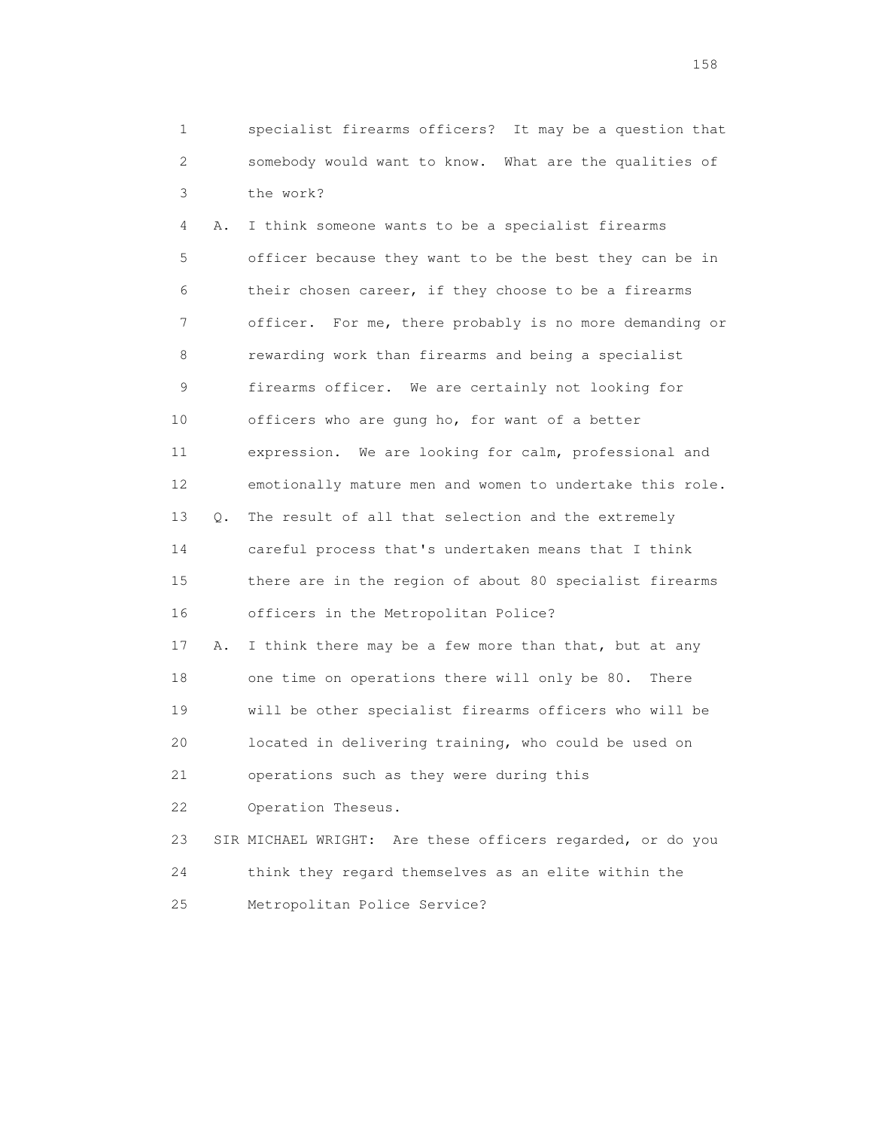1 specialist firearms officers? It may be a question that 2 somebody would want to know. What are the qualities of 3 the work?

 4 A. I think someone wants to be a specialist firearms 5 officer because they want to be the best they can be in 6 their chosen career, if they choose to be a firearms 7 officer. For me, there probably is no more demanding or 8 rewarding work than firearms and being a specialist 9 firearms officer. We are certainly not looking for 10 officers who are gung ho, for want of a better 11 expression. We are looking for calm, professional and 12 emotionally mature men and women to undertake this role. 13 Q. The result of all that selection and the extremely 14 careful process that's undertaken means that I think 15 there are in the region of about 80 specialist firearms 16 officers in the Metropolitan Police? 17 A. I think there may be a few more than that, but at any 18 one time on operations there will only be 80. There 19 will be other specialist firearms officers who will be 20 located in delivering training, who could be used on 21 operations such as they were during this 22 Operation Theseus. 23 SIR MICHAEL WRIGHT: Are these officers regarded, or do you

 24 think they regard themselves as an elite within the 25 Metropolitan Police Service?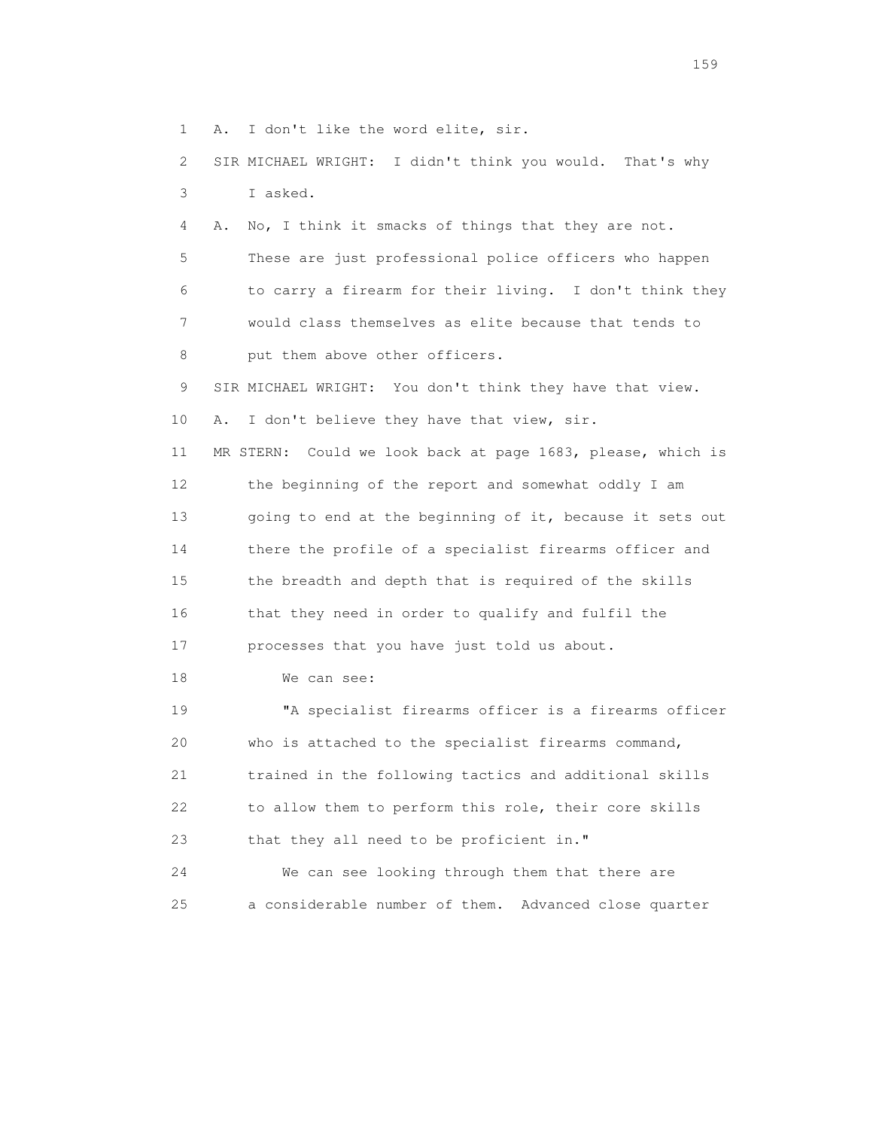1 A. I don't like the word elite, sir.

 2 SIR MICHAEL WRIGHT: I didn't think you would. That's why 3 I asked.

 4 A. No, I think it smacks of things that they are not. 5 These are just professional police officers who happen 6 to carry a firearm for their living. I don't think they 7 would class themselves as elite because that tends to 8 put them above other officers.

 9 SIR MICHAEL WRIGHT: You don't think they have that view. 10 A. I don't believe they have that view, sir. 11 MR STERN: Could we look back at page 1683, please, which is

 12 the beginning of the report and somewhat oddly I am 13 going to end at the beginning of it, because it sets out 14 there the profile of a specialist firearms officer and 15 the breadth and depth that is required of the skills 16 that they need in order to qualify and fulfil the 17 processes that you have just told us about.

18 We can see:

 19 "A specialist firearms officer is a firearms officer 20 who is attached to the specialist firearms command, 21 trained in the following tactics and additional skills 22 to allow them to perform this role, their core skills 23 that they all need to be proficient in."

 24 We can see looking through them that there are 25 a considerable number of them. Advanced close quarter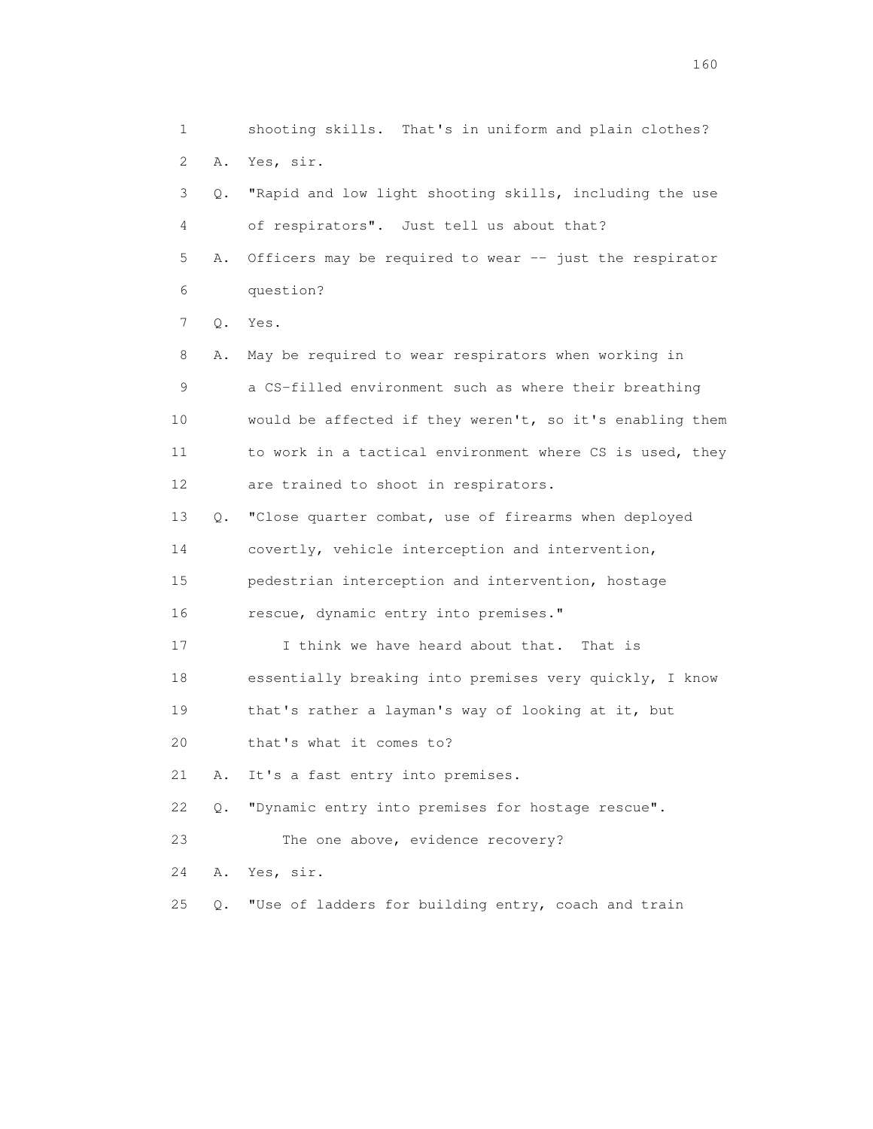1 shooting skills. That's in uniform and plain clothes? 2 A. Yes, sir. 3 Q. "Rapid and low light shooting skills, including the use 4 of respirators". Just tell us about that? 5 A. Officers may be required to wear -- just the respirator 6 question? 7 Q. Yes. 8 A. May be required to wear respirators when working in 9 a CS-filled environment such as where their breathing 10 would be affected if they weren't, so it's enabling them 11 to work in a tactical environment where CS is used, they 12 are trained to shoot in respirators. 13 Q. "Close quarter combat, use of firearms when deployed 14 covertly, vehicle interception and intervention, 15 pedestrian interception and intervention, hostage 16 rescue, dynamic entry into premises." 17 I think we have heard about that. That is 18 essentially breaking into premises very quickly, I know 19 that's rather a layman's way of looking at it, but 20 that's what it comes to? 21 A. It's a fast entry into premises. 22 Q. "Dynamic entry into premises for hostage rescue". 23 The one above, evidence recovery? 24 A. Yes, sir. 25 Q. "Use of ladders for building entry, coach and train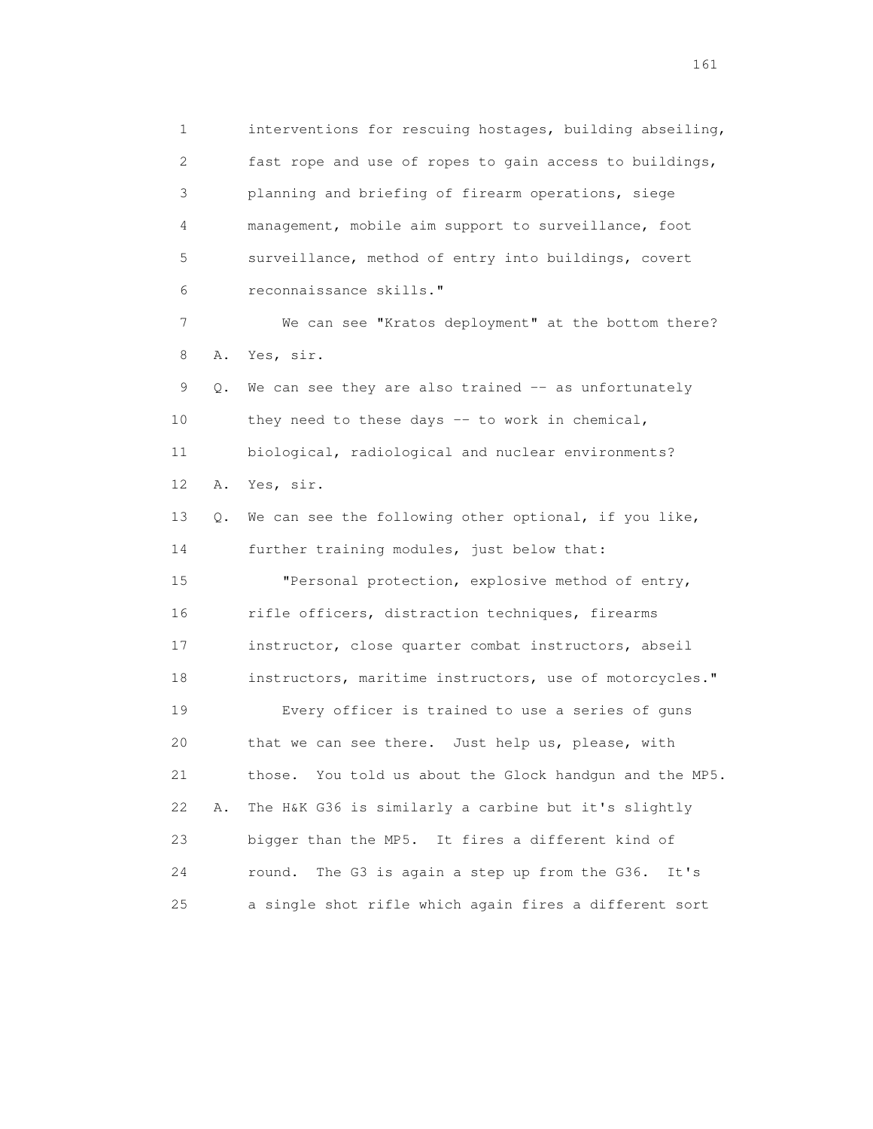1 interventions for rescuing hostages, building abseiling, 2 fast rope and use of ropes to gain access to buildings, 3 planning and briefing of firearm operations, siege 4 management, mobile aim support to surveillance, foot 5 surveillance, method of entry into buildings, covert 6 reconnaissance skills." 7 We can see "Kratos deployment" at the bottom there? 8 A. Yes, sir. 9 Q. We can see they are also trained -- as unfortunately 10 they need to these days -- to work in chemical, 11 biological, radiological and nuclear environments? 12 A. Yes, sir. 13 Q. We can see the following other optional, if you like, 14 further training modules, just below that: 15 "Personal protection, explosive method of entry, 16 rifle officers, distraction techniques, firearms 17 instructor, close quarter combat instructors, abseil 18 instructors, maritime instructors, use of motorcycles." 19 Every officer is trained to use a series of guns 20 that we can see there. Just help us, please, with 21 those. You told us about the Glock handgun and the MP5. 22 A. The H&K G36 is similarly a carbine but it's slightly 23 bigger than the MP5. It fires a different kind of 24 round. The G3 is again a step up from the G36. It's 25 a single shot rifle which again fires a different sort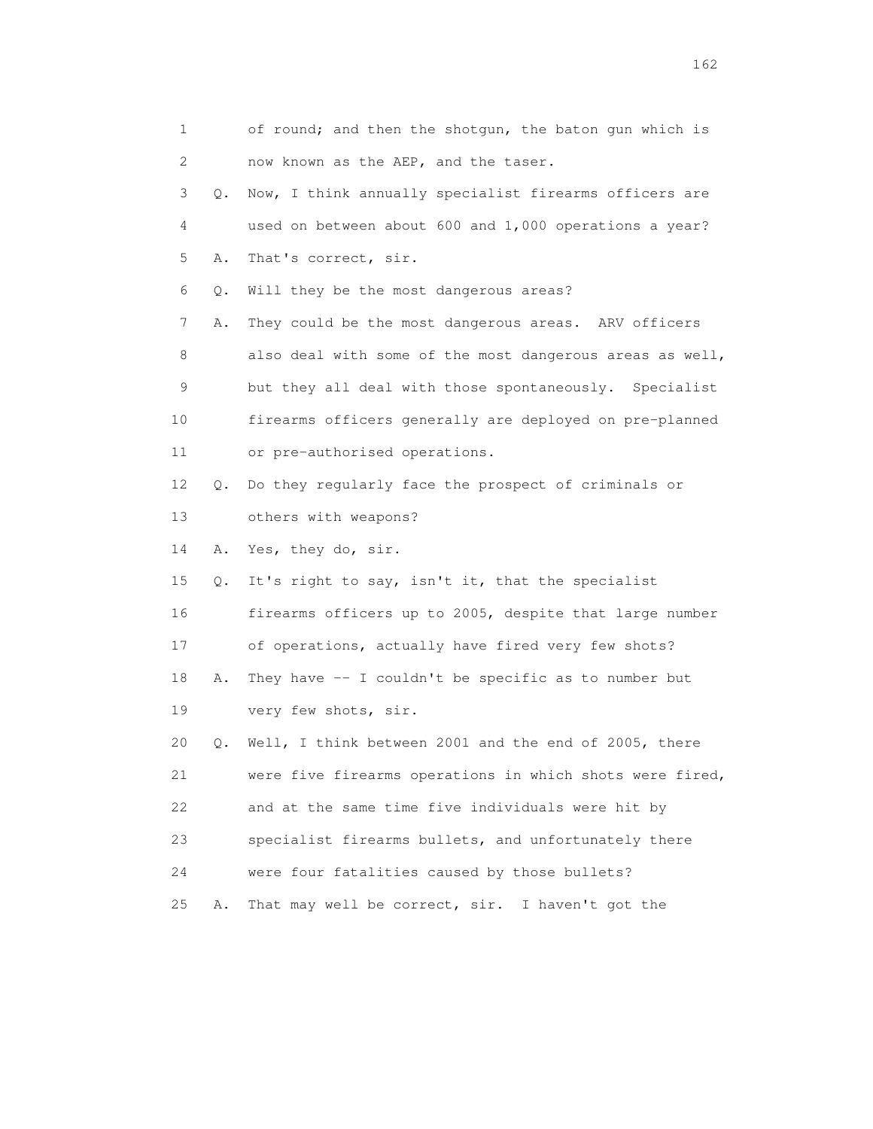| 1  |       | of round; and then the shotqun, the baton qun which is   |
|----|-------|----------------------------------------------------------|
| 2  |       | now known as the AEP, and the taser.                     |
| 3  | Q.    | Now, I think annually specialist firearms officers are   |
| 4  |       | used on between about 600 and 1,000 operations a year?   |
| 5  | Α.    | That's correct, sir.                                     |
| 6  | $Q$ . | Will they be the most dangerous areas?                   |
| 7  | Α.    | They could be the most dangerous areas. ARV officers     |
| 8  |       | also deal with some of the most dangerous areas as well, |
| 9  |       | but they all deal with those spontaneously. Specialist   |
| 10 |       | firearms officers generally are deployed on pre-planned  |
| 11 |       | or pre-authorised operations.                            |
| 12 | Q.    | Do they regularly face the prospect of criminals or      |
| 13 |       | others with weapons?                                     |
| 14 | Α.    | Yes, they do, sir.                                       |
| 15 | Q.    | It's right to say, isn't it, that the specialist         |
| 16 |       | firearms officers up to 2005, despite that large number  |
| 17 |       | of operations, actually have fired very few shots?       |
| 18 | Α.    | They have $-$ I couldn't be specific as to number but    |
| 19 |       | very few shots, sir.                                     |
| 20 | Q.    | Well, I think between 2001 and the end of 2005, there    |
| 21 |       | were five firearms operations in which shots were fired, |
| 22 |       | and at the same time five individuals were hit by        |
| 23 |       | specialist firearms bullets, and unfortunately there     |
| 24 |       | were four fatalities caused by those bullets?            |
| 25 | Α.    | That may well be correct, sir.<br>I haven't got the      |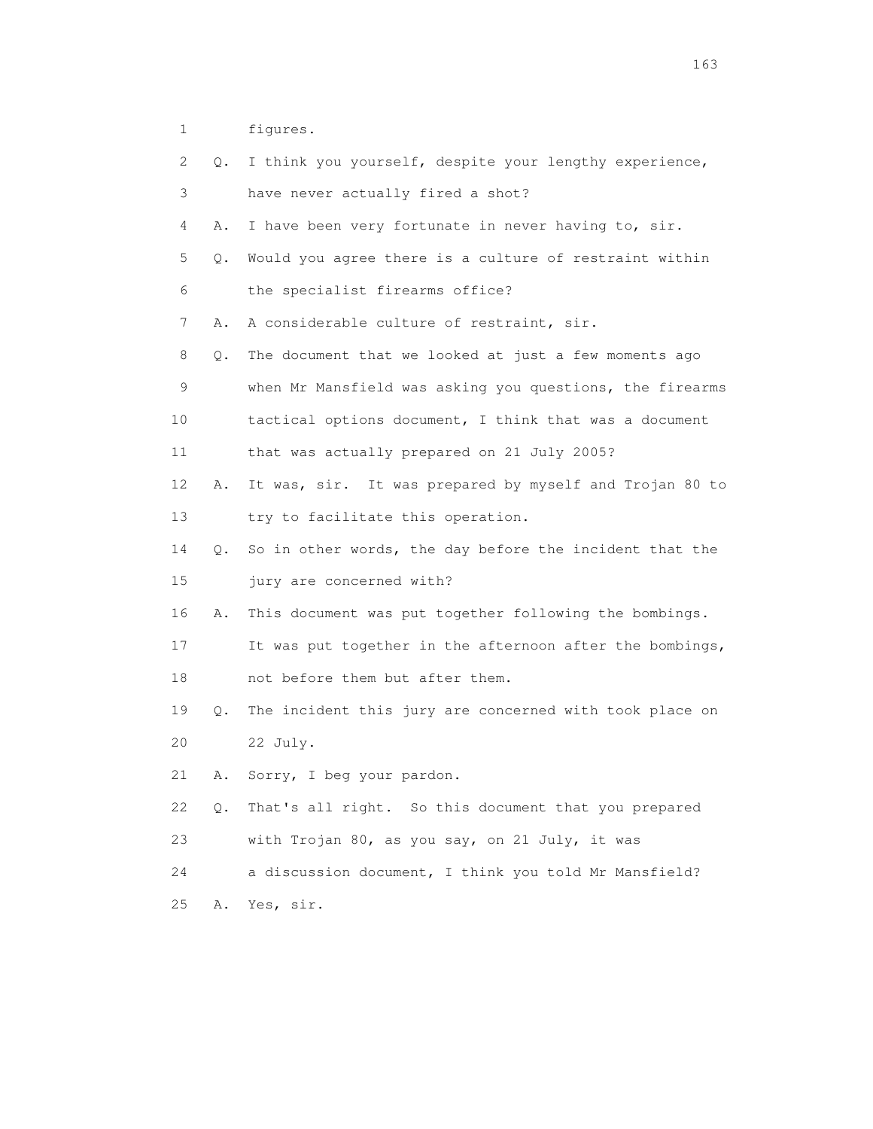1 figures.

| 2  | Q. | I think you yourself, despite your lengthy experience,   |
|----|----|----------------------------------------------------------|
| 3  |    | have never actually fired a shot?                        |
| 4  | Α. | I have been very fortunate in never having to, sir.      |
| 5  | Q. | Would you agree there is a culture of restraint within   |
| 6  |    | the specialist firearms office?                          |
| 7  | Α. | A considerable culture of restraint, sir.                |
| 8  | Q. | The document that we looked at just a few moments ago    |
| 9  |    | when Mr Mansfield was asking you questions, the firearms |
| 10 |    | tactical options document, I think that was a document   |
| 11 |    | that was actually prepared on 21 July 2005?              |
| 12 | Α. | It was, sir. It was prepared by myself and Trojan 80 to  |
| 13 |    | try to facilitate this operation.                        |
| 14 | Q. | So in other words, the day before the incident that the  |
| 15 |    | jury are concerned with?                                 |
| 16 | Α. | This document was put together following the bombings.   |
| 17 |    | It was put together in the afternoon after the bombings, |
| 18 |    | not before them but after them.                          |
| 19 | Q. | The incident this jury are concerned with took place on  |
| 20 |    | 22 July.                                                 |
| 21 | Α. | Sorry, I beg your pardon.                                |
| 22 | Q. | That's all right. So this document that you prepared     |
| 23 |    | with Trojan 80, as you say, on 21 July, it was           |
| 24 |    | a discussion document, I think you told Mr Mansfield?    |
| 25 | Α. | Yes, sir.                                                |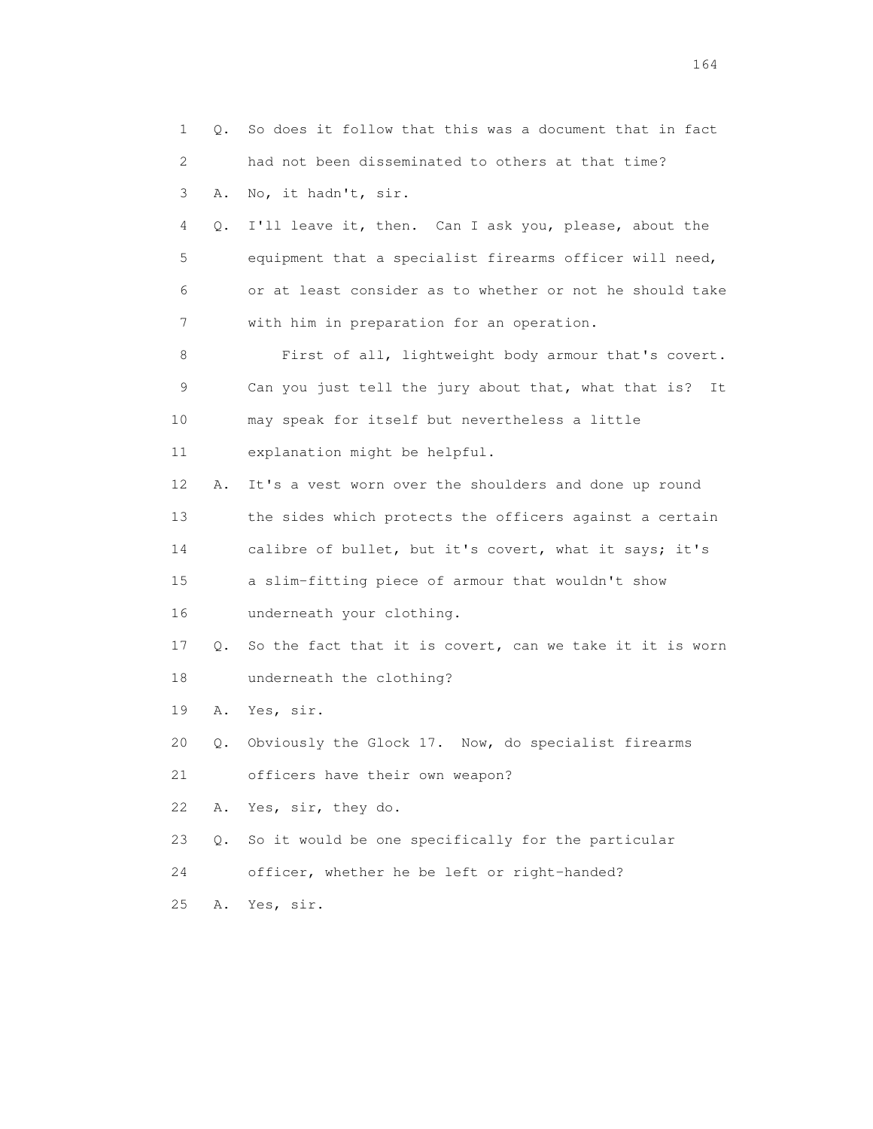1 Q. So does it follow that this was a document that in fact 2 had not been disseminated to others at that time? 3 A. No, it hadn't, sir. 4 Q. I'll leave it, then. Can I ask you, please, about the 5 equipment that a specialist firearms officer will need, 6 or at least consider as to whether or not he should take 7 with him in preparation for an operation. 8 First of all, lightweight body armour that's covert. 9 Can you just tell the jury about that, what that is? It 10 may speak for itself but nevertheless a little 11 explanation might be helpful. 12 A. It's a vest worn over the shoulders and done up round 13 the sides which protects the officers against a certain 14 calibre of bullet, but it's covert, what it says; it's 15 a slim-fitting piece of armour that wouldn't show 16 underneath your clothing. 17 Q. So the fact that it is covert, can we take it it is worn 18 underneath the clothing? 19 A. Yes, sir. 20 Q. Obviously the Glock 17. Now, do specialist firearms 21 officers have their own weapon? 22 A. Yes, sir, they do. 23 Q. So it would be one specifically for the particular 24 officer, whether he be left or right-handed? 25 A. Yes, sir.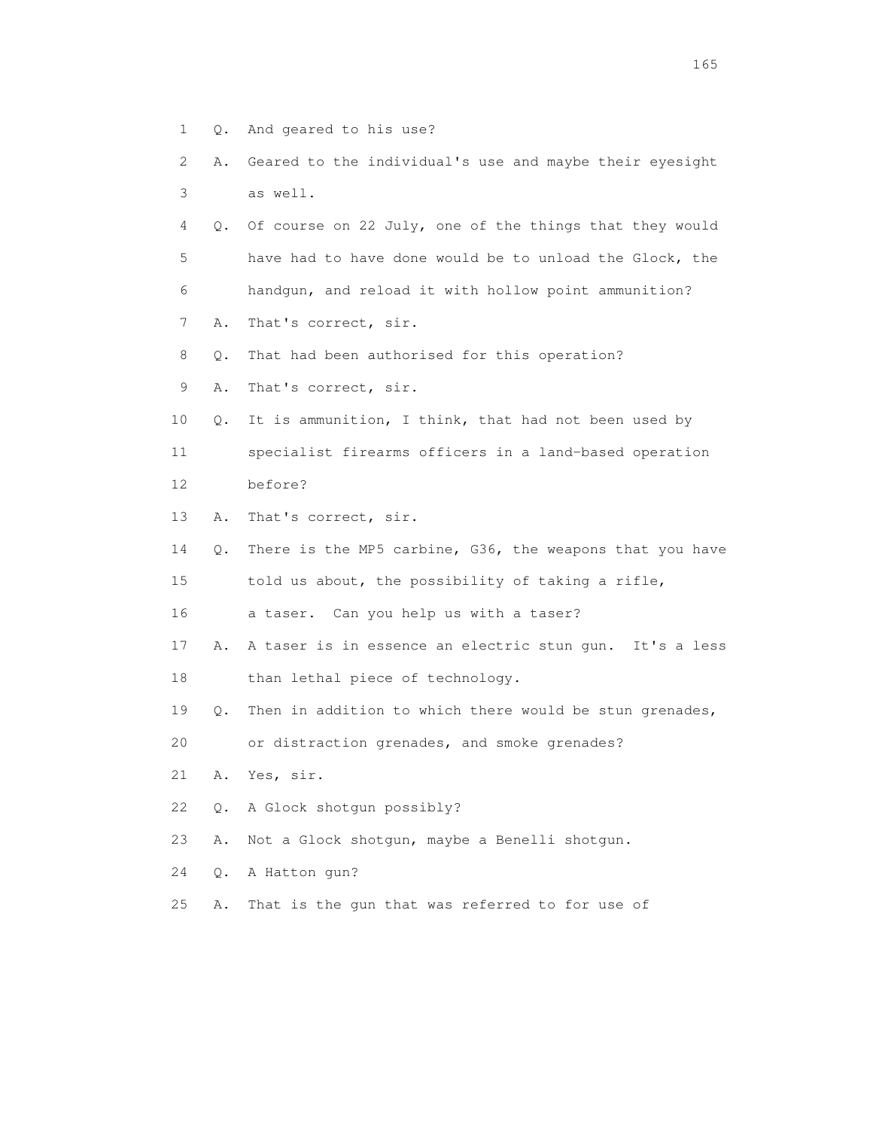- 1 Q. And geared to his use?
- 2 A. Geared to the individual's use and maybe their eyesight 3 as well.
- 4 Q. Of course on 22 July, one of the things that they would 5 have had to have done would be to unload the Glock, the 6 handgun, and reload it with hollow point ammunition?
- 7 A. That's correct, sir.
- 8 Q. That had been authorised for this operation?
- 9 A. That's correct, sir.
- 10 Q. It is ammunition, I think, that had not been used by
- 11 specialist firearms officers in a land-based operation 12 before?
- 13 A. That's correct, sir.
- 14 Q. There is the MP5 carbine, G36, the weapons that you have 15 told us about, the possibility of taking a rifle,
- 16 a taser. Can you help us with a taser?
- 17 A. A taser is in essence an electric stun gun. It's a less 18 than lethal piece of technology.
- 19 Q. Then in addition to which there would be stun grenades,

20 or distraction grenades, and smoke grenades?

- 21 A. Yes, sir.
- 22 Q. A Glock shotgun possibly?
- 23 A. Not a Glock shotgun, maybe a Benelli shotgun.

24 Q. A Hatton gun?

25 A. That is the gun that was referred to for use of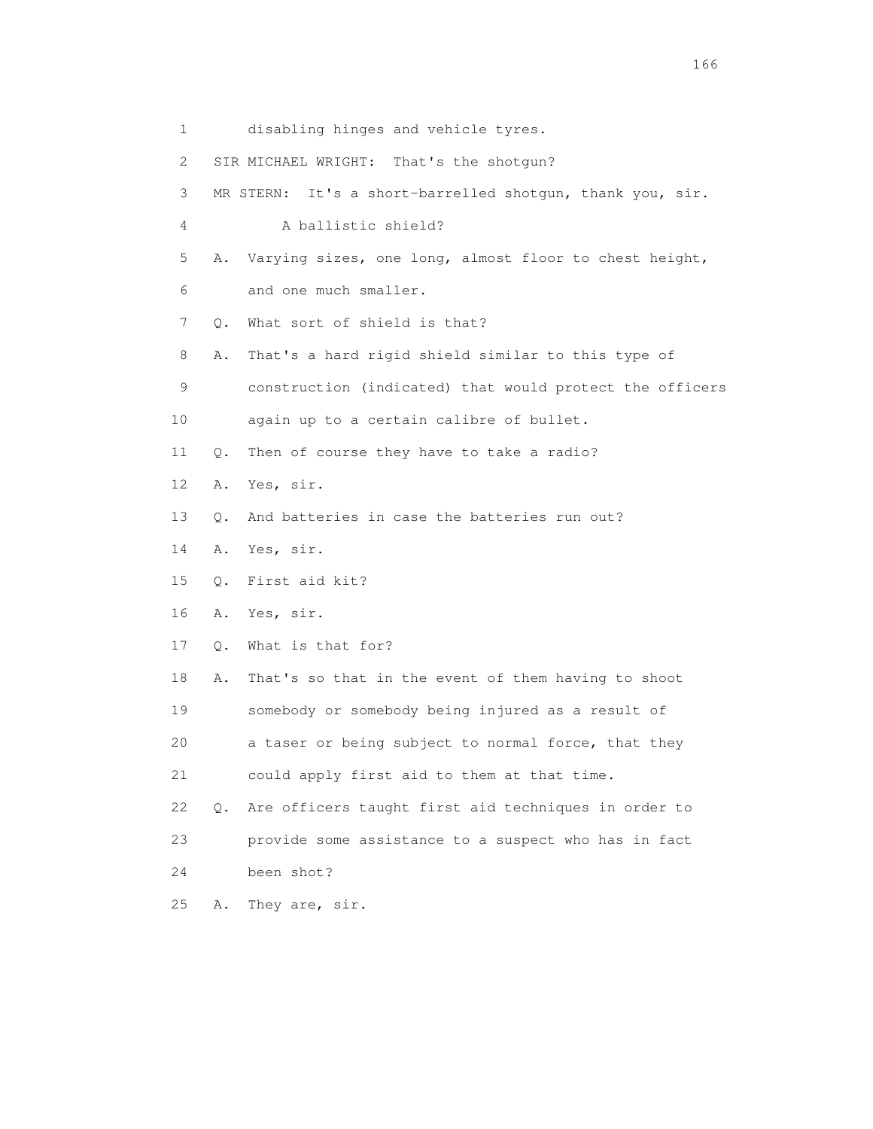- 1 disabling hinges and vehicle tyres.
- 2 SIR MICHAEL WRIGHT: That's the shotgun?
- 3 MR STERN: It's a short-barrelled shotgun, thank you, sir.
- 4 A ballistic shield?
- 5 A. Varying sizes, one long, almost floor to chest height,
- 6 and one much smaller.
- 7 Q. What sort of shield is that?
- 8 A. That's a hard rigid shield similar to this type of
- 9 construction (indicated) that would protect the officers
- 10 again up to a certain calibre of bullet.
- 11 Q. Then of course they have to take a radio?
- 12 A. Yes, sir.
- 13 Q. And batteries in case the batteries run out?
- 14 A. Yes, sir.
- 15 Q. First aid kit?
- 16 A. Yes, sir.
- 17 Q. What is that for?
- 18 A. That's so that in the event of them having to shoot 19 somebody or somebody being injured as a result of
- 20 a taser or being subject to normal force, that they 21 could apply first aid to them at that time.
- 22 Q. Are officers taught first aid techniques in order to 23 provide some assistance to a suspect who has in fact 24 been shot?
- 25 A. They are, sir.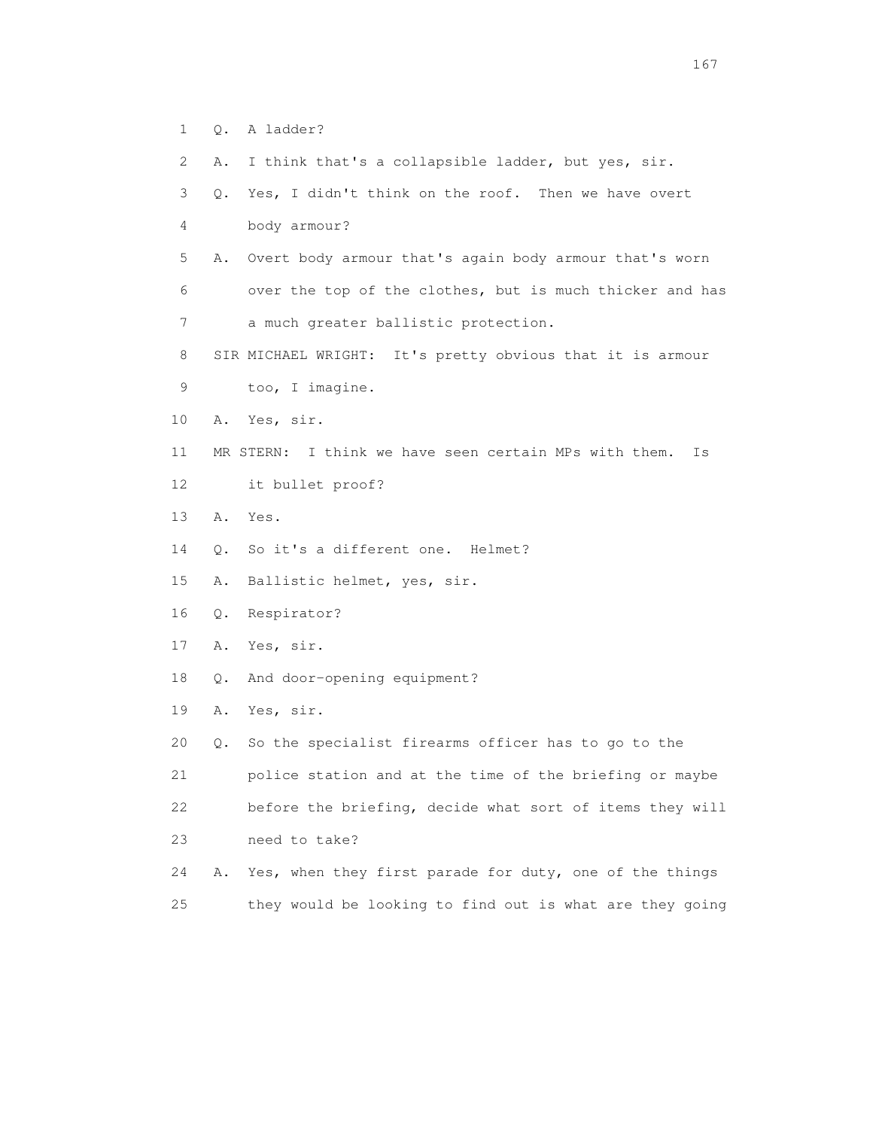- 1 Q. A ladder?
- 2 A. I think that's a collapsible ladder, but yes, sir.
- 3 Q. Yes, I didn't think on the roof. Then we have overt
- 4 body armour?
- 5 A. Overt body armour that's again body armour that's worn 6 over the top of the clothes, but is much thicker and has
- 7 a much greater ballistic protection.
- 8 SIR MICHAEL WRIGHT: It's pretty obvious that it is armour
- 9 too, I imagine.
- 10 A. Yes, sir.
- 11 MR STERN: I think we have seen certain MPs with them. Is
- 12 it bullet proof?
- 13 A. Yes.
- 14 Q. So it's a different one. Helmet?
- 15 A. Ballistic helmet, yes, sir.
- 16 Q. Respirator?
- 17 A. Yes, sir.
- 18 Q. And door-opening equipment?
- 19 A. Yes, sir.
- 20 Q. So the specialist firearms officer has to go to the 21 police station and at the time of the briefing or maybe 22 before the briefing, decide what sort of items they will 23 need to take?
- 24 A. Yes, when they first parade for duty, one of the things 25 they would be looking to find out is what are they going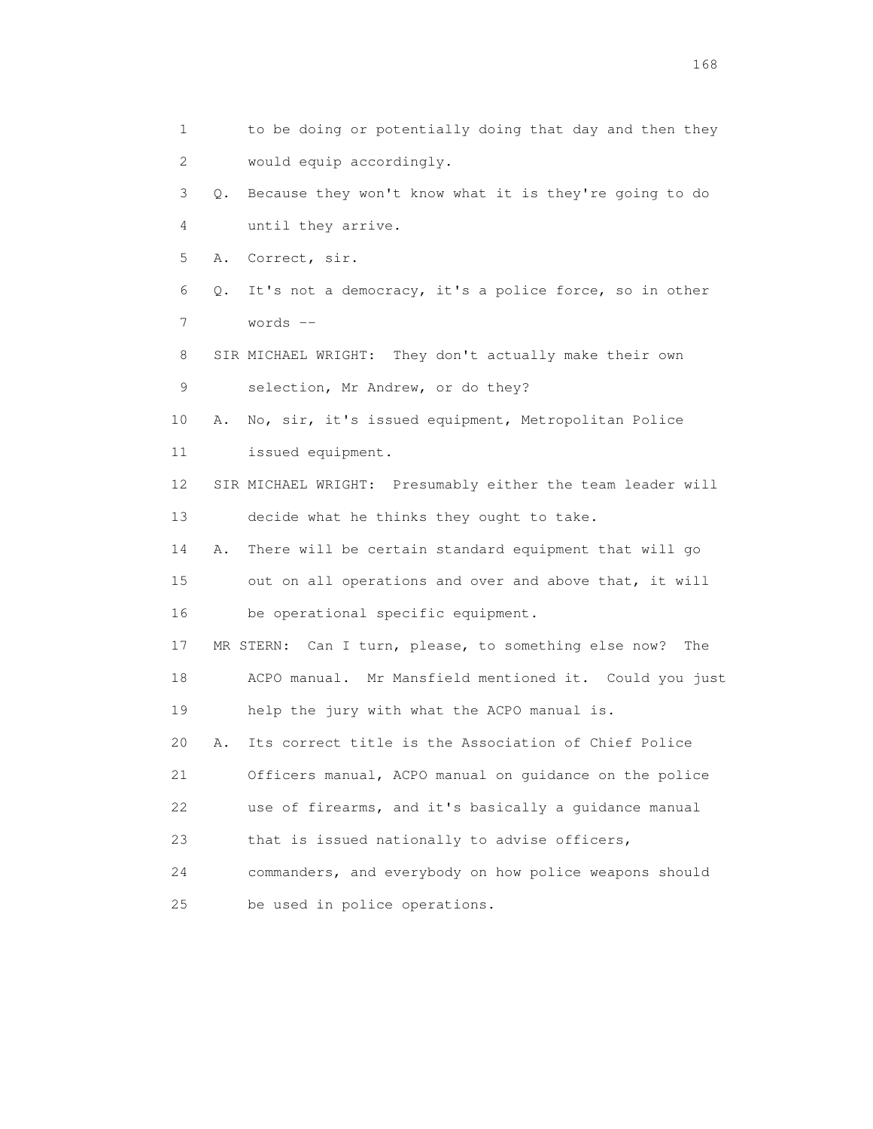1 to be doing or potentially doing that day and then they 2 would equip accordingly. 3 Q. Because they won't know what it is they're going to do 4 until they arrive. 5 A. Correct, sir. 6 Q. It's not a democracy, it's a police force, so in other 7 words -- 8 SIR MICHAEL WRIGHT: They don't actually make their own 9 selection, Mr Andrew, or do they? 10 A. No, sir, it's issued equipment, Metropolitan Police 11 issued equipment. 12 SIR MICHAEL WRIGHT: Presumably either the team leader will 13 decide what he thinks they ought to take. 14 A. There will be certain standard equipment that will go 15 out on all operations and over and above that, it will 16 be operational specific equipment. 17 MR STERN: Can I turn, please, to something else now? The 18 ACPO manual. Mr Mansfield mentioned it. Could you just 19 help the jury with what the ACPO manual is. 20 A. Its correct title is the Association of Chief Police 21 Officers manual, ACPO manual on guidance on the police 22 use of firearms, and it's basically a guidance manual 23 that is issued nationally to advise officers, 24 commanders, and everybody on how police weapons should 25 be used in police operations.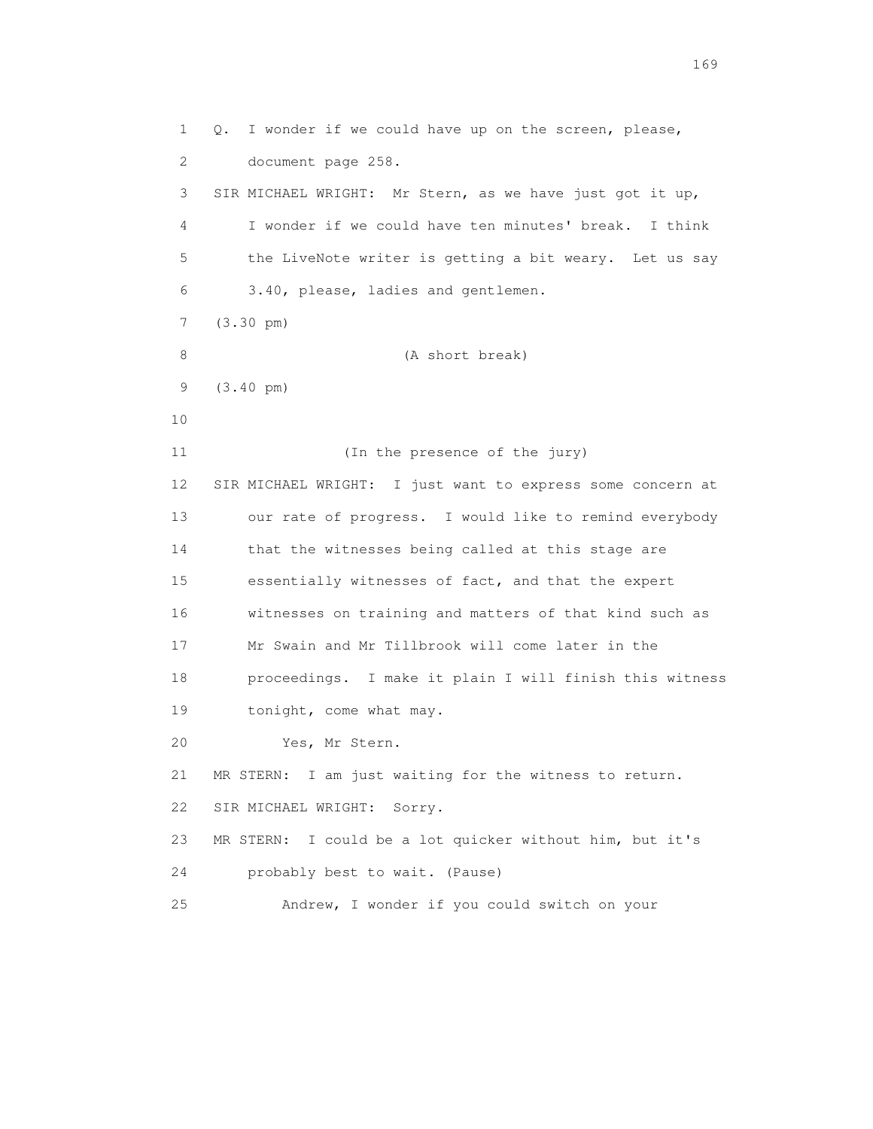1 Q. I wonder if we could have up on the screen, please, 2 document page 258. 3 SIR MICHAEL WRIGHT: Mr Stern, as we have just got it up, 4 I wonder if we could have ten minutes' break. I think 5 the LiveNote writer is getting a bit weary. Let us say 6 3.40, please, ladies and gentlemen. 7 (3.30 pm) 8 (A short break) 9 (3.40 pm) 10 11 (In the presence of the jury) 12 SIR MICHAEL WRIGHT: I just want to express some concern at 13 our rate of progress. I would like to remind everybody 14 that the witnesses being called at this stage are 15 essentially witnesses of fact, and that the expert 16 witnesses on training and matters of that kind such as 17 Mr Swain and Mr Tillbrook will come later in the 18 proceedings. I make it plain I will finish this witness 19 tonight, come what may. 20 Yes, Mr Stern. 21 MR STERN: I am just waiting for the witness to return. 22 SIR MICHAEL WRIGHT: Sorry. 23 MR STERN: I could be a lot quicker without him, but it's 24 probably best to wait. (Pause) 25 Andrew, I wonder if you could switch on your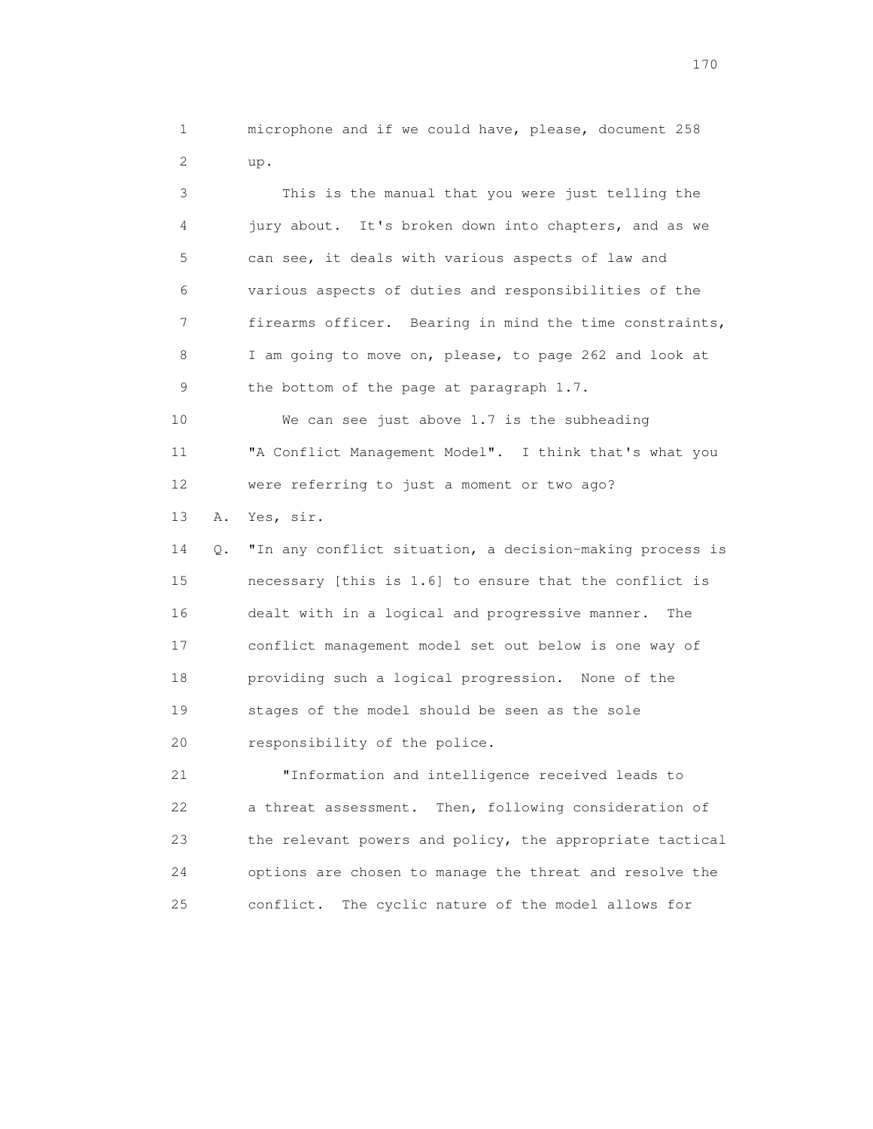1 microphone and if we could have, please, document 258 2 up.

 3 This is the manual that you were just telling the 4 jury about. It's broken down into chapters, and as we 5 can see, it deals with various aspects of law and 6 various aspects of duties and responsibilities of the 7 firearms officer. Bearing in mind the time constraints, 8 I am going to move on, please, to page 262 and look at 9 the bottom of the page at paragraph 1.7. 10 We can see just above 1.7 is the subheading

 11 "A Conflict Management Model". I think that's what you 12 were referring to just a moment or two ago? 13 A. Yes, sir.

 14 Q. "In any conflict situation, a decision-making process is 15 necessary [this is 1.6] to ensure that the conflict is 16 dealt with in a logical and progressive manner. The 17 conflict management model set out below is one way of 18 providing such a logical progression. None of the 19 stages of the model should be seen as the sole 20 responsibility of the police.

 21 "Information and intelligence received leads to 22 a threat assessment. Then, following consideration of 23 the relevant powers and policy, the appropriate tactical 24 options are chosen to manage the threat and resolve the 25 conflict. The cyclic nature of the model allows for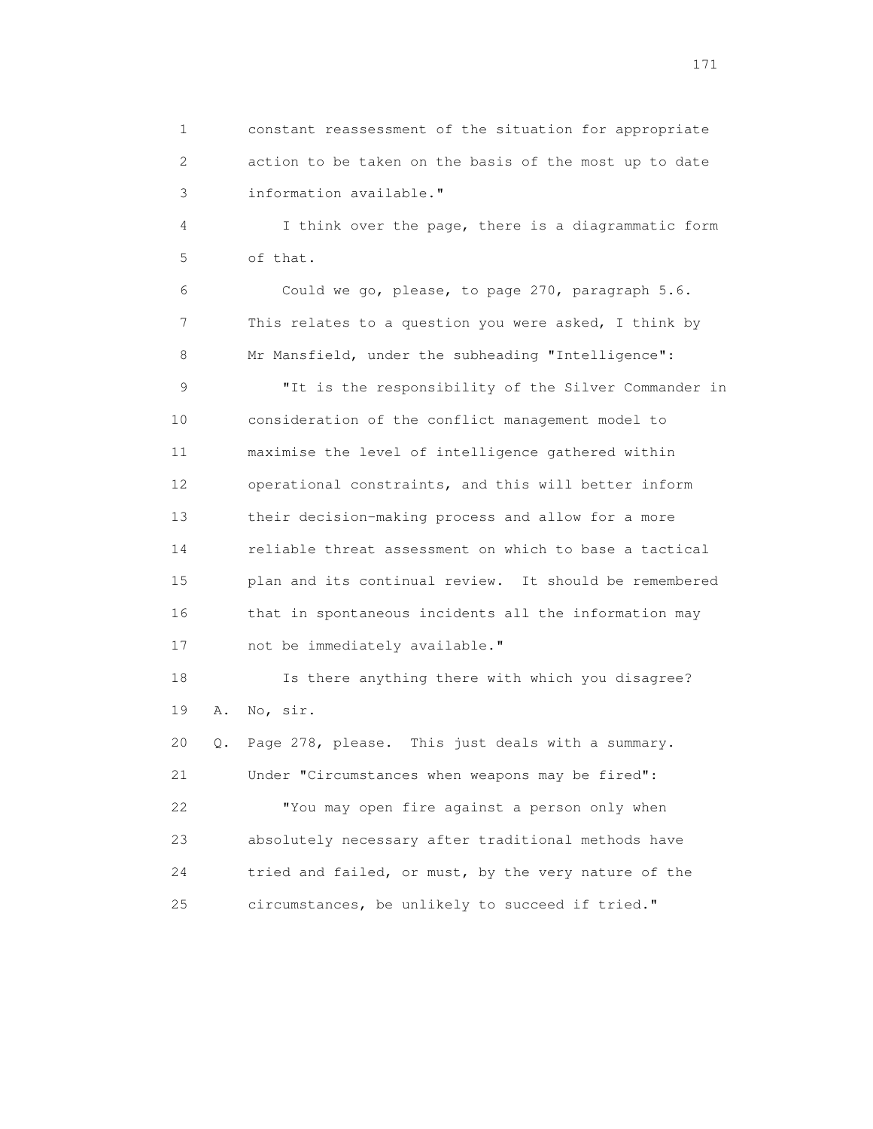1 constant reassessment of the situation for appropriate 2 action to be taken on the basis of the most up to date 3 information available."

 4 I think over the page, there is a diagrammatic form 5 of that.

 6 Could we go, please, to page 270, paragraph 5.6. 7 This relates to a question you were asked, I think by 8 Mr Mansfield, under the subheading "Intelligence":

 9 "It is the responsibility of the Silver Commander in 10 consideration of the conflict management model to 11 maximise the level of intelligence gathered within 12 operational constraints, and this will better inform 13 their decision-making process and allow for a more 14 reliable threat assessment on which to base a tactical 15 plan and its continual review. It should be remembered 16 that in spontaneous incidents all the information may 17 not be immediately available."

 18 Is there anything there with which you disagree? 19 A. No, sir.

 20 Q. Page 278, please. This just deals with a summary. 21 Under "Circumstances when weapons may be fired": 22 "You may open fire against a person only when 23 absolutely necessary after traditional methods have 24 tried and failed, or must, by the very nature of the 25 circumstances, be unlikely to succeed if tried."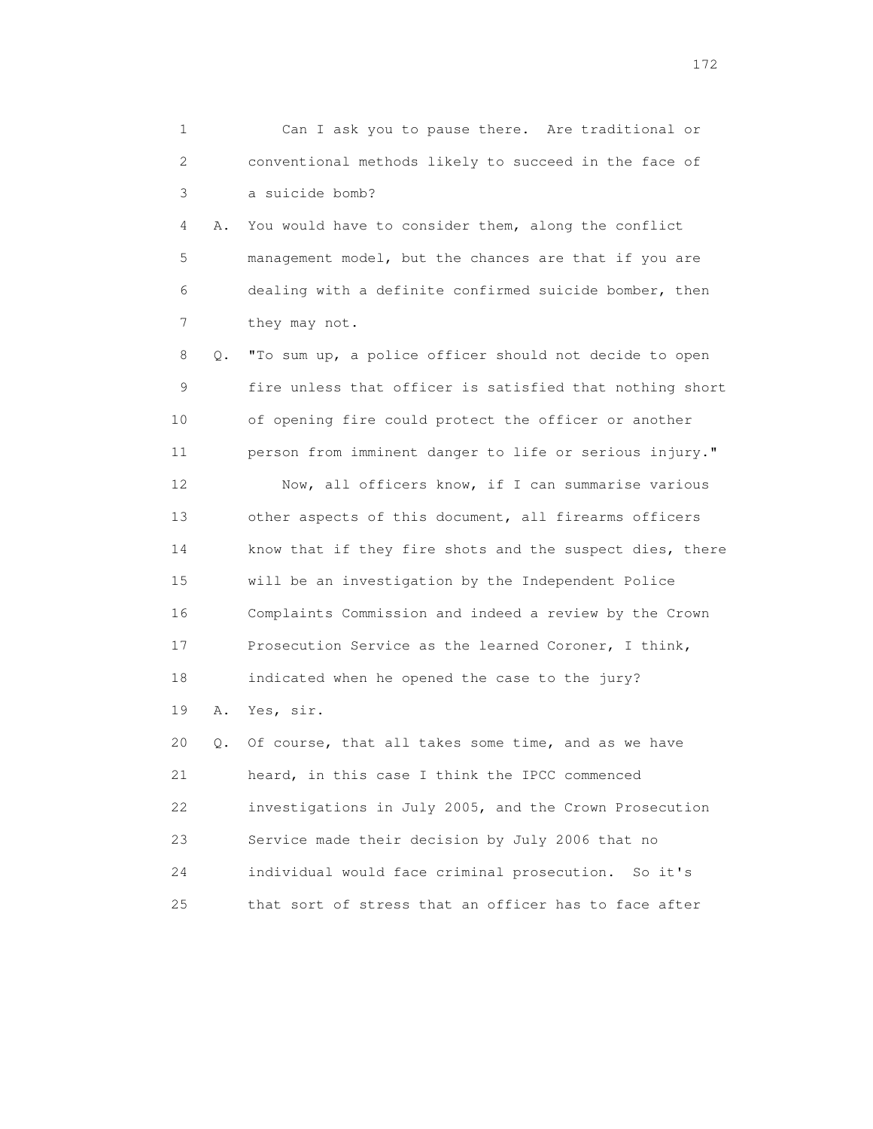| 1  |    | Can I ask you to pause there. Are traditional or         |
|----|----|----------------------------------------------------------|
| 2  |    | conventional methods likely to succeed in the face of    |
| 3  |    | a suicide bomb?                                          |
| 4  | Α. | You would have to consider them, along the conflict      |
| 5  |    | management model, but the chances are that if you are    |
| 6  |    | dealing with a definite confirmed suicide bomber, then   |
| 7  |    | they may not.                                            |
| 8  | Q. | "To sum up, a police officer should not decide to open   |
| 9  |    | fire unless that officer is satisfied that nothing short |
| 10 |    | of opening fire could protect the officer or another     |
| 11 |    | person from imminent danger to life or serious injury."  |
| 12 |    | Now, all officers know, if I can summarise various       |
| 13 |    | other aspects of this document, all firearms officers    |
| 14 |    | know that if they fire shots and the suspect dies, there |
| 15 |    | will be an investigation by the Independent Police       |
| 16 |    | Complaints Commission and indeed a review by the Crown   |
| 17 |    | Prosecution Service as the learned Coroner, I think,     |
| 18 |    | indicated when he opened the case to the jury?           |
| 19 | Α. | Yes, sir.                                                |
| 20 | Q. | Of course, that all takes some time, and as we have      |
| 21 |    | heard, in this case I think the IPCC commenced           |
| 22 |    | investigations in July 2005, and the Crown Prosecution   |
| 23 |    | Service made their decision by July 2006 that no         |
| 24 |    | individual would face criminal prosecution.<br>So it's   |

25 that sort of stress that an officer has to face after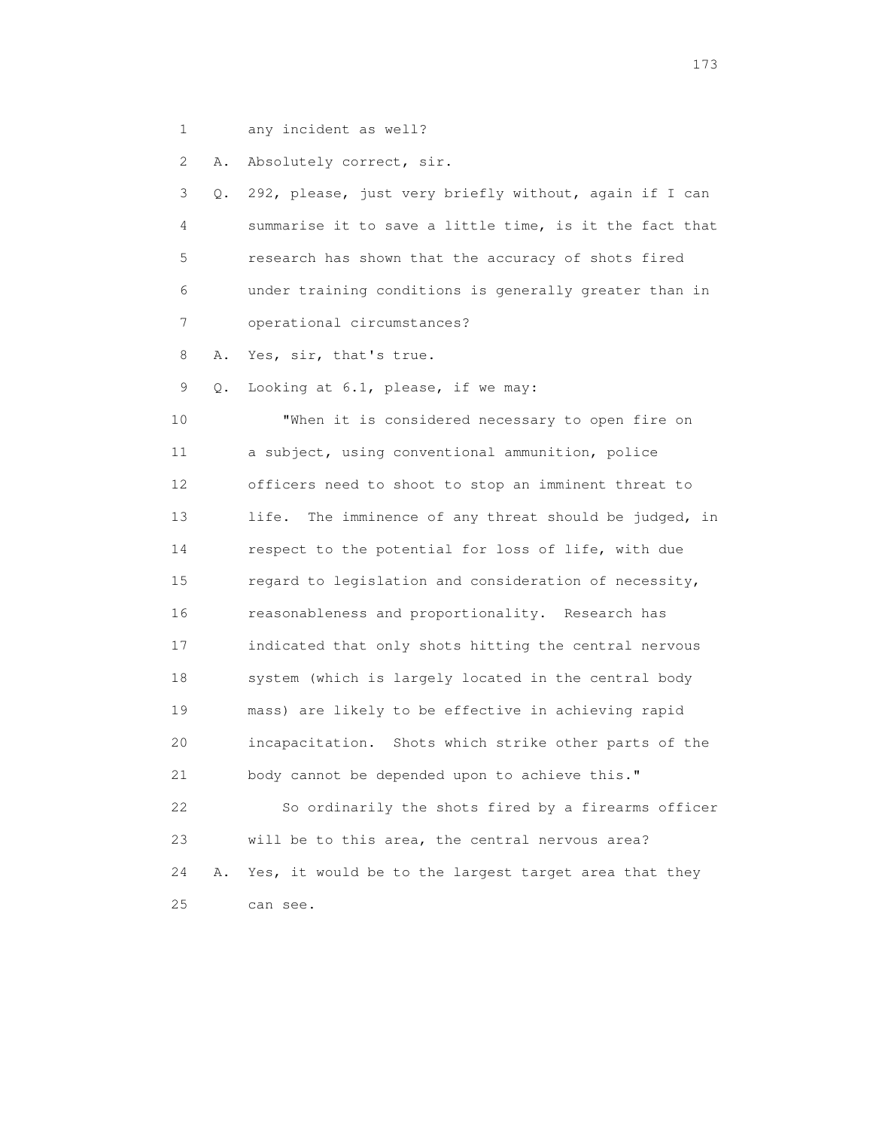1 any incident as well?

2 A. Absolutely correct, sir.

 3 Q. 292, please, just very briefly without, again if I can 4 summarise it to save a little time, is it the fact that 5 research has shown that the accuracy of shots fired 6 under training conditions is generally greater than in 7 operational circumstances? 8 A. Yes, sir, that's true. 9 Q. Looking at 6.1, please, if we may: 10 "When it is considered necessary to open fire on 11 a subject, using conventional ammunition, police 12 officers need to shoot to stop an imminent threat to 13 life. The imminence of any threat should be judged, in 14 respect to the potential for loss of life, with due 15 regard to legislation and consideration of necessity, 16 reasonableness and proportionality. Research has 17 indicated that only shots hitting the central nervous 18 system (which is largely located in the central body 19 mass) are likely to be effective in achieving rapid 20 incapacitation. Shots which strike other parts of the 21 body cannot be depended upon to achieve this." 22 So ordinarily the shots fired by a firearms officer 23 will be to this area, the central nervous area? 24 A. Yes, it would be to the largest target area that they 25 can see.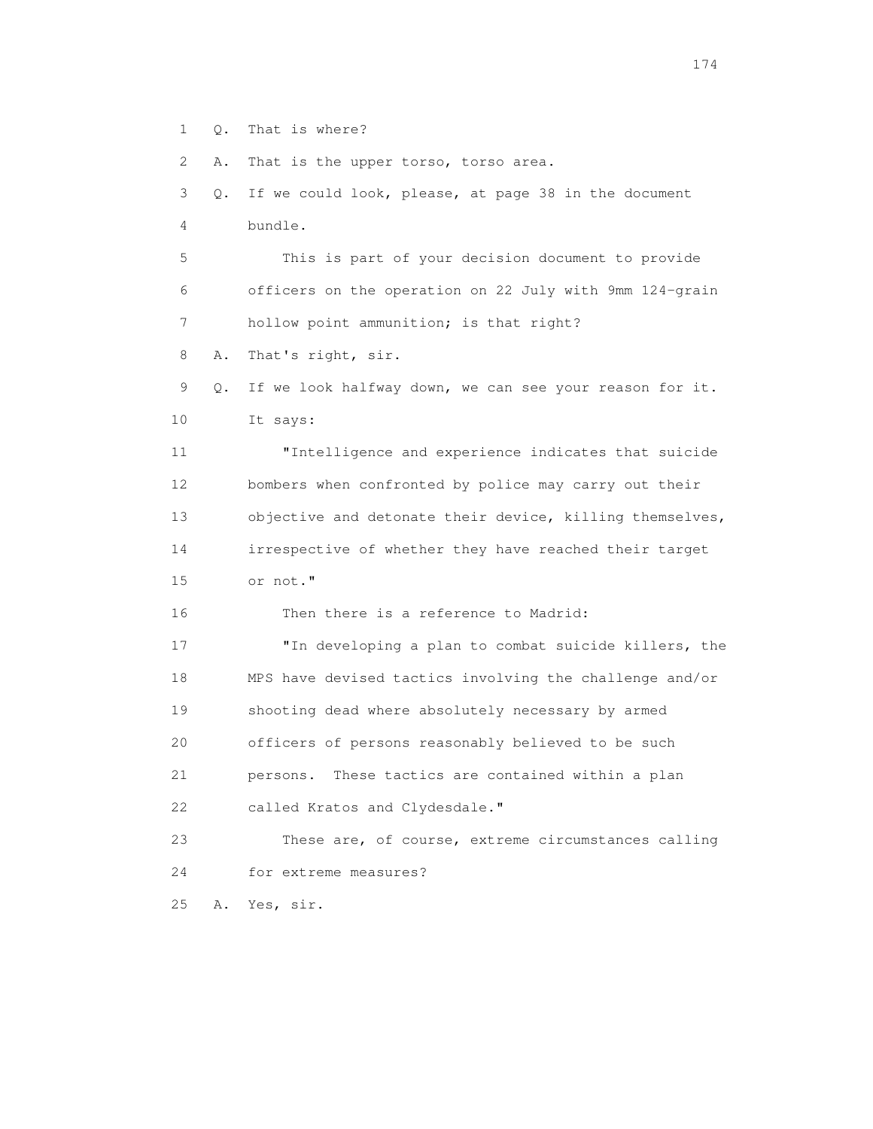1 Q. That is where?

2 A. That is the upper torso, torso area.

 3 Q. If we could look, please, at page 38 in the document 4 bundle. 5 This is part of your decision document to provide 6 officers on the operation on 22 July with 9mm 124-grain 7 hollow point ammunition; is that right? 8 A. That's right, sir. 9 Q. If we look halfway down, we can see your reason for it. 10 It says: 11 "Intelligence and experience indicates that suicide 12 bombers when confronted by police may carry out their 13 objective and detonate their device, killing themselves, 14 irrespective of whether they have reached their target 15 or not." 16 Then there is a reference to Madrid: 17 "In developing a plan to combat suicide killers, the 18 MPS have devised tactics involving the challenge and/or 19 shooting dead where absolutely necessary by armed 20 officers of persons reasonably believed to be such 21 persons. These tactics are contained within a plan 22 called Kratos and Clydesdale." 23 These are, of course, extreme circumstances calling 24 for extreme measures? 25 A. Yes, sir.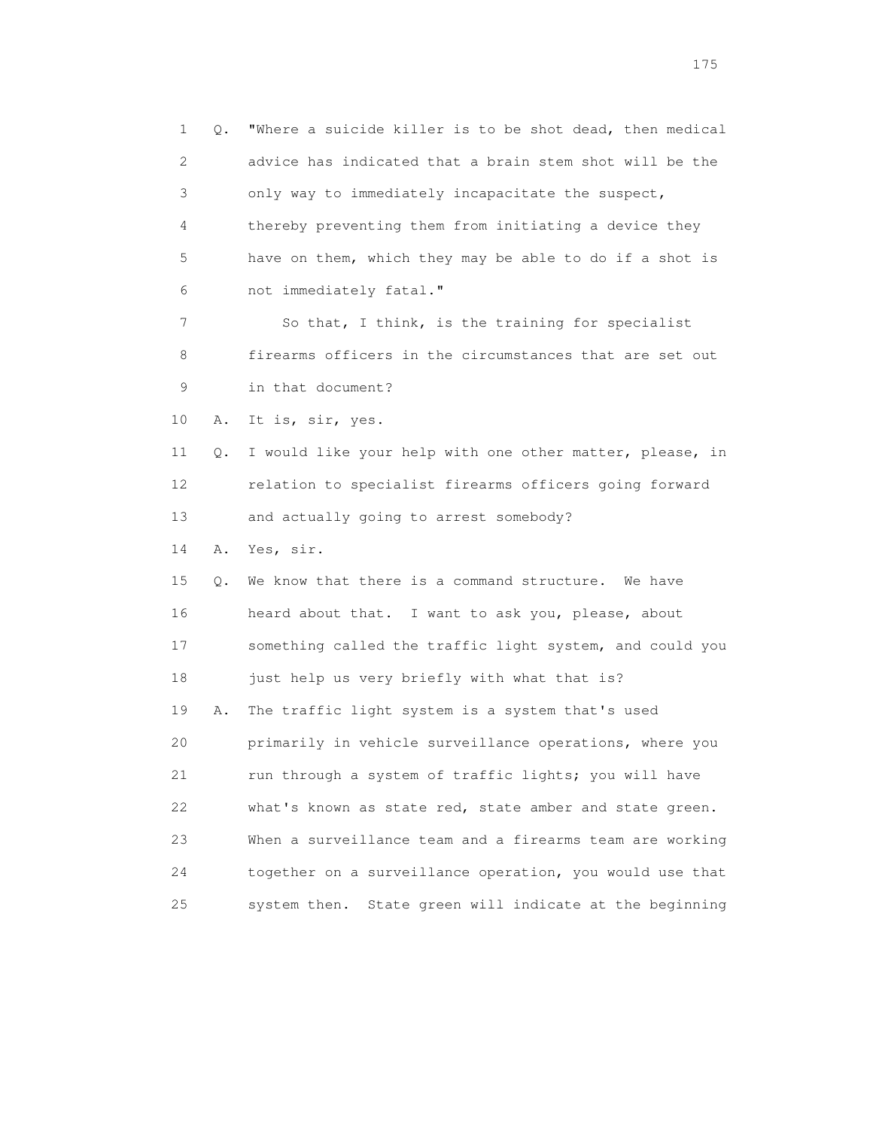1 Q. "Where a suicide killer is to be shot dead, then medical 2 advice has indicated that a brain stem shot will be the 3 only way to immediately incapacitate the suspect, 4 thereby preventing them from initiating a device they 5 have on them, which they may be able to do if a shot is 6 not immediately fatal." 7 So that, I think, is the training for specialist 8 firearms officers in the circumstances that are set out 9 in that document? 10 A. It is, sir, yes. 11 Q. I would like your help with one other matter, please, in 12 relation to specialist firearms officers going forward 13 and actually going to arrest somebody? 14 A. Yes, sir. 15 Q. We know that there is a command structure. We have 16 heard about that. I want to ask you, please, about 17 something called the traffic light system, and could you 18 just help us very briefly with what that is? 19 A. The traffic light system is a system that's used 20 primarily in vehicle surveillance operations, where you 21 run through a system of traffic lights; you will have 22 what's known as state red, state amber and state green. 23 When a surveillance team and a firearms team are working 24 together on a surveillance operation, you would use that 25 system then. State green will indicate at the beginning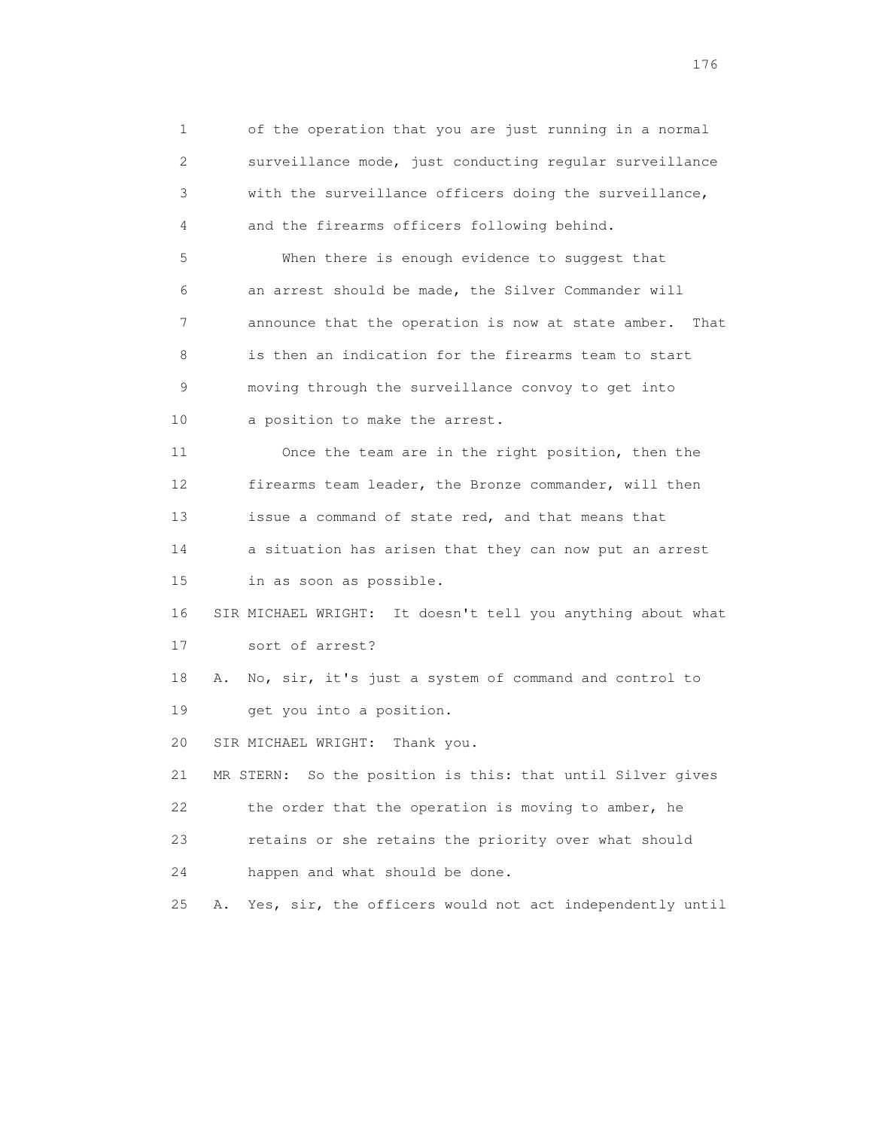1 of the operation that you are just running in a normal 2 surveillance mode, just conducting regular surveillance 3 with the surveillance officers doing the surveillance, 4 and the firearms officers following behind. 5 When there is enough evidence to suggest that 6 an arrest should be made, the Silver Commander will 7 announce that the operation is now at state amber. That 8 is then an indication for the firearms team to start 9 moving through the surveillance convoy to get into 10 a position to make the arrest. 11 Once the team are in the right position, then the 12 firearms team leader, the Bronze commander, will then 13 issue a command of state red, and that means that 14 a situation has arisen that they can now put an arrest 15 in as soon as possible. 16 SIR MICHAEL WRIGHT: It doesn't tell you anything about what 17 sort of arrest? 18 A. No, sir, it's just a system of command and control to 19 get you into a position. 20 SIR MICHAEL WRIGHT: Thank you. 21 MR STERN: So the position is this: that until Silver gives 22 the order that the operation is moving to amber, he 23 retains or she retains the priority over what should 24 happen and what should be done. 25 A. Yes, sir, the officers would not act independently until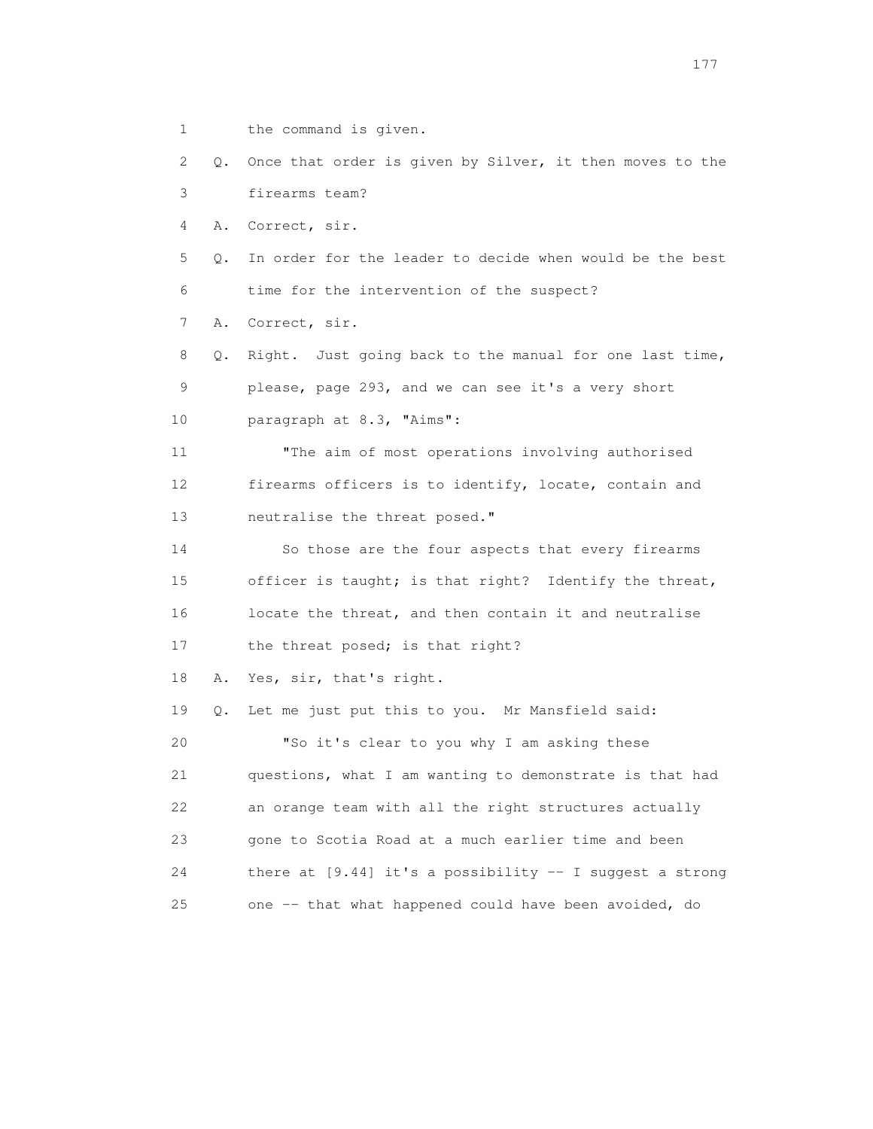1 the command is given.

 2 Q. Once that order is given by Silver, it then moves to the 3 firearms team?

4 A. Correct, sir.

 5 Q. In order for the leader to decide when would be the best 6 time for the intervention of the suspect?

7 A. Correct, sir.

 8 Q. Right. Just going back to the manual for one last time, 9 please, page 293, and we can see it's a very short 10 paragraph at 8.3, "Aims":

 11 "The aim of most operations involving authorised 12 firearms officers is to identify, locate, contain and 13 neutralise the threat posed."

 14 So those are the four aspects that every firearms 15 officer is taught; is that right? Identify the threat, 16 locate the threat, and then contain it and neutralise 17 the threat posed; is that right?

18 A. Yes, sir, that's right.

 19 Q. Let me just put this to you. Mr Mansfield said: 20 "So it's clear to you why I am asking these 21 questions, what I am wanting to demonstrate is that had 22 an orange team with all the right structures actually 23 gone to Scotia Road at a much earlier time and been 24 there at [9.44] it's a possibility -- I suggest a strong 25 one -- that what happened could have been avoided, do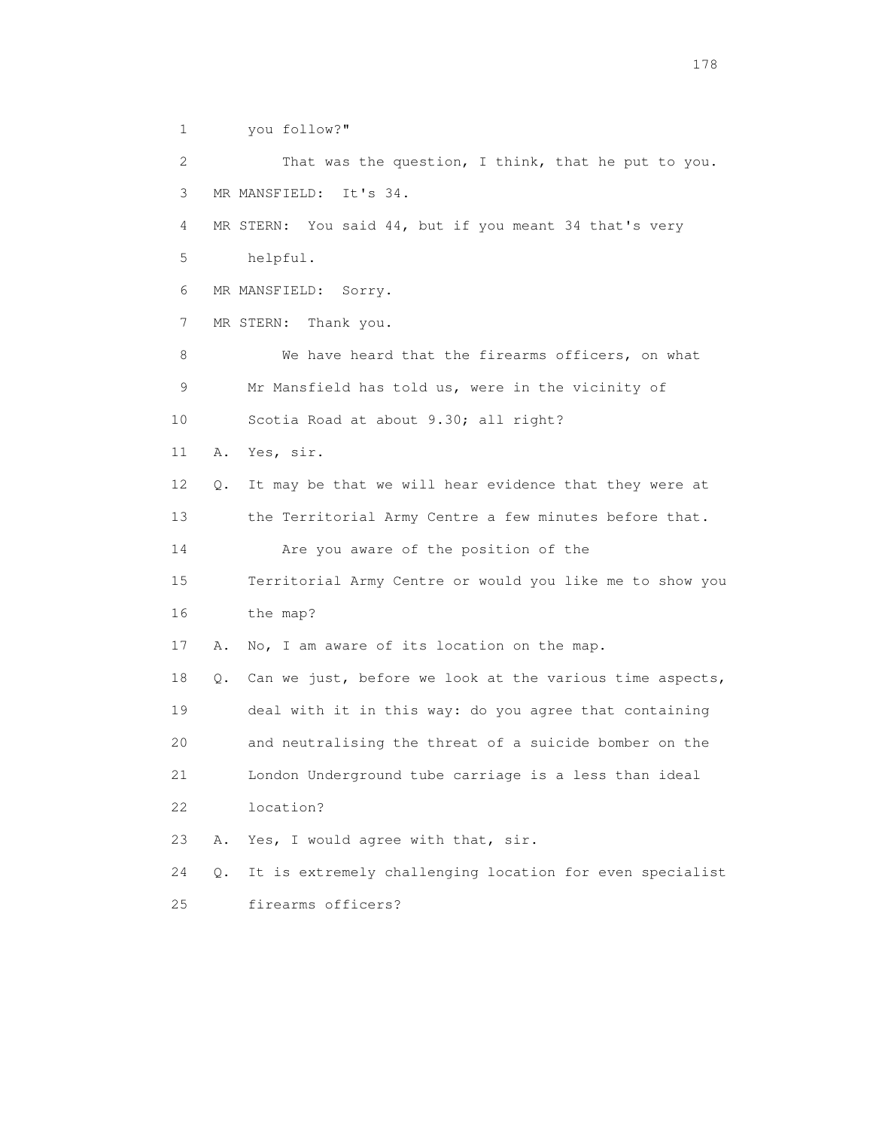1 you follow?" 2 That was the question, I think, that he put to you. 3 MR MANSFIELD: It's 34. 4 MR STERN: You said 44, but if you meant 34 that's very 5 helpful. 6 MR MANSFIELD: Sorry. 7 MR STERN: Thank you. 8 We have heard that the firearms officers, on what 9 Mr Mansfield has told us, were in the vicinity of 10 Scotia Road at about 9.30; all right? 11 A. Yes, sir. 12 Q. It may be that we will hear evidence that they were at 13 the Territorial Army Centre a few minutes before that. 14 Are you aware of the position of the 15 Territorial Army Centre or would you like me to show you 16 the map? 17 A. No, I am aware of its location on the map. 18 Q. Can we just, before we look at the various time aspects, 19 deal with it in this way: do you agree that containing 20 and neutralising the threat of a suicide bomber on the 21 London Underground tube carriage is a less than ideal 22 location? 23 A. Yes, I would agree with that, sir. 24 Q. It is extremely challenging location for even specialist 25 firearms officers?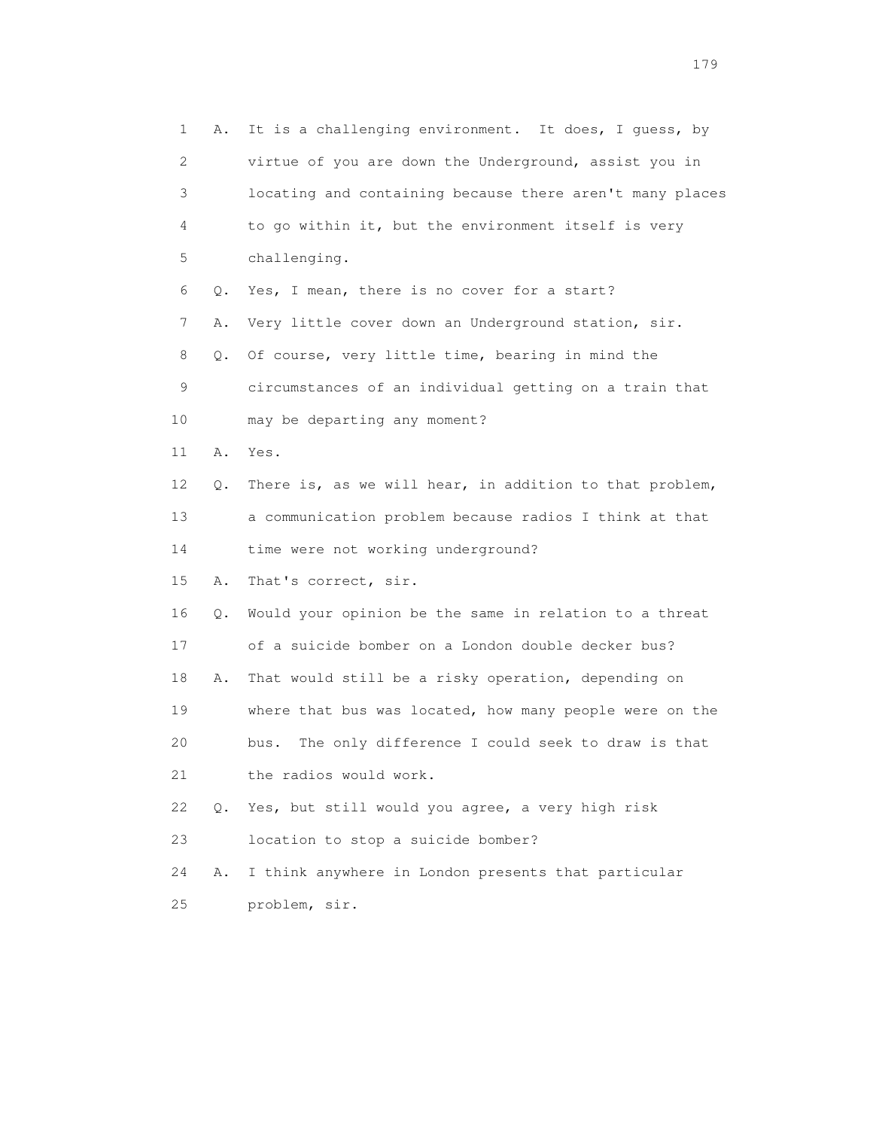1 A. It is a challenging environment. It does, I guess, by 2 virtue of you are down the Underground, assist you in 3 locating and containing because there aren't many places 4 to go within it, but the environment itself is very 5 challenging. 6 Q. Yes, I mean, there is no cover for a start? 7 A. Very little cover down an Underground station, sir. 8 Q. Of course, very little time, bearing in mind the 9 circumstances of an individual getting on a train that 10 may be departing any moment? 11 A. Yes. 12 Q. There is, as we will hear, in addition to that problem, 13 a communication problem because radios I think at that 14 time were not working underground? 15 A. That's correct, sir. 16 Q. Would your opinion be the same in relation to a threat 17 of a suicide bomber on a London double decker bus? 18 A. That would still be a risky operation, depending on 19 where that bus was located, how many people were on the 20 bus. The only difference I could seek to draw is that 21 the radios would work. 22 Q. Yes, but still would you agree, a very high risk 23 location to stop a suicide bomber? 24 A. I think anywhere in London presents that particular 25 problem, sir.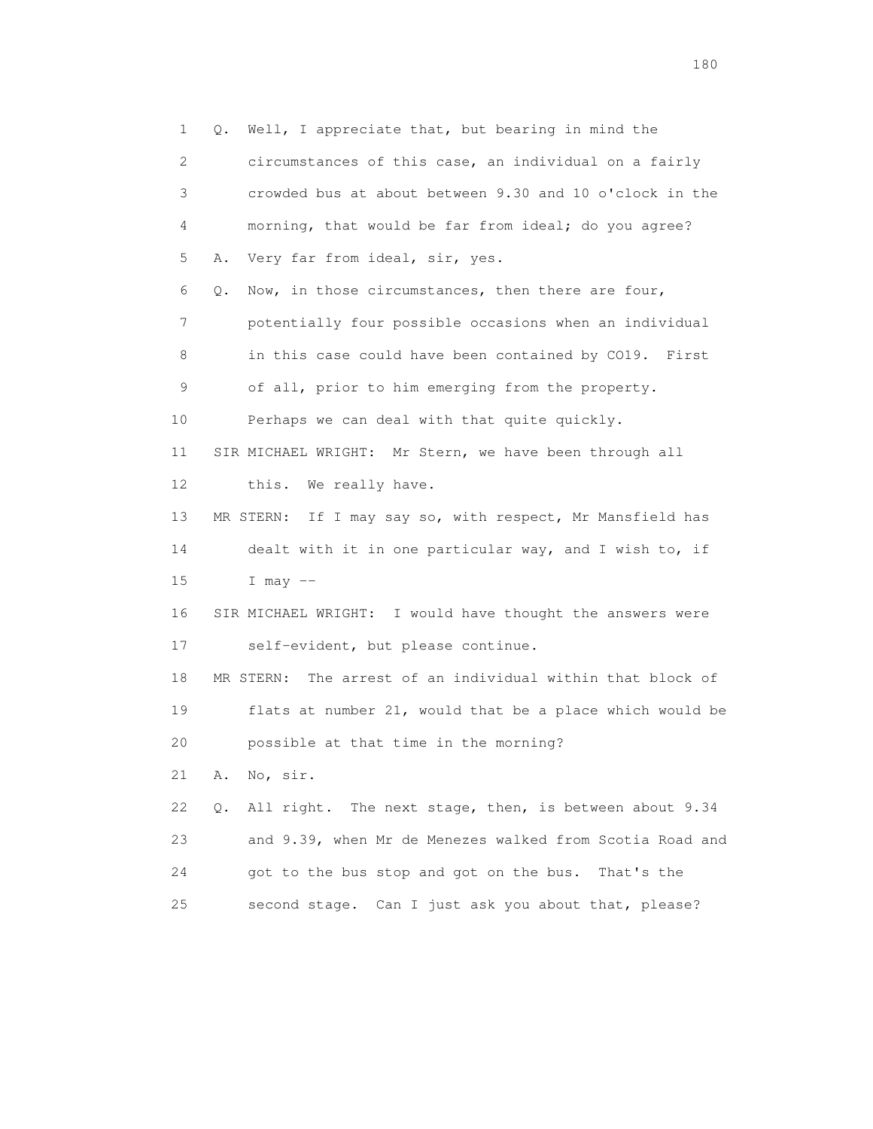1 Q. Well, I appreciate that, but bearing in mind the 2 circumstances of this case, an individual on a fairly 3 crowded bus at about between 9.30 and 10 o'clock in the 4 morning, that would be far from ideal; do you agree? 5 A. Very far from ideal, sir, yes. 6 Q. Now, in those circumstances, then there are four, 7 potentially four possible occasions when an individual 8 in this case could have been contained by CO19. First 9 of all, prior to him emerging from the property. 10 Perhaps we can deal with that quite quickly. 11 SIR MICHAEL WRIGHT: Mr Stern, we have been through all 12 this. We really have. 13 MR STERN: If I may say so, with respect, Mr Mansfield has 14 dealt with it in one particular way, and I wish to, if 15 I may -- 16 SIR MICHAEL WRIGHT: I would have thought the answers were 17 self-evident, but please continue. 18 MR STERN: The arrest of an individual within that block of 19 flats at number 21, would that be a place which would be 20 possible at that time in the morning? 21 A. No, sir. 22 Q. All right. The next stage, then, is between about 9.34 23 and 9.39, when Mr de Menezes walked from Scotia Road and 24 got to the bus stop and got on the bus. That's the 25 second stage. Can I just ask you about that, please?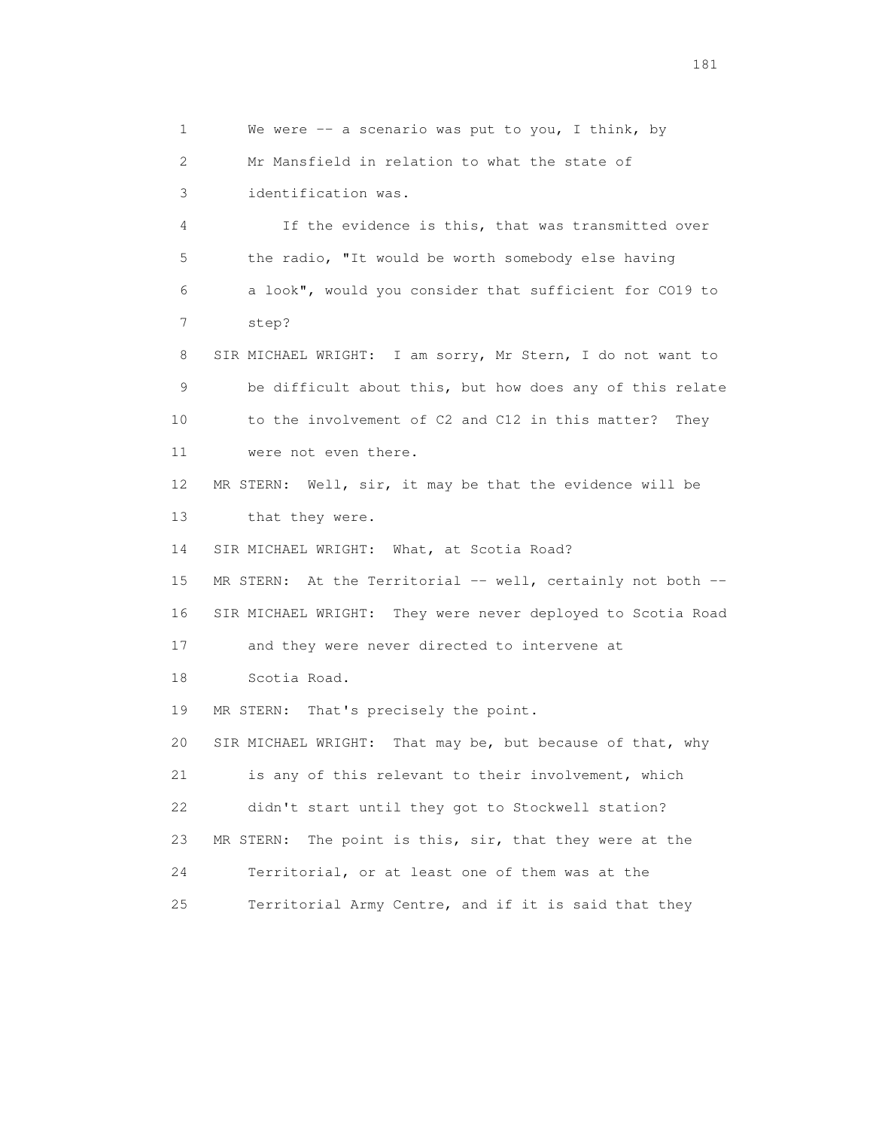1 We were -- a scenario was put to you, I think, by 2 Mr Mansfield in relation to what the state of 3 identification was. 4 If the evidence is this, that was transmitted over 5 the radio, "It would be worth somebody else having 6 a look", would you consider that sufficient for CO19 to 7 step? 8 SIR MICHAEL WRIGHT: I am sorry, Mr Stern, I do not want to 9 be difficult about this, but how does any of this relate 10 to the involvement of C2 and C12 in this matter? They 11 were not even there. 12 MR STERN: Well, sir, it may be that the evidence will be 13 that they were. 14 SIR MICHAEL WRIGHT: What, at Scotia Road? 15 MR STERN: At the Territorial -- well, certainly not both -- 16 SIR MICHAEL WRIGHT: They were never deployed to Scotia Road 17 and they were never directed to intervene at 18 Scotia Road. 19 MR STERN: That's precisely the point. 20 SIR MICHAEL WRIGHT: That may be, but because of that, why 21 is any of this relevant to their involvement, which 22 didn't start until they got to Stockwell station? 23 MR STERN: The point is this, sir, that they were at the 24 Territorial, or at least one of them was at the 25 Territorial Army Centre, and if it is said that they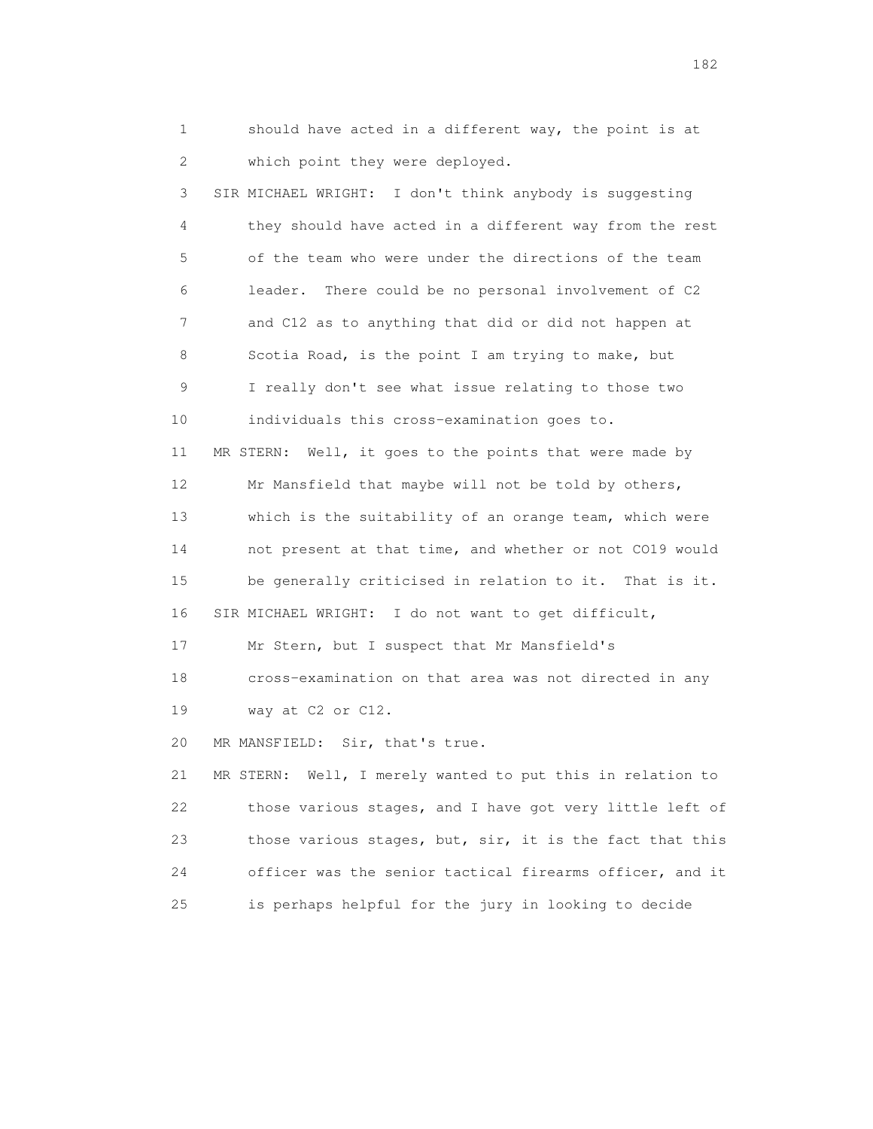1 should have acted in a different way, the point is at 2 which point they were deployed. 3 SIR MICHAEL WRIGHT: I don't think anybody is suggesting 4 they should have acted in a different way from the rest 5 of the team who were under the directions of the team 6 leader. There could be no personal involvement of C2 7 and C12 as to anything that did or did not happen at 8 Scotia Road, is the point I am trying to make, but 9 I really don't see what issue relating to those two 10 individuals this cross-examination goes to. 11 MR STERN: Well, it goes to the points that were made by 12 Mr Mansfield that maybe will not be told by others, 13 which is the suitability of an orange team, which were 14 not present at that time, and whether or not CO19 would 15 be generally criticised in relation to it. That is it. 16 SIR MICHAEL WRIGHT: I do not want to get difficult, 17 Mr Stern, but I suspect that Mr Mansfield's 18 cross-examination on that area was not directed in any 19 way at C2 or C12. 20 MR MANSFIELD: Sir, that's true. 21 MR STERN: Well, I merely wanted to put this in relation to 22 those various stages, and I have got very little left of 23 those various stages, but, sir, it is the fact that this 24 officer was the senior tactical firearms officer, and it 25 is perhaps helpful for the jury in looking to decide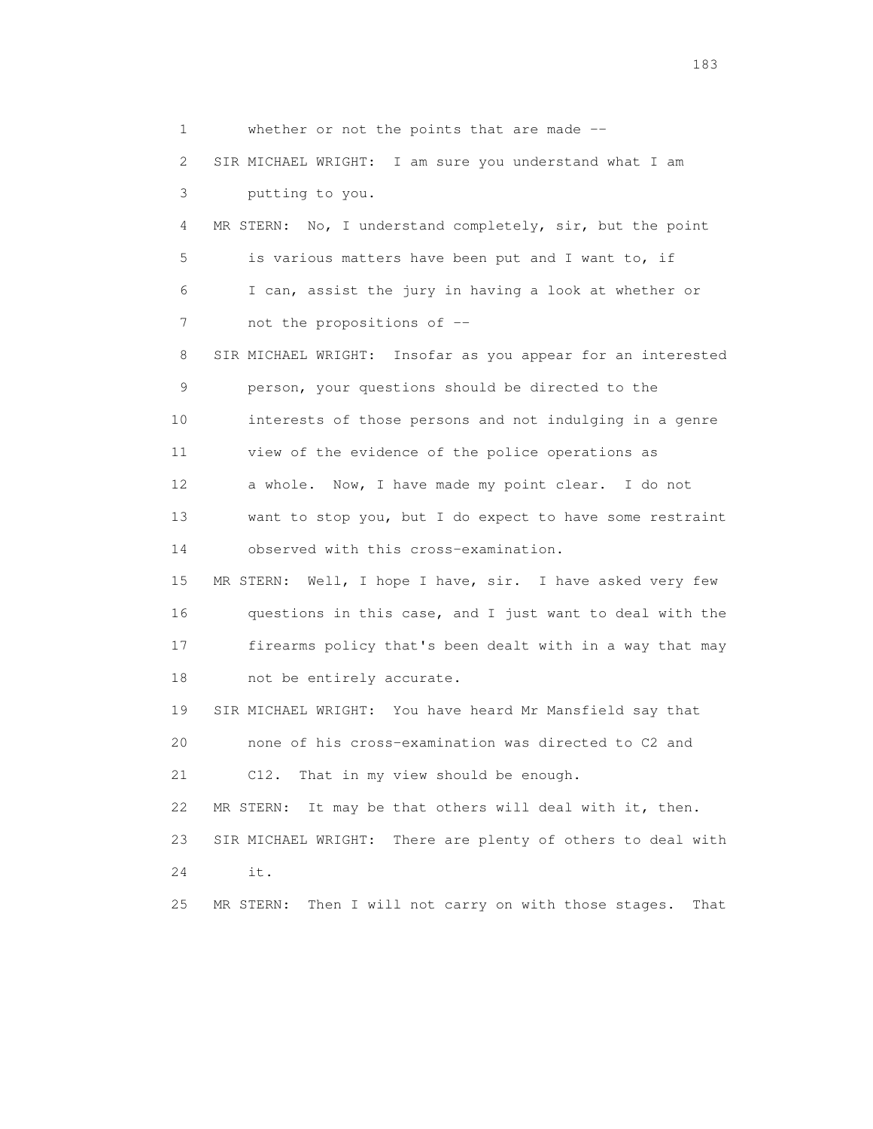1 whether or not the points that are made -- 2 SIR MICHAEL WRIGHT: I am sure you understand what I am 3 putting to you. 4 MR STERN: No, I understand completely, sir, but the point 5 is various matters have been put and I want to, if 6 I can, assist the jury in having a look at whether or 7 not the propositions of -- 8 SIR MICHAEL WRIGHT: Insofar as you appear for an interested 9 person, your questions should be directed to the 10 interests of those persons and not indulging in a genre 11 view of the evidence of the police operations as 12 a whole. Now, I have made my point clear. I do not 13 want to stop you, but I do expect to have some restraint 14 observed with this cross-examination. 15 MR STERN: Well, I hope I have, sir. I have asked very few 16 questions in this case, and I just want to deal with the 17 firearms policy that's been dealt with in a way that may 18 not be entirely accurate. 19 SIR MICHAEL WRIGHT: You have heard Mr Mansfield say that 20 none of his cross-examination was directed to C2 and 21 C12. That in my view should be enough. 22 MR STERN: It may be that others will deal with it, then. 23 SIR MICHAEL WRIGHT: There are plenty of others to deal with 24 it. 25 MR STERN: Then I will not carry on with those stages. That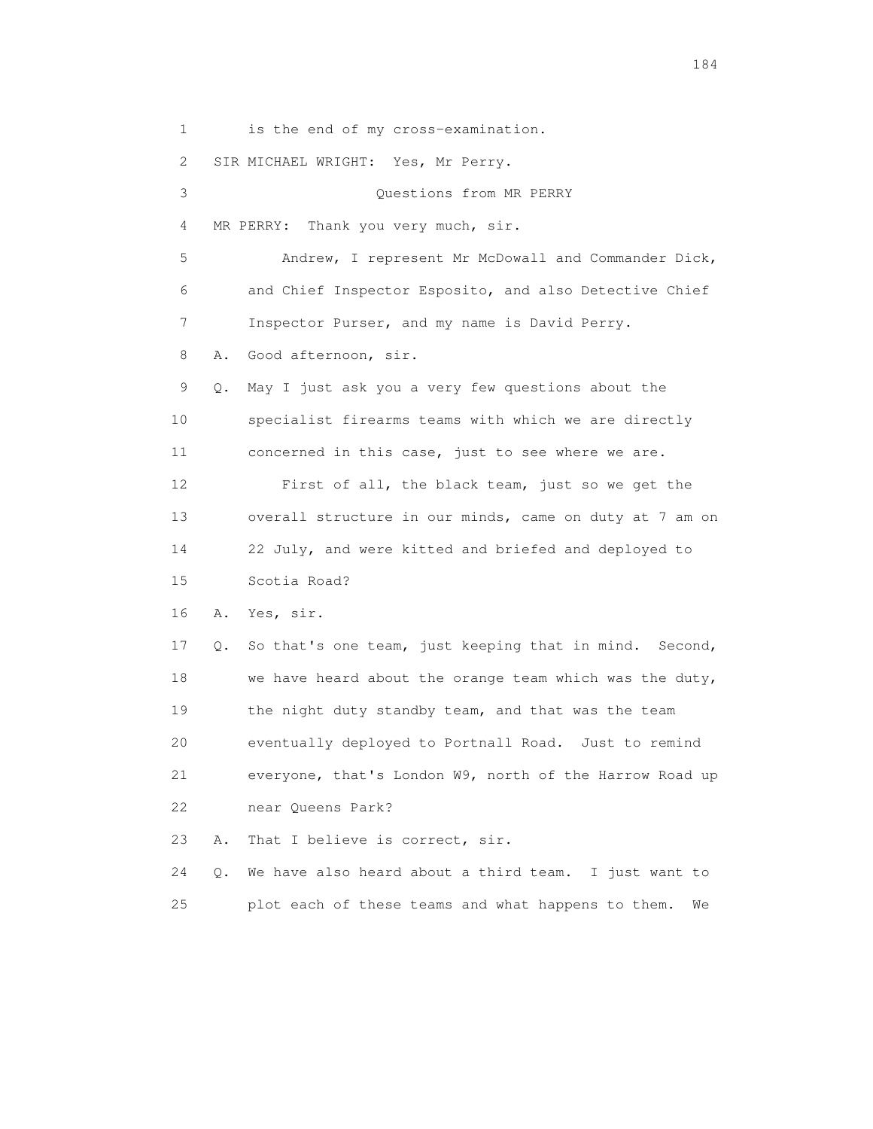1 is the end of my cross-examination.

2 SIR MICHAEL WRIGHT: Yes, Mr Perry.

 3 Questions from MR PERRY 4 MR PERRY: Thank you very much, sir. 5 Andrew, I represent Mr McDowall and Commander Dick, 6 and Chief Inspector Esposito, and also Detective Chief 7 Inspector Purser, and my name is David Perry. 8 A. Good afternoon, sir. 9 Q. May I just ask you a very few questions about the 10 specialist firearms teams with which we are directly 11 concerned in this case, just to see where we are. 12 First of all, the black team, just so we get the 13 overall structure in our minds, came on duty at 7 am on 14 22 July, and were kitted and briefed and deployed to 15 Scotia Road? 16 A. Yes, sir. 17 Q. So that's one team, just keeping that in mind. Second, 18 we have heard about the orange team which was the duty, 19 the night duty standby team, and that was the team 20 eventually deployed to Portnall Road. Just to remind 21 everyone, that's London W9, north of the Harrow Road up 22 near Queens Park? 23 A. That I believe is correct, sir. 24 Q. We have also heard about a third team. I just want to

25 plot each of these teams and what happens to them. We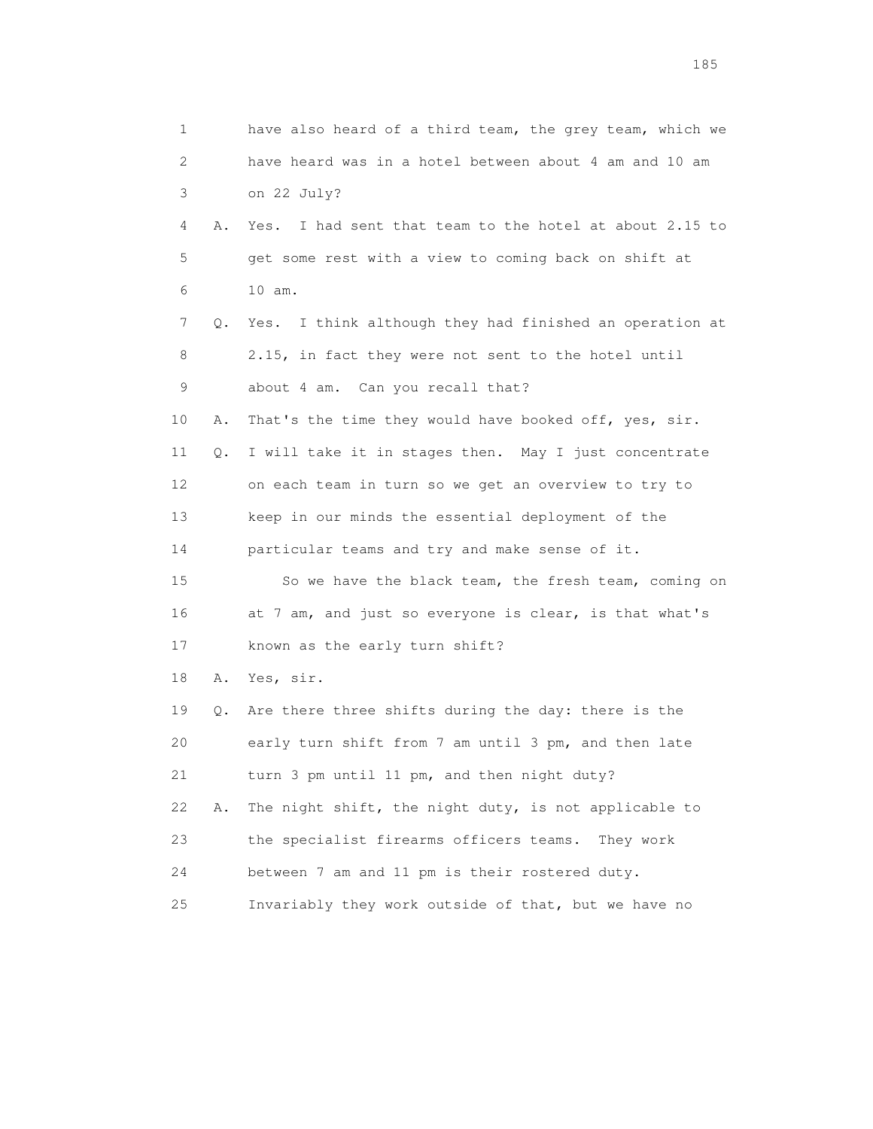| 1  |    | have also heard of a third team, the grey team, which we   |
|----|----|------------------------------------------------------------|
| 2  |    | have heard was in a hotel between about 4 am and 10 am     |
| 3  |    | on 22 July?                                                |
| 4  | Α. | I had sent that team to the hotel at about 2.15 to<br>Yes. |
| 5  |    | get some rest with a view to coming back on shift at       |
| 6  |    | 10 am.                                                     |
| 7  | Q. | Yes. I think although they had finished an operation at    |
| 8  |    | 2.15, in fact they were not sent to the hotel until        |
| 9  |    | about 4 am. Can you recall that?                           |
| 10 | Α. | That's the time they would have booked off, yes, sir.      |
| 11 | Q. | I will take it in stages then. May I just concentrate      |
| 12 |    | on each team in turn so we get an overview to try to       |
| 13 |    | keep in our minds the essential deployment of the          |
| 14 |    | particular teams and try and make sense of it.             |
| 15 |    | So we have the black team, the fresh team, coming on       |
| 16 |    | at 7 am, and just so everyone is clear, is that what's     |
| 17 |    | known as the early turn shift?                             |
| 18 | Α. | Yes, sir.                                                  |
| 19 | Q. | Are there three shifts during the day: there is the        |
| 20 |    | early turn shift from 7 am until 3 pm, and then late       |
| 21 |    | turn 3 pm until 11 pm, and then night duty?                |
| 22 | Α. | The night shift, the night duty, is not applicable to      |
| 23 |    | the specialist firearms officers teams.<br>They work       |
| 24 |    | between 7 am and 11 pm is their rostered duty.             |
| 25 |    | Invariably they work outside of that, but we have no       |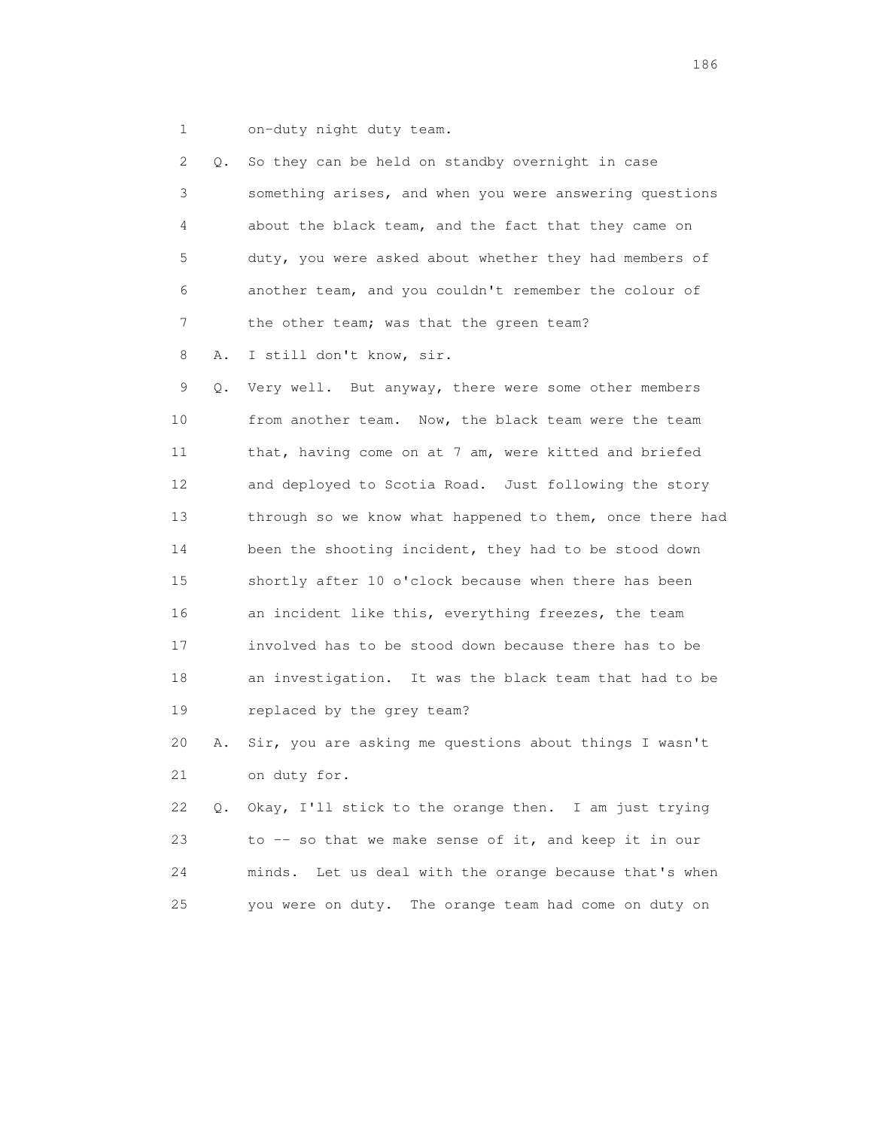1 on-duty night duty team.

| 2               | $\circ$ . | So they can be held on standby overnight in case         |
|-----------------|-----------|----------------------------------------------------------|
| 3               |           | something arises, and when you were answering questions  |
| 4               |           | about the black team, and the fact that they came on     |
| 5               |           | duty, you were asked about whether they had members of   |
| 6               |           | another team, and you couldn't remember the colour of    |
| $7\phantom{.}$  |           | the other team; was that the green team?                 |
| 8               | Α.        | I still don't know, sir.                                 |
| 9               | Q.        | Very well. But anyway, there were some other members     |
| 10              |           | from another team. Now, the black team were the team     |
| 11              |           | that, having come on at 7 am, were kitted and briefed    |
| 12 <sup>2</sup> |           | and deployed to Scotia Road. Just following the story    |
| 13              |           | through so we know what happened to them, once there had |
| 14              |           | been the shooting incident, they had to be stood down    |
| 15              |           | shortly after 10 o'clock because when there has been     |
| 16              |           | an incident like this, everything freezes, the team      |
| 17              |           | involved has to be stood down because there has to be    |
| 18              |           | an investigation. It was the black team that had to be   |
| 19              |           | replaced by the grey team?                               |
| 20              | Α.        | Sir, you are asking me questions about things I wasn't   |
| 21              |           | on duty for.                                             |
| 22              | $\circ$ . | Okay, I'll stick to the orange then. I am just trying    |
| 23              |           | to -- so that we make sense of it, and keep it in our    |

 24 minds. Let us deal with the orange because that's when 25 you were on duty. The orange team had come on duty on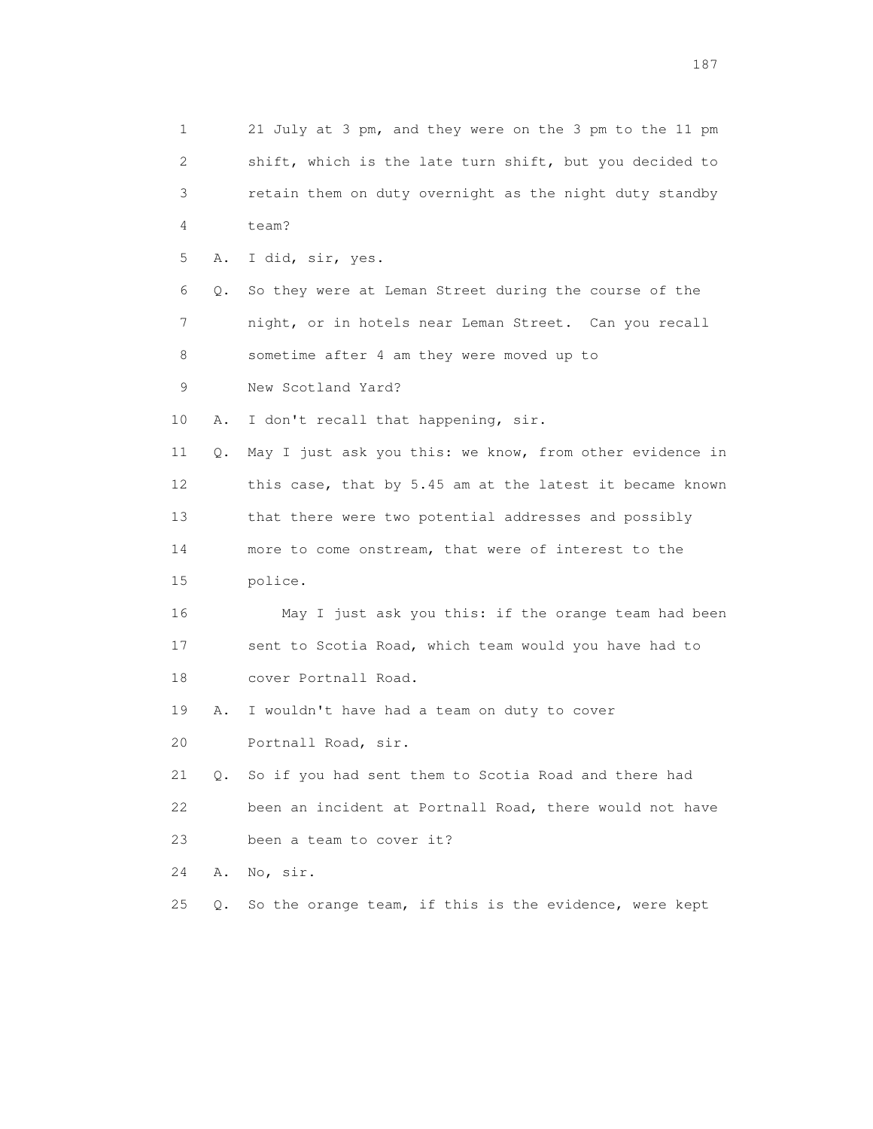1 21 July at 3 pm, and they were on the 3 pm to the 11 pm 2 shift, which is the late turn shift, but you decided to 3 retain them on duty overnight as the night duty standby 4 team? 5 A. I did, sir, yes. 6 Q. So they were at Leman Street during the course of the 7 night, or in hotels near Leman Street. Can you recall 8 sometime after 4 am they were moved up to 9 New Scotland Yard? 10 A. I don't recall that happening, sir. 11 Q. May I just ask you this: we know, from other evidence in 12 this case, that by 5.45 am at the latest it became known 13 that there were two potential addresses and possibly 14 more to come onstream, that were of interest to the 15 police. 16 May I just ask you this: if the orange team had been 17 sent to Scotia Road, which team would you have had to 18 cover Portnall Road. 19 A. I wouldn't have had a team on duty to cover 20 Portnall Road, sir. 21 Q. So if you had sent them to Scotia Road and there had 22 been an incident at Portnall Road, there would not have 23 been a team to cover it? 24 A. No, sir. 25 Q. So the orange team, if this is the evidence, were kept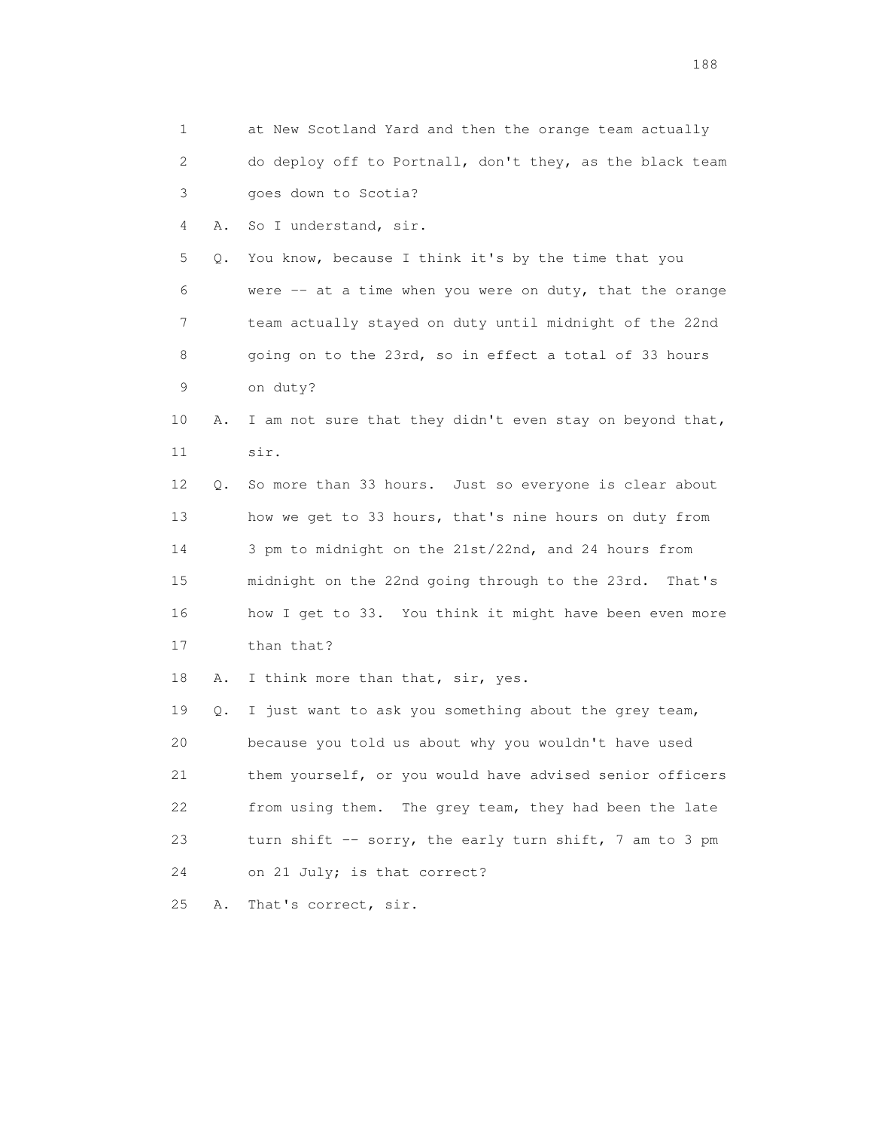| 1  |    | at New Scotland Yard and then the orange team actually     |
|----|----|------------------------------------------------------------|
| 2  |    | do deploy off to Portnall, don't they, as the black team   |
| 3  |    | goes down to Scotia?                                       |
| 4  | Α. | So I understand, sir.                                      |
| 5  | Q. | You know, because I think it's by the time that you        |
| 6  |    | were $--$ at a time when you were on duty, that the orange |
| 7  |    | team actually stayed on duty until midnight of the 22nd    |
| 8  |    | going on to the 23rd, so in effect a total of 33 hours     |
| 9  |    | on duty?                                                   |
| 10 | Α. | I am not sure that they didn't even stay on beyond that,   |
| 11 |    | sir.                                                       |
| 12 | Q. | So more than 33 hours. Just so everyone is clear about     |
| 13 |    | how we get to 33 hours, that's nine hours on duty from     |
| 14 |    | 3 pm to midnight on the 21st/22nd, and 24 hours from       |
| 15 |    | midnight on the 22nd going through to the 23rd. That's     |
| 16 |    | how I get to 33. You think it might have been even more    |
| 17 |    | than that?                                                 |
| 18 | Α. | I think more than that, sir, yes.                          |
| 19 | Q. | I just want to ask you something about the grey team,      |
| 20 |    | because you told us about why you wouldn't have used       |
| 21 |    | them yourself, or you would have advised senior officers   |
| 22 |    | The grey team, they had been the late<br>from using them.  |
| 23 |    | turn shift -- sorry, the early turn shift, 7 am to 3 pm    |
| 24 |    | on 21 July; is that correct?                               |
| 25 | Α. | That's correct, sir.                                       |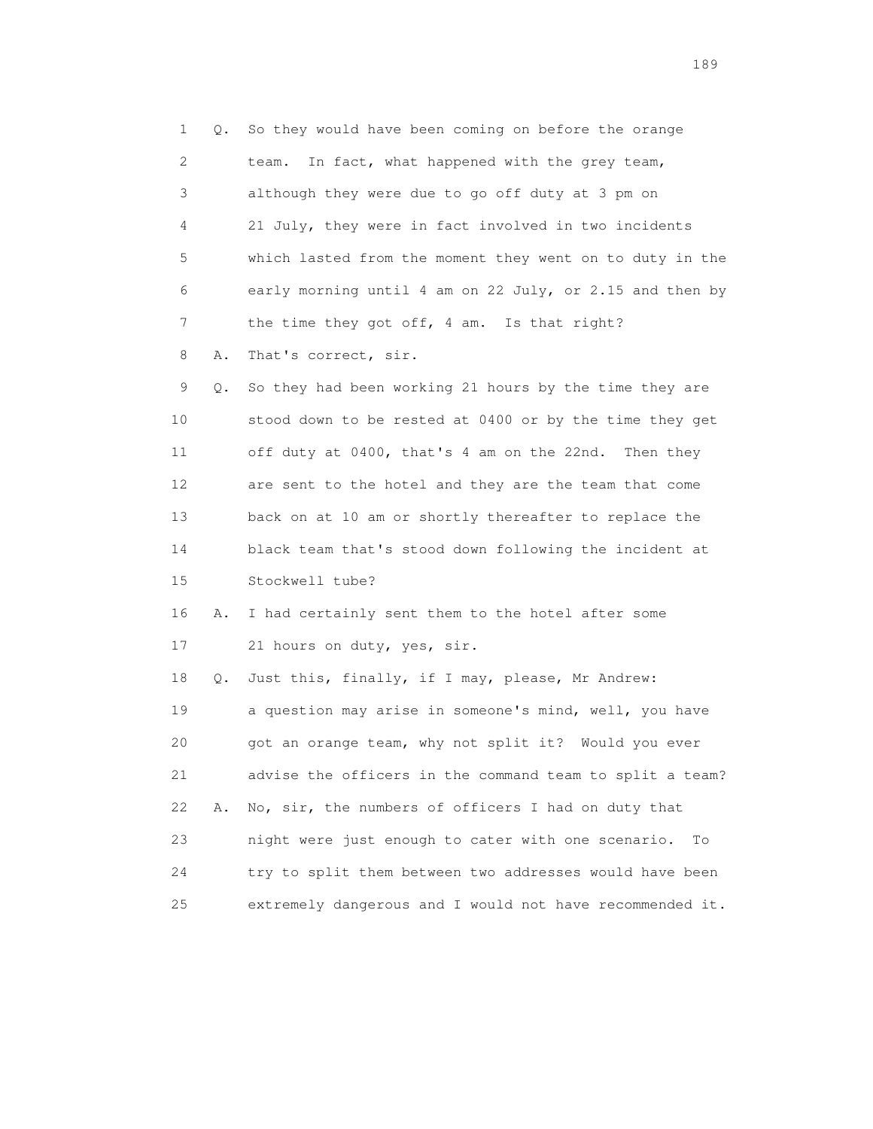1 Q. So they would have been coming on before the orange 2 team. In fact, what happened with the grey team, 3 although they were due to go off duty at 3 pm on 4 21 July, they were in fact involved in two incidents 5 which lasted from the moment they went on to duty in the 6 early morning until 4 am on 22 July, or 2.15 and then by 7 the time they got off, 4 am. Is that right? 8 A. That's correct, sir. 9 Q. So they had been working 21 hours by the time they are 10 stood down to be rested at 0400 or by the time they get 11 off duty at 0400, that's 4 am on the 22nd. Then they 12 are sent to the hotel and they are the team that come 13 back on at 10 am or shortly thereafter to replace the 14 black team that's stood down following the incident at 15 Stockwell tube? 16 A. I had certainly sent them to the hotel after some 17 21 hours on duty, yes, sir. 18 Q. Just this, finally, if I may, please, Mr Andrew: 19 a question may arise in someone's mind, well, you have 20 got an orange team, why not split it? Would you ever 21 advise the officers in the command team to split a team? 22 A. No, sir, the numbers of officers I had on duty that 23 night were just enough to cater with one scenario. To 24 try to split them between two addresses would have been 25 extremely dangerous and I would not have recommended it.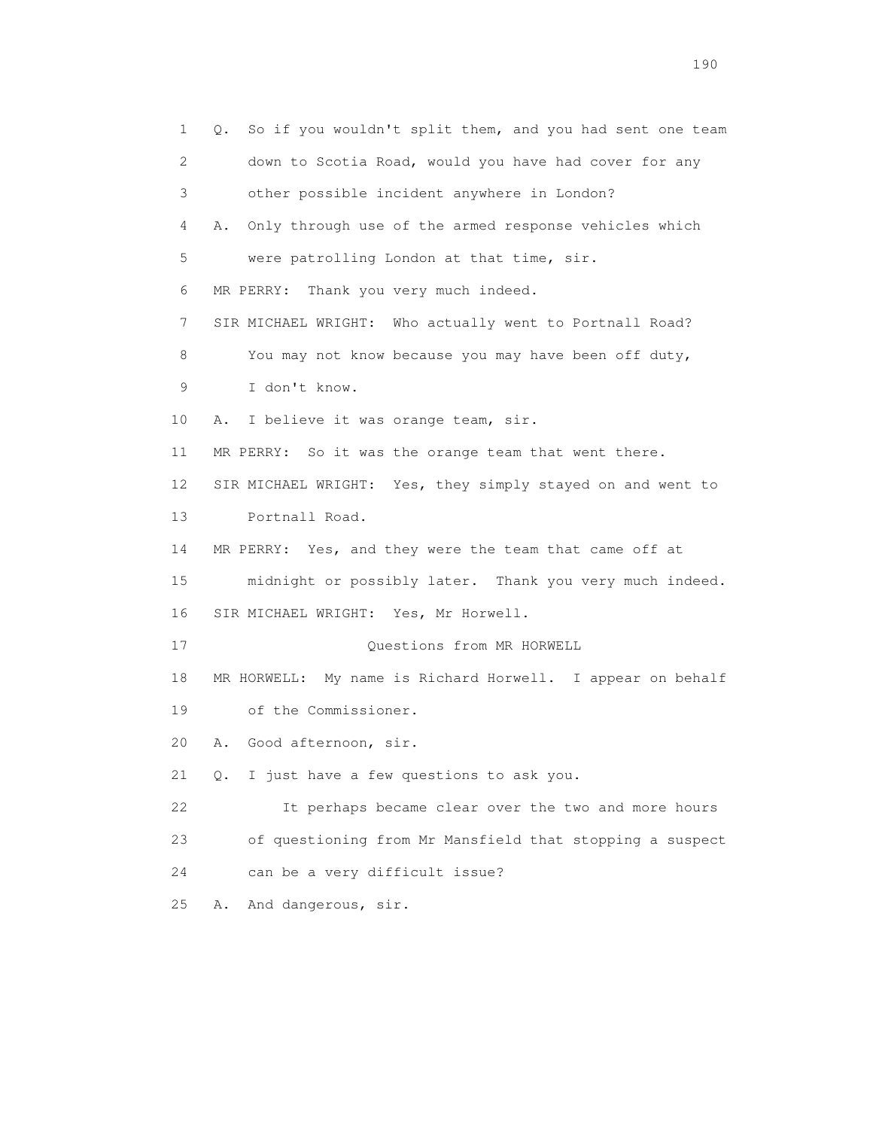1 Q. So if you wouldn't split them, and you had sent one team 2 down to Scotia Road, would you have had cover for any 3 other possible incident anywhere in London? 4 A. Only through use of the armed response vehicles which 5 were patrolling London at that time, sir. 6 MR PERRY: Thank you very much indeed. 7 SIR MICHAEL WRIGHT: Who actually went to Portnall Road? 8 You may not know because you may have been off duty, 9 I don't know. 10 A. I believe it was orange team, sir. 11 MR PERRY: So it was the orange team that went there. 12 SIR MICHAEL WRIGHT: Yes, they simply stayed on and went to 13 Portnall Road. 14 MR PERRY: Yes, and they were the team that came off at 15 midnight or possibly later. Thank you very much indeed. 16 SIR MICHAEL WRIGHT: Yes, Mr Horwell. 17 Questions from MR HORWELL 18 MR HORWELL: My name is Richard Horwell. I appear on behalf 19 of the Commissioner. 20 A. Good afternoon, sir. 21 Q. I just have a few questions to ask you. 22 It perhaps became clear over the two and more hours 23 of questioning from Mr Mansfield that stopping a suspect 24 can be a very difficult issue? 25 A. And dangerous, sir.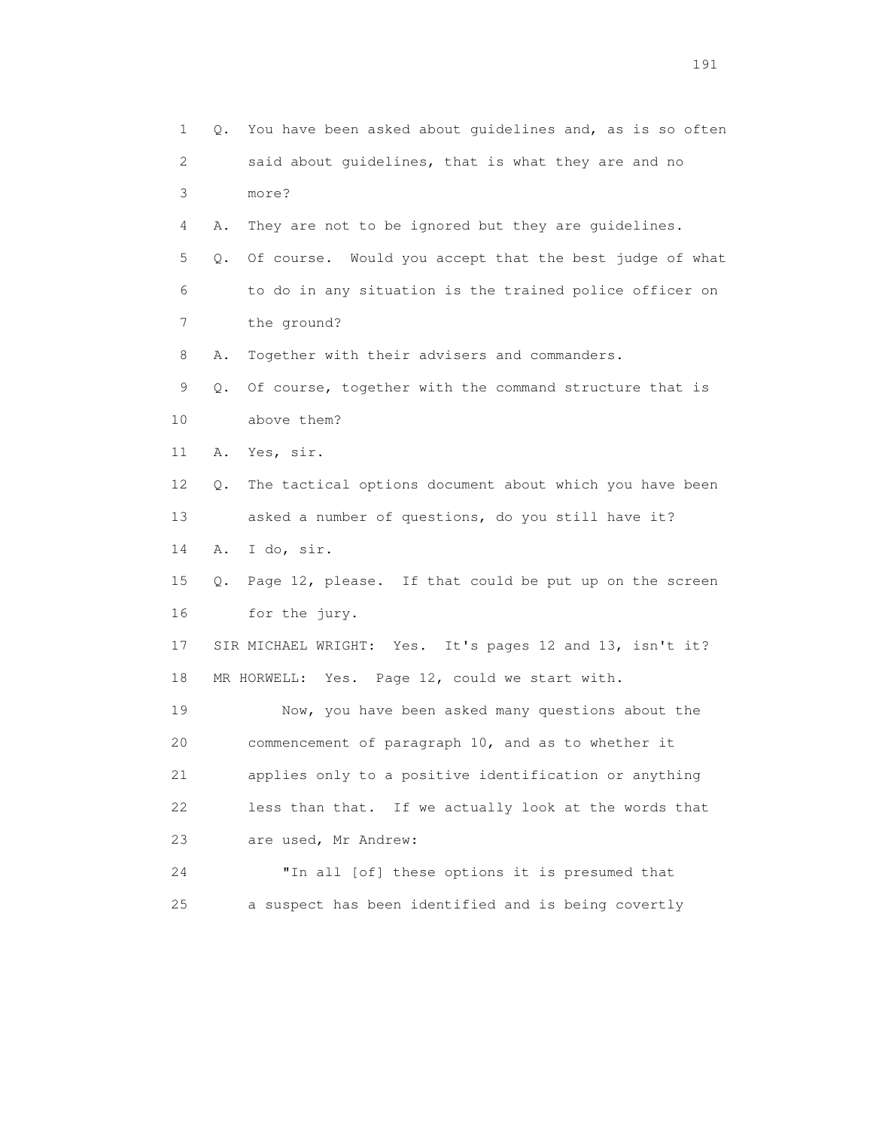1 Q. You have been asked about guidelines and, as is so often 2 said about guidelines, that is what they are and no 3 more? 4 A. They are not to be ignored but they are guidelines. 5 Q. Of course. Would you accept that the best judge of what 6 to do in any situation is the trained police officer on 7 the ground? 8 A. Together with their advisers and commanders. 9 Q. Of course, together with the command structure that is 10 above them? 11 A. Yes, sir. 12 Q. The tactical options document about which you have been 13 asked a number of questions, do you still have it? 14 A. I do, sir. 15 Q. Page 12, please. If that could be put up on the screen 16 for the jury. 17 SIR MICHAEL WRIGHT: Yes. It's pages 12 and 13, isn't it? 18 MR HORWELL: Yes. Page 12, could we start with. 19 Now, you have been asked many questions about the 20 commencement of paragraph 10, and as to whether it 21 applies only to a positive identification or anything 22 less than that. If we actually look at the words that 23 are used, Mr Andrew: 24 "In all [of] these options it is presumed that 25 a suspect has been identified and is being covertly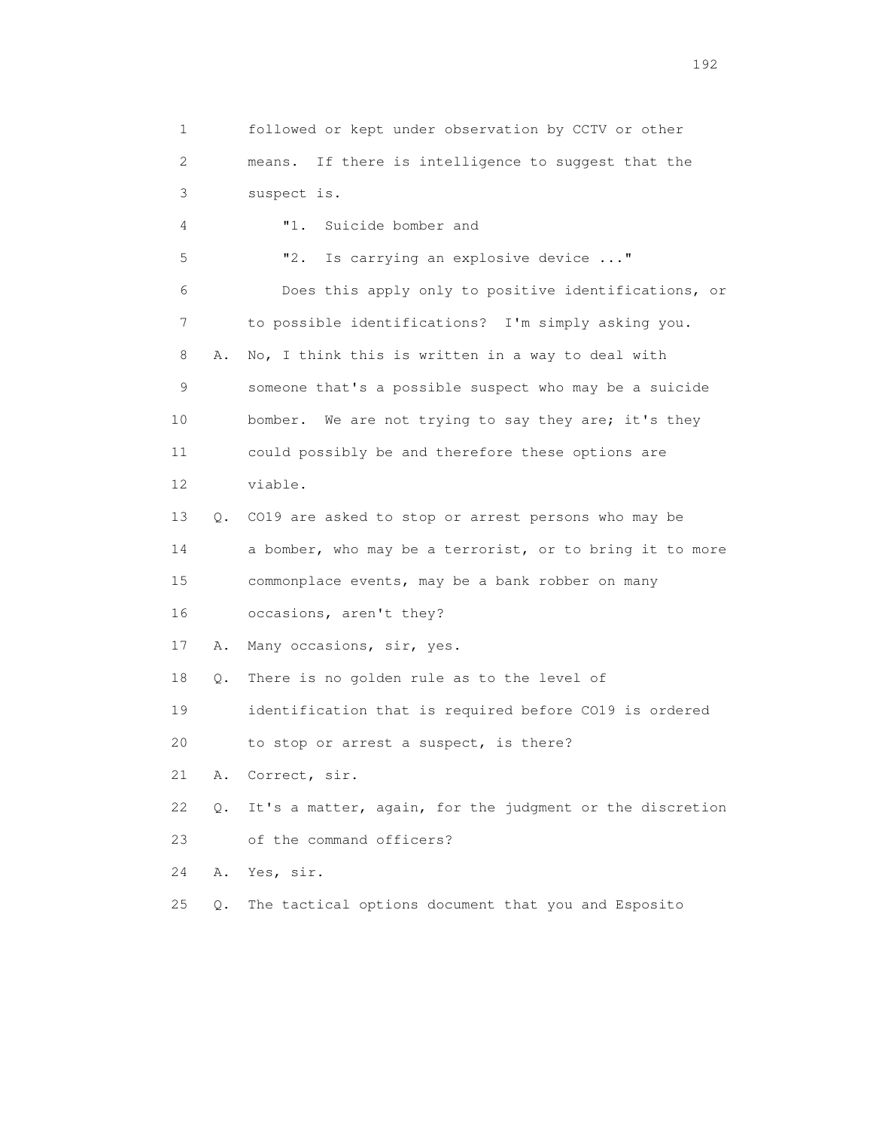1 followed or kept under observation by CCTV or other 2 means. If there is intelligence to suggest that the 3 suspect is. 4 "1. Suicide bomber and 5 "2. Is carrying an explosive device ..." 6 Does this apply only to positive identifications, or 7 to possible identifications? I'm simply asking you. 8 A. No, I think this is written in a way to deal with 9 someone that's a possible suspect who may be a suicide 10 bomber. We are not trying to say they are; it's they 11 could possibly be and therefore these options are 12 viable. 13 Q. CO19 are asked to stop or arrest persons who may be 14 a bomber, who may be a terrorist, or to bring it to more 15 commonplace events, may be a bank robber on many 16 occasions, aren't they? 17 A. Many occasions, sir, yes. 18 Q. There is no golden rule as to the level of 19 identification that is required before CO19 is ordered 20 to stop or arrest a suspect, is there? 21 A. Correct, sir. 22 Q. It's a matter, again, for the judgment or the discretion 23 of the command officers? 24 A. Yes, sir. 25 Q. The tactical options document that you and Esposito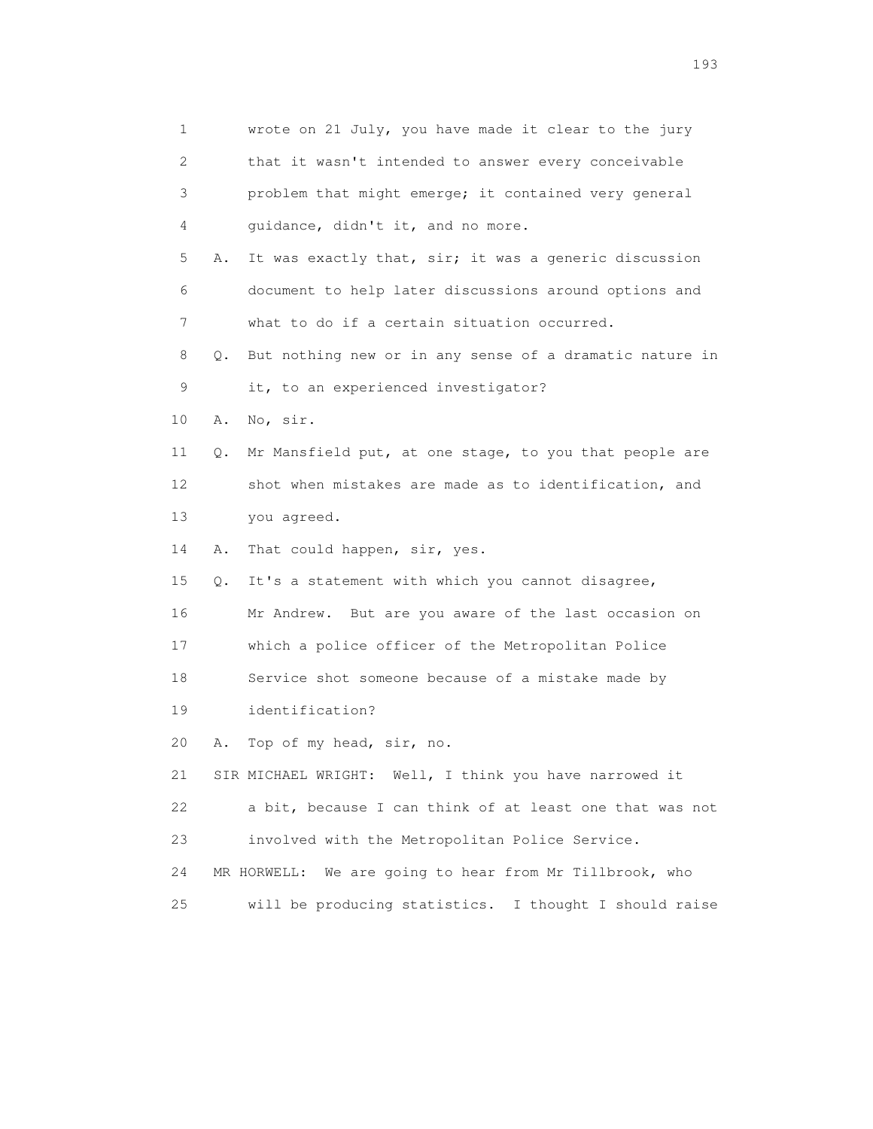1 wrote on 21 July, you have made it clear to the jury 2 that it wasn't intended to answer every conceivable 3 problem that might emerge; it contained very general 4 guidance, didn't it, and no more. 5 A. It was exactly that, sir; it was a generic discussion 6 document to help later discussions around options and 7 what to do if a certain situation occurred. 8 Q. But nothing new or in any sense of a dramatic nature in 9 it, to an experienced investigator? 10 A. No, sir. 11 Q. Mr Mansfield put, at one stage, to you that people are 12 shot when mistakes are made as to identification, and 13 you agreed. 14 A. That could happen, sir, yes. 15 Q. It's a statement with which you cannot disagree, 16 Mr Andrew. But are you aware of the last occasion on 17 which a police officer of the Metropolitan Police 18 Service shot someone because of a mistake made by 19 identification? 20 A. Top of my head, sir, no. 21 SIR MICHAEL WRIGHT: Well, I think you have narrowed it 22 a bit, because I can think of at least one that was not 23 involved with the Metropolitan Police Service. 24 MR HORWELL: We are going to hear from Mr Tillbrook, who 25 will be producing statistics. I thought I should raise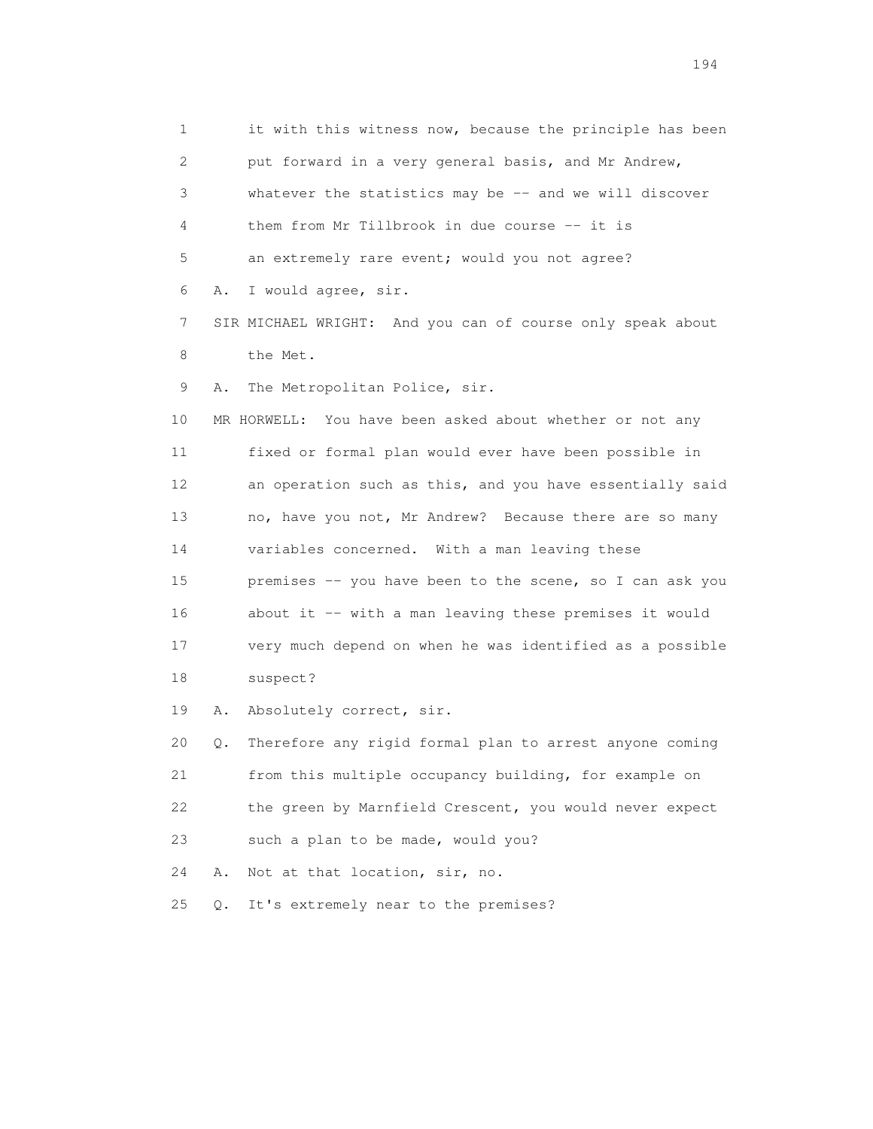1 it with this witness now, because the principle has been 2 put forward in a very general basis, and Mr Andrew, 3 whatever the statistics may be -- and we will discover 4 them from Mr Tillbrook in due course -- it is 5 an extremely rare event; would you not agree? 6 A. I would agree, sir. 7 SIR MICHAEL WRIGHT: And you can of course only speak about 8 the Met. 9 A. The Metropolitan Police, sir. 10 MR HORWELL: You have been asked about whether or not any 11 fixed or formal plan would ever have been possible in 12 an operation such as this, and you have essentially said 13 no, have you not, Mr Andrew? Because there are so many 14 variables concerned. With a man leaving these 15 premises -- you have been to the scene, so I can ask you 16 about it -- with a man leaving these premises it would 17 very much depend on when he was identified as a possible 18 suspect? 19 A. Absolutely correct, sir. 20 Q. Therefore any rigid formal plan to arrest anyone coming 21 from this multiple occupancy building, for example on 22 the green by Marnfield Crescent, you would never expect

23 such a plan to be made, would you?

24 A. Not at that location, sir, no.

25 Q. It's extremely near to the premises?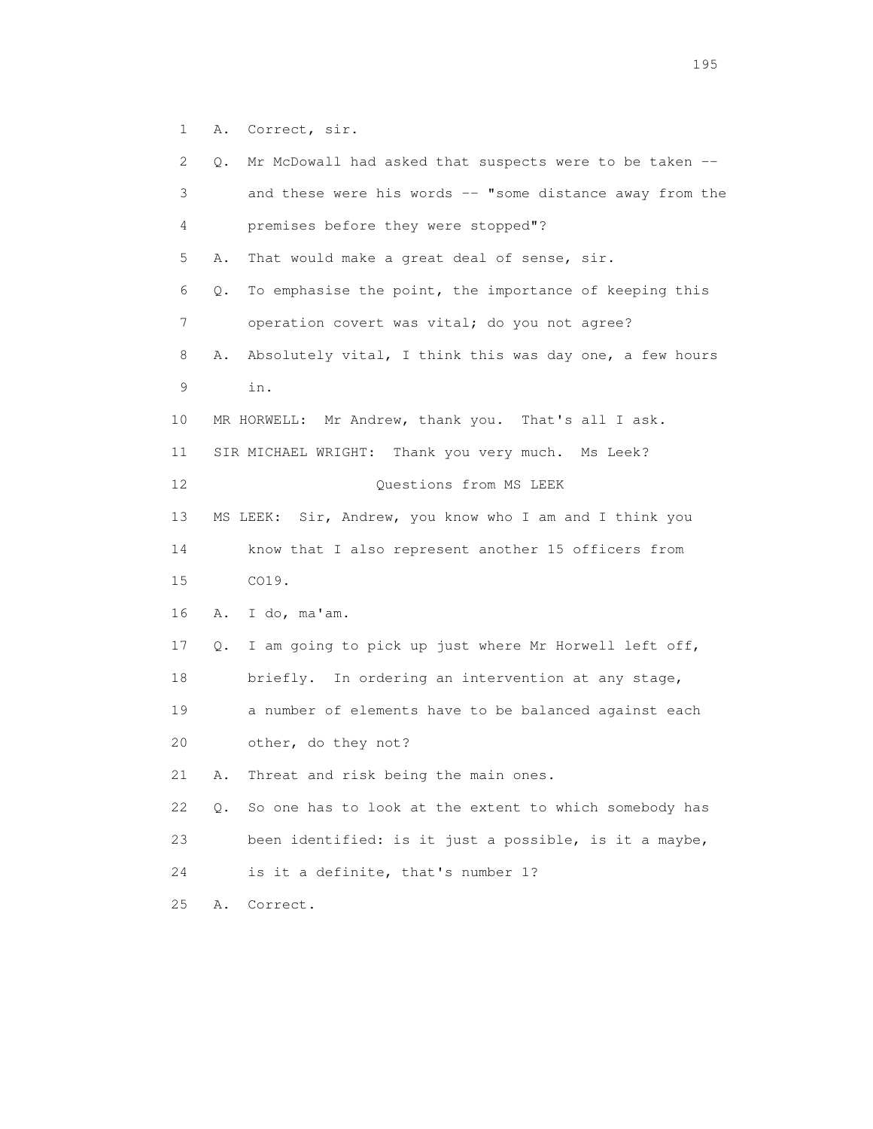1 A. Correct, sir.

| 2  | Q.                  | Mr McDowall had asked that suspects were to be taken --  |
|----|---------------------|----------------------------------------------------------|
| 3  |                     | and these were his words -- "some distance away from the |
| 4  |                     | premises before they were stopped"?                      |
| 5  | Α.                  | That would make a great deal of sense, sir.              |
| 6  | Q.                  | To emphasise the point, the importance of keeping this   |
| 7  |                     | operation covert was vital; do you not agree?            |
| 8  | Α.                  | Absolutely vital, I think this was day one, a few hours  |
| 9  | in.                 |                                                          |
| 10 |                     | MR HORWELL: Mr Andrew, thank you. That's all I ask.      |
| 11 |                     | SIR MICHAEL WRIGHT: Thank you very much. Ms Leek?        |
| 12 |                     | Questions from MS LEEK                                   |
| 13 |                     | MS LEEK: Sir, Andrew, you know who I am and I think you  |
| 14 |                     | know that I also represent another 15 officers from      |
| 15 | CO19.               |                                                          |
| 16 | I do, ma'am.<br>Α.  |                                                          |
| 17 | Q.                  | I am going to pick up just where Mr Horwell left off,    |
| 18 |                     | briefly. In ordering an intervention at any stage,       |
| 19 |                     | a number of elements have to be balanced against each    |
| 20 | other, do they not? |                                                          |
| 21 | Α.                  | Threat and risk being the main ones.                     |
| 22 | Q.                  | So one has to look at the extent to which somebody has   |
| 23 |                     | been identified: is it just a possible, is it a maybe,   |
| 24 |                     | is it a definite, that's number 1?                       |
| 25 | Correct.<br>Α.      |                                                          |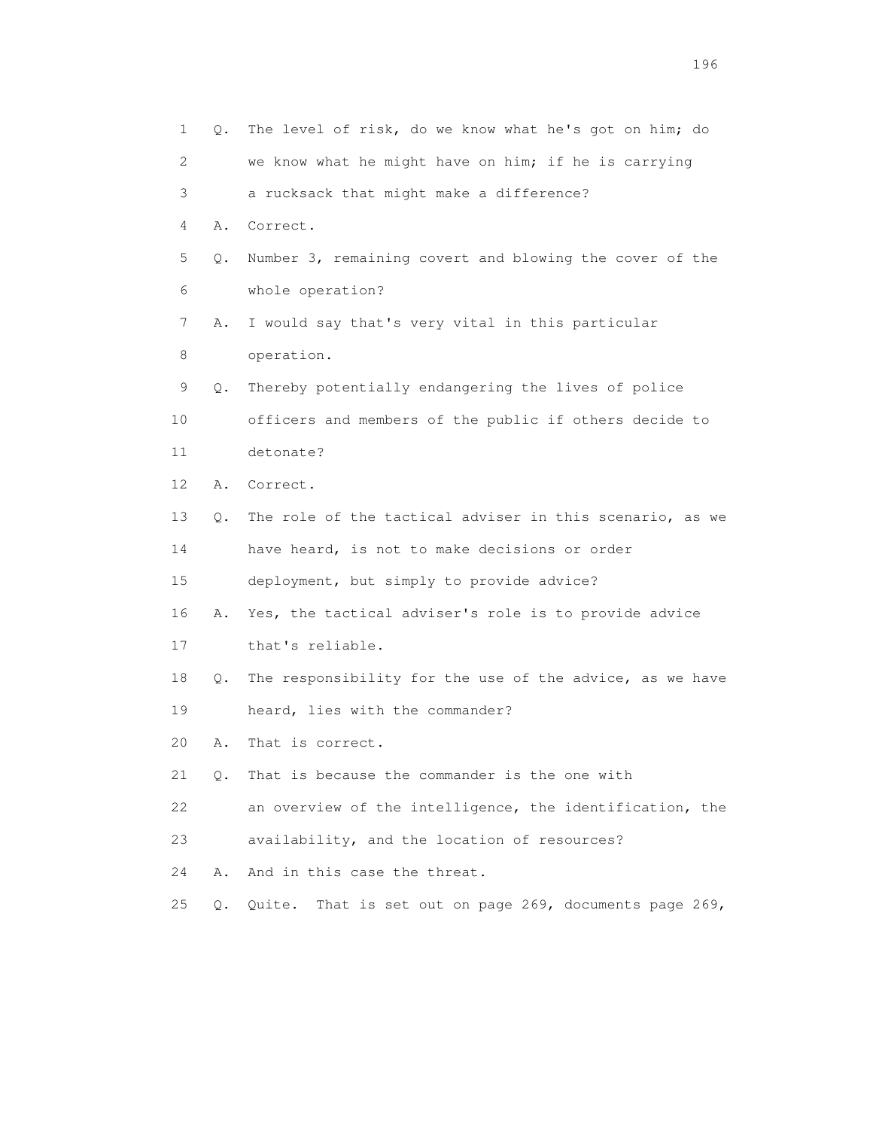| 1  | Q.        | The level of risk, do we know what he's got on him; do     |
|----|-----------|------------------------------------------------------------|
| 2  |           | we know what he might have on him; if he is carrying       |
| 3  |           | a rucksack that might make a difference?                   |
| 4  | Α.        | Correct.                                                   |
| 5  | Q.        | Number 3, remaining covert and blowing the cover of the    |
| 6  |           | whole operation?                                           |
| 7  | Α.        | I would say that's very vital in this particular           |
| 8  |           | operation.                                                 |
| 9  | Q.        | Thereby potentially endangering the lives of police        |
| 10 |           | officers and members of the public if others decide to     |
| 11 |           | detonate?                                                  |
| 12 | Α.        | Correct.                                                   |
| 13 | Q.        | The role of the tactical adviser in this scenario, as we   |
| 14 |           | have heard, is not to make decisions or order              |
| 15 |           | deployment, but simply to provide advice?                  |
| 16 | Α.        | Yes, the tactical adviser's role is to provide advice      |
| 17 |           | that's reliable.                                           |
| 18 | Q.        | The responsibility for the use of the advice, as we have   |
| 19 |           | heard, lies with the commander?                            |
| 20 | Α.        | That is correct.                                           |
| 21 | $\circ$ . | That is because the commander is the one with              |
| 22 |           | an overview of the intelligence, the identification, the   |
| 23 |           | availability, and the location of resources?               |
| 24 | Α.        | And in this case the threat.                               |
| 25 | Q.        | That is set out on page 269, documents page 269,<br>Quite. |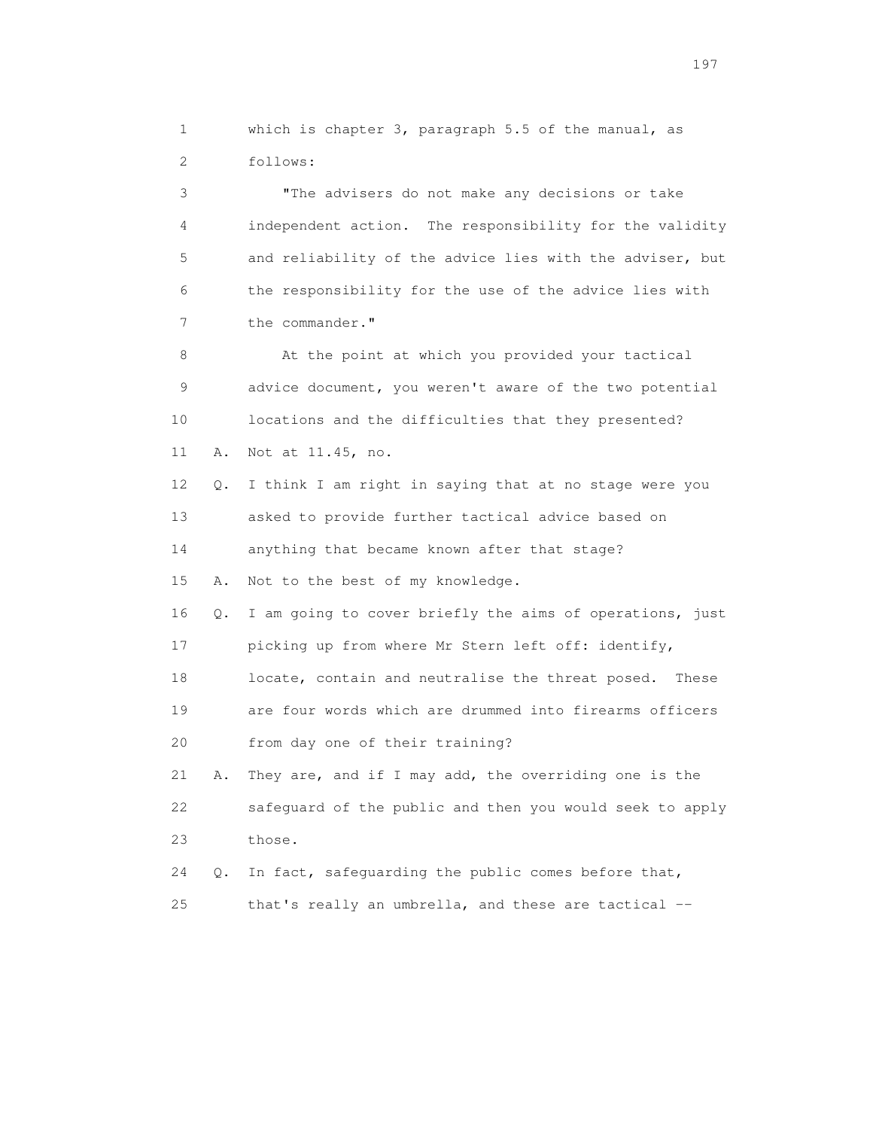1 which is chapter 3, paragraph 5.5 of the manual, as 2 follows:

 3 "The advisers do not make any decisions or take 4 independent action. The responsibility for the validity 5 and reliability of the advice lies with the adviser, but 6 the responsibility for the use of the advice lies with 7 the commander."

8 At the point at which you provided your tactical 9 advice document, you weren't aware of the two potential 10 locations and the difficulties that they presented? 11 A. Not at 11.45, no.

 12 Q. I think I am right in saying that at no stage were you 13 asked to provide further tactical advice based on 14 anything that became known after that stage?

15 A. Not to the best of my knowledge.

 16 Q. I am going to cover briefly the aims of operations, just 17 picking up from where Mr Stern left off: identify, 18 locate, contain and neutralise the threat posed. These 19 are four words which are drummed into firearms officers 20 from day one of their training? 21 A. They are, and if I may add, the overriding one is the

 22 safeguard of the public and then you would seek to apply 23 those.

 24 Q. In fact, safeguarding the public comes before that, 25 that's really an umbrella, and these are tactical --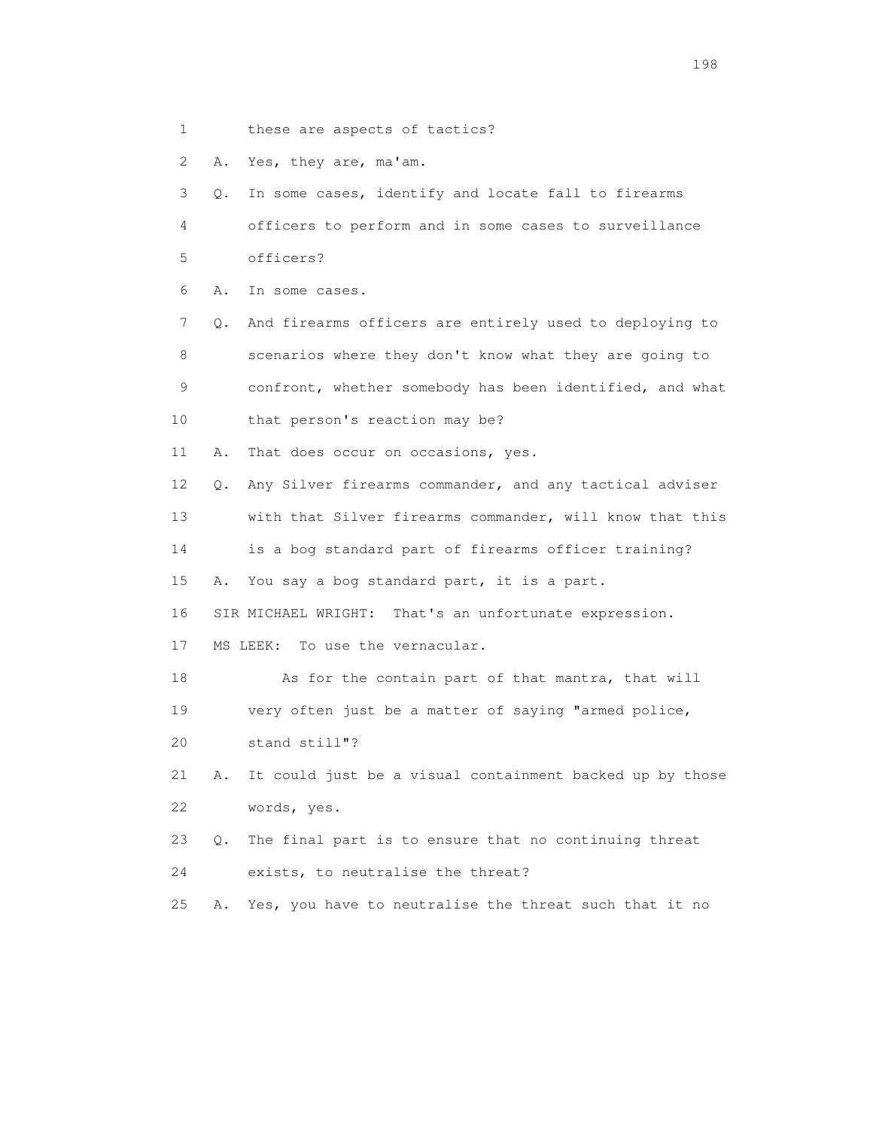1 these are aspects of tactics?

2 A. Yes, they are, ma'am.

 3 Q. In some cases, identify and locate fall to firearms 4 officers to perform and in some cases to surveillance 5 officers?

6 A. In some cases.

 7 Q. And firearms officers are entirely used to deploying to 8 scenarios where they don't know what they are going to 9 confront, whether somebody has been identified, and what 10 that person's reaction may be?

11 A. That does occur on occasions, yes.

12 Q. Any Silver firearms commander, and any tactical adviser

13 with that Silver firearms commander, will know that this

14 is a bog standard part of firearms officer training?

15 A. You say a bog standard part, it is a part.

16 SIR MICHAEL WRIGHT: That's an unfortunate expression.

17 MS LEEK: To use the vernacular.

 18 As for the contain part of that mantra, that will 19 very often just be a matter of saying "armed police,

20 stand still"?

 21 A. It could just be a visual containment backed up by those 22 words, yes.

23 Q. The final part is to ensure that no continuing threat

24 exists, to neutralise the threat?

25 A. Yes, you have to neutralise the threat such that it no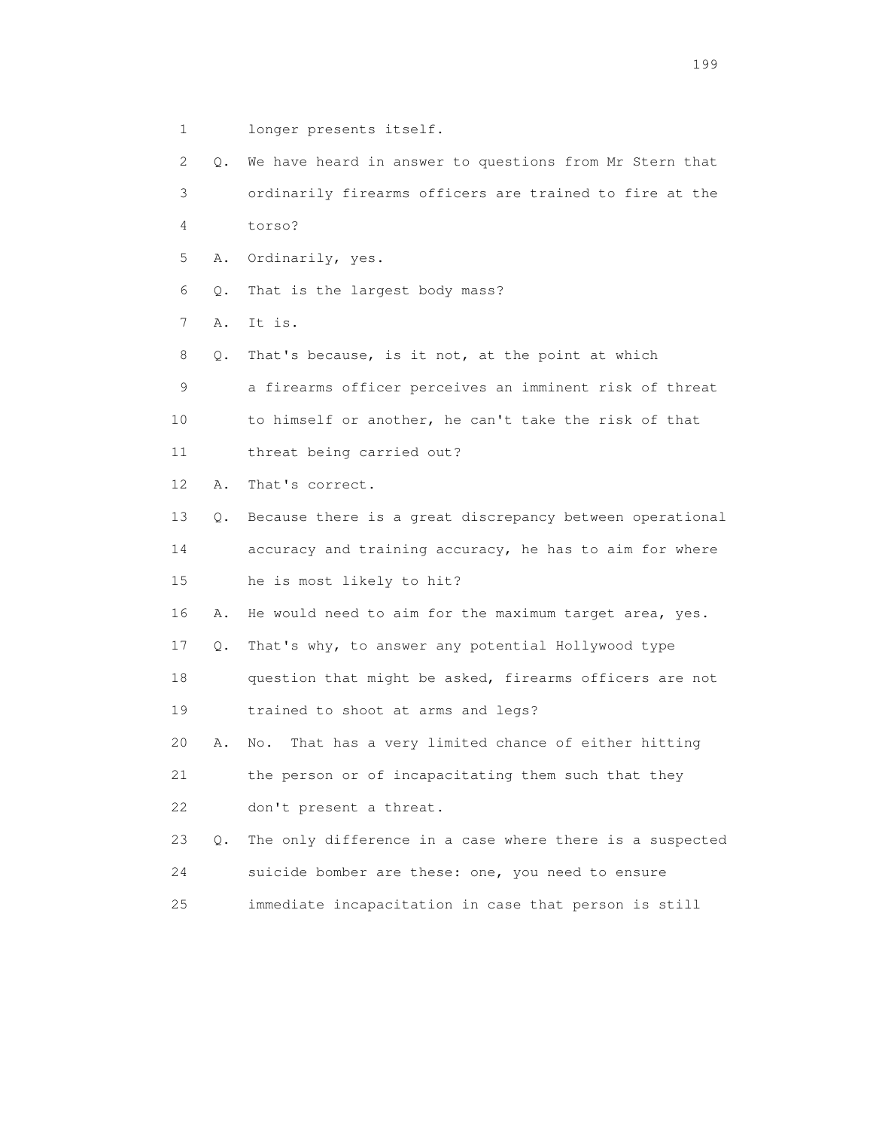- 1 longer presents itself.
- 2 Q. We have heard in answer to questions from Mr Stern that 3 ordinarily firearms officers are trained to fire at the 4 torso? 5 A. Ordinarily, yes. 6 Q. That is the largest body mass? 7 A. It is. 8 Q. That's because, is it not, at the point at which 9 a firearms officer perceives an imminent risk of threat 10 to himself or another, he can't take the risk of that 11 threat being carried out? 12 A. That's correct. 13 Q. Because there is a great discrepancy between operational 14 accuracy and training accuracy, he has to aim for where 15 he is most likely to hit? 16 A. He would need to aim for the maximum target area, yes. 17 Q. That's why, to answer any potential Hollywood type 18 question that might be asked, firearms officers are not 19 trained to shoot at arms and legs? 20 A. No. That has a very limited chance of either hitting 21 the person or of incapacitating them such that they 22 don't present a threat.

 23 Q. The only difference in a case where there is a suspected 24 suicide bomber are these: one, you need to ensure 25 immediate incapacitation in case that person is still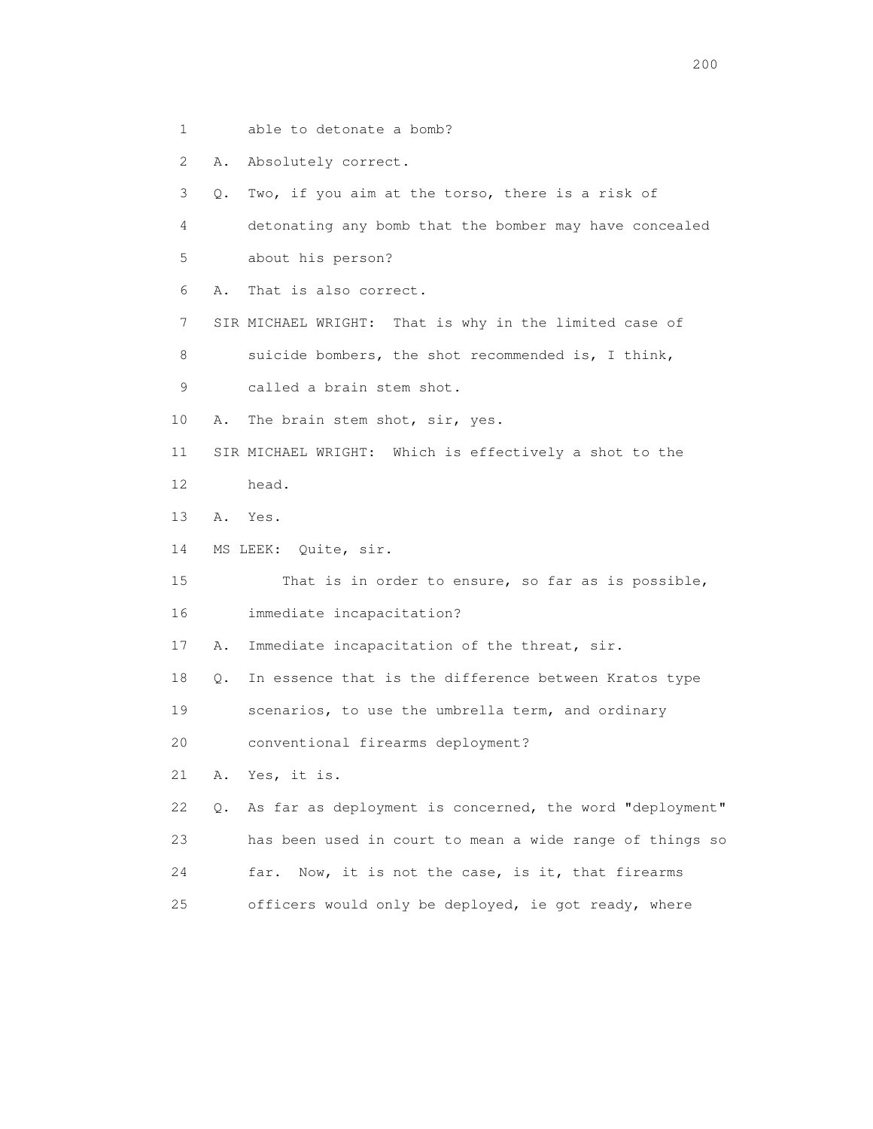1 able to detonate a bomb?

2 A. Absolutely correct.

3 Q. Two, if you aim at the torso, there is a risk of

 4 detonating any bomb that the bomber may have concealed 5 about his person?

6 A. That is also correct.

7 SIR MICHAEL WRIGHT: That is why in the limited case of

8 suicide bombers, the shot recommended is, I think,

9 called a brain stem shot.

10 A. The brain stem shot, sir, yes.

11 SIR MICHAEL WRIGHT: Which is effectively a shot to the

- 12 head.
- 13 A. Yes.
- 14 MS LEEK: Quite, sir.

15 That is in order to ensure, so far as is possible,

16 immediate incapacitation?

17 A. Immediate incapacitation of the threat, sir.

18 Q. In essence that is the difference between Kratos type

19 scenarios, to use the umbrella term, and ordinary

20 conventional firearms deployment?

21 A. Yes, it is.

 22 Q. As far as deployment is concerned, the word "deployment" 23 has been used in court to mean a wide range of things so 24 far. Now, it is not the case, is it, that firearms 25 officers would only be deployed, ie got ready, where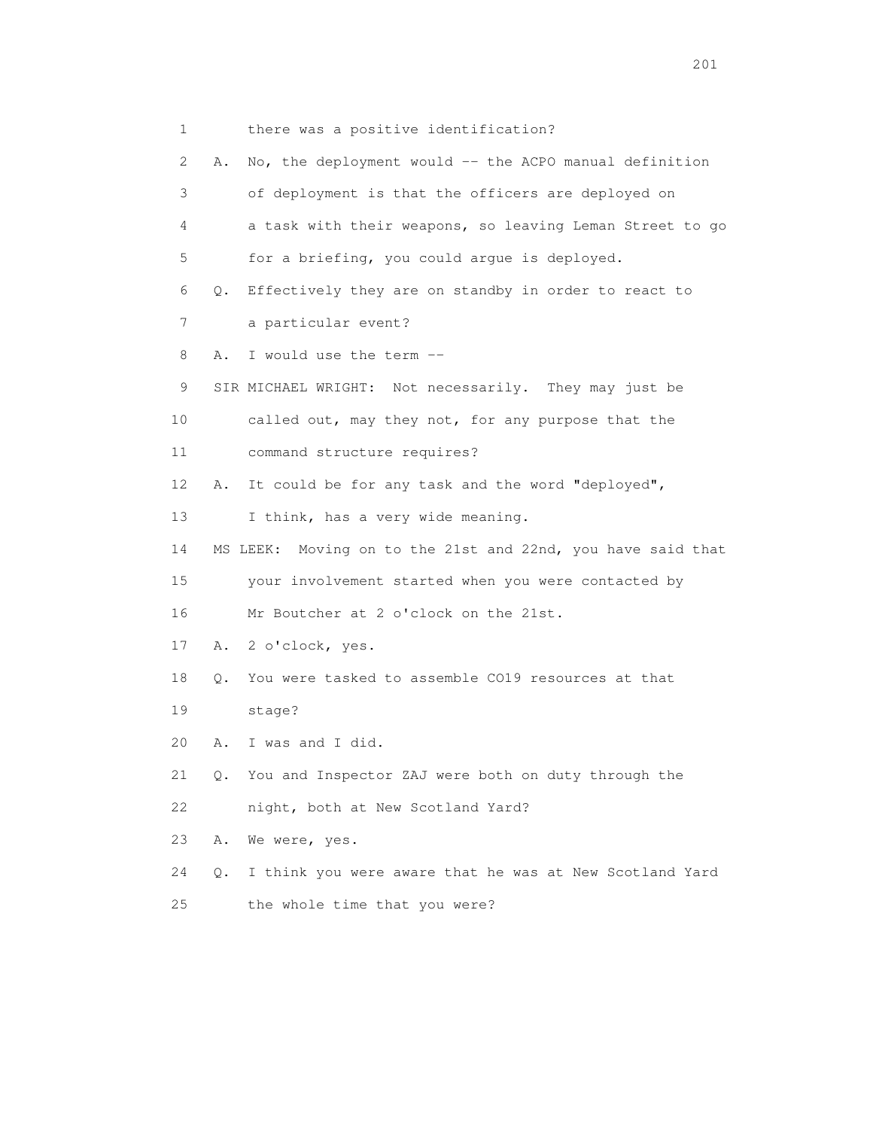1 there was a positive identification? 2 A. No, the deployment would -- the ACPO manual definition 3 of deployment is that the officers are deployed on 4 a task with their weapons, so leaving Leman Street to go 5 for a briefing, you could argue is deployed. 6 Q. Effectively they are on standby in order to react to 7 a particular event? 8 A. I would use the term -- 9 SIR MICHAEL WRIGHT: Not necessarily. They may just be 10 called out, may they not, for any purpose that the 11 command structure requires? 12 A. It could be for any task and the word "deployed", 13 I think, has a very wide meaning. 14 MS LEEK: Moving on to the 21st and 22nd, you have said that 15 your involvement started when you were contacted by 16 Mr Boutcher at 2 o'clock on the 21st. 17 A. 2 o'clock, yes. 18 Q. You were tasked to assemble CO19 resources at that 19 stage? 20 A. I was and I did. 21 Q. You and Inspector ZAJ were both on duty through the 22 night, both at New Scotland Yard? 23 A. We were, yes. 24 Q. I think you were aware that he was at New Scotland Yard 25 the whole time that you were?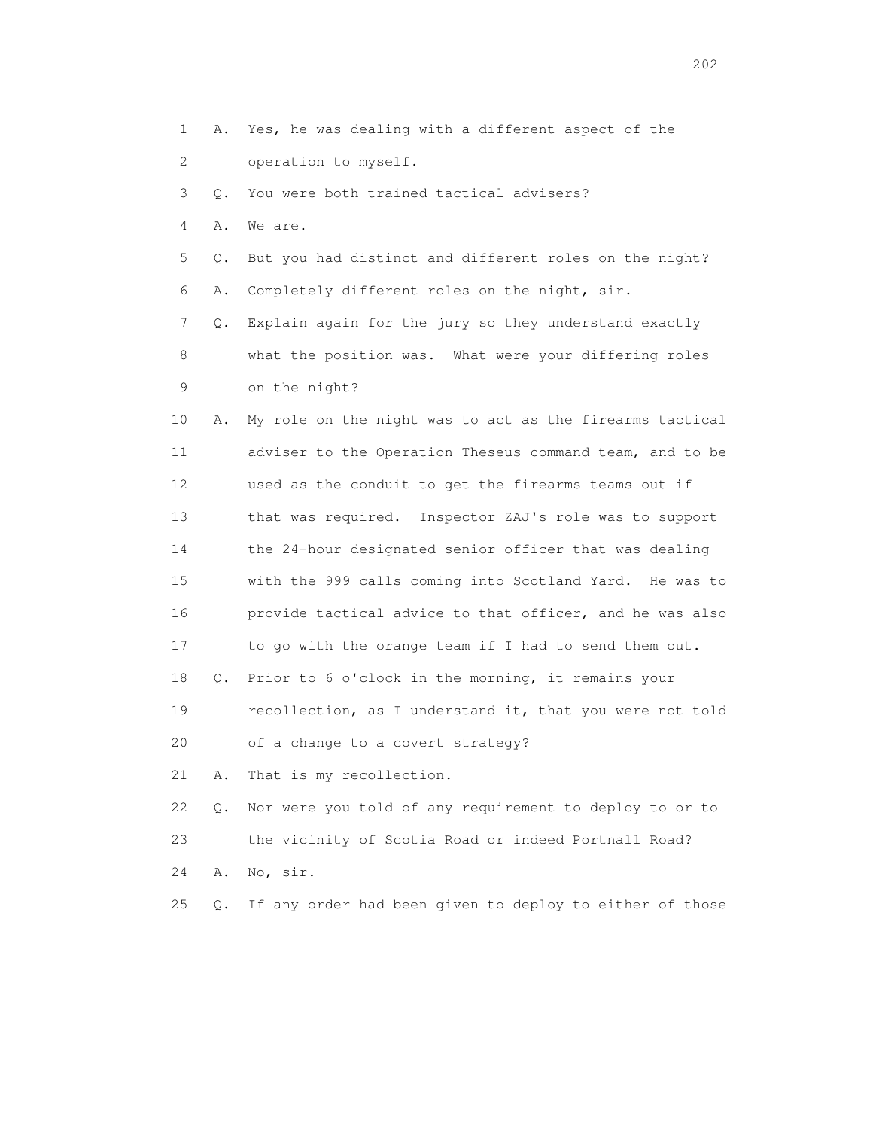- 1 A. Yes, he was dealing with a different aspect of the
- 2 operation to myself.
- 3 Q. You were both trained tactical advisers?
- 4 A. We are.
- 5 Q. But you had distinct and different roles on the night?
- 6 A. Completely different roles on the night, sir.

 7 Q. Explain again for the jury so they understand exactly 8 what the position was. What were your differing roles 9 on the night?

- 10 A. My role on the night was to act as the firearms tactical 11 adviser to the Operation Theseus command team, and to be 12 used as the conduit to get the firearms teams out if 13 that was required. Inspector ZAJ's role was to support 14 the 24-hour designated senior officer that was dealing 15 with the 999 calls coming into Scotland Yard. He was to 16 provide tactical advice to that officer, and he was also 17 to go with the orange team if I had to send them out. 18 Q. Prior to 6 o'clock in the morning, it remains your 19 recollection, as I understand it, that you were not told
- 20 of a change to a covert strategy?
- 21 A. That is my recollection.
- 22 Q. Nor were you told of any requirement to deploy to or to 23 the vicinity of Scotia Road or indeed Portnall Road? 24 A. No, sir.
- 25 Q. If any order had been given to deploy to either of those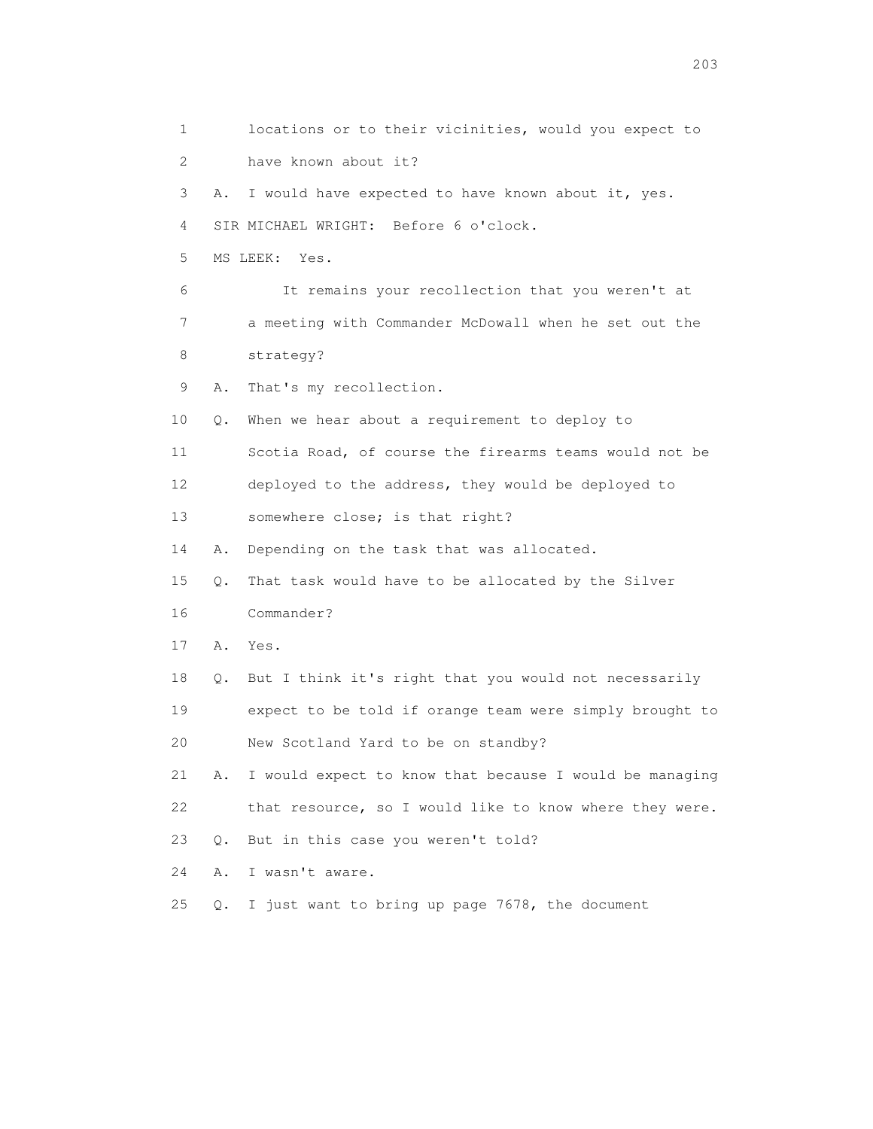1 locations or to their vicinities, would you expect to 2 have known about it? 3 A. I would have expected to have known about it, yes. 4 SIR MICHAEL WRIGHT: Before 6 o'clock. 5 MS LEEK: Yes. 6 It remains your recollection that you weren't at 7 a meeting with Commander McDowall when he set out the 8 strategy? 9 A. That's my recollection. 10 Q. When we hear about a requirement to deploy to 11 Scotia Road, of course the firearms teams would not be 12 deployed to the address, they would be deployed to 13 somewhere close; is that right? 14 A. Depending on the task that was allocated. 15 Q. That task would have to be allocated by the Silver 16 Commander? 17 A. Yes. 18 Q. But I think it's right that you would not necessarily 19 expect to be told if orange team were simply brought to 20 New Scotland Yard to be on standby? 21 A. I would expect to know that because I would be managing 22 that resource, so I would like to know where they were. 23 Q. But in this case you weren't told? 24 A. I wasn't aware. 25 Q. I just want to bring up page 7678, the document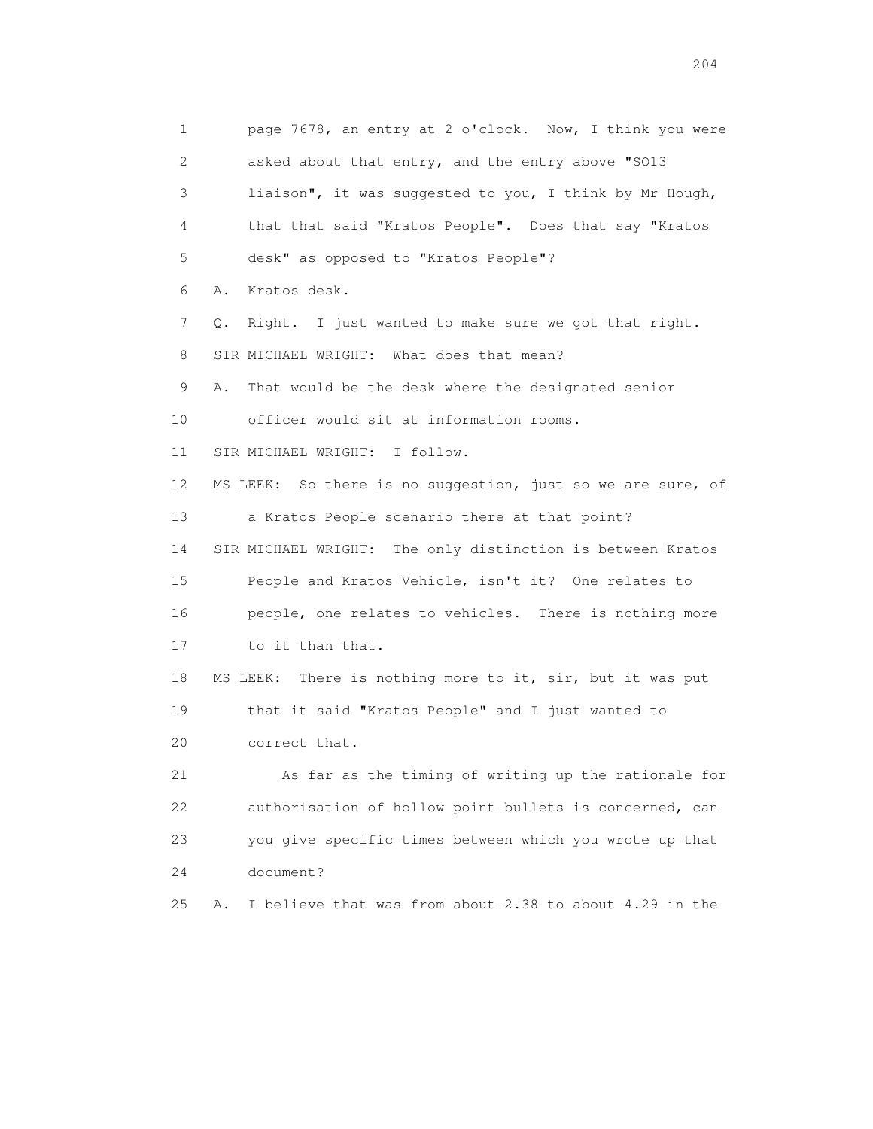1 page 7678, an entry at 2 o'clock. Now, I think you were 2 asked about that entry, and the entry above "SO13 3 liaison", it was suggested to you, I think by Mr Hough, 4 that that said "Kratos People". Does that say "Kratos 5 desk" as opposed to "Kratos People"? 6 A. Kratos desk. 7 Q. Right. I just wanted to make sure we got that right. 8 SIR MICHAEL WRIGHT: What does that mean? 9 A. That would be the desk where the designated senior 10 officer would sit at information rooms. 11 SIR MICHAEL WRIGHT: I follow. 12 MS LEEK: So there is no suggestion, just so we are sure, of 13 a Kratos People scenario there at that point? 14 SIR MICHAEL WRIGHT: The only distinction is between Kratos 15 People and Kratos Vehicle, isn't it? One relates to 16 people, one relates to vehicles. There is nothing more 17 to it than that. 18 MS LEEK: There is nothing more to it, sir, but it was put 19 that it said "Kratos People" and I just wanted to 20 correct that. 21 As far as the timing of writing up the rationale for 22 authorisation of hollow point bullets is concerned, can 23 you give specific times between which you wrote up that 24 document? 25 A. I believe that was from about 2.38 to about 4.29 in the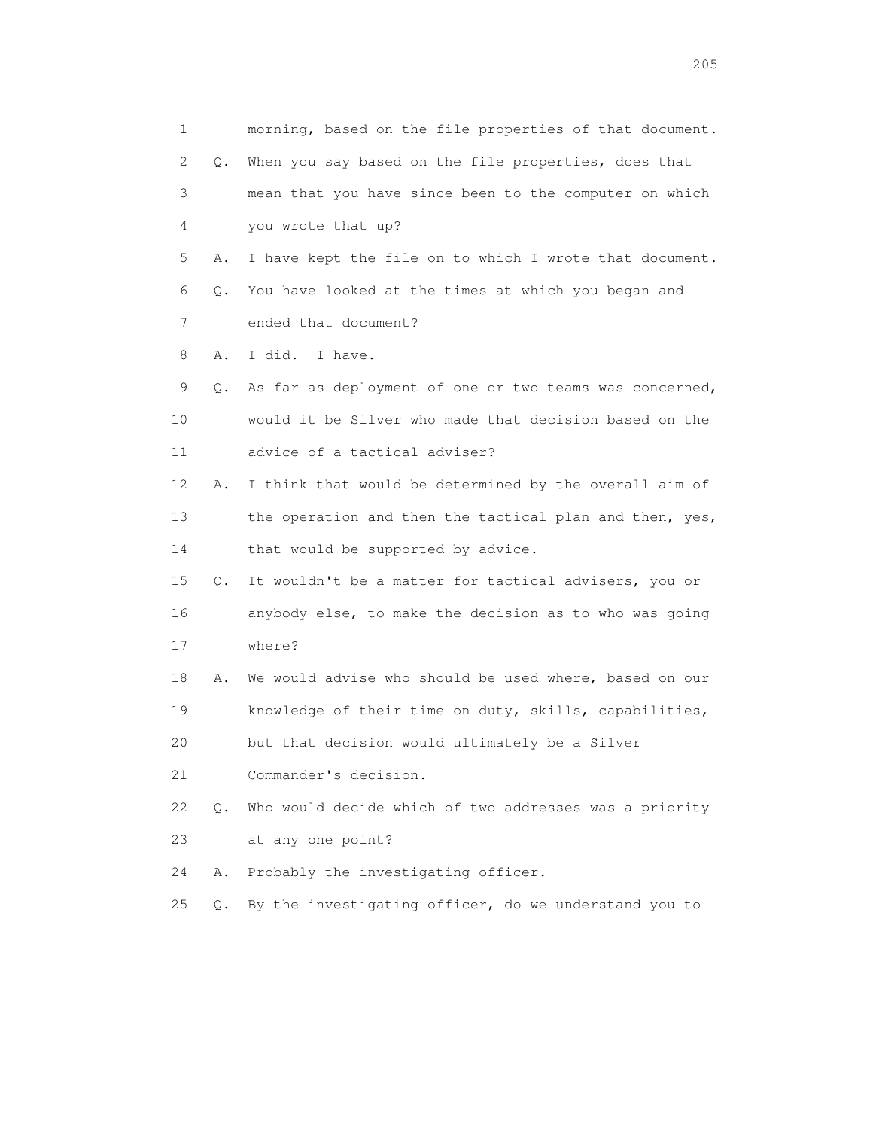| $\mathbf{1}$ |           | morning, based on the file properties of that document. |
|--------------|-----------|---------------------------------------------------------|
| 2            | Q.        | When you say based on the file properties, does that    |
| 3            |           | mean that you have since been to the computer on which  |
| 4            |           | you wrote that up?                                      |
| 5            | Α.        | I have kept the file on to which I wrote that document. |
| 6            | Q.        | You have looked at the times at which you began and     |
| 7            |           | ended that document?                                    |
| 8            | Α.        | I did. I have.                                          |
| 9            | Q.        | As far as deployment of one or two teams was concerned, |
| 10           |           | would it be Silver who made that decision based on the  |
| 11           |           | advice of a tactical adviser?                           |
| 12           | Α.        | I think that would be determined by the overall aim of  |
| 13           |           | the operation and then the tactical plan and then, yes, |
| 14           |           | that would be supported by advice.                      |
| 15           | Q.        | It wouldn't be a matter for tactical advisers, you or   |
| 16           |           | anybody else, to make the decision as to who was going  |
| 17           |           | where?                                                  |
| 18           | Α.        | We would advise who should be used where, based on our  |
| 19           |           | knowledge of their time on duty, skills, capabilities,  |
| 20           |           | but that decision would ultimately be a Silver          |
| 21           |           | Commander's decision.                                   |
| 22           | О.        | Who would decide which of two addresses was a priority  |
| 23           |           | at any one point?                                       |
| 24           | Α.        | Probably the investigating officer.                     |
| 25           | $\circ$ . | By the investigating officer, do we understand you to   |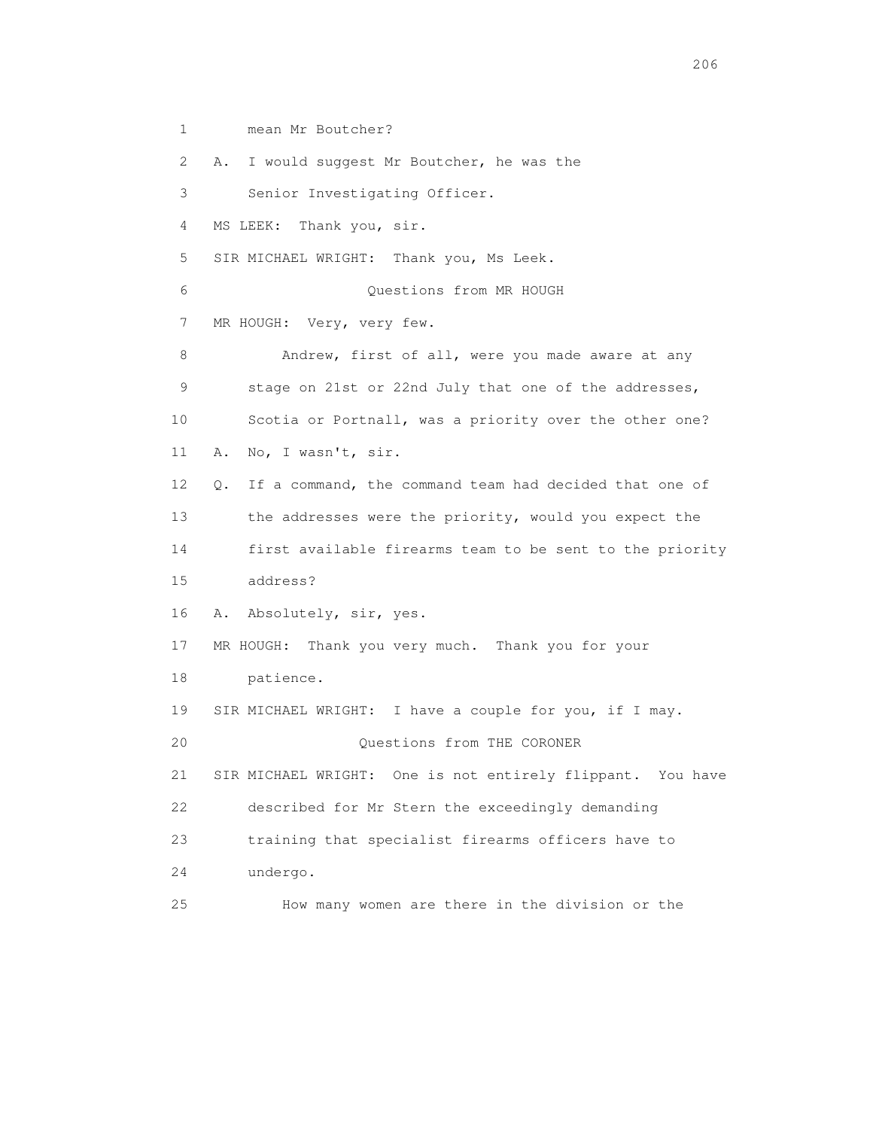1 mean Mr Boutcher?

2 A. I would suggest Mr Boutcher, he was the

3 Senior Investigating Officer.

4 MS LEEK: Thank you, sir.

5 SIR MICHAEL WRIGHT: Thank you, Ms Leek.

6 Questions from MR HOUGH

7 MR HOUGH: Very, very few.

8 Andrew, first of all, were you made aware at any 9 stage on 21st or 22nd July that one of the addresses, 10 Scotia or Portnall, was a priority over the other one? 11 A. No, I wasn't, sir. 12 Q. If a command, the command team had decided that one of 13 the addresses were the priority, would you expect the

 14 first available firearms team to be sent to the priority 15 address?

16 A. Absolutely, sir, yes.

17 MR HOUGH: Thank you very much. Thank you for your

18 patience.

19 SIR MICHAEL WRIGHT: I have a couple for you, if I may.

20 Questions from THE CORONER

 21 SIR MICHAEL WRIGHT: One is not entirely flippant. You have 22 described for Mr Stern the exceedingly demanding

23 training that specialist firearms officers have to

24 undergo.

25 How many women are there in the division or the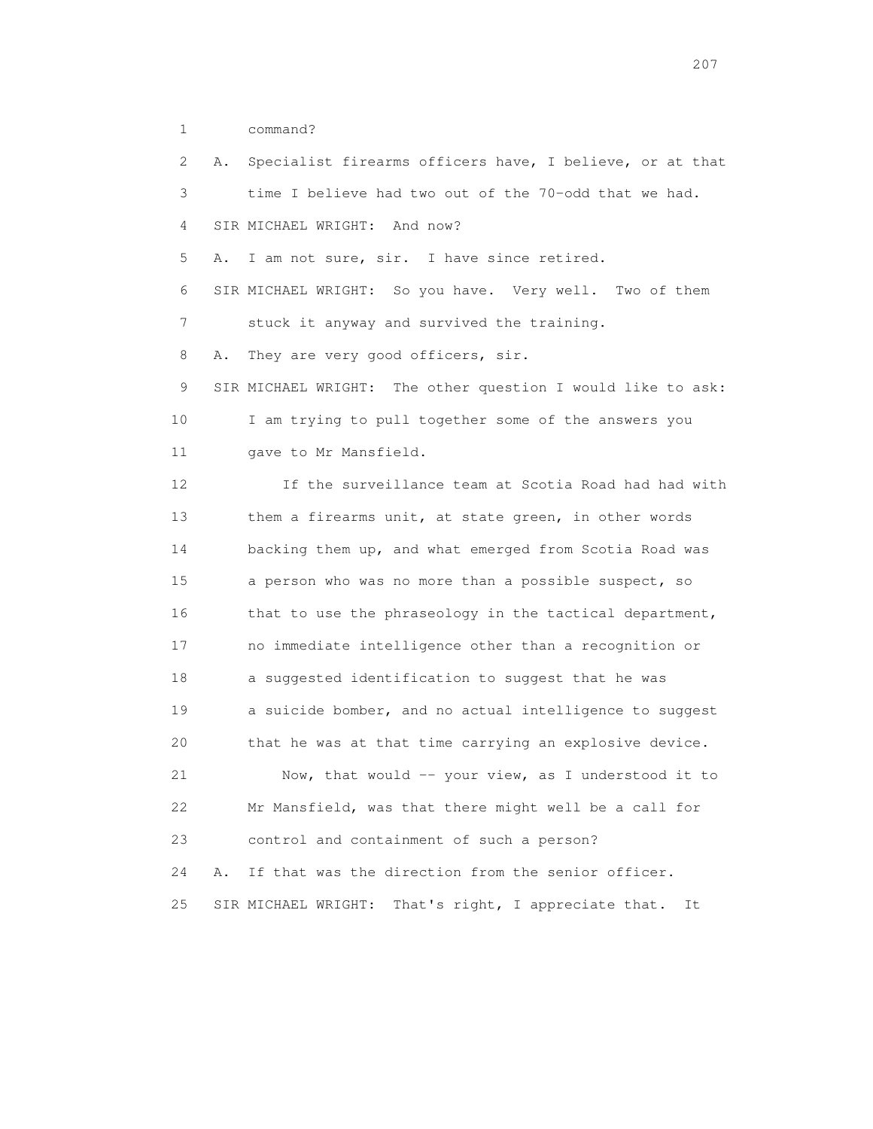1 command?

 2 A. Specialist firearms officers have, I believe, or at that 3 time I believe had two out of the 70-odd that we had. 4 SIR MICHAEL WRIGHT: And now? 5 A. I am not sure, sir. I have since retired. 6 SIR MICHAEL WRIGHT: So you have. Very well. Two of them 7 stuck it anyway and survived the training. 8 A. They are very good officers, sir. 9 SIR MICHAEL WRIGHT: The other question I would like to ask: 10 I am trying to pull together some of the answers you 11 gave to Mr Mansfield. 12 If the surveillance team at Scotia Road had had with 13 them a firearms unit, at state green, in other words 14 backing them up, and what emerged from Scotia Road was 15 a person who was no more than a possible suspect, so 16 that to use the phraseology in the tactical department, 17 no immediate intelligence other than a recognition or 18 a suggested identification to suggest that he was 19 a suicide bomber, and no actual intelligence to suggest 20 that he was at that time carrying an explosive device. 21 Now, that would -- your view, as I understood it to 22 Mr Mansfield, was that there might well be a call for 23 control and containment of such a person? 24 A. If that was the direction from the senior officer. 25 SIR MICHAEL WRIGHT: That's right, I appreciate that. It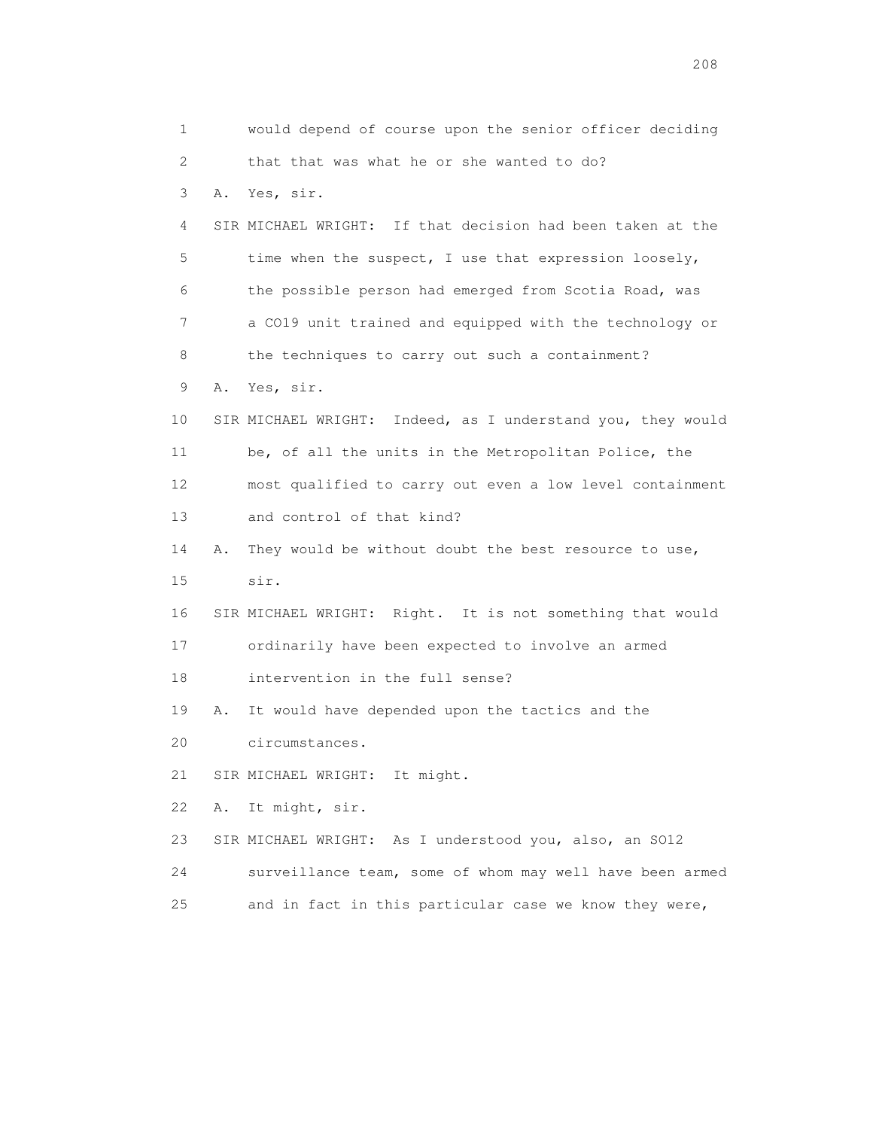1 would depend of course upon the senior officer deciding 2 that that was what he or she wanted to do? 3 A. Yes, sir. 4 SIR MICHAEL WRIGHT: If that decision had been taken at the 5 time when the suspect, I use that expression loosely, 6 the possible person had emerged from Scotia Road, was 7 a CO19 unit trained and equipped with the technology or 8 the techniques to carry out such a containment? 9 A. Yes, sir. 10 SIR MICHAEL WRIGHT: Indeed, as I understand you, they would 11 be, of all the units in the Metropolitan Police, the 12 most qualified to carry out even a low level containment 13 and control of that kind? 14 A. They would be without doubt the best resource to use, 15 sir. 16 SIR MICHAEL WRIGHT: Right. It is not something that would 17 ordinarily have been expected to involve an armed 18 intervention in the full sense? 19 A. It would have depended upon the tactics and the 20 circumstances. 21 SIR MICHAEL WRIGHT: It might. 22 A. It might, sir. 23 SIR MICHAEL WRIGHT: As I understood you, also, an SO12 24 surveillance team, some of whom may well have been armed 25 and in fact in this particular case we know they were,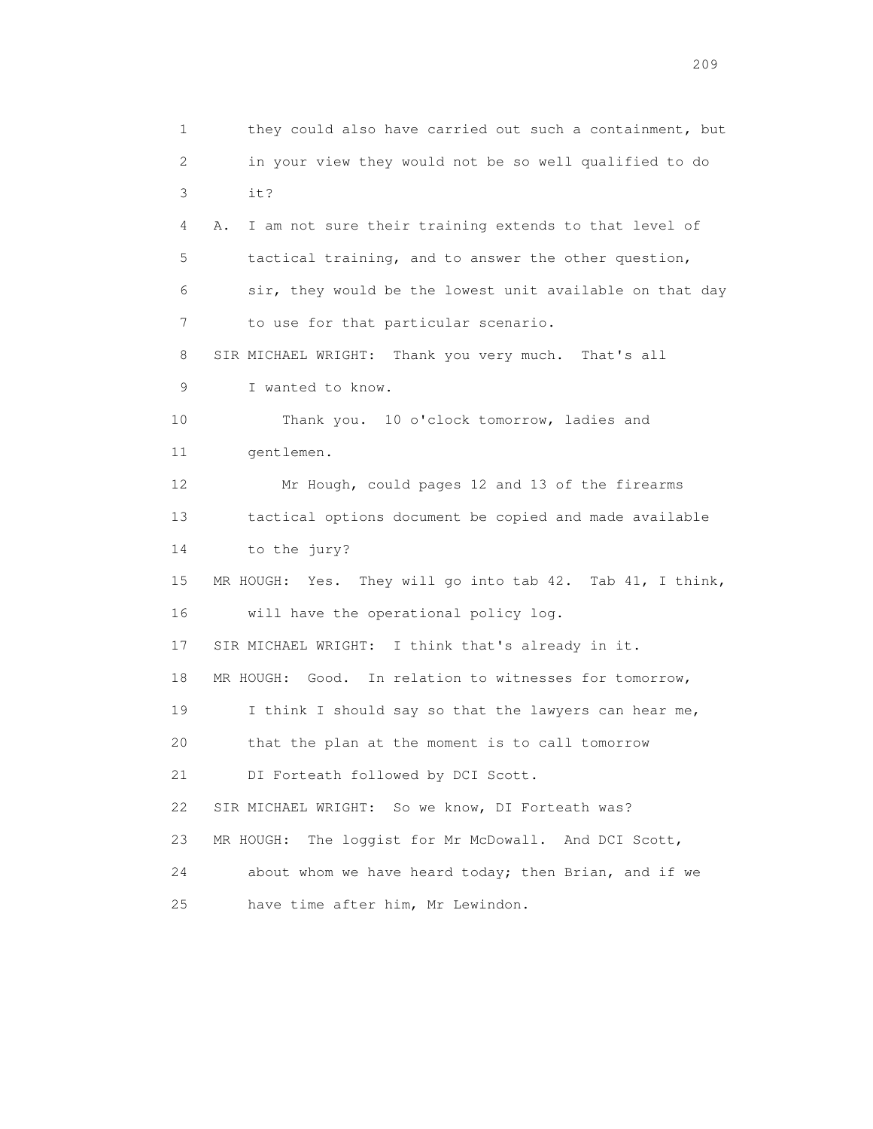1 they could also have carried out such a containment, but 2 in your view they would not be so well qualified to do 3 it? 4 A. I am not sure their training extends to that level of 5 tactical training, and to answer the other question, 6 sir, they would be the lowest unit available on that day 7 to use for that particular scenario. 8 SIR MICHAEL WRIGHT: Thank you very much. That's all 9 I wanted to know. 10 Thank you. 10 o'clock tomorrow, ladies and 11 gentlemen. 12 Mr Hough, could pages 12 and 13 of the firearms 13 tactical options document be copied and made available 14 to the jury? 15 MR HOUGH: Yes. They will go into tab 42. Tab 41, I think, 16 will have the operational policy log. 17 SIR MICHAEL WRIGHT: I think that's already in it. 18 MR HOUGH: Good. In relation to witnesses for tomorrow, 19 I think I should say so that the lawyers can hear me, 20 that the plan at the moment is to call tomorrow 21 DI Forteath followed by DCI Scott. 22 SIR MICHAEL WRIGHT: So we know, DI Forteath was? 23 MR HOUGH: The loggist for Mr McDowall. And DCI Scott, 24 about whom we have heard today; then Brian, and if we 25 have time after him, Mr Lewindon.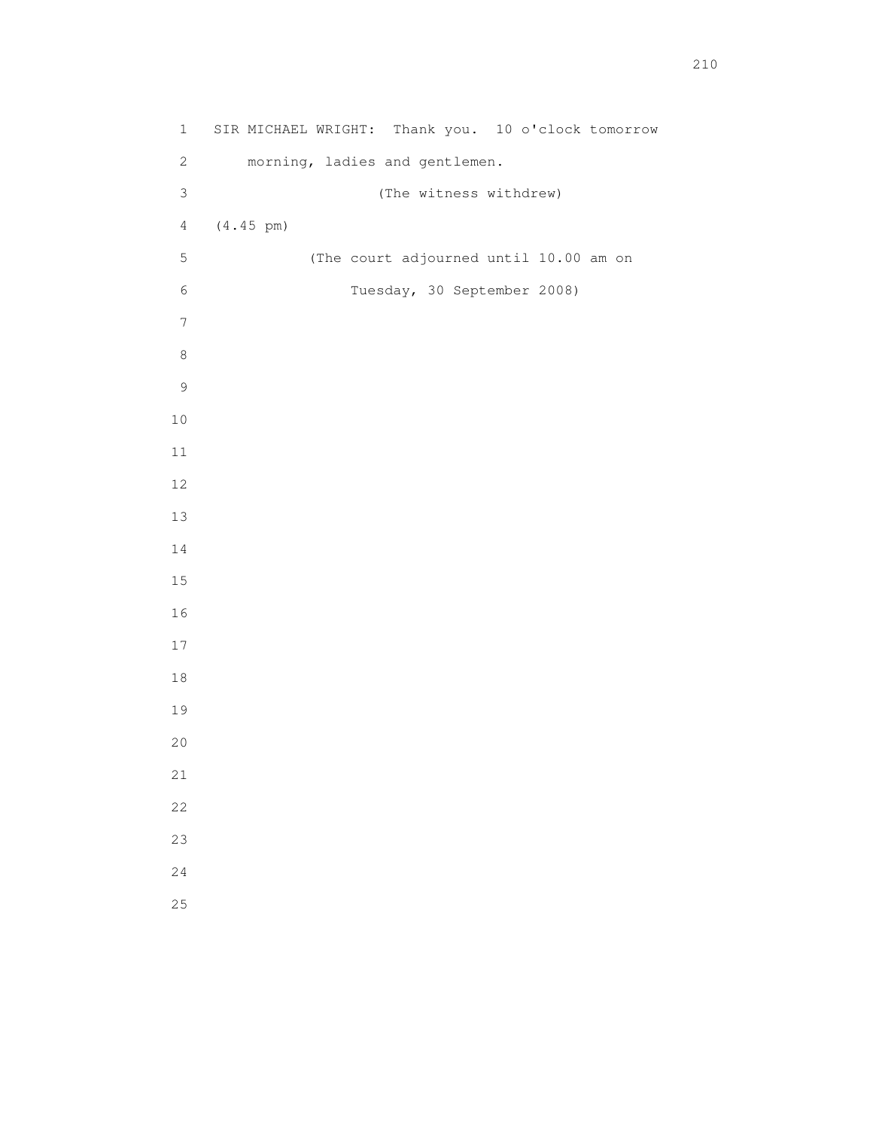| $\mathbf 1$      | SIR MICHAEL WRIGHT: Thank you. 10 o'clock tomorrow |
|------------------|----------------------------------------------------|
| $\sqrt{2}$       | morning, ladies and gentlemen.                     |
| $\mathsf 3$      | (The witness withdrew)                             |
| $\overline{4}$   | $(4.45 \text{ pm})$                                |
| $\mathsf S$      | (The court adjourned until 10.00 am on             |
| $\epsilon$       | Tuesday, 30 September 2008)                        |
| $\boldsymbol{7}$ |                                                    |
| $\,8\,$          |                                                    |
| $\mathsf 9$      |                                                    |
| $1\,0$           |                                                    |
| $11\,$           |                                                    |
| 12               |                                                    |
| 13               |                                                    |
| $1\,4$           |                                                    |
| $15\,$           |                                                    |
| 16               |                                                    |
| $17$             |                                                    |
| $1\,8$           |                                                    |
| 19               |                                                    |
| $20$             |                                                    |
| 21               |                                                    |
| 22               |                                                    |
| 23               |                                                    |
| 24               |                                                    |
| 25               |                                                    |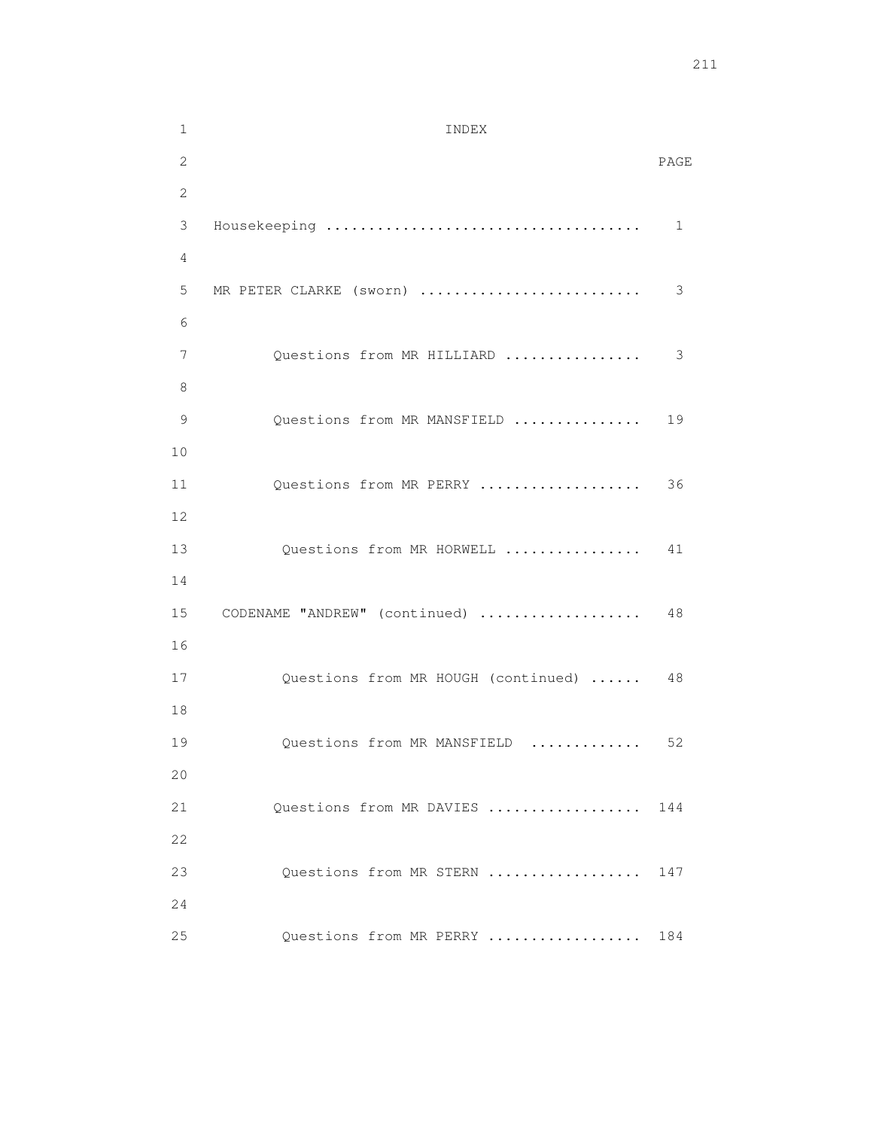| $\mathbf 1$    | INDEX                               |      |
|----------------|-------------------------------------|------|
| $\mathbf{2}$   |                                     | PAGE |
| $\overline{c}$ |                                     |      |
| 3              |                                     | 1    |
| 4              |                                     |      |
| 5              | MR PETER CLARKE (sworn)             | 3    |
| 6              |                                     |      |
| 7              | Questions from MR HILLIARD          | 3    |
| 8              |                                     |      |
| 9              | Questions from MR MANSFIELD         | 19   |
| 10             |                                     |      |
| 11             | Questions from MR PERRY             | 36   |
| 12             |                                     |      |
| 13             | Questions from MR HORWELL           | 41   |
| 14             |                                     |      |
| 15<br>16       | CODENAME "ANDREW" (continued)       | 48   |
| 17             | Questions from MR HOUGH (continued) | 48   |
| 18             |                                     |      |
| 19             | Questions from MR MANSFIELD         | 52   |
| 20             |                                     |      |
| 21             | Ouestions from MR DAVIES            | 144  |
| 22             |                                     |      |
| 23             | Questions from MR STERN             | 147  |
| 24             |                                     |      |
| 25             | Questions from MR PERRY             | 184  |